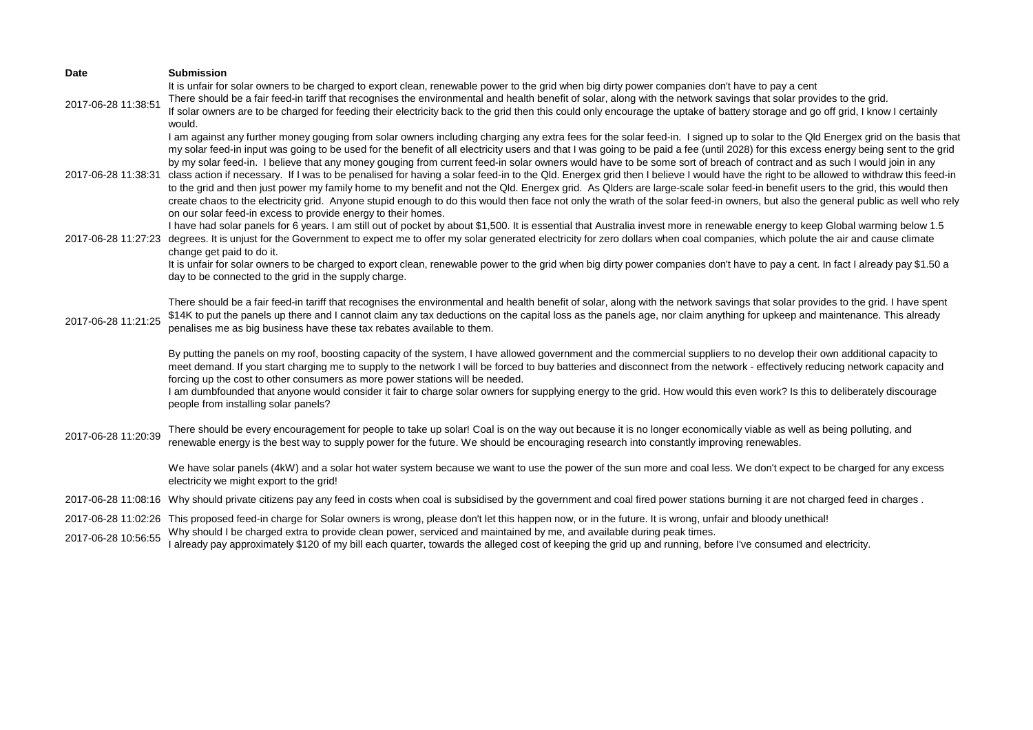| <b>Date</b>          | <b>Submission</b>                                                                                                                                                                                                                                                                                                                                                                                                                                                                                                                                                                                                                                                                                                                                                                                                                                                                                                                                                                                                                                                                                                                                                                      |
|----------------------|----------------------------------------------------------------------------------------------------------------------------------------------------------------------------------------------------------------------------------------------------------------------------------------------------------------------------------------------------------------------------------------------------------------------------------------------------------------------------------------------------------------------------------------------------------------------------------------------------------------------------------------------------------------------------------------------------------------------------------------------------------------------------------------------------------------------------------------------------------------------------------------------------------------------------------------------------------------------------------------------------------------------------------------------------------------------------------------------------------------------------------------------------------------------------------------|
| 2017-06-28 11:38:51  | It is unfair for solar owners to be charged to export clean, renewable power to the grid when big dirty power companies don't have to pay a cent<br>There should be a fair feed-in tariff that recognises the environmental and health benefit of solar, along with the network savings that solar provides to the grid.<br>If solar owners are to be charged for feeding their electricity back to the grid then this could only encourage the uptake of battery storage and go off grid, I know I certainly<br>would.                                                                                                                                                                                                                                                                                                                                                                                                                                                                                                                                                                                                                                                                |
| 2017-06-28 11:38:31  | I am against any further money gouging from solar owners including charging any extra fees for the solar feed-in. I signed up to solar to the Qld Energex grid on the basis that<br>my solar feed-in input was going to be used for the benefit of all electricity users and that I was going to be paid a fee (until 2028) for this excess energy being sent to the grid<br>by my solar feed-in. I believe that any money gouging from current feed-in solar owners would have to be some sort of breach of contract and as such I would join in any<br>class action if necessary. If I was to be penalised for having a solar feed-in to the Qld. Energex grid then I believe I would have the right to be allowed to withdraw this feed-in<br>to the grid and then just power my family home to my benefit and not the Qld. Energex grid. As Qlders are large-scale solar feed-in benefit users to the grid, this would then<br>create chaos to the electricity grid. Anyone stupid enough to do this would then face not only the wrath of the solar feed-in owners, but also the general public as well who rely<br>on our solar feed-in excess to provide energy to their homes. |
| 2017-06-28 11:27:23  | I have had solar panels for 6 years. I am still out of pocket by about \$1,500. It is essential that Australia invest more in renewable energy to keep Global warming below 1.5<br>degrees. It is unjust for the Government to expect me to offer my solar generated electricity for zero dollars when coal companies, which polute the air and cause climate                                                                                                                                                                                                                                                                                                                                                                                                                                                                                                                                                                                                                                                                                                                                                                                                                          |
|                      | change get paid to do it.<br>It is unfair for solar owners to be charged to export clean, renewable power to the grid when big dirty power companies don't have to pay a cent. In fact I already pay \$1.50 a<br>day to be connected to the grid in the supply charge.                                                                                                                                                                                                                                                                                                                                                                                                                                                                                                                                                                                                                                                                                                                                                                                                                                                                                                                 |
| 2017-06-28 11:21:25  | There should be a fair feed-in tariff that recognises the environmental and health benefit of solar, along with the network savings that solar provides to the grid. I have spent<br>\$14K to put the panels up there and I cannot claim any tax deductions on the capital loss as the panels age, nor claim anything for upkeep and maintenance. This already<br>penalises me as big business have these tax rebates available to them.                                                                                                                                                                                                                                                                                                                                                                                                                                                                                                                                                                                                                                                                                                                                               |
|                      | By putting the panels on my roof, boosting capacity of the system, I have allowed government and the commercial suppliers to no develop their own additional capacity to<br>meet demand. If you start charging me to supply to the network I will be forced to buy batteries and disconnect from the network - effectively reducing network capacity and<br>forcing up the cost to other consumers as more power stations will be needed.<br>I am dumbfounded that anyone would consider it fair to charge solar owners for supplying energy to the grid. How would this even work? Is this to deliberately discourage<br>people from installing solar panels?                                                                                                                                                                                                                                                                                                                                                                                                                                                                                                                         |
| 2017-06-28 11:20:39  | There should be every encouragement for people to take up solar! Coal is on the way out because it is no longer economically viable as well as being polluting, and<br>renewable energy is the best way to supply power for the future. We should be encouraging research into constantly improving renewables.                                                                                                                                                                                                                                                                                                                                                                                                                                                                                                                                                                                                                                                                                                                                                                                                                                                                        |
|                      | We have solar panels (4kW) and a solar hot water system because we want to use the power of the sun more and coal less. We don't expect to be charged for any excess<br>electricity we might export to the grid!                                                                                                                                                                                                                                                                                                                                                                                                                                                                                                                                                                                                                                                                                                                                                                                                                                                                                                                                                                       |
|                      | 2017-06-28 11:08:16 Why should private citizens pay any feed in costs when coal is subsidised by the government and coal fired power stations burning it are not charged feed in charges.                                                                                                                                                                                                                                                                                                                                                                                                                                                                                                                                                                                                                                                                                                                                                                                                                                                                                                                                                                                              |
| $2017-06-2810.56.55$ | 2017-06-28 11:02:26 This proposed feed-in charge for Solar owners is wrong, please don't let this happen now, or in the future. It is wrong, unfair and bloody unethical!<br>Why should I be charged extra to provide clean power, serviced and maintained by me, and available during peak times.                                                                                                                                                                                                                                                                                                                                                                                                                                                                                                                                                                                                                                                                                                                                                                                                                                                                                     |

2017-06-28 10:56:55 Why should I be charged extra to provide clean power, serviced and maintained by me, and available during peak times.<br>I already pay roomately four already pay approximately \$120 of my bill each quarter,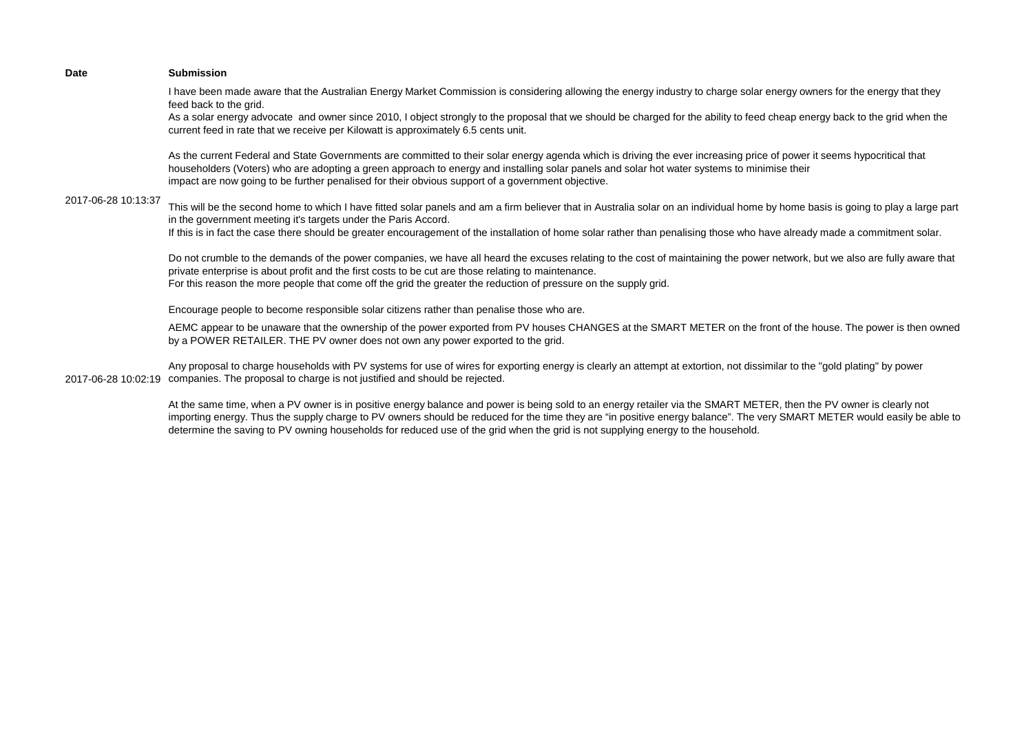| <b>Submission</b>                                                                                                                                                                                                                                                                                                                                                                                                          |
|----------------------------------------------------------------------------------------------------------------------------------------------------------------------------------------------------------------------------------------------------------------------------------------------------------------------------------------------------------------------------------------------------------------------------|
| I have been made aware that the Australian Energy Market Commission is considering allowing the energy industry to charge solar energy owners for the energy that they<br>feed back to the grid.                                                                                                                                                                                                                           |
| As a solar energy advocate and owner since 2010, I object strongly to the proposal that we should be charged for the ability to feed cheap energy back to the grid when the<br>current feed in rate that we receive per Kilowatt is approximately 6.5 cents unit.                                                                                                                                                          |
| As the current Federal and State Governments are committed to their solar energy agenda which is driving the ever increasing price of power it seems hypocritical that<br>householders (Voters) who are adopting a green approach to energy and installing solar panels and solar hot water systems to minimise their<br>impact are now going to be further penalised for their obvious support of a government objective. |
| This will be the second home to which I have fitted solar panels and am a firm believer that in Australia solar on an individual home by home basis is going to play a large part<br>in the government meeting it's targets under the Paris Accord.                                                                                                                                                                        |
| If this is in fact the case there should be greater encouragement of the installation of home solar rather than penalising those who have already made a commitment solar.                                                                                                                                                                                                                                                 |
| Do not crumble to the demands of the power companies, we have all heard the excuses relating to the cost of maintaining the power network, but we also are fully aware that<br>private enterprise is about profit and the first costs to be cut are those relating to maintenance.                                                                                                                                         |
| For this reason the more people that come off the grid the greater the reduction of pressure on the supply grid.                                                                                                                                                                                                                                                                                                           |
| Encourage people to become responsible solar citizens rather than penalise those who are.                                                                                                                                                                                                                                                                                                                                  |
| AEMC appear to be unaware that the ownership of the power exported from PV houses CHANGES at the SMART METER on the front of the house. The power is then owned<br>by a POWER RETAILER. THE PV owner does not own any power exported to the grid.                                                                                                                                                                          |
| Any proposal to charge households with PV systems for use of wires for exporting energy is clearly an attempt at extortion, not dissimilar to the "gold plating" by power<br>companies. The proposal to charge is not justified and should be rejected.                                                                                                                                                                    |
|                                                                                                                                                                                                                                                                                                                                                                                                                            |

At the same time, when a PV owner is in positive energy balance and power is being sold to an energy retailer via the SMART METER, then the PV owner is clearly not importing energy. Thus the supply charge to PV owners should be reduced for the time they are "in positive energy balance". The very SMART METER would easily be able to determine the saving to PV owning households for reduced use of the grid when the grid is not supplying energy to the household.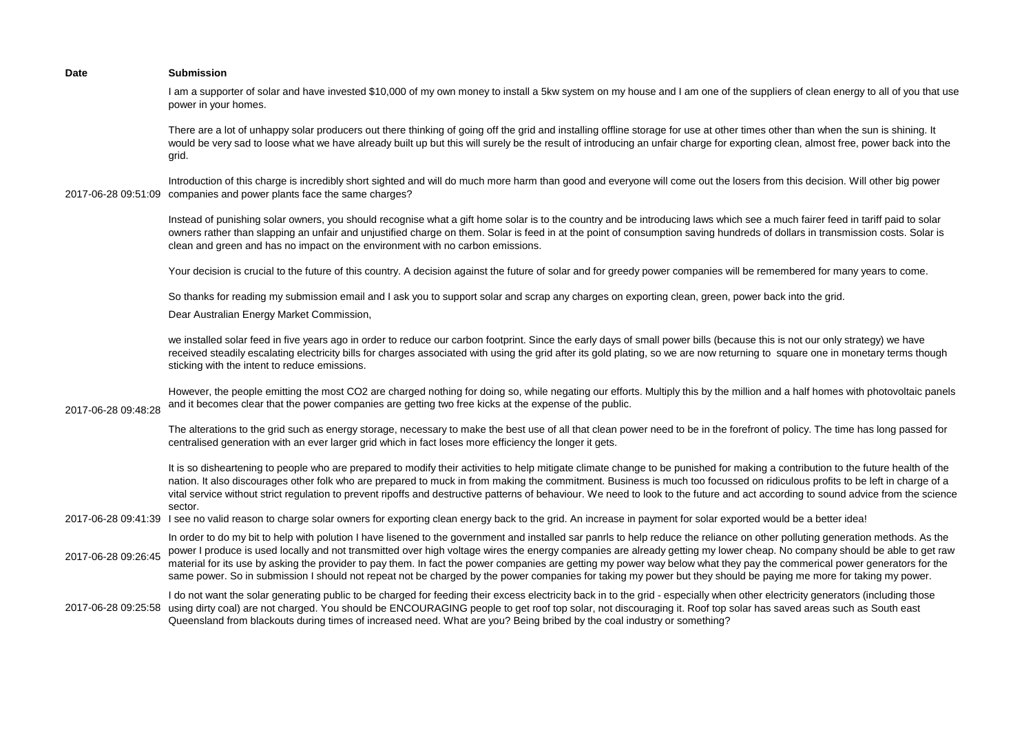|                     | I am a supporter of solar and have invested \$10,000 of my own money to install a 5kw system on my house and I am one of the suppliers of clean energy to all of you that use<br>power in your homes.                                                                                                                                                                                                                                                                                                                                                                                                                                                                                                          |
|---------------------|----------------------------------------------------------------------------------------------------------------------------------------------------------------------------------------------------------------------------------------------------------------------------------------------------------------------------------------------------------------------------------------------------------------------------------------------------------------------------------------------------------------------------------------------------------------------------------------------------------------------------------------------------------------------------------------------------------------|
| 2017-06-28 09:51:09 | There are a lot of unhappy solar producers out there thinking of going off the grid and installing offline storage for use at other times other than when the sun is shining. It<br>would be very sad to loose what we have already built up but this will surely be the result of introducing an unfair charge for exporting clean, almost free, power back into the<br>grid.                                                                                                                                                                                                                                                                                                                                 |
|                     | Introduction of this charge is incredibly short sighted and will do much more harm than good and everyone will come out the losers from this decision. Will other big power<br>companies and power plants face the same charges?                                                                                                                                                                                                                                                                                                                                                                                                                                                                               |
|                     | Instead of punishing solar owners, you should recognise what a gift home solar is to the country and be introducing laws which see a much fairer feed in tariff paid to solar<br>owners rather than slapping an unfair and unjustified charge on them. Solar is feed in at the point of consumption saving hundreds of dollars in transmission costs. Solar is<br>clean and green and has no impact on the environment with no carbon emissions.                                                                                                                                                                                                                                                               |
|                     | Your decision is crucial to the future of this country. A decision against the future of solar and for greedy power companies will be remembered for many years to come.                                                                                                                                                                                                                                                                                                                                                                                                                                                                                                                                       |
|                     | So thanks for reading my submission email and I ask you to support solar and scrap any charges on exporting clean, green, power back into the grid.<br>Dear Australian Energy Market Commission,                                                                                                                                                                                                                                                                                                                                                                                                                                                                                                               |
| 2017-06-28 09:48:28 | we installed solar feed in five years ago in order to reduce our carbon footprint. Since the early days of small power bills (because this is not our only strategy) we have<br>received steadily escalating electricity bills for charges associated with using the grid after its gold plating, so we are now returning to square one in monetary terms though<br>sticking with the intent to reduce emissions.                                                                                                                                                                                                                                                                                              |
|                     | However, the people emitting the most CO2 are charged nothing for doing so, while negating our efforts. Multiply this by the million and a half homes with photovoltaic panels<br>and it becomes clear that the power companies are getting two free kicks at the expense of the public.                                                                                                                                                                                                                                                                                                                                                                                                                       |
|                     | The alterations to the grid such as energy storage, necessary to make the best use of all that clean power need to be in the forefront of policy. The time has long passed for<br>centralised generation with an ever larger grid which in fact loses more efficiency the longer it gets.                                                                                                                                                                                                                                                                                                                                                                                                                      |
|                     | It is so disheartening to people who are prepared to modify their activities to help mitigate climate change to be punished for making a contribution to the future health of the<br>nation. It also discourages other folk who are prepared to muck in from making the commitment. Business is much too focussed on ridiculous profits to be left in charge of a<br>vital service without strict regulation to prevent ripoffs and destructive patterns of behaviour. We need to look to the future and act according to sound advice from the science<br>sector.                                                                                                                                             |
| 2017-06-28 09:41:39 | I see no valid reason to charge solar owners for exporting clean energy back to the grid. An increase in payment for solar exported would be a better idea!                                                                                                                                                                                                                                                                                                                                                                                                                                                                                                                                                    |
| 2017-06-28 09:26:45 | In order to do my bit to help with polution I have lisened to the government and installed sar panrls to help reduce the reliance on other polluting generation methods. As the<br>power I produce is used locally and not transmitted over high voltage wires the energy companies are already getting my lower cheap. No company should be able to get raw<br>material for its use by asking the provider to pay them. In fact the power companies are getting my power way below what they pay the commerical power generators for the<br>same power. So in submission I should not repeat not be charged by the power companies for taking my power but they should be paying me more for taking my power. |
| 2017-06-28 09:25:58 | I do not want the solar generating public to be charged for feeding their excess electricity back in to the grid - especially when other electricity generators (including those<br>using dirty coal) are not charged. You should be ENCOURAGING people to get roof top solar, not discouraging it. Roof top solar has saved areas such as South east<br>Queensland from blackouts during times of increased need. What are you? Being bribed by the coal industry or something?                                                                                                                                                                                                                               |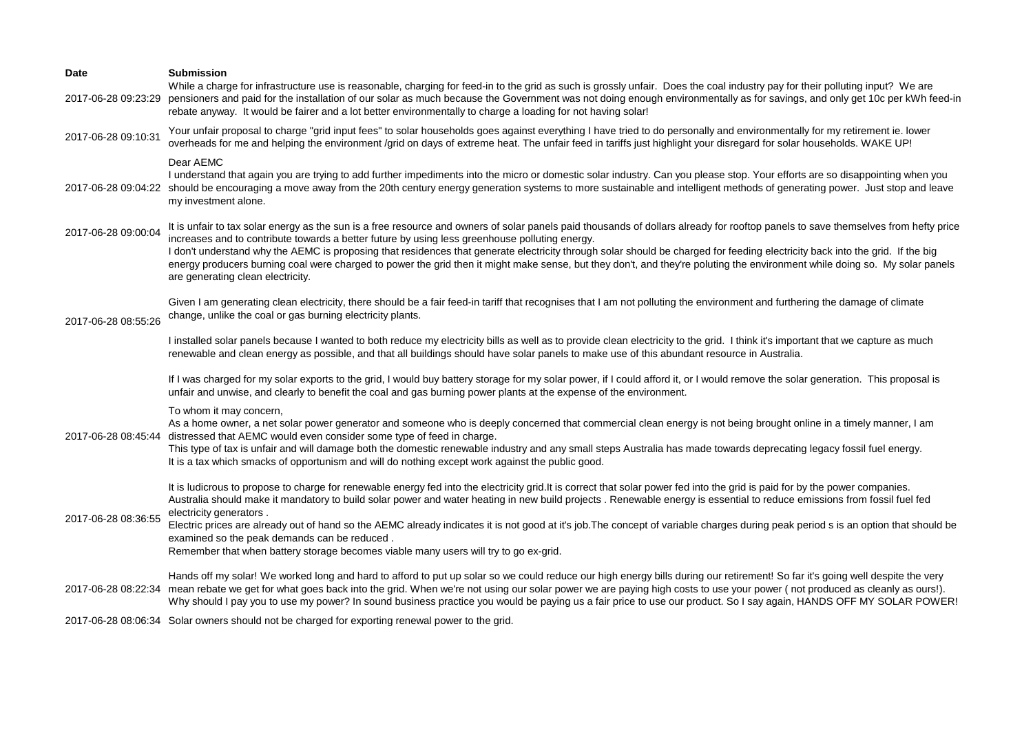| Date                | <b>Submission</b><br>While a charge for infrastructure use is reasonable, charging for feed-in to the grid as such is grossly unfair. Does the coal industry pay for their polluting input? We are                                                                                                                                                                                                                                                                                                                                                                                                                                                                                                                |
|---------------------|-------------------------------------------------------------------------------------------------------------------------------------------------------------------------------------------------------------------------------------------------------------------------------------------------------------------------------------------------------------------------------------------------------------------------------------------------------------------------------------------------------------------------------------------------------------------------------------------------------------------------------------------------------------------------------------------------------------------|
| 2017-06-28 09:23:29 | pensioners and paid for the installation of our solar as much because the Government was not doing enough environmentally as for savings, and only get 10c per kWh feed-in<br>rebate anyway. It would be fairer and a lot better environmentally to charge a loading for not having solar!                                                                                                                                                                                                                                                                                                                                                                                                                        |
| 2017-06-28 09:10:31 | Your unfair proposal to charge "grid input fees" to solar households goes against everything I have tried to do personally and environmentally for my retirement ie. lower<br>overheads for me and helping the environment /grid on days of extreme heat. The unfair feed in tariffs just highlight your disregard for solar households. WAKE UP!                                                                                                                                                                                                                                                                                                                                                                 |
| 2017-06-28 09:04:22 | Dear AEMC<br>I understand that again you are trying to add further impediments into the micro or domestic solar industry. Can you please stop. Your efforts are so disappointing when you<br>should be encouraging a move away from the 20th century energy generation systems to more sustainable and intelligent methods of generating power. Just stop and leave<br>my investment alone.                                                                                                                                                                                                                                                                                                                       |
| 2017-06-28 09:00:04 | It is unfair to tax solar energy as the sun is a free resource and owners of solar panels paid thousands of dollars already for rooftop panels to save themselves from hefty price<br>increases and to contribute towards a better future by using less greenhouse polluting energy.<br>I don't understand why the AEMC is proposing that residences that generate electricity through solar should be charged for feeding electricity back into the grid. If the big<br>energy producers burning coal were charged to power the grid then it might make sense, but they don't, and they're poluting the environment while doing so. My solar panels<br>are generating clean electricity.                         |
| 2017-06-28 08:55:26 | Given I am generating clean electricity, there should be a fair feed-in tariff that recognises that I am not polluting the environment and furthering the damage of climate<br>change, unlike the coal or gas burning electricity plants.                                                                                                                                                                                                                                                                                                                                                                                                                                                                         |
|                     | I installed solar panels because I wanted to both reduce my electricity bills as well as to provide clean electricity to the grid. I think it's important that we capture as much<br>renewable and clean energy as possible, and that all buildings should have solar panels to make use of this abundant resource in Australia.                                                                                                                                                                                                                                                                                                                                                                                  |
|                     | If I was charged for my solar exports to the grid, I would buy battery storage for my solar power, if I could afford it, or I would remove the solar generation. This proposal is<br>unfair and unwise, and clearly to benefit the coal and gas burning power plants at the expense of the environment.                                                                                                                                                                                                                                                                                                                                                                                                           |
| 2017-06-28 08:45:44 | To whom it may concern,<br>As a home owner, a net solar power generator and someone who is deeply concerned that commercial clean energy is not being brought online in a timely manner, I am<br>distressed that AEMC would even consider some type of feed in charge.<br>This type of tax is unfair and will damage both the domestic renewable industry and any small steps Australia has made towards deprecating legacy fossil fuel energy.<br>It is a tax which smacks of opportunism and will do nothing except work against the public good.                                                                                                                                                               |
| 2017-06-28 08:36:55 | It is ludicrous to propose to charge for renewable energy fed into the electricity grid.It is correct that solar power fed into the grid is paid for by the power companies.<br>Australia should make it mandatory to build solar power and water heating in new build projects . Renewable energy is essential to reduce emissions from fossil fuel fed<br>electricity generators.<br>Electric prices are already out of hand so the AEMC already indicates it is not good at it's job. The concept of variable charges during peak period s is an option that should be<br>examined so the peak demands can be reduced.<br>Remember that when battery storage becomes viable many users will try to go ex-grid. |
|                     | Hands off my solar! We worked long and hard to afford to put up solar so we could reduce our high energy bills during our retirement! So far it's going well despite the very<br>2017-06-28 08:22:34 mean rebate we get for what goes back into the grid. When we're not using our solar power we are paying high costs to use your power (not produced as cleanly as ours!).<br>Why should I pay you to use my power? In sound business practice you would be paying us a fair price to use our product. So I say again, HANDS OFF MY SOLAR POWER!                                                                                                                                                               |
|                     | 2017-06-28 08:06:34 Solar owners should not be charged for exporting renewal power to the grid.                                                                                                                                                                                                                                                                                                                                                                                                                                                                                                                                                                                                                   |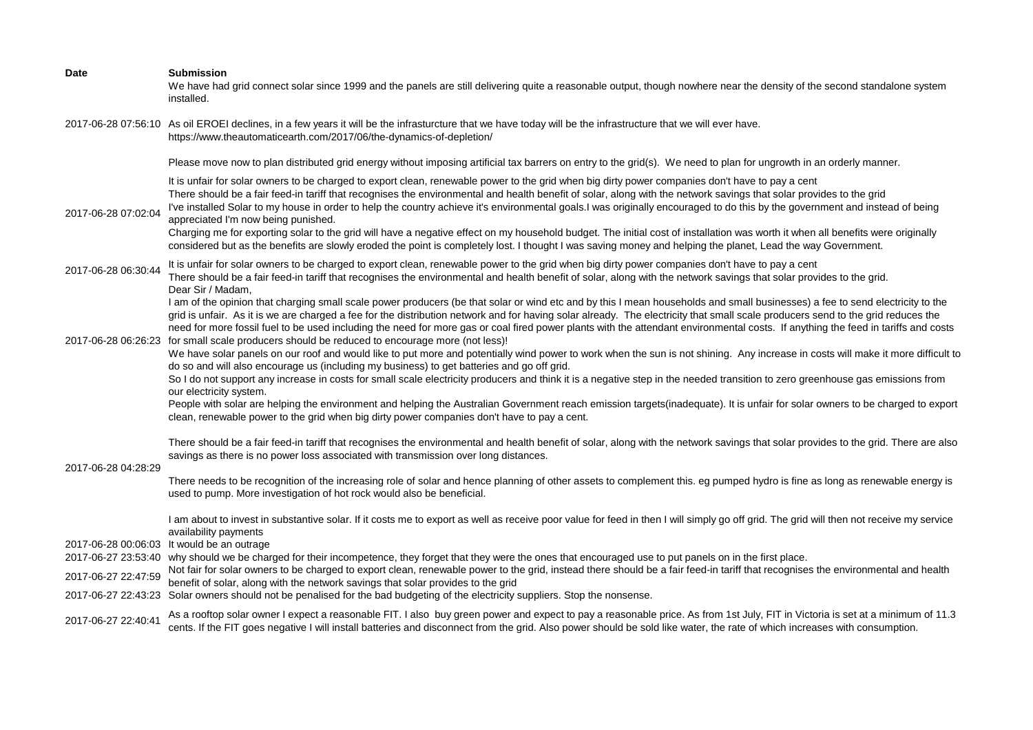| Date                                       | <b>Submission</b><br>We have had grid connect solar since 1999 and the panels are still delivering quite a reasonable output, though nowhere near the density of the second standalone system<br>installed.                                                                                                                                                                                                                                                                                                                                                                                                                                                                                                                                                                                                                                                                                                                                                                                                                                                                                                                                                                                                                                                                                                                                                                                                                                                                                                                                                                                                      |
|--------------------------------------------|------------------------------------------------------------------------------------------------------------------------------------------------------------------------------------------------------------------------------------------------------------------------------------------------------------------------------------------------------------------------------------------------------------------------------------------------------------------------------------------------------------------------------------------------------------------------------------------------------------------------------------------------------------------------------------------------------------------------------------------------------------------------------------------------------------------------------------------------------------------------------------------------------------------------------------------------------------------------------------------------------------------------------------------------------------------------------------------------------------------------------------------------------------------------------------------------------------------------------------------------------------------------------------------------------------------------------------------------------------------------------------------------------------------------------------------------------------------------------------------------------------------------------------------------------------------------------------------------------------------|
|                                            | 2017-06-28 07:56:10 As oil EROEI declines, in a few years it will be the infrasturcture that we have today will be the infrastructure that we will ever have.<br>https://www.theautomaticearth.com/2017/06/the-dynamics-of-depletion/                                                                                                                                                                                                                                                                                                                                                                                                                                                                                                                                                                                                                                                                                                                                                                                                                                                                                                                                                                                                                                                                                                                                                                                                                                                                                                                                                                            |
|                                            | Please move now to plan distributed grid energy without imposing artificial tax barrers on entry to the grid(s). We need to plan for ungrowth in an orderly manner.                                                                                                                                                                                                                                                                                                                                                                                                                                                                                                                                                                                                                                                                                                                                                                                                                                                                                                                                                                                                                                                                                                                                                                                                                                                                                                                                                                                                                                              |
| 2017-06-28 07:02:04                        | It is unfair for solar owners to be charged to export clean, renewable power to the grid when big dirty power companies don't have to pay a cent<br>There should be a fair feed-in tariff that recognises the environmental and health benefit of solar, along with the network savings that solar provides to the grid<br>I've installed Solar to my house in order to help the country achieve it's environmental goals. I was originally encouraged to do this by the government and instead of being<br>appreciated I'm now being punished.<br>Charging me for exporting solar to the grid will have a negative effect on my household budget. The initial cost of installation was worth it when all benefits were originally<br>considered but as the benefits are slowly eroded the point is completely lost. I thought I was saving money and helping the planet, Lead the way Government.                                                                                                                                                                                                                                                                                                                                                                                                                                                                                                                                                                                                                                                                                                               |
| 2017-06-28 06:30:44                        | It is unfair for solar owners to be charged to export clean, renewable power to the grid when big dirty power companies don't have to pay a cent                                                                                                                                                                                                                                                                                                                                                                                                                                                                                                                                                                                                                                                                                                                                                                                                                                                                                                                                                                                                                                                                                                                                                                                                                                                                                                                                                                                                                                                                 |
| 2017-06-28 06:26:23                        | There should be a fair feed-in tariff that recognises the environmental and health benefit of solar, along with the network savings that solar provides to the grid.<br>Dear Sir / Madam,<br>I am of the opinion that charging small scale power producers (be that solar or wind etc and by this I mean households and small businesses) a fee to send electricity to the<br>grid is unfair. As it is we are charged a fee for the distribution network and for having solar already. The electricity that small scale producers send to the grid reduces the<br>need for more fossil fuel to be used including the need for more gas or coal fired power plants with the attendant environmental costs. If anything the feed in tariffs and costs<br>for small scale producers should be reduced to encourage more (not less)!<br>We have solar panels on our roof and would like to put more and potentially wind power to work when the sun is not shining. Any increase in costs will make it more difficult to<br>do so and will also encourage us (including my business) to get batteries and go off grid.<br>So I do not support any increase in costs for small scale electricity producers and think it is a negative step in the needed transition to zero greenhouse gas emissions from<br>our electricity system.<br>People with solar are helping the environment and helping the Australian Government reach emission targets (inadequate). It is unfair for solar owners to be charged to export<br>clean, renewable power to the grid when big dirty power companies don't have to pay a cent. |
| 2017-06-28 04:28:29                        | There should be a fair feed-in tariff that recognises the environmental and health benefit of solar, along with the network savings that solar provides to the grid. There are also<br>savings as there is no power loss associated with transmission over long distances.                                                                                                                                                                                                                                                                                                                                                                                                                                                                                                                                                                                                                                                                                                                                                                                                                                                                                                                                                                                                                                                                                                                                                                                                                                                                                                                                       |
|                                            | There needs to be recognition of the increasing role of solar and hence planning of other assets to complement this. eg pumped hydro is fine as long as renewable energy is<br>used to pump. More investigation of hot rock would also be beneficial.                                                                                                                                                                                                                                                                                                                                                                                                                                                                                                                                                                                                                                                                                                                                                                                                                                                                                                                                                                                                                                                                                                                                                                                                                                                                                                                                                            |
| 2017-06-27 22:47:59<br>2017-06-27 22:43:23 | I am about to invest in substantive solar. If it costs me to export as well as receive poor value for feed in then I will simply go off grid. The grid will then not receive my service<br>availability payments<br>2017-06-28 00:06:03 It would be an outrage<br>2017-06-27 23:53:40 why should we be charged for their incompetence, they forget that they were the ones that encouraged use to put panels on in the first place.<br>Not fair for solar owners to be charged to export clean, renewable power to the grid, instead there should be a fair feed-in tariff that recognises the environmental and health<br>benefit of solar, along with the network savings that solar provides to the grid<br>Solar owners should not be penalised for the bad budgeting of the electricity suppliers. Stop the nonsense.                                                                                                                                                                                                                                                                                                                                                                                                                                                                                                                                                                                                                                                                                                                                                                                       |
| 2017-06-27 22:40:41                        | As a rooftop solar owner I expect a reasonable FIT. I also buy green power and expect to pay a reasonable price. As from 1st July, FIT in Victoria is set at a minimum of 11.3<br>cents. If the FIT goes negative I will install batteries and disconnect from the grid. Also power should be sold like water, the rate of which increases with consumption.                                                                                                                                                                                                                                                                                                                                                                                                                                                                                                                                                                                                                                                                                                                                                                                                                                                                                                                                                                                                                                                                                                                                                                                                                                                     |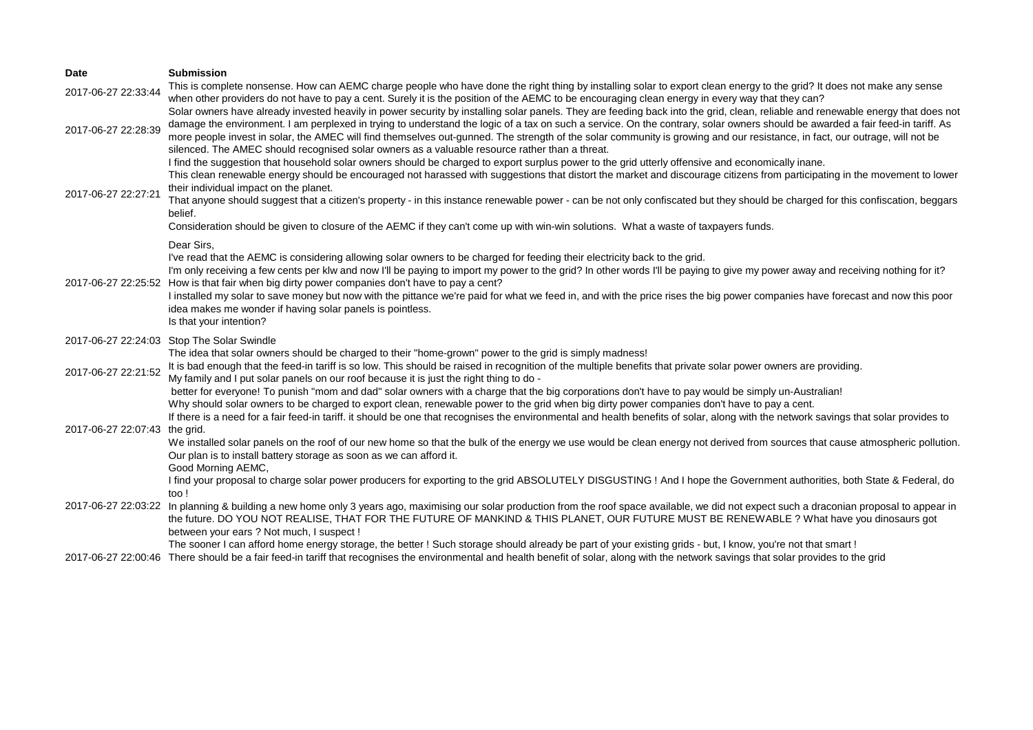| <b>Date</b>         | <b>Submission</b>                                                                                                                                                                                                                                                                                                                                                                                                                                                                                                                                                                                                                                                                                              |
|---------------------|----------------------------------------------------------------------------------------------------------------------------------------------------------------------------------------------------------------------------------------------------------------------------------------------------------------------------------------------------------------------------------------------------------------------------------------------------------------------------------------------------------------------------------------------------------------------------------------------------------------------------------------------------------------------------------------------------------------|
| 2017-06-27 22:33:44 | This is complete nonsense. How can AEMC charge people who have done the right thing by installing solar to export clean energy to the grid? It does not make any sense<br>when other providers do not have to pay a cent. Surely it is the position of the AEMC to be encouraging clean energy in every way that they can?                                                                                                                                                                                                                                                                                                                                                                                     |
| 2017-06-27 22:28:39 | Solar owners have already invested heavily in power security by installing solar panels. They are feeding back into the grid, clean, reliable and renewable energy that does not<br>damage the environment. I am perplexed in trying to understand the logic of a tax on such a service. On the contrary, solar owners should be awarded a fair feed-in tariff. As<br>more people invest in solar, the AMEC will find themselves out-gunned. The strength of the solar community is growing and our resistance, in fact, our outrage, will not be<br>silenced. The AMEC should recognised solar owners as a valuable resource rather than a threat.                                                            |
| 2017-06-27 22:27:21 | I find the suggestion that household solar owners should be charged to export surplus power to the grid utterly offensive and economically inane.<br>This clean renewable energy should be encouraged not harassed with suggestions that distort the market and discourage citizens from participating in the movement to lower<br>their individual impact on the planet.<br>That anyone should suggest that a citizen's property - in this instance renewable power - can be not only confiscated but they should be charged for this confiscation, beggars<br>belief.<br>Consideration should be given to closure of the AEMC if they can't come up with win-win solutions. What a waste of taxpayers funds. |
|                     | Dear Sirs,<br>I've read that the AEMC is considering allowing solar owners to be charged for feeding their electricity back to the grid.<br>I'm only receiving a few cents per klw and now I'll be paying to import my power to the grid? In other words I'll be paying to give my power away and receiving nothing for it?<br>2017-06-27 22:25:52 How is that fair when big dirty power companies don't have to pay a cent?<br>I installed my solar to save money but now with the pittance we're paid for what we feed in, and with the price rises the big power companies have forecast and now this poor<br>idea makes me wonder if having solar panels is pointless.                                     |
|                     | Is that your intention?                                                                                                                                                                                                                                                                                                                                                                                                                                                                                                                                                                                                                                                                                        |
| 2017-06-27 22:21:52 | 2017-06-27 22:24:03 Stop The Solar Swindle<br>The idea that solar owners should be charged to their "home-grown" power to the grid is simply madness!<br>It is bad enough that the feed-in tariff is so low. This should be raised in recognition of the multiple benefits that private solar power owners are providing.<br>My family and I put solar panels on our roof because it is just the right thing to do -<br>better for everyone! To punish "mom and dad" solar owners with a charge that the big corporations don't have to pay would be simply un-Australian!                                                                                                                                     |
| 2017-06-27 22:07:43 | Why should solar owners to be charged to export clean, renewable power to the grid when big dirty power companies don't have to pay a cent.<br>If there is a need for a fair feed-in tariff. it should be one that recognises the environmental and health benefits of solar, along with the network savings that solar provides to<br>the grid.<br>We installed solar panels on the roof of our new home so that the bulk of the energy we use would be clean energy not derived from sources that cause atmospheric pollution.<br>Our plan is to install battery storage as soon as we can afford it.<br>Good Morning AEMC,                                                                                  |
|                     | I find your proposal to charge solar power producers for exporting to the grid ABSOLUTELY DISGUSTING ! And I hope the Government authorities, both State & Federal, do<br>too!                                                                                                                                                                                                                                                                                                                                                                                                                                                                                                                                 |
| 2017-06-27 22:03:22 | In planning & building a new home only 3 years ago, maximising our solar production from the roof space available, we did not expect such a draconian proposal to appear in<br>the future. DO YOU NOT REALISE, THAT FOR THE FUTURE OF MANKIND & THIS PLANET, OUR FUTURE MUST BE RENEWABLE ? What have you dinosaurs got<br>between your ears ? Not much, I suspect !                                                                                                                                                                                                                                                                                                                                           |
|                     | The sooner I can afford home energy storage, the better ! Such storage should already be part of your existing grids - but, I know, you're not that smart !<br>2017-06-27 22:00:46 There should be a fair feed-in tariff that recognises the environmental and health benefit of solar, along with the network savings that solar provides to the grid                                                                                                                                                                                                                                                                                                                                                         |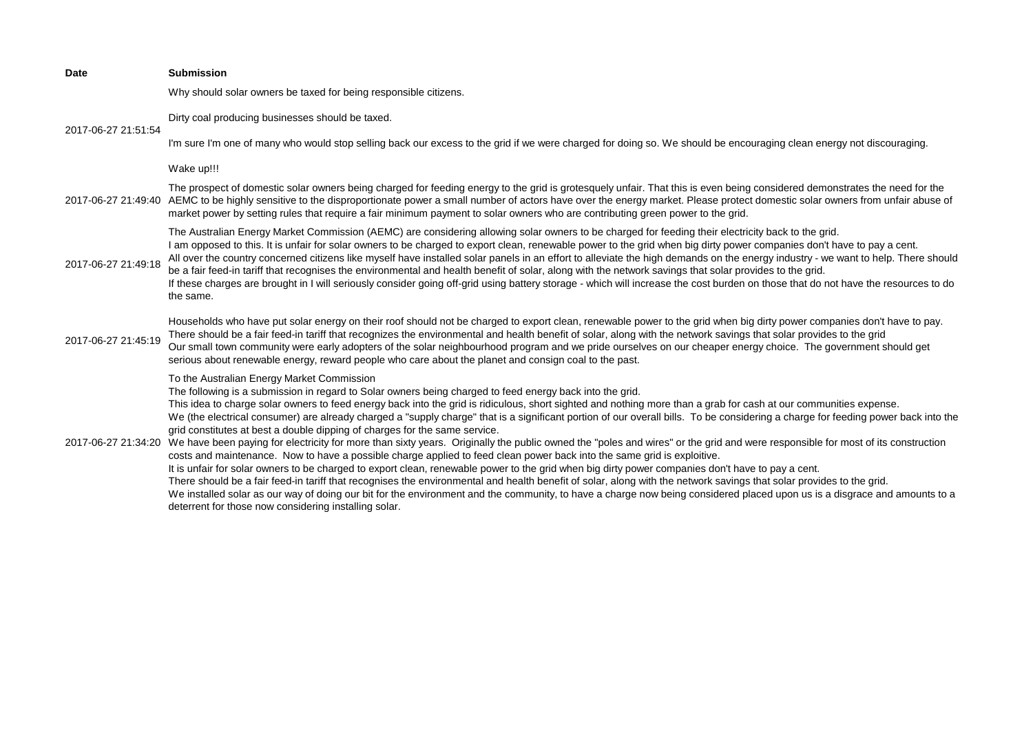| Date                | <b>Submission</b>                                                                                                                                                                                                                                                                                                                                                                                                                                                                                                                                                                                                                                                                                                                                                                                                                                                                                                                                                                                                                                                                                                                                                                                                                                                                                                                                                                                                                                                              |
|---------------------|--------------------------------------------------------------------------------------------------------------------------------------------------------------------------------------------------------------------------------------------------------------------------------------------------------------------------------------------------------------------------------------------------------------------------------------------------------------------------------------------------------------------------------------------------------------------------------------------------------------------------------------------------------------------------------------------------------------------------------------------------------------------------------------------------------------------------------------------------------------------------------------------------------------------------------------------------------------------------------------------------------------------------------------------------------------------------------------------------------------------------------------------------------------------------------------------------------------------------------------------------------------------------------------------------------------------------------------------------------------------------------------------------------------------------------------------------------------------------------|
|                     | Why should solar owners be taxed for being responsible citizens.                                                                                                                                                                                                                                                                                                                                                                                                                                                                                                                                                                                                                                                                                                                                                                                                                                                                                                                                                                                                                                                                                                                                                                                                                                                                                                                                                                                                               |
| 2017-06-27 21:51:54 | Dirty coal producing businesses should be taxed.                                                                                                                                                                                                                                                                                                                                                                                                                                                                                                                                                                                                                                                                                                                                                                                                                                                                                                                                                                                                                                                                                                                                                                                                                                                                                                                                                                                                                               |
|                     | I'm sure I'm one of many who would stop selling back our excess to the grid if we were charged for doing so. We should be encouraging clean energy not discouraging.                                                                                                                                                                                                                                                                                                                                                                                                                                                                                                                                                                                                                                                                                                                                                                                                                                                                                                                                                                                                                                                                                                                                                                                                                                                                                                           |
|                     | Wake up!!!                                                                                                                                                                                                                                                                                                                                                                                                                                                                                                                                                                                                                                                                                                                                                                                                                                                                                                                                                                                                                                                                                                                                                                                                                                                                                                                                                                                                                                                                     |
| 2017-06-27 21:49:40 | The prospect of domestic solar owners being charged for feeding energy to the grid is grotesquely unfair. That this is even being considered demonstrates the need for the<br>AEMC to be highly sensitive to the disproportionate power a small number of actors have over the energy market. Please protect domestic solar owners from unfair abuse of<br>market power by setting rules that require a fair minimum payment to solar owners who are contributing green power to the grid.                                                                                                                                                                                                                                                                                                                                                                                                                                                                                                                                                                                                                                                                                                                                                                                                                                                                                                                                                                                     |
| 2017-06-27 21:49:18 | The Australian Energy Market Commission (AEMC) are considering allowing solar owners to be charged for feeding their electricity back to the grid.<br>I am opposed to this. It is unfair for solar owners to be charged to export clean, renewable power to the grid when big dirty power companies don't have to pay a cent.<br>All over the country concerned citizens like myself have installed solar panels in an effort to alleviate the high demands on the energy industry - we want to help. There should<br>be a fair feed-in tariff that recognises the environmental and health benefit of solar, along with the network savings that solar provides to the grid.<br>If these charges are brought in I will seriously consider going off-grid using battery storage - which will increase the cost burden on those that do not have the resources to do<br>the same.                                                                                                                                                                                                                                                                                                                                                                                                                                                                                                                                                                                               |
| 2017-06-27 21:45:19 | Households who have put solar energy on their roof should not be charged to export clean, renewable power to the grid when big dirty power companies don't have to pay.<br>There should be a fair feed-in tariff that recognizes the environmental and health benefit of solar, along with the network savings that solar provides to the grid<br>Our small town community were early adopters of the solar neighbourhood program and we pride ourselves on our cheaper energy choice. The government should get<br>serious about renewable energy, reward people who care about the planet and consign coal to the past.                                                                                                                                                                                                                                                                                                                                                                                                                                                                                                                                                                                                                                                                                                                                                                                                                                                      |
| 2017-06-27 21:34:20 | To the Australian Energy Market Commission<br>The following is a submission in regard to Solar owners being charged to feed energy back into the grid.<br>This idea to charge solar owners to feed energy back into the grid is ridiculous, short sighted and nothing more than a grab for cash at our communities expense.<br>We (the electrical consumer) are already charged a "supply charge" that is a significant portion of our overall bills. To be considering a charge for feeding power back into the<br>grid constitutes at best a double dipping of charges for the same service.<br>We have been paying for electricity for more than sixty years. Originally the public owned the "poles and wires" or the grid and were responsible for most of its construction<br>costs and maintenance. Now to have a possible charge applied to feed clean power back into the same grid is exploitive.<br>It is unfair for solar owners to be charged to export clean, renewable power to the grid when big dirty power companies don't have to pay a cent.<br>There should be a fair feed-in tariff that recognises the environmental and health benefit of solar, along with the network savings that solar provides to the grid.<br>We installed solar as our way of doing our bit for the environment and the community, to have a charge now being considered placed upon us is a disgrace and amounts to a<br>deterrent for those now considering installing solar. |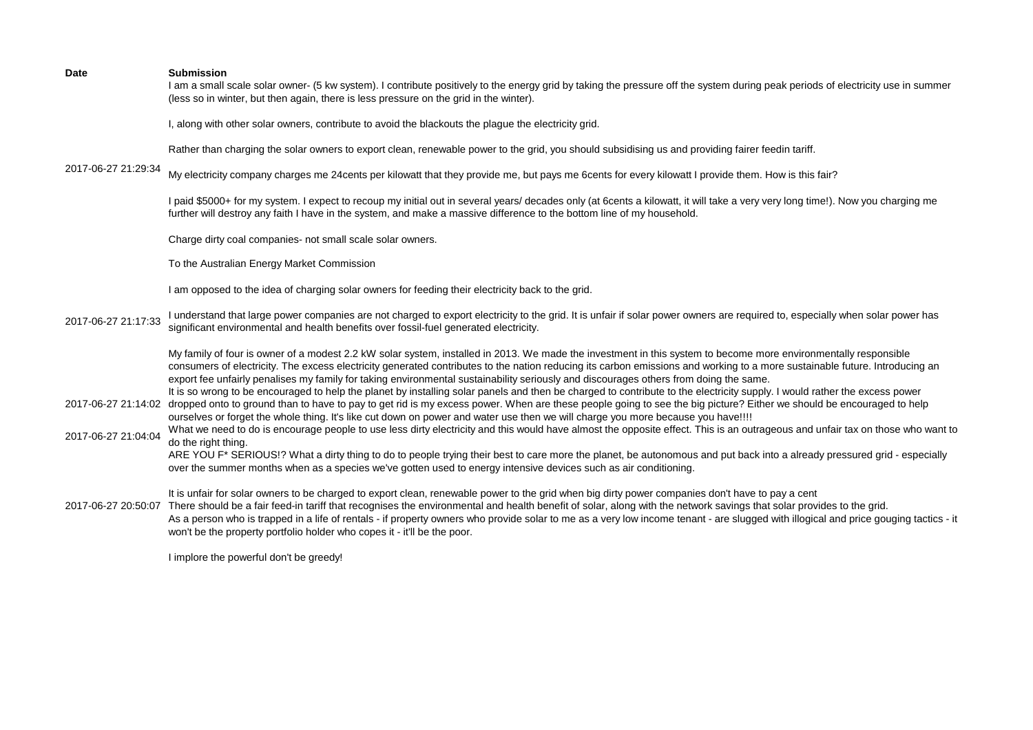I am a small scale solar owner- (5 kw system). I contribute positively to the energy grid by taking the pressure off the system during peak periods of electricity use in summer (less so in winter, but then again, there is less pressure on the grid in the winter).

I, along with other solar owners, contribute to avoid the blackouts the plague the electricity grid.

Rather than charging the solar owners to export clean, renewable power to the grid, you should subsidising us and providing fairer feedin tariff.

2017-06-27 21:29:34

My electricity company charges me 24cents per kilowatt that they provide me, but pays me 6cents for every kilowatt I provide them. How is this fair?

I paid \$5000+ for my system. I expect to recoup my initial out in several years/ decades only (at 6cents a kilowatt, it will take a very very long time!). Now you charging me further will destroy any faith I have in the system, and make a massive difference to the bottom line of my household.

Charge dirty coal companies- not small scale solar owners.

To the Australian Energy Market Commission

I am opposed to the idea of charging solar owners for feeding their electricity back to the grid.

2017-06-27 21:17:33 I understand that large power companies are not charged to export electricity to the grid. It is unfair if solar power owners are required to, especially when solar power has significant environmental and health benefits over fossil-fuel generated electricity.

> My family of four is owner of a modest 2.2 kW solar system, installed in 2013. We made the investment in this system to become more environmentally responsible consumers of electricity. The excess electricity generated contributes to the nation reducing its carbon emissions and working to a more sustainable future. Introducing an export fee unfairly penalises my family for taking environmental sustainability seriously and discourages others from doing the same.

2017-06-27 21:14:02 dropped onto to ground than to have to pay to get rid is my excess power. When are these people going to see the big picture? Either we should be encouraged to help It is so wrong to be encouraged to help the planet by installing solar panels and then be charged to contribute to the electricity supply. I would rather the excess power ourselves or forget the whole thing. It's like cut down on power and water use then we will charge you more because you have!!!!

2017-06-27 21:04:04 What we need to do is encourage people to use less dirty electricity and this would have almost the opposite effect. This is an outrageous and unfair tax on those who want to do the right thing.

ARE YOU F\* SERIOUS!? What a dirty thing to do to people trying their best to care more the planet, be autonomous and put back into a already pressured grid - especially over the summer months when as a species we've gotten used to energy intensive devices such as air conditioning.

It is unfair for solar owners to be charged to export clean, renewable power to the grid when big dirty power companies don't have to pay a cent

2017-06-27 20:50:07 There should be a fair feed-in tariff that recognises the environmental and health benefit of solar, along with the network savings that solar provides to the grid. As a person who is trapped in a life of rentals - if property owners who provide solar to me as a very low income tenant - are slugged with illogical and price gouging tactics - it won't be the property portfolio holder who copes it - it'll be the poor.

I implore the powerful don't be greedy!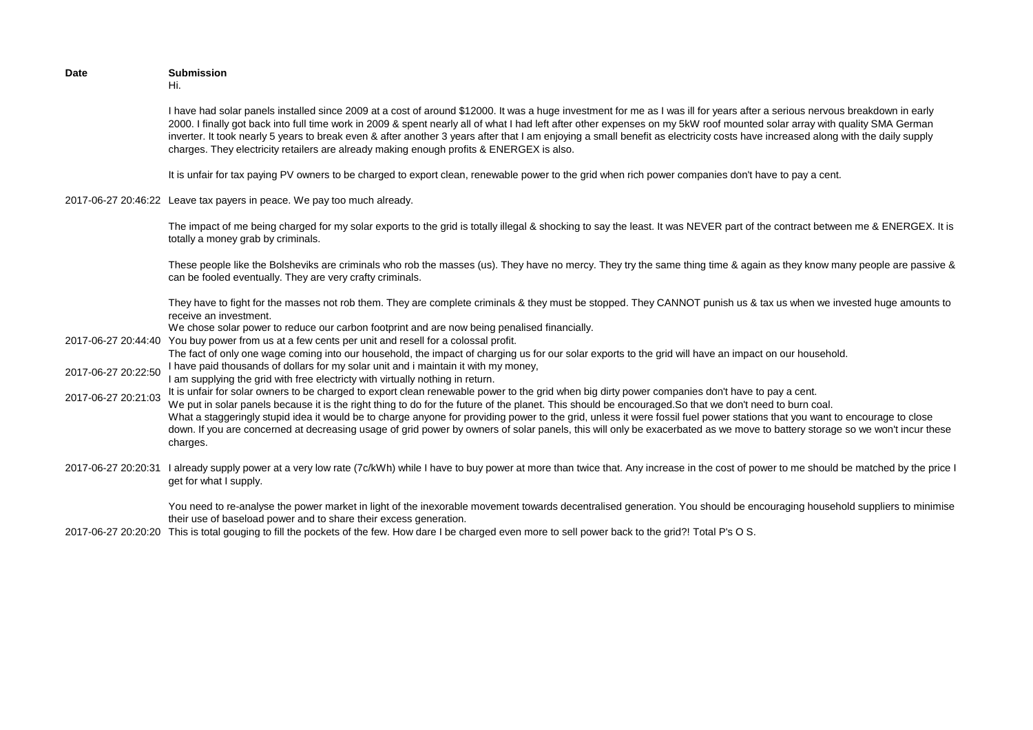| <b>Date</b>         | <b>Submission</b><br>Hi.                                                                                                                                                                                                                                                                                                                                                                                                                                                                                                                                                                                                                                                              |
|---------------------|---------------------------------------------------------------------------------------------------------------------------------------------------------------------------------------------------------------------------------------------------------------------------------------------------------------------------------------------------------------------------------------------------------------------------------------------------------------------------------------------------------------------------------------------------------------------------------------------------------------------------------------------------------------------------------------|
|                     | I have had solar panels installed since 2009 at a cost of around \$12000. It was a huge investment for me as I was ill for years after a serious nervous breakdown in early<br>2000. I finally got back into full time work in 2009 & spent nearly all of what I had left after other expenses on my 5kW roof mounted solar array with quality SMA German<br>inverter. It took nearly 5 years to break even & after another 3 years after that I am enjoying a small benefit as electricity costs have increased along with the daily supply<br>charges. They electricity retailers are already making enough profits & ENERGEX is also.                                              |
|                     | It is unfair for tax paying PV owners to be charged to export clean, renewable power to the grid when rich power companies don't have to pay a cent.                                                                                                                                                                                                                                                                                                                                                                                                                                                                                                                                  |
|                     | 2017-06-27 20:46:22 Leave tax payers in peace. We pay too much already.                                                                                                                                                                                                                                                                                                                                                                                                                                                                                                                                                                                                               |
|                     | The impact of me being charged for my solar exports to the grid is totally illegal & shocking to say the least. It was NEVER part of the contract between me & ENERGEX. It is<br>totally a money grab by criminals.                                                                                                                                                                                                                                                                                                                                                                                                                                                                   |
|                     | These people like the Bolsheviks are criminals who rob the masses (us). They have no mercy. They try the same thing time & again as they know many people are passive &<br>can be fooled eventually. They are very crafty criminals.                                                                                                                                                                                                                                                                                                                                                                                                                                                  |
|                     | They have to fight for the masses not rob them. They are complete criminals & they must be stopped. They CANNOT punish us & tax us when we invested huge amounts to<br>receive an investment.                                                                                                                                                                                                                                                                                                                                                                                                                                                                                         |
|                     | We chose solar power to reduce our carbon footprint and are now being penalised financially.<br>2017-06-27 20:44:40 You buy power from us at a few cents per unit and resell for a colossal profit.                                                                                                                                                                                                                                                                                                                                                                                                                                                                                   |
|                     | The fact of only one wage coming into our household, the impact of charging us for our solar exports to the grid will have an impact on our household.                                                                                                                                                                                                                                                                                                                                                                                                                                                                                                                                |
| 2017-06-27 20:22:50 | I have paid thousands of dollars for my solar unit and i maintain it with my money,<br>I am supplying the grid with free electricty with virtually nothing in return.                                                                                                                                                                                                                                                                                                                                                                                                                                                                                                                 |
| 2017-06-27 20:21:03 | It is unfair for solar owners to be charged to export clean renewable power to the grid when big dirty power companies don't have to pay a cent.<br>We put in solar panels because it is the right thing to do for the future of the planet. This should be encouraged. So that we don't need to burn coal.<br>What a staggeringly stupid idea it would be to charge anyone for providing power to the grid, unless it were fossil fuel power stations that you want to encourage to close<br>down. If you are concerned at decreasing usage of grid power by owners of solar panels, this will only be exacerbated as we move to battery storage so we won't incur these<br>charges. |
|                     | 2017-06-27 20:20:31 I already supply power at a very low rate (7c/kWh) while I have to buy power at more than twice that. Any increase in the cost of power to me should be matched by the price I<br>get for what I supply.                                                                                                                                                                                                                                                                                                                                                                                                                                                          |

You need to re-analyse the power market in light of the inexorable movement towards decentralised generation. You should be encouraging household suppliers to minimise their use of baseload power and to share their excess generation.

2017-06-27 20:20:20 This is total gouging to fill the pockets of the few. How dare I be charged even more to sell power back to the grid?! Total P's O S.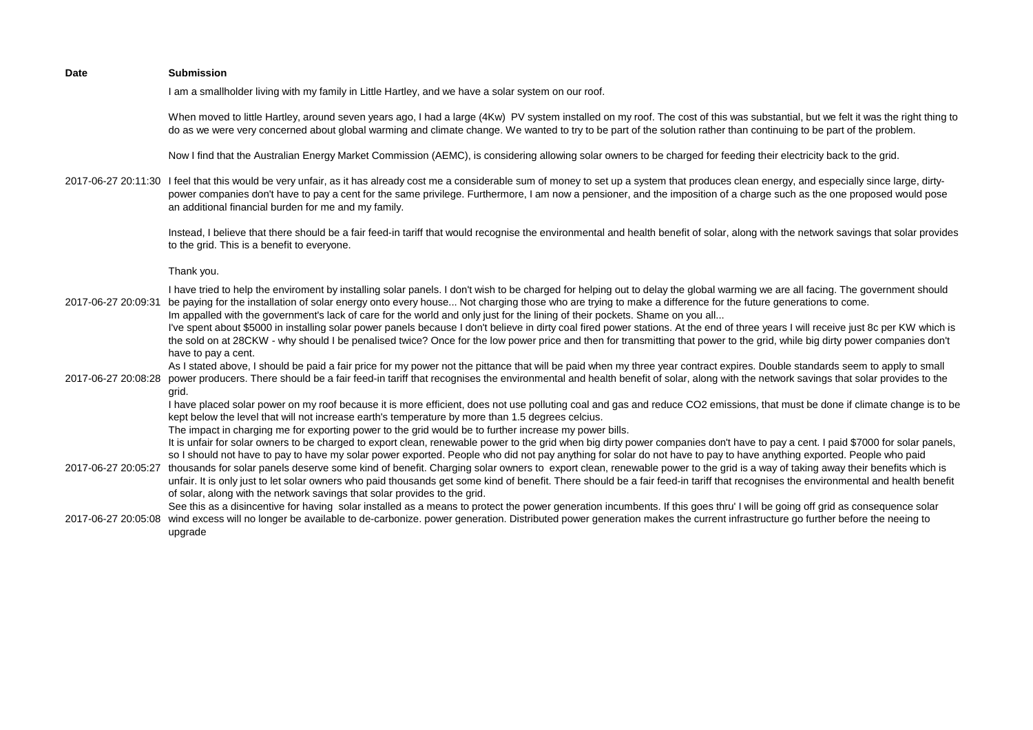| <b>Date</b>         | <b>Submission</b>                                                                                                                                                                                                                                                                                                                                                                                                                                                                                                                                                                                                                                                                                                                                                                                                                                      |
|---------------------|--------------------------------------------------------------------------------------------------------------------------------------------------------------------------------------------------------------------------------------------------------------------------------------------------------------------------------------------------------------------------------------------------------------------------------------------------------------------------------------------------------------------------------------------------------------------------------------------------------------------------------------------------------------------------------------------------------------------------------------------------------------------------------------------------------------------------------------------------------|
|                     | I am a smallholder living with my family in Little Hartley, and we have a solar system on our roof.                                                                                                                                                                                                                                                                                                                                                                                                                                                                                                                                                                                                                                                                                                                                                    |
|                     | When moved to little Hartley, around seven years ago, I had a large (4Kw) PV system installed on my roof. The cost of this was substantial, but we felt it was the right thing to<br>do as we were very concerned about global warming and climate change. We wanted to try to be part of the solution rather than continuing to be part of the problem.                                                                                                                                                                                                                                                                                                                                                                                                                                                                                               |
|                     | Now I find that the Australian Energy Market Commission (AEMC), is considering allowing solar owners to be charged for feeding their electricity back to the grid.                                                                                                                                                                                                                                                                                                                                                                                                                                                                                                                                                                                                                                                                                     |
|                     | 2017-06-27 20:11:30 I feel that this would be very unfair, as it has already cost me a considerable sum of money to set up a system that produces clean energy, and especially since large, dirty-<br>power companies don't have to pay a cent for the same privilege. Furthermore, I am now a pensioner, and the imposition of a charge such as the one proposed would pose<br>an additional financial burden for me and my family.                                                                                                                                                                                                                                                                                                                                                                                                                   |
|                     | Instead, I believe that there should be a fair feed-in tariff that would recognise the environmental and health benefit of solar, along with the network savings that solar provides<br>to the grid. This is a benefit to everyone.                                                                                                                                                                                                                                                                                                                                                                                                                                                                                                                                                                                                                    |
|                     | Thank you.                                                                                                                                                                                                                                                                                                                                                                                                                                                                                                                                                                                                                                                                                                                                                                                                                                             |
| 2017-06-27 20:09:31 | I have tried to help the enviroment by installing solar panels. I don't wish to be charged for helping out to delay the global warming we are all facing. The government should<br>be paying for the installation of solar energy onto every house Not charging those who are trying to make a difference for the future generations to come.<br>Im appalled with the government's lack of care for the world and only just for the lining of their pockets. Shame on you all<br>I've spent about \$5000 in installing solar power panels because I don't believe in dirty coal fired power stations. At the end of three years I will receive just 8c per KW which is<br>the sold on at 28CKW - why should I be penalised twice? Once for the low power price and then for transmitting that power to the grid, while big dirty power companies don't |
| 2017-06-27 20:08:28 | have to pay a cent.<br>As I stated above, I should be paid a fair price for my power not the pittance that will be paid when my three year contract expires. Double standards seem to apply to small<br>power producers. There should be a fair feed-in tariff that recognises the environmental and health benefit of solar, along with the network savings that solar provides to the<br>grid.                                                                                                                                                                                                                                                                                                                                                                                                                                                       |
|                     | I have placed solar power on my roof because it is more efficient, does not use polluting coal and gas and reduce CO2 emissions, that must be done if climate change is to be<br>kept below the level that will not increase earth's temperature by more than 1.5 degrees celcius.<br>The impact in charging me for exporting power to the grid would be to further increase my power bills.                                                                                                                                                                                                                                                                                                                                                                                                                                                           |
| 2017-06-27 20:05:27 | It is unfair for solar owners to be charged to export clean, renewable power to the grid when big dirty power companies don't have to pay a cent. I paid \$7000 for solar panels,<br>so I should not have to pay to have my solar power exported. People who did not pay anything for solar do not have to pay to have anything exported. People who paid<br>thousands for solar panels deserve some kind of benefit. Charging solar owners to export clean, renewable power to the grid is a way of taking away their benefits which is<br>unfair. It is only just to let solar owners who paid thousands get some kind of benefit. There should be a fair feed-in tariff that recognises the environmental and health benefit<br>of solar, along with the network savings that solar provides to the grid.                                           |
| 2017-06-27 20:05:08 | See this as a disincentive for having solar installed as a means to protect the power generation incumbents. If this goes thru' I will be going off grid as consequence solar<br>wind excess will no longer be available to de-carbonize. power generation. Distributed power generation makes the current infrastructure go further before the neeing to<br>upgrade                                                                                                                                                                                                                                                                                                                                                                                                                                                                                   |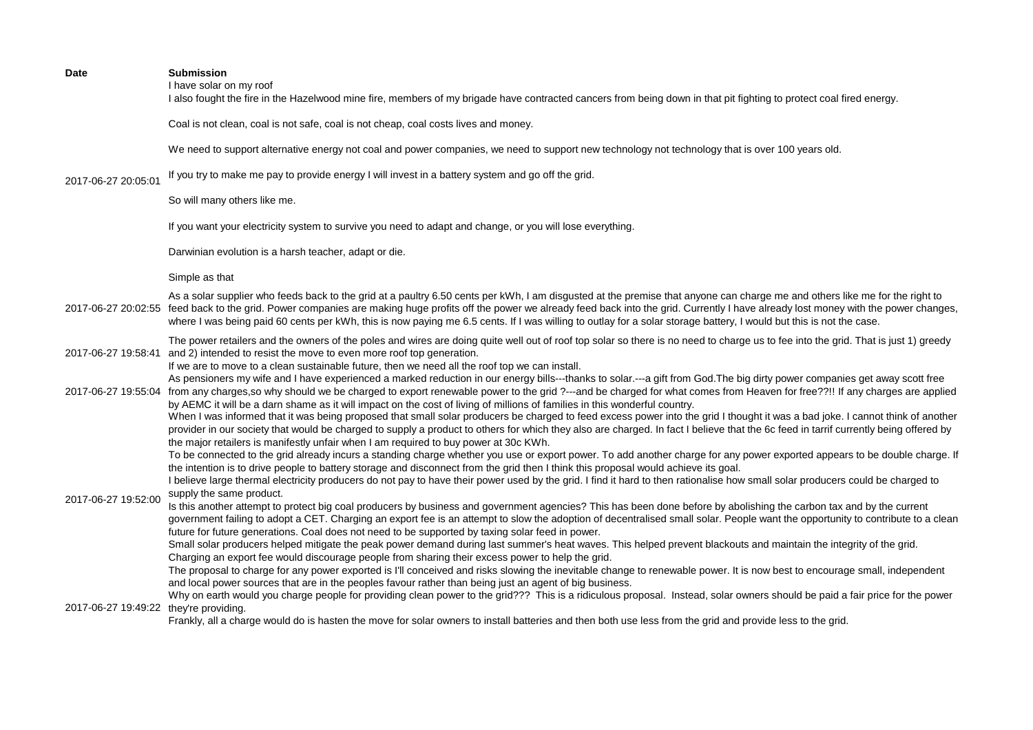I have solar on my roof

I also fought the fire in the Hazelwood mine fire, members of my brigade have contracted cancers from being down in that pit fighting to protect coal fired energy.

Coal is not clean, coal is not safe, coal is not cheap, coal costs lives and money.

We need to support alternative energy not coal and power companies, we need to support new technology not technology that is over 100 years old.

2017-06-27 20:05:01 If you try to make me pay to provide energy I will invest in a battery system and go off the grid.

So will many others like me.

If you want your electricity system to survive you need to adapt and change, or you will lose everything.

Darwinian evolution is a harsh teacher, adapt or die.

Simple as that

2017-06-27 20:02:55 feed back to the grid. Power companies are making huge profits off the power we already feed back into the grid. Currently I have already lost money with the power changes, As a solar supplier who feeds back to the grid at a paultry 6.50 cents per kWh, I am disgusted at the premise that anyone can charge me and others like me for the right to where I was being paid 60 cents per kWh, this is now paying me 6.5 cents. If I was willing to outlay for a solar storage battery, I would but this is not the case.

2017-06-27 19:58:41 and 2) intended to resist the move to even more roof top generation. The power retailers and the owners of the poles and wires are doing quite well out of roof top solar so there is no need to charge us to fee into the grid. That is just 1) greedy

If we are to move to a clean sustainable future, then we need all the roof top we can install.

2017-06-27 19:55:04 from any charges,so why should we be charged to export renewable power to the grid ?---and be charged for what comes from Heaven for free??!! If any charges are applied As pensioners my wife and I have experienced a marked reduction in our energy bills---thanks to solar.---a gift from God. The big dirty power companies get away scott free

by AEMC it will be a darn shame as it will impact on the cost of living of millions of families in this wonderful country. When I was informed that it was being proposed that small solar producers be charged to feed excess power into the grid I thought it was a bad joke. I cannot think of another

provider in our society that would be charged to supply a product to others for which they also are charged. In fact I believe that the 6c feed in tarrif currently being offered by the major retailers is manifestly unfair when I am required to buy power at 30c KWh.

To be connected to the grid already incurs a standing charge whether you use or export power. To add another charge for any power exported appears to be double charge. If the intention is to drive people to battery storage and disconnect from the grid then I think this proposal would achieve its goal.

I believe large thermal electricity producers do not pay to have their power used by the grid. I find it hard to then rationalise how small solar producers could be charged to supply the same product.

2017-06-27 19:52:00 Is this another attempt to protect big coal producers by business and government agencies? This has been done before by abolishing the carbon tax and by the current government failing to adopt a CET. Charging an export fee is an attempt to slow the adoption of decentralised small solar. People want the opportunity to contribute to a clean future for future generations. Coal does not need to be supported by taxing solar feed in power.

> Small solar producers helped mitigate the peak power demand during last summer's heat waves. This helped prevent blackouts and maintain the integrity of the grid. Charging an export fee would discourage people from sharing their excess power to help the grid.

The proposal to charge for any power exported is I'll conceived and risks slowing the inevitable change to renewable power. It is now best to encourage small, independent and local power sources that are in the peoples favour rather than being just an agent of big business.

2017-06-27 19:49:22 they're providing. Why on earth would you charge people for providing clean power to the grid??? This is a ridiculous proposal. Instead, solar owners should be paid a fair price for the power

Frankly, all a charge would do is hasten the move for solar owners to install batteries and then both use less from the grid and provide less to the grid.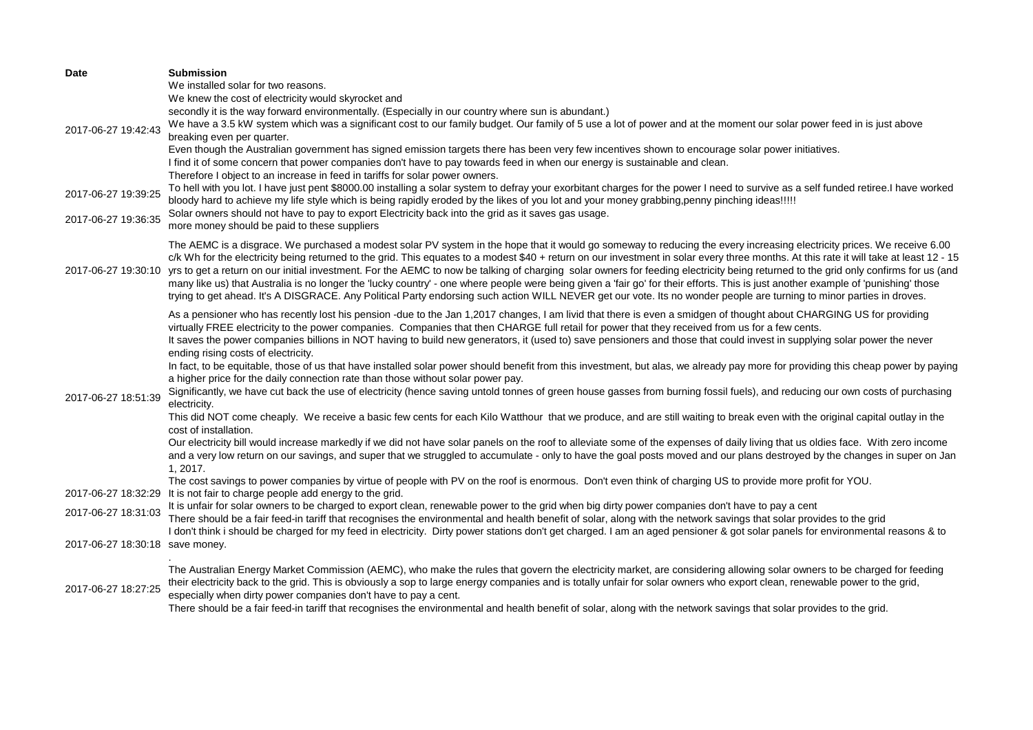| Date                            | <b>Submission</b>                                                                                                                                                                                                                                                                                                                                              |
|---------------------------------|----------------------------------------------------------------------------------------------------------------------------------------------------------------------------------------------------------------------------------------------------------------------------------------------------------------------------------------------------------------|
|                                 | We installed solar for two reasons.                                                                                                                                                                                                                                                                                                                            |
|                                 | We knew the cost of electricity would skyrocket and                                                                                                                                                                                                                                                                                                            |
|                                 | secondly it is the way forward environmentally. (Especially in our country where sun is abundant.)                                                                                                                                                                                                                                                             |
| 2017-06-27 19:42:43             | We have a 3.5 kW system which was a significant cost to our family budget. Our family of 5 use a lot of power and at the moment our solar power feed in is just above                                                                                                                                                                                          |
|                                 | breaking even per quarter.                                                                                                                                                                                                                                                                                                                                     |
|                                 | Even though the Australian government has signed emission targets there has been very few incentives shown to encourage solar power initiatives.<br>I find it of some concern that power companies don't have to pay towards feed in when our energy is sustainable and clean.                                                                                 |
|                                 | Therefore I object to an increase in feed in tariffs for solar power owners.                                                                                                                                                                                                                                                                                   |
|                                 | To hell with you lot. I have just pent \$8000.00 installing a solar system to defray your exorbitant charges for the power I need to survive as a self funded retiree.I have worked                                                                                                                                                                            |
| 2017-06-27 19:39:25             | bloody hard to achieve my life style which is being rapidly eroded by the likes of you lot and your money grabbing, penny pinching ideas!!!!!                                                                                                                                                                                                                  |
|                                 | Solar owners should not have to pay to export Electricity back into the grid as it saves gas usage.                                                                                                                                                                                                                                                            |
| 2017-06-27 19:36:35             | more money should be paid to these suppliers                                                                                                                                                                                                                                                                                                                   |
|                                 | The AEMC is a disgrace. We purchased a modest solar PV system in the hope that it would go someway to reducing the every increasing electricity prices. We receive 6.00                                                                                                                                                                                        |
|                                 | c/k Wh for the electricity being returned to the grid. This equates to a modest \$40 + return on our investment in solar every three months. At this rate it will take at least 12 - 15                                                                                                                                                                        |
| 2017-06-27 19:30:10             | yrs to get a return on our initial investment. For the AEMC to now be talking of charging solar owners for feeding electricity being returned to the grid only confirms for us (and                                                                                                                                                                            |
|                                 | many like us) that Australia is no longer the 'lucky country' - one where people were being given a 'fair go' for their efforts. This is just another example of 'punishing' those                                                                                                                                                                             |
|                                 | trying to get ahead. It's A DISGRACE. Any Political Party endorsing such action WILL NEVER get our vote. Its no wonder people are turning to minor parties in droves.                                                                                                                                                                                          |
|                                 | As a pensioner who has recently lost his pension -due to the Jan 1,2017 changes, I am livid that there is even a smidgen of thought about CHARGING US for providing                                                                                                                                                                                            |
|                                 | virtually FREE electricity to the power companies. Companies that then CHARGE full retail for power that they received from us for a few cents.                                                                                                                                                                                                                |
|                                 | It saves the power companies billions in NOT having to build new generators, it (used to) save pensioners and those that could invest in supplying solar power the never                                                                                                                                                                                       |
|                                 | ending rising costs of electricity.                                                                                                                                                                                                                                                                                                                            |
|                                 | In fact, to be equitable, those of us that have installed solar power should benefit from this investment, but alas, we already pay more for providing this cheap power by paying                                                                                                                                                                              |
|                                 | a higher price for the daily connection rate than those without solar power pay.                                                                                                                                                                                                                                                                               |
| 2017-06-27 18:51:39             | Significantly, we have cut back the use of electricity (hence saving untold tonnes of green house gasses from burning fossil fuels), and reducing our own costs of purchasing                                                                                                                                                                                  |
|                                 | electricity.                                                                                                                                                                                                                                                                                                                                                   |
|                                 | This did NOT come cheaply. We receive a basic few cents for each Kilo Watthour that we produce, and are still waiting to break even with the original capital outlay in the                                                                                                                                                                                    |
|                                 | cost of installation.                                                                                                                                                                                                                                                                                                                                          |
|                                 | Our electricity bill would increase markedly if we did not have solar panels on the roof to alleviate some of the expenses of daily living that us oldies face. With zero income<br>and a very low return on our savings, and super that we struggled to accumulate - only to have the goal posts moved and our plans destroyed by the changes in super on Jan |
|                                 | 1.2017.                                                                                                                                                                                                                                                                                                                                                        |
|                                 | The cost savings to power companies by virtue of people with PV on the roof is enormous. Don't even think of charging US to provide more profit for YOU.                                                                                                                                                                                                       |
| 2017-06-27 18:32:29             | It is not fair to charge people add energy to the grid.                                                                                                                                                                                                                                                                                                        |
|                                 | It is unfair for solar owners to be charged to export clean, renewable power to the grid when big dirty power companies don't have to pay a cent                                                                                                                                                                                                               |
| 2017-06-27 18:31:03             | There should be a fair feed-in tariff that recognises the environmental and health benefit of solar, along with the network savings that solar provides to the grid                                                                                                                                                                                            |
|                                 | I don't think i should be charged for my feed in electricity. Dirty power stations don't get charged. I am an aged pensioner & got solar panels for environmental reasons & to                                                                                                                                                                                 |
| 2017-06-27 18:30:18 save money. |                                                                                                                                                                                                                                                                                                                                                                |
|                                 |                                                                                                                                                                                                                                                                                                                                                                |
|                                 | The Australian Energy Market Commission (AEMC), who make the rules that govern the electricity market, are considering allowing solar owners to be charged for feeding<br>their electricity back to the grid. This is obviously a sop to large energy companies and is totally unfair for solar owners who export clean, renewable power to the grid,          |
| 2017-06-27 18:27:25             | especially when dirty power companies don't have to pay a cent.                                                                                                                                                                                                                                                                                                |
|                                 | There should be a fair feed-in tariff that recognises the environmental and health benefit of solar, along with the network savings that solar provides to the grid.                                                                                                                                                                                           |
|                                 |                                                                                                                                                                                                                                                                                                                                                                |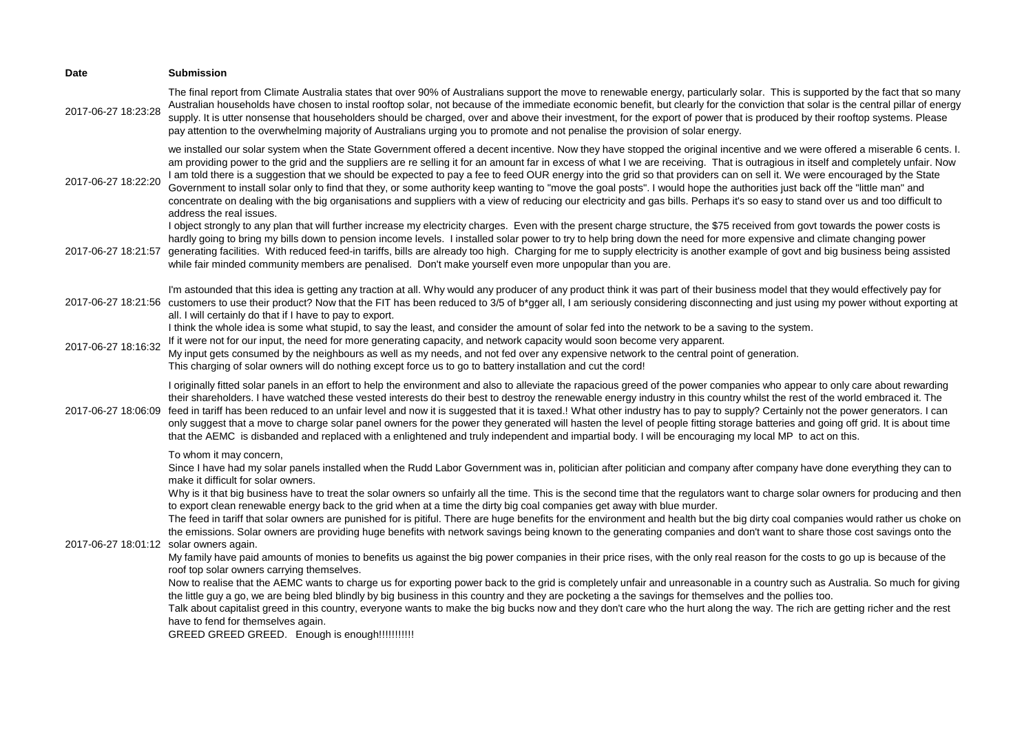| Date                                    | <b>Submission</b>                                                                                                                                                                                                                                                                                                                                                                                                                                                                                                                                                                                                                                                                                                                                                                                                                                                                                                                                                                                                                                                                                                                                                                                                                                                                                                                                                                                                                                                                                                                                                                                                                                                                                                                                                                     |
|-----------------------------------------|---------------------------------------------------------------------------------------------------------------------------------------------------------------------------------------------------------------------------------------------------------------------------------------------------------------------------------------------------------------------------------------------------------------------------------------------------------------------------------------------------------------------------------------------------------------------------------------------------------------------------------------------------------------------------------------------------------------------------------------------------------------------------------------------------------------------------------------------------------------------------------------------------------------------------------------------------------------------------------------------------------------------------------------------------------------------------------------------------------------------------------------------------------------------------------------------------------------------------------------------------------------------------------------------------------------------------------------------------------------------------------------------------------------------------------------------------------------------------------------------------------------------------------------------------------------------------------------------------------------------------------------------------------------------------------------------------------------------------------------------------------------------------------------|
| 2017-06-27 18:23:28                     | The final report from Climate Australia states that over 90% of Australians support the move to renewable energy, particularly solar. This is supported by the fact that so many<br>Australian households have chosen to instal rooftop solar, not because of the immediate economic benefit, but clearly for the conviction that solar is the central pillar of energy<br>supply. It is utter nonsense that householders should be charged, over and above their investment, for the export of power that is produced by their rooftop systems. Please<br>pay attention to the overwhelming majority of Australians urging you to promote and not penalise the provision of solar energy.                                                                                                                                                                                                                                                                                                                                                                                                                                                                                                                                                                                                                                                                                                                                                                                                                                                                                                                                                                                                                                                                                            |
| 2017-06-27 18:22:20                     | we installed our solar system when the State Government offered a decent incentive. Now they have stopped the original incentive and we were offered a miserable 6 cents. I.<br>am providing power to the grid and the suppliers are re selling it for an amount far in excess of what I we are receiving. That is outragious in itself and completely unfair. Now<br>I am told there is a suggestion that we should be expected to pay a fee to feed OUR energy into the grid so that providers can on sell it. We were encouraged by the State<br>Government to install solar only to find that they, or some authority keep wanting to "move the goal posts". I would hope the authorities just back off the "little man" and<br>concentrate on dealing with the big organisations and suppliers with a view of reducing our electricity and gas bills. Perhaps it's so easy to stand over us and too difficult to<br>address the real issues.                                                                                                                                                                                                                                                                                                                                                                                                                                                                                                                                                                                                                                                                                                                                                                                                                                     |
| 2017-06-27 18:21:57                     | I object strongly to any plan that will further increase my electricity charges. Even with the present charge structure, the \$75 received from govt towards the power costs is<br>hardly going to bring my bills down to pension income levels. I installed solar power to try to help bring down the need for more expensive and climate changing power<br>generating facilities. With reduced feed-in tariffs, bills are already too high. Charging for me to supply electricity is another example of govt and big business being assisted<br>while fair minded community members are penalised. Don't make yourself even more unpopular than you are.                                                                                                                                                                                                                                                                                                                                                                                                                                                                                                                                                                                                                                                                                                                                                                                                                                                                                                                                                                                                                                                                                                                            |
|                                         | I'm astounded that this idea is getting any traction at all. Why would any producer of any product think it was part of their business model that they would effectively pay for<br>2017-06-27 18:21:56 customers to use their product? Now that the FIT has been reduced to 3/5 of b*gger all, I am seriously considering disconnecting and just using my power without exporting at<br>all. I will certainly do that if I have to pay to export.                                                                                                                                                                                                                                                                                                                                                                                                                                                                                                                                                                                                                                                                                                                                                                                                                                                                                                                                                                                                                                                                                                                                                                                                                                                                                                                                    |
| 2017-06-27 18:16:32                     | I think the whole idea is some what stupid, to say the least, and consider the amount of solar fed into the network to be a saving to the system.<br>If it were not for our input, the need for more generating capacity, and network capacity would soon become very apparent.<br>My input gets consumed by the neighbours as well as my needs, and not fed over any expensive network to the central point of generation.<br>This charging of solar owners will do nothing except force us to go to battery installation and cut the cord!                                                                                                                                                                                                                                                                                                                                                                                                                                                                                                                                                                                                                                                                                                                                                                                                                                                                                                                                                                                                                                                                                                                                                                                                                                          |
| 2017-06-27 18:06:09                     | I originally fitted solar panels in an effort to help the environment and also to alleviate the rapacious greed of the power companies who appear to only care about rewarding<br>their shareholders. I have watched these vested interests do their best to destroy the renewable energy industry in this country whilst the rest of the world embraced it. The<br>feed in tariff has been reduced to an unfair level and now it is suggested that it is taxed.! What other industry has to pay to supply? Certainly not the power generators. I can<br>only suggest that a move to charge solar panel owners for the power they generated will hasten the level of people fitting storage batteries and going off grid. It is about time<br>that the AEMC is disbanded and replaced with a enlightened and truly independent and impartial body. I will be encouraging my local MP to act on this.                                                                                                                                                                                                                                                                                                                                                                                                                                                                                                                                                                                                                                                                                                                                                                                                                                                                                  |
| 2017-06-27 18:01:12 solar owners again. | To whom it may concern,<br>Since I have had my solar panels installed when the Rudd Labor Government was in, politician after politician and company after company have done everything they can to<br>make it difficult for solar owners.<br>Why is it that big business have to treat the solar owners so unfairly all the time. This is the second time that the regulators want to charge solar owners for producing and then<br>to export clean renewable energy back to the grid when at a time the dirty big coal companies get away with blue murder.<br>The feed in tariff that solar owners are punished for is pitiful. There are huge benefits for the environment and health but the big dirty coal companies would rather us choke on<br>the emissions. Solar owners are providing huge benefits with network savings being known to the generating companies and don't want to share those cost savings onto the<br>My family have paid amounts of monies to benefits us against the big power companies in their price rises, with the only real reason for the costs to go up is because of the<br>roof top solar owners carrying themselves.<br>Now to realise that the AEMC wants to charge us for exporting power back to the grid is completely unfair and unreasonable in a country such as Australia. So much for giving<br>the little guy a go, we are being bled blindly by big business in this country and they are pocketing a the savings for themselves and the pollies too.<br>Talk about capitalist greed in this country, everyone wants to make the big bucks now and they don't care who the hurt along the way. The rich are getting richer and the rest<br>have to fend for themselves again.<br>GREED GREED GREED. Enough is enough!!!!!!!!!!!! |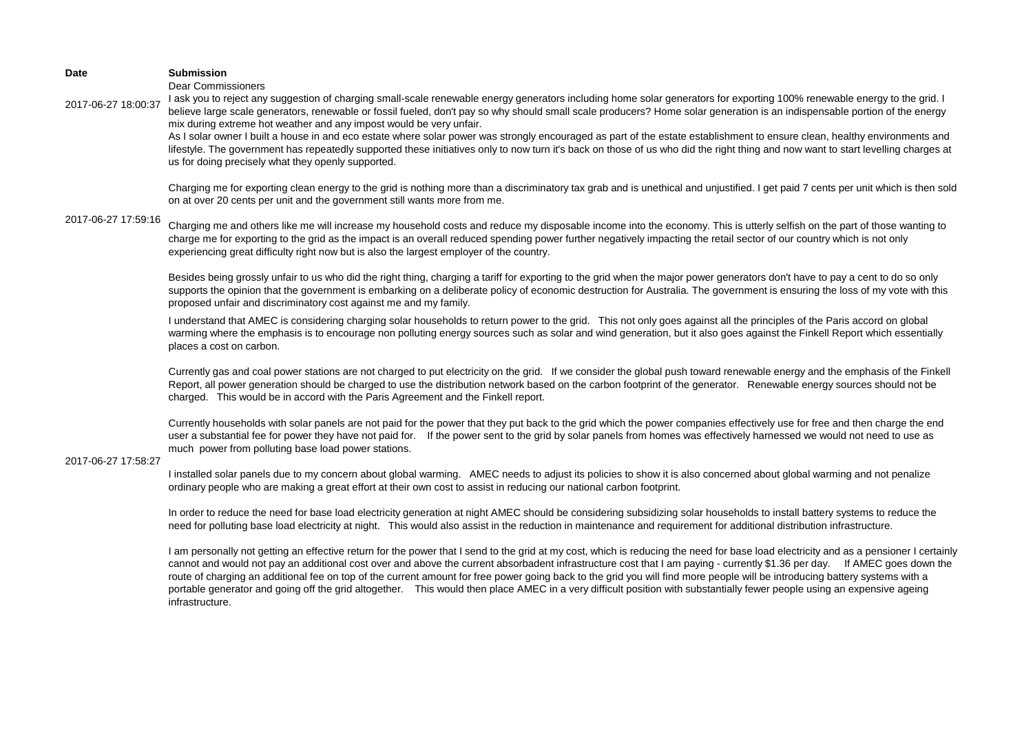Dear Commissioners

2017-06-27 18:00:37 I ask you to reject any suggestion of charging small-scale renewable energy generators including home solar generators for exporting 100% renewable energy to the grid. I believe large scale generators, renewable or fossil fueled, don't pay so why should small scale producers? Home solar generation is an indispensable portion of the energy mix during extreme hot weather and any impost would be very unfair.

> As I solar owner I built a house in and eco estate where solar power was strongly encouraged as part of the estate establishment to ensure clean, healthy environments and lifestyle. The government has repeatedly supported these initiatives only to now turn it's back on those of us who did the right thing and now want to start levelling charges at us for doing precisely what they openly supported.

> Charging me for exporting clean energy to the grid is nothing more than a discriminatory tax grab and is unethical and unjustified. I get paid 7 cents per unit which is then sold on at over 20 cents per unit and the government still wants more from me.

### 2017-06-27 17:59:16

Charging me and others like me will increase my household costs and reduce my disposable income into the economy. This is utterly selfish on the part of those wanting to charge me for exporting to the grid as the impact is an overall reduced spending power further negatively impacting the retail sector of our country which is not only experiencing great difficulty right now but is also the largest employer of the country.

Besides being grossly unfair to us who did the right thing, charging a tariff for exporting to the grid when the major power generators don't have to pay a cent to do so only supports the opinion that the government is embarking on a deliberate policy of economic destruction for Australia. The government is ensuring the loss of my vote with this proposed unfair and discriminatory cost against me and my family.

I understand that AMEC is considering charging solar households to return power to the grid. This not only goes against all the principles of the Paris accord on global warming where the emphasis is to encourage non polluting energy sources such as solar and wind generation, but it also goes against the Finkell Report which essentially places a cost on carbon.

Currently gas and coal power stations are not charged to put electricity on the grid. If we consider the global push toward renewable energy and the emphasis of the Finkell Report, all power generation should be charged to use the distribution network based on the carbon footprint of the generator. Renewable energy sources should not be charged. This would be in accord with the Paris Agreement and the Finkell report.

Currently households with solar panels are not paid for the power that they put back to the grid which the power companies effectively use for free and then charge the end user a substantial fee for power they have not paid for. If the power sent to the grid by solar panels from homes was effectively harnessed we would not need to use as much power from polluting base load power stations.

#### 2017-06-27 17:58:27

I installed solar panels due to my concern about global warming. AMEC needs to adjust its policies to show it is also concerned about global warming and not penalize ordinary people who are making a great effort at their own cost to assist in reducing our national carbon footprint.

In order to reduce the need for base load electricity generation at night AMEC should be considering subsidizing solar households to install battery systems to reduce the need for polluting base load electricity at night. This would also assist in the reduction in maintenance and requirement for additional distribution infrastructure.

I am personally not getting an effective return for the power that I send to the grid at my cost, which is reducing the need for base load electricity and as a pensioner I certainly cannot and would not pay an additional cost over and above the current absorbadent infrastructure cost that I am paying - currently \$1.36 per day. If AMEC goes down the route of charging an additional fee on top of the current amount for free power going back to the grid you will find more people will be introducing battery systems with a portable generator and going off the grid altogether. This would then place AMEC in a very difficult position with substantially fewer people using an expensive ageing infrastructure.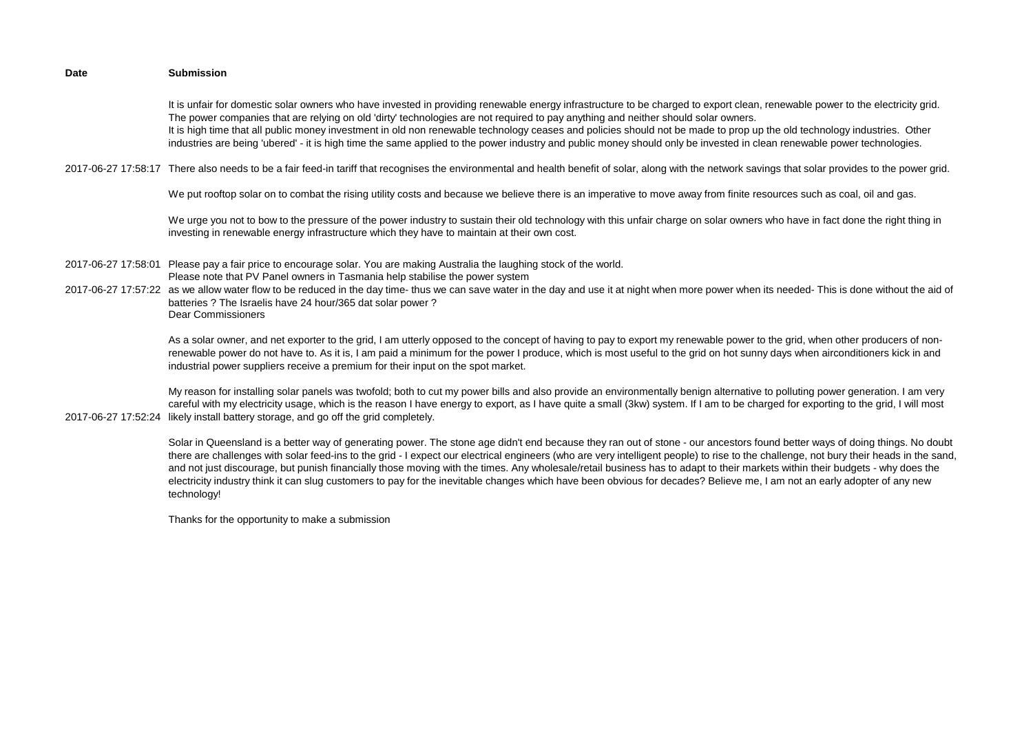It is unfair for domestic solar owners who have invested in providing renewable energy infrastructure to be charged to export clean, renewable power to the electricity grid. The power companies that are relying on old 'dirty' technologies are not required to pay anything and neither should solar owners. It is high time that all public money investment in old non renewable technology ceases and policies should not be made to prop up the old technology industries. Other industries are being 'ubered' - it is high time the same applied to the power industry and public money should only be invested in clean renewable power technologies.

2017-06-27 17:58:17 There also needs to be a fair feed-in tariff that recognises the environmental and health benefit of solar, along with the network savings that solar provides to the power grid.

We put rooftop solar on to combat the rising utility costs and because we believe there is an imperative to move away from finite resources such as coal, oil and gas.

We urge you not to bow to the pressure of the power industry to sustain their old technology with this unfair charge on solar owners who have in fact done the right thing in investing in renewable energy infrastructure which they have to maintain at their own cost.

- 2017-06-27 17:58:01 Please pay a fair price to encourage solar. You are making Australia the laughing stock of the world. Please note that PV Panel owners in Tasmania help stabilise the power system
- 2017-06-27 17:57:22 as we allow water flow to be reduced in the day time- thus we can save water in the day and use it at night when more power when its needed- This is done without the aid of batteries ? The Israelis have 24 hour/365 dat solar power ? Dear Commissioners

As a solar owner, and net exporter to the grid, I am utterly opposed to the concept of having to pay to export my renewable power to the grid, when other producers of nonrenewable power do not have to. As it is, I am paid a minimum for the power I produce, which is most useful to the grid on hot sunny days when airconditioners kick in and industrial power suppliers receive a premium for their input on the spot market.

2017-06-27 17:52:24 likely install battery storage, and go off the grid completely. My reason for installing solar panels was twofold; both to cut my power bills and also provide an environmentally benign alternative to polluting power generation. I am very careful with my electricity usage, which is the reason I have energy to export, as I have quite a small (3kw) system. If I am to be charged for exporting to the grid, I will most

> Solar in Queensland is a better way of generating power. The stone age didn't end because they ran out of stone - our ancestors found better ways of doing things. No doubt there are challenges with solar feed-ins to the grid - I expect our electrical engineers (who are very intelligent people) to rise to the challenge, not bury their heads in the sand, and not just discourage, but punish financially those moving with the times. Any wholesale/retail business has to adapt to their markets within their budgets - why does the electricity industry think it can slug customers to pay for the inevitable changes which have been obvious for decades? Believe me, I am not an early adopter of any new technology!

Thanks for the opportunity to make a submission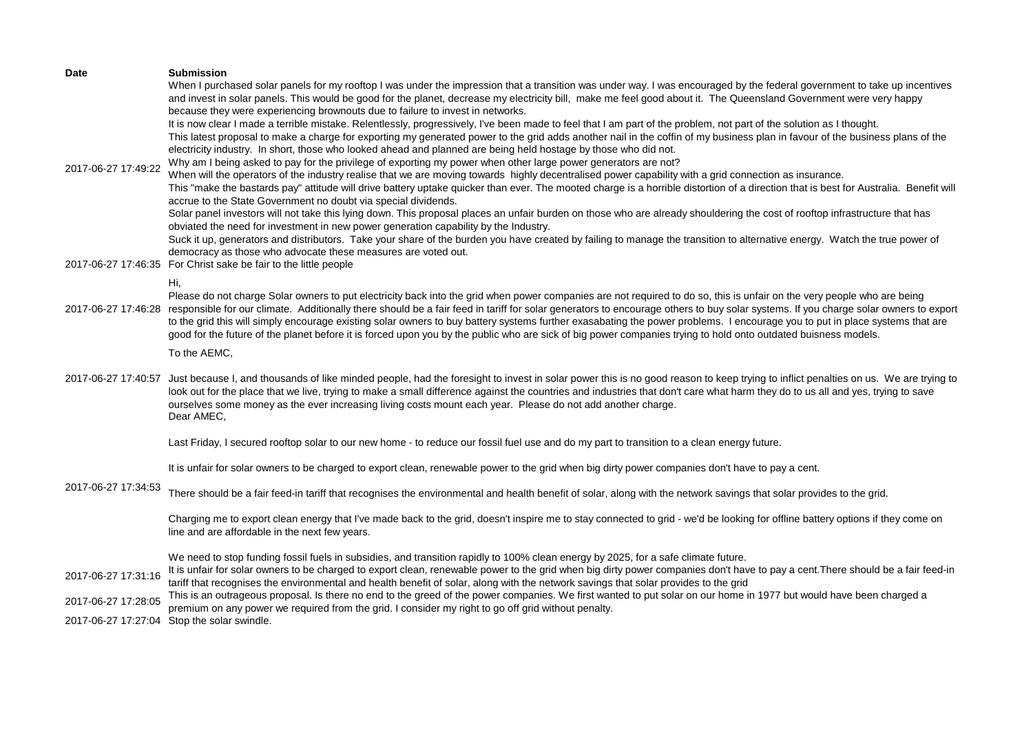| Date<br>2017-06-27 17:49:22                | <b>Submission</b><br>When I purchased solar panels for my rooftop I was under the impression that a transition was under way. I was encouraged by the federal government to take up incentives<br>and invest in solar panels. This would be good for the planet, decrease my electricity bill, make me feel good about it. The Queensland Government were very happy<br>because they were experiencing brownouts due to failure to invest in networks.<br>It is now clear I made a terrible mistake. Relentlessly, progressively, I've been made to feel that I am part of the problem, not part of the solution as I thought.<br>This latest proposal to make a charge for exporting my generated power to the grid adds another nail in the coffin of my business plan in favour of the business plans of the<br>electricity industry. In short, those who looked ahead and planned are being held hostage by those who did not.<br>Why am I being asked to pay for the privilege of exporting my power when other large power generators are not?<br>When will the operators of the industry realise that we are moving towards highly decentralised power capability with a grid connection as insurance.<br>This "make the bastards pay" attitude will drive battery uptake quicker than ever. The mooted charge is a horrible distortion of a direction that is best for Australia. Benefit will<br>accrue to the State Government no doubt via special dividends.<br>Solar panel investors will not take this lying down. This proposal places an unfair burden on those who are already shouldering the cost of rooftop infrastructure that has<br>obviated the need for investment in new power generation capability by the Industry.<br>Suck it up, generators and distributors. Take your share of the burden you have created by failing to manage the transition to alternative energy. Watch the true power of |
|--------------------------------------------|-------------------------------------------------------------------------------------------------------------------------------------------------------------------------------------------------------------------------------------------------------------------------------------------------------------------------------------------------------------------------------------------------------------------------------------------------------------------------------------------------------------------------------------------------------------------------------------------------------------------------------------------------------------------------------------------------------------------------------------------------------------------------------------------------------------------------------------------------------------------------------------------------------------------------------------------------------------------------------------------------------------------------------------------------------------------------------------------------------------------------------------------------------------------------------------------------------------------------------------------------------------------------------------------------------------------------------------------------------------------------------------------------------------------------------------------------------------------------------------------------------------------------------------------------------------------------------------------------------------------------------------------------------------------------------------------------------------------------------------------------------------------------------------------------------------------------------------------------------------------------------------------------------------------------------|
|                                            | democracy as those who advocate these measures are voted out.<br>2017-06-27 17:46:35 For Christ sake be fair to the little people                                                                                                                                                                                                                                                                                                                                                                                                                                                                                                                                                                                                                                                                                                                                                                                                                                                                                                                                                                                                                                                                                                                                                                                                                                                                                                                                                                                                                                                                                                                                                                                                                                                                                                                                                                                             |
|                                            | Hi,<br>Please do not charge Solar owners to put electricity back into the grid when power companies are not required to do so, this is unfair on the very people who are being<br>2017-06-27 17:46:28 responsible for our climate. Additionally there should be a fair feed in tariff for solar generators to encourage others to buy solar systems. If you charge solar owners to export<br>to the grid this will simply encourage existing solar owners to buy battery systems further exasabating the power problems. I encourage you to put in place systems that are<br>good for the future of the planet before it is forced upon you by the public who are sick of big power companies trying to hold onto outdated buisness models.                                                                                                                                                                                                                                                                                                                                                                                                                                                                                                                                                                                                                                                                                                                                                                                                                                                                                                                                                                                                                                                                                                                                                                                   |
|                                            | To the AEMC,                                                                                                                                                                                                                                                                                                                                                                                                                                                                                                                                                                                                                                                                                                                                                                                                                                                                                                                                                                                                                                                                                                                                                                                                                                                                                                                                                                                                                                                                                                                                                                                                                                                                                                                                                                                                                                                                                                                  |
|                                            | 2017-06-27 17:40:57 Just because I, and thousands of like minded people, had the foresight to invest in solar power this is no good reason to keep trying to inflict penalties on us. We are trying to<br>look out for the place that we live, trying to make a small difference against the countries and industries that don't care what harm they do to us all and yes, trying to save<br>ourselves some money as the ever increasing living costs mount each year. Please do not add another charge.<br>Dear AMEC,                                                                                                                                                                                                                                                                                                                                                                                                                                                                                                                                                                                                                                                                                                                                                                                                                                                                                                                                                                                                                                                                                                                                                                                                                                                                                                                                                                                                        |
|                                            | Last Friday, I secured rooftop solar to our new home - to reduce our fossil fuel use and do my part to transition to a clean energy future.                                                                                                                                                                                                                                                                                                                                                                                                                                                                                                                                                                                                                                                                                                                                                                                                                                                                                                                                                                                                                                                                                                                                                                                                                                                                                                                                                                                                                                                                                                                                                                                                                                                                                                                                                                                   |
| 2017-06-27 17:34:53                        | It is unfair for solar owners to be charged to export clean, renewable power to the grid when big dirty power companies don't have to pay a cent.                                                                                                                                                                                                                                                                                                                                                                                                                                                                                                                                                                                                                                                                                                                                                                                                                                                                                                                                                                                                                                                                                                                                                                                                                                                                                                                                                                                                                                                                                                                                                                                                                                                                                                                                                                             |
|                                            | There should be a fair feed-in tariff that recognises the environmental and health benefit of solar, along with the network savings that solar provides to the grid.                                                                                                                                                                                                                                                                                                                                                                                                                                                                                                                                                                                                                                                                                                                                                                                                                                                                                                                                                                                                                                                                                                                                                                                                                                                                                                                                                                                                                                                                                                                                                                                                                                                                                                                                                          |
|                                            | Charging me to export clean energy that I've made back to the grid, doesn't inspire me to stay connected to grid - we'd be looking for offline battery options if they come on<br>line and are affordable in the next few years.                                                                                                                                                                                                                                                                                                                                                                                                                                                                                                                                                                                                                                                                                                                                                                                                                                                                                                                                                                                                                                                                                                                                                                                                                                                                                                                                                                                                                                                                                                                                                                                                                                                                                              |
| 2017-06-27 17:31:16<br>2017-06-27 17:28:05 | We need to stop funding fossil fuels in subsidies, and transition rapidly to 100% clean energy by 2025, for a safe climate future.<br>It is unfair for solar owners to be charged to export clean, renewable power to the grid when big dirty power companies don't have to pay a cent. There should be a fair feed-in<br>tariff that recognises the environmental and health benefit of solar, along with the network savings that solar provides to the grid<br>This is an outrageous proposal. Is there no end to the greed of the power companies. We first wanted to put solar on our home in 1977 but would have been charged a<br>premium on any power we required from the grid. I consider my right to go off grid without penalty.                                                                                                                                                                                                                                                                                                                                                                                                                                                                                                                                                                                                                                                                                                                                                                                                                                                                                                                                                                                                                                                                                                                                                                                  |
|                                            | 2017-06-27 17:27:04 Stop the solar swindle.                                                                                                                                                                                                                                                                                                                                                                                                                                                                                                                                                                                                                                                                                                                                                                                                                                                                                                                                                                                                                                                                                                                                                                                                                                                                                                                                                                                                                                                                                                                                                                                                                                                                                                                                                                                                                                                                                   |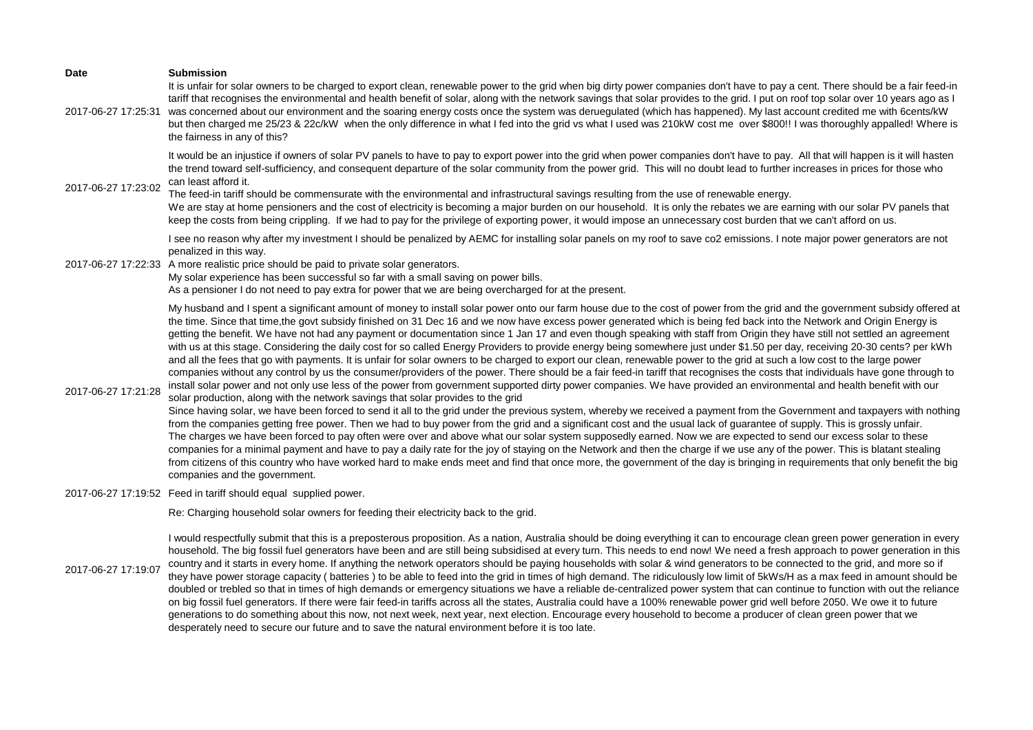| <b>Date</b>         | <b>Submission</b><br>It is unfair for solar owners to be charged to export clean, renewable power to the grid when big dirty power companies don't have to pay a cent. There should be a fair feed-in                                                                                                                                                                                                                                                                                                                                                                                                                                                                                                                                                                                                                                                                                                                                                                                                                                                                                                                                                                                                                                                                                                                                                                                                                                                                                                                          |
|---------------------|--------------------------------------------------------------------------------------------------------------------------------------------------------------------------------------------------------------------------------------------------------------------------------------------------------------------------------------------------------------------------------------------------------------------------------------------------------------------------------------------------------------------------------------------------------------------------------------------------------------------------------------------------------------------------------------------------------------------------------------------------------------------------------------------------------------------------------------------------------------------------------------------------------------------------------------------------------------------------------------------------------------------------------------------------------------------------------------------------------------------------------------------------------------------------------------------------------------------------------------------------------------------------------------------------------------------------------------------------------------------------------------------------------------------------------------------------------------------------------------------------------------------------------|
| 2017-06-27 17:25:31 | tariff that recognises the environmental and health benefit of solar, along with the network savings that solar provides to the grid. I put on roof top solar over 10 years ago as I<br>was concerned about our environment and the soaring energy costs once the system was deruegulated (which has happened). My last account credited me with 6cents/kW<br>but then charged me 25/23 & 22c/kW when the only difference in what I fed into the grid vs what I used was 210kW cost me over \$800!! I was thoroughly appalled! Where is<br>the fairness in any of this?                                                                                                                                                                                                                                                                                                                                                                                                                                                                                                                                                                                                                                                                                                                                                                                                                                                                                                                                                        |
| 2017-06-27 17:23:02 | It would be an injustice if owners of solar PV panels to have to pay to export power into the grid when power companies don't have to pay. All that will happen is it will hasten<br>the trend toward self-sufficiency, and consequent departure of the solar community from the power grid. This will no doubt lead to further increases in prices for those who<br>can least afford it.<br>The feed-in tariff should be commensurate with the environmental and infrastructural savings resulting from the use of renewable energy.<br>We are stay at home pensioners and the cost of electricity is becoming a major burden on our household. It is only the rebates we are earning with our solar PV panels that<br>keep the costs from being crippling. If we had to pay for the privilege of exporting power, it would impose an unnecessary cost burden that we can't afford on us.                                                                                                                                                                                                                                                                                                                                                                                                                                                                                                                                                                                                                                     |
|                     | I see no reason why after my investment I should be penalized by AEMC for installing solar panels on my roof to save co2 emissions. I note major power generators are not<br>penalized in this way.<br>2017-06-27 17:22:33 A more realistic price should be paid to private solar generators.<br>My solar experience has been successful so far with a small saving on power bills.<br>As a pensioner I do not need to pay extra for power that we are being overcharged for at the present.                                                                                                                                                                                                                                                                                                                                                                                                                                                                                                                                                                                                                                                                                                                                                                                                                                                                                                                                                                                                                                   |
| 2017-06-27 17:21:28 | My husband and I spent a significant amount of money to install solar power onto our farm house due to the cost of power from the grid and the government subsidy offered at<br>the time. Since that time, the govt subsidy finished on 31 Dec 16 and we now have excess power generated which is being fed back into the Network and Origin Energy is<br>getting the benefit. We have not had any payment or documentation since 1 Jan 17 and even though speaking with staff from Origin they have still not settled an agreement<br>with us at this stage. Considering the daily cost for so called Energy Providers to provide energy being somewhere just under \$1.50 per day, receiving 20-30 cents? per kWh<br>and all the fees that go with payments. It is unfair for solar owners to be charged to export our clean, renewable power to the grid at such a low cost to the large power<br>companies without any control by us the consumer/providers of the power. There should be a fair feed-in tariff that recognises the costs that individuals have gone through to<br>install solar power and not only use less of the power from government supported dirty power companies. We have provided an environmental and health benefit with our<br>solar production, along with the network savings that solar provides to the grid<br>Since having solar, we have been forced to send it all to the grid under the previous system, whereby we received a payment from the Government and taxpayers with nothing |
|                     | from the companies getting free power. Then we had to buy power from the grid and a significant cost and the usual lack of guarantee of supply. This is grossly unfair.<br>The charges we have been forced to pay often were over and above what our solar system supposedly earned. Now we are expected to send our excess solar to these<br>companies for a minimal payment and have to pay a daily rate for the joy of staying on the Network and then the charge if we use any of the power. This is blatant stealing<br>from citizens of this country who have worked hard to make ends meet and find that once more, the government of the day is bringing in requirements that only benefit the big<br>companies and the government.                                                                                                                                                                                                                                                                                                                                                                                                                                                                                                                                                                                                                                                                                                                                                                                    |
|                     | 2017-06-27 17:19:52 Feed in tariff should equal supplied power.                                                                                                                                                                                                                                                                                                                                                                                                                                                                                                                                                                                                                                                                                                                                                                                                                                                                                                                                                                                                                                                                                                                                                                                                                                                                                                                                                                                                                                                                |
|                     | Re: Charging household solar owners for feeding their electricity back to the grid.                                                                                                                                                                                                                                                                                                                                                                                                                                                                                                                                                                                                                                                                                                                                                                                                                                                                                                                                                                                                                                                                                                                                                                                                                                                                                                                                                                                                                                            |
|                     | I would respectfully submit that this is a preposterous proposition. As a nation, Australia should be doing everything it can to encourage clean green power generation in every                                                                                                                                                                                                                                                                                                                                                                                                                                                                                                                                                                                                                                                                                                                                                                                                                                                                                                                                                                                                                                                                                                                                                                                                                                                                                                                                               |

2017-06-27 17:19:07 household. The big fossil fuel generators have been and are still being subsidised at every turn. This needs to end now! We need a fresh approach to power generation in this country and it starts in every home. If anything the network operators should be paying households with solar & wind generators to be connected to the grid, and more so if they have power storage capacity ( batteries ) to be able to feed into the grid in times of high demand. The ridiculously low limit of 5kWs/H as a max feed in amount should be doubled or trebled so that in times of high demands or emergency situations we have a reliable de-centralized power system that can continue to function with out the reliance on big fossil fuel generators. If there were fair feed-in tariffs across all the states, Australia could have a 100% renewable power grid well before 2050. We owe it to future generations to do something about this now, not next week, next year, next election. Encourage every household to become a producer of clean green power that we desperately need to secure our future and to save the natural environment before it is too late.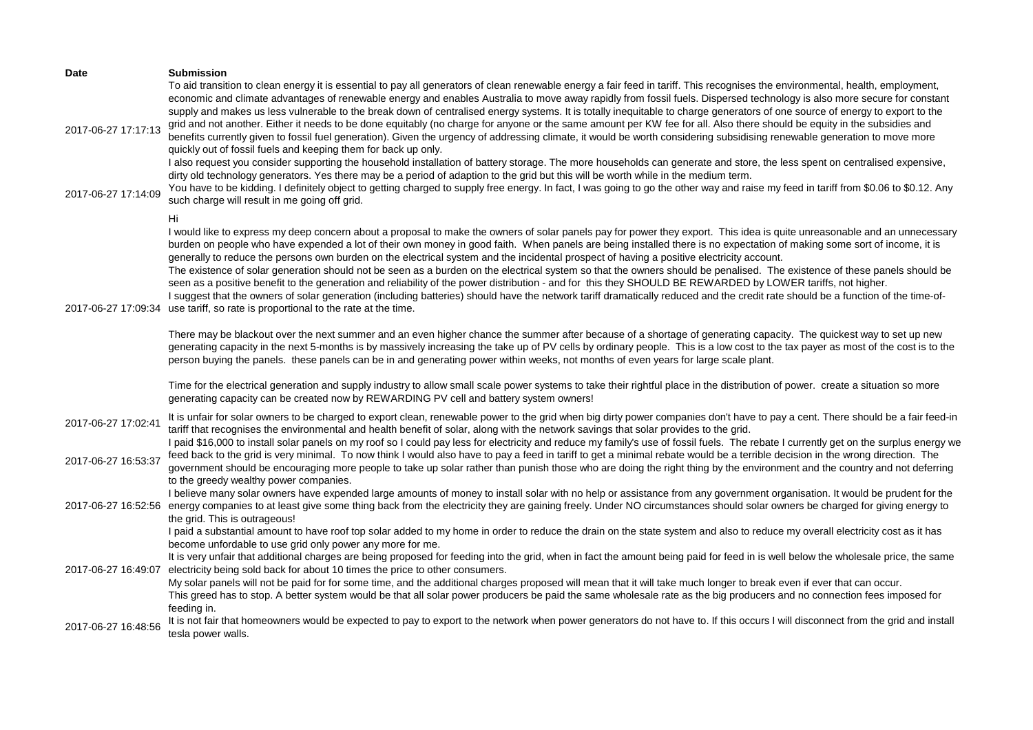| <b>Date</b><br>2017-06-27 17:17:13 | <b>Submission</b><br>To aid transition to clean energy it is essential to pay all generators of clean renewable energy a fair feed in tariff. This recognises the environmental, health, employment,<br>economic and climate advantages of renewable energy and enables Australia to move away rapidly from fossil fuels. Dispersed technology is also more secure for constant<br>supply and makes us less vulnerable to the break down of centralised energy systems. It is totally inequitable to charge generators of one source of energy to export to the<br>grid and not another. Either it needs to be done equitably (no charge for anyone or the same amount per KW fee for all. Also there should be equity in the subsidies and<br>benefits currently given to fossil fuel generation). Given the urgency of addressing climate, it would be worth considering subsidising renewable generation to move more<br>quickly out of fossil fuels and keeping them for back up only.<br>I also request you consider supporting the household installation of battery storage. The more households can generate and store, the less spent on centralised expensive,                                                                                                                                                                                                                                                                                                                                                                                                                                                                                                                                                                                                                                                                                                               |
|------------------------------------|----------------------------------------------------------------------------------------------------------------------------------------------------------------------------------------------------------------------------------------------------------------------------------------------------------------------------------------------------------------------------------------------------------------------------------------------------------------------------------------------------------------------------------------------------------------------------------------------------------------------------------------------------------------------------------------------------------------------------------------------------------------------------------------------------------------------------------------------------------------------------------------------------------------------------------------------------------------------------------------------------------------------------------------------------------------------------------------------------------------------------------------------------------------------------------------------------------------------------------------------------------------------------------------------------------------------------------------------------------------------------------------------------------------------------------------------------------------------------------------------------------------------------------------------------------------------------------------------------------------------------------------------------------------------------------------------------------------------------------------------------------------------------------------------------------------------------------------------------------------------------------------|
| 2017-06-27 17:14:09                | dirty old technology generators. Yes there may be a period of adaption to the grid but this will be worth while in the medium term.<br>You have to be kidding. I definitely object to getting charged to supply free energy. In fact, I was going to go the other way and raise my feed in tariff from \$0.06 to \$0.12. Any<br>such charge will result in me going off grid.                                                                                                                                                                                                                                                                                                                                                                                                                                                                                                                                                                                                                                                                                                                                                                                                                                                                                                                                                                                                                                                                                                                                                                                                                                                                                                                                                                                                                                                                                                          |
| 2017-06-27 17:09:34                | Hi<br>I would like to express my deep concern about a proposal to make the owners of solar panels pay for power they export. This idea is quite unreasonable and an unnecessary<br>burden on people who have expended a lot of their own money in good faith. When panels are being installed there is no expectation of making some sort of income, it is<br>generally to reduce the persons own burden on the electrical system and the incidental prospect of having a positive electricity account.<br>The existence of solar generation should not be seen as a burden on the electrical system so that the owners should be penalised. The existence of these panels should be<br>seen as a positive benefit to the generation and reliability of the power distribution - and for this they SHOULD BE REWARDED by LOWER tariffs, not higher.<br>I suggest that the owners of solar generation (including batteries) should have the network tariff dramatically reduced and the credit rate should be a function of the time-of-<br>use tariff, so rate is proportional to the rate at the time.<br>There may be blackout over the next summer and an even higher chance the summer after because of a shortage of generating capacity. The quickest way to set up new<br>generating capacity in the next 5-months is by massively increasing the take up of PV cells by ordinary people. This is a low cost to the tax payer as most of the cost is to the<br>person buying the panels. these panels can be in and generating power within weeks, not months of even years for large scale plant.<br>Time for the electrical generation and supply industry to allow small scale power systems to take their rightful place in the distribution of power. create a situation so more<br>generating capacity can be created now by REWARDING PV cell and battery system owners! |
| 2017-06-27 17:02:41                | It is unfair for solar owners to be charged to export clean, renewable power to the grid when big dirty power companies don't have to pay a cent. There should be a fair feed-in<br>tariff that recognises the environmental and health benefit of solar, along with the network savings that solar provides to the grid.                                                                                                                                                                                                                                                                                                                                                                                                                                                                                                                                                                                                                                                                                                                                                                                                                                                                                                                                                                                                                                                                                                                                                                                                                                                                                                                                                                                                                                                                                                                                                              |
| 2017-06-27 16:53:37                | I paid \$16,000 to install solar panels on my roof so I could pay less for electricity and reduce my family's use of fossil fuels. The rebate I currently get on the surplus energy we<br>feed back to the grid is very minimal. To now think I would also have to pay a feed in tariff to get a minimal rebate would be a terrible decision in the wrong direction. The<br>government should be encouraging more people to take up solar rather than punish those who are doing the right thing by the environment and the country and not deferring<br>to the greedy wealthy power companies.                                                                                                                                                                                                                                                                                                                                                                                                                                                                                                                                                                                                                                                                                                                                                                                                                                                                                                                                                                                                                                                                                                                                                                                                                                                                                        |
| 2017-06-27 16:52:56                | I believe many solar owners have expended large amounts of money to install solar with no help or assistance from any government organisation. It would be prudent for the<br>energy companies to at least give some thing back from the electricity they are gaining freely. Under NO circumstances should solar owners be charged for giving energy to<br>the grid. This is outrageous!                                                                                                                                                                                                                                                                                                                                                                                                                                                                                                                                                                                                                                                                                                                                                                                                                                                                                                                                                                                                                                                                                                                                                                                                                                                                                                                                                                                                                                                                                              |
| 2017-06-27 16:49:07                | I paid a substantial amount to have roof top solar added to my home in order to reduce the drain on the state system and also to reduce my overall electricity cost as it has<br>become unfordable to use grid only power any more for me.<br>It is very unfair that additional charges are being proposed for feeding into the grid, when in fact the amount being paid for feed in is well below the wholesale price, the same<br>electricity being sold back for about 10 times the price to other consumers.<br>My solar panels will not be paid for for some time, and the additional charges proposed will mean that it will take much longer to break even if ever that can occur.<br>This greed has to stop. A better system would be that all solar power producers be paid the same wholesale rate as the big producers and no connection fees imposed for<br>feeding in.                                                                                                                                                                                                                                                                                                                                                                                                                                                                                                                                                                                                                                                                                                                                                                                                                                                                                                                                                                                                    |
| 2017-06-27 16:48:56                | It is not fair that homeowners would be expected to pay to export to the network when power generators do not have to. If this occurs I will disconnect from the grid and install<br>tesla power walls.                                                                                                                                                                                                                                                                                                                                                                                                                                                                                                                                                                                                                                                                                                                                                                                                                                                                                                                                                                                                                                                                                                                                                                                                                                                                                                                                                                                                                                                                                                                                                                                                                                                                                |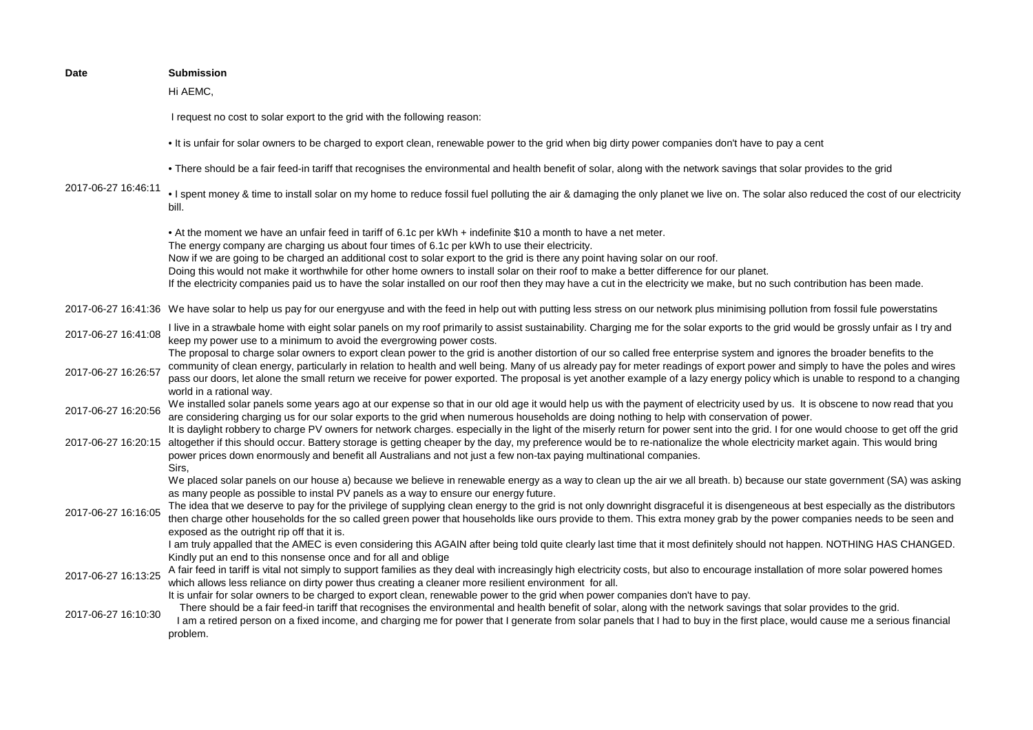| <b>Submission</b>                                                                                                                                                                                                                                                                                                                                                                                                                                                                                                                                                           |
|-----------------------------------------------------------------------------------------------------------------------------------------------------------------------------------------------------------------------------------------------------------------------------------------------------------------------------------------------------------------------------------------------------------------------------------------------------------------------------------------------------------------------------------------------------------------------------|
| Hi AEMC,                                                                                                                                                                                                                                                                                                                                                                                                                                                                                                                                                                    |
| I request no cost to solar export to the grid with the following reason:                                                                                                                                                                                                                                                                                                                                                                                                                                                                                                    |
| . It is unfair for solar owners to be charged to export clean, renewable power to the grid when big dirty power companies don't have to pay a cent                                                                                                                                                                                                                                                                                                                                                                                                                          |
| • There should be a fair feed-in tariff that recognises the environmental and health benefit of solar, along with the network savings that solar provides to the grid                                                                                                                                                                                                                                                                                                                                                                                                       |
| . I spent money & time to install solar on my home to reduce fossil fuel polluting the air & damaging the only planet we live on. The solar also reduced the cost of our electricity<br>bill.                                                                                                                                                                                                                                                                                                                                                                               |
| • At the moment we have an unfair feed in tariff of 6.1c per kWh + indefinite \$10 a month to have a net meter.<br>The energy company are charging us about four times of 6.1c per kWh to use their electricity.                                                                                                                                                                                                                                                                                                                                                            |
| Now if we are going to be charged an additional cost to solar export to the grid is there any point having solar on our roof.                                                                                                                                                                                                                                                                                                                                                                                                                                               |
| Doing this would not make it worthwhile for other home owners to install solar on their roof to make a better difference for our planet.                                                                                                                                                                                                                                                                                                                                                                                                                                    |
| If the electricity companies paid us to have the solar installed on our roof then they may have a cut in the electricity we make, but no such contribution has been made.                                                                                                                                                                                                                                                                                                                                                                                                   |
| 2017-06-27 16:41:36 We have solar to help us pay for our energyuse and with the feed in help out with putting less stress on our network plus minimising pollution from fossil fule powerstatins                                                                                                                                                                                                                                                                                                                                                                            |
| I live in a strawbale home with eight solar panels on my roof primarily to assist sustainability. Charging me for the solar exports to the grid would be grossly unfair as I try and<br>keep my power use to a minimum to avoid the evergrowing power costs.                                                                                                                                                                                                                                                                                                                |
| The proposal to charge solar owners to export clean power to the grid is another distortion of our so called free enterprise system and ignores the broader benefits to the<br>community of clean energy, particularly in relation to health and well being. Many of us already pay for meter readings of export power and simply to have the poles and wires<br>pass our doors, let alone the small return we receive for power exported. The proposal is yet another example of a lazy energy policy which is unable to respond to a changing<br>world in a rational way. |
| We installed solar panels some years ago at our expense so that in our old age it would help us with the payment of electricity used by us. It is obscene to now read that you<br>are considering charging us for our solar exports to the grid when numerous households are doing nothing to help with conservation of power.                                                                                                                                                                                                                                              |
| It is daylight robbery to charge PV owners for network charges. especially in the light of the miserly return for power sent into the grid. I for one would choose to get off the grid<br>2017-06-27 16:20:15 altogether if this should occur. Battery storage is getting cheaper by the day, my preference would be to re-nationalize the whole electricity market again. This would bring<br>power prices down enormously and benefit all Australians and not just a few non-tax paying multinational companies.                                                          |
| Sirs.<br>We placed solar panels on our house a) because we believe in renewable energy as a way to clean up the air we all breath. b) because our state government (SA) was asking                                                                                                                                                                                                                                                                                                                                                                                          |
| as many people as possible to instal PV panels as a way to ensure our energy future.                                                                                                                                                                                                                                                                                                                                                                                                                                                                                        |
| The idea that we deserve to pay for the privilege of supplying clean energy to the grid is not only downright disgraceful it is disengeneous at best especially as the distributors<br>then charge other households for the so called green power that households like ours provide to them. This extra money grab by the power companies needs to be seen and                                                                                                                                                                                                              |
| exposed as the outright rip off that it is.<br>I am truly appalled that the AMEC is even considering this AGAIN after being told quite clearly last time that it most definitely should not happen. NOTHING HAS CHANGED.<br>Kindly put an end to this nonsense once and for all and oblige                                                                                                                                                                                                                                                                                  |
| A fair feed in tariff is vital not simply to support families as they deal with increasingly high electricity costs, but also to encourage installation of more solar powered homes<br>which allows less reliance on dirty power thus creating a cleaner more resilient environment for all.                                                                                                                                                                                                                                                                                |
| It is unfair for solar owners to be charged to export clean, renewable power to the grid when power companies don't have to pay.                                                                                                                                                                                                                                                                                                                                                                                                                                            |
| There should be a fair feed-in tariff that recognises the environmental and health benefit of solar, along with the network savings that solar provides to the grid.<br>I am a retired person on a fixed income, and charging me for power that I generate from solar panels that I had to buy in the first place, would cause me a serious financial<br>problem.                                                                                                                                                                                                           |
|                                                                                                                                                                                                                                                                                                                                                                                                                                                                                                                                                                             |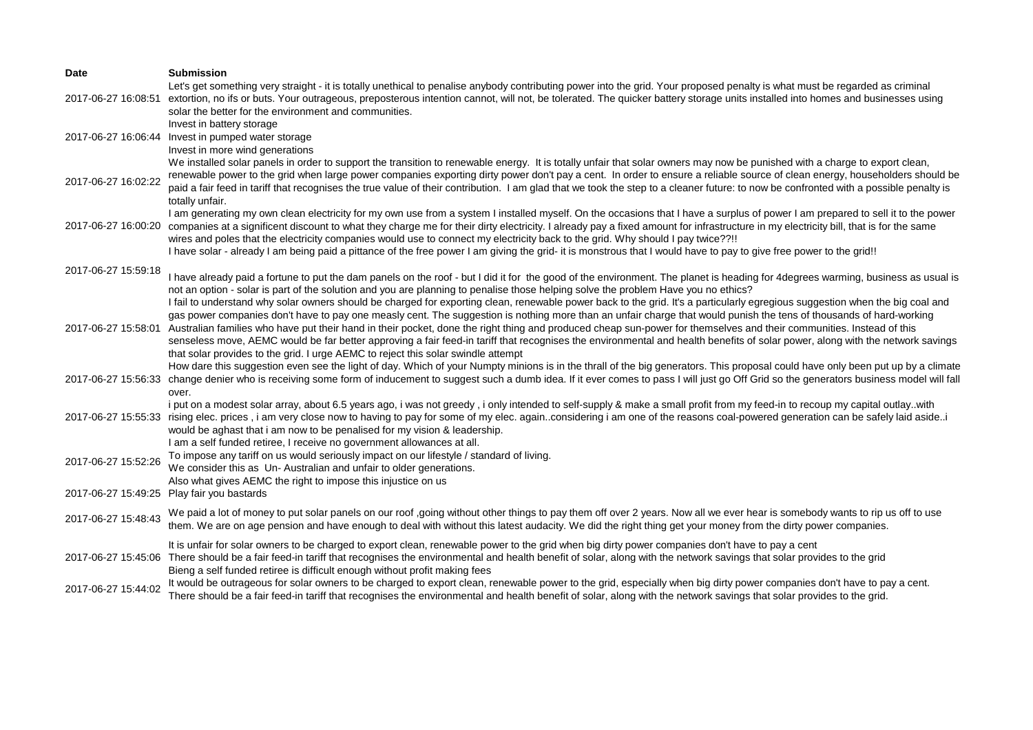| Date                | <b>Submission</b>                                                                                                                                                                                                                                                                                                                                                                                                                                                                                                                                                                                                                                                                                    |
|---------------------|------------------------------------------------------------------------------------------------------------------------------------------------------------------------------------------------------------------------------------------------------------------------------------------------------------------------------------------------------------------------------------------------------------------------------------------------------------------------------------------------------------------------------------------------------------------------------------------------------------------------------------------------------------------------------------------------------|
| 2017-06-27 16:08:51 | Let's get something very straight - it is totally unethical to penalise anybody contributing power into the grid. Your proposed penalty is what must be regarded as criminal<br>extortion, no ifs or buts. Your outrageous, preposterous intention cannot, will not, be tolerated. The quicker battery storage units installed into homes and businesses using<br>solar the better for the environment and communities.                                                                                                                                                                                                                                                                              |
| 2017-06-27 16:06:44 | Invest in battery storage<br>Invest in pumped water storage<br>Invest in more wind generations                                                                                                                                                                                                                                                                                                                                                                                                                                                                                                                                                                                                       |
| 2017-06-27 16:02:22 | We installed solar panels in order to support the transition to renewable energy. It is totally unfair that solar owners may now be punished with a charge to export clean,<br>renewable power to the grid when large power companies exporting dirty power don't pay a cent. In order to ensure a reliable source of clean energy, householders should be<br>paid a fair feed in tariff that recognises the true value of their contribution. I am glad that we took the step to a cleaner future: to now be confronted with a possible penalty is                                                                                                                                                  |
| 2017-06-27 16:00:20 | totally unfair.<br>I am generating my own clean electricity for my own use from a system I installed myself. On the occasions that I have a surplus of power I am prepared to sell it to the power<br>companies at a significent discount to what they charge me for their dirty electricity. I already pay a fixed amount for infrastructure in my electricity bill, that is for the same<br>wires and poles that the electricity companies would use to connect my electricity back to the grid. Why should I pay twice??!!<br>I have solar - already I am being paid a pittance of the free power I am giving the grid- it is monstrous that I would have to pay to give free power to the grid!! |
| 2017-06-27 15:59:18 | I have already paid a fortune to put the dam panels on the roof - but I did it for the good of the environment. The planet is heading for 4degrees warming, business as usual is<br>not an option - solar is part of the solution and you are planning to penalise those helping solve the problem Have you no ethics?<br>I fail to understand why solar owners should be charged for exporting clean, renewable power back to the grid. It's a particularly egregious suggestion when the big coal and                                                                                                                                                                                              |
| 2017-06-27 15:58:01 | gas power companies don't have to pay one measly cent. The suggestion is nothing more than an unfair charge that would punish the tens of thousands of hard-working<br>Australian families who have put their hand in their pocket, done the right thing and produced cheap sun-power for themselves and their communities. Instead of this<br>senseless move, AEMC would be far better approving a fair feed-in tariff that recognises the environmental and health benefits of solar power, along with the network savings<br>that solar provides to the grid. I urge AEMC to reject this solar swindle attempt                                                                                    |
| 2017-06-27 15:56:33 | How dare this suggestion even see the light of day. Which of your Numpty minions is in the thrall of the big generators. This proposal could have only been put up by a climate<br>change denier who is receiving some form of inducement to suggest such a dumb idea. If it ever comes to pass I will just go Off Grid so the generators business model will fall<br>over.                                                                                                                                                                                                                                                                                                                          |
| 2017-06-27 15:55:33 | i put on a modest solar array, about 6.5 years ago, i was not greedy, i only intended to self-supply & make a small profit from my feed-in to recoup my capital outlaywith<br>rising elec. prices, i am very close now to having to pay for some of my elec. againconsidering i am one of the reasons coal-powered generation can be safely laid asidei<br>would be aghast that i am now to be penalised for my vision & leadership.<br>I am a self funded retiree, I receive no government allowances at all.                                                                                                                                                                                       |
| 2017-06-27 15:52:26 | To impose any tariff on us would seriously impact on our lifestyle / standard of living.<br>We consider this as Un-Australian and unfair to older generations.                                                                                                                                                                                                                                                                                                                                                                                                                                                                                                                                       |
|                     | Also what gives AEMC the right to impose this injustice on us<br>2017-06-27 15:49:25 Play fair you bastards                                                                                                                                                                                                                                                                                                                                                                                                                                                                                                                                                                                          |
| 2017-06-27 15:48:43 | We paid a lot of money to put solar panels on our roof ,going without other things to pay them off over 2 years. Now all we ever hear is somebody wants to rip us off to use<br>them. We are on age pension and have enough to deal with without this latest audacity. We did the right thing get your money from the dirty power companies.                                                                                                                                                                                                                                                                                                                                                         |
|                     | It is unfair for solar owners to be charged to export clean, renewable power to the grid when big dirty power companies don't have to pay a cent<br>2017-06-27 15:45:06 There should be a fair feed-in tariff that recognises the environmental and health benefit of solar, along with the network savings that solar provides to the grid<br>Bieng a self funded retiree is difficult enough without profit making fees                                                                                                                                                                                                                                                                            |
| 2017-06-27 15:44:02 | It would be outrageous for solar owners to be charged to export clean, renewable power to the grid, especially when big dirty power companies don't have to pay a cent.<br>There should be a fair feed-in tariff that recognises the environmental and health benefit of solar, along with the network savings that solar provides to the grid.                                                                                                                                                                                                                                                                                                                                                      |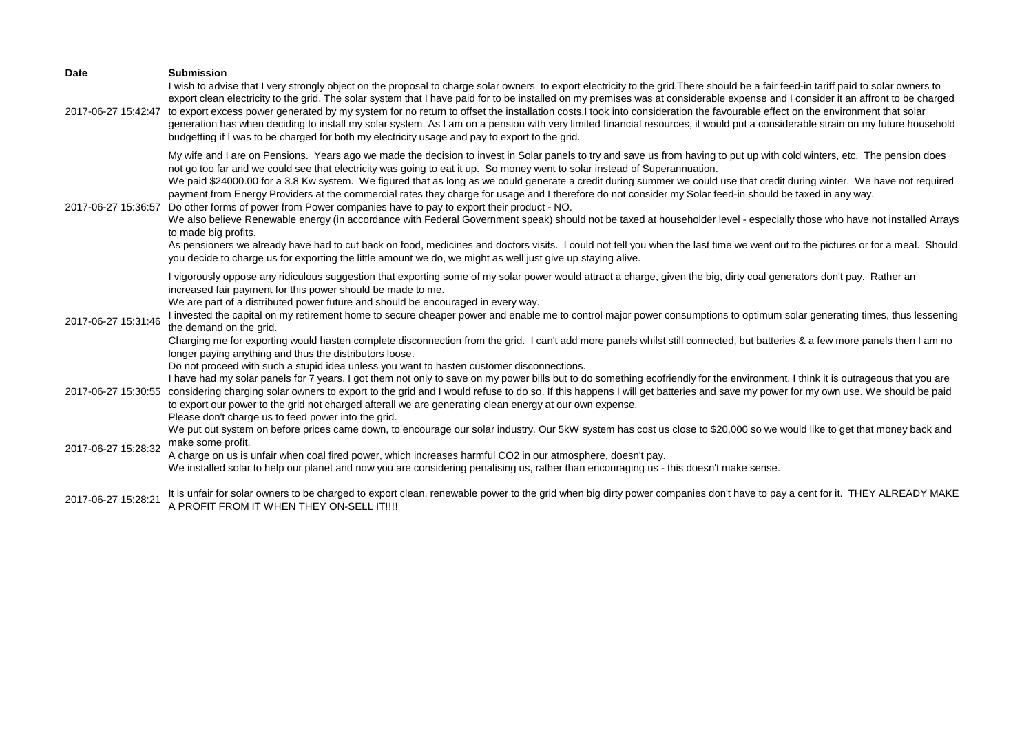| <b>Date</b><br>2017-06-27 15:42:47 | <b>Submission</b><br>I wish to advise that I very strongly object on the proposal to charge solar owners to export electricity to the grid. There should be a fair feed-in tariff paid to solar owners to<br>export clean electricity to the grid. The solar system that I have paid for to be installed on my premises was at considerable expense and I consider it an affront to be charged<br>to export excess power generated by my system for no return to offset the installation costs.I took into consideration the favourable effect on the environment that solar<br>generation has when deciding to install my solar system. As I am on a pension with very limited financial resources, it would put a considerable strain on my future household<br>budgetting if I was to be charged for both my electricity usage and pay to export to the grid.                                                                                                                                                                                                                                                                                                                                                                               |
|------------------------------------|------------------------------------------------------------------------------------------------------------------------------------------------------------------------------------------------------------------------------------------------------------------------------------------------------------------------------------------------------------------------------------------------------------------------------------------------------------------------------------------------------------------------------------------------------------------------------------------------------------------------------------------------------------------------------------------------------------------------------------------------------------------------------------------------------------------------------------------------------------------------------------------------------------------------------------------------------------------------------------------------------------------------------------------------------------------------------------------------------------------------------------------------------------------------------------------------------------------------------------------------|
| 2017-06-27 15:36:57                | My wife and I are on Pensions. Years ago we made the decision to invest in Solar panels to try and save us from having to put up with cold winters, etc. The pension does<br>not go too far and we could see that electricity was going to eat it up. So money went to solar instead of Superannuation.<br>We paid \$24000.00 for a 3.8 Kw system. We figured that as long as we could generate a credit during summer we could use that credit during winter. We have not required<br>payment from Energy Providers at the commercial rates they charge for usage and I therefore do not consider my Solar feed-in should be taxed in any way.<br>Do other forms of power from Power companies have to pay to export their product - NO.<br>We also believe Renewable energy (in accordance with Federal Government speak) should not be taxed at householder level - especially those who have not installed Arrays<br>to made big profits.<br>As pensioners we already have had to cut back on food, medicines and doctors visits. I could not tell you when the last time we went out to the pictures or for a meal. Should<br>you decide to charge us for exporting the little amount we do, we might as well just give up staying alive. |
| 2017-06-27 15:31:46                | I vigorously oppose any ridiculous suggestion that exporting some of my solar power would attract a charge, given the big, dirty coal generators don't pay. Rather an<br>increased fair payment for this power should be made to me.<br>We are part of a distributed power future and should be encouraged in every way.<br>I invested the capital on my retirement home to secure cheaper power and enable me to control major power consumptions to optimum solar generating times, thus lessening<br>the demand on the grid.<br>Charging me for exporting would hasten complete disconnection from the grid. I can't add more panels whilst still connected, but batteries & a few more panels then I am no<br>longer paying anything and thus the distributors loose.<br>Do not proceed with such a stupid idea unless you want to hasten customer disconnections.                                                                                                                                                                                                                                                                                                                                                                         |
| 2017-06-27 15:30:55                | I have had my solar panels for 7 years. I got them not only to save on my power bills but to do something ecofriendly for the environment. I think it is outrageous that you are<br>considering charging solar owners to export to the grid and I would refuse to do so. If this happens I will get batteries and save my power for my own use. We should be paid<br>to export our power to the grid not charged afterall we are generating clean energy at our own expense.<br>Please don't charge us to feed power into the grid.                                                                                                                                                                                                                                                                                                                                                                                                                                                                                                                                                                                                                                                                                                            |
| 2017-06-27 15:28:32                | We put out system on before prices came down, to encourage our solar industry. Our 5kW system has cost us close to \$20,000 so we would like to get that money back and<br>make some profit.<br>A charge on us is unfair when coal fired power, which increases harmful CO2 in our atmosphere, doesn't pay.<br>We installed solar to help our planet and now you are considering penalising us, rather than encouraging us - this doesn't make sense.                                                                                                                                                                                                                                                                                                                                                                                                                                                                                                                                                                                                                                                                                                                                                                                          |
| 2017-06-27 15:28:21                | It is unfair for solar owners to be charged to export clean, renewable power to the grid when big dirty power companies don't have to pay a cent for it. THEY ALREADY MAKE<br>A PROFIT FROM IT WHEN THEY ON-SELL IT!!!!                                                                                                                                                                                                                                                                                                                                                                                                                                                                                                                                                                                                                                                                                                                                                                                                                                                                                                                                                                                                                        |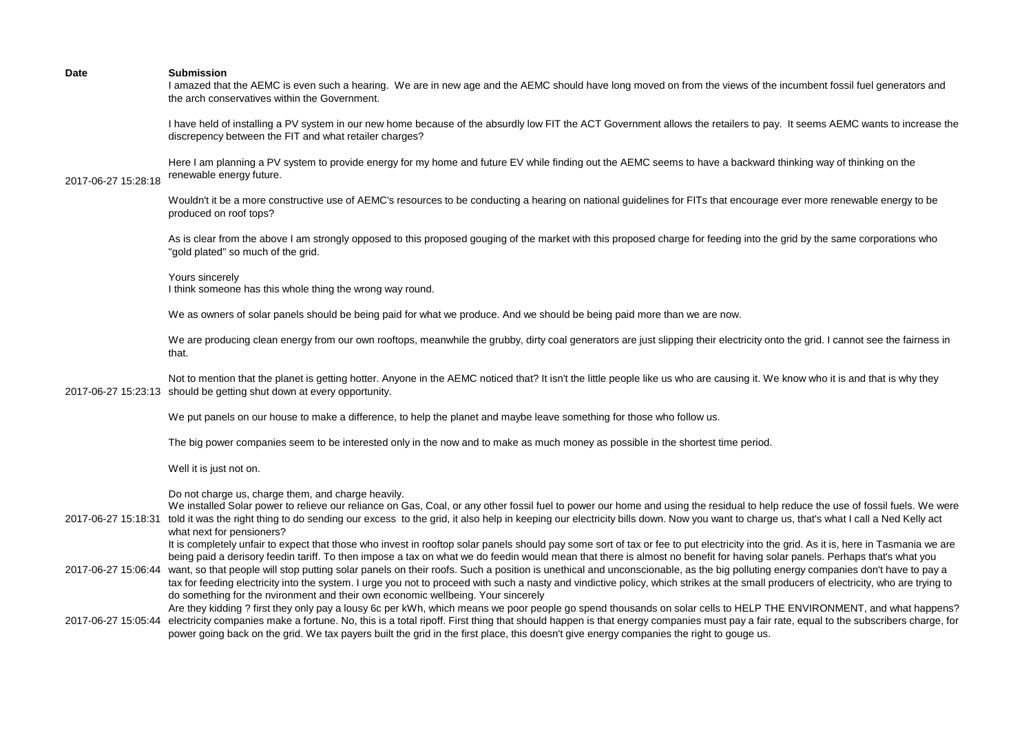I amazed that the AEMC is even such a hearing. We are in new age and the AEMC should have long moved on from the views of the incumbent fossil fuel generators and the arch conservatives within the Government.

I have held of installing a PV system in our new home because of the absurdly low FIT the ACT Government allows the retailers to pay. It seems AEMC wants to increase the discrepency between the FIT and what retailer charges?

Here I am planning a PV system to provide energy for my home and future EV while finding out the AEMC seems to have a backward thinking way of thinking on the renewable energy future.

# 2017-06-27 15:28:18

Wouldn't it be a more constructive use of AEMC's resources to be conducting a hearing on national guidelines for FITs that encourage ever more renewable energy to be produced on roof tops?

As is clear from the above I am strongly opposed to this proposed gouging of the market with this proposed charge for feeding into the grid by the same corporations who "gold plated" so much of the grid.

Yours sincerely I think someone has this whole thing the wrong way round.

We as owners of solar panels should be being paid for what we produce. And we should be being paid more than we are now.

We are producing clean energy from our own rooftops, meanwhile the grubby, dirty coal generators are just slipping their electricity onto the grid. I cannot see the fairness in that.

2017-06-27 15:23:13 should be getting shut down at every opportunity. Not to mention that the planet is getting hotter. Anyone in the AEMC noticed that? It isn't the little people like us who are causing it. We know who it is and that is why they

We put panels on our house to make a difference, to help the planet and maybe leave something for those who follow us.

The big power companies seem to be interested only in the now and to make as much money as possible in the shortest time period.

Well it is just not on.

Do not charge us, charge them, and charge heavily.

2017-06-27 15:18:31 told it was the right thing to do sending our excess to the grid, it also help in keeping our electricity bills down. Now you want to charge us, that's what I call a Ned Kelly act We installed Solar power to relieve our reliance on Gas, Coal, or any other fossil fuel to power our home and using the residual to help reduce the use of fossil fuels. We were what next for pensioners?

> It is completely unfair to expect that those who invest in rooftop solar panels should pay some sort of tax or fee to put electricity into the grid. As it is, here in Tasmania we are being paid a derisory feedin tariff. To then impose a tax on what we do feedin would mean that there is almost no benefit for having solar panels. Perhaps that's what you

- 2017-06-27 15:06:44 want, so that people will stop putting solar panels on their roofs. Such a position is unethical and unconscionable, as the big polluting energy companies don't have to pay a tax for feeding electricity into the system. I urge you not to proceed with such a nasty and vindictive policy, which strikes at the small producers of electricity, who are trying to do something for the nvironment and their own economic wellbeing. Your sincerely
- 2017-06-27 15:05:44 electricity companies make a fortune. No, this is a total ripoff. First thing that should happen is that energy companies must pay a fair rate, equal to the subscribers charge, for Are they kidding ? first they only pay a lousy 6c per kWh, which means we poor people go spend thousands on solar cells to HELP THE ENVIRONMENT, and what happens? power going back on the grid. We tax payers built the grid in the first place, this doesn't give energy companies the right to gouge us.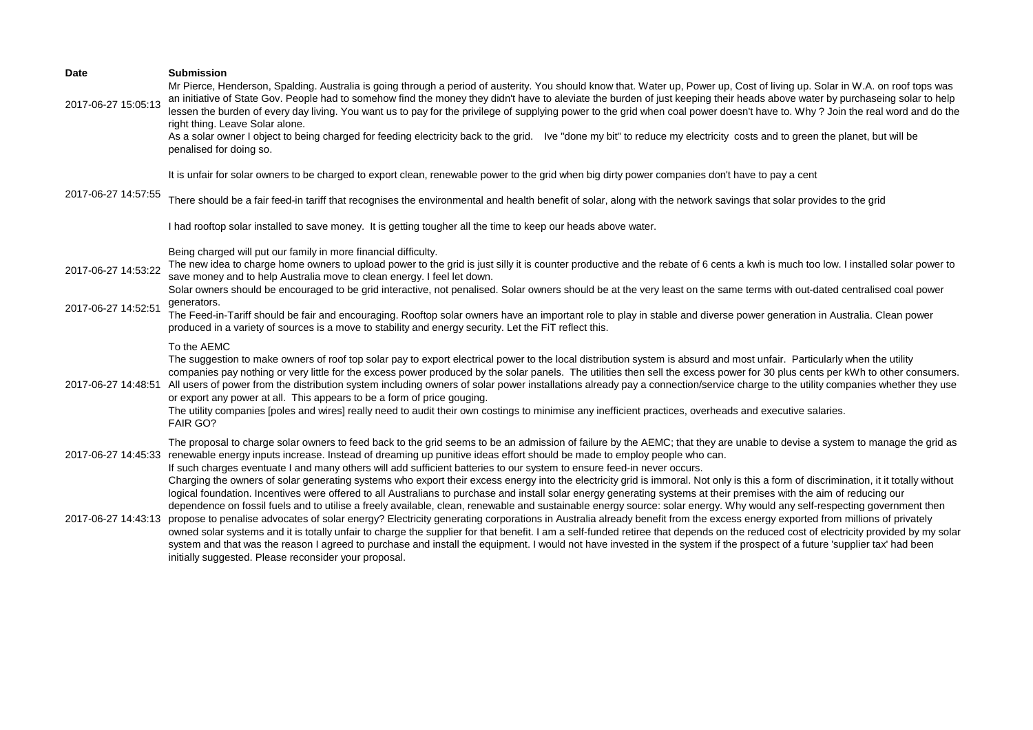| <b>Date</b><br>2017-06-27 15:05:13 | <b>Submission</b><br>Mr Pierce, Henderson, Spalding. Australia is going through a period of austerity. You should know that. Water up, Power up, Cost of living up. Solar in W.A. on roof tops was<br>an initiative of State Gov. People had to somehow find the money they didn't have to aleviate the burden of just keeping their heads above water by purchaseing solar to help<br>lessen the burden of every day living. You want us to pay for the privilege of supplying power to the grid when coal power doesn't have to. Why ? Join the real word and do the<br>right thing. Leave Solar alone.<br>As a solar owner I object to being charged for feeding electricity back to the grid. Ive "done my bit" to reduce my electricity costs and to green the planet, but will be<br>penalised for doing so. |
|------------------------------------|--------------------------------------------------------------------------------------------------------------------------------------------------------------------------------------------------------------------------------------------------------------------------------------------------------------------------------------------------------------------------------------------------------------------------------------------------------------------------------------------------------------------------------------------------------------------------------------------------------------------------------------------------------------------------------------------------------------------------------------------------------------------------------------------------------------------|
| 2017-06-27 14:57:55                | It is unfair for solar owners to be charged to export clean, renewable power to the grid when big dirty power companies don't have to pay a cent<br>There should be a fair feed-in tariff that recognises the environmental and health benefit of solar, along with the network savings that solar provides to the grid                                                                                                                                                                                                                                                                                                                                                                                                                                                                                            |
|                                    | I had rooftop solar installed to save money. It is getting tougher all the time to keep our heads above water.                                                                                                                                                                                                                                                                                                                                                                                                                                                                                                                                                                                                                                                                                                     |
| 2017-06-27 14:53:22                | Being charged will put our family in more financial difficulty.<br>The new idea to charge home owners to upload power to the grid is just silly it is counter productive and the rebate of 6 cents a kwh is much too low. I installed solar power to<br>save money and to help Australia move to clean energy. I feel let down.<br>Solar owners should be encouraged to be grid interactive, not penalised. Solar owners should be at the very least on the same terms with out-dated centralised coal power                                                                                                                                                                                                                                                                                                       |
| 2017-06-27 14:52:51                | generators.<br>The Feed-in-Tariff should be fair and encouraging. Rooftop solar owners have an important role to play in stable and diverse power generation in Australia. Clean power<br>produced in a variety of sources is a move to stability and energy security. Let the FiT reflect this.                                                                                                                                                                                                                                                                                                                                                                                                                                                                                                                   |
| 2017-06-27 14:48:51                | To the AEMC<br>The suggestion to make owners of roof top solar pay to export electrical power to the local distribution system is absurd and most unfair. Particularly when the utility<br>companies pay nothing or very little for the excess power produced by the solar panels. The utilities then sell the excess power for 30 plus cents per kWh to other consumers.<br>All users of power from the distribution system including owners of solar power installations already pay a connection/service charge to the utility companies whether they use<br>or export any power at all. This appears to be a form of price gouging.<br>The utility companies [poles and wires] really need to audit their own costings to minimise any inefficient practices, overheads and executive salaries.<br>FAIR GO?    |
| 2017-06-27 14:45:33                | The proposal to charge solar owners to feed back to the grid seems to be an admission of failure by the AEMC; that they are unable to devise a system to manage the grid as<br>renewable energy inputs increase. Instead of dreaming up punitive ideas effort should be made to employ people who can.<br>If such charges eventuate I and many others will add sufficient batteries to our system to ensure feed-in never occurs.<br>Charging the owners of solar generating systems who export their excess energy into the electricity grid is immoral. Not only is this a form of discrimination, it it totally without<br>logical foundation. Incentives were offered to all Australians to purchase and install solar energy generating systems at their premises with the aim of reducing our                |
| 2017-06-27 14:43:13                | dependence on fossil fuels and to utilise a freely available, clean, renewable and sustainable energy source: solar energy. Why would any self-respecting government then<br>propose to penalise advocates of solar energy? Electricity generating corporations in Australia already benefit from the excess energy exported from millions of privately<br>owned solar systems and it is totally unfair to charge the supplier for that benefit. I am a self-funded retiree that depends on the reduced cost of electricity provided by my solar<br>system and that was the reason I agreed to purchase and install the equipment. I would not have invested in the system if the prospect of a future 'supplier tax' had been<br>initially suggested. Please reconsider your proposal.                            |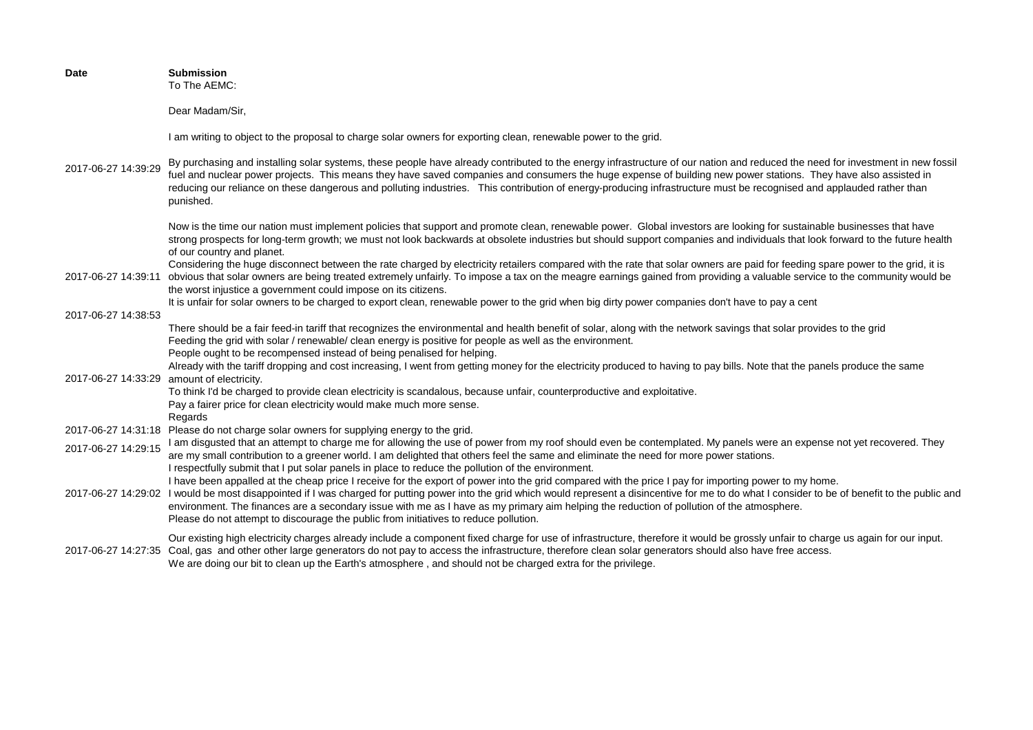| <b>Date</b>         | <b>Submission</b><br>To The AEMC:                                                                                                                                                                                                                                                                                                                                                                                                                                                                                                                                                |
|---------------------|----------------------------------------------------------------------------------------------------------------------------------------------------------------------------------------------------------------------------------------------------------------------------------------------------------------------------------------------------------------------------------------------------------------------------------------------------------------------------------------------------------------------------------------------------------------------------------|
|                     | Dear Madam/Sir,                                                                                                                                                                                                                                                                                                                                                                                                                                                                                                                                                                  |
|                     | I am writing to object to the proposal to charge solar owners for exporting clean, renewable power to the grid.                                                                                                                                                                                                                                                                                                                                                                                                                                                                  |
| 2017-06-27 14:39:29 | By purchasing and installing solar systems, these people have already contributed to the energy infrastructure of our nation and reduced the need for investment in new fossil<br>fuel and nuclear power projects. This means they have saved companies and consumers the huge expense of building new power stations. They have also assisted in<br>reducing our reliance on these dangerous and polluting industries. This contribution of energy-producing infrastructure must be recognised and applauded rather than<br>punished.                                           |
|                     | Now is the time our nation must implement policies that support and promote clean, renewable power. Global investors are looking for sustainable businesses that have<br>strong prospects for long-term growth; we must not look backwards at obsolete industries but should support companies and individuals that look forward to the future health<br>of our country and planet.                                                                                                                                                                                              |
| 2017-06-27 14:39:11 | Considering the huge disconnect between the rate charged by electricity retailers compared with the rate that solar owners are paid for feeding spare power to the grid, it is<br>obvious that solar owners are being treated extremely unfairly. To impose a tax on the meagre earnings gained from providing a valuable service to the community would be<br>the worst injustice a government could impose on its citizens.                                                                                                                                                    |
| 2017-06-27 14:38:53 | It is unfair for solar owners to be charged to export clean, renewable power to the grid when big dirty power companies don't have to pay a cent                                                                                                                                                                                                                                                                                                                                                                                                                                 |
|                     | There should be a fair feed-in tariff that recognizes the environmental and health benefit of solar, along with the network savings that solar provides to the grid<br>Feeding the grid with solar / renewable/ clean energy is positive for people as well as the environment.<br>People ought to be recompensed instead of being penalised for helping.<br>Already with the tariff dropping and cost increasing, I went from getting money for the electricity produced to having to pay bills. Note that the panels produce the same                                          |
| 2017-06-27 14:33:29 | amount of electricity.<br>To think I'd be charged to provide clean electricity is scandalous, because unfair, counterproductive and exploitative.<br>Pay a fairer price for clean electricity would make much more sense.<br>Regards                                                                                                                                                                                                                                                                                                                                             |
| 2017-06-27 14:31:18 | Please do not charge solar owners for supplying energy to the grid.                                                                                                                                                                                                                                                                                                                                                                                                                                                                                                              |
| 2017-06-27 14:29:15 | I am disgusted that an attempt to charge me for allowing the use of power from my roof should even be contemplated. My panels were an expense not yet recovered. They<br>are my small contribution to a greener world. I am delighted that others feel the same and eliminate the need for more power stations.<br>I respectfully submit that I put solar panels in place to reduce the pollution of the environment.                                                                                                                                                            |
| 2017-06-27 14:29:02 | I have been appalled at the cheap price I receive for the export of power into the grid compared with the price I pay for importing power to my home.<br>I would be most disappointed if I was charged for putting power into the grid which would represent a disincentive for me to do what I consider to be of benefit to the public and<br>environment. The finances are a secondary issue with me as I have as my primary aim helping the reduction of pollution of the atmosphere.<br>Please do not attempt to discourage the public from initiatives to reduce pollution. |
| 2017-06-27 14:27:35 | Our existing high electricity charges already include a component fixed charge for use of infrastructure, therefore it would be grossly unfair to charge us again for our input.<br>Coal, gas and other other large generators do not pay to access the infrastructure, therefore clean solar generators should also have free access.<br>We are doing our bit to clean up the Earth's atmosphere, and should not be charged extra for the privilege.                                                                                                                            |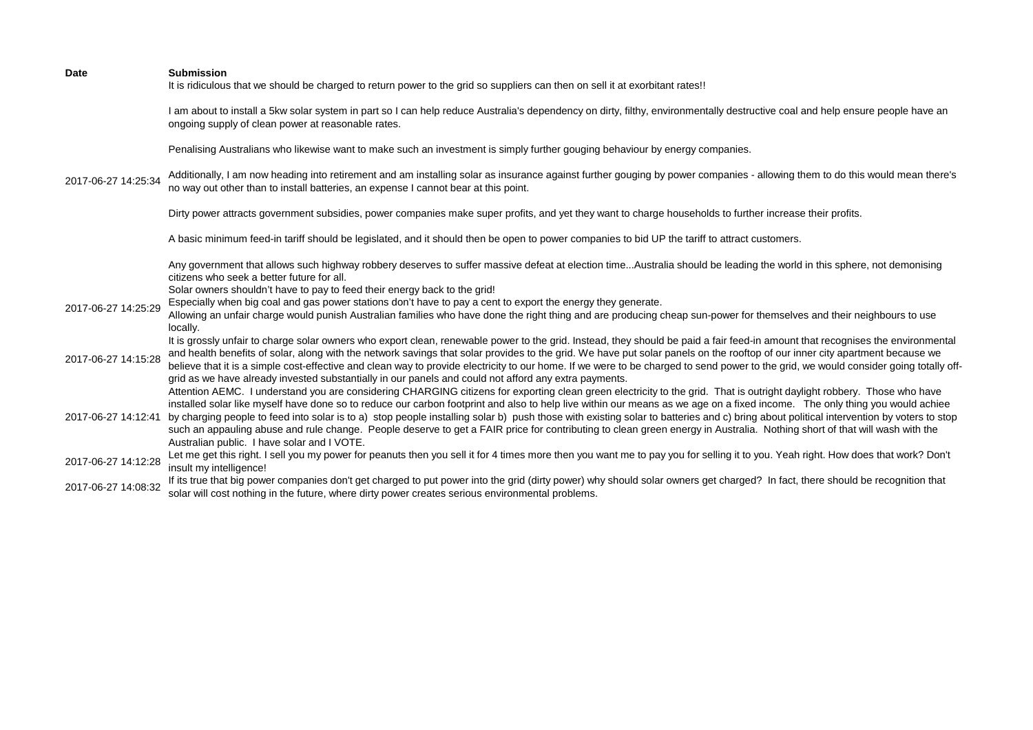| <b>Date</b>         | <b>Submission</b><br>It is ridiculous that we should be charged to return power to the grid so suppliers can then on sell it at exorbitant rates!!                                                                                                                                                                                                                                                                                                                                                                                                                                                                                                                                                                                                                           |
|---------------------|------------------------------------------------------------------------------------------------------------------------------------------------------------------------------------------------------------------------------------------------------------------------------------------------------------------------------------------------------------------------------------------------------------------------------------------------------------------------------------------------------------------------------------------------------------------------------------------------------------------------------------------------------------------------------------------------------------------------------------------------------------------------------|
|                     | I am about to install a 5kw solar system in part so I can help reduce Australia's dependency on dirty, filthy, environmentally destructive coal and help ensure people have an<br>ongoing supply of clean power at reasonable rates.                                                                                                                                                                                                                                                                                                                                                                                                                                                                                                                                         |
|                     | Penalising Australians who likewise want to make such an investment is simply further gouging behaviour by energy companies.                                                                                                                                                                                                                                                                                                                                                                                                                                                                                                                                                                                                                                                 |
| 2017-06-27 14:25:34 | Additionally, I am now heading into retirement and am installing solar as insurance against further gouging by power companies - allowing them to do this would mean there's<br>no way out other than to install batteries, an expense I cannot bear at this point.                                                                                                                                                                                                                                                                                                                                                                                                                                                                                                          |
|                     | Dirty power attracts government subsidies, power companies make super profits, and yet they want to charge households to further increase their profits.                                                                                                                                                                                                                                                                                                                                                                                                                                                                                                                                                                                                                     |
|                     | A basic minimum feed-in tariff should be legislated, and it should then be open to power companies to bid UP the tariff to attract customers.                                                                                                                                                                                                                                                                                                                                                                                                                                                                                                                                                                                                                                |
|                     | Any government that allows such highway robbery deserves to suffer massive defeat at election timeAustralia should be leading the world in this sphere, not demonising<br>citizens who seek a better future for all.                                                                                                                                                                                                                                                                                                                                                                                                                                                                                                                                                         |
|                     | Solar owners shouldn't have to pay to feed their energy back to the grid!                                                                                                                                                                                                                                                                                                                                                                                                                                                                                                                                                                                                                                                                                                    |
| 2017-06-27 14:25:29 | Especially when big coal and gas power stations don't have to pay a cent to export the energy they generate.                                                                                                                                                                                                                                                                                                                                                                                                                                                                                                                                                                                                                                                                 |
|                     | Allowing an unfair charge would punish Australian families who have done the right thing and are producing cheap sun-power for themselves and their neighbours to use                                                                                                                                                                                                                                                                                                                                                                                                                                                                                                                                                                                                        |
|                     | locally.                                                                                                                                                                                                                                                                                                                                                                                                                                                                                                                                                                                                                                                                                                                                                                     |
| 2017-06-27 14:15:28 | It is grossly unfair to charge solar owners who export clean, renewable power to the grid. Instead, they should be paid a fair feed-in amount that recognises the environmental<br>and health benefits of solar, along with the network savings that solar provides to the grid. We have put solar panels on the rooftop of our inner city apartment because we<br>believe that it is a simple cost-effective and clean way to provide electricity to our home. If we were to be charged to send power to the grid, we would consider going totally off-<br>grid as we have already invested substantially in our panels and could not afford any extra payments.                                                                                                            |
| 2017-06-27 14:12:41 | Attention AEMC. I understand you are considering CHARGING citizens for exporting clean green electricity to the grid. That is outright daylight robbery. Those who have<br>installed solar like myself have done so to reduce our carbon footprint and also to help live within our means as we age on a fixed income. The only thing you would achiee<br>by charging people to feed into solar is to a) stop people installing solar b) push those with existing solar to batteries and c) bring about political intervention by voters to stop<br>such an appauling abuse and rule change. People deserve to get a FAIR price for contributing to clean green energy in Australia. Nothing short of that will wash with the<br>Australian public. I have solar and I VOTE. |
| 2017-06-27 14:12:28 | Let me get this right. I sell you my power for peanuts then you sell it for 4 times more then you want me to pay you for selling it to you. Yeah right. How does that work? Don't<br>insult my intelligence!                                                                                                                                                                                                                                                                                                                                                                                                                                                                                                                                                                 |
| 2017-06-27 14:08:32 | If its true that big power companies don't get charged to put power into the grid (dirty power) why should solar owners get charged? In fact, there should be recognition that<br>solar will cost nothing in the future, where dirty power creates serious environmental problems.                                                                                                                                                                                                                                                                                                                                                                                                                                                                                           |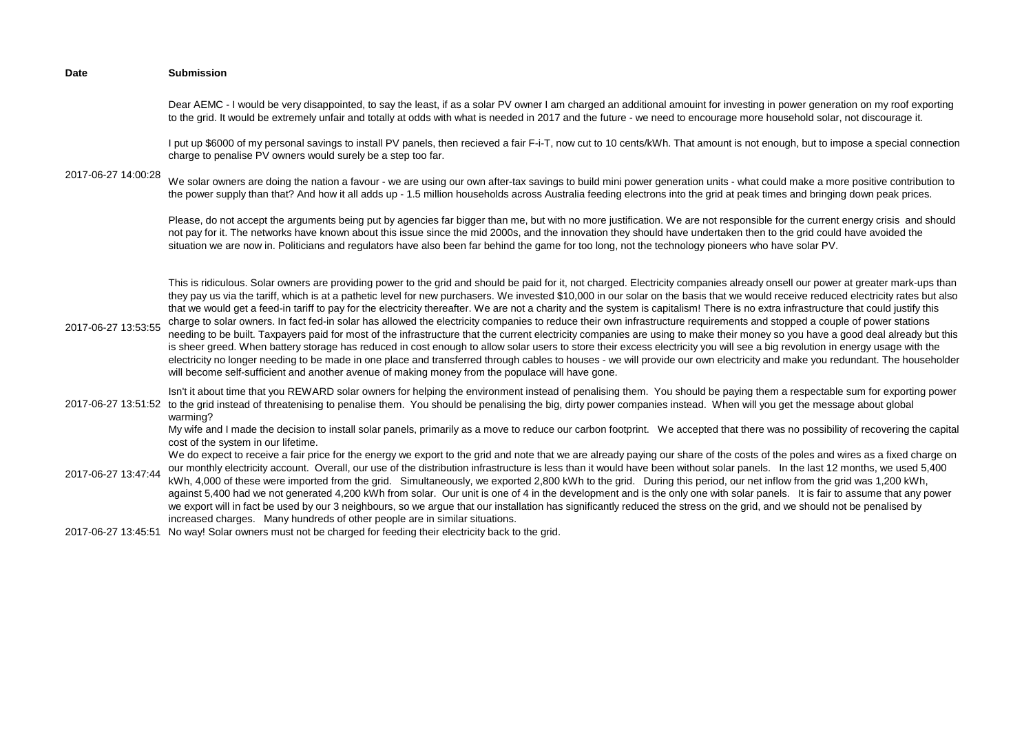| <b>Date</b>         | <b>Submission</b>                                                                                                                                                                                                                                                                                                                                                                                                                                                                                                                                                                                                                                                                                                                                                                                                                                                                                                                                                                                                                                                                                                                                                                                                                                                                                                                                                                                       |
|---------------------|---------------------------------------------------------------------------------------------------------------------------------------------------------------------------------------------------------------------------------------------------------------------------------------------------------------------------------------------------------------------------------------------------------------------------------------------------------------------------------------------------------------------------------------------------------------------------------------------------------------------------------------------------------------------------------------------------------------------------------------------------------------------------------------------------------------------------------------------------------------------------------------------------------------------------------------------------------------------------------------------------------------------------------------------------------------------------------------------------------------------------------------------------------------------------------------------------------------------------------------------------------------------------------------------------------------------------------------------------------------------------------------------------------|
|                     | Dear AEMC - I would be very disappointed, to say the least, if as a solar PV owner I am charged an additional amouint for investing in power generation on my roof exporting<br>to the grid. It would be extremely unfair and totally at odds with what is needed in 2017 and the future - we need to encourage more household solar, not discourage it.                                                                                                                                                                                                                                                                                                                                                                                                                                                                                                                                                                                                                                                                                                                                                                                                                                                                                                                                                                                                                                                |
|                     | I put up \$6000 of my personal savings to install PV panels, then recieved a fair F-i-T, now cut to 10 cents/kWh. That amount is not enough, but to impose a special connection<br>charge to penalise PV owners would surely be a step too far.                                                                                                                                                                                                                                                                                                                                                                                                                                                                                                                                                                                                                                                                                                                                                                                                                                                                                                                                                                                                                                                                                                                                                         |
| 2017-06-27 14:00:28 | We solar owners are doing the nation a favour - we are using our own after-tax savings to build mini power generation units - what could make a more positive contribution to<br>the power supply than that? And how it all adds up - 1.5 million households across Australia feeding electrons into the grid at peak times and bringing down peak prices.                                                                                                                                                                                                                                                                                                                                                                                                                                                                                                                                                                                                                                                                                                                                                                                                                                                                                                                                                                                                                                              |
|                     | Please, do not accept the arguments being put by agencies far bigger than me, but with no more justification. We are not responsible for the current energy crisis and should<br>not pay for it. The networks have known about this issue since the mid 2000s, and the innovation they should have undertaken then to the grid could have avoided the<br>situation we are now in. Politicians and regulators have also been far behind the game for too long, not the technology pioneers who have solar PV.                                                                                                                                                                                                                                                                                                                                                                                                                                                                                                                                                                                                                                                                                                                                                                                                                                                                                            |
| 2017-06-27 13:53:55 | This is ridiculous. Solar owners are providing power to the grid and should be paid for it, not charged. Electricity companies already onsell our power at greater mark-ups than<br>they pay us via the tariff, which is at a pathetic level for new purchasers. We invested \$10,000 in our solar on the basis that we would receive reduced electricity rates but also<br>that we would get a feed-in tariff to pay for the electricity thereafter. We are not a charity and the system is capitalism! There is no extra infrastructure that could justify this<br>charge to solar owners. In fact fed-in solar has allowed the electricity companies to reduce their own infrastructure requirements and stopped a couple of power stations<br>needing to be built. Taxpayers paid for most of the infrastructure that the current electricity companies are using to make their money so you have a good deal already but this<br>is sheer greed. When battery storage has reduced in cost enough to allow solar users to store their excess electricity you will see a big revolution in energy usage with the<br>electricity no longer needing to be made in one place and transferred through cables to houses - we will provide our own electricity and make you redundant. The householder<br>will become self-sufficient and another avenue of making money from the populace will have gone. |
| 2017-06-27 13:51:52 | Isn't it about time that you REWARD solar owners for helping the environment instead of penalising them. You should be paying them a respectable sum for exporting power<br>to the grid instead of threatenising to penalise them. You should be penalising the big, dirty power companies instead. When will you get the message about global<br>warming?                                                                                                                                                                                                                                                                                                                                                                                                                                                                                                                                                                                                                                                                                                                                                                                                                                                                                                                                                                                                                                              |
| 2017-06-27 13:47:44 | My wife and I made the decision to install solar panels, primarily as a move to reduce our carbon footprint. We accepted that there was no possibility of recovering the capital<br>cost of the system in our lifetime.<br>We do expect to receive a fair price for the energy we export to the grid and note that we are already paying our share of the costs of the poles and wires as a fixed charge on<br>our monthly electricity account. Overall, our use of the distribution infrastructure is less than it would have been without solar panels. In the last 12 months, we used 5,400<br>kWh, 4,000 of these were imported from the grid. Simultaneously, we exported 2,800 kWh to the grid. During this period, our net inflow from the grid was 1,200 kWh,<br>against 5,400 had we not generated 4,200 kWh from solar. Our unit is one of 4 in the development and is the only one with solar panels. It is fair to assume that any power<br>we export will in fact be used by our 3 neighbours, so we argue that our installation has significantly reduced the stress on the grid, and we should not be penalised by<br>increased charges. Many hundreds of other people are in similar situations.                                                                                                                                                                                        |
|                     | 2017-06-27 13:45:51 No way! Solar owners must not be charged for feeding their electricity back to the grid.                                                                                                                                                                                                                                                                                                                                                                                                                                                                                                                                                                                                                                                                                                                                                                                                                                                                                                                                                                                                                                                                                                                                                                                                                                                                                            |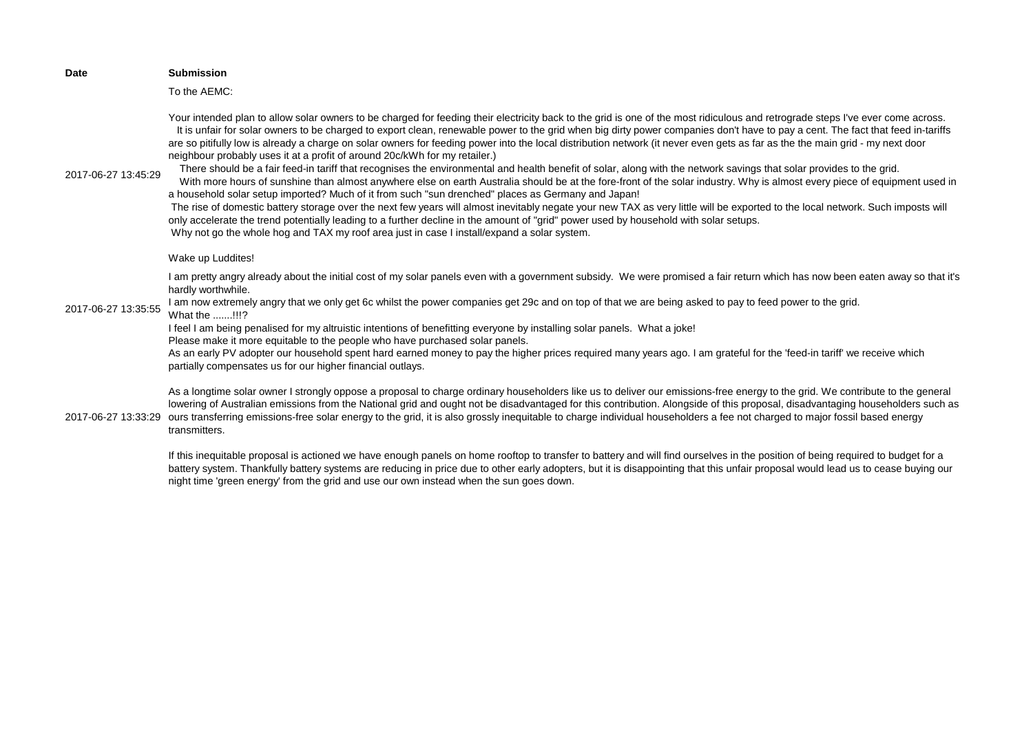|  | <b>Date</b>         | <b>Submission</b>                                                                                                                                                                                                                                                                                                                                                                                                                                                                                                                                                                                                                                                                                                                                                                                                                                                                                                                                                                                                                                                                                                                                                                                                                                                                                                                                                                                                                                                                                                        |
|--|---------------------|--------------------------------------------------------------------------------------------------------------------------------------------------------------------------------------------------------------------------------------------------------------------------------------------------------------------------------------------------------------------------------------------------------------------------------------------------------------------------------------------------------------------------------------------------------------------------------------------------------------------------------------------------------------------------------------------------------------------------------------------------------------------------------------------------------------------------------------------------------------------------------------------------------------------------------------------------------------------------------------------------------------------------------------------------------------------------------------------------------------------------------------------------------------------------------------------------------------------------------------------------------------------------------------------------------------------------------------------------------------------------------------------------------------------------------------------------------------------------------------------------------------------------|
|  |                     | To the AEMC:                                                                                                                                                                                                                                                                                                                                                                                                                                                                                                                                                                                                                                                                                                                                                                                                                                                                                                                                                                                                                                                                                                                                                                                                                                                                                                                                                                                                                                                                                                             |
|  | 2017-06-27 13:45:29 | Your intended plan to allow solar owners to be charged for feeding their electricity back to the grid is one of the most ridiculous and retrograde steps I've ever come across.<br>It is unfair for solar owners to be charged to export clean, renewable power to the grid when big dirty power companies don't have to pay a cent. The fact that feed in-tariffs<br>are so pitifully low is already a charge on solar owners for feeding power into the local distribution network (it never even gets as far as the the main grid - my next door<br>neighbour probably uses it at a profit of around 20c/kWh for my retailer.)<br>There should be a fair feed-in tariff that recognises the environmental and health benefit of solar, along with the network savings that solar provides to the grid.<br>With more hours of sunshine than almost anywhere else on earth Australia should be at the fore-front of the solar industry. Why is almost every piece of equipment used in<br>a household solar setup imported? Much of it from such "sun drenched" places as Germany and Japan!<br>The rise of domestic battery storage over the next few years will almost inevitably negate your new TAX as very little will be exported to the local network. Such imposts will<br>only accelerate the trend potentially leading to a further decline in the amount of "grid" power used by household with solar setups.<br>Why not go the whole hog and TAX my roof area just in case I install/expand a solar system. |
|  |                     | Wake up Luddites!                                                                                                                                                                                                                                                                                                                                                                                                                                                                                                                                                                                                                                                                                                                                                                                                                                                                                                                                                                                                                                                                                                                                                                                                                                                                                                                                                                                                                                                                                                        |
|  |                     | I am pretty angry already about the initial cost of my solar panels even with a government subsidy. We were promised a fair return which has now been eaten away so that it's<br>hardly worthwhile.                                                                                                                                                                                                                                                                                                                                                                                                                                                                                                                                                                                                                                                                                                                                                                                                                                                                                                                                                                                                                                                                                                                                                                                                                                                                                                                      |
|  | 2017-06-27 13:35:55 | I am now extremely angry that we only get 6c whilst the power companies get 29c and on top of that we are being asked to pay to feed power to the grid.<br>What the !!!?                                                                                                                                                                                                                                                                                                                                                                                                                                                                                                                                                                                                                                                                                                                                                                                                                                                                                                                                                                                                                                                                                                                                                                                                                                                                                                                                                 |
|  |                     | I feel I am being penalised for my altruistic intentions of benefitting everyone by installing solar panels. What a joke!                                                                                                                                                                                                                                                                                                                                                                                                                                                                                                                                                                                                                                                                                                                                                                                                                                                                                                                                                                                                                                                                                                                                                                                                                                                                                                                                                                                                |
|  |                     | Please make it more equitable to the people who have purchased solar panels.<br>As an early PV adopter our household spent hard earned money to pay the higher prices required many years ago. I am grateful for the 'feed-in tariff' we receive which<br>partially compensates us for our higher financial outlays.                                                                                                                                                                                                                                                                                                                                                                                                                                                                                                                                                                                                                                                                                                                                                                                                                                                                                                                                                                                                                                                                                                                                                                                                     |
|  |                     | As a longtime solar owner I strongly oppose a proposal to charge ordinary householders like us to deliver our emissions-free energy to the grid. We contribute to the general<br>lowering of Australian emissions from the National grid and ought not be disadvantaged for this contribution. Alongside of this proposal, disadvantaging householders such as<br>2017-06-27 13:33:29 ours transferring emissions-free solar energy to the grid, it is also grossly inequitable to charge individual householders a fee not charged to major fossil based energy<br>transmitters.                                                                                                                                                                                                                                                                                                                                                                                                                                                                                                                                                                                                                                                                                                                                                                                                                                                                                                                                        |
|  |                     |                                                                                                                                                                                                                                                                                                                                                                                                                                                                                                                                                                                                                                                                                                                                                                                                                                                                                                                                                                                                                                                                                                                                                                                                                                                                                                                                                                                                                                                                                                                          |

If this inequitable proposal is actioned we have enough panels on home rooftop to transfer to battery and will find ourselves in the position of being required to budget for a battery system. Thankfully battery systems are reducing in price due to other early adopters, but it is disappointing that this unfair proposal would lead us to cease buying our night time 'green energy' from the grid and use our own instead when the sun goes down.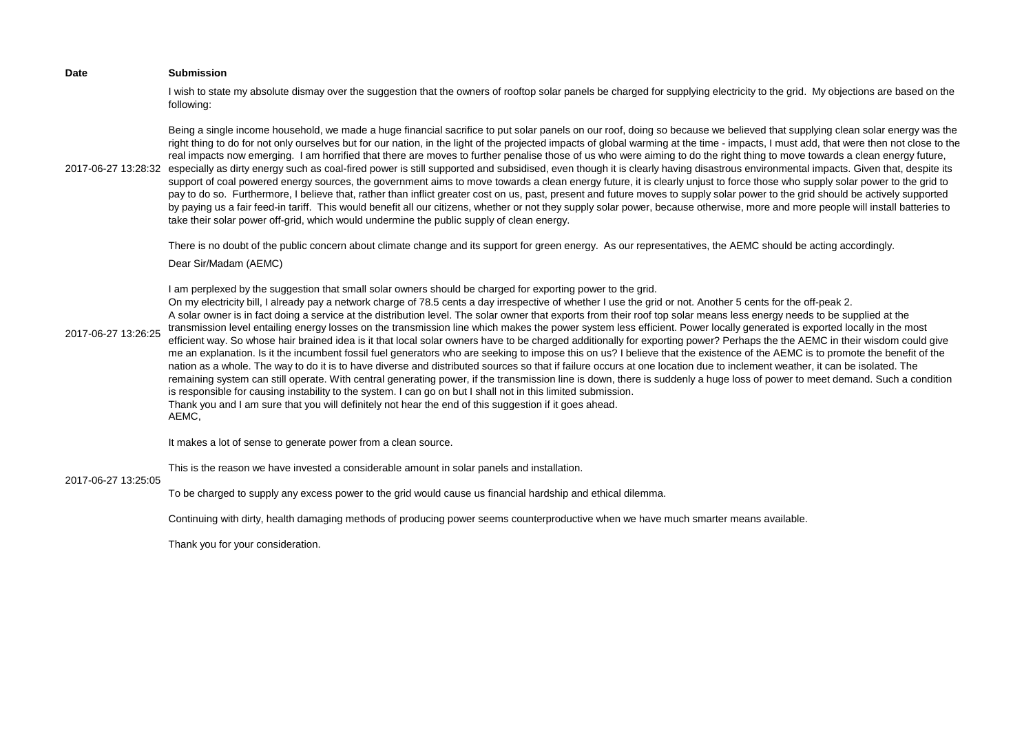I wish to state my absolute dismay over the suggestion that the owners of rooftop solar panels be charged for supplying electricity to the grid. My objections are based on the following:

2017-06-27 13:28:32 especially as dirty energy such as coal-fired power is still supported and subsidised, even though it is clearly having disastrous environmental impacts. Given that, despite its Being a single income household, we made a huge financial sacrifice to put solar panels on our roof, doing so because we believed that supplying clean solar energy was the right thing to do for not only ourselves but for our nation, in the light of the projected impacts of global warming at the time - impacts, I must add, that were then not close to the real impacts now emerging. I am horrified that there are moves to further penalise those of us who were aiming to do the right thing to move towards a clean energy future, support of coal powered energy sources, the government aims to move towards a clean energy future, it is clearly unjust to force those who supply solar power to the grid to pay to do so. Furthermore, I believe that, rather than inflict greater cost on us, past, present and future moves to supply solar power to the grid should be actively supported by paying us a fair feed-in tariff. This would benefit all our citizens, whether or not they supply solar power, because otherwise, more and more people will install batteries to take their solar power off-grid, which would undermine the public supply of clean energy.

There is no doubt of the public concern about climate change and its support for green energy. As our representatives, the AEMC should be acting accordingly.

Dear Sir/Madam (AEMC)

I am perplexed by the suggestion that small solar owners should be charged for exporting power to the grid.

2017-06-27 13:26:25 On my electricity bill, I already pay a network charge of 78.5 cents a day irrespective of whether I use the grid or not. Another 5 cents for the off-peak 2. A solar owner is in fact doing a service at the distribution level. The solar owner that exports from their roof top solar means less energy needs to be supplied at the transmission level entailing energy losses on the transmission line which makes the power system less efficient. Power locally generated is exported locally in the most efficient way. So whose hair brained idea is it that local solar owners have to be charged additionally for exporting power? Perhaps the the AEMC in their wisdom could give me an explanation. Is it the incumbent fossil fuel generators who are seeking to impose this on us? I believe that the existence of the AEMC is to promote the benefit of the nation as a whole. The way to do it is to have diverse and distributed sources so that if failure occurs at one location due to inclement weather, it can be isolated. The remaining system can still operate. With central generating power, if the transmission line is down, there is suddenly a huge loss of power to meet demand. Such a condition is responsible for causing instability to the system. I can go on but I shall not in this limited submission. Thank you and I am sure that you will definitely not hear the end of this suggestion if it goes ahead. AEMC,

It makes a lot of sense to generate power from a clean source.

This is the reason we have invested a considerable amount in solar panels and installation.

## 2017-06-27 13:25:05

To be charged to supply any excess power to the grid would cause us financial hardship and ethical dilemma.

Continuing with dirty, health damaging methods of producing power seems counterproductive when we have much smarter means available.

Thank you for your consideration.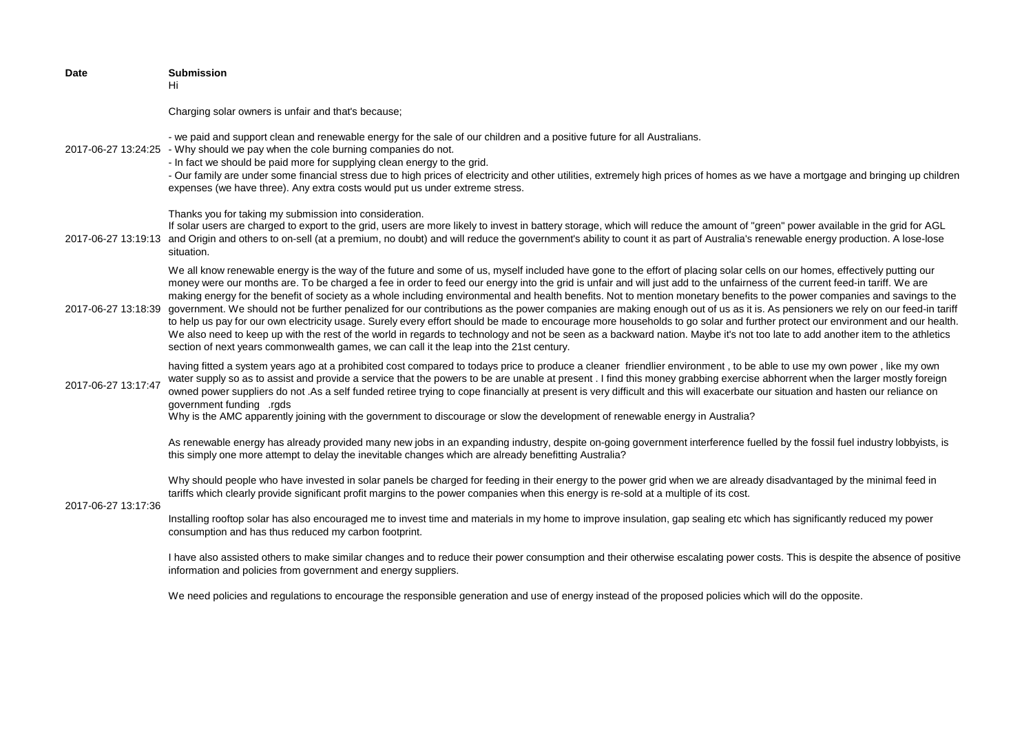| <b>Date</b>         | <b>Submission</b><br>Hi                                                                                                                                                                                                                                                                                                                                                                                                                                                                                                                                                                                                                                                                                                                                                                                                                                                                                                                                                                                                                                                                                                                                                                   |
|---------------------|-------------------------------------------------------------------------------------------------------------------------------------------------------------------------------------------------------------------------------------------------------------------------------------------------------------------------------------------------------------------------------------------------------------------------------------------------------------------------------------------------------------------------------------------------------------------------------------------------------------------------------------------------------------------------------------------------------------------------------------------------------------------------------------------------------------------------------------------------------------------------------------------------------------------------------------------------------------------------------------------------------------------------------------------------------------------------------------------------------------------------------------------------------------------------------------------|
|                     | Charging solar owners is unfair and that's because;                                                                                                                                                                                                                                                                                                                                                                                                                                                                                                                                                                                                                                                                                                                                                                                                                                                                                                                                                                                                                                                                                                                                       |
|                     | - we paid and support clean and renewable energy for the sale of our children and a positive future for all Australians.<br>2017-06-27 13:24:25 - Why should we pay when the cole burning companies do not.<br>- In fact we should be paid more for supplying clean energy to the grid.<br>- Our family are under some financial stress due to high prices of electricity and other utilities, extremely high prices of homes as we have a mortgage and bringing up children<br>expenses (we have three). Any extra costs would put us under extreme stress.                                                                                                                                                                                                                                                                                                                                                                                                                                                                                                                                                                                                                              |
|                     | Thanks you for taking my submission into consideration.<br>If solar users are charged to export to the grid, users are more likely to invest in battery storage, which will reduce the amount of "green" power available in the grid for AGL<br>2017-06-27 13:19:13 and Origin and others to on-sell (at a premium, no doubt) and will reduce the government's ability to count it as part of Australia's renewable energy production. A lose-lose<br>situation.                                                                                                                                                                                                                                                                                                                                                                                                                                                                                                                                                                                                                                                                                                                          |
| 2017-06-27 13:18:39 | We all know renewable energy is the way of the future and some of us, myself included have gone to the effort of placing solar cells on our homes, effectively putting our<br>money were our months are. To be charged a fee in order to feed our energy into the grid is unfair and will just add to the unfairness of the current feed-in tariff. We are<br>making energy for the benefit of society as a whole including environmental and health benefits. Not to mention monetary benefits to the power companies and savings to the<br>government. We should not be further penalized for our contributions as the power companies are making enough out of us as it is. As pensioners we rely on our feed-in tariff<br>to help us pay for our own electricity usage. Surely every effort should be made to encourage more households to go solar and further protect our environment and our health.<br>We also need to keep up with the rest of the world in regards to technology and not be seen as a backward nation. Maybe it's not too late to add another item to the athletics<br>section of next years commonwealth games, we can call it the leap into the 21st century. |
| 2017-06-27 13:17:47 | having fitted a system years ago at a prohibited cost compared to todays price to produce a cleaner friendlier environment, to be able to use my own power, like my own<br>water supply so as to assist and provide a service that the powers to be are unable at present. I find this money grabbing exercise abhorrent when the larger mostly foreign<br>owned power suppliers do not .As a self funded retiree trying to cope financially at present is very difficult and this will exacerbate our situation and hasten our reliance on<br>government funding rads<br>Why is the AMC apparently joining with the government to discourage or slow the development of renewable energy in Australia?                                                                                                                                                                                                                                                                                                                                                                                                                                                                                   |
|                     | As renewable energy has already provided many new jobs in an expanding industry, despite on-going government interference fuelled by the fossil fuel industry lobbyists, is<br>this simply one more attempt to delay the inevitable changes which are already benefitting Australia?                                                                                                                                                                                                                                                                                                                                                                                                                                                                                                                                                                                                                                                                                                                                                                                                                                                                                                      |
| 2017-06-27 13:17:36 | Why should people who have invested in solar panels be charged for feeding in their energy to the power grid when we are already disadvantaged by the minimal feed in<br>tariffs which clearly provide significant profit margins to the power companies when this energy is re-sold at a multiple of its cost.                                                                                                                                                                                                                                                                                                                                                                                                                                                                                                                                                                                                                                                                                                                                                                                                                                                                           |
|                     | Installing rooftop solar has also encouraged me to invest time and materials in my home to improve insulation, gap sealing etc which has significantly reduced my power<br>consumption and has thus reduced my carbon footprint.                                                                                                                                                                                                                                                                                                                                                                                                                                                                                                                                                                                                                                                                                                                                                                                                                                                                                                                                                          |
|                     | I have also assisted others to make similar changes and to reduce their power consumption and their otherwise escalating power costs. This is despite the absence of positive<br>information and policies from government and energy suppliers.                                                                                                                                                                                                                                                                                                                                                                                                                                                                                                                                                                                                                                                                                                                                                                                                                                                                                                                                           |

We need policies and regulations to encourage the responsible generation and use of energy instead of the proposed policies which will do the opposite.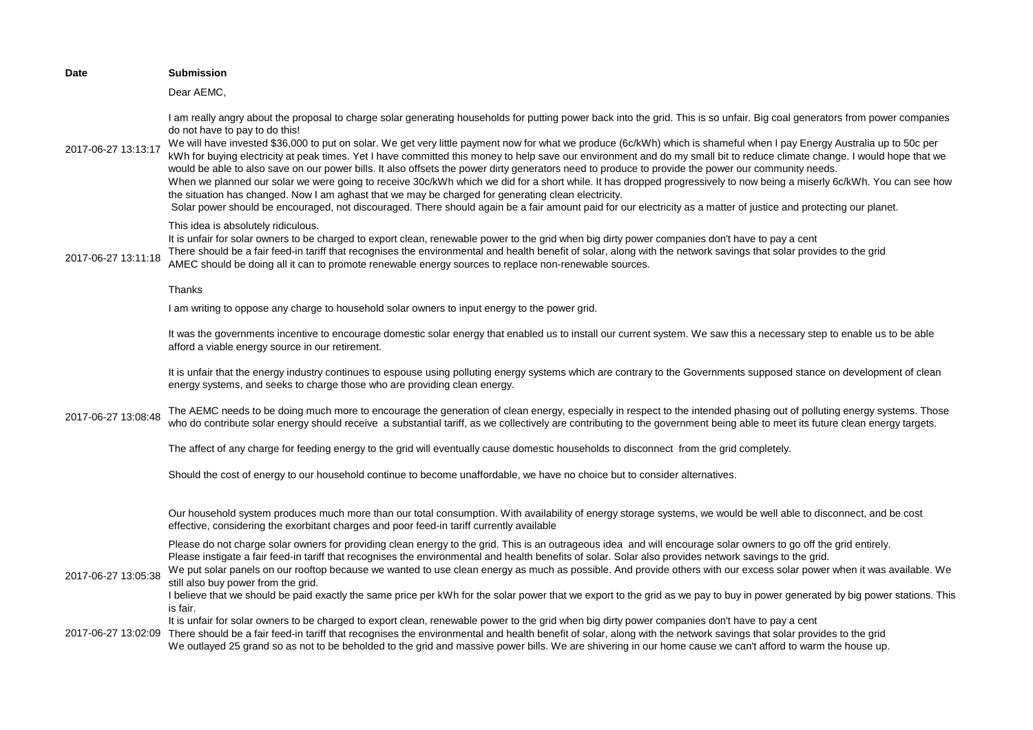| <b>Date</b>         | <b>Submission</b>                                                                                                                                                                                                                                                                                                                                                                                                                                                                                                                                                                                                                                                                                                                                                                                                                                                                                                                                                                                                                                                                                                                                                                   |
|---------------------|-------------------------------------------------------------------------------------------------------------------------------------------------------------------------------------------------------------------------------------------------------------------------------------------------------------------------------------------------------------------------------------------------------------------------------------------------------------------------------------------------------------------------------------------------------------------------------------------------------------------------------------------------------------------------------------------------------------------------------------------------------------------------------------------------------------------------------------------------------------------------------------------------------------------------------------------------------------------------------------------------------------------------------------------------------------------------------------------------------------------------------------------------------------------------------------|
|                     | Dear AEMC,                                                                                                                                                                                                                                                                                                                                                                                                                                                                                                                                                                                                                                                                                                                                                                                                                                                                                                                                                                                                                                                                                                                                                                          |
| 2017-06-27 13:13:17 | I am really angry about the proposal to charge solar generating households for putting power back into the grid. This is so unfair. Big coal generators from power companies<br>do not have to pay to do this!<br>We will have invested \$36,000 to put on solar. We get very little payment now for what we produce (6c/kWh) which is shameful when I pay Energy Australia up to 50c per<br>kWh for buying electricity at peak times. Yet I have committed this money to help save our environment and do my small bit to reduce climate change. I would hope that we<br>would be able to also save on our power bills. It also offsets the power dirty generators need to produce to provide the power our community needs.<br>When we planned our solar we were going to receive 30c/kWh which we did for a short while. It has dropped progressively to now being a miserly 6c/kWh. You can see how<br>the situation has changed. Now I am aghast that we may be charged for generating clean electricity.<br>Solar power should be encouraged, not discouraged. There should again be a fair amount paid for our electricity as a matter of justice and protecting our planet. |
| 2017-06-27 13:11:18 | This idea is absolutely ridiculous.<br>It is unfair for solar owners to be charged to export clean, renewable power to the grid when big dirty power companies don't have to pay a cent<br>There should be a fair feed-in tariff that recognises the environmental and health benefit of solar, along with the network savings that solar provides to the grid<br>AMEC should be doing all it can to promote renewable energy sources to replace non-renewable sources.                                                                                                                                                                                                                                                                                                                                                                                                                                                                                                                                                                                                                                                                                                             |
|                     | Thanks                                                                                                                                                                                                                                                                                                                                                                                                                                                                                                                                                                                                                                                                                                                                                                                                                                                                                                                                                                                                                                                                                                                                                                              |
|                     | I am writing to oppose any charge to household solar owners to input energy to the power grid.                                                                                                                                                                                                                                                                                                                                                                                                                                                                                                                                                                                                                                                                                                                                                                                                                                                                                                                                                                                                                                                                                      |
|                     | It was the governments incentive to encourage domestic solar energy that enabled us to install our current system. We saw this a necessary step to enable us to be able<br>afford a viable energy source in our retirement.                                                                                                                                                                                                                                                                                                                                                                                                                                                                                                                                                                                                                                                                                                                                                                                                                                                                                                                                                         |
|                     | It is unfair that the energy industry continues to espouse using polluting energy systems which are contrary to the Governments supposed stance on development of clean<br>energy systems, and seeks to charge those who are providing clean energy.                                                                                                                                                                                                                                                                                                                                                                                                                                                                                                                                                                                                                                                                                                                                                                                                                                                                                                                                |
| 2017-06-27 13:08:48 | The AEMC needs to be doing much more to encourage the generation of clean energy, especially in respect to the intended phasing out of polluting energy systems. Those<br>who do contribute solar energy should receive a substantial tariff, as we collectively are contributing to the government being able to meet its future clean energy targets.                                                                                                                                                                                                                                                                                                                                                                                                                                                                                                                                                                                                                                                                                                                                                                                                                             |
|                     | The affect of any charge for feeding energy to the grid will eventually cause domestic households to disconnect from the grid completely.                                                                                                                                                                                                                                                                                                                                                                                                                                                                                                                                                                                                                                                                                                                                                                                                                                                                                                                                                                                                                                           |
|                     | Should the cost of energy to our household continue to become unaffordable, we have no choice but to consider alternatives.                                                                                                                                                                                                                                                                                                                                                                                                                                                                                                                                                                                                                                                                                                                                                                                                                                                                                                                                                                                                                                                         |
|                     | Our household system produces much more than our total consumption. With availability of energy storage systems, we would be well able to disconnect, and be cost<br>effective, considering the exorbitant charges and poor feed-in tariff currently available                                                                                                                                                                                                                                                                                                                                                                                                                                                                                                                                                                                                                                                                                                                                                                                                                                                                                                                      |
| 2017-06-27 13:05:38 | Please do not charge solar owners for providing clean energy to the grid. This is an outrageous idea and will encourage solar owners to go off the grid entirely.<br>Please instigate a fair feed-in tariff that recognises the environmental and health benefits of solar. Solar also provides network savings to the grid.<br>We put solar panels on our rooftop because we wanted to use clean energy as much as possible. And provide others with our excess solar power when it was available. We<br>still also buy power from the grid.<br>I believe that we should be paid exactly the same price per kWh for the solar power that we export to the grid as we pay to buy in power generated by big power stations. This<br>is fair.                                                                                                                                                                                                                                                                                                                                                                                                                                         |
|                     | It is unfair for solar owners to be charged to export clean, renewable power to the grid when big dirty power companies don't have to pay a cent<br>2017-06-27 13:02:09 There should be a fair feed-in tariff that recognises the environmental and health benefit of solar, along with the network savings that solar provides to the grid<br>We outlayed 25 grand so as not to be beholded to the grid and massive power bills. We are shivering in our home cause we can't afford to warm the house up.                                                                                                                                                                                                                                                                                                                                                                                                                                                                                                                                                                                                                                                                          |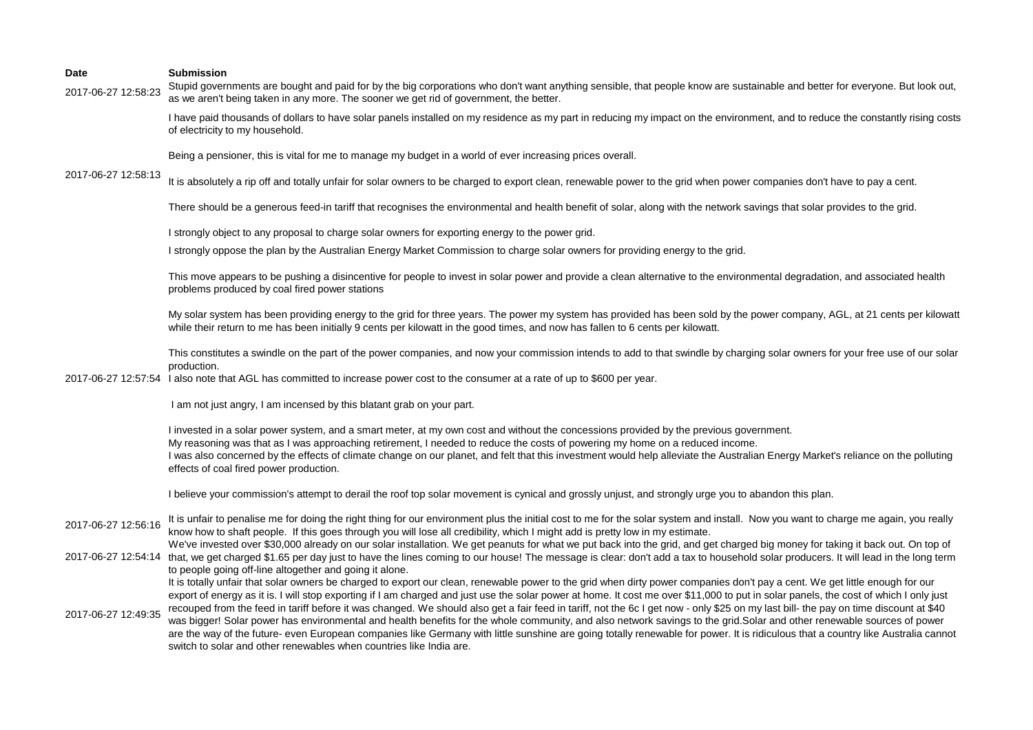2017-06-27 12:58:23 Stupid governments are bought and paid for by the big corporations who don't want anything sensible, that people know are sustainable and better for everyone. But look out, as we aren't being taken in any more. The sooner we get rid of government, the better.

> I have paid thousands of dollars to have solar panels installed on my residence as my part in reducing my impact on the environment, and to reduce the constantly rising costs of electricity to my household.

Being a pensioner, this is vital for me to manage my budget in a world of ever increasing prices overall.

2017-06-27 12:58:13 It is absolutely a rip off and totally unfair for solar owners to be charged to export clean, renewable power to the grid when power companies don't have to pay a cent.

There should be a generous feed-in tariff that recognises the environmental and health benefit of solar, along with the network savings that solar provides to the grid.

I strongly object to any proposal to charge solar owners for exporting energy to the power grid.

I strongly oppose the plan by the Australian Energy Market Commission to charge solar owners for providing energy to the grid.

This move appears to be pushing a disincentive for people to invest in solar power and provide a clean alternative to the environmental degradation, and associated health problems produced by coal fired power stations

My solar system has been providing energy to the grid for three years. The power my system has provided has been sold by the power company, AGL, at 21 cents per kilowatt while their return to me has been initially 9 cents per kilowatt in the good times, and now has fallen to 6 cents per kilowatt.

This constitutes a swindle on the part of the power companies, and now your commission intends to add to that swindle by charging solar owners for your free use of our solar production.

2017-06-27 12:57:54 I also note that AGL has committed to increase power cost to the consumer at a rate of up to \$600 per year.

I am not just angry, I am incensed by this blatant grab on your part.

I invested in a solar power system, and a smart meter, at my own cost and without the concessions provided by the previous government. My reasoning was that as I was approaching retirement, I needed to reduce the costs of powering my home on a reduced income. I was also concerned by the effects of climate change on our planet, and felt that this investment would help alleviate the Australian Energy Market's reliance on the polluting effects of coal fired power production.

I believe your commission's attempt to derail the roof top solar movement is cynical and grossly unjust, and strongly urge you to abandon this plan.

- 2017-06-27 12:56:16 It is unfair to penalise me for doing the right thing for our environment plus the initial cost to me for the solar system and install. Now you want to charge me again, you really know how to shaft people. If this goes through you will lose all credibility, which I might add is pretty low in my estimate.
- 2017-06-27 12:54:14 that, we get charged \$1.65 per day just to have the lines coming to our house! The message is clear: don't add a tax to household solar producers. It will lead in the long term We've invested over \$30,000 already on our solar installation. We get peanuts for what we put back into the grid, and get charged big money for taking it back out. On top of to people going off-line altogether and going it alone.

It is totally unfair that solar owners be charged to export our clean, renewable power to the grid when dirty power companies don't pay a cent. We get little enough for our export of energy as it is. I will stop exporting if I am charged and just use the solar power at home. It cost me over \$11,000 to put in solar panels, the cost of which I only just

2017-06-27 12:49:35 recouped from the feed in tariff before it was changed. We should also get a fair feed in tariff, not the 6c I get now - only \$25 on my last bill- the pay on time discount at \$40 was bigger! Solar power has environmental and health benefits for the whole community, and also network savings to the grid. Solar and other renewable sources of power are the way of the future- even European companies like Germany with little sunshine are going totally renewable for power. It is ridiculous that a country like Australia cannot switch to solar and other renewables when countries like India are.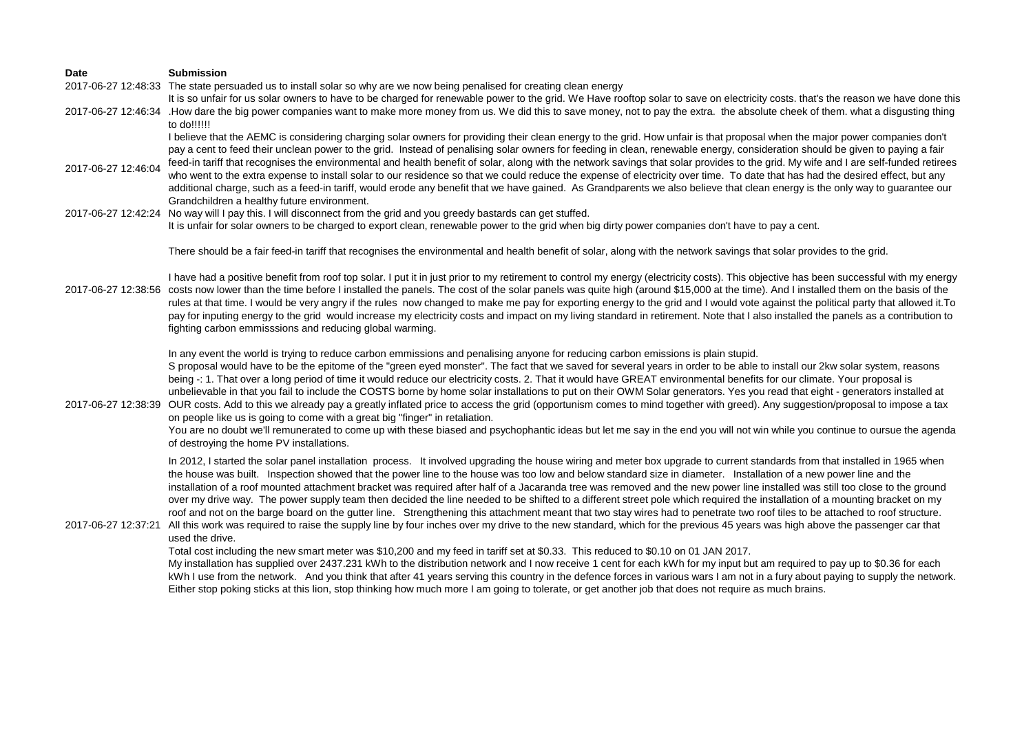# **Date Submission** 2017-06-27 12:48:33 The state persuaded us to install solar so why are we now being penalised for creating clean energy

2017-06-27 12:46:34 .How dare the big power companies want to make more money from us. We did this to save money, not to pay the extra. the absolute cheek of them. what a disgusting thing It is so unfair for us solar owners to have to be charged for renewable power to the grid. We Have rooftop solar to save on electricity costs. that's the reason we have done this to do!!!!!!

> I believe that the AEMC is considering charging solar owners for providing their clean energy to the grid. How unfair is that proposal when the major power companies don't pay a cent to feed their unclean power to the grid. Instead of penalising solar owners for feeding in clean, renewable energy, consideration should be given to paying a fair feed-in tariff that recognises the environmental and health benefit of solar, along with the network savings that solar provides to the grid. My wife and I are self-funded retirees

- 2017-06-27 12:46:04 who went to the extra expense to install solar to our residence so that we could reduce the expense of electricity over time. To date that has had the desired effect, but any additional charge, such as a feed-in tariff, would erode any benefit that we have gained. As Grandparents we also believe that clean energy is the only way to guarantee our Grandchildren a healthy future environment.
- 2017-06-27 12:42:24 No way will I pay this. I will disconnect from the grid and you greedy bastards can get stuffed. It is unfair for solar owners to be charged to export clean, renewable power to the grid when big dirty power companies don't have to pay a cent.

There should be a fair feed-in tariff that recognises the environmental and health benefit of solar, along with the network savings that solar provides to the grid.

2017-06-27 12:38:56 costs now lower than the time before I installed the panels. The cost of the solar panels was quite high (around \$15,000 at the time). And I installed them on the basis of the I have had a positive benefit from roof top solar. I put it in just prior to my retirement to control my energy (electricity costs). This objective has been successful with my energy rules at that time. I would be very angry if the rules now changed to make me pay for exporting energy to the grid and I would vote against the political party that allowed it.To pay for inputing energy to the grid would increase my electricity costs and impact on my living standard in retirement. Note that I also installed the panels as a contribution to fighting carbon emmisssions and reducing global warming.

> In any event the world is trying to reduce carbon emmissions and penalising anyone for reducing carbon emissions is plain stupid. S proposal would have to be the epitome of the "green eved monster". The fact that we saved for several years in order to be able to install our 2kw solar system, reasons being -: 1. That over a long period of time it would reduce our electricity costs. 2. That it would have GREAT environmental benefits for our climate. Your proposal is unbelievable in that you fail to include the COSTS borne by home solar installations to put on their OWM Solar generators. Yes you read that eight - generators installed at

2017-06-27 12:38:39 OUR costs. Add to this we already pay a greatly inflated price to access the grid (opportunism comes to mind together with greed). Any suggestion/proposal to impose a tax on people like us is going to come with a great big "finger" in retaliation.

You are no doubt we'll remunerated to come up with these biased and psychophantic ideas but let me say in the end you will not win while you continue to oursue the agenda of destroying the home PV installations.

In 2012, I started the solar panel installation process. It involved upgrading the house wiring and meter box upgrade to current standards from that installed in 1965 when the house was built. Inspection showed that the power line to the house was too low and below standard size in diameter. Installation of a new power line and the installation of a roof mounted attachment bracket was required after half of a Jacaranda tree was removed and the new power line installed was still too close to the ground over my drive way. The power supply team then decided the line needed to be shifted to a different street pole which required the installation of a mounting bracket on my roof and not on the barge board on the gutter line. Strengthening this attachment meant that two stay wires had to penetrate two roof tiles to be attached to roof structure.

# 2017-06-27 12:37:21 All this work was required to raise the supply line by four inches over my drive to the new standard, which for the previous 45 years was high above the passenger car that used the drive.

Total cost including the new smart meter was \$10,200 and my feed in tariff set at \$0.33. This reduced to \$0.10 on 01 JAN 2017.

My installation has supplied over 2437.231 kWh to the distribution network and I now receive 1 cent for each kWh for my input but am required to pay up to \$0.36 for each kWh I use from the network. And you think that after 41 years serving this country in the defence forces in various wars I am not in a fury about paying to supply the network. Either stop poking sticks at this lion, stop thinking how much more I am going to tolerate, or get another job that does not require as much brains.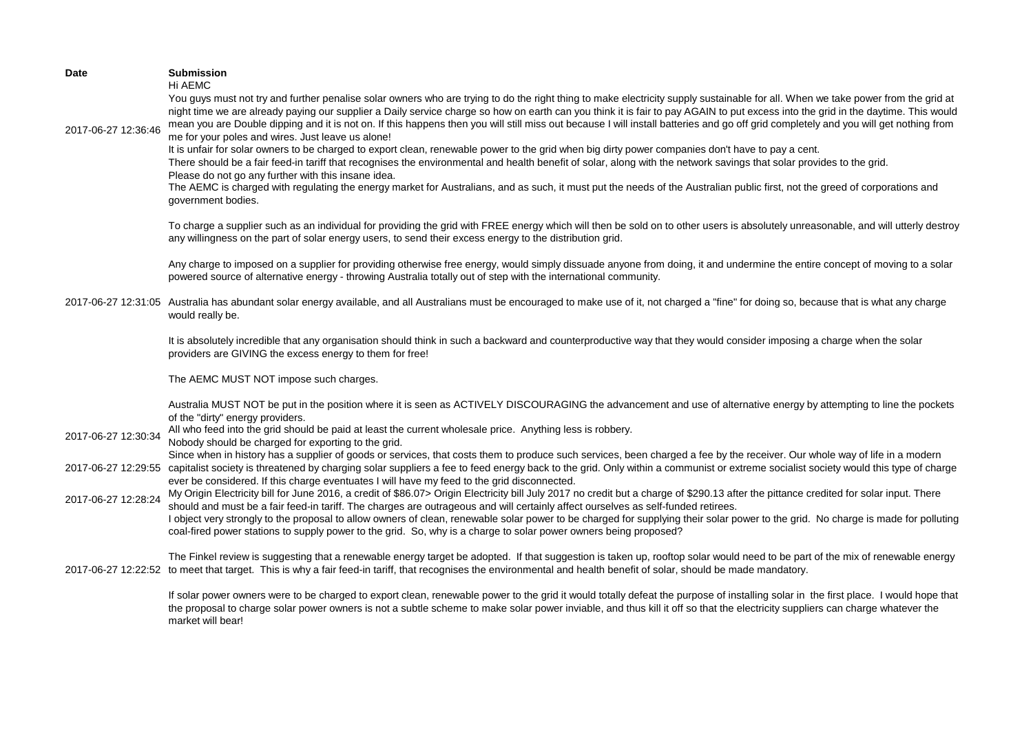| <b>Date</b>         | <b>Submission</b><br>Hi AEMC                                                                                                                                                                                                                                                                                                                                                                                                                                                                                                                                                                                                                                                                                                                                                                                                                                                                                                                                                                                                                                                                                                                                                                                |
|---------------------|-------------------------------------------------------------------------------------------------------------------------------------------------------------------------------------------------------------------------------------------------------------------------------------------------------------------------------------------------------------------------------------------------------------------------------------------------------------------------------------------------------------------------------------------------------------------------------------------------------------------------------------------------------------------------------------------------------------------------------------------------------------------------------------------------------------------------------------------------------------------------------------------------------------------------------------------------------------------------------------------------------------------------------------------------------------------------------------------------------------------------------------------------------------------------------------------------------------|
| 2017-06-27 12:36:46 | You guys must not try and further penalise solar owners who are trying to do the right thing to make electricity supply sustainable for all. When we take power from the grid at<br>night time we are already paying our supplier a Daily service charge so how on earth can you think it is fair to pay AGAIN to put excess into the grid in the daytime. This would<br>mean you are Double dipping and it is not on. If this happens then you will still miss out because I will install batteries and go off grid completely and you will get nothing from<br>me for your poles and wires. Just leave us alone!<br>It is unfair for solar owners to be charged to export clean, renewable power to the grid when big dirty power companies don't have to pay a cent.<br>There should be a fair feed-in tariff that recognises the environmental and health benefit of solar, along with the network savings that solar provides to the grid.<br>Please do not go any further with this insane idea.<br>The AEMC is charged with regulating the energy market for Australians, and as such, it must put the needs of the Australian public first, not the greed of corporations and<br>government bodies. |
|                     | To charge a supplier such as an individual for providing the grid with FREE energy which will then be sold on to other users is absolutely unreasonable, and will utterly destroy<br>any willingness on the part of solar energy users, to send their excess energy to the distribution grid.                                                                                                                                                                                                                                                                                                                                                                                                                                                                                                                                                                                                                                                                                                                                                                                                                                                                                                               |
|                     | Any charge to imposed on a supplier for providing otherwise free energy, would simply dissuade anyone from doing, it and undermine the entire concept of moving to a solar<br>powered source of alternative energy - throwing Australia totally out of step with the international community.                                                                                                                                                                                                                                                                                                                                                                                                                                                                                                                                                                                                                                                                                                                                                                                                                                                                                                               |
|                     | 2017-06-27 12:31:05 Australia has abundant solar energy available, and all Australians must be encouraged to make use of it, not charged a "fine" for doing so, because that is what any charge<br>would really be.                                                                                                                                                                                                                                                                                                                                                                                                                                                                                                                                                                                                                                                                                                                                                                                                                                                                                                                                                                                         |
|                     | It is absolutely incredible that any organisation should think in such a backward and counterproductive way that they would consider imposing a charge when the solar<br>providers are GIVING the excess energy to them for free!                                                                                                                                                                                                                                                                                                                                                                                                                                                                                                                                                                                                                                                                                                                                                                                                                                                                                                                                                                           |
|                     | The AEMC MUST NOT impose such charges.                                                                                                                                                                                                                                                                                                                                                                                                                                                                                                                                                                                                                                                                                                                                                                                                                                                                                                                                                                                                                                                                                                                                                                      |
|                     | Australia MUST NOT be put in the position where it is seen as ACTIVELY DISCOURAGING the advancement and use of alternative energy by attempting to line the pockets<br>of the "dirty" energy providers.<br>All who feed into the grid should be paid at least the current wholesale price. Anything less is robbery.                                                                                                                                                                                                                                                                                                                                                                                                                                                                                                                                                                                                                                                                                                                                                                                                                                                                                        |
| 2017-06-27 12:30:34 | Nobody should be charged for exporting to the grid.                                                                                                                                                                                                                                                                                                                                                                                                                                                                                                                                                                                                                                                                                                                                                                                                                                                                                                                                                                                                                                                                                                                                                         |
| 2017-06-27 12:29:55 | Since when in history has a supplier of goods or services, that costs them to produce such services, been charged a fee by the receiver. Our whole way of life in a modern<br>capitalist society is threatened by charging solar suppliers a fee to feed energy back to the grid. Only within a communist or extreme socialist society would this type of charge<br>ever be considered. If this charge eventuates I will have my feed to the grid disconnected.                                                                                                                                                                                                                                                                                                                                                                                                                                                                                                                                                                                                                                                                                                                                             |
| 2017-06-27 12:28:24 | My Origin Electricity bill for June 2016, a credit of \$86.07> Origin Electricity bill July 2017 no credit but a charge of \$290.13 after the pittance credited for solar input. There<br>should and must be a fair feed-in tariff. The charges are outrageous and will certainly affect ourselves as self-funded retirees.<br>I object very strongly to the proposal to allow owners of clean, renewable solar power to be charged for supplying their solar power to the grid. No charge is made for polluting<br>coal-fired power stations to supply power to the grid. So, why is a charge to solar power owners being proposed?                                                                                                                                                                                                                                                                                                                                                                                                                                                                                                                                                                        |
|                     | The Finkel review is suggesting that a renewable energy target be adopted. If that suggestion is taken up, rooftop solar would need to be part of the mix of renewable energy<br>2017-06-27 12:22:52 to meet that target. This is why a fair feed-in tariff, that recognises the environmental and health benefit of solar, should be made mandatory.                                                                                                                                                                                                                                                                                                                                                                                                                                                                                                                                                                                                                                                                                                                                                                                                                                                       |
|                     | If solar power owners were to be charged to export clean, renewable power to the grid it would totally defeat the purpose of installing solar in the first place. I would hope that<br>the proposal to charge solar power owners is not a subtle scheme to make solar power inviable, and thus kill it off so that the electricity suppliers can charge whatever the<br>market will bear!                                                                                                                                                                                                                                                                                                                                                                                                                                                                                                                                                                                                                                                                                                                                                                                                                   |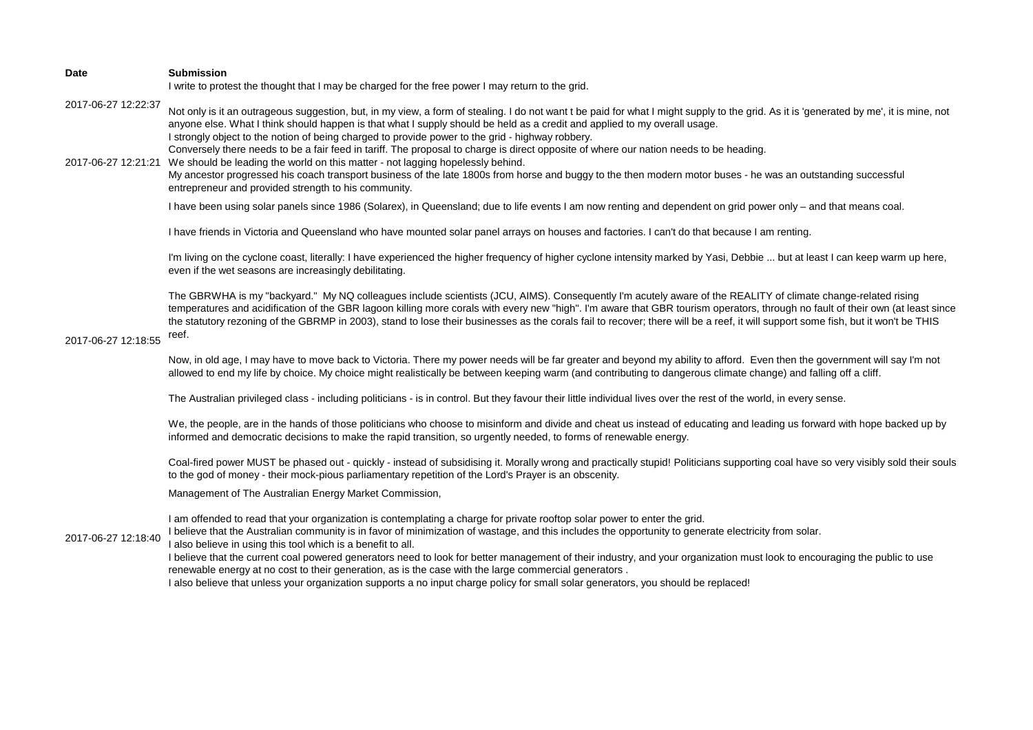| Date                | <b>Submission</b><br>I write to protest the thought that I may be charged for the free power I may return to the grid.                                                                                                                                                                                                                                                                                                                                                                                                                                                                                                                                                                                                                                                                                                                                                                          |
|---------------------|-------------------------------------------------------------------------------------------------------------------------------------------------------------------------------------------------------------------------------------------------------------------------------------------------------------------------------------------------------------------------------------------------------------------------------------------------------------------------------------------------------------------------------------------------------------------------------------------------------------------------------------------------------------------------------------------------------------------------------------------------------------------------------------------------------------------------------------------------------------------------------------------------|
| 2017-06-27 12:22:37 | Not only is it an outrageous suggestion, but, in my view, a form of stealing. I do not want t be paid for what I might supply to the grid. As it is 'generated by me', it is mine, not<br>anyone else. What I think should happen is that what I supply should be held as a credit and applied to my overall usage.<br>I strongly object to the notion of being charged to provide power to the grid - highway robbery.<br>Conversely there needs to be a fair feed in tariff. The proposal to charge is direct opposite of where our nation needs to be heading.<br>2017-06-27 12:21:21 We should be leading the world on this matter - not lagging hopelessly behind.<br>My ancestor progressed his coach transport business of the late 1800s from horse and buggy to the then modern motor buses - he was an outstanding successful<br>entrepreneur and provided strength to his community. |
|                     | I have been using solar panels since 1986 (Solarex), in Queensland; due to life events I am now renting and dependent on grid power only - and that means coal.                                                                                                                                                                                                                                                                                                                                                                                                                                                                                                                                                                                                                                                                                                                                 |
| 2017-06-27 12:18:55 | I have friends in Victoria and Queensland who have mounted solar panel arrays on houses and factories. I can't do that because I am renting.                                                                                                                                                                                                                                                                                                                                                                                                                                                                                                                                                                                                                                                                                                                                                    |
|                     | I'm living on the cyclone coast, literally: I have experienced the higher frequency of higher cyclone intensity marked by Yasi, Debbie  but at least I can keep warm up here,<br>even if the wet seasons are increasingly debilitating.                                                                                                                                                                                                                                                                                                                                                                                                                                                                                                                                                                                                                                                         |
|                     | The GBRWHA is my "backyard." My NQ colleagues include scientists (JCU, AIMS). Consequently I'm acutely aware of the REALITY of climate change-related rising<br>temperatures and acidification of the GBR lagoon killing more corals with every new "high". I'm aware that GBR tourism operators, through no fault of their own (at least since<br>the statutory rezoning of the GBRMP in 2003), stand to lose their businesses as the corals fail to recover; there will be a reef, it will support some fish, but it won't be THIS<br>reef.                                                                                                                                                                                                                                                                                                                                                   |
|                     | Now, in old age, I may have to move back to Victoria. There my power needs will be far greater and beyond my ability to afford. Even then the government will say I'm not<br>allowed to end my life by choice. My choice might realistically be between keeping warm (and contributing to dangerous climate change) and falling off a cliff.                                                                                                                                                                                                                                                                                                                                                                                                                                                                                                                                                    |
|                     | The Australian privileged class - including politicians - is in control. But they favour their little individual lives over the rest of the world, in every sense.                                                                                                                                                                                                                                                                                                                                                                                                                                                                                                                                                                                                                                                                                                                              |
|                     | We, the people, are in the hands of those politicians who choose to misinform and divide and cheat us instead of educating and leading us forward with hope backed up by<br>informed and democratic decisions to make the rapid transition, so urgently needed, to forms of renewable energy.                                                                                                                                                                                                                                                                                                                                                                                                                                                                                                                                                                                                   |
| 2017-06-27 12:18:40 | Coal-fired power MUST be phased out - quickly - instead of subsidising it. Morally wrong and practically stupid! Politicians supporting coal have so very visibly sold their souls<br>to the god of money - their mock-pious parliamentary repetition of the Lord's Prayer is an obscenity.                                                                                                                                                                                                                                                                                                                                                                                                                                                                                                                                                                                                     |
|                     | Management of The Australian Energy Market Commission,                                                                                                                                                                                                                                                                                                                                                                                                                                                                                                                                                                                                                                                                                                                                                                                                                                          |
|                     | I am offended to read that your organization is contemplating a charge for private rooftop solar power to enter the grid.<br>I believe that the Australian community is in favor of minimization of wastage, and this includes the opportunity to generate electricity from solar.<br>I also believe in using this tool which is a benefit to all.<br>I believe that the current coal powered generators need to look for better management of their industry, and your organization must look to encouraging the public to use<br>renewable energy at no cost to their generation, as is the case with the large commercial generators.<br>I also believe that unless your organization supports a no input charge policy for small solar generators, you should be replaced!                                                                                                                  |
|                     |                                                                                                                                                                                                                                                                                                                                                                                                                                                                                                                                                                                                                                                                                                                                                                                                                                                                                                 |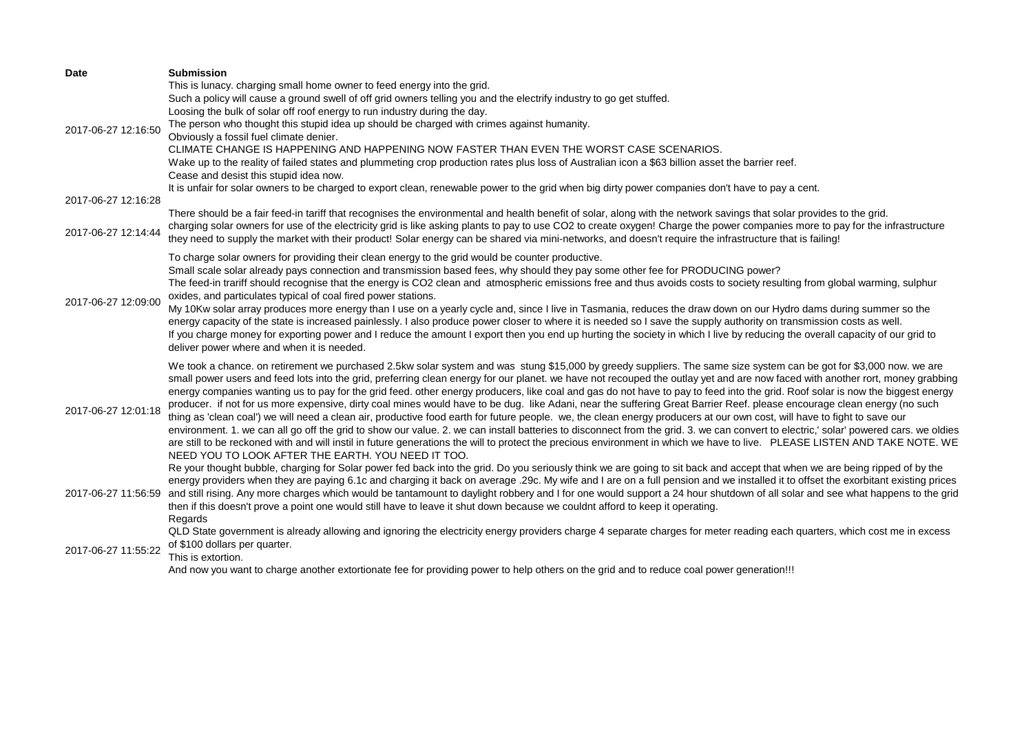| <b>Date</b>         | <b>Submission</b>                                                                                                                                                                                                                                                                                                                                     |
|---------------------|-------------------------------------------------------------------------------------------------------------------------------------------------------------------------------------------------------------------------------------------------------------------------------------------------------------------------------------------------------|
|                     | This is lunacy. charging small home owner to feed energy into the grid.                                                                                                                                                                                                                                                                               |
|                     | Such a policy will cause a ground swell of off grid owners telling you and the electrify industry to go get stuffed.                                                                                                                                                                                                                                  |
|                     | Loosing the bulk of solar off roof energy to run industry during the day.                                                                                                                                                                                                                                                                             |
| 2017-06-27 12:16:50 | The person who thought this stupid idea up should be charged with crimes against humanity.                                                                                                                                                                                                                                                            |
|                     | Obviously a fossil fuel climate denier.                                                                                                                                                                                                                                                                                                               |
|                     | CLIMATE CHANGE IS HAPPENING AND HAPPENING NOW FASTER THAN EVEN THE WORST CASE SCENARIOS.                                                                                                                                                                                                                                                              |
|                     | Wake up to the reality of failed states and plummeting crop production rates plus loss of Australian icon a \$63 billion asset the barrier reef.                                                                                                                                                                                                      |
|                     | Cease and desist this stupid idea now.                                                                                                                                                                                                                                                                                                                |
|                     | It is unfair for solar owners to be charged to export clean, renewable power to the grid when big dirty power companies don't have to pay a cent.                                                                                                                                                                                                     |
| 2017-06-27 12:16:28 |                                                                                                                                                                                                                                                                                                                                                       |
| 2017-06-27 12:14:44 | There should be a fair feed-in tariff that recognises the environmental and health benefit of solar, along with the network savings that solar provides to the grid.<br>charging solar owners for use of the electricity grid is like asking plants to pay to use CO2 to create oxygen! Charge the power companies more to pay for the infrastructure |
|                     | they need to supply the market with their product! Solar energy can be shared via mini-networks, and doesn't require the infrastructure that is failing!                                                                                                                                                                                              |
|                     |                                                                                                                                                                                                                                                                                                                                                       |
|                     | To charge solar owners for providing their clean energy to the grid would be counter productive.                                                                                                                                                                                                                                                      |
|                     | Small scale solar already pays connection and transmission based fees, why should they pay some other fee for PRODUCING power?                                                                                                                                                                                                                        |
|                     | The feed-in trariff should recognise that the energy is CO2 clean and atmospheric emissions free and thus avoids costs to society resulting from global warming, sulphur                                                                                                                                                                              |
| 2017-06-27 12:09:00 | oxides, and particulates typical of coal fired power stations.                                                                                                                                                                                                                                                                                        |
|                     | My 10Kw solar array produces more energy than I use on a yearly cycle and, since I live in Tasmania, reduces the draw down on our Hydro dams during summer so the                                                                                                                                                                                     |
|                     | energy capacity of the state is increased painlessly. I also produce power closer to where it is needed so I save the supply authority on transmission costs as well.<br>If you charge money for exporting power and I reduce the amount I export then you end up hurting the society in which I live by reducing the overall capacity of our grid to |
|                     | deliver power where and when it is needed.                                                                                                                                                                                                                                                                                                            |
|                     |                                                                                                                                                                                                                                                                                                                                                       |
|                     | We took a chance. on retirement we purchased 2.5kw solar system and was stung \$15,000 by greedy suppliers. The same size system can be got for \$3,000 now. we are                                                                                                                                                                                   |
|                     | small power users and feed lots into the grid, preferring clean energy for our planet. we have not recouped the outlay yet and are now faced with another rort, money grabbing                                                                                                                                                                        |
|                     | energy companies wanting us to pay for the grid feed. other energy producers, like coal and gas do not have to pay to feed into the grid. Roof solar is now the biggest energy                                                                                                                                                                        |
| 2017-06-27 12:01:18 | producer. if not for us more expensive, dirty coal mines would have to be dug. like Adani, near the suffering Great Barrier Reef. please encourage clean energy (no such                                                                                                                                                                              |
|                     | thing as 'clean coal') we will need a clean air, productive food earth for future people. we, the clean energy producers at our own cost, will have to fight to save our                                                                                                                                                                              |
|                     | environment. 1. we can all go off the grid to show our value. 2. we can install batteries to disconnect from the grid. 3. we can convert to electric,' solar' powered cars. we oldies                                                                                                                                                                 |
|                     | are still to be reckoned with and will instil in future generations the will to protect the precious environment in which we have to live. PLEASE LISTEN AND TAKE NOTE. WE<br>NEED YOU TO LOOK AFTER THE EARTH. YOU NEED IT TOO.                                                                                                                      |
|                     | Re your thought bubble, charging for Solar power fed back into the grid. Do you seriously think we are going to sit back and accept that when we are being ripped of by the                                                                                                                                                                           |
|                     | energy providers when they are paying 6.1c and charging it back on average .29c. My wife and I are on a full pension and we installed it to offset the exorbitant existing prices                                                                                                                                                                     |
| 2017-06-27 11:56:59 | and still rising. Any more charges which would be tantamount to daylight robbery and I for one would support a 24 hour shutdown of all solar and see what happens to the grid                                                                                                                                                                         |
|                     | then if this doesn't prove a point one would still have to leave it shut down because we couldnt afford to keep it operating.                                                                                                                                                                                                                         |
|                     | Regards                                                                                                                                                                                                                                                                                                                                               |
| 2017-06-27 11:55:22 | QLD State government is already allowing and ignoring the electricity energy providers charge 4 separate charges for meter reading each quarters, which cost me in excess                                                                                                                                                                             |
|                     | of \$100 dollars per quarter.                                                                                                                                                                                                                                                                                                                         |
|                     | This is extortion.                                                                                                                                                                                                                                                                                                                                    |
|                     | And now you want to charge another extortionate fee for providing power to help others on the grid and to reduce coal power generation!!!                                                                                                                                                                                                             |
|                     |                                                                                                                                                                                                                                                                                                                                                       |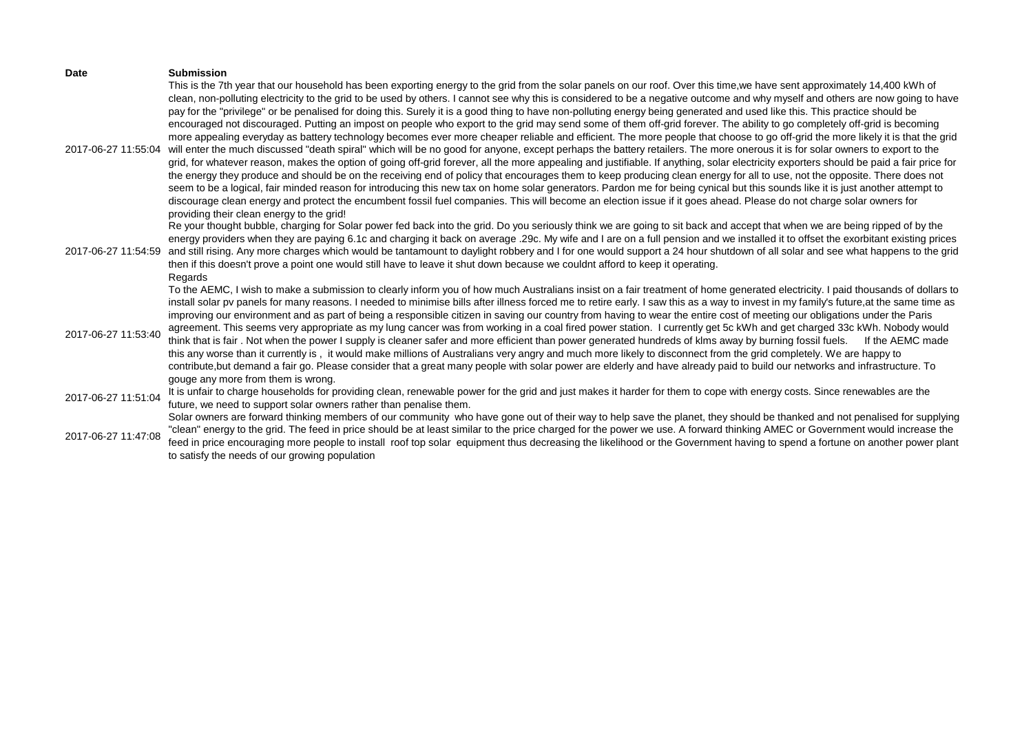| Date                                       | <b>Submission</b><br>This is the 7th year that our household has been exporting energy to the grid from the solar panels on our roof. Over this time, we have sent approximately 14,400 kWh of                                                                                                                                                                                                                                                                                                                                                                                                                                                                                                                                                                                                                                                                                                                                                                                                                                                                                                                                                                                                                                                                                                                                                                                                                                                                                                                                                                                                                                                                                             |
|--------------------------------------------|--------------------------------------------------------------------------------------------------------------------------------------------------------------------------------------------------------------------------------------------------------------------------------------------------------------------------------------------------------------------------------------------------------------------------------------------------------------------------------------------------------------------------------------------------------------------------------------------------------------------------------------------------------------------------------------------------------------------------------------------------------------------------------------------------------------------------------------------------------------------------------------------------------------------------------------------------------------------------------------------------------------------------------------------------------------------------------------------------------------------------------------------------------------------------------------------------------------------------------------------------------------------------------------------------------------------------------------------------------------------------------------------------------------------------------------------------------------------------------------------------------------------------------------------------------------------------------------------------------------------------------------------------------------------------------------------|
| 2017-06-27 11:55:04                        | clean, non-polluting electricity to the grid to be used by others. I cannot see why this is considered to be a negative outcome and why myself and others are now going to have<br>pay for the "privilege" or be penalised for doing this. Surely it is a good thing to have non-polluting energy being generated and used like this. This practice should be<br>encouraged not discouraged. Putting an impost on people who export to the grid may send some of them off-grid forever. The ability to go completely off-grid is becoming<br>more appealing everyday as battery technology becomes ever more cheaper reliable and efficient. The more people that choose to go off-grid the more likely it is that the grid<br>will enter the much discussed "death spiral" which will be no good for anyone, except perhaps the battery retailers. The more onerous it is for solar owners to export to the<br>grid, for whatever reason, makes the option of going off-grid forever, all the more appealing and justifiable. If anything, solar electricity exporters should be paid a fair price for<br>the energy they produce and should be on the receiving end of policy that encourages them to keep producing clean energy for all to use, not the opposite. There does not<br>seem to be a logical, fair minded reason for introducing this new tax on home solar generators. Pardon me for being cynical but this sounds like it is just another attempt to<br>discourage clean energy and protect the encumbent fossil fuel companies. This will become an election issue if it goes ahead. Please do not charge solar owners for<br>providing their clean energy to the grid! |
| 2017-06-27 11:54:59                        | Re your thought bubble, charging for Solar power fed back into the grid. Do you seriously think we are going to sit back and accept that when we are being ripped of by the<br>energy providers when they are paying 6.1c and charging it back on average .29c. My wife and I are on a full pension and we installed it to offset the exorbitant existing prices<br>and still rising. Any more charges which would be tantamount to daylight robbery and I for one would support a 24 hour shutdown of all solar and see what happens to the grid<br>then if this doesn't prove a point one would still have to leave it shut down because we couldnt afford to keep it operating.<br>Regards                                                                                                                                                                                                                                                                                                                                                                                                                                                                                                                                                                                                                                                                                                                                                                                                                                                                                                                                                                                              |
| 2017-06-27 11:53:40                        | To the AEMC, I wish to make a submission to clearly inform you of how much Australians insist on a fair treatment of home generated electricity. I paid thousands of dollars to<br>install solar pv panels for many reasons. I needed to minimise bills after illness forced me to retire early. I saw this as a way to invest in my family's future,at the same time as<br>improving our environment and as part of being a responsible citizen in saving our country from having to wear the entire cost of meeting our obligations under the Paris<br>agreement. This seems very appropriate as my lung cancer was from working in a coal fired power station. I currently get 5c kWh and get charged 33c kWh. Nobody would<br>think that is fair. Not when the power I supply is cleaner safer and more efficient than power generated hundreds of klms away by burning fossil fuels. If the AEMC made<br>this any worse than it currently is, it would make millions of Australians very angry and much more likely to disconnect from the grid completely. We are happy to<br>contribute, but demand a fair go. Please consider that a great many people with solar power are elderly and have already paid to build our networks and infrastructure. To                                                                                                                                                                                                                                                                                                                                                                                                                             |
| 2017-06-27 11:51:04<br>2017-06-27 11:47:08 | gouge any more from them is wrong.<br>It is unfair to charge households for providing clean, renewable power for the grid and just makes it harder for them to cope with energy costs. Since renewables are the<br>future, we need to support solar owners rather than penalise them.<br>Solar owners are forward thinking members of our community who have gone out of their way to help save the planet, they should be thanked and not penalised for supplying<br>"clean" energy to the grid. The feed in price should be at least similar to the price charged for the power we use. A forward thinking AMEC or Government would increase the<br>feed in price encouraging more people to install roof top solar equipment thus decreasing the likelihood or the Government having to spend a fortune on another power plant<br>to satisfy the needs of our growing population                                                                                                                                                                                                                                                                                                                                                                                                                                                                                                                                                                                                                                                                                                                                                                                                        |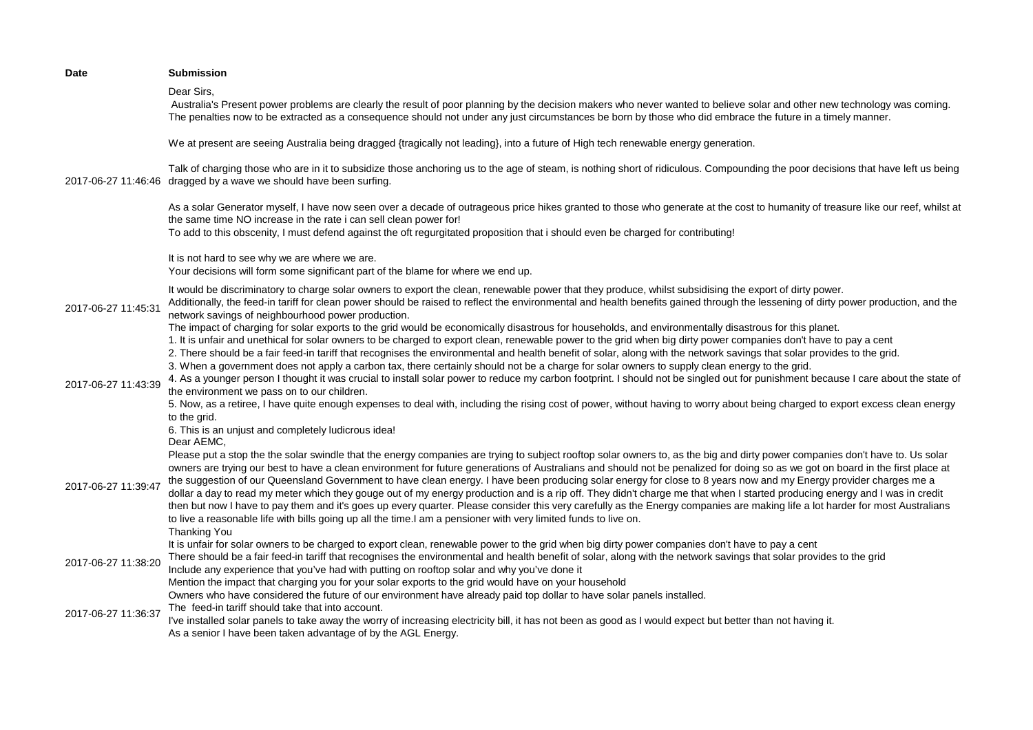| <b>Date</b>         | <b>Submission</b>                                                                                                                                                                                                                                                                                                                                                                                                                                                                                                                                                                                                                                                                                                                                                                                                                                                                                                                                                                                                                                      |
|---------------------|--------------------------------------------------------------------------------------------------------------------------------------------------------------------------------------------------------------------------------------------------------------------------------------------------------------------------------------------------------------------------------------------------------------------------------------------------------------------------------------------------------------------------------------------------------------------------------------------------------------------------------------------------------------------------------------------------------------------------------------------------------------------------------------------------------------------------------------------------------------------------------------------------------------------------------------------------------------------------------------------------------------------------------------------------------|
|                     | Dear Sirs.<br>Australia's Present power problems are clearly the result of poor planning by the decision makers who never wanted to believe solar and other new technology was coming.<br>The penalties now to be extracted as a consequence should not under any just circumstances be born by those who did embrace the future in a timely manner.                                                                                                                                                                                                                                                                                                                                                                                                                                                                                                                                                                                                                                                                                                   |
| 2017-06-27 11:46:46 | We at present are seeing Australia being dragged {tragically not leading}, into a future of High tech renewable energy generation.                                                                                                                                                                                                                                                                                                                                                                                                                                                                                                                                                                                                                                                                                                                                                                                                                                                                                                                     |
|                     | Talk of charging those who are in it to subsidize those anchoring us to the age of steam, is nothing short of ridiculous. Compounding the poor decisions that have left us being<br>dragged by a wave we should have been surfing.                                                                                                                                                                                                                                                                                                                                                                                                                                                                                                                                                                                                                                                                                                                                                                                                                     |
|                     | As a solar Generator myself, I have now seen over a decade of outrageous price hikes granted to those who generate at the cost to humanity of treasure like our reef, whilst at<br>the same time NO increase in the rate i can sell clean power for!<br>To add to this obscenity, I must defend against the oft regurgitated proposition that i should even be charged for contributing!                                                                                                                                                                                                                                                                                                                                                                                                                                                                                                                                                                                                                                                               |
|                     | It is not hard to see why we are where we are.<br>Your decisions will form some significant part of the blame for where we end up.                                                                                                                                                                                                                                                                                                                                                                                                                                                                                                                                                                                                                                                                                                                                                                                                                                                                                                                     |
| 2017-06-27 11:45:31 | It would be discriminatory to charge solar owners to export the clean, renewable power that they produce, whilst subsidising the export of dirty power.<br>Additionally, the feed-in tariff for clean power should be raised to reflect the environmental and health benefits gained through the lessening of dirty power production, and the<br>network savings of neighbourhood power production.                                                                                                                                                                                                                                                                                                                                                                                                                                                                                                                                                                                                                                                    |
| 2017-06-27 11:43:39 | The impact of charging for solar exports to the grid would be economically disastrous for households, and environmentally disastrous for this planet.<br>1. It is unfair and unethical for solar owners to be charged to export clean, renewable power to the grid when big dirty power companies don't have to pay a cent<br>2. There should be a fair feed-in tariff that recognises the environmental and health benefit of solar, along with the network savings that solar provides to the grid.<br>3. When a government does not apply a carbon tax, there certainly should not be a charge for solar owners to supply clean energy to the grid.<br>4. As a younger person I thought it was crucial to install solar power to reduce my carbon footprint. I should not be singled out for punishment because I care about the state of<br>the environment we pass on to our children.                                                                                                                                                            |
|                     | 5. Now, as a retiree, I have quite enough expenses to deal with, including the rising cost of power, without having to worry about being charged to export excess clean energy<br>to the grid.<br>6. This is an unjust and completely ludicrous idea!                                                                                                                                                                                                                                                                                                                                                                                                                                                                                                                                                                                                                                                                                                                                                                                                  |
| 2017-06-27 11:39:47 | Dear AEMC,<br>Please put a stop the the solar swindle that the energy companies are trying to subject rooftop solar owners to, as the big and dirty power companies don't have to. Us solar<br>owners are trying our best to have a clean environment for future generations of Australians and should not be penalized for doing so as we got on board in the first place at<br>the suggestion of our Queensland Government to have clean energy. I have been producing solar energy for close to 8 years now and my Energy provider charges me a<br>dollar a day to read my meter which they gouge out of my energy production and is a rip off. They didn't charge me that when I started producing energy and I was in credit<br>then but now I have to pay them and it's goes up every quarter. Please consider this very carefully as the Energy companies are making life a lot harder for most Australians<br>to live a reasonable life with bills going up all the time. I am a pensioner with very limited funds to live on.<br>Thanking You |
| 2017-06-27 11:38:20 | It is unfair for solar owners to be charged to export clean, renewable power to the grid when big dirty power companies don't have to pay a cent<br>There should be a fair feed-in tariff that recognises the environmental and health benefit of solar, along with the network savings that solar provides to the grid<br>Include any experience that you've had with putting on rooftop solar and why you've done it<br>Mention the impact that charging you for your solar exports to the grid would have on your household                                                                                                                                                                                                                                                                                                                                                                                                                                                                                                                         |
| 2017-06-27 11:36:37 | Owners who have considered the future of our environment have already paid top dollar to have solar panels installed.<br>The feed-in tariff should take that into account.<br>I've installed solar panels to take away the worry of increasing electricity bill, it has not been as good as I would expect but better than not having it.<br>As a senior I have been taken advantage of by the AGL Energy.                                                                                                                                                                                                                                                                                                                                                                                                                                                                                                                                                                                                                                             |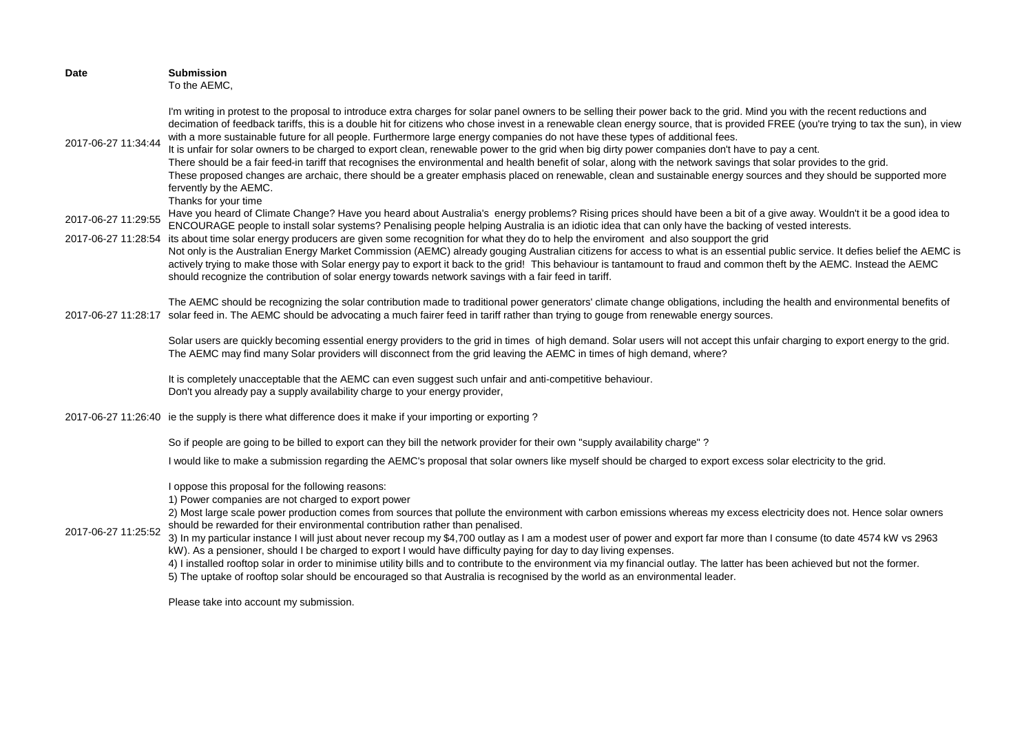| <b>Date</b>         | <b>Submission</b><br>To the AEMC,                                                                                                                                                                                                                                                                                                                                                                                                                                                                                                                                                                                                                                                                                                                                                                                                                                                                                                                                                                                                                          |
|---------------------|------------------------------------------------------------------------------------------------------------------------------------------------------------------------------------------------------------------------------------------------------------------------------------------------------------------------------------------------------------------------------------------------------------------------------------------------------------------------------------------------------------------------------------------------------------------------------------------------------------------------------------------------------------------------------------------------------------------------------------------------------------------------------------------------------------------------------------------------------------------------------------------------------------------------------------------------------------------------------------------------------------------------------------------------------------|
| 2017-06-27 11:34:44 | I'm writing in protest to the proposal to introduce extra charges for solar panel owners to be selling their power back to the grid. Mind you with the recent reductions and<br>decimation of feedback tariffs, this is a double hit for citizens who chose invest in a renewable clean energy source, that is provided FREE (you're trying to tax the sun), in view<br>with a more sustainable future for all people. Furthermore large energy companies do not have these types of additional fees.<br>It is unfair for solar owners to be charged to export clean, renewable power to the grid when big dirty power companies don't have to pay a cent.<br>There should be a fair feed-in tariff that recognises the environmental and health benefit of solar, along with the network savings that solar provides to the grid.<br>These proposed changes are archaic, there should be a greater emphasis placed on renewable, clean and sustainable energy sources and they should be supported more<br>fervently by the AEMC.<br>Thanks for your time |
| 2017-06-27 11:29:55 | Have you heard of Climate Change? Have you heard about Australia's energy problems? Rising prices should have been a bit of a give away. Wouldn't it be a good idea to<br>ENCOURAGE people to install solar systems? Penalising people helping Australia is an idiotic idea that can only have the backing of vested interests.                                                                                                                                                                                                                                                                                                                                                                                                                                                                                                                                                                                                                                                                                                                            |
| 2017-06-27 11:28:54 | its about time solar energy producers are given some recognition for what they do to help the enviroment and also soupport the grid<br>Not only is the Australian Energy Market Commission (AEMC) already gouging Australian citizens for access to what is an essential public service. It defies belief the AEMC is<br>actively trying to make those with Solar energy pay to export it back to the grid! This behaviour is tantamount to fraud and common theft by the AEMC. Instead the AEMC<br>should recognize the contribution of solar energy towards network savings with a fair feed in tariff.                                                                                                                                                                                                                                                                                                                                                                                                                                                  |
|                     | The AEMC should be recognizing the solar contribution made to traditional power generators' climate change obligations, including the health and environmental benefits of<br>2017-06-27 11:28:17 solar feed in. The AEMC should be advocating a much fairer feed in tariff rather than trying to gouge from renewable energy sources.                                                                                                                                                                                                                                                                                                                                                                                                                                                                                                                                                                                                                                                                                                                     |
|                     | Solar users are quickly becoming essential energy providers to the grid in times of high demand. Solar users will not accept this unfair charging to export energy to the grid.<br>The AEMC may find many Solar providers will disconnect from the grid leaving the AEMC in times of high demand, where?                                                                                                                                                                                                                                                                                                                                                                                                                                                                                                                                                                                                                                                                                                                                                   |
|                     | It is completely unacceptable that the AEMC can even suggest such unfair and anti-competitive behaviour.<br>Don't you already pay a supply availability charge to your energy provider,                                                                                                                                                                                                                                                                                                                                                                                                                                                                                                                                                                                                                                                                                                                                                                                                                                                                    |
|                     | 2017-06-27 11:26:40 ie the supply is there what difference does it make if your importing or exporting?                                                                                                                                                                                                                                                                                                                                                                                                                                                                                                                                                                                                                                                                                                                                                                                                                                                                                                                                                    |
|                     | So if people are going to be billed to export can they bill the network provider for their own "supply availability charge"?                                                                                                                                                                                                                                                                                                                                                                                                                                                                                                                                                                                                                                                                                                                                                                                                                                                                                                                               |
|                     | I would like to make a submission regarding the AEMC's proposal that solar owners like myself should be charged to export excess solar electricity to the grid.                                                                                                                                                                                                                                                                                                                                                                                                                                                                                                                                                                                                                                                                                                                                                                                                                                                                                            |
| 2017-06-27 11:25:52 | I oppose this proposal for the following reasons:<br>1) Power companies are not charged to export power<br>2) Most large scale power production comes from sources that pollute the environment with carbon emissions whereas my excess electricity does not. Hence solar owners<br>should be rewarded for their environmental contribution rather than penalised.<br>3) In my particular instance I will just about never recoup my \$4,700 outlay as I am a modest user of power and export far more than I consume (to date 4574 kW vs 2963<br>kW). As a pensioner, should I be charged to export I would have difficulty paying for day to day living expenses.<br>4) I installed rooftop solar in order to minimise utility bills and to contribute to the environment via my financial outlay. The latter has been achieved but not the former.<br>5) The uptake of rooftop solar should be encouraged so that Australia is recognised by the world as an environmental leader.                                                                      |
|                     | Please take into account my submission.                                                                                                                                                                                                                                                                                                                                                                                                                                                                                                                                                                                                                                                                                                                                                                                                                                                                                                                                                                                                                    |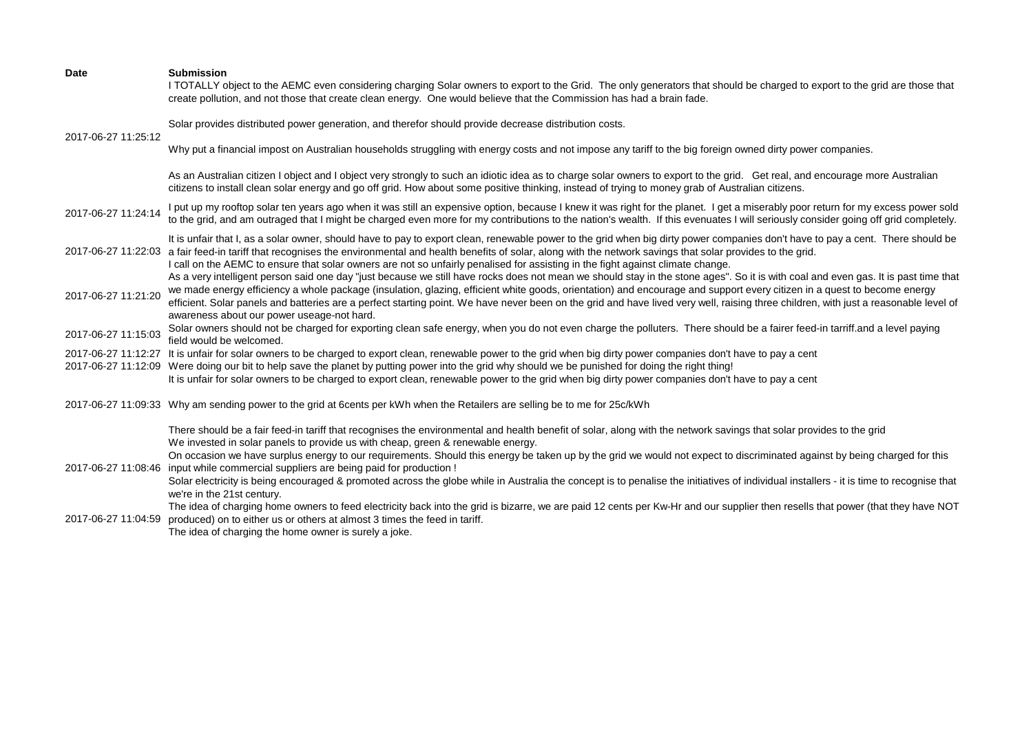| Date                | <b>Submission</b><br>I TOTALLY object to the AEMC even considering charging Solar owners to export to the Grid. The only generators that should be charged to export to the grid are those that<br>create pollution, and not those that create clean energy. One would believe that the Commission has had a brain fade.                                                                                                                                                                                                                                                                            |
|---------------------|-----------------------------------------------------------------------------------------------------------------------------------------------------------------------------------------------------------------------------------------------------------------------------------------------------------------------------------------------------------------------------------------------------------------------------------------------------------------------------------------------------------------------------------------------------------------------------------------------------|
| 2017-06-27 11:25:12 | Solar provides distributed power generation, and therefor should provide decrease distribution costs.                                                                                                                                                                                                                                                                                                                                                                                                                                                                                               |
|                     | Why put a financial impost on Australian households struggling with energy costs and not impose any tariff to the big foreign owned dirty power companies.                                                                                                                                                                                                                                                                                                                                                                                                                                          |
|                     | As an Australian citizen I object and I object very strongly to such an idiotic idea as to charge solar owners to export to the grid. Get real, and encourage more Australian<br>citizens to install clean solar energy and go off grid. How about some positive thinking, instead of trying to money grab of Australian citizens.                                                                                                                                                                                                                                                                  |
| 2017-06-27 11:24:14 | I put up my rooftop solar ten years ago when it was still an expensive option, because I knew it was right for the planet. I get a miserably poor return for my excess power sold<br>to the grid, and am outraged that I might be charged even more for my contributions to the nation's wealth. If this evenuates I will seriously consider going off grid completely.                                                                                                                                                                                                                             |
|                     | It is unfair that I, as a solar owner, should have to pay to export clean, renewable power to the grid when big dirty power companies don't have to pay a cent. There should be<br>2017-06-27 11:22:03 a fair feed-in tariff that recognises the environmental and health benefits of solar, along with the network savings that solar provides to the grid.<br>I call on the AEMC to ensure that solar owners are not so unfairly penalised for assisting in the fight against climate change.                                                                                                     |
| 2017-06-27 11:21:20 | As a very intelligent person said one day "just because we still have rocks does not mean we should stay in the stone ages". So it is with coal and even gas. It is past time that<br>we made energy efficiency a whole package (insulation, glazing, efficient white goods, orientation) and encourage and support every citizen in a quest to become energy<br>efficient. Solar panels and batteries are a perfect starting point. We have never been on the grid and have lived very well, raising three children, with just a reasonable level of<br>awareness about our power useage-not hard. |
| 2017-06-27 11:15:03 | Solar owners should not be charged for exporting clean safe energy, when you do not even charge the polluters. There should be a fairer feed-in tarriff.and a level paying<br>field would be welcomed.                                                                                                                                                                                                                                                                                                                                                                                              |
|                     | 2017-06-27 11:12:27 It is unfair for solar owners to be charged to export clean, renewable power to the grid when big dirty power companies don't have to pay a cent                                                                                                                                                                                                                                                                                                                                                                                                                                |
|                     | 2017-06-27 11:12:09 Were doing our bit to help save the planet by putting power into the grid why should we be punished for doing the right thing!                                                                                                                                                                                                                                                                                                                                                                                                                                                  |
|                     | It is unfair for solar owners to be charged to export clean, renewable power to the grid when big dirty power companies don't have to pay a cent                                                                                                                                                                                                                                                                                                                                                                                                                                                    |
|                     | 2017-06-27 11:09:33 Why am sending power to the grid at 6cents per kWh when the Retailers are selling be to me for 25c/kWh                                                                                                                                                                                                                                                                                                                                                                                                                                                                          |
|                     | There should be a fair feed-in tariff that recognises the environmental and health benefit of solar, along with the network savings that solar provides to the grid<br>We invested in solar panels to provide us with cheap, green & renewable energy.                                                                                                                                                                                                                                                                                                                                              |
|                     | On occasion we have surplus energy to our requirements. Should this energy be taken up by the grid we would not expect to discriminated against by being charged for this<br>2017-06-27 11:08:46 input while commercial suppliers are being paid for production !                                                                                                                                                                                                                                                                                                                                   |
|                     | Solar electricity is being encouraged & promoted across the globe while in Australia the concept is to penalise the initiatives of individual installers - it is time to recognise that<br>we're in the 21st century.                                                                                                                                                                                                                                                                                                                                                                               |
| 2017-06-27 11:04:59 | The idea of charging home owners to feed electricity back into the grid is bizarre, we are paid 12 cents per Kw-Hr and our supplier then resells that power (that they have NOT<br>produced) on to either us or others at almost 3 times the feed in tariff.<br>The idea of charging the home owner is surely a joke.                                                                                                                                                                                                                                                                               |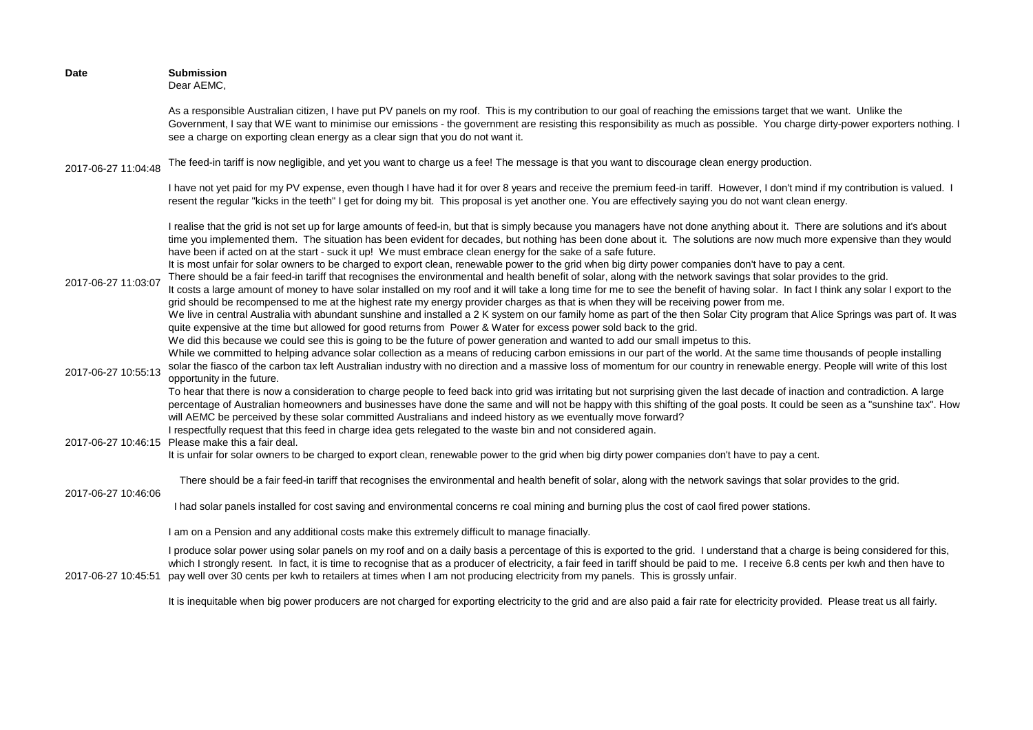| <b>Date</b>         | <b>Submission</b><br>Dear AEMC,                                                                                                                                                                                                                                                                                                                                                                                                                                                                                                                                                                                                                                                                                                                                                                                                                                                                                                                                                                                                                                                                                                                                                                                                                                                                                                                                                                                                                                                                                                                                                           |
|---------------------|-------------------------------------------------------------------------------------------------------------------------------------------------------------------------------------------------------------------------------------------------------------------------------------------------------------------------------------------------------------------------------------------------------------------------------------------------------------------------------------------------------------------------------------------------------------------------------------------------------------------------------------------------------------------------------------------------------------------------------------------------------------------------------------------------------------------------------------------------------------------------------------------------------------------------------------------------------------------------------------------------------------------------------------------------------------------------------------------------------------------------------------------------------------------------------------------------------------------------------------------------------------------------------------------------------------------------------------------------------------------------------------------------------------------------------------------------------------------------------------------------------------------------------------------------------------------------------------------|
|                     | As a responsible Australian citizen, I have put PV panels on my roof. This is my contribution to our goal of reaching the emissions target that we want. Unlike the<br>Government, I say that WE want to minimise our emissions - the government are resisting this responsibility as much as possible. You charge dirty-power exporters nothing. I<br>see a charge on exporting clean energy as a clear sign that you do not want it.                                                                                                                                                                                                                                                                                                                                                                                                                                                                                                                                                                                                                                                                                                                                                                                                                                                                                                                                                                                                                                                                                                                                                    |
| 2017-06-27 11:04:48 | The feed-in tariff is now negligible, and yet you want to charge us a fee! The message is that you want to discourage clean energy production.                                                                                                                                                                                                                                                                                                                                                                                                                                                                                                                                                                                                                                                                                                                                                                                                                                                                                                                                                                                                                                                                                                                                                                                                                                                                                                                                                                                                                                            |
|                     | I have not yet paid for my PV expense, even though I have had it for over 8 years and receive the premium feed-in tariff. However, I don't mind if my contribution is valued. I<br>resent the regular "kicks in the teeth" I get for doing my bit. This proposal is yet another one. You are effectively saying you do not want clean energy.                                                                                                                                                                                                                                                                                                                                                                                                                                                                                                                                                                                                                                                                                                                                                                                                                                                                                                                                                                                                                                                                                                                                                                                                                                             |
| 2017-06-27 11:03:07 | I realise that the grid is not set up for large amounts of feed-in, but that is simply because you managers have not done anything about it. There are solutions and it's about<br>time you implemented them. The situation has been evident for decades, but nothing has been done about it. The solutions are now much more expensive than they would<br>have been if acted on at the start - suck it up! We must embrace clean energy for the sake of a safe future.<br>It is most unfair for solar owners to be charged to export clean, renewable power to the grid when big dirty power companies don't have to pay a cent.<br>There should be a fair feed-in tariff that recognises the environmental and health benefit of solar, along with the network savings that solar provides to the grid.<br>It costs a large amount of money to have solar installed on my roof and it will take a long time for me to see the benefit of having solar. In fact I think any solar I export to the<br>grid should be recompensed to me at the highest rate my energy provider charges as that is when they will be receiving power from me.<br>We live in central Australia with abundant sunshine and installed a 2 K system on our family home as part of the then Solar City program that Alice Springs was part of. It was<br>quite expensive at the time but allowed for good returns from Power & Water for excess power sold back to the grid.<br>We did this because we could see this is going to be the future of power generation and wanted to add our small impetus to this. |
| 2017-06-27 10:55:13 | While we committed to helping advance solar collection as a means of reducing carbon emissions in our part of the world. At the same time thousands of people installing<br>solar the fiasco of the carbon tax left Australian industry with no direction and a massive loss of momentum for our country in renewable energy. People will write of this lost<br>opportunity in the future.<br>To hear that there is now a consideration to charge people to feed back into grid was irritating but not surprising given the last decade of inaction and contradiction. A large<br>percentage of Australian homeowners and businesses have done the same and will not be happy with this shifting of the goal posts. It could be seen as a "sunshine tax". How<br>will AEMC be perceived by these solar committed Australians and indeed history as we eventually move forward?                                                                                                                                                                                                                                                                                                                                                                                                                                                                                                                                                                                                                                                                                                            |
|                     | I respectfully request that this feed in charge idea gets relegated to the waste bin and not considered again.<br>2017-06-27 10:46:15 Please make this a fair deal.<br>It is unfair for solar owners to be charged to export clean, renewable power to the grid when big dirty power companies don't have to pay a cent.                                                                                                                                                                                                                                                                                                                                                                                                                                                                                                                                                                                                                                                                                                                                                                                                                                                                                                                                                                                                                                                                                                                                                                                                                                                                  |
| 2017-06-27 10:46:06 | There should be a fair feed-in tariff that recognises the environmental and health benefit of solar, along with the network savings that solar provides to the grid.                                                                                                                                                                                                                                                                                                                                                                                                                                                                                                                                                                                                                                                                                                                                                                                                                                                                                                                                                                                                                                                                                                                                                                                                                                                                                                                                                                                                                      |
|                     | I had solar panels installed for cost saving and environmental concerns re coal mining and burning plus the cost of caol fired power stations.                                                                                                                                                                                                                                                                                                                                                                                                                                                                                                                                                                                                                                                                                                                                                                                                                                                                                                                                                                                                                                                                                                                                                                                                                                                                                                                                                                                                                                            |
|                     | I am on a Pension and any additional costs make this extremely difficult to manage finacially.                                                                                                                                                                                                                                                                                                                                                                                                                                                                                                                                                                                                                                                                                                                                                                                                                                                                                                                                                                                                                                                                                                                                                                                                                                                                                                                                                                                                                                                                                            |
| 2017-06-27 10:45:51 | I produce solar power using solar panels on my roof and on a daily basis a percentage of this is exported to the grid. I understand that a charge is being considered for this,<br>which I strongly resent. In fact, it is time to recognise that as a producer of electricity, a fair feed in tariff should be paid to me. I receive 6.8 cents per kwh and then have to<br>pay well over 30 cents per kwh to retailers at times when I am not producing electricity from my panels. This is grossly unfair.                                                                                                                                                                                                                                                                                                                                                                                                                                                                                                                                                                                                                                                                                                                                                                                                                                                                                                                                                                                                                                                                              |
|                     | It is inequitable when big power producers are not charged for exporting electricity to the grid and are also paid a fair rate for electricity provided. Please treat us all fairly.                                                                                                                                                                                                                                                                                                                                                                                                                                                                                                                                                                                                                                                                                                                                                                                                                                                                                                                                                                                                                                                                                                                                                                                                                                                                                                                                                                                                      |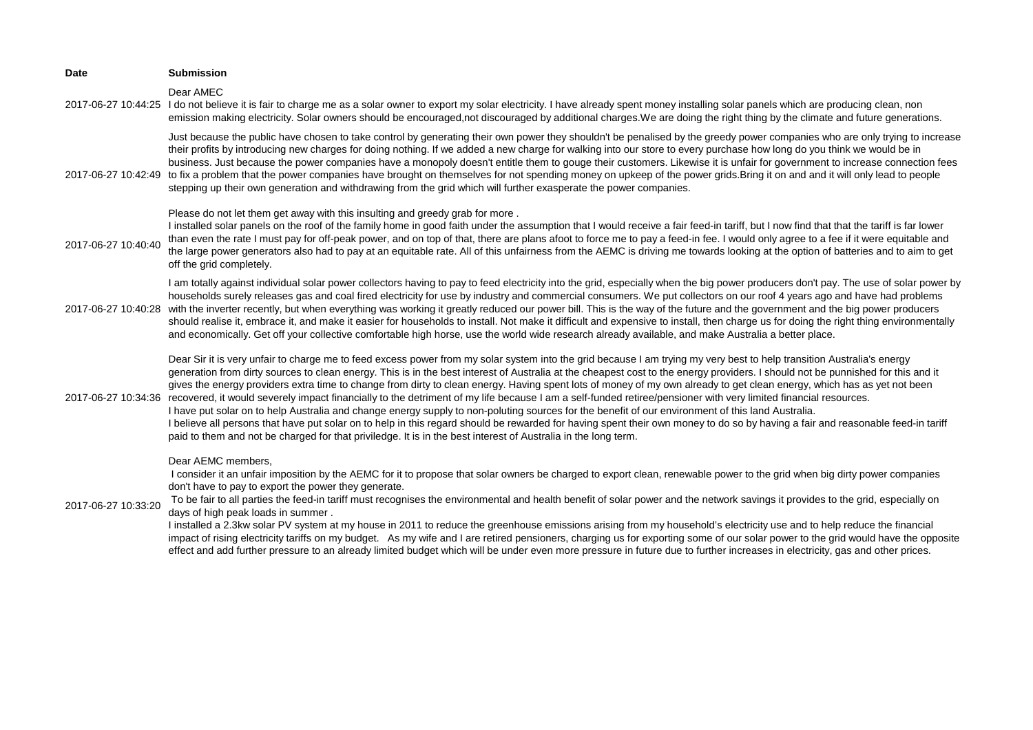| <b>Date</b>         | <b>Submission</b>                                                                                                                                                                                                                                                                                                                                                                                                                                                                                                                                                                                                                                                                                                                                                                                                                                                                                                                                                                                                                                                                                                                                                  |
|---------------------|--------------------------------------------------------------------------------------------------------------------------------------------------------------------------------------------------------------------------------------------------------------------------------------------------------------------------------------------------------------------------------------------------------------------------------------------------------------------------------------------------------------------------------------------------------------------------------------------------------------------------------------------------------------------------------------------------------------------------------------------------------------------------------------------------------------------------------------------------------------------------------------------------------------------------------------------------------------------------------------------------------------------------------------------------------------------------------------------------------------------------------------------------------------------|
|                     | Dear AMEC<br>2017-06-27 10:44:25 I do not believe it is fair to charge me as a solar owner to export my solar electricity. I have already spent money installing solar panels which are producing clean, non<br>emission making electricity. Solar owners should be encouraged, not discouraged by additional charges. We are doing the right thing by the climate and future generations.                                                                                                                                                                                                                                                                                                                                                                                                                                                                                                                                                                                                                                                                                                                                                                         |
|                     | Just because the public have chosen to take control by generating their own power they shouldn't be penalised by the greedy power companies who are only trying to increase<br>their profits by introducing new charges for doing nothing. If we added a new charge for walking into our store to every purchase how long do you think we would be in<br>business. Just because the power companies have a monopoly doesn't entitle them to gouge their customers. Likewise it is unfair for government to increase connection fees<br>2017-06-27 10:42:49 to fix a problem that the power companies have brought on themselves for not spending money on upkeep of the power grids. Bring it on and and it will only lead to people<br>stepping up their own generation and withdrawing from the grid which will further exasperate the power companies.                                                                                                                                                                                                                                                                                                          |
| 2017-06-27 10:40:40 | Please do not let them get away with this insulting and greedy grab for more.<br>I installed solar panels on the roof of the family home in good faith under the assumption that I would receive a fair feed-in tariff, but I now find that that the tariff is far lower<br>than even the rate I must pay for off-peak power, and on top of that, there are plans afoot to force me to pay a feed-in fee. I would only agree to a fee if it were equitable and<br>the large power generators also had to pay at an equitable rate. All of this unfairness from the AEMC is driving me towards looking at the option of batteries and to aim to get<br>off the grid completely.                                                                                                                                                                                                                                                                                                                                                                                                                                                                                     |
| 2017-06-27 10:40:28 | I am totally against individual solar power collectors having to pay to feed electricity into the grid, especially when the big power producers don't pay. The use of solar power by<br>households surely releases gas and coal fired electricity for use by industry and commercial consumers. We put collectors on our roof 4 years ago and have had problems<br>with the inverter recently, but when everything was working it greatly reduced our power bill. This is the way of the future and the government and the big power producers<br>should realise it, embrace it, and make it easier for households to install. Not make it difficult and expensive to install, then charge us for doing the right thing environmentally<br>and economically. Get off your collective comfortable high horse, use the world wide research already available, and make Australia a better place.                                                                                                                                                                                                                                                                     |
| 2017-06-27 10:34:36 | Dear Sir it is very unfair to charge me to feed excess power from my solar system into the grid because I am trying my very best to help transition Australia's energy<br>generation from dirty sources to clean energy. This is in the best interest of Australia at the cheapest cost to the energy providers. I should not be punnished for this and it<br>gives the energy providers extra time to change from dirty to clean energy. Having spent lots of money of my own already to get clean energy, which has as yet not been<br>recovered, it would severely impact financially to the detriment of my life because I am a self-funded retiree/pensioner with very limited financial resources.<br>I have put solar on to help Australia and change energy supply to non-poluting sources for the benefit of our environment of this land Australia.<br>I believe all persons that have put solar on to help in this regard should be rewarded for having spent their own money to do so by having a fair and reasonable feed-in tariff<br>paid to them and not be charged for that priviledge. It is in the best interest of Australia in the long term. |
| 2017-06-27 10:33:20 | Dear AEMC members,<br>I consider it an unfair imposition by the AEMC for it to propose that solar owners be charged to export clean, renewable power to the grid when big dirty power companies<br>don't have to pay to export the power they generate.<br>To be fair to all parties the feed-in tariff must recognises the environmental and health benefit of solar power and the network savings it provides to the grid, especially on<br>days of high peak loads in summer.<br>I installed a 2.3kw solar PV system at my house in 2011 to reduce the greenhouse emissions arising from my household's electricity use and to help reduce the financial<br>impact of rising electricity tariffs on my budget. As my wife and I are retired pensioners, charging us for exporting some of our solar power to the grid would have the opposite<br>effect and add further pressure to an already limited budget which will be under even more pressure in future due to further increases in electricity, gas and other prices.                                                                                                                                   |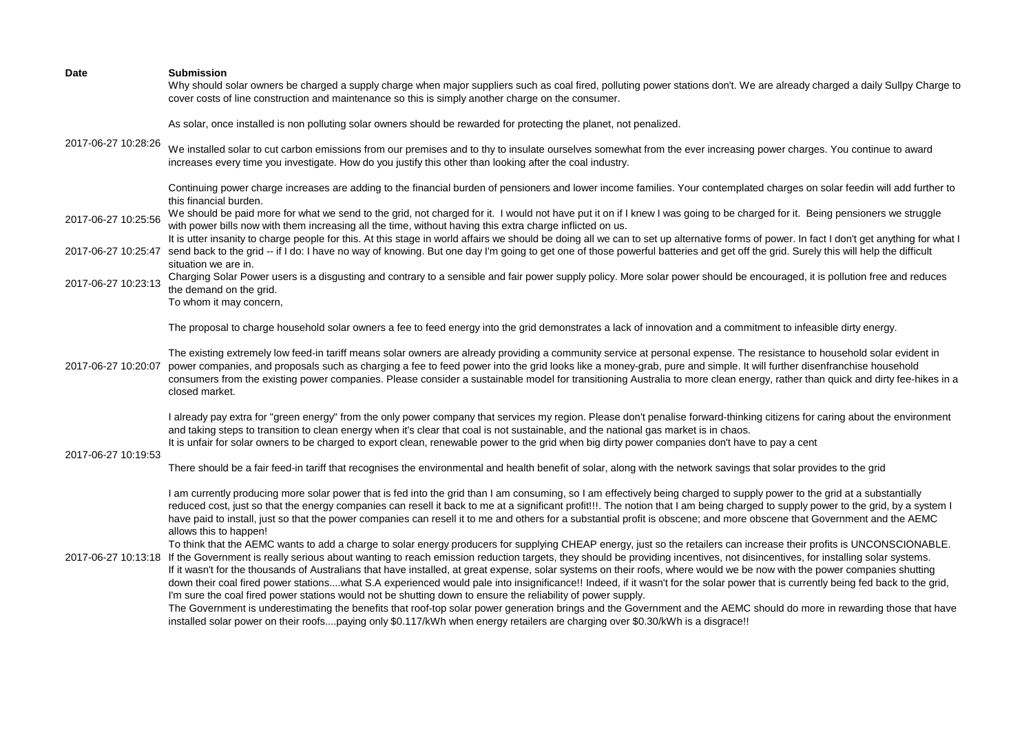| Date                | <b>Submission</b><br>Why should solar owners be charged a supply charge when major suppliers such as coal fired, polluting power stations don't. We are already charged a daily Sullpy Charge to<br>cover costs of line construction and maintenance so this is simply another charge on the consumer.                                                                                                                                                                                                                                                                                                                                                                                                                                                                                                                                                                                                                                                                                                                                                                                                                                               |
|---------------------|------------------------------------------------------------------------------------------------------------------------------------------------------------------------------------------------------------------------------------------------------------------------------------------------------------------------------------------------------------------------------------------------------------------------------------------------------------------------------------------------------------------------------------------------------------------------------------------------------------------------------------------------------------------------------------------------------------------------------------------------------------------------------------------------------------------------------------------------------------------------------------------------------------------------------------------------------------------------------------------------------------------------------------------------------------------------------------------------------------------------------------------------------|
|                     | As solar, once installed is non polluting solar owners should be rewarded for protecting the planet, not penalized.                                                                                                                                                                                                                                                                                                                                                                                                                                                                                                                                                                                                                                                                                                                                                                                                                                                                                                                                                                                                                                  |
| 2017-06-27 10:28:26 | We installed solar to cut carbon emissions from our premises and to thy to insulate ourselves somewhat from the ever increasing power charges. You continue to award<br>increases every time you investigate. How do you justify this other than looking after the coal industry.                                                                                                                                                                                                                                                                                                                                                                                                                                                                                                                                                                                                                                                                                                                                                                                                                                                                    |
|                     | Continuing power charge increases are adding to the financial burden of pensioners and lower income families. Your contemplated charges on solar feedin will add further to<br>this financial burden.                                                                                                                                                                                                                                                                                                                                                                                                                                                                                                                                                                                                                                                                                                                                                                                                                                                                                                                                                |
| 2017-06-27 10:25:56 | We should be paid more for what we send to the grid, not charged for it. I would not have put it on if I knew I was going to be charged for it. Being pensioners we struggle<br>with power bills now with them increasing all the time, without having this extra charge inflicted on us.                                                                                                                                                                                                                                                                                                                                                                                                                                                                                                                                                                                                                                                                                                                                                                                                                                                            |
| 2017-06-27 10:25:47 | It is utter insanity to charge people for this. At this stage in world affairs we should be doing all we can to set up alternative forms of power. In fact I don't get anything for what I<br>send back to the grid -- if I do: I have no way of knowing. But one day I'm going to get one of those powerful batteries and get off the grid. Surely this will help the difficult<br>situation we are in.                                                                                                                                                                                                                                                                                                                                                                                                                                                                                                                                                                                                                                                                                                                                             |
| 2017-06-27 10:23:13 | Charging Solar Power users is a disgusting and contrary to a sensible and fair power supply policy. More solar power should be encouraged, it is pollution free and reduces<br>the demand on the grid.<br>To whom it may concern,                                                                                                                                                                                                                                                                                                                                                                                                                                                                                                                                                                                                                                                                                                                                                                                                                                                                                                                    |
|                     | The proposal to charge household solar owners a fee to feed energy into the grid demonstrates a lack of innovation and a commitment to infeasible dirty energy.                                                                                                                                                                                                                                                                                                                                                                                                                                                                                                                                                                                                                                                                                                                                                                                                                                                                                                                                                                                      |
| 2017-06-27 10:20:07 | The existing extremely low feed-in tariff means solar owners are already providing a community service at personal expense. The resistance to household solar evident in<br>power companies, and proposals such as charging a fee to feed power into the grid looks like a money-grab, pure and simple. It will further disenfranchise household<br>consumers from the existing power companies. Please consider a sustainable model for transitioning Australia to more clean energy, rather than quick and dirty fee-hikes in a<br>closed market.                                                                                                                                                                                                                                                                                                                                                                                                                                                                                                                                                                                                  |
| 2017-06-27 10:19:53 | I already pay extra for "green energy" from the only power company that services my region. Please don't penalise forward-thinking citizens for caring about the environment<br>and taking steps to transition to clean energy when it's clear that coal is not sustainable, and the national gas market is in chaos.<br>It is unfair for solar owners to be charged to export clean, renewable power to the grid when big dirty power companies don't have to pay a cent                                                                                                                                                                                                                                                                                                                                                                                                                                                                                                                                                                                                                                                                            |
|                     | There should be a fair feed-in tariff that recognises the environmental and health benefit of solar, along with the network savings that solar provides to the grid                                                                                                                                                                                                                                                                                                                                                                                                                                                                                                                                                                                                                                                                                                                                                                                                                                                                                                                                                                                  |
| 2017-06-27 10:13:18 | I am currently producing more solar power that is fed into the grid than I am consuming, so I am effectively being charged to supply power to the grid at a substantially<br>reduced cost, just so that the energy companies can resell it back to me at a significant profit!!!. The notion that I am being charged to supply power to the grid, by a system I<br>have paid to install, just so that the power companies can resell it to me and others for a substantial profit is obscene; and more obscene that Government and the AEMC<br>allows this to happen!                                                                                                                                                                                                                                                                                                                                                                                                                                                                                                                                                                                |
|                     | To think that the AEMC wants to add a charge to solar energy producers for supplying CHEAP energy, just so the retailers can increase their profits is UNCONSCIONABLE.<br>If the Government is really serious about wanting to reach emission reduction targets, they should be providing incentives, not disincentives, for installing solar systems.<br>If it wasn't for the thousands of Australians that have installed, at great expense, solar systems on their roofs, where would we be now with the power companies shutting<br>down their coal fired power stationswhat S.A experienced would pale into insignificance!! Indeed, if it wasn't for the solar power that is currently being fed back to the grid,<br>I'm sure the coal fired power stations would not be shutting down to ensure the reliability of power supply.<br>The Government is underestimating the benefits that roof-top solar power generation brings and the Government and the AEMC should do more in rewarding those that have<br>installed solar power on their roofspaying only \$0.117/kWh when energy retailers are charging over \$0.30/kWh is a disgrace!! |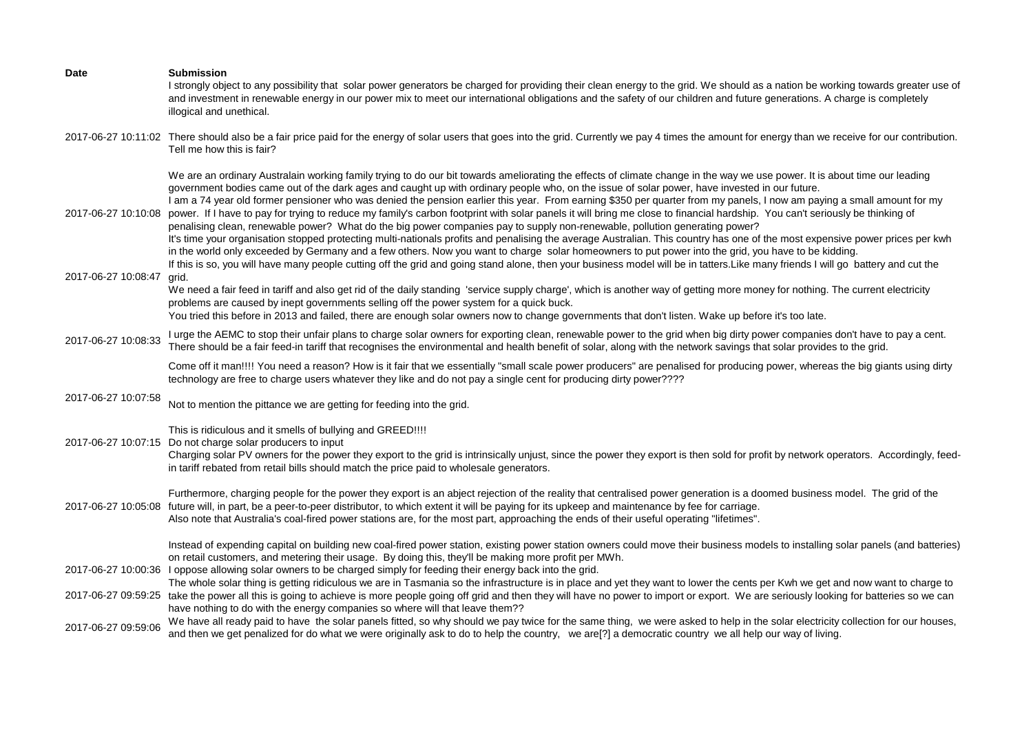| Date                | <b>Submission</b><br>I strongly object to any possibility that solar power generators be charged for providing their clean energy to the grid. We should as a nation be working towards greater use of<br>and investment in renewable energy in our power mix to meet our international obligations and the safety of our children and future generations. A charge is completely<br>illogical and unethical.                                                                                                                                                                                                                                                                                                                                                                                                                                                                                                                                                                                                                                                                                                                                                                                                                                                                                                                                     |
|---------------------|---------------------------------------------------------------------------------------------------------------------------------------------------------------------------------------------------------------------------------------------------------------------------------------------------------------------------------------------------------------------------------------------------------------------------------------------------------------------------------------------------------------------------------------------------------------------------------------------------------------------------------------------------------------------------------------------------------------------------------------------------------------------------------------------------------------------------------------------------------------------------------------------------------------------------------------------------------------------------------------------------------------------------------------------------------------------------------------------------------------------------------------------------------------------------------------------------------------------------------------------------------------------------------------------------------------------------------------------------|
|                     | 2017-06-27 10:11:02 There should also be a fair price paid for the energy of solar users that goes into the grid. Currently we pay 4 times the amount for energy than we receive for our contribution.<br>Tell me how this is fair?                                                                                                                                                                                                                                                                                                                                                                                                                                                                                                                                                                                                                                                                                                                                                                                                                                                                                                                                                                                                                                                                                                               |
| 2017-06-27 10:10:08 | We are an ordinary Australain working family trying to do our bit towards ameliorating the effects of climate change in the way we use power. It is about time our leading<br>government bodies came out of the dark ages and caught up with ordinary people who, on the issue of solar power, have invested in our future.<br>I am a 74 year old former pensioner who was denied the pension earlier this year. From earning \$350 per quarter from my panels, I now am paying a small amount for my<br>power. If I have to pay for trying to reduce my family's carbon footprint with solar panels it will bring me close to financial hardship. You can't seriously be thinking of<br>penalising clean, renewable power? What do the big power companies pay to supply non-renewable, pollution generating power?<br>It's time your organisation stopped protecting multi-nationals profits and penalising the average Australian. This country has one of the most expensive power prices per kwh<br>in the world only exceeded by Germany and a few others. Now you want to charge solar homeowners to put power into the grid, you have to be kidding.<br>If this is so, you will have many people cutting off the grid and going stand alone, then your business model will be in tatters. Like many friends I will go battery and cut the |
| 2017-06-27 10:08:47 | grid.<br>We need a fair feed in tariff and also get rid of the daily standing 'service supply charge', which is another way of getting more money for nothing. The current electricity<br>problems are caused by inept governments selling off the power system for a quick buck.<br>You tried this before in 2013 and failed, there are enough solar owners now to change governments that don't listen. Wake up before it's too late.                                                                                                                                                                                                                                                                                                                                                                                                                                                                                                                                                                                                                                                                                                                                                                                                                                                                                                           |
| 2017-06-27 10:08:33 | I urge the AEMC to stop their unfair plans to charge solar owners for exporting clean, renewable power to the grid when big dirty power companies don't have to pay a cent.<br>There should be a fair feed-in tariff that recognises the environmental and health benefit of solar, along with the network savings that solar provides to the grid.                                                                                                                                                                                                                                                                                                                                                                                                                                                                                                                                                                                                                                                                                                                                                                                                                                                                                                                                                                                               |
|                     | Come off it man!!!! You need a reason? How is it fair that we essentially "small scale power producers" are penalised for producing power, whereas the big giants using dirty<br>technology are free to charge users whatever they like and do not pay a single cent for producing dirty power????                                                                                                                                                                                                                                                                                                                                                                                                                                                                                                                                                                                                                                                                                                                                                                                                                                                                                                                                                                                                                                                |
| 2017-06-27 10:07:58 | Not to mention the pittance we are getting for feeding into the grid.                                                                                                                                                                                                                                                                                                                                                                                                                                                                                                                                                                                                                                                                                                                                                                                                                                                                                                                                                                                                                                                                                                                                                                                                                                                                             |
| 2017-06-27 10:07:15 | This is ridiculous and it smells of bullying and GREED!!!!<br>Do not charge solar producers to input<br>Charging solar PV owners for the power they export to the grid is intrinsically unjust, since the power they export is then sold for profit by network operators. Accordingly, feed-<br>in tariff rebated from retail bills should match the price paid to wholesale generators.                                                                                                                                                                                                                                                                                                                                                                                                                                                                                                                                                                                                                                                                                                                                                                                                                                                                                                                                                          |
| 2017-06-27 10:05:08 | Furthermore, charging people for the power they export is an abject rejection of the reality that centralised power generation is a doomed business model. The grid of the<br>future will, in part, be a peer-to-peer distributor, to which extent it will be paying for its upkeep and maintenance by fee for carriage.<br>Also note that Australia's coal-fired power stations are, for the most part, approaching the ends of their useful operating "lifetimes".                                                                                                                                                                                                                                                                                                                                                                                                                                                                                                                                                                                                                                                                                                                                                                                                                                                                              |
|                     | Instead of expending capital on building new coal-fired power station, existing power station owners could move their business models to installing solar panels (and batteries)<br>on retail customers, and metering their usage. By doing this, they'll be making more profit per MWh.                                                                                                                                                                                                                                                                                                                                                                                                                                                                                                                                                                                                                                                                                                                                                                                                                                                                                                                                                                                                                                                          |
|                     | 2017-06-27 10:00:36 I oppose allowing solar owners to be charged simply for feeding their energy back into the grid.<br>The whole solar thing is getting ridiculous we are in Tasmania so the infrastructure is in place and yet they want to lower the cents per Kwh we get and now want to charge to                                                                                                                                                                                                                                                                                                                                                                                                                                                                                                                                                                                                                                                                                                                                                                                                                                                                                                                                                                                                                                            |
|                     | 2017-06-27 09:59:25 take the power all this is going to achieve is more people going off grid and then they will have no power to import or export. We are seriously looking for batteries so we can<br>have nothing to do with the energy companies so where will that leave them??                                                                                                                                                                                                                                                                                                                                                                                                                                                                                                                                                                                                                                                                                                                                                                                                                                                                                                                                                                                                                                                              |
| 2017-06-27 09:59:06 | We have all ready paid to have the solar panels fitted, so why should we pay twice for the same thing, we were asked to help in the solar electricity collection for our houses,<br>and then we get penalized for do what we were originally ask to do to help the country, we are[?] a democratic country we all help our way of living.                                                                                                                                                                                                                                                                                                                                                                                                                                                                                                                                                                                                                                                                                                                                                                                                                                                                                                                                                                                                         |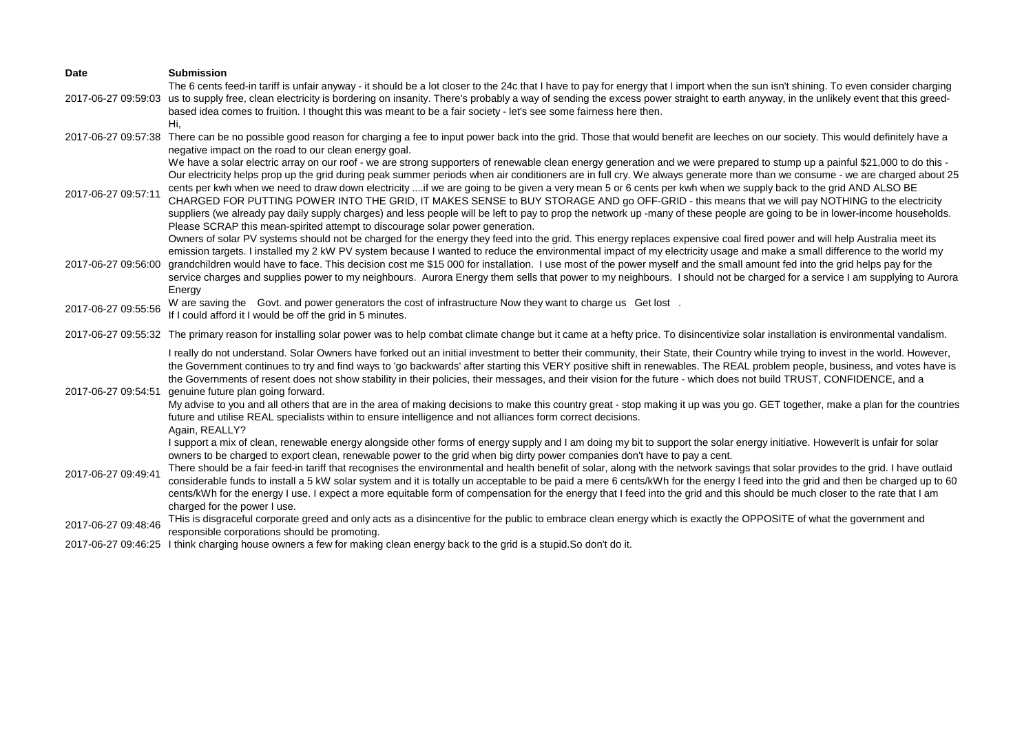| <b>Date</b>         | <b>Submission</b>                                                                                                                                                                                                                                                                                                 |
|---------------------|-------------------------------------------------------------------------------------------------------------------------------------------------------------------------------------------------------------------------------------------------------------------------------------------------------------------|
|                     | The 6 cents feed-in tariff is unfair anyway - it should be a lot closer to the 24c that I have to pay for energy that I import when the sun isn't shining. To even consider charging                                                                                                                              |
| 2017-06-27 09:59:03 | us to supply free, clean electricity is bordering on insanity. There's probably a way of sending the excess power straight to earth anyway, in the unlikely event that this greed-                                                                                                                                |
|                     | based idea comes to fruition. I thought this was meant to be a fair society - let's see some fairness here then.                                                                                                                                                                                                  |
| 2017-06-27 09:57:38 | Hi,<br>There can be no possible good reason for charging a fee to input power back into the grid. Those that would benefit are leeches on our society. This would definitely have a                                                                                                                               |
|                     | negative impact on the road to our clean energy goal.                                                                                                                                                                                                                                                             |
|                     | We have a solar electric array on our roof - we are strong supporters of renewable clean energy generation and we were prepared to stump up a painful \$21,000 to do this -                                                                                                                                       |
|                     | Our electricity helps prop up the grid during peak summer periods when air conditioners are in full cry. We always generate more than we consume - we are charged about 25                                                                                                                                        |
| 2017-06-27 09:57:11 | cents per kwh when we need to draw down electricity if we are going to be given a very mean 5 or 6 cents per kwh when we supply back to the grid AND ALSO BE                                                                                                                                                      |
|                     | CHARGED FOR PUTTING POWER INTO THE GRID, IT MAKES SENSE to BUY STORAGE AND go OFF-GRID - this means that we will pay NOTHING to the electricity                                                                                                                                                                   |
|                     | suppliers (we already pay daily supply charges) and less people will be left to pay to prop the network up -many of these people are going to be in lower-income households.<br>Please SCRAP this mean-spirited attempt to discourage solar power generation.                                                     |
|                     | Owners of solar PV systems should not be charged for the energy they feed into the grid. This energy replaces expensive coal fired power and will help Australia meet its                                                                                                                                         |
|                     | emission targets. I installed my 2 kW PV system because I wanted to reduce the environmental impact of my electricity usage and make a small difference to the world my                                                                                                                                           |
| 2017-06-27 09:56:00 | grandchildren would have to face. This decision cost me \$15 000 for installation. I use most of the power myself and the small amount fed into the grid helps pay for the                                                                                                                                        |
|                     | service charges and supplies power to my neighbours. Aurora Energy them sells that power to my neighbours. I should not be charged for a service I am supplying to Aurora                                                                                                                                         |
|                     | Energy                                                                                                                                                                                                                                                                                                            |
| 2017-06-27 09:55:56 | W are saving the Govt. and power generators the cost of infrastructure Now they want to charge us Get lost.<br>If I could afford it I would be off the grid in 5 minutes.                                                                                                                                         |
|                     |                                                                                                                                                                                                                                                                                                                   |
|                     | 2017-06-27 09:55:32 The primary reason for installing solar power was to help combat climate change but it came at a hefty price. To disincentivize solar installation is environmental vandalism.                                                                                                                |
|                     | I really do not understand. Solar Owners have forked out an initial investment to better their community, their State, their Country while trying to invest in the world. However,                                                                                                                                |
|                     | the Government continues to try and find ways to 'go backwards' after starting this VERY positive shift in renewables. The REAL problem people, business, and votes have is                                                                                                                                       |
| 2017-06-27 09:54:51 | the Governments of resent does not show stability in their policies, their messages, and their vision for the future - which does not build TRUST, CONFIDENCE, and a<br>genuine future plan going forward.                                                                                                        |
|                     | My advise to you and all others that are in the area of making decisions to make this country great - stop making it up was you go. GET together, make a plan for the countries                                                                                                                                   |
|                     | future and utilise REAL specialists within to ensure intelligence and not alliances form correct decisions.                                                                                                                                                                                                       |
|                     | Again, REALLY?                                                                                                                                                                                                                                                                                                    |
|                     | I support a mix of clean, renewable energy alongside other forms of energy supply and I am doing my bit to support the solar energy initiative. Howeverlt is unfair for solar                                                                                                                                     |
|                     | owners to be charged to export clean, renewable power to the grid when big dirty power companies don't have to pay a cent.<br>There should be a fair feed-in tariff that recognises the environmental and health benefit of solar, along with the network savings that solar provides to the grid. I have outlaid |
| 2017-06-27 09:49:41 | considerable funds to install a 5 kW solar system and it is totally un acceptable to be paid a mere 6 cents/kWh for the energy I feed into the grid and then be charged up to 60                                                                                                                                  |
|                     | cents/kWh for the energy I use. I expect a more equitable form of compensation for the energy that I feed into the grid and this should be much closer to the rate that I am                                                                                                                                      |
|                     | charged for the power I use.                                                                                                                                                                                                                                                                                      |
| 2017-06-27 09:48:46 | THis is disgraceful corporate greed and only acts as a disincentive for the public to embrace clean energy which is exactly the OPPOSITE of what the government and                                                                                                                                               |
|                     | responsible corporations should be promoting.<br>2017 06 27 00:46:25 I think aborging house owners a fourfer moking elega energy heak to the grid is a stupid Co den't do it                                                                                                                                      |

2017-06-27 09:46:25 I think charging house owners a few for making clean energy back to the grid is a stupid.So don't do it.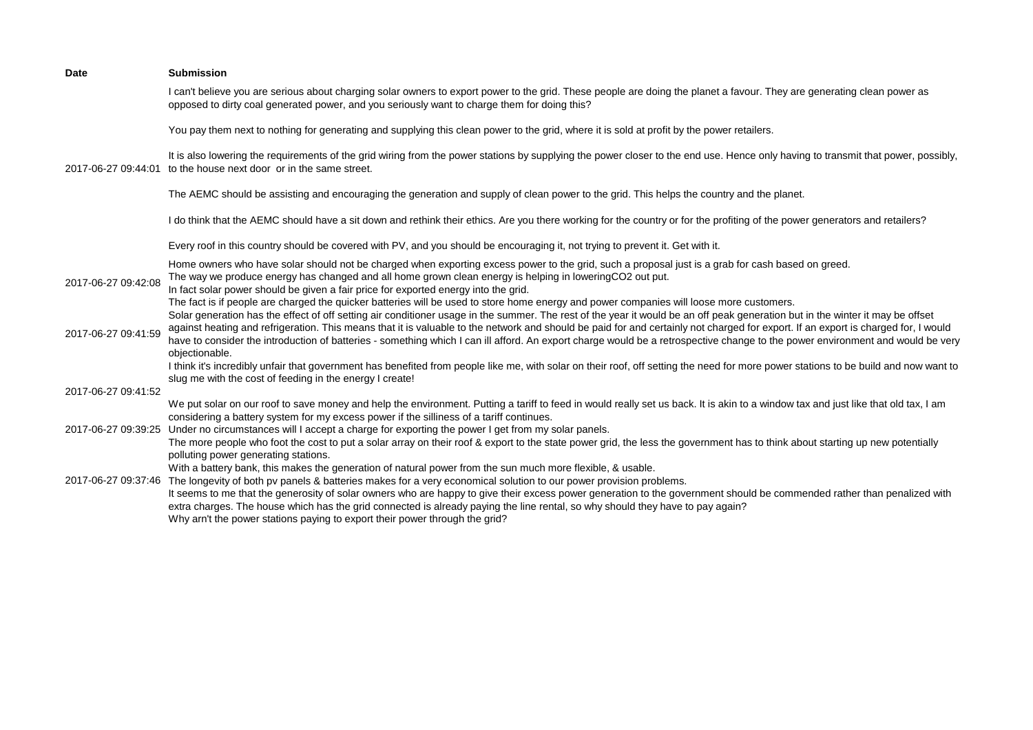| <b>Date</b>         | <b>Submission</b>                                                                                                                                                                                                                                                                                                                                                                                                                                                                                                                                                                                                                                                                  |
|---------------------|------------------------------------------------------------------------------------------------------------------------------------------------------------------------------------------------------------------------------------------------------------------------------------------------------------------------------------------------------------------------------------------------------------------------------------------------------------------------------------------------------------------------------------------------------------------------------------------------------------------------------------------------------------------------------------|
|                     | I can't believe you are serious about charging solar owners to export power to the grid. These people are doing the planet a favour. They are generating clean power as<br>opposed to dirty coal generated power, and you seriously want to charge them for doing this?                                                                                                                                                                                                                                                                                                                                                                                                            |
|                     | You pay them next to nothing for generating and supplying this clean power to the grid, where it is sold at profit by the power retailers.                                                                                                                                                                                                                                                                                                                                                                                                                                                                                                                                         |
| 2017-06-27 09:44:01 | It is also lowering the requirements of the grid wiring from the power stations by supplying the power closer to the end use. Hence only having to transmit that power, possibly,<br>to the house next door or in the same street.                                                                                                                                                                                                                                                                                                                                                                                                                                                 |
|                     | The AEMC should be assisting and encouraging the generation and supply of clean power to the grid. This helps the country and the planet.                                                                                                                                                                                                                                                                                                                                                                                                                                                                                                                                          |
|                     | I do think that the AEMC should have a sit down and rethink their ethics. Are you there working for the country or for the profiting of the power generators and retailers?                                                                                                                                                                                                                                                                                                                                                                                                                                                                                                        |
|                     | Every roof in this country should be covered with PV, and you should be encouraging it, not trying to prevent it. Get with it.                                                                                                                                                                                                                                                                                                                                                                                                                                                                                                                                                     |
| 2017-06-27 09:42:08 | Home owners who have solar should not be charged when exporting excess power to the grid, such a proposal just is a grab for cash based on greed.<br>The way we produce energy has changed and all home grown clean energy is helping in loweringCO2 out put.<br>In fact solar power should be given a fair price for exported energy into the grid.<br>The fact is if people are charged the quicker batteries will be used to store home energy and power companies will loose more customers.<br>Solar generation has the effect of off setting air conditioner usage in the summer. The rest of the year it would be an off peak generation but in the winter it may be offset |
| 2017-06-27 09:41:59 | against heating and refrigeration. This means that it is valuable to the network and should be paid for and certainly not charged for export. If an export is charged for, I would<br>have to consider the introduction of batteries - something which I can ill afford. An export charge would be a retrospective change to the power environment and would be very<br>objectionable.                                                                                                                                                                                                                                                                                             |
| 2017-06-27 09:41:52 | I think it's incredibly unfair that government has benefited from people like me, with solar on their roof, off setting the need for more power stations to be build and now want to<br>slug me with the cost of feeding in the energy I create!                                                                                                                                                                                                                                                                                                                                                                                                                                   |
|                     | We put solar on our roof to save money and help the environment. Putting a tariff to feed in would really set us back. It is akin to a window tax and just like that old tax, I am<br>considering a battery system for my excess power if the silliness of a tariff continues.                                                                                                                                                                                                                                                                                                                                                                                                     |
| 2017-06-27 09:39:25 | Under no circumstances will I accept a charge for exporting the power I get from my solar panels.<br>The more people who foot the cost to put a solar array on their roof & export to the state power grid, the less the government has to think about starting up new potentially<br>polluting power generating stations.<br>With a battery bank, this makes the generation of natural power from the sun much more flexible, & usable.                                                                                                                                                                                                                                           |
| 2017-06-27 09:37:46 | The longevity of both pv panels & batteries makes for a very economical solution to our power provision problems.<br>It seems to me that the generosity of solar owners who are happy to give their excess power generation to the government should be commended rather than penalized with<br>extra charges. The house which has the grid connected is already paying the line rental, so why should they have to pay again?<br>Why arn't the power stations paying to export their power through the grid?                                                                                                                                                                      |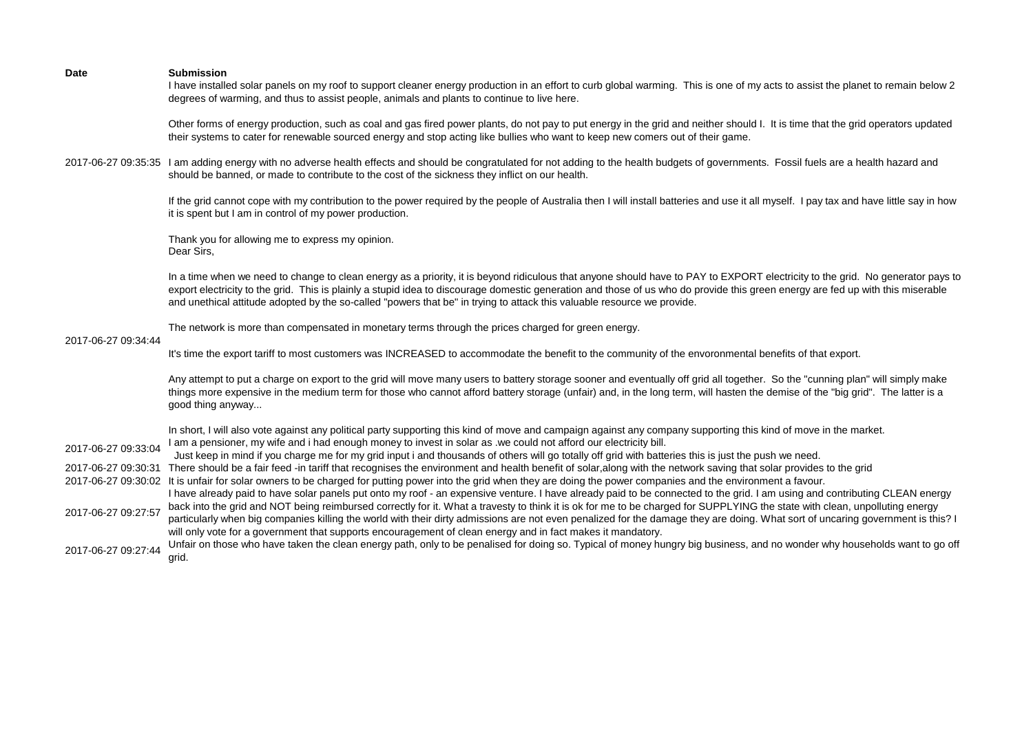I have installed solar panels on my roof to support cleaner energy production in an effort to curb global warming. This is one of my acts to assist the planet to remain below 2 degrees of warming, and thus to assist people, animals and plants to continue to live here.

Other forms of energy production, such as coal and gas fired power plants, do not pay to put energy in the grid and neither should I. It is time that the grid operators updated their systems to cater for renewable sourced energy and stop acting like bullies who want to keep new comers out of their game.

2017-06-27 09:35:35 I am adding energy with no adverse health effects and should be congratulated for not adding to the health budgets of governments. Fossil fuels are a health hazard and should be banned, or made to contribute to the cost of the sickness they inflict on our health.

> If the grid cannot cope with my contribution to the power required by the people of Australia then I will install batteries and use it all myself. I pay tax and have little say in how it is spent but I am in control of my power production.

Thank you for allowing me to express my opinion. Dear Sirs,

In a time when we need to change to clean energy as a priority, it is beyond ridiculous that anyone should have to PAY to EXPORT electricity to the grid. No generator pays to export electricity to the grid. This is plainly a stupid idea to discourage domestic generation and those of us who do provide this green energy are fed up with this miserable and unethical attitude adopted by the so-called "powers that be" in trying to attack this valuable resource we provide.

The network is more than compensated in monetary terms through the prices charged for green energy.

# 2017-06-27 09:34:44

It's time the export tariff to most customers was INCREASED to accommodate the benefit to the community of the envoronmental benefits of that export.

Any attempt to put a charge on export to the grid will move many users to battery storage sooner and eventually off grid all together. So the "cunning plan" will simply make things more expensive in the medium term for those who cannot afford battery storage (unfair) and, in the long term, will hasten the demise of the "big grid". The latter is a good thing anyway...

|                     | In short, I will also vote against any political party supporting this kind of move and campaign against any company supporting this kind of move in the market.                |
|---------------------|---------------------------------------------------------------------------------------------------------------------------------------------------------------------------------|
| 2017-06-27 09:33:04 | I am a pensioner, my wife and i had enough money to invest in solar as .we could not afford our electricity bill.                                                               |
|                     | Just keep in mind if you charge me for my grid input i and thousands of others will go totally off grid with batteries this is just the push we need.                           |
| 2017-06-27 09:30:31 | There should be a fair feed -in tariff that recognises the environment and health benefit of solar, along with the network saving that solar provides to the grid               |
|                     | 2017-06-27 09:30:02 It is unfair for solar owners to be charged for putting power into the grid when they are doing the power companies and the environment a favour.           |
| 2017-06-27 09:27:57 | I have already paid to have solar panels put onto my roof - an expensive venture. I have already paid to be connected to the grid. I am using and contributing CLEAN energy     |
|                     | back into the grid and NOT being reimbursed correctly for it. What a travesty to think it is ok for me to be charged for SUPPLYING the state with clean, unpolluting energy     |
|                     | particularly when big companies killing the world with their dirty admissions are not even penalized for the damage they are doing. What sort of uncaring government is this? I |
|                     | will only vote for a government that supports encouragement of clean energy and in fact makes it mandatory.                                                                     |
| 2017-06-27 09:27:44 | Unfair on those who have taken the clean energy path, only to be penalised for doing so. Typical of money hungry big business, and no wonder why households want to go off      |
|                     | arid.                                                                                                                                                                           |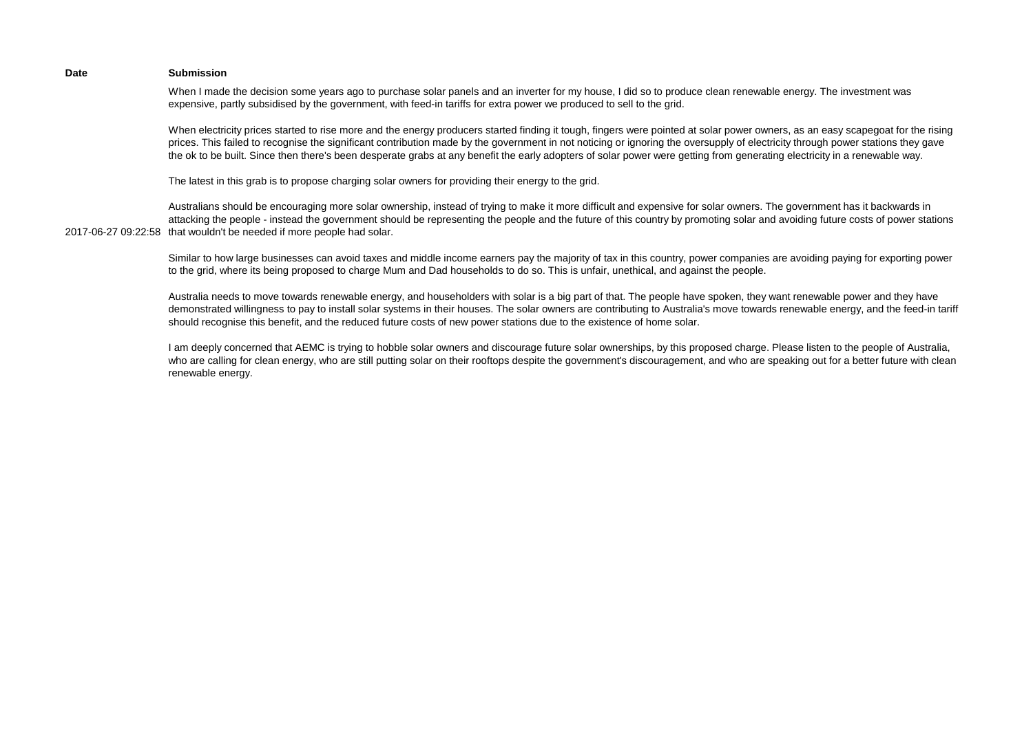When I made the decision some years ago to purchase solar panels and an inverter for my house, I did so to produce clean renewable energy. The investment was expensive, partly subsidised by the government, with feed-in tariffs for extra power we produced to sell to the grid.

When electricity prices started to rise more and the energy producers started finding it tough, fingers were pointed at solar power owners, as an easy scapegoat for the rising prices. This failed to recognise the significant contribution made by the government in not noticing or ignoring the oversupply of electricity through power stations they gave the ok to be built. Since then there's been desperate grabs at any benefit the early adopters of solar power were getting from generating electricity in a renewable way.

The latest in this grab is to propose charging solar owners for providing their energy to the grid.

2017-06-27 09:22:58 that wouldn't be needed if more people had solar. Australians should be encouraging more solar ownership, instead of trying to make it more difficult and expensive for solar owners. The government has it backwards in attacking the people - instead the government should be representing the people and the future of this country by promoting solar and avoiding future costs of power stations

> Similar to how large businesses can avoid taxes and middle income earners pay the majority of tax in this country, power companies are avoiding paying for exporting power to the grid, where its being proposed to charge Mum and Dad households to do so. This is unfair, unethical, and against the people.

> Australia needs to move towards renewable energy, and householders with solar is a big part of that. The people have spoken, they want renewable power and they have demonstrated willingness to pay to install solar systems in their houses. The solar owners are contributing to Australia's move towards renewable energy, and the feed-in tariff should recognise this benefit, and the reduced future costs of new power stations due to the existence of home solar.

> I am deeply concerned that AEMC is trying to hobble solar owners and discourage future solar ownerships, by this proposed charge. Please listen to the people of Australia, who are calling for clean energy, who are still putting solar on their rooftops despite the government's discouragement, and who are speaking out for a better future with clean renewable energy.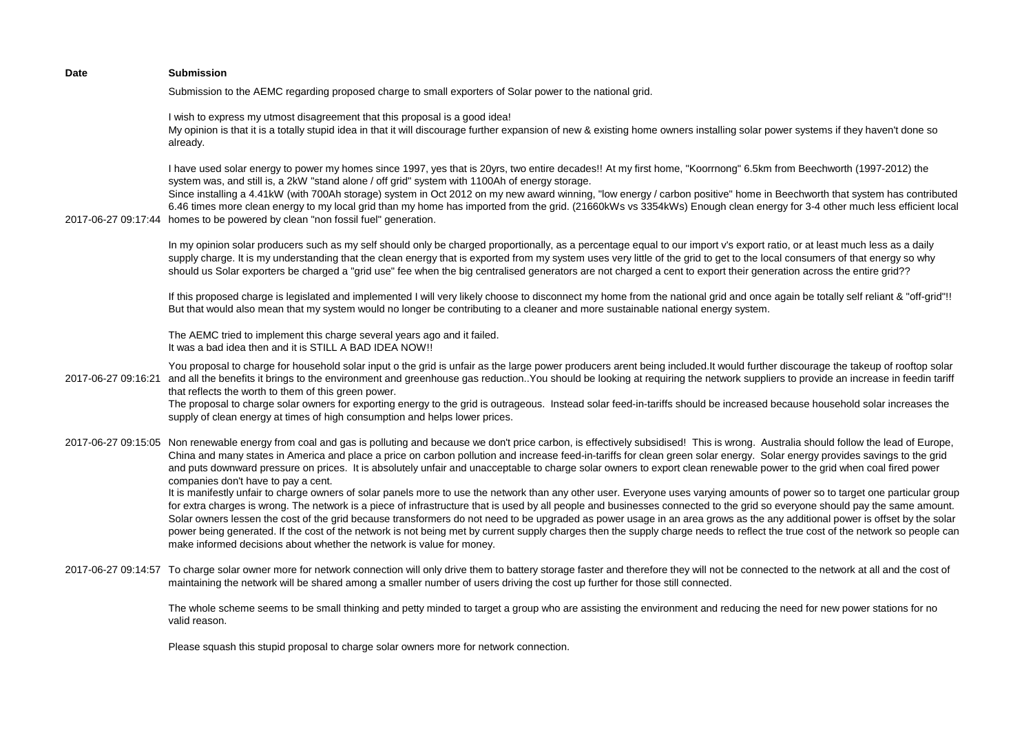| <b>Date</b> | <b>Submission</b>                                                                                                                                                                                                                                                                                                                                                                                                                                                                                                                                                                                                                                                                                                                                                                                                                                                                                                                                                                                                                                                                                                                                                                                                                                                                                                                                                                                              |
|-------------|----------------------------------------------------------------------------------------------------------------------------------------------------------------------------------------------------------------------------------------------------------------------------------------------------------------------------------------------------------------------------------------------------------------------------------------------------------------------------------------------------------------------------------------------------------------------------------------------------------------------------------------------------------------------------------------------------------------------------------------------------------------------------------------------------------------------------------------------------------------------------------------------------------------------------------------------------------------------------------------------------------------------------------------------------------------------------------------------------------------------------------------------------------------------------------------------------------------------------------------------------------------------------------------------------------------------------------------------------------------------------------------------------------------|
|             | Submission to the AEMC regarding proposed charge to small exporters of Solar power to the national grid.                                                                                                                                                                                                                                                                                                                                                                                                                                                                                                                                                                                                                                                                                                                                                                                                                                                                                                                                                                                                                                                                                                                                                                                                                                                                                                       |
|             | I wish to express my utmost disagreement that this proposal is a good idea!<br>My opinion is that it is a totally stupid idea in that it will discourage further expansion of new & existing home owners installing solar power systems if they haven't done so<br>already.                                                                                                                                                                                                                                                                                                                                                                                                                                                                                                                                                                                                                                                                                                                                                                                                                                                                                                                                                                                                                                                                                                                                    |
|             | I have used solar energy to power my homes since 1997, yes that is 20yrs, two entire decades!! At my first home, "Koorrnong" 6.5km from Beechworth (1997-2012) the<br>system was, and still is, a 2kW "stand alone / off grid" system with 1100Ah of energy storage.<br>Since installing a 4.41kW (with 700Ah storage) system in Oct 2012 on my new award winning, "low energy / carbon positive" home in Beechworth that system has contributed<br>6.46 times more clean energy to my local grid than my home has imported from the grid. (21660kWs vs 3354kWs) Enough clean energy for 3-4 other much less efficient local<br>2017-06-27 09:17:44 homes to be powered by clean "non fossil fuel" generation.                                                                                                                                                                                                                                                                                                                                                                                                                                                                                                                                                                                                                                                                                                 |
|             | In my opinion solar producers such as my self should only be charged proportionally, as a percentage equal to our import v's export ratio, or at least much less as a daily<br>supply charge. It is my understanding that the clean energy that is exported from my system uses very little of the grid to get to the local consumers of that energy so why<br>should us Solar exporters be charged a "grid use" fee when the big centralised generators are not charged a cent to export their generation across the entire grid??                                                                                                                                                                                                                                                                                                                                                                                                                                                                                                                                                                                                                                                                                                                                                                                                                                                                            |
|             | If this proposed charge is legislated and implemented I will very likely choose to disconnect my home from the national grid and once again be totally self reliant & "off-grid"!!<br>But that would also mean that my system would no longer be contributing to a cleaner and more sustainable national energy system.                                                                                                                                                                                                                                                                                                                                                                                                                                                                                                                                                                                                                                                                                                                                                                                                                                                                                                                                                                                                                                                                                        |
|             | The AEMC tried to implement this charge several years ago and it failed.<br>It was a bad idea then and it is STILL A BAD IDEA NOW!!                                                                                                                                                                                                                                                                                                                                                                                                                                                                                                                                                                                                                                                                                                                                                                                                                                                                                                                                                                                                                                                                                                                                                                                                                                                                            |
|             | You proposal to charge for household solar input o the grid is unfair as the large power producers arent being included. It would further discourage the takeup of rooftop solar<br>2017-06-27 09:16:21 and all the benefits it brings to the environment and greenhouse gas reduction. You should be looking at requiring the network suppliers to provide an increase in feedin tariff<br>that reflects the worth to them of this green power.<br>The proposal to charge solar owners for exporting energy to the grid is outrageous. Instead solar feed-in-tariffs should be increased because household solar increases the<br>supply of clean energy at times of high consumption and helps lower prices.                                                                                                                                                                                                                                                                                                                                                                                                                                                                                                                                                                                                                                                                                                 |
|             | 2017-06-27 09:15:05 Non renewable energy from coal and gas is polluting and because we don't price carbon, is effectively subsidised! This is wrong. Australia should follow the lead of Europe,<br>China and many states in America and place a price on carbon pollution and increase feed-in-tariffs for clean green solar energy. Solar energy provides savings to the grid<br>and puts downward pressure on prices. It is absolutely unfair and unacceptable to charge solar owners to export clean renewable power to the grid when coal fired power<br>companies don't have to pay a cent.<br>It is manifestly unfair to charge owners of solar panels more to use the network than any other user. Everyone uses varying amounts of power so to target one particular group<br>for extra charges is wrong. The network is a piece of infrastructure that is used by all people and businesses connected to the grid so everyone should pay the same amount.<br>Solar owners lessen the cost of the grid because transformers do not need to be upgraded as power usage in an area grows as the any additional power is offset by the solar<br>power being generated. If the cost of the network is not being met by current supply charges then the supply charge needs to reflect the true cost of the network so people can<br>make informed decisions about whether the network is value for money. |
|             | 2017-06-27 09:14:57 To charge solar owner more for network connection will only drive them to battery storage faster and therefore they will not be connected to the network at all and the cost of<br>maintaining the network will be shared among a smaller number of users driving the cost up further for those still connected.                                                                                                                                                                                                                                                                                                                                                                                                                                                                                                                                                                                                                                                                                                                                                                                                                                                                                                                                                                                                                                                                           |
|             | The whole scheme seems to be small thinking and petty minded to target a group who are assisting the environment and reducing the need for new power stations for no<br>valid reason.                                                                                                                                                                                                                                                                                                                                                                                                                                                                                                                                                                                                                                                                                                                                                                                                                                                                                                                                                                                                                                                                                                                                                                                                                          |
|             | Please squash this stupid proposal to charge solar owners more for network connection.                                                                                                                                                                                                                                                                                                                                                                                                                                                                                                                                                                                                                                                                                                                                                                                                                                                                                                                                                                                                                                                                                                                                                                                                                                                                                                                         |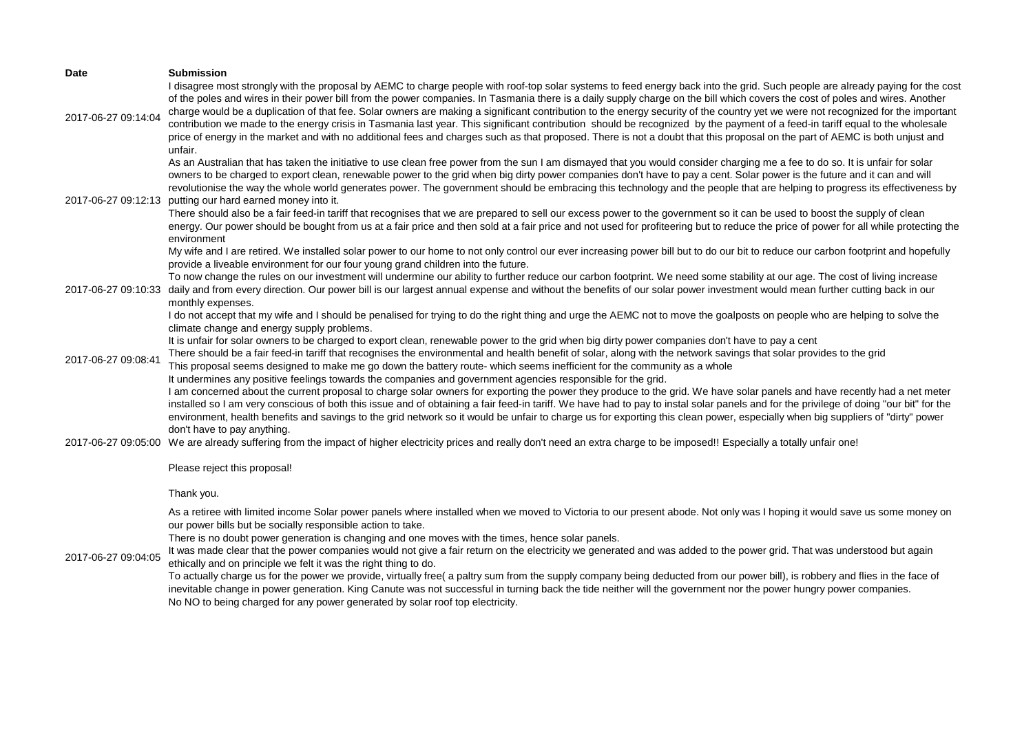| <b>Date</b>         | <b>Submission</b>                                                                                                                                                                                                                                                                                                                                                                                                                                                                                                                                                                                                                                                                                                                                                                                                                                                                                                                                                                                                               |
|---------------------|---------------------------------------------------------------------------------------------------------------------------------------------------------------------------------------------------------------------------------------------------------------------------------------------------------------------------------------------------------------------------------------------------------------------------------------------------------------------------------------------------------------------------------------------------------------------------------------------------------------------------------------------------------------------------------------------------------------------------------------------------------------------------------------------------------------------------------------------------------------------------------------------------------------------------------------------------------------------------------------------------------------------------------|
| 2017-06-27 09:14:04 | I disagree most strongly with the proposal by AEMC to charge people with roof-top solar systems to feed energy back into the grid. Such people are already paying for the cost<br>of the poles and wires in their power bill from the power companies. In Tasmania there is a daily supply charge on the bill which covers the cost of poles and wires. Another<br>charge would be a duplication of that fee. Solar owners are making a significant contribution to the energy security of the country yet we were not recognized for the important<br>contribution we made to the energy crisis in Tasmania last year. This significant contribution should be recognized by the payment of a feed-in tariff equal to the wholesale<br>price of energy in the market and with no additional fees and charges such as that proposed. There is not a doubt that this proposal on the part of AEMC is both unjust and<br>unfair.                                                                                                  |
| 2017-06-27 09:12:13 | As an Australian that has taken the initiative to use clean free power from the sun I am dismayed that you would consider charging me a fee to do so. It is unfair for solar<br>owners to be charged to export clean, renewable power to the grid when big dirty power companies don't have to pay a cent. Solar power is the future and it can and will<br>revolutionise the way the whole world generates power. The government should be embracing this technology and the people that are helping to progress its effectiveness by<br>putting our hard earned money into it.<br>There should also be a fair feed-in tariff that recognises that we are prepared to sell our excess power to the government so it can be used to boost the supply of clean<br>energy. Our power should be bought from us at a fair price and then sold at a fair price and not used for profiteering but to reduce the price of power for all while protecting the<br>environment                                                            |
| 2017-06-27 09:10:33 | My wife and I are retired. We installed solar power to our home to not only control our ever increasing power bill but to do our bit to reduce our carbon footprint and hopefully<br>provide a liveable environment for our four young grand children into the future.<br>To now change the rules on our investment will undermine our ability to further reduce our carbon footprint. We need some stability at our age. The cost of living increase<br>daily and from every direction. Our power bill is our largest annual expense and without the benefits of our solar power investment would mean further cutting back in our<br>monthly expenses.<br>I do not accept that my wife and I should be penalised for trying to do the right thing and urge the AEMC not to move the goalposts on people who are helping to solve the                                                                                                                                                                                          |
| 2017-06-27 09:08:41 | climate change and energy supply problems.<br>It is unfair for solar owners to be charged to export clean, renewable power to the grid when big dirty power companies don't have to pay a cent<br>There should be a fair feed-in tariff that recognises the environmental and health benefit of solar, along with the network savings that solar provides to the grid<br>This proposal seems designed to make me go down the battery route- which seems inefficient for the community as a whole<br>It undermines any positive feelings towards the companies and government agencies responsible for the grid.<br>I am concerned about the current proposal to charge solar owners for exporting the power they produce to the grid. We have solar panels and have recently had a net meter                                                                                                                                                                                                                                    |
|                     | installed so I am very conscious of both this issue and of obtaining a fair feed-in tariff. We have had to pay to instal solar panels and for the privilege of doing "our bit" for the<br>environment, health benefits and savings to the grid network so it would be unfair to charge us for exporting this clean power, especially when big suppliers of "dirty" power<br>don't have to pay anything.<br>2017-06-27 09:05:00 We are already suffering from the impact of higher electricity prices and really don't need an extra charge to be imposed!! Especially a totally unfair one!<br>Please reject this proposal!                                                                                                                                                                                                                                                                                                                                                                                                     |
|                     | Thank you.                                                                                                                                                                                                                                                                                                                                                                                                                                                                                                                                                                                                                                                                                                                                                                                                                                                                                                                                                                                                                      |
| 2017-06-27 09:04:05 | As a retiree with limited income Solar power panels where installed when we moved to Victoria to our present abode. Not only was I hoping it would save us some money on<br>our power bills but be socially responsible action to take.<br>There is no doubt power generation is changing and one moves with the times, hence solar panels.<br>It was made clear that the power companies would not give a fair return on the electricity we generated and was added to the power grid. That was understood but again<br>ethically and on principle we felt it was the right thing to do.<br>To actually charge us for the power we provide, virtually free( a paltry sum from the supply company being deducted from our power bill), is robbery and flies in the face of<br>inevitable change in power generation. King Canute was not successful in turning back the tide neither will the government nor the power hungry power companies.<br>No NO to being charged for any power generated by solar roof top electricity. |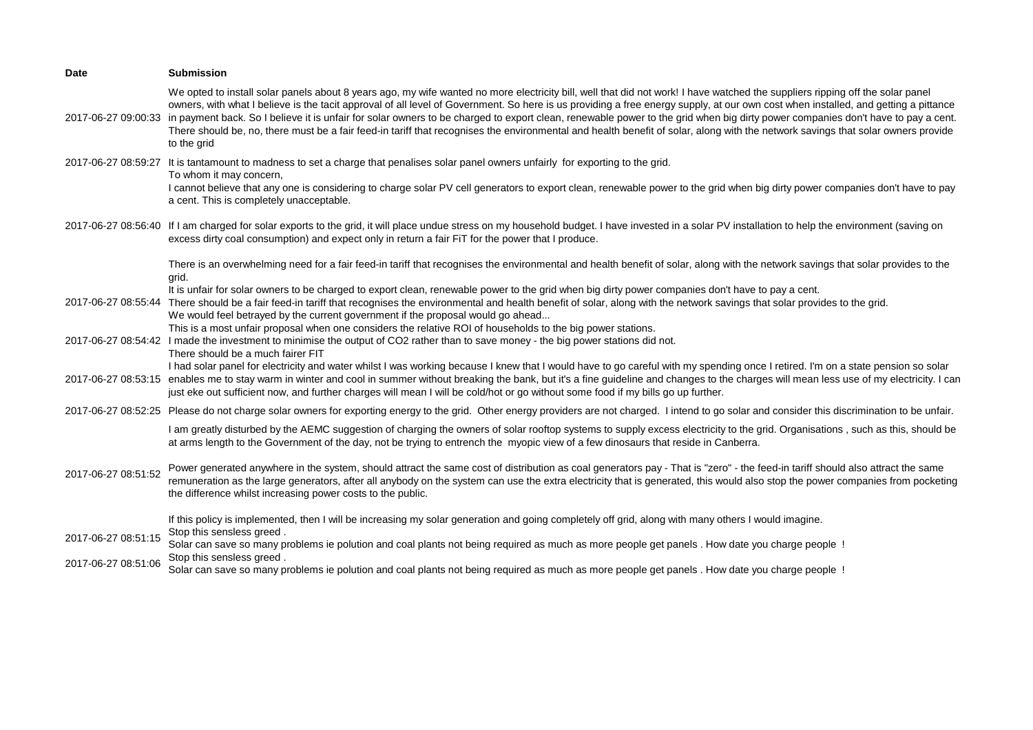| Date                | <b>Submission</b>                                                                                                                                                                                                                                                                                                                                                                                                                                                                                                                                                                                                                                                                                                                                         |
|---------------------|-----------------------------------------------------------------------------------------------------------------------------------------------------------------------------------------------------------------------------------------------------------------------------------------------------------------------------------------------------------------------------------------------------------------------------------------------------------------------------------------------------------------------------------------------------------------------------------------------------------------------------------------------------------------------------------------------------------------------------------------------------------|
| 2017-06-27 09:00:33 | We opted to install solar panels about 8 years ago, my wife wanted no more electricity bill, well that did not work! I have watched the suppliers ripping off the solar panel<br>owners, with what I believe is the tacit approval of all level of Government. So here is us providing a free energy supply, at our own cost when installed, and getting a pittance<br>in payment back. So I believe it is unfair for solar owners to be charged to export clean, renewable power to the grid when big dirty power companies don't have to pay a cent.<br>There should be, no, there must be a fair feed-in tariff that recognises the environmental and health benefit of solar, along with the network savings that solar owners provide<br>to the grid |
| 2017-06-27 08:59:27 | It is tantamount to madness to set a charge that penalises solar panel owners unfairly for exporting to the grid.                                                                                                                                                                                                                                                                                                                                                                                                                                                                                                                                                                                                                                         |
|                     | To whom it may concern,<br>I cannot believe that any one is considering to charge solar PV cell generators to export clean, renewable power to the grid when big dirty power companies don't have to pay<br>a cent. This is completely unacceptable.                                                                                                                                                                                                                                                                                                                                                                                                                                                                                                      |
|                     | 2017-06-27 08:56:40 If I am charged for solar exports to the grid, it will place undue stress on my household budget. I have invested in a solar PV installation to help the environment (saving on<br>excess dirty coal consumption) and expect only in return a fair FiT for the power that I produce.                                                                                                                                                                                                                                                                                                                                                                                                                                                  |
|                     | There is an overwhelming need for a fair feed-in tariff that recognises the environmental and health benefit of solar, along with the network savings that solar provides to the<br>grid.                                                                                                                                                                                                                                                                                                                                                                                                                                                                                                                                                                 |
|                     | It is unfair for solar owners to be charged to export clean, renewable power to the grid when big dirty power companies don't have to pay a cent.<br>2017-06-27 08:55:44 There should be a fair feed-in tariff that recognises the environmental and health benefit of solar, along with the network savings that solar provides to the grid.<br>We would feel betrayed by the current government if the proposal would go ahead<br>This is a most unfair proposal when one considers the relative ROI of households to the big power stations.                                                                                                                                                                                                           |
|                     | 2017-06-27 08:54:42 I made the investment to minimise the output of CO2 rather than to save money - the big power stations did not.<br>There should be a much fairer FIT                                                                                                                                                                                                                                                                                                                                                                                                                                                                                                                                                                                  |
|                     | I had solar panel for electricity and water whilst I was working because I knew that I would have to go careful with my spending once I retired. I'm on a state pension so solar<br>2017-06-27 08:53:15 enables me to stay warm in winter and cool in summer without breaking the bank, but it's a fine guideline and changes to the charges will mean less use of my electricity. I can<br>just eke out sufficient now, and further charges will mean I will be cold/hot or go without some food if my bills go up further.                                                                                                                                                                                                                              |
|                     | 2017-06-27 08:52:25 Please do not charge solar owners for exporting energy to the grid. Other energy providers are not charged. I intend to go solar and consider this discrimination to be unfair.                                                                                                                                                                                                                                                                                                                                                                                                                                                                                                                                                       |
|                     | I am greatly disturbed by the AEMC suggestion of charging the owners of solar rooftop systems to supply excess electricity to the grid. Organisations, such as this, should be<br>at arms length to the Government of the day, not be trying to entrench the myopic view of a few dinosaurs that reside in Canberra.                                                                                                                                                                                                                                                                                                                                                                                                                                      |
| 2017-06-27 08:51:52 | Power generated anywhere in the system, should attract the same cost of distribution as coal generators pay - That is "zero" - the feed-in tariff should also attract the same<br>remuneration as the large generators, after all anybody on the system can use the extra electricity that is generated, this would also stop the power companies from pocketing<br>the difference whilst increasing power costs to the public.                                                                                                                                                                                                                                                                                                                           |
| 2017-06-27 08:51:15 | If this policy is implemented, then I will be increasing my solar generation and going completely off grid, along with many others I would imagine.<br>Stop this sensless greed.                                                                                                                                                                                                                                                                                                                                                                                                                                                                                                                                                                          |
|                     | Solar can save so many problems ie polution and coal plants not being required as much as more people get panels. How date you charge people!<br>Stop this sensless greed.                                                                                                                                                                                                                                                                                                                                                                                                                                                                                                                                                                                |
| 2017-06-27 08:51:06 | Solar can save so many problems ie polution and coal plants not being required as much as more people get panels. How date you charge people!                                                                                                                                                                                                                                                                                                                                                                                                                                                                                                                                                                                                             |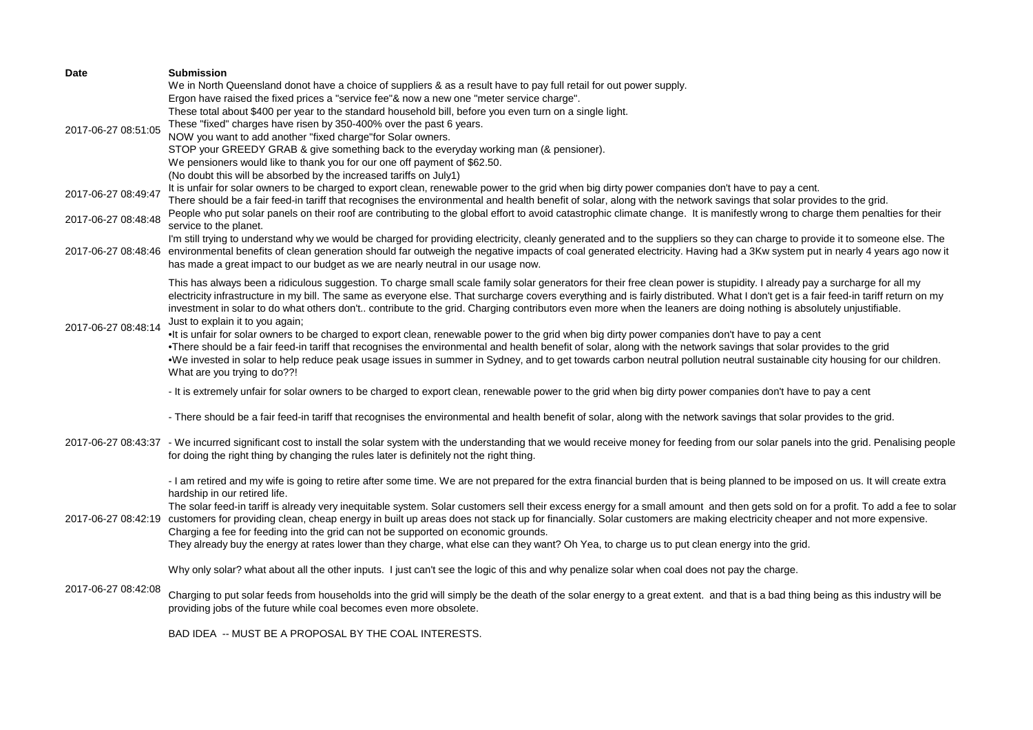| <b>Date</b>         | <b>Submission</b>                                                                                                                                                                                    |
|---------------------|------------------------------------------------------------------------------------------------------------------------------------------------------------------------------------------------------|
|                     | We in North Queensland donot have a choice of suppliers & as a result have to pay full retail for out power supply.                                                                                  |
|                     | Ergon have raised the fixed prices a "service fee"& now a new one "meter service charge".                                                                                                            |
|                     | These total about \$400 per year to the standard household bill, before you even turn on a single light.                                                                                             |
|                     | These "fixed" charges have risen by 350-400% over the past 6 years.                                                                                                                                  |
| 2017-06-27 08:51:05 | NOW you want to add another "fixed charge"for Solar owners.                                                                                                                                          |
|                     | STOP your GREEDY GRAB & give something back to the everyday working man (& pensioner).                                                                                                               |
|                     | We pensioners would like to thank you for our one off payment of \$62.50.                                                                                                                            |
|                     | (No doubt this will be absorbed by the increased tariffs on July1)                                                                                                                                   |
|                     | It is unfair for solar owners to be charged to export clean, renewable power to the grid when big dirty power companies don't have to pay a cent.                                                    |
| 2017-06-27 08:49:47 | There should be a fair feed-in tariff that recognises the environmental and health benefit of solar, along with the network savings that solar provides to the grid.                                 |
|                     | People who put solar panels on their roof are contributing to the global effort to avoid catastrophic climate change. It is manifestly wrong to charge them penalties for their                      |
| 2017-06-27 08:48:48 | service to the planet.                                                                                                                                                                               |
|                     | I'm still trying to understand why we would be charged for providing electricity, cleanly generated and to the suppliers so they can charge to provide it to someone else. The                       |
|                     | 2017-06-27 08:48:46 environmental benefits of clean generation should far outweigh the negative impacts of coal generated electricity. Having had a 3Kw system put in nearly 4 years ago now it      |
|                     | has made a great impact to our budget as we are nearly neutral in our usage now.                                                                                                                     |
|                     |                                                                                                                                                                                                      |
|                     | This has always been a ridiculous suggestion. To charge small scale family solar generators for their free clean power is stupidity. I already pay a surcharge for all my                            |
|                     | electricity infrastructure in my bill. The same as everyone else. That surcharge covers everything and is fairly distributed. What I don't get is a fair feed-in tariff return on my                 |
|                     | investment in solar to do what others don't contribute to the grid. Charging contributors even more when the leaners are doing nothing is absolutely unjustifiable.                                  |
| 2017-06-27 08:48:14 | Just to explain it to you again;                                                                                                                                                                     |
|                     | . It is unfair for solar owners to be charged to export clean, renewable power to the grid when big dirty power companies don't have to pay a cent                                                   |
|                     | •There should be a fair feed-in tariff that recognises the environmental and health benefit of solar, along with the network savings that solar provides to the grid                                 |
|                     | •We invested in solar to help reduce peak usage issues in summer in Sydney, and to get towards carbon neutral pollution neutral sustainable city housing for our children.                           |
|                     | What are you trying to do??!                                                                                                                                                                         |
|                     | - It is extremely unfair for solar owners to be charged to export clean, renewable power to the grid when big dirty power companies don't have to pay a cent                                         |
|                     |                                                                                                                                                                                                      |
|                     | - There should be a fair feed-in tariff that recognises the environmental and health benefit of solar, along with the network savings that solar provides to the grid.                               |
|                     |                                                                                                                                                                                                      |
|                     | 2017-06-27 08:43:37 - We incurred significant cost to install the solar system with the understanding that we would receive money for feeding from our solar panels into the grid. Penalising people |
|                     | for doing the right thing by changing the rules later is definitely not the right thing.                                                                                                             |
|                     |                                                                                                                                                                                                      |
|                     | - I am retired and my wife is going to retire after some time. We are not prepared for the extra financial burden that is being planned to be imposed on us. It will create extra                    |
|                     | hardship in our retired life.                                                                                                                                                                        |
|                     | The solar feed-in tariff is already very inequitable system. Solar customers sell their excess energy for a small amount and then gets sold on for a profit. To add a fee to solar                   |
| 2017-06-27 08:42:19 | customers for providing clean, cheap energy in built up areas does not stack up for financially. Solar customers are making electricity cheaper and not more expensive.                              |
|                     | Charging a fee for feeding into the grid can not be supported on economic grounds.                                                                                                                   |
|                     | They already buy the energy at rates lower than they charge, what else can they want? Oh Yea, to charge us to put clean energy into the grid.                                                        |
|                     |                                                                                                                                                                                                      |
|                     | Why only solar? what about all the other inputs. I just can't see the logic of this and why penalize solar when coal does not pay the charge.                                                        |
| 2017-06-27 08:42:08 |                                                                                                                                                                                                      |
|                     | Charging to put solar feeds from households into the grid will simply be the death of the solar energy to a great extent. and that is a bad thing being as this industry will be                     |
|                     | providing jobs of the future while coal becomes even more obsolete.                                                                                                                                  |
|                     |                                                                                                                                                                                                      |
|                     | BAD IDEA -- MUST BE A PROPOSAL BY THE COAL INTERESTS.                                                                                                                                                |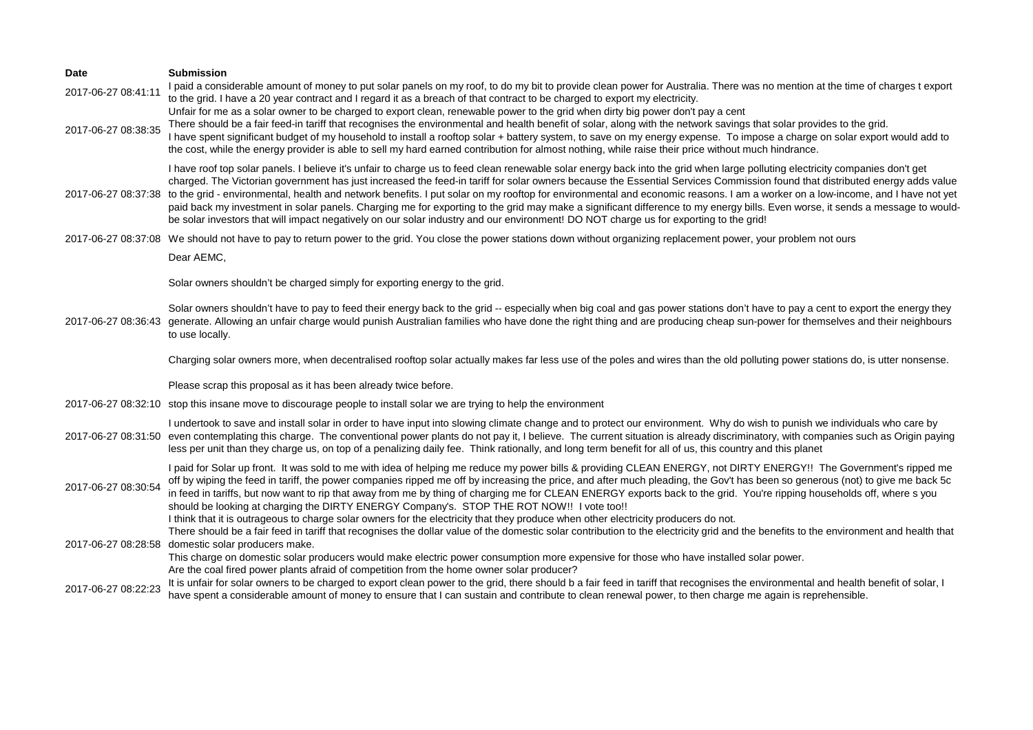| Date                | <b>Submission</b>                                                                                                                                                                                                                                                                                                                                                                                                                                                                                                                                                                                                                                                                                                                                                                                                                                                                           |
|---------------------|---------------------------------------------------------------------------------------------------------------------------------------------------------------------------------------------------------------------------------------------------------------------------------------------------------------------------------------------------------------------------------------------------------------------------------------------------------------------------------------------------------------------------------------------------------------------------------------------------------------------------------------------------------------------------------------------------------------------------------------------------------------------------------------------------------------------------------------------------------------------------------------------|
| 2017-06-27 08:41:11 | I paid a considerable amount of money to put solar panels on my roof, to do my bit to provide clean power for Australia. There was no mention at the time of charges t export<br>to the grid. I have a 20 year contract and I regard it as a breach of that contract to be charged to export my electricity.<br>Unfair for me as a solar owner to be charged to export clean, renewable power to the grid when dirty big power don't pay a cent                                                                                                                                                                                                                                                                                                                                                                                                                                             |
| 2017-06-27 08:38:35 | There should be a fair feed-in tariff that recognises the environmental and health benefit of solar, along with the network savings that solar provides to the grid.<br>I have spent significant budget of my household to install a rooftop solar + battery system, to save on my energy expense. To impose a charge on solar export would add to<br>the cost, while the energy provider is able to sell my hard earned contribution for almost nothing, while raise their price without much hindrance.                                                                                                                                                                                                                                                                                                                                                                                   |
|                     | I have roof top solar panels. I believe it's unfair to charge us to feed clean renewable solar energy back into the grid when large polluting electricity companies don't get<br>charged. The Victorian government has just increased the feed-in tariff for solar owners because the Essential Services Commission found that distributed energy adds value<br>2017-06-27 08:37:38 to the grid - environmental, health and network benefits. I put solar on my rooftop for environmental and economic reasons. I am a worker on a low-income, and I have not yet<br>paid back my investment in solar panels. Charging me for exporting to the grid may make a significant difference to my energy bills. Even worse, it sends a message to would-<br>be solar investors that will impact negatively on our solar industry and our environment! DO NOT charge us for exporting to the grid! |
|                     | 2017-06-27 08:37:08 We should not have to pay to return power to the grid. You close the power stations down without organizing replacement power, your problem not ours                                                                                                                                                                                                                                                                                                                                                                                                                                                                                                                                                                                                                                                                                                                    |
|                     | Dear AEMC,                                                                                                                                                                                                                                                                                                                                                                                                                                                                                                                                                                                                                                                                                                                                                                                                                                                                                  |
|                     | Solar owners shouldn't be charged simply for exporting energy to the grid.                                                                                                                                                                                                                                                                                                                                                                                                                                                                                                                                                                                                                                                                                                                                                                                                                  |
| 2017-06-27 08:36:43 | Solar owners shouldn't have to pay to feed their energy back to the grid -- especially when big coal and gas power stations don't have to pay a cent to export the energy they<br>generate. Allowing an unfair charge would punish Australian families who have done the right thing and are producing cheap sun-power for themselves and their neighbours<br>to use locally.                                                                                                                                                                                                                                                                                                                                                                                                                                                                                                               |
|                     | Charging solar owners more, when decentralised rooftop solar actually makes far less use of the poles and wires than the old polluting power stations do, is utter nonsense.                                                                                                                                                                                                                                                                                                                                                                                                                                                                                                                                                                                                                                                                                                                |
|                     | Please scrap this proposal as it has been already twice before.                                                                                                                                                                                                                                                                                                                                                                                                                                                                                                                                                                                                                                                                                                                                                                                                                             |
|                     | 2017-06-27 08:32:10 stop this insane move to discourage people to install solar we are trying to help the environment                                                                                                                                                                                                                                                                                                                                                                                                                                                                                                                                                                                                                                                                                                                                                                       |
|                     | I undertook to save and install solar in order to have input into slowing climate change and to protect our environment. Why do wish to punish we individuals who care by<br>2017-06-27 08:31:50 even contemplating this charge. The conventional power plants do not pay it, I believe. The current situation is already discriminatory, with companies such as Origin paying<br>less per unit than they charge us, on top of a penalizing daily fee. Think rationally, and long term benefit for all of us, this country and this planet                                                                                                                                                                                                                                                                                                                                                  |
| 2017-06-27 08:30:54 | I paid for Solar up front. It was sold to me with idea of helping me reduce my power bills & providing CLEAN ENERGY, not DIRTY ENERGY!! The Government's ripped me<br>off by wiping the feed in tariff, the power companies ripped me off by increasing the price, and after much pleading, the Gov't has been so generous (not) to give me back 5c<br>in feed in tariffs, but now want to rip that away from me by thing of charging me for CLEAN ENERGY exports back to the grid. You're ripping households off, where s you<br>should be looking at charging the DIRTY ENERGY Company's. STOP THE ROT NOW !! I vote too!!                                                                                                                                                                                                                                                                |
| 2017-06-27 08:28:58 | I think that it is outrageous to charge solar owners for the electricity that they produce when other electricity producers do not.<br>There should be a fair feed in tariff that recognises the dollar value of the domestic solar contribution to the electricity grid and the benefits to the environment and health that<br>domestic solar producers make.<br>This charge on domestic solar producers would make electric power consumption more expensive for those who have installed solar power.                                                                                                                                                                                                                                                                                                                                                                                    |
|                     | Are the coal fired power plants afraid of competition from the home owner solar producer?                                                                                                                                                                                                                                                                                                                                                                                                                                                                                                                                                                                                                                                                                                                                                                                                   |
| 2017-06-27 08:22:23 | It is unfair for solar owners to be charged to export clean power to the grid, there should b a fair feed in tariff that recognises the environmental and health benefit of solar, I<br>have spent a considerable amount of money to ensure that I can sustain and contribute to clean renewal power, to then charge me again is reprehensible.                                                                                                                                                                                                                                                                                                                                                                                                                                                                                                                                             |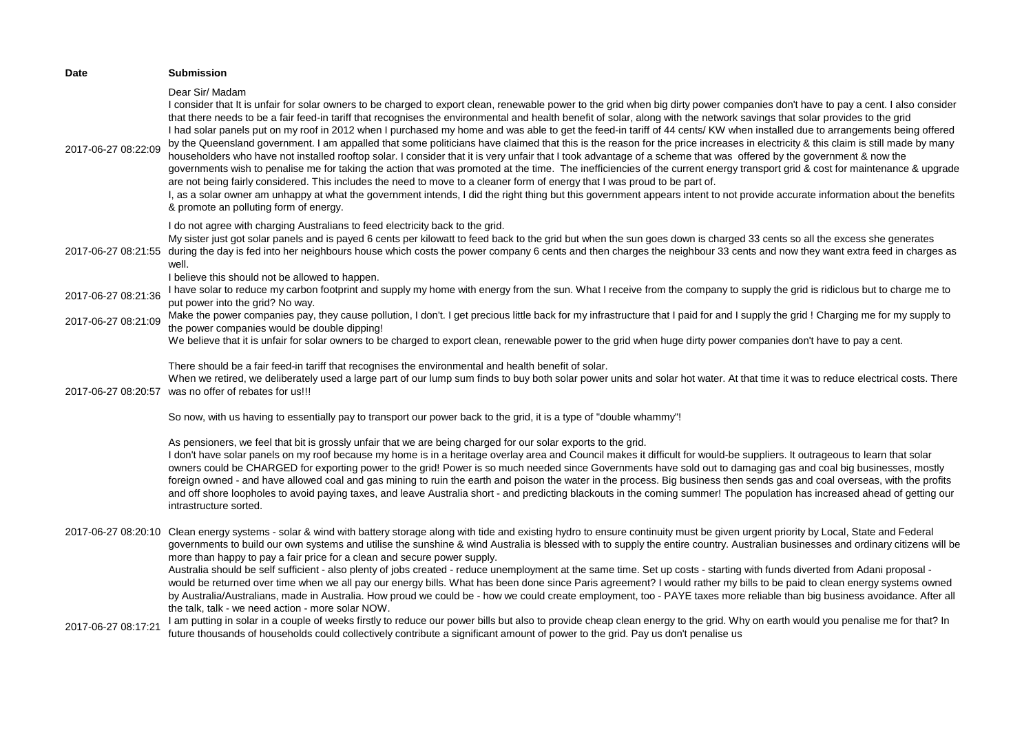| <b>Date</b>         | <b>Submission</b>                                                                                                                                                                                                                                                                                                                                                                                                                                                                                                                                                                                                                                                                                                                                                                                                                                                                                                                                                                                                                                                                                                                                                                                                                                                                                                                                                                                                                                                       |
|---------------------|-------------------------------------------------------------------------------------------------------------------------------------------------------------------------------------------------------------------------------------------------------------------------------------------------------------------------------------------------------------------------------------------------------------------------------------------------------------------------------------------------------------------------------------------------------------------------------------------------------------------------------------------------------------------------------------------------------------------------------------------------------------------------------------------------------------------------------------------------------------------------------------------------------------------------------------------------------------------------------------------------------------------------------------------------------------------------------------------------------------------------------------------------------------------------------------------------------------------------------------------------------------------------------------------------------------------------------------------------------------------------------------------------------------------------------------------------------------------------|
| 2017-06-27 08:22:09 | Dear Sir/ Madam<br>I consider that It is unfair for solar owners to be charged to export clean, renewable power to the grid when big dirty power companies don't have to pay a cent. I also consider<br>that there needs to be a fair feed-in tariff that recognises the environmental and health benefit of solar, along with the network savings that solar provides to the grid<br>I had solar panels put on my roof in 2012 when I purchased my home and was able to get the feed-in tariff of 44 cents/ KW when installed due to arrangements being offered<br>by the Queensland government. I am appalled that some politicians have claimed that this is the reason for the price increases in electricity & this claim is still made by many<br>householders who have not installed rooftop solar. I consider that it is very unfair that I took advantage of a scheme that was offered by the government & now the<br>governments wish to penalise me for taking the action that was promoted at the time. The inefficiencies of the current energy transport grid & cost for maintenance & upgrade<br>are not being fairly considered. This includes the need to move to a cleaner form of energy that I was proud to be part of.<br>I, as a solar owner am unhappy at what the government intends, I did the right thing but this government appears intent to not provide accurate information about the benefits<br>& promote an polluting form of energy. |
| 2017-06-27 08:21:55 | I do not agree with charging Australians to feed electricity back to the grid.<br>My sister just got solar panels and is payed 6 cents per kilowatt to feed back to the grid but when the sun goes down is charged 33 cents so all the excess she generates<br>during the day is fed into her neighbours house which costs the power company 6 cents and then charges the neighbour 33 cents and now they want extra feed in charges as<br>well.                                                                                                                                                                                                                                                                                                                                                                                                                                                                                                                                                                                                                                                                                                                                                                                                                                                                                                                                                                                                                        |
| 2017-06-27 08:21:36 | I believe this should not be allowed to happen.<br>I have solar to reduce my carbon footprint and supply my home with energy from the sun. What I receive from the company to supply the grid is ridiclous but to charge me to<br>put power into the grid? No way.                                                                                                                                                                                                                                                                                                                                                                                                                                                                                                                                                                                                                                                                                                                                                                                                                                                                                                                                                                                                                                                                                                                                                                                                      |
| 2017-06-27 08:21:09 | Make the power companies pay, they cause pollution, I don't. I get precious little back for my infrastructure that I paid for and I supply the grid! Charging me for my supply to<br>the power companies would be double dipping!<br>We believe that it is unfair for solar owners to be charged to export clean, renewable power to the grid when huge dirty power companies don't have to pay a cent.                                                                                                                                                                                                                                                                                                                                                                                                                                                                                                                                                                                                                                                                                                                                                                                                                                                                                                                                                                                                                                                                 |
| 2017-06-27 08:20:57 | There should be a fair feed-in tariff that recognises the environmental and health benefit of solar.<br>When we retired, we deliberately used a large part of our lump sum finds to buy both solar power units and solar hot water. At that time it was to reduce electrical costs. There<br>was no offer of rebates for us!!!                                                                                                                                                                                                                                                                                                                                                                                                                                                                                                                                                                                                                                                                                                                                                                                                                                                                                                                                                                                                                                                                                                                                          |
|                     | So now, with us having to essentially pay to transport our power back to the grid, it is a type of "double whammy"!                                                                                                                                                                                                                                                                                                                                                                                                                                                                                                                                                                                                                                                                                                                                                                                                                                                                                                                                                                                                                                                                                                                                                                                                                                                                                                                                                     |
|                     | As pensioners, we feel that bit is grossly unfair that we are being charged for our solar exports to the grid.<br>I don't have solar panels on my roof because my home is in a heritage overlay area and Council makes it difficult for would-be suppliers. It outrageous to learn that solar<br>owners could be CHARGED for exporting power to the grid! Power is so much needed since Governments have sold out to damaging gas and coal big businesses, mostly<br>foreign owned - and have allowed coal and gas mining to ruin the earth and poison the water in the process. Big business then sends gas and coal overseas, with the profits<br>and off shore loopholes to avoid paying taxes, and leave Australia short - and predicting blackouts in the coming summer! The population has increased ahead of getting our<br>intrastructure sorted.                                                                                                                                                                                                                                                                                                                                                                                                                                                                                                                                                                                                               |
| 2017-06-27 08:20:10 | Clean energy systems - solar & wind with battery storage along with tide and existing hydro to ensure continuity must be given urgent priority by Local, State and Federal<br>governments to build our own systems and utilise the sunshine & wind Australia is blessed with to supply the entire country. Australian businesses and ordinary citizens will be<br>more than happy to pay a fair price for a clean and secure power supply.<br>Australia should be self sufficient - also plenty of jobs created - reduce unemployment at the same time. Set up costs - starting with funds diverted from Adani proposal -<br>would be returned over time when we all pay our energy bills. What has been done since Paris agreement? I would rather my bills to be paid to clean energy systems owned<br>by Australia/Australians, made in Australia. How proud we could be - how we could create employment, too - PAYE taxes more reliable than big business avoidance. After all<br>the talk, talk - we need action - more solar NOW.                                                                                                                                                                                                                                                                                                                                                                                                                                |
| 2017-06-27 08:17:21 | I am putting in solar in a couple of weeks firstly to reduce our power bills but also to provide cheap clean energy to the grid. Why on earth would you penalise me for that? In<br>future thousands of households could collectively contribute a significant amount of power to the grid. Pay us don't penalise us                                                                                                                                                                                                                                                                                                                                                                                                                                                                                                                                                                                                                                                                                                                                                                                                                                                                                                                                                                                                                                                                                                                                                    |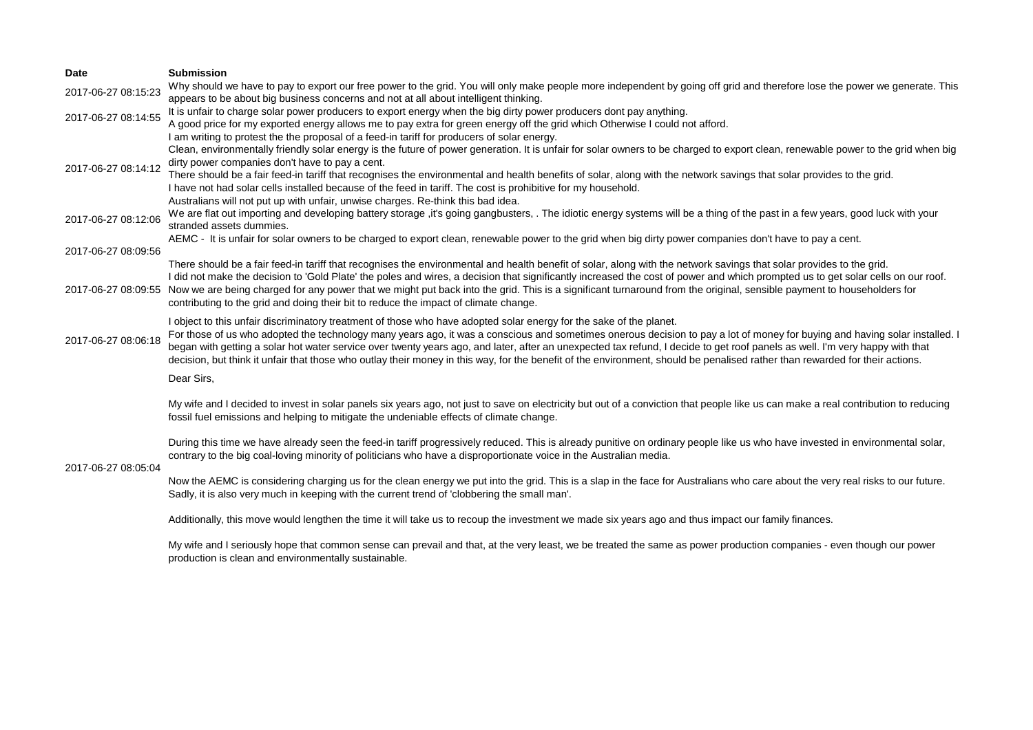| <b>Date</b>         | <b>Submission</b>                                                                                                                                                                                                                                                                                                                                                                                                                                                                                                                                                                                                                                                  |
|---------------------|--------------------------------------------------------------------------------------------------------------------------------------------------------------------------------------------------------------------------------------------------------------------------------------------------------------------------------------------------------------------------------------------------------------------------------------------------------------------------------------------------------------------------------------------------------------------------------------------------------------------------------------------------------------------|
| 2017-06-27 08:15:23 | Why should we have to pay to export our free power to the grid. You will only make people more independent by going off grid and therefore lose the power we generate. This<br>appears to be about big business concerns and not at all about intelligent thinking.                                                                                                                                                                                                                                                                                                                                                                                                |
| 2017-06-27 08:14:55 | It is unfair to charge solar power producers to export energy when the big dirty power producers dont pay anything.<br>A good price for my exported energy allows me to pay extra for green energy off the grid which Otherwise I could not afford.                                                                                                                                                                                                                                                                                                                                                                                                                |
| 2017-06-27 08:14:12 | I am writing to protest the the proposal of a feed-in tariff for producers of solar energy.<br>Clean, environmentally friendly solar energy is the future of power generation. It is unfair for solar owners to be charged to export clean, renewable power to the grid when big<br>dirty power companies don't have to pay a cent.                                                                                                                                                                                                                                                                                                                                |
|                     | There should be a fair feed-in tariff that recognises the environmental and health benefits of solar, along with the network savings that solar provides to the grid.<br>I have not had solar cells installed because of the feed in tariff. The cost is prohibitive for my household.<br>Australians will not put up with unfair, unwise charges. Re-think this bad idea.                                                                                                                                                                                                                                                                                         |
| 2017-06-27 08:12:06 | We are flat out importing and developing battery storage, it's going gangbusters, . The idiotic energy systems will be a thing of the past in a few years, good luck with your<br>stranded assets dummies.                                                                                                                                                                                                                                                                                                                                                                                                                                                         |
| 2017-06-27 08:09:56 | AEMC - It is unfair for solar owners to be charged to export clean, renewable power to the grid when big dirty power companies don't have to pay a cent.                                                                                                                                                                                                                                                                                                                                                                                                                                                                                                           |
| 2017-06-27 08:09:55 | There should be a fair feed-in tariff that recognises the environmental and health benefit of solar, along with the network savings that solar provides to the grid.<br>I did not make the decision to 'Gold Plate' the poles and wires, a decision that significantly increased the cost of power and which prompted us to get solar cells on our roof.<br>Now we are being charged for any power that we might put back into the grid. This is a significant turnaround from the original, sensible payment to householders for<br>contributing to the grid and doing their bit to reduce the impact of climate change.                                          |
| 2017-06-27 08:06:18 | I object to this unfair discriminatory treatment of those who have adopted solar energy for the sake of the planet.<br>For those of us who adopted the technology many years ago, it was a conscious and sometimes onerous decision to pay a lot of money for buying and having solar installed. I<br>began with getting a solar hot water service over twenty years ago, and later, after an unexpected tax refund, I decide to get roof panels as well. I'm very happy with that<br>decision, but think it unfair that those who outlay their money in this way, for the benefit of the environment, should be penalised rather than rewarded for their actions. |
|                     | Dear Sirs,                                                                                                                                                                                                                                                                                                                                                                                                                                                                                                                                                                                                                                                         |
|                     | My wife and I decided to invest in solar panels six years ago, not just to save on electricity but out of a conviction that people like us can make a real contribution to reducing<br>fossil fuel emissions and helping to mitigate the undeniable effects of climate change.                                                                                                                                                                                                                                                                                                                                                                                     |
| 2017-06-27 08:05:04 | During this time we have already seen the feed-in tariff progressively reduced. This is already punitive on ordinary people like us who have invested in environmental solar,<br>contrary to the big coal-loving minority of politicians who have a disproportionate voice in the Australian media.                                                                                                                                                                                                                                                                                                                                                                |
|                     | Now the AEMC is considering charging us for the clean energy we put into the grid. This is a slap in the face for Australians who care about the very real risks to our future.<br>Sadly, it is also very much in keeping with the current trend of 'clobbering the small man'.                                                                                                                                                                                                                                                                                                                                                                                    |
|                     | Additionally, this move would lengthen the time it will take us to recoup the investment we made six years ago and thus impact our family finances.                                                                                                                                                                                                                                                                                                                                                                                                                                                                                                                |
|                     | .<br>the second contract of the contract of the contract of the contract of the contract of the contract of the contract of the contract of the contract of the contract of the contract of the contract of the contract of the con                                                                                                                                                                                                                                                                                                                                                                                                                                |

My wife and I seriously hope that common sense can prevail and that, at the very least, we be treated the same as power production companies - even though our power production is clean and environmentally sustainable.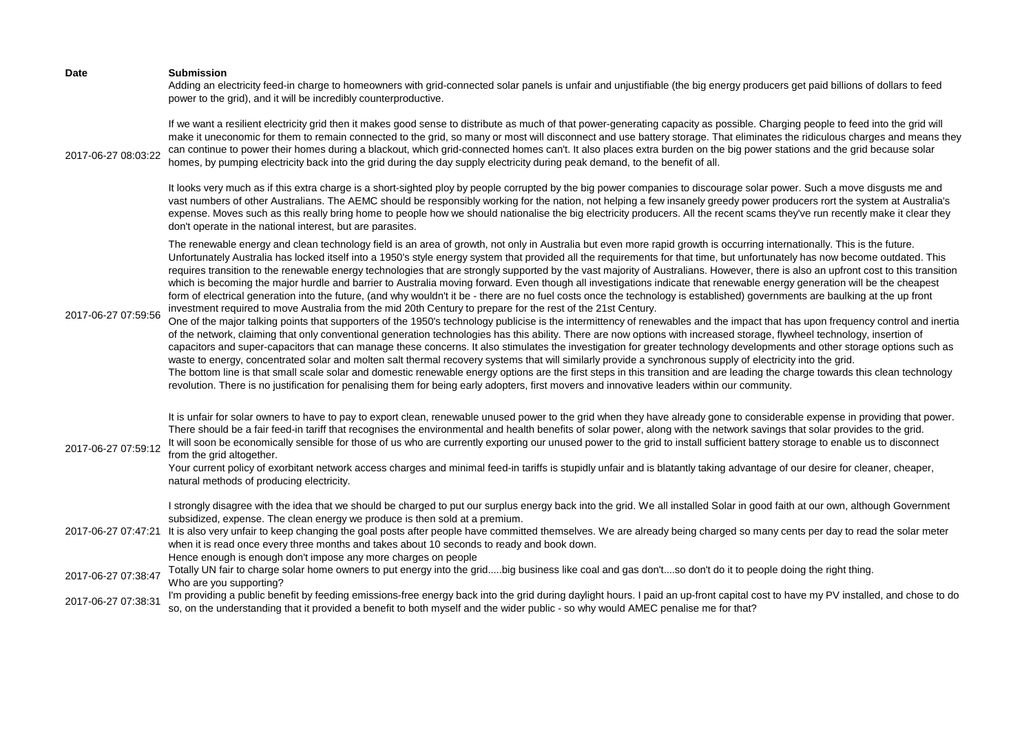| <b>Date</b>         | <b>Submission</b><br>Adding an electricity feed-in charge to homeowners with grid-connected solar panels is unfair and unjustifiable (the big energy producers get paid billions of dollars to feed<br>power to the grid), and it will be incredibly counterproductive.                                                                                                                                                                                                                                                                                                                                                                                                                                                                                                                                                                                                                                                                                                                                                                                                                                                                                                                                                                                                                                                                                                                                                                                                                                                                                                                                                                                                                                                                                                                                                                                                                                                                                                                                                                                                          |
|---------------------|----------------------------------------------------------------------------------------------------------------------------------------------------------------------------------------------------------------------------------------------------------------------------------------------------------------------------------------------------------------------------------------------------------------------------------------------------------------------------------------------------------------------------------------------------------------------------------------------------------------------------------------------------------------------------------------------------------------------------------------------------------------------------------------------------------------------------------------------------------------------------------------------------------------------------------------------------------------------------------------------------------------------------------------------------------------------------------------------------------------------------------------------------------------------------------------------------------------------------------------------------------------------------------------------------------------------------------------------------------------------------------------------------------------------------------------------------------------------------------------------------------------------------------------------------------------------------------------------------------------------------------------------------------------------------------------------------------------------------------------------------------------------------------------------------------------------------------------------------------------------------------------------------------------------------------------------------------------------------------------------------------------------------------------------------------------------------------|
| 2017-06-27 08:03:22 | If we want a resilient electricity grid then it makes good sense to distribute as much of that power-generating capacity as possible. Charging people to feed into the grid will<br>make it uneconomic for them to remain connected to the grid, so many or most will disconnect and use battery storage. That eliminates the ridiculous charges and means they<br>can continue to power their homes during a blackout, which grid-connected homes can't. It also places extra burden on the big power stations and the grid because solar<br>homes, by pumping electricity back into the grid during the day supply electricity during peak demand, to the benefit of all.                                                                                                                                                                                                                                                                                                                                                                                                                                                                                                                                                                                                                                                                                                                                                                                                                                                                                                                                                                                                                                                                                                                                                                                                                                                                                                                                                                                                      |
|                     | It looks very much as if this extra charge is a short-sighted ploy by people corrupted by the big power companies to discourage solar power. Such a move disgusts me and<br>vast numbers of other Australians. The AEMC should be responsibly working for the nation, not helping a few insanely greedy power producers rort the system at Australia's<br>expense. Moves such as this really bring home to people how we should nationalise the big electricity producers. All the recent scams they've run recently make it clear they<br>don't operate in the national interest, but are parasites.                                                                                                                                                                                                                                                                                                                                                                                                                                                                                                                                                                                                                                                                                                                                                                                                                                                                                                                                                                                                                                                                                                                                                                                                                                                                                                                                                                                                                                                                            |
| 2017-06-27 07:59:56 | The renewable energy and clean technology field is an area of growth, not only in Australia but even more rapid growth is occurring internationally. This is the future.<br>Unfortunately Australia has locked itself into a 1950's style energy system that provided all the requirements for that time, but unfortunately has now become outdated. This<br>requires transition to the renewable energy technologies that are strongly supported by the vast majority of Australians. However, there is also an upfront cost to this transition<br>which is becoming the major hurdle and barrier to Australia moving forward. Even though all investigations indicate that renewable energy generation will be the cheapest<br>form of electrical generation into the future, (and why wouldn't it be - there are no fuel costs once the technology is established) governments are baulking at the up front<br>investment required to move Australia from the mid 20th Century to prepare for the rest of the 21st Century.<br>One of the major talking points that supporters of the 1950's technology publicise is the intermittency of renewables and the impact that has upon frequency control and inertia<br>of the network, claiming that only conventional generation technologies has this ability. There are now options with increased storage, flywheel technology, insertion of<br>capacitors and super-capacitors that can manage these concerns. It also stimulates the investigation for greater technology developments and other storage options such as<br>waste to energy, concentrated solar and molten salt thermal recovery systems that will similarly provide a synchronous supply of electricity into the grid.<br>The bottom line is that small scale solar and domestic renewable energy options are the first steps in this transition and are leading the charge towards this clean technology<br>revolution. There is no justification for penalising them for being early adopters, first movers and innovative leaders within our community. |
| 2017-06-27 07:59:12 | It is unfair for solar owners to have to pay to export clean, renewable unused power to the grid when they have already gone to considerable expense in providing that power.<br>There should be a fair feed-in tariff that recognises the environmental and health benefits of solar power, along with the network savings that solar provides to the grid.<br>It will soon be economically sensible for those of us who are currently exporting our unused power to the grid to install sufficient battery storage to enable us to disconnect<br>from the grid altogether.<br>Your current policy of exorbitant network access charges and minimal feed-in tariffs is stupidly unfair and is blatantly taking advantage of our desire for cleaner, cheaper,<br>natural methods of producing electricity.                                                                                                                                                                                                                                                                                                                                                                                                                                                                                                                                                                                                                                                                                                                                                                                                                                                                                                                                                                                                                                                                                                                                                                                                                                                                       |
| 2017-06-27 07:47:21 | I strongly disagree with the idea that we should be charged to put our surplus energy back into the grid. We all installed Solar in good faith at our own, although Government<br>subsidized, expense. The clean energy we produce is then sold at a premium.<br>It is also very unfair to keep changing the goal posts after people have committed themselves. We are already being charged so many cents per day to read the solar meter<br>when it is read once every three months and takes about 10 seconds to ready and book down.<br>Hence enough is enough don't impose any more charges on people                                                                                                                                                                                                                                                                                                                                                                                                                                                                                                                                                                                                                                                                                                                                                                                                                                                                                                                                                                                                                                                                                                                                                                                                                                                                                                                                                                                                                                                                       |
| 2017-06-27 07:38:47 | Totally UN fair to charge solar home owners to put energy into the gridbig business like coal and gas don'tso don't do it to people doing the right thing.<br>Who are you supporting?                                                                                                                                                                                                                                                                                                                                                                                                                                                                                                                                                                                                                                                                                                                                                                                                                                                                                                                                                                                                                                                                                                                                                                                                                                                                                                                                                                                                                                                                                                                                                                                                                                                                                                                                                                                                                                                                                            |
| 2017-06-27 07:38:31 | I'm providing a public benefit by feeding emissions-free energy back into the grid during daylight hours. I paid an up-front capital cost to have my PV installed, and chose to do<br>so, on the understanding that it provided a benefit to both myself and the wider public - so why would AMEC penalise me for that?                                                                                                                                                                                                                                                                                                                                                                                                                                                                                                                                                                                                                                                                                                                                                                                                                                                                                                                                                                                                                                                                                                                                                                                                                                                                                                                                                                                                                                                                                                                                                                                                                                                                                                                                                          |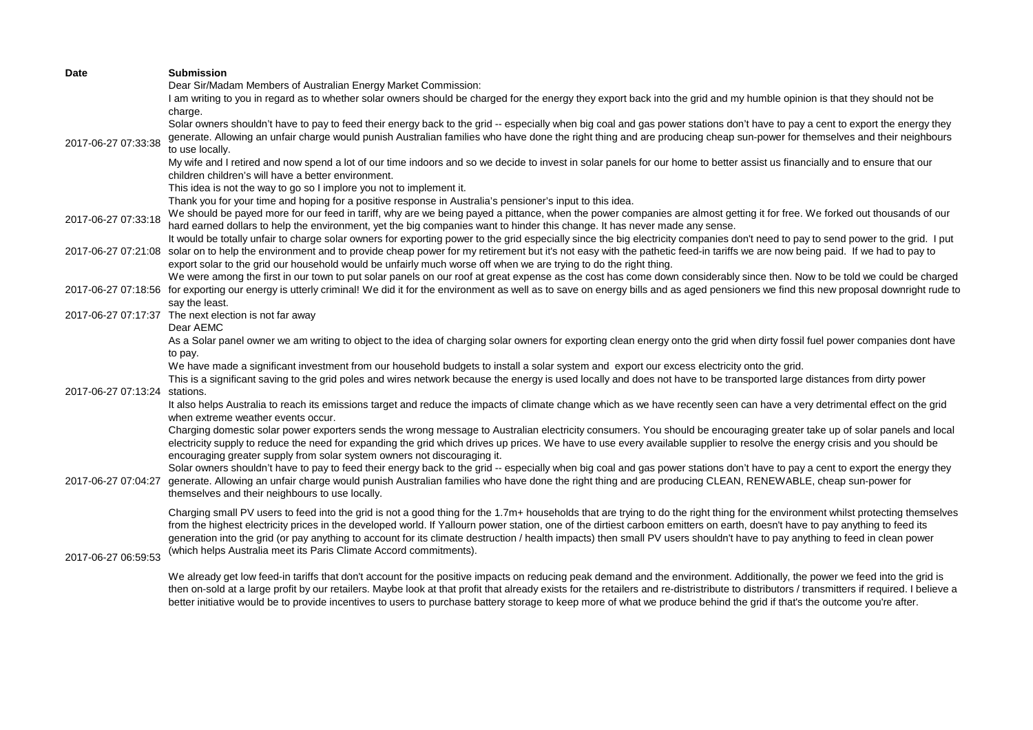| <b>Date</b>         | <b>Submission</b>                                                                                                                                                                                     |
|---------------------|-------------------------------------------------------------------------------------------------------------------------------------------------------------------------------------------------------|
|                     | Dear Sir/Madam Members of Australian Energy Market Commission:                                                                                                                                        |
|                     | I am writing to you in regard as to whether solar owners should be charged for the energy they export back into the grid and my humble opinion is that they should not be                             |
|                     | charge.                                                                                                                                                                                               |
|                     | Solar owners shouldn't have to pay to feed their energy back to the grid -- especially when big coal and gas power stations don't have to pay a cent to export the energy they                        |
|                     | generate. Allowing an unfair charge would punish Australian families who have done the right thing and are producing cheap sun-power for themselves and their neighbours                              |
| 2017-06-27 07:33:38 | to use locally.                                                                                                                                                                                       |
|                     | My wife and I retired and now spend a lot of our time indoors and so we decide to invest in solar panels for our home to better assist us financially and to ensure that our                          |
|                     | children children's will have a better environment.                                                                                                                                                   |
|                     | This idea is not the way to go so I implore you not to implement it.                                                                                                                                  |
|                     | Thank you for your time and hoping for a positive response in Australia's pensioner's input to this idea.                                                                                             |
|                     | We should be payed more for our feed in tariff, why are we being payed a pittance, when the power companies are almost getting it for free. We forked out thousands of our                            |
| 2017-06-27 07:33:18 |                                                                                                                                                                                                       |
|                     | hard earned dollars to help the environment, yet the big companies want to hinder this change. It has never made any sense.                                                                           |
|                     | It would be totally unfair to charge solar owners for exporting power to the grid especially since the big electricity companies don't need to pay to send power to the grid. I put                   |
|                     | 2017-06-27 07:21:08 solar on to help the environment and to provide cheap power for my retirement but it's not easy with the pathetic feed-in tariffs we are now being paid. If we had to pay to      |
|                     | export solar to the grid our household would be unfairly much worse off when we are trying to do the right thing.                                                                                     |
|                     | We were among the first in our town to put solar panels on our roof at great expense as the cost has come down considerably since then. Now to be told we could be charged                            |
|                     | 2017-06-27 07:18:56 for exporting our energy is utterly criminal! We did it for the environment as well as to save on energy bills and as aged pensioners we find this new proposal downright rude to |
|                     | say the least.                                                                                                                                                                                        |
|                     | 2017-06-27 07:17:37 The next election is not far away                                                                                                                                                 |
|                     | Dear AEMC                                                                                                                                                                                             |
|                     | As a Solar panel owner we am writing to object to the idea of charging solar owners for exporting clean energy onto the grid when dirty fossil fuel power companies dont have                         |
|                     | to pay.                                                                                                                                                                                               |
|                     | We have made a significant investment from our household budgets to install a solar system and export our excess electricity onto the grid.                                                           |
|                     | This is a significant saving to the grid poles and wires network because the energy is used locally and does not have to be transported large distances from dirty power                              |
| 2017-06-27 07:13:24 | stations.                                                                                                                                                                                             |
|                     | It also helps Australia to reach its emissions target and reduce the impacts of climate change which as we have recently seen can have a very detrimental effect on the grid                          |
|                     | when extreme weather events occur.                                                                                                                                                                    |
|                     | Charging domestic solar power exporters sends the wrong message to Australian electricity consumers. You should be encouraging greater take up of solar panels and local                              |
|                     | electricity supply to reduce the need for expanding the grid which drives up prices. We have to use every available supplier to resolve the energy crisis and you should be                           |
|                     | encouraging greater supply from solar system owners not discouraging it.                                                                                                                              |
|                     | Solar owners shouldn't have to pay to feed their energy back to the grid -- especially when big coal and gas power stations don't have to pay a cent to export the energy they                        |
| 2017-06-27 07:04:27 | generate. Allowing an unfair charge would punish Australian families who have done the right thing and are producing CLEAN, RENEWABLE, cheap sun-power for                                            |
|                     | themselves and their neighbours to use locally.                                                                                                                                                       |
|                     |                                                                                                                                                                                                       |
|                     | Charging small PV users to feed into the grid is not a good thing for the 1.7m+ households that are trying to do the right thing for the environment whilst protecting themselves                     |
|                     | from the highest electricity prices in the developed world. If Yallourn power station, one of the dirtiest carboon emitters on earth, doesn't have to pay anything to feed its                        |
|                     | generation into the grid (or pay anything to account for its climate destruction / health impacts) then small PV users shouldn't have to pay anything to feed in clean power                          |
| 2017-06-27 06:59:53 | (which helps Australia meet its Paris Climate Accord commitments).                                                                                                                                    |
|                     |                                                                                                                                                                                                       |
|                     | We already get low feed-in tariffs that don't account for the positive impacts on reducing peak demand and the environment. Additionally, the power we feed into the grid is                          |
|                     | then on-sold at a large profit by our retailers. Maybe look at that profit that already exists for the retailers and re-distristribute to distributors / transmitters if required. I believe a        |

better initiative would be to provide incentives to users to purchase battery storage to keep more of what we produce behind the grid if that's the outcome you're after.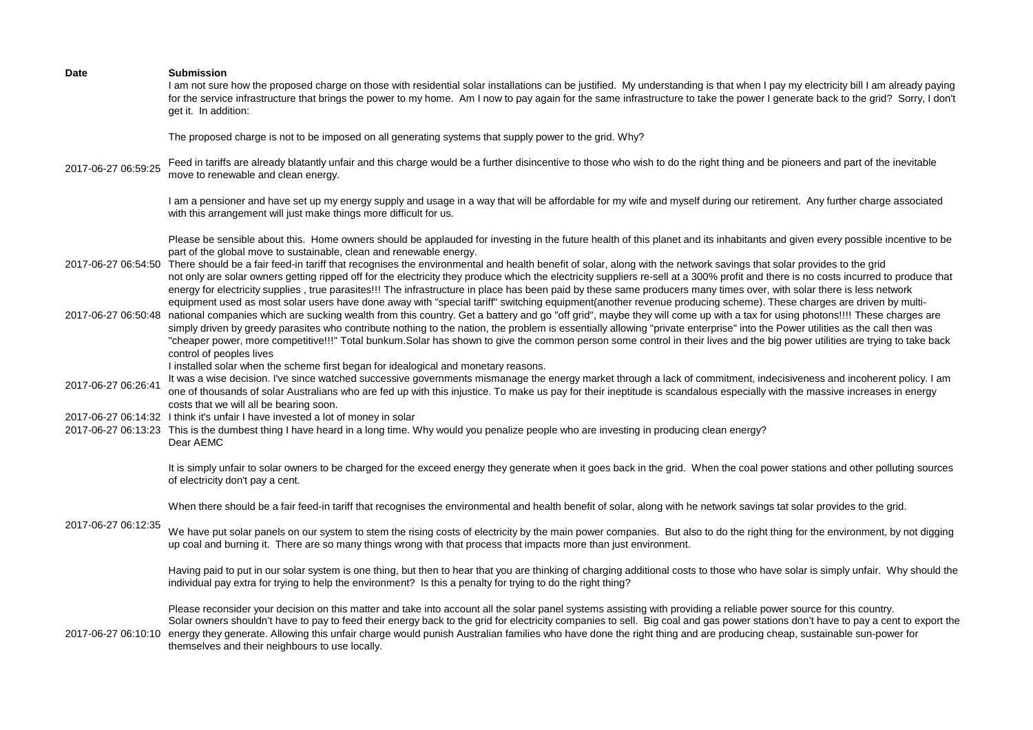| <b>Date</b>         | <b>Submission</b><br>I am not sure how the proposed charge on those with residential solar installations can be justified. My understanding is that when I pay my electricity bill I am already paying<br>for the service infrastructure that brings the power to my home. Am I now to pay again for the same infrastructure to take the power I generate back to the grid? Sorry, I don't<br>get it. In addition:                                                                                                                                                                                                                                                                                                                                                                             |
|---------------------|------------------------------------------------------------------------------------------------------------------------------------------------------------------------------------------------------------------------------------------------------------------------------------------------------------------------------------------------------------------------------------------------------------------------------------------------------------------------------------------------------------------------------------------------------------------------------------------------------------------------------------------------------------------------------------------------------------------------------------------------------------------------------------------------|
|                     | The proposed charge is not to be imposed on all generating systems that supply power to the grid. Why?                                                                                                                                                                                                                                                                                                                                                                                                                                                                                                                                                                                                                                                                                         |
| 2017-06-27 06:59:25 | Feed in tariffs are already blatantly unfair and this charge would be a further disincentive to those who wish to do the right thing and be pioneers and part of the inevitable<br>move to renewable and clean energy.                                                                                                                                                                                                                                                                                                                                                                                                                                                                                                                                                                         |
|                     | I am a pensioner and have set up my energy supply and usage in a way that will be affordable for my wife and myself during our retirement. Any further charge associated<br>with this arrangement will just make things more difficult for us.                                                                                                                                                                                                                                                                                                                                                                                                                                                                                                                                                 |
| 2017-06-27 06:54:50 | Please be sensible about this. Home owners should be applauded for investing in the future health of this planet and its inhabitants and given every possible incentive to be<br>part of the global move to sustainable, clean and renewable energy.<br>There should be a fair feed-in tariff that recognises the environmental and health benefit of solar, along with the network savings that solar provides to the grid<br>not only are solar owners getting ripped off for the electricity they produce which the electricity suppliers re-sell at a 300% profit and there is no costs incurred to produce that<br>energy for electricity supplies, true parasites!!! The infrastructure in place has been paid by these same producers many times over, with solar there is less network |
| 2017-06-27 06:50:48 | equipment used as most solar users have done away with "special tariff" switching equipment(another revenue producing scheme). These charges are driven by multi-<br>national companies which are sucking wealth from this country. Get a battery and go "off grid", maybe they will come up with a tax for using photons!!!! These charges are<br>simply driven by greedy parasites who contribute nothing to the nation, the problem is essentially allowing "private enterprise" into the Power utilities as the call then was<br>"cheaper power, more competitive!!!" Total bunkum.Solar has shown to give the common person some control in their lives and the big power utilities are trying to take back<br>control of peoples lives                                                   |
| 2017-06-27 06:26:41 | I installed solar when the scheme first began for idealogical and monetary reasons.<br>It was a wise decision. I've since watched successive governments mismanage the energy market through a lack of commitment, indecisiveness and incoherent policy. I am<br>one of thousands of solar Australians who are fed up with this injustice. To make us pay for their ineptitude is scandalous especially with the massive increases in energy<br>costs that we will all be bearing soon.                                                                                                                                                                                                                                                                                                        |
|                     | 2017-06-27 06:14:32 I think it's unfair I have invested a lot of money in solar<br>2017-06-27 06:13:23 This is the dumbest thing I have heard in a long time. Why would you penalize people who are investing in producing clean energy?<br>Dear AEMC                                                                                                                                                                                                                                                                                                                                                                                                                                                                                                                                          |
|                     | It is simply unfair to solar owners to be charged for the exceed energy they generate when it goes back in the grid. When the coal power stations and other polluting sources<br>of electricity don't pay a cent.                                                                                                                                                                                                                                                                                                                                                                                                                                                                                                                                                                              |
|                     | When there should be a fair feed-in tariff that recognises the environmental and health benefit of solar, along with he network savings tat solar provides to the grid.                                                                                                                                                                                                                                                                                                                                                                                                                                                                                                                                                                                                                        |
| 2017-06-27 06:12:35 | We have put solar panels on our system to stem the rising costs of electricity by the main power companies. But also to do the right thing for the environment, by not digging<br>up coal and burning it. There are so many things wrong with that process that impacts more than just environment.                                                                                                                                                                                                                                                                                                                                                                                                                                                                                            |
|                     | Having paid to put in our solar system is one thing, but then to hear that you are thinking of charging additional costs to those who have solar is simply unfair. Why should the<br>individual pay extra for trying to help the environment? Is this a penalty for trying to do the right thing?                                                                                                                                                                                                                                                                                                                                                                                                                                                                                              |
| 2017-06-27 06:10:10 | Please reconsider your decision on this matter and take into account all the solar panel systems assisting with providing a reliable power source for this country.<br>Solar owners shouldn't have to pay to feed their energy back to the grid for electricity companies to sell. Big coal and gas power stations don't have to pay a cent to export the<br>energy they generate. Allowing this unfair charge would punish Australian families who have done the right thing and are producing cheap, sustainable sun-power for<br>themselves and their neighbours to use locally.                                                                                                                                                                                                            |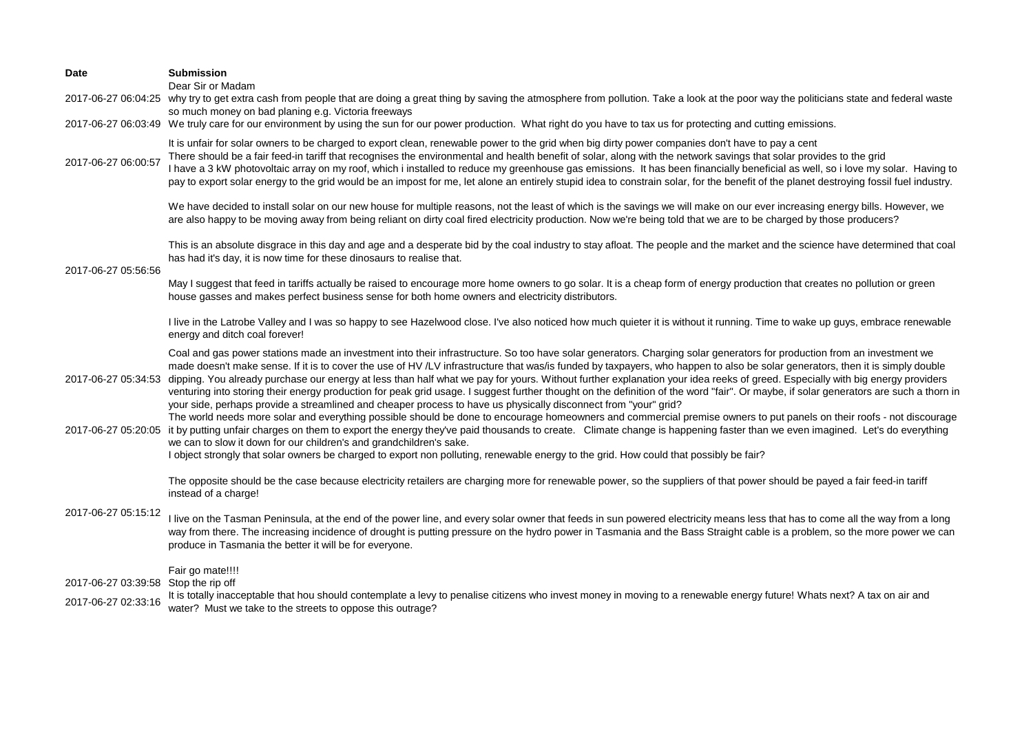| Date                                 | <b>Submission</b><br>Dear Sir or Madam                                                                                                                                                                                                                                                                                                                                                                                                                                                                                                                                                                                                                                                                                                                                                                                                              |
|--------------------------------------|-----------------------------------------------------------------------------------------------------------------------------------------------------------------------------------------------------------------------------------------------------------------------------------------------------------------------------------------------------------------------------------------------------------------------------------------------------------------------------------------------------------------------------------------------------------------------------------------------------------------------------------------------------------------------------------------------------------------------------------------------------------------------------------------------------------------------------------------------------|
| 2017-06-27 06:04:25                  | why try to get extra cash from people that are doing a great thing by saving the atmosphere from pollution. Take a look at the poor way the politicians state and federal waste                                                                                                                                                                                                                                                                                                                                                                                                                                                                                                                                                                                                                                                                     |
|                                      | so much money on bad planing e.g. Victoria freeways<br>2017-06-27 06:03:49 We truly care for our environment by using the sun for our power production. What right do you have to tax us for protecting and cutting emissions.                                                                                                                                                                                                                                                                                                                                                                                                                                                                                                                                                                                                                      |
| 2017-06-27 06:00:57                  | It is unfair for solar owners to be charged to export clean, renewable power to the grid when big dirty power companies don't have to pay a cent<br>There should be a fair feed-in tariff that recognises the environmental and health benefit of solar, along with the network savings that solar provides to the grid<br>I have a 3 kW photovoltaic array on my roof, which i installed to reduce my greenhouse gas emissions. It has been financially beneficial as well, so i love my solar. Having to<br>pay to export solar energy to the grid would be an impost for me, let alone an entirely stupid idea to constrain solar, for the benefit of the planet destroying fossil fuel industry.                                                                                                                                                |
|                                      | We have decided to install solar on our new house for multiple reasons, not the least of which is the savings we will make on our ever increasing energy bills. However, we<br>are also happy to be moving away from being reliant on dirty coal fired electricity production. Now we're being told that we are to be charged by those producers?                                                                                                                                                                                                                                                                                                                                                                                                                                                                                                   |
| 2017-06-27 05:56:56                  | This is an absolute disgrace in this day and age and a desperate bid by the coal industry to stay afloat. The people and the market and the science have determined that coal<br>has had it's day, it is now time for these dinosaurs to realise that.                                                                                                                                                                                                                                                                                                                                                                                                                                                                                                                                                                                              |
|                                      | May I suggest that feed in tariffs actually be raised to encourage more home owners to go solar. It is a cheap form of energy production that creates no pollution or green<br>house gasses and makes perfect business sense for both home owners and electricity distributors.                                                                                                                                                                                                                                                                                                                                                                                                                                                                                                                                                                     |
|                                      | I live in the Latrobe Valley and I was so happy to see Hazelwood close. I've also noticed how much quieter it is without it running. Time to wake up guys, embrace renewable<br>energy and ditch coal forever!                                                                                                                                                                                                                                                                                                                                                                                                                                                                                                                                                                                                                                      |
| 2017-06-27 05:34:53                  | Coal and gas power stations made an investment into their infrastructure. So too have solar generators. Charging solar generators for production from an investment we<br>made doesn't make sense. If it is to cover the use of HV /LV infrastructure that was/is funded by taxpayers, who happen to also be solar generators, then it is simply double<br>dipping. You already purchase our energy at less than half what we pay for yours. Without further explanation your idea reeks of greed. Especially with big energy providers<br>venturing into storing their energy production for peak grid usage. I suggest further thought on the definition of the word "fair". Or maybe, if solar generators are such a thorn in<br>your side, perhaps provide a streamlined and cheaper process to have us physically disconnect from "your" grid? |
| 2017-06-27 05:20:05                  | The world needs more solar and everything possible should be done to encourage homeowners and commercial premise owners to put panels on their roofs - not discourage<br>it by putting unfair charges on them to export the energy they've paid thousands to create. Climate change is happening faster than we even imagined. Let's do everything<br>we can to slow it down for our children's and grandchildren's sake.<br>I object strongly that solar owners be charged to export non polluting, renewable energy to the grid. How could that possibly be fair?                                                                                                                                                                                                                                                                                 |
|                                      | The opposite should be the case because electricity retailers are charging more for renewable power, so the suppliers of that power should be payed a fair feed-in tariff<br>instead of a charge!                                                                                                                                                                                                                                                                                                                                                                                                                                                                                                                                                                                                                                                   |
| 2017-06-27 05:15:12                  | I live on the Tasman Peninsula, at the end of the power line, and every solar owner that feeds in sun powered electricity means less that has to come all the way from a long<br>way from there. The increasing incidence of drought is putting pressure on the hydro power in Tasmania and the Bass Straight cable is a problem, so the more power we can<br>produce in Tasmania the better it will be for everyone.                                                                                                                                                                                                                                                                                                                                                                                                                               |
| 2017-06-27 03:39:58 Stop the rip off | Fair go mate!!!!                                                                                                                                                                                                                                                                                                                                                                                                                                                                                                                                                                                                                                                                                                                                                                                                                                    |
| 2017-06-27 02:33:16                  | It is totally inacceptable that hou should contemplate a levy to penalise citizens who invest money in moving to a renewable energy future! Whats next? A tax on air and<br>water? Must we take to the streets to oppose this outrage?                                                                                                                                                                                                                                                                                                                                                                                                                                                                                                                                                                                                              |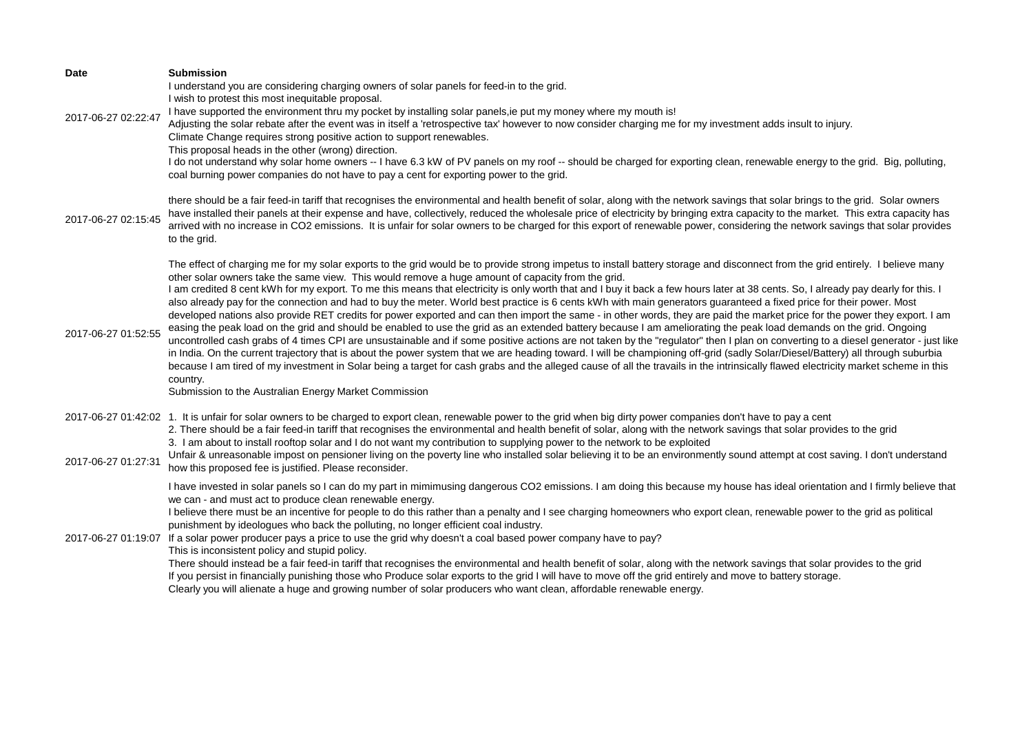| Date                | <b>Submission</b><br>I understand you are considering charging owners of solar panels for feed-in to the grid.                                                                                                                                                                                                                                                                                                                                                                                                                                                                                                                                                                                                                                                                                                                                                                                                                                                                                                                                                                                                                                                                                                                                                                                                                                                                                                                                                                                                                                                                                                                             |
|---------------------|--------------------------------------------------------------------------------------------------------------------------------------------------------------------------------------------------------------------------------------------------------------------------------------------------------------------------------------------------------------------------------------------------------------------------------------------------------------------------------------------------------------------------------------------------------------------------------------------------------------------------------------------------------------------------------------------------------------------------------------------------------------------------------------------------------------------------------------------------------------------------------------------------------------------------------------------------------------------------------------------------------------------------------------------------------------------------------------------------------------------------------------------------------------------------------------------------------------------------------------------------------------------------------------------------------------------------------------------------------------------------------------------------------------------------------------------------------------------------------------------------------------------------------------------------------------------------------------------------------------------------------------------|
| 2017-06-27 02:22:47 | I wish to protest this most inequitable proposal.<br>I have supported the environment thru my pocket by installing solar panels, ie put my money where my mouth is!<br>Adjusting the solar rebate after the event was in itself a 'retrospective tax' however to now consider charging me for my investment adds insult to injury.<br>Climate Change requires strong positive action to support renewables.<br>This proposal heads in the other (wrong) direction.<br>I do not understand why solar home owners -- I have 6.3 kW of PV panels on my roof -- should be charged for exporting clean, renewable energy to the grid. Big, polluting,<br>coal burning power companies do not have to pay a cent for exporting power to the grid.                                                                                                                                                                                                                                                                                                                                                                                                                                                                                                                                                                                                                                                                                                                                                                                                                                                                                                |
| 2017-06-27 02:15:45 | there should be a fair feed-in tariff that recognises the environmental and health benefit of solar, along with the network savings that solar brings to the grid. Solar owners<br>have installed their panels at their expense and have, collectively, reduced the wholesale price of electricity by bringing extra capacity to the market. This extra capacity has<br>arrived with no increase in CO2 emissions. It is unfair for solar owners to be charged for this export of renewable power, considering the network savings that solar provides                                                                                                                                                                                                                                                                                                                                                                                                                                                                                                                                                                                                                                                                                                                                                                                                                                                                                                                                                                                                                                                                                     |
|                     | to the grid.                                                                                                                                                                                                                                                                                                                                                                                                                                                                                                                                                                                                                                                                                                                                                                                                                                                                                                                                                                                                                                                                                                                                                                                                                                                                                                                                                                                                                                                                                                                                                                                                                               |
| 2017-06-27 01:52:55 | The effect of charging me for my solar exports to the grid would be to provide strong impetus to install battery storage and disconnect from the grid entirely. I believe many<br>other solar owners take the same view. This would remove a huge amount of capacity from the grid.<br>I am credited 8 cent kWh for my export. To me this means that electricity is only worth that and I buy it back a few hours later at 38 cents. So, I already pay dearly for this. I<br>also already pay for the connection and had to buy the meter. World best practice is 6 cents kWh with main generators guaranteed a fixed price for their power. Most<br>developed nations also provide RET credits for power exported and can then import the same - in other words, they are paid the market price for the power they export. I am<br>easing the peak load on the grid and should be enabled to use the grid as an extended battery because I am ameliorating the peak load demands on the grid. Ongoing<br>uncontrolled cash grabs of 4 times CPI are unsustainable and if some positive actions are not taken by the "regulator" then I plan on converting to a diesel generator - just like<br>in India. On the current trajectory that is about the power system that we are heading toward. I will be championing off-grid (sadly Solar/Diesel/Battery) all through suburbia<br>because I am tired of my investment in Solar being a target for cash grabs and the alleged cause of all the travails in the intrinsically flawed electricity market scheme in this<br>country.<br>Submission to the Australian Energy Market Commission |
|                     | 2017-06-27 01:42:02 1. It is unfair for solar owners to be charged to export clean, renewable power to the grid when big dirty power companies don't have to pay a cent<br>2. There should be a fair feed-in tariff that recognises the environmental and health benefit of solar, along with the network savings that solar provides to the grid<br>3. I am about to install rooftop solar and I do not want my contribution to supplying power to the network to be exploited                                                                                                                                                                                                                                                                                                                                                                                                                                                                                                                                                                                                                                                                                                                                                                                                                                                                                                                                                                                                                                                                                                                                                            |
| 2017-06-27 01:27:31 | Unfair & unreasonable impost on pensioner living on the poverty line who installed solar believing it to be an environmently sound attempt at cost saving. I don't understand<br>how this proposed fee is justified. Please reconsider.                                                                                                                                                                                                                                                                                                                                                                                                                                                                                                                                                                                                                                                                                                                                                                                                                                                                                                                                                                                                                                                                                                                                                                                                                                                                                                                                                                                                    |
|                     | I have invested in solar panels so I can do my part in mimimusing dangerous CO2 emissions. I am doing this because my house has ideal orientation and I firmly believe that<br>we can - and must act to produce clean renewable energy.<br>I believe there must be an incentive for people to do this rather than a penalty and I see charging homeowners who export clean, renewable power to the grid as political<br>punishment by ideologues who back the polluting, no longer efficient coal industry.<br>2017-06-27 01:19:07 If a solar power producer pays a price to use the grid why doesn't a coal based power company have to pay?<br>This is inconsistent policy and stupid policy.<br>There should instead be a fair feed-in tariff that recognises the environmental and health benefit of solar, along with the network savings that solar provides to the grid<br>If you persist in financially punishing those who Produce solar exports to the grid I will have to move off the grid entirely and move to battery storage.<br>Clearly you will alienate a huge and growing number of solar producers who want clean, affordable renewable energy.                                                                                                                                                                                                                                                                                                                                                                                                                                                                        |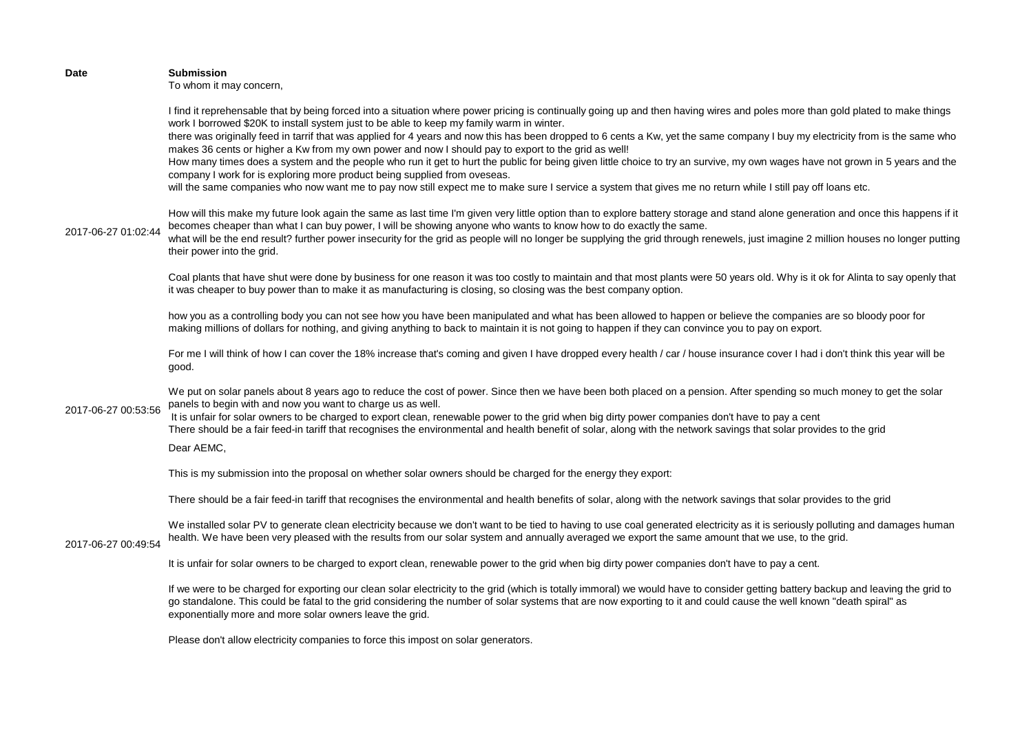| Date                | <b>Submission</b><br>To whom it may concern,                                                                                                                                                                                                                                                                                                                                                                                                                                                                                                                                                                                                                                                                                                                                                                                                                                                                                                                                                      |
|---------------------|---------------------------------------------------------------------------------------------------------------------------------------------------------------------------------------------------------------------------------------------------------------------------------------------------------------------------------------------------------------------------------------------------------------------------------------------------------------------------------------------------------------------------------------------------------------------------------------------------------------------------------------------------------------------------------------------------------------------------------------------------------------------------------------------------------------------------------------------------------------------------------------------------------------------------------------------------------------------------------------------------|
|                     | I find it reprehensable that by being forced into a situation where power pricing is continually going up and then having wires and poles more than gold plated to make things<br>work I borrowed \$20K to install system just to be able to keep my family warm in winter.<br>there was originally feed in tarrif that was applied for 4 years and now this has been dropped to 6 cents a Kw, yet the same company I buy my electricity from is the same who<br>makes 36 cents or higher a Kw from my own power and now I should pay to export to the grid as well!<br>How many times does a system and the people who run it get to hurt the public for being given little choice to try an survive, my own wages have not grown in 5 years and the<br>company I work for is exploring more product being supplied from oveseas.<br>will the same companies who now want me to pay now still expect me to make sure I service a system that gives me no return while I still pay off loans etc. |
| 2017-06-27 01:02:44 | How will this make my future look again the same as last time I'm given very little option than to explore battery storage and stand alone generation and once this happens if it<br>becomes cheaper than what I can buy power, I will be showing anyone who wants to know how to do exactly the same.<br>what will be the end result? further power insecurity for the grid as people will no longer be supplying the grid through renewels, just imagine 2 million houses no longer putting<br>their power into the grid.                                                                                                                                                                                                                                                                                                                                                                                                                                                                       |
|                     | Coal plants that have shut were done by business for one reason it was too costly to maintain and that most plants were 50 years old. Why is it ok for Alinta to say openly that<br>it was cheaper to buy power than to make it as manufacturing is closing, so closing was the best company option.                                                                                                                                                                                                                                                                                                                                                                                                                                                                                                                                                                                                                                                                                              |
|                     | how you as a controlling body you can not see how you have been manipulated and what has been allowed to happen or believe the companies are so bloody poor for<br>making millions of dollars for nothing, and giving anything to back to maintain it is not going to happen if they can convince you to pay on export.                                                                                                                                                                                                                                                                                                                                                                                                                                                                                                                                                                                                                                                                           |
|                     | For me I will think of how I can cover the 18% increase that's coming and given I have dropped every health / car / house insurance cover I had i don't think this year will be<br>good.                                                                                                                                                                                                                                                                                                                                                                                                                                                                                                                                                                                                                                                                                                                                                                                                          |
| 2017-06-27 00:53:56 | We put on solar panels about 8 years ago to reduce the cost of power. Since then we have been both placed on a pension. After spending so much money to get the solar<br>panels to begin with and now you want to charge us as well.<br>It is unfair for solar owners to be charged to export clean, renewable power to the grid when big dirty power companies don't have to pay a cent<br>There should be a fair feed-in tariff that recognises the environmental and health benefit of solar, along with the network savings that solar provides to the grid                                                                                                                                                                                                                                                                                                                                                                                                                                   |
|                     | Dear AEMC,                                                                                                                                                                                                                                                                                                                                                                                                                                                                                                                                                                                                                                                                                                                                                                                                                                                                                                                                                                                        |
|                     | This is my submission into the proposal on whether solar owners should be charged for the energy they export:                                                                                                                                                                                                                                                                                                                                                                                                                                                                                                                                                                                                                                                                                                                                                                                                                                                                                     |
|                     | There should be a fair feed-in tariff that recognises the environmental and health benefits of solar, along with the network savings that solar provides to the grid                                                                                                                                                                                                                                                                                                                                                                                                                                                                                                                                                                                                                                                                                                                                                                                                                              |
| 2017-06-27 00:49:54 | We installed solar PV to generate clean electricity because we don't want to be tied to having to use coal generated electricity as it is seriously polluting and damages human<br>health. We have been very pleased with the results from our solar system and annually averaged we export the same amount that we use, to the grid.                                                                                                                                                                                                                                                                                                                                                                                                                                                                                                                                                                                                                                                             |
|                     | It is unfair for solar owners to be charged to export clean, renewable power to the grid when big dirty power companies don't have to pay a cent.                                                                                                                                                                                                                                                                                                                                                                                                                                                                                                                                                                                                                                                                                                                                                                                                                                                 |
|                     | If we were to be charged for exporting our clean solar electricity to the grid (which is totally immoral) we would have to consider getting battery backup and leaving the grid to<br>go standalone. This could be fatal to the grid considering the number of solar systems that are now exporting to it and could cause the well known "death spiral" as<br>exponentially more and more solar owners leave the grid.                                                                                                                                                                                                                                                                                                                                                                                                                                                                                                                                                                            |
|                     | Please don't allow electricity companies to force this impost on solar generators.                                                                                                                                                                                                                                                                                                                                                                                                                                                                                                                                                                                                                                                                                                                                                                                                                                                                                                                |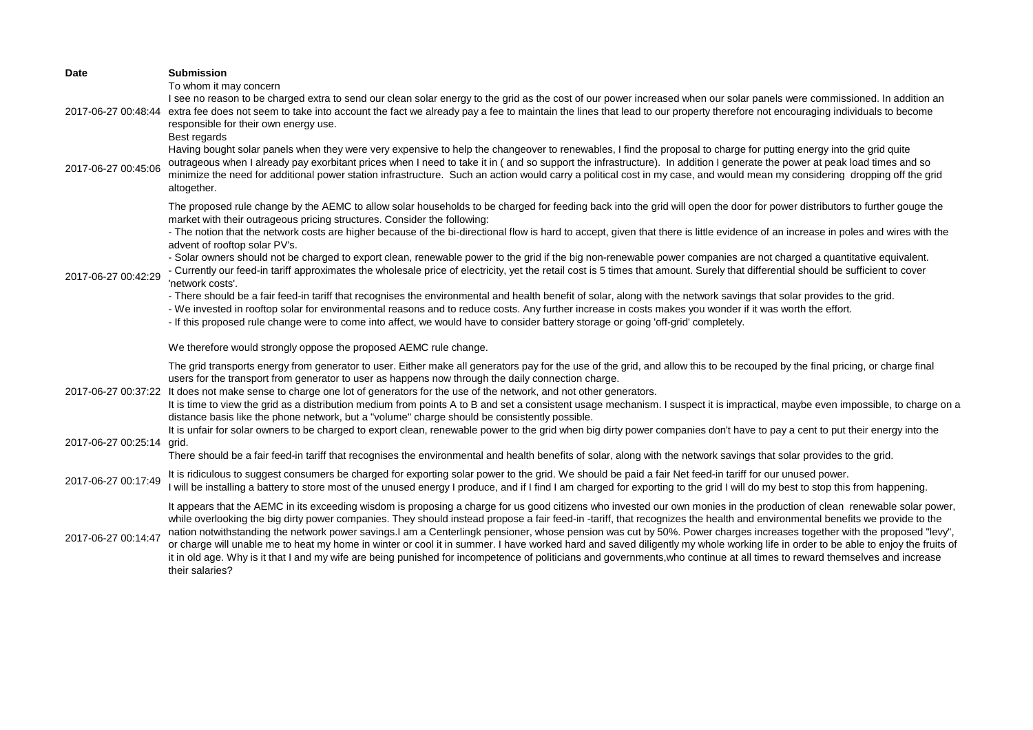| Date                | <b>Submission</b>                                                                                                                                                                                                                                                                                                                                                                                                                                                                                                                                                                                                                                                                                                                                                                                                                                                                                                                                                                                                                                                                                                                                                                                                                                                                                                                             |
|---------------------|-----------------------------------------------------------------------------------------------------------------------------------------------------------------------------------------------------------------------------------------------------------------------------------------------------------------------------------------------------------------------------------------------------------------------------------------------------------------------------------------------------------------------------------------------------------------------------------------------------------------------------------------------------------------------------------------------------------------------------------------------------------------------------------------------------------------------------------------------------------------------------------------------------------------------------------------------------------------------------------------------------------------------------------------------------------------------------------------------------------------------------------------------------------------------------------------------------------------------------------------------------------------------------------------------------------------------------------------------|
| 2017-06-27 00:48:44 | To whom it may concern<br>I see no reason to be charged extra to send our clean solar energy to the grid as the cost of our power increased when our solar panels were commissioned. In addition an<br>extra fee does not seem to take into account the fact we already pay a fee to maintain the lines that lead to our property therefore not encouraging individuals to become<br>responsible for their own energy use.<br>Best regards<br>Having bought solar panels when they were very expensive to help the changeover to renewables, I find the proposal to charge for putting energy into the grid quite<br>outrageous when I already pay exorbitant prices when I need to take it in (and so support the infrastructure). In addition I generate the power at peak load times and so                                                                                                                                                                                                                                                                                                                                                                                                                                                                                                                                                |
| 2017-06-27 00:45:06 | minimize the need for additional power station infrastructure. Such an action would carry a political cost in my case, and would mean my considering dropping off the grid<br>altogether.                                                                                                                                                                                                                                                                                                                                                                                                                                                                                                                                                                                                                                                                                                                                                                                                                                                                                                                                                                                                                                                                                                                                                     |
| 2017-06-27 00:42:29 | The proposed rule change by the AEMC to allow solar households to be charged for feeding back into the grid will open the door for power distributors to further gouge the<br>market with their outrageous pricing structures. Consider the following:<br>- The notion that the network costs are higher because of the bi-directional flow is hard to accept, given that there is little evidence of an increase in poles and wires with the<br>advent of rooftop solar PV's.<br>- Solar owners should not be charged to export clean, renewable power to the grid if the big non-renewable power companies are not charged a quantitative equivalent.<br>- Currently our feed-in tariff approximates the wholesale price of electricity, yet the retail cost is 5 times that amount. Surely that differential should be sufficient to cover<br>'network costs'.<br>- There should be a fair feed-in tariff that recognises the environmental and health benefit of solar, along with the network savings that solar provides to the grid.<br>- We invested in rooftop solar for environmental reasons and to reduce costs. Any further increase in costs makes you wonder if it was worth the effort.<br>- If this proposed rule change were to come into affect, we would have to consider battery storage or going 'off-grid' completely. |
|                     | We therefore would strongly oppose the proposed AEMC rule change.                                                                                                                                                                                                                                                                                                                                                                                                                                                                                                                                                                                                                                                                                                                                                                                                                                                                                                                                                                                                                                                                                                                                                                                                                                                                             |
| 2017-06-27 00:37:22 | The grid transports energy from generator to user. Either make all generators pay for the use of the grid, and allow this to be recouped by the final pricing, or charge final<br>users for the transport from generator to user as happens now through the daily connection charge.<br>It does not make sense to charge one lot of generators for the use of the network, and not other generators.<br>It is time to view the grid as a distribution medium from points A to B and set a consistent usage mechanism. I suspect it is impractical, maybe even impossible, to charge on a<br>distance basis like the phone network, but a "volume" charge should be consistently possible.<br>It is unfair for solar owners to be charged to export clean, renewable power to the grid when big dirty power companies don't have to pay a cent to put their energy into the                                                                                                                                                                                                                                                                                                                                                                                                                                                                    |
| 2017-06-27 00:25:14 | grid.<br>There should be a fair feed-in tariff that recognises the environmental and health benefits of solar, along with the network savings that solar provides to the grid.                                                                                                                                                                                                                                                                                                                                                                                                                                                                                                                                                                                                                                                                                                                                                                                                                                                                                                                                                                                                                                                                                                                                                                |
| 2017-06-27 00:17:49 | It is ridiculous to suggest consumers be charged for exporting solar power to the grid. We should be paid a fair Net feed-in tariff for our unused power.<br>I will be installing a battery to store most of the unused energy I produce, and if I find I am charged for exporting to the grid I will do my best to stop this from happening.                                                                                                                                                                                                                                                                                                                                                                                                                                                                                                                                                                                                                                                                                                                                                                                                                                                                                                                                                                                                 |
| 2017-06-27 00:14:47 | It appears that the AEMC in its exceeding wisdom is proposing a charge for us good citizens who invested our own monies in the production of clean renewable solar power,<br>while overlooking the big dirty power companies. They should instead propose a fair feed-in -tariff, that recognizes the health and environmental benefits we provide to the<br>nation notwithstanding the network power savings.I am a Centerlingk pensioner, whose pension was cut by 50%. Power charges increases together with the proposed "levy",<br>or charge will unable me to heat my home in winter or cool it in summer. I have worked hard and saved diligently my whole working life in order to be able to enjoy the fruits of<br>it in old age. Why is it that I and my wife are being punished for incompetence of politicians and governments, who continue at all times to reward themselves and increase<br>their salaries?                                                                                                                                                                                                                                                                                                                                                                                                                   |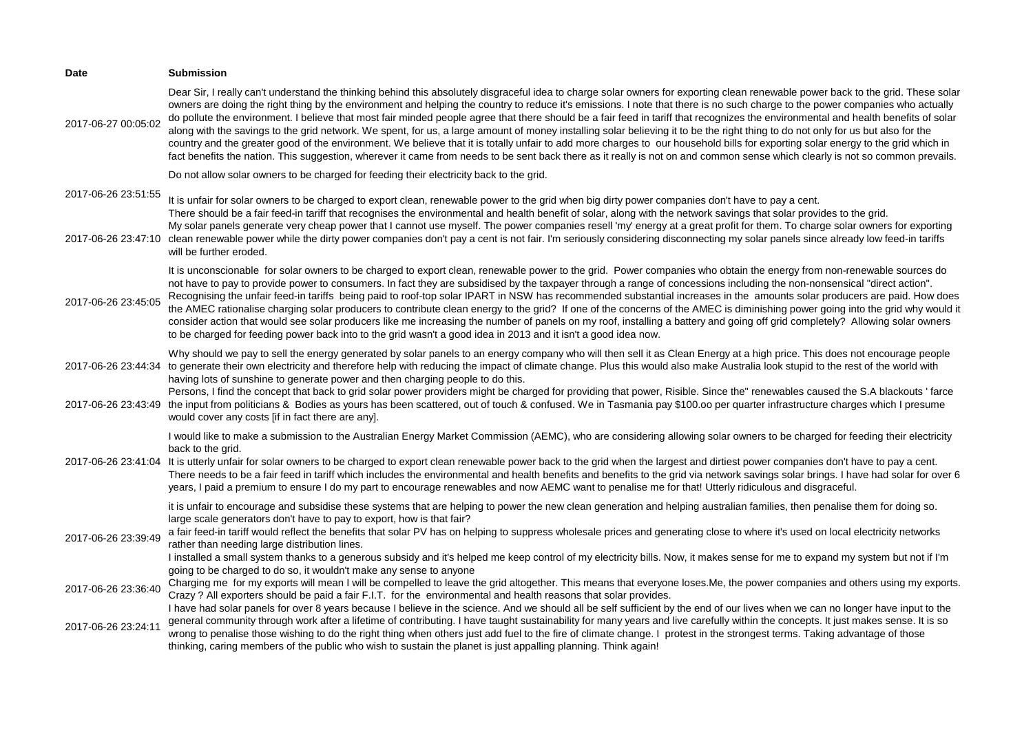| <b>Date</b>                                | <b>Submission</b>                                                                                                                                                                                                                                                                                                                                                                                                                                                                                                                                                                                                                                                                                                                                                                                                                                                                                                                                                                                                                                                                                                 |
|--------------------------------------------|-------------------------------------------------------------------------------------------------------------------------------------------------------------------------------------------------------------------------------------------------------------------------------------------------------------------------------------------------------------------------------------------------------------------------------------------------------------------------------------------------------------------------------------------------------------------------------------------------------------------------------------------------------------------------------------------------------------------------------------------------------------------------------------------------------------------------------------------------------------------------------------------------------------------------------------------------------------------------------------------------------------------------------------------------------------------------------------------------------------------|
| 2017-06-27 00:05:02                        | Dear Sir, I really can't understand the thinking behind this absolutely disgraceful idea to charge solar owners for exporting clean renewable power back to the grid. These solar<br>owners are doing the right thing by the environment and helping the country to reduce it's emissions. I note that there is no such charge to the power companies who actually<br>do pollute the environment. I believe that most fair minded people agree that there should be a fair feed in tariff that recognizes the environmental and health benefits of solar<br>along with the savings to the grid network. We spent, for us, a large amount of money installing solar believing it to be the right thing to do not only for us but also for the<br>country and the greater good of the environment. We believe that it is totally unfair to add more charges to our household bills for exporting solar energy to the grid which in<br>fact benefits the nation. This suggestion, wherever it came from needs to be sent back there as it really is not on and common sense which clearly is not so common prevails. |
|                                            | Do not allow solar owners to be charged for feeding their electricity back to the grid.                                                                                                                                                                                                                                                                                                                                                                                                                                                                                                                                                                                                                                                                                                                                                                                                                                                                                                                                                                                                                           |
| 2017-06-26 23:51:55                        | It is unfair for solar owners to be charged to export clean, renewable power to the grid when big dirty power companies don't have to pay a cent.<br>There should be a fair feed-in tariff that recognises the environmental and health benefit of solar, along with the network savings that solar provides to the grid.<br>My solar panels generate very cheap power that I cannot use myself. The power companies resell 'my' energy at a great profit for them. To charge solar owners for exporting                                                                                                                                                                                                                                                                                                                                                                                                                                                                                                                                                                                                          |
| 2017-06-26 23:47:10                        | clean renewable power while the dirty power companies don't pay a cent is not fair. I'm seriously considering disconnecting my solar panels since already low feed-in tariffs<br>will be further eroded.                                                                                                                                                                                                                                                                                                                                                                                                                                                                                                                                                                                                                                                                                                                                                                                                                                                                                                          |
| 2017-06-26 23:45:05                        | It is unconscionable for solar owners to be charged to export clean, renewable power to the grid. Power companies who obtain the energy from non-renewable sources do<br>not have to pay to provide power to consumers. In fact they are subsidised by the taxpayer through a range of concessions including the non-nonsensical "direct action".<br>Recognising the unfair feed-in tariffs being paid to roof-top solar IPART in NSW has recommended substantial increases in the amounts solar producers are paid. How does<br>the AMEC rationalise charging solar producers to contribute clean energy to the grid? If one of the concerns of the AMEC is diminishing power going into the grid why would it<br>consider action that would see solar producers like me increasing the number of panels on my roof, installing a battery and going off grid completely? Allowing solar owners<br>to be charged for feeding power back into to the grid wasn't a good idea in 2013 and it isn't a good idea now.                                                                                                 |
| 2017-06-26 23:44:34<br>2017-06-26 23:43:49 | Why should we pay to sell the energy generated by solar panels to an energy company who will then sell it as Clean Energy at a high price. This does not encourage people<br>to generate their own electricity and therefore help with reducing the impact of climate change. Plus this would also make Australia look stupid to the rest of the world with<br>having lots of sunshine to generate power and then charging people to do this.<br>Persons, I find the concept that back to grid solar power providers might be charged for providing that power, Risible. Since the" renewables caused the S.A blackouts ' farce<br>the input from politicians & Bodies as yours has been scattered, out of touch & confused. We in Tasmania pay \$100.00 per quarter infrastructure charges which I presume                                                                                                                                                                                                                                                                                                       |
|                                            | would cover any costs [if in fact there are any].<br>I would like to make a submission to the Australian Energy Market Commission (AEMC), who are considering allowing solar owners to be charged for feeding their electricity                                                                                                                                                                                                                                                                                                                                                                                                                                                                                                                                                                                                                                                                                                                                                                                                                                                                                   |
| 2017-06-26 23:41:04                        | back to the grid.<br>It is utterly unfair for solar owners to be charged to export clean renewable power back to the grid when the largest and dirtiest power companies don't have to pay a cent.<br>There needs to be a fair feed in tariff which includes the environmental and health benefits and benefits to the grid via network savings solar brings. I have had solar for over 6<br>years, I paid a premium to ensure I do my part to encourage renewables and now AEMC want to penalise me for that! Utterly ridiculous and disgraceful.                                                                                                                                                                                                                                                                                                                                                                                                                                                                                                                                                                 |
|                                            | it is unfair to encourage and subsidise these systems that are helping to power the new clean generation and helping australian families, then penalise them for doing so.                                                                                                                                                                                                                                                                                                                                                                                                                                                                                                                                                                                                                                                                                                                                                                                                                                                                                                                                        |
| 2017-06-26 23:39:49                        | large scale generators don't have to pay to export, how is that fair?<br>a fair feed-in tariff would reflect the benefits that solar PV has on helping to suppress wholesale prices and generating close to where it's used on local electricity networks<br>rather than needing large distribution lines.                                                                                                                                                                                                                                                                                                                                                                                                                                                                                                                                                                                                                                                                                                                                                                                                        |
|                                            | I installed a small system thanks to a generous subsidy and it's helped me keep control of my electricity bills. Now, it makes sense for me to expand my system but not if I'm<br>going to be charged to do so, it wouldn't make any sense to anyone                                                                                                                                                                                                                                                                                                                                                                                                                                                                                                                                                                                                                                                                                                                                                                                                                                                              |
| 2017-06-26 23:36:40                        | Charging me for my exports will mean I will be compelled to leave the grid altogether. This means that everyone loses. Me, the power companies and others using my exports.<br>Crazy? All exporters should be paid a fair F.I.T. for the environmental and health reasons that solar provides.                                                                                                                                                                                                                                                                                                                                                                                                                                                                                                                                                                                                                                                                                                                                                                                                                    |
| 2017-06-26 23:24:11                        | I have had solar panels for over 8 years because I believe in the science. And we should all be self sufficient by the end of our lives when we can no longer have input to the<br>general community through work after a lifetime of contributing. I have taught sustainability for many years and live carefully within the concepts. It just makes sense. It is so<br>wrong to penalise those wishing to do the right thing when others just add fuel to the fire of climate change. I protest in the strongest terms. Taking advantage of those<br>thinking, caring members of the public who wish to sustain the planet is just appalling planning. Think again!                                                                                                                                                                                                                                                                                                                                                                                                                                             |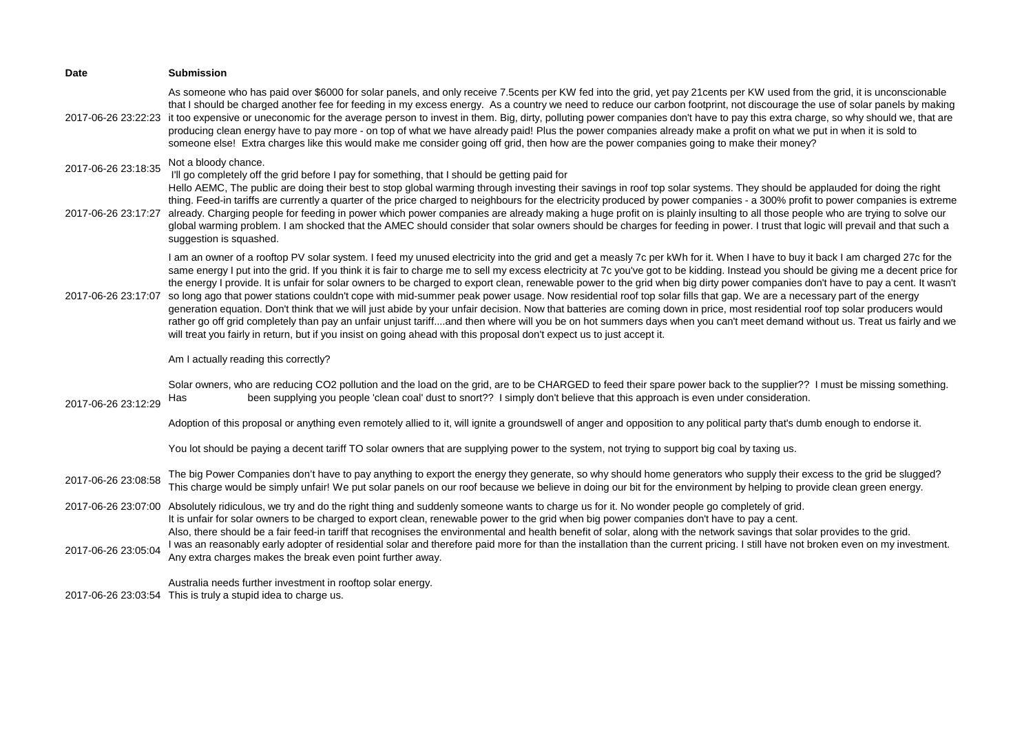| <b>Date</b>         | <b>Submission</b>                                                                                                                                                                                                                                                                                                                                                                                                                                                                                                                                                                                                                                                                                                                                                                                                                                                                                                                                                                                                                                                                                                                                                                                                                |
|---------------------|----------------------------------------------------------------------------------------------------------------------------------------------------------------------------------------------------------------------------------------------------------------------------------------------------------------------------------------------------------------------------------------------------------------------------------------------------------------------------------------------------------------------------------------------------------------------------------------------------------------------------------------------------------------------------------------------------------------------------------------------------------------------------------------------------------------------------------------------------------------------------------------------------------------------------------------------------------------------------------------------------------------------------------------------------------------------------------------------------------------------------------------------------------------------------------------------------------------------------------|
| 2017-06-26 23:22:23 | As someone who has paid over \$6000 for solar panels, and only receive 7.5cents per KW fed into the grid, yet pay 21cents per KW used from the grid, it is unconscionable<br>that I should be charged another fee for feeding in my excess energy. As a country we need to reduce our carbon footprint, not discourage the use of solar panels by making<br>it too expensive or uneconomic for the average person to invest in them. Big, dirty, polluting power companies don't have to pay this extra charge, so why should we, that are<br>producing clean energy have to pay more - on top of what we have already paid! Plus the power companies already make a profit on what we put in when it is sold to<br>someone else! Extra charges like this would make me consider going off grid, then how are the power companies going to make their money?                                                                                                                                                                                                                                                                                                                                                                     |
| 2017-06-26 23:18:35 | Not a bloody chance.<br>I'll go completely off the grid before I pay for something, that I should be getting paid for                                                                                                                                                                                                                                                                                                                                                                                                                                                                                                                                                                                                                                                                                                                                                                                                                                                                                                                                                                                                                                                                                                            |
| 2017-06-26 23:17:27 | Hello AEMC, The public are doing their best to stop global warming through investing their savings in roof top solar systems. They should be applauded for doing the right<br>thing. Feed-in tariffs are currently a quarter of the price charged to neighbours for the electricity produced by power companies - a 300% profit to power companies is extreme<br>already. Charging people for feeding in power which power companies are already making a huge profit on is plainly insulting to all those people who are trying to solve our<br>global warming problem. I am shocked that the AMEC should consider that solar owners should be charges for feeding in power. I trust that logic will prevail and that such a<br>suggestion is squashed.                                                                                                                                                                                                                                                                                                                                                                                                                                                                         |
| 2017-06-26 23:17:07 | I am an owner of a rooftop PV solar system. I feed my unused electricity into the grid and get a measly 7c per kWh for it. When I have to buy it back I am charged 27c for the<br>same energy I put into the grid. If you think it is fair to charge me to sell my excess electricity at 7c you've got to be kidding. Instead you should be giving me a decent price for<br>the energy I provide. It is unfair for solar owners to be charged to export clean, renewable power to the grid when big dirty power companies don't have to pay a cent. It wasn't<br>so long ago that power stations couldn't cope with mid-summer peak power usage. Now residential roof top solar fills that gap. We are a necessary part of the energy<br>generation equation. Don't think that we will just abide by your unfair decision. Now that batteries are coming down in price, most residential roof top solar producers would<br>rather go off grid completely than pay an unfair unjust tariffand then where will you be on hot summers days when you can't meet demand without us. Treat us fairly and we<br>will treat you fairly in return, but if you insist on going ahead with this proposal don't expect us to just accept it. |
| 2017-06-26 23:12:29 | Am I actually reading this correctly?                                                                                                                                                                                                                                                                                                                                                                                                                                                                                                                                                                                                                                                                                                                                                                                                                                                                                                                                                                                                                                                                                                                                                                                            |
|                     | Solar owners, who are reducing CO2 pollution and the load on the grid, are to be CHARGED to feed their spare power back to the supplier?? I must be missing something.<br>been supplying you people 'clean coal' dust to snort?? I simply don't believe that this approach is even under consideration.<br>Has                                                                                                                                                                                                                                                                                                                                                                                                                                                                                                                                                                                                                                                                                                                                                                                                                                                                                                                   |
|                     | Adoption of this proposal or anything even remotely allied to it, will ignite a groundswell of anger and opposition to any political party that's dumb enough to endorse it.                                                                                                                                                                                                                                                                                                                                                                                                                                                                                                                                                                                                                                                                                                                                                                                                                                                                                                                                                                                                                                                     |
|                     | You lot should be paying a decent tariff TO solar owners that are supplying power to the system, not trying to support big coal by taxing us.                                                                                                                                                                                                                                                                                                                                                                                                                                                                                                                                                                                                                                                                                                                                                                                                                                                                                                                                                                                                                                                                                    |
| 2017-06-26 23:08:58 | The big Power Companies don't have to pay anything to export the energy they generate, so why should home generators who supply their excess to the grid be slugged?<br>This charge would be simply unfair! We put solar panels on our roof because we believe in doing our bit for the environment by helping to provide clean green energy.                                                                                                                                                                                                                                                                                                                                                                                                                                                                                                                                                                                                                                                                                                                                                                                                                                                                                    |
| 2017-06-26 23:07:00 | Absolutely ridiculous, we try and do the right thing and suddenly someone wants to charge us for it. No wonder people go completely of grid.<br>It is unfair for solar owners to be charged to export clean, renewable power to the grid when big power companies don't have to pay a cent.                                                                                                                                                                                                                                                                                                                                                                                                                                                                                                                                                                                                                                                                                                                                                                                                                                                                                                                                      |
| 2017-06-26 23:05:04 | Also, there should be a fair feed-in tariff that recognises the environmental and health benefit of solar, along with the network savings that solar provides to the grid.<br>I was an reasonably early adopter of residential solar and therefore paid more for than the installation than the current pricing. I still have not broken even on my investment.<br>Any extra charges makes the break even point further away.                                                                                                                                                                                                                                                                                                                                                                                                                                                                                                                                                                                                                                                                                                                                                                                                    |
|                     | Australia needs further investment in rooftop solar energy.<br>2017-06-26 23:03:54 This is truly a stupid idea to charge us.                                                                                                                                                                                                                                                                                                                                                                                                                                                                                                                                                                                                                                                                                                                                                                                                                                                                                                                                                                                                                                                                                                     |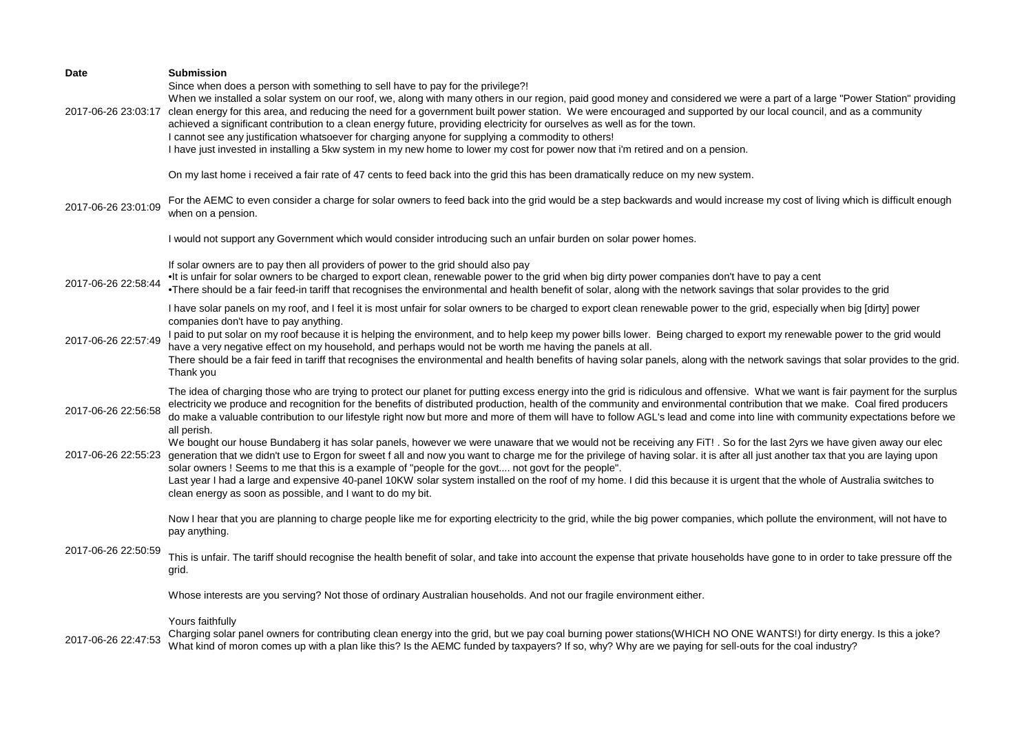| Date                | <b>Submission</b><br>Since when does a person with something to sell have to pay for the privilege?!<br>When we installed a solar system on our roof, we, along with many others in our region, paid good money and considered we were a part of a large "Power Station" providing<br>2017-06-26 23:03:17 clean energy for this area, and reducing the need for a government built power station. We were encouraged and supported by our local council, and as a community<br>achieved a significant contribution to a clean energy future, providing electricity for ourselves as well as for the town.<br>I cannot see any justification whatsoever for charging anyone for supplying a commodity to others!<br>I have just invested in installing a 5kw system in my new home to lower my cost for power now that i'm retired and on a pension. |
|---------------------|-----------------------------------------------------------------------------------------------------------------------------------------------------------------------------------------------------------------------------------------------------------------------------------------------------------------------------------------------------------------------------------------------------------------------------------------------------------------------------------------------------------------------------------------------------------------------------------------------------------------------------------------------------------------------------------------------------------------------------------------------------------------------------------------------------------------------------------------------------|
|                     | On my last home i received a fair rate of 47 cents to feed back into the grid this has been dramatically reduce on my new system.                                                                                                                                                                                                                                                                                                                                                                                                                                                                                                                                                                                                                                                                                                                   |
| 2017-06-26 23:01:09 | For the AEMC to even consider a charge for solar owners to feed back into the grid would be a step backwards and would increase my cost of living which is difficult enough<br>when on a pension.                                                                                                                                                                                                                                                                                                                                                                                                                                                                                                                                                                                                                                                   |
|                     | I would not support any Government which would consider introducing such an unfair burden on solar power homes.                                                                                                                                                                                                                                                                                                                                                                                                                                                                                                                                                                                                                                                                                                                                     |
| 2017-06-26 22:58:44 | If solar owners are to pay then all providers of power to the grid should also pay<br>. It is unfair for solar owners to be charged to export clean, renewable power to the grid when big dirty power companies don't have to pay a cent<br>•There should be a fair feed-in tariff that recognises the environmental and health benefit of solar, along with the network savings that solar provides to the grid                                                                                                                                                                                                                                                                                                                                                                                                                                    |
| 2017-06-26 22:57:49 | I have solar panels on my roof, and I feel it is most unfair for solar owners to be charged to export clean renewable power to the grid, especially when big [dirty] power<br>companies don't have to pay anything.<br>I paid to put solar on my roof because it is helping the environment, and to help keep my power bills lower. Being charged to export my renewable power to the grid would<br>have a very negative effect on my household, and perhaps would not be worth me having the panels at all.<br>There should be a fair feed in tariff that recognises the environmental and health benefits of having solar panels, along with the network savings that solar provides to the grid.<br>Thank you                                                                                                                                    |
| 2017-06-26 22:56:58 | The idea of charging those who are trying to protect our planet for putting excess energy into the grid is ridiculous and offensive. What we want is fair payment for the surplus<br>electricity we produce and recognition for the benefits of distributed production, health of the community and environmental contribution that we make. Coal fired producers<br>do make a valuable contribution to our lifestyle right now but more and more of them will have to follow AGL's lead and come into line with community expectations before we<br>all perish.                                                                                                                                                                                                                                                                                    |
| 2017-06-26 22:55:23 | We bought our house Bundaberg it has solar panels, however we were unaware that we would not be receiving any FiT!. So for the last 2yrs we have given away our elec<br>generation that we didn't use to Ergon for sweet f all and now you want to charge me for the privilege of having solar. it is after all just another tax that you are laying upon<br>solar owners! Seems to me that this is a example of "people for the govt not govt for the people".<br>Last year I had a large and expensive 40-panel 10KW solar system installed on the roof of my home. I did this because it is urgent that the whole of Australia switches to<br>clean energy as soon as possible, and I want to do my bit.                                                                                                                                         |
|                     | Now I hear that you are planning to charge people like me for exporting electricity to the grid, while the big power companies, which pollute the environment, will not have to<br>pay anything.                                                                                                                                                                                                                                                                                                                                                                                                                                                                                                                                                                                                                                                    |
| 2017-06-26 22:50:59 | This is unfair. The tariff should recognise the health benefit of solar, and take into account the expense that private households have gone to in order to take pressure off the<br>grid.                                                                                                                                                                                                                                                                                                                                                                                                                                                                                                                                                                                                                                                          |
|                     | Whose interests are you serving? Not those of ordinary Australian households. And not our fragile environment either.                                                                                                                                                                                                                                                                                                                                                                                                                                                                                                                                                                                                                                                                                                                               |
| 2017-06-26 22:47:53 | Yours faithfully<br>Charging solar panel owners for contributing clean energy into the grid, but we pay coal burning power stations (WHICH NO ONE WANTS!) for dirty energy. Is this a joke?<br>What kind of moron comes up with a plan like this? Is the AEMC funded by taxpayers? If so, why? Why are we paying for sell-outs for the coal industry?                                                                                                                                                                                                                                                                                                                                                                                                                                                                                               |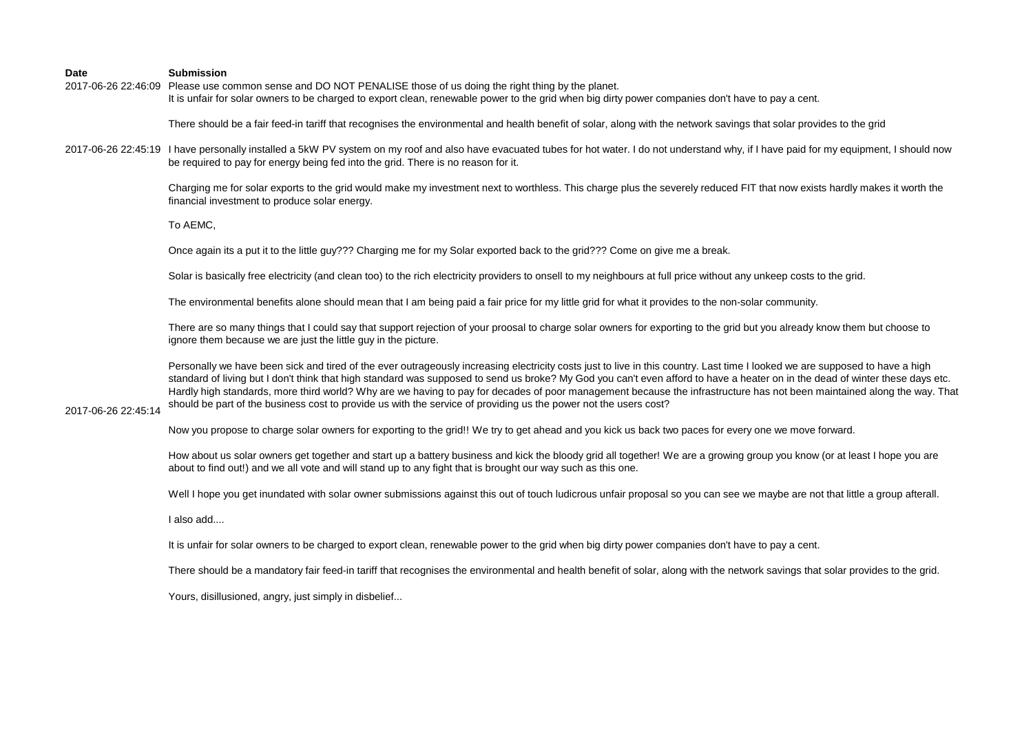2017-06-26 22:46:09 Please use common sense and DO NOT PENALISE those of us doing the right thing by the planet. It is unfair for solar owners to be charged to export clean, renewable power to the grid when big dirty power companies don't have to pay a cent.

There should be a fair feed-in tariff that recognises the environmental and health benefit of solar, along with the network savings that solar provides to the grid

2017-06-26 22:45:19 I have personally installed a 5kW PV system on my roof and also have evacuated tubes for hot water. I do not understand why, if I have paid for my equipment, I should now be required to pay for energy being fed into the grid. There is no reason for it.

> Charging me for solar exports to the grid would make my investment next to worthless. This charge plus the severely reduced FIT that now exists hardly makes it worth the financial investment to produce solar energy.

To AEMC,

Once again its a put it to the little guy??? Charging me for my Solar exported back to the grid??? Come on give me a break.

Solar is basically free electricity (and clean too) to the rich electricity providers to onsell to my neighbours at full price without any unkeep costs to the grid.

The environmental benefits alone should mean that I am being paid a fair price for my little grid for what it provides to the non-solar community.

There are so many things that I could say that support rejection of your proosal to charge solar owners for exporting to the grid but you already know them but choose to ignore them because we are just the little guy in the picture.

Personally we have been sick and tired of the ever outrageously increasing electricity costs just to live in this country. Last time I looked we are supposed to have a high standard of living but I don't think that high standard was supposed to send us broke? My God you can't even afford to have a heater on in the dead of winter these days etc. Hardly high standards, more third world? Why are we having to pay for decades of poor management because the infrastructure has not been maintained along the way. That should be part of the business cost to provide us with the service of providing us the power not the users cost?

# 2017-06-26 22:45:14

Now you propose to charge solar owners for exporting to the grid!! We try to get ahead and you kick us back two paces for every one we move forward.

How about us solar owners get together and start up a battery business and kick the bloody grid all together! We are a growing group you know (or at least I hope you are about to find out!) and we all vote and will stand up to any fight that is brought our way such as this one.

Well I hope you get inundated with solar owner submissions against this out of touch ludicrous unfair proposal so you can see we maybe are not that little a group afterall.

I also add....

It is unfair for solar owners to be charged to export clean, renewable power to the grid when big dirty power companies don't have to pay a cent.

There should be a mandatory fair feed-in tariff that recognises the environmental and health benefit of solar, along with the network savings that solar provides to the grid.

Yours, disillusioned, angry, just simply in disbelief...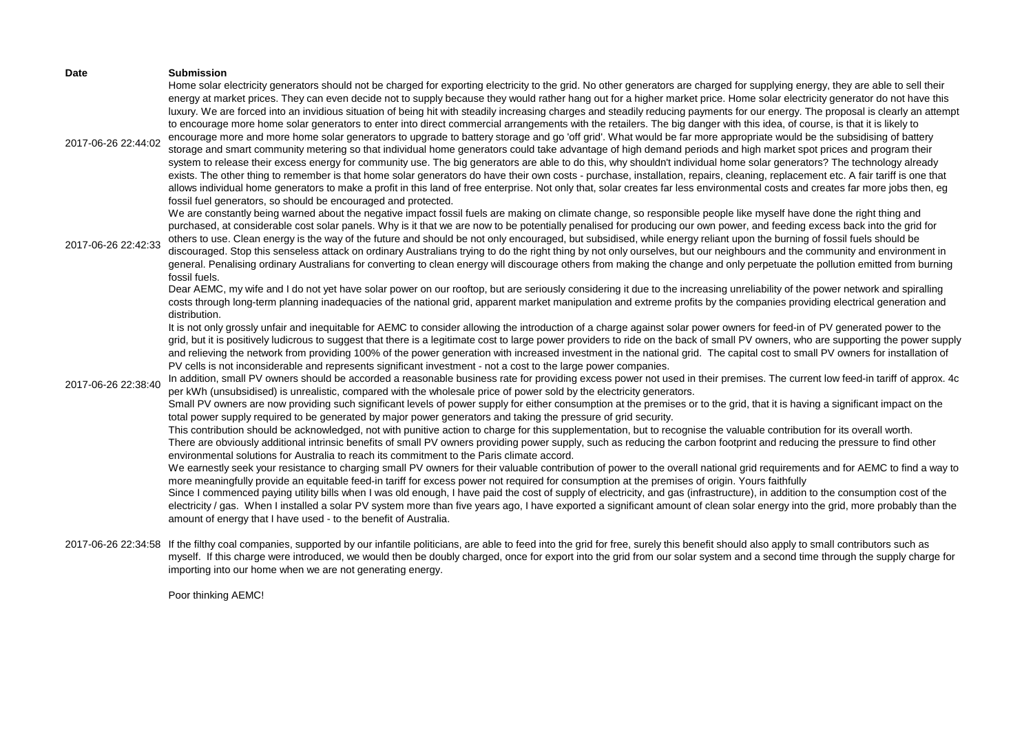| <b>Date</b>         | <b>Submission</b><br>Home solar electricity generators should not be charged for exporting electricity to the grid. No other generators are charged for supplying energy, they are able to sell their                                                                                                                                                                                                                                                                                                                                                                                                                                                                                                                                                                                                                                                                                                                                                                                                                                                                                                                                                                                                                                                                                                                                                                                                                                                                                                              |
|---------------------|--------------------------------------------------------------------------------------------------------------------------------------------------------------------------------------------------------------------------------------------------------------------------------------------------------------------------------------------------------------------------------------------------------------------------------------------------------------------------------------------------------------------------------------------------------------------------------------------------------------------------------------------------------------------------------------------------------------------------------------------------------------------------------------------------------------------------------------------------------------------------------------------------------------------------------------------------------------------------------------------------------------------------------------------------------------------------------------------------------------------------------------------------------------------------------------------------------------------------------------------------------------------------------------------------------------------------------------------------------------------------------------------------------------------------------------------------------------------------------------------------------------------|
| 2017-06-26 22:44:02 | energy at market prices. They can even decide not to supply because they would rather hang out for a higher market price. Home solar electricity generator do not have this<br>luxury. We are forced into an invidious situation of being hit with steadily increasing charges and steadily reducing payments for our energy. The proposal is clearly an attempt<br>to encourage more home solar generators to enter into direct commercial arrangements with the retailers. The big danger with this idea, of course, is that it is likely to<br>encourage more and more home solar generators to upgrade to battery storage and go 'off grid'. What would be far more appropriate would be the subsidising of battery<br>storage and smart community metering so that individual home generators could take advantage of high demand periods and high market spot prices and program their<br>system to release their excess energy for community use. The big generators are able to do this, why shouldn't individual home solar generators? The technology already<br>exists. The other thing to remember is that home solar generators do have their own costs - purchase, installation, repairs, cleaning, replacement etc. A fair tariff is one that<br>allows individual home generators to make a profit in this land of free enterprise. Not only that, solar creates far less environmental costs and creates far more jobs then, eg<br>fossil fuel generators, so should be encouraged and protected. |
| 2017-06-26 22:42:33 | We are constantly being warned about the negative impact fossil fuels are making on climate change, so responsible people like myself have done the right thing and<br>purchased, at considerable cost solar panels. Why is it that we are now to be potentially penalised for producing our own power, and feeding excess back into the grid for<br>others to use. Clean energy is the way of the future and should be not only encouraged, but subsidised, while energy reliant upon the burning of fossil fuels should be<br>discouraged. Stop this senseless attack on ordinary Australians trying to do the right thing by not only ourselves, but our neighbours and the community and environment in<br>general. Penalising ordinary Australians for converting to clean energy will discourage others from making the change and only perpetuate the pollution emitted from burning<br>fossil fuels.                                                                                                                                                                                                                                                                                                                                                                                                                                                                                                                                                                                                       |
|                     | Dear AEMC, my wife and I do not yet have solar power on our rooftop, but are seriously considering it due to the increasing unreliability of the power network and spiralling<br>costs through long-term planning inadequacies of the national grid, apparent market manipulation and extreme profits by the companies providing electrical generation and<br>distribution.                                                                                                                                                                                                                                                                                                                                                                                                                                                                                                                                                                                                                                                                                                                                                                                                                                                                                                                                                                                                                                                                                                                                        |
|                     | It is not only grossly unfair and inequitable for AEMC to consider allowing the introduction of a charge against solar power owners for feed-in of PV generated power to the<br>grid, but it is positively ludicrous to suggest that there is a legitimate cost to large power providers to ride on the back of small PV owners, who are supporting the power supply<br>and relieving the network from providing 100% of the power generation with increased investment in the national grid. The capital cost to small PV owners for installation of<br>PV cells is not inconsiderable and represents significant investment - not a cost to the large power companies.                                                                                                                                                                                                                                                                                                                                                                                                                                                                                                                                                                                                                                                                                                                                                                                                                                           |
| 2017-06-26 22:38:40 | In addition, small PV owners should be accorded a reasonable business rate for providing excess power not used in their premises. The current low feed-in tariff of approx. 4c<br>per kWh (unsubsidised) is unrealistic, compared with the wholesale price of power sold by the electricity generators.                                                                                                                                                                                                                                                                                                                                                                                                                                                                                                                                                                                                                                                                                                                                                                                                                                                                                                                                                                                                                                                                                                                                                                                                            |
|                     | Small PV owners are now providing such significant levels of power supply for either consumption at the premises or to the grid, that it is having a significant impact on the<br>total power supply required to be generated by major power generators and taking the pressure of grid security.                                                                                                                                                                                                                                                                                                                                                                                                                                                                                                                                                                                                                                                                                                                                                                                                                                                                                                                                                                                                                                                                                                                                                                                                                  |
|                     | This contribution should be acknowledged, not with punitive action to charge for this supplementation, but to recognise the valuable contribution for its overall worth.<br>There are obviously additional intrinsic benefits of small PV owners providing power supply, such as reducing the carbon footprint and reducing the pressure to find other<br>environmental solutions for Australia to reach its commitment to the Paris climate accord.                                                                                                                                                                                                                                                                                                                                                                                                                                                                                                                                                                                                                                                                                                                                                                                                                                                                                                                                                                                                                                                               |
|                     | We earnestly seek your resistance to charging small PV owners for their valuable contribution of power to the overall national grid requirements and for AEMC to find a way to<br>more meaningfully provide an equitable feed-in tariff for excess power not required for consumption at the premises of origin. Yours faithfully                                                                                                                                                                                                                                                                                                                                                                                                                                                                                                                                                                                                                                                                                                                                                                                                                                                                                                                                                                                                                                                                                                                                                                                  |
|                     | Since I commenced paying utility bills when I was old enough, I have paid the cost of supply of electricity, and gas (infrastructure), in addition to the consumption cost of the<br>electricity / gas. When I installed a solar PV system more than five years ago, I have exported a significant amount of clean solar energy into the grid, more probably than the<br>amount of energy that I have used - to the benefit of Australia.                                                                                                                                                                                                                                                                                                                                                                                                                                                                                                                                                                                                                                                                                                                                                                                                                                                                                                                                                                                                                                                                          |
|                     | 2017-06-26 22:34:58 If the filthy coal companies, supported by our infantile politicians, are able to feed into the grid for free, surely this benefit should also apply to small contributors such as<br>myself. If this charge were introduced, we would then be doubly charged, once for export into the grid from our solar system and a second time through the supply charge for<br>importing into our home when we are not generating energy.                                                                                                                                                                                                                                                                                                                                                                                                                                                                                                                                                                                                                                                                                                                                                                                                                                                                                                                                                                                                                                                               |

Poor thinking AEMC!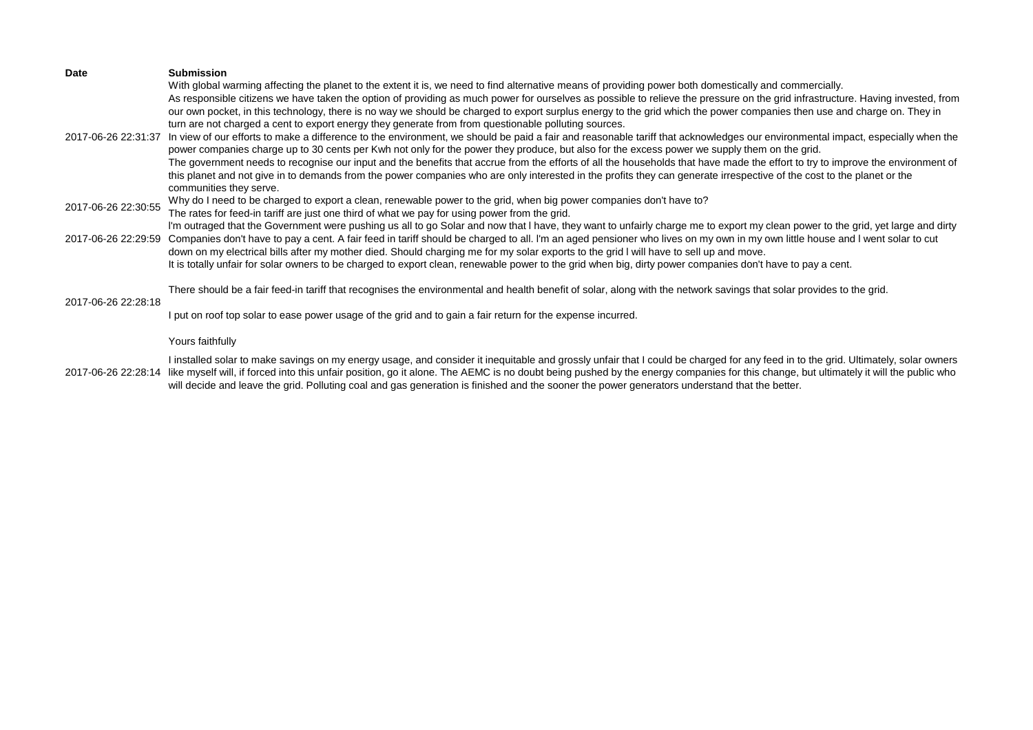| Date                | <b>Submission</b><br>With global warming affecting the planet to the extent it is, we need to find alternative means of providing power both domestically and commercially.<br>As responsible citizens we have taken the option of providing as much power for ourselves as possible to relieve the pressure on the grid infrastructure. Having invested, from<br>our own pocket, in this technology, there is no way we should be charged to export surplus energy to the grid which the power companies then use and charge on. They in                                                                                                                                                                                                                                                                                     |
|---------------------|-------------------------------------------------------------------------------------------------------------------------------------------------------------------------------------------------------------------------------------------------------------------------------------------------------------------------------------------------------------------------------------------------------------------------------------------------------------------------------------------------------------------------------------------------------------------------------------------------------------------------------------------------------------------------------------------------------------------------------------------------------------------------------------------------------------------------------|
| 2017-06-26 22:31:37 | turn are not charged a cent to export energy they generate from from questionable polluting sources.<br>In view of our efforts to make a difference to the environment, we should be paid a fair and reasonable tariff that acknowledges our environmental impact, especially when the<br>power companies charge up to 30 cents per Kwh not only for the power they produce, but also for the excess power we supply them on the grid.<br>The government needs to recognise our input and the benefits that accrue from the efforts of all the households that have made the effort to try to improve the environment of<br>this planet and not give in to demands from the power companies who are only interested in the profits they can generate irrespective of the cost to the planet or the<br>communities they serve. |
| 2017-06-26 22:30:55 | Why do I need to be charged to export a clean, renewable power to the grid, when big power companies don't have to?<br>The rates for feed-in tariff are just one third of what we pay for using power from the grid.                                                                                                                                                                                                                                                                                                                                                                                                                                                                                                                                                                                                          |
| 2017-06-26 22:29:59 | I'm outraged that the Government were pushing us all to go Solar and now that I have, they want to unfairly charge me to export my clean power to the grid, yet large and dirty<br>Companies don't have to pay a cent. A fair feed in tariff should be charged to all. I'm an aged pensioner who lives on my own in my own little house and I went solar to cut<br>down on my electrical bills after my mother died. Should charging me for my solar exports to the grid I will have to sell up and move.<br>It is totally unfair for solar owners to be charged to export clean, renewable power to the grid when big, dirty power companies don't have to pay a cent.                                                                                                                                                       |
| 2017-06-26 22:28:18 | There should be a fair feed-in tariff that recognises the environmental and health benefit of solar, along with the network savings that solar provides to the grid.                                                                                                                                                                                                                                                                                                                                                                                                                                                                                                                                                                                                                                                          |
|                     | I put on roof top solar to ease power usage of the grid and to gain a fair return for the expense incurred.                                                                                                                                                                                                                                                                                                                                                                                                                                                                                                                                                                                                                                                                                                                   |
|                     | Yours faithfully                                                                                                                                                                                                                                                                                                                                                                                                                                                                                                                                                                                                                                                                                                                                                                                                              |
| 2017-06-26 22:28:14 | I installed solar to make savings on my energy usage, and consider it inequitable and grossly unfair that I could be charged for any feed in to the grid. Ultimately, solar owners<br>like myself will, if forced into this unfair position, go it alone. The AEMC is no doubt being pushed by the energy companies for this change, but ultimately it will the public who<br>will decide and leave the grid. Polluting coal and gas generation is finished and the sooner the power generators understand that the better.                                                                                                                                                                                                                                                                                                   |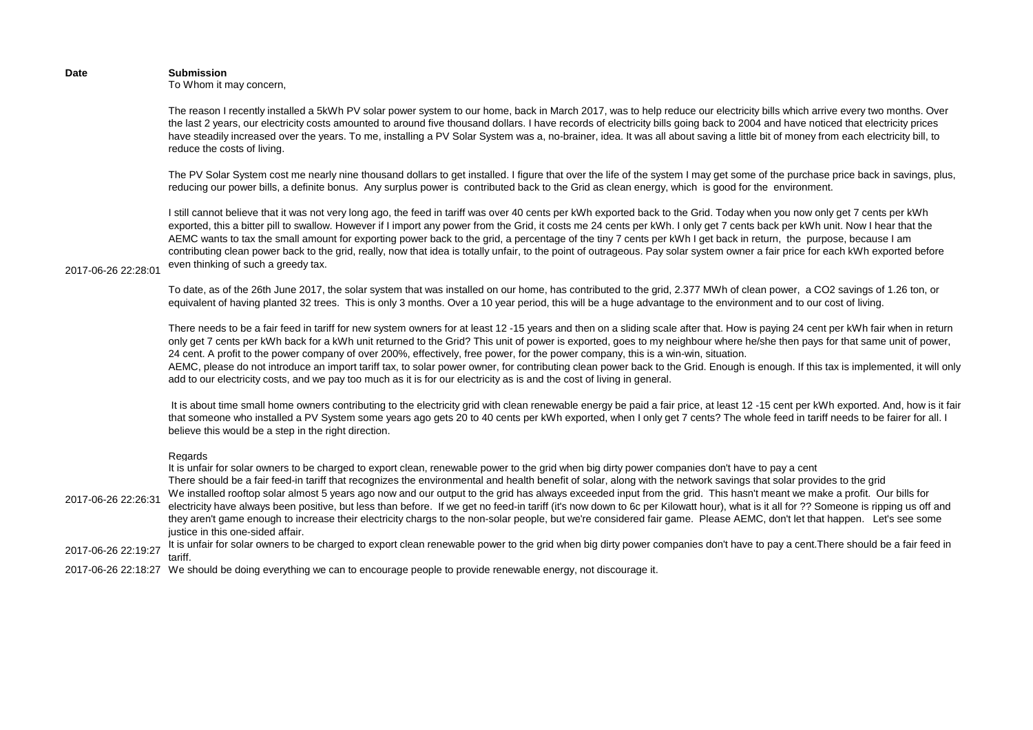### **Date Submission** To Whom it may concern,

The reason I recently installed a 5kWh PV solar power system to our home, back in March 2017, was to help reduce our electricity bills which arrive every two months. Over the last 2 years, our electricity costs amounted to around five thousand dollars. I have records of electricity bills going back to 2004 and have noticed that electricity prices have steadily increased over the years. To me, installing a PV Solar System was a, no-brainer, idea. It was all about saving a little bit of money from each electricity bill, to reduce the costs of living.

The PV Solar System cost me nearly nine thousand dollars to get installed. I figure that over the life of the system I may get some of the purchase price back in savings, plus, reducing our power bills, a definite bonus. Any surplus power is contributed back to the Grid as clean energy, which is good for the environment.

I still cannot believe that it was not very long ago, the feed in tariff was over 40 cents per kWh exported back to the Grid. Today when you now only get 7 cents per kWh exported, this a bitter pill to swallow. However if I import any power from the Grid, it costs me 24 cents per kWh. I only get 7 cents back per kWh unit. Now I hear that the AEMC wants to tax the small amount for exporting power back to the grid, a percentage of the tiny 7 cents per kWh I get back in return, the purpose, because I am contributing clean power back to the grid, really, now that idea is totally unfair, to the point of outrageous. Pay solar system owner a fair price for each kWh exported before even thinking of such a greedy tax.

2017-06-26 22:28:01

To date, as of the 26th June 2017, the solar system that was installed on our home, has contributed to the grid, 2.377 MWh of clean power, a CO2 savings of 1.26 ton, or equivalent of having planted 32 trees. This is only 3 months. Over a 10 year period, this will be a huge advantage to the environment and to our cost of living.

There needs to be a fair feed in tariff for new system owners for at least 12 -15 years and then on a sliding scale after that. How is paying 24 cent per kWh fair when in return only get 7 cents per kWh back for a kWh unit returned to the Grid? This unit of power is exported, goes to my neighbour where he/she then pays for that same unit of power, 24 cent. A profit to the power company of over 200%, effectively, free power, for the power company, this is a win-win, situation.

AEMC, please do not introduce an import tariff tax, to solar power owner, for contributing clean power back to the Grid. Enough is enough. If this tax is implemented, it will only add to our electricity costs, and we pay too much as it is for our electricity as is and the cost of living in general.

 It is about time small home owners contributing to the electricity grid with clean renewable energy be paid a fair price, at least 12 -15 cent per kWh exported. And, how is it fair that someone who installed a PV System some years ago gets 20 to 40 cents per kWh exported, when I only get 7 cents? The whole feed in tariff needs to be fairer for all. I believe this would be a step in the right direction.

### Regards

2017-06-26 22:26:31 It is unfair for solar owners to be charged to export clean, renewable power to the grid when big dirty power companies don't have to pay a cent There should be a fair feed-in tariff that recognizes the environmental and health benefit of solar, along with the network savings that solar provides to the grid We installed rooftop solar almost 5 years ago now and our output to the grid has always exceeded input from the grid. This hasn't meant we make a profit. Our bills for electricity have always been positive, but less than before. If we get no feed-in tariff (it's now down to 6c per Kilowatt hour), what is it all for ?? Someone is ripping us off and they aren't game enough to increase their electricity chargs to the non-solar people, but we're considered fair game. Please AEMC, don't let that happen. Let's see some justice in this one-sided affair.

2017-06-26 22:19:27 It is unfair for solar owners to be charged to export clean renewable power to the grid when big dirty power companies don't have to pay a cent. There should be a fair feed in tariff.

2017-06-26 22:18:27 We should be doing everything we can to encourage people to provide renewable energy, not discourage it.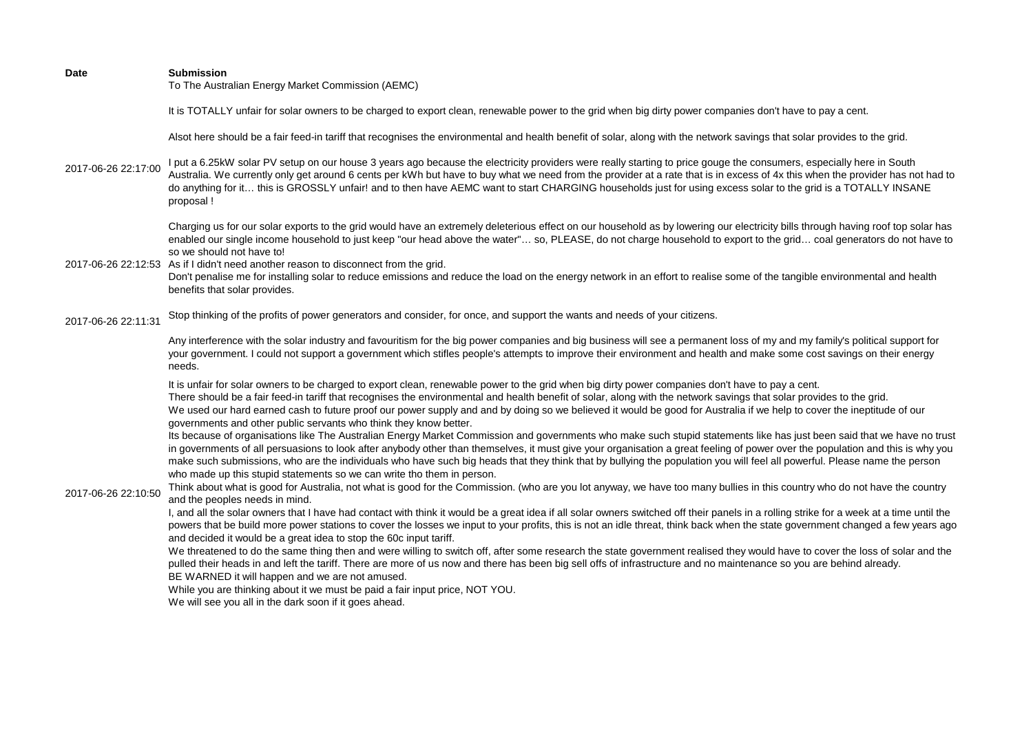To The Australian Energy Market Commission (AEMC)

It is TOTALLY unfair for solar owners to be charged to export clean, renewable power to the grid when big dirty power companies don't have to pay a cent.

Alsot here should be a fair feed-in tariff that recognises the environmental and health benefit of solar, along with the network savings that solar provides to the grid.

2017-06-26 22:17:00 I put a 6.25kW solar PV setup on our house 3 years ago because the electricity providers were really starting to price gouge the consumers, especially here in South Australia. We currently only get around 6 cents per kWh but have to buy what we need from the provider at a rate that is in excess of 4x this when the provider has not had to do anything for it… this is GROSSLY unfair! and to then have AEMC want to start CHARGING households just for using excess solar to the grid is a TOTALLY INSANE proposal !

> Charging us for our solar exports to the grid would have an extremely deleterious effect on our household as by lowering our electricity bills through having roof top solar has enabled our single income household to just keep "our head above the water"… so, PLEASE, do not charge household to export to the grid… coal generators do not have to so we should not have to!

2017-06-26 22:12:53 As if I didn't need another reason to disconnect from the grid.

Don't penalise me for installing solar to reduce emissions and reduce the load on the energy network in an effort to realise some of the tangible environmental and health benefits that solar provides.

2017-06-26 22:11:31 Stop thinking of the profits of power generators and consider, for once, and support the wants and needs of your citizens.

> Any interference with the solar industry and favouritism for the big power companies and big business will see a permanent loss of my and my family's political support for your government. I could not support a government which stifles people's attempts to improve their environment and health and make some cost savings on their energy needs.

It is unfair for solar owners to be charged to export clean, renewable power to the grid when big dirty power companies don't have to pay a cent. There should be a fair feed-in tariff that recognises the environmental and health benefit of solar, along with the network savings that solar provides to the grid. We used our hard earned cash to future proof our power supply and and by doing so we believed it would be good for Australia if we help to cover the ineptitude of our governments and other public servants who think they know better.

Its because of organisations like The Australian Energy Market Commission and governments who make such stupid statements like has just been said that we have no trust in governments of all persuasions to look after anybody other than themselves, it must give your organisation a great feeling of power over the population and this is why you make such submissions, who are the individuals who have such big heads that they think that by bullying the population you will feel all powerful. Please name the person who made up this stupid statements so we can write tho them in person.

2017-06-26 22:10:50

Think about what is good for Australia, not what is good for the Commission. (who are you lot anyway, we have too many bullies in this country who do not have the country and the peoples needs in mind.

I, and all the solar owners that I have had contact with think it would be a great idea if all solar owners switched off their panels in a rolling strike for a week at a time until the powers that be build more power stations to cover the losses we input to your profits, this is not an idle threat, think back when the state government changed a few years ago and decided it would be a great idea to stop the 60c input tariff.

We threatened to do the same thing then and were willing to switch off, after some research the state government realised they would have to cover the loss of solar and the pulled their heads in and left the tariff. There are more of us now and there has been big sell offs of infrastructure and no maintenance so you are behind already. BE WARNED it will happen and we are not amused.

While you are thinking about it we must be paid a fair input price, NOT YOU.

We will see you all in the dark soon if it goes ahead.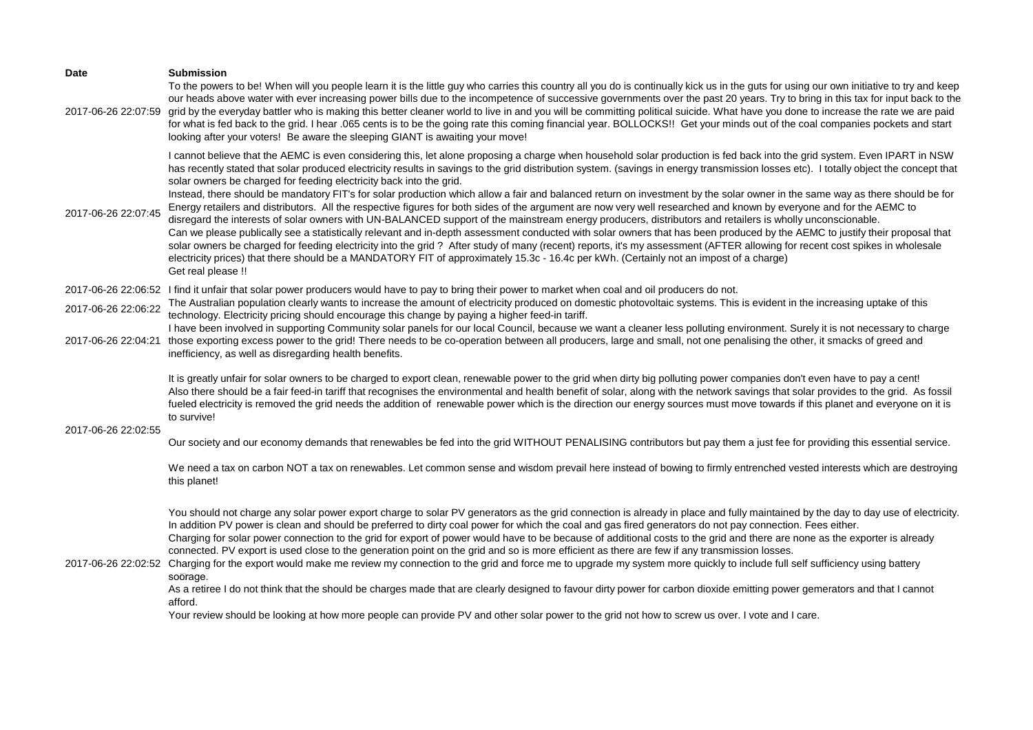| I cannot believe that the AEMC is even considering this, let alone proposing a charge when household solar production is fed back into the grid system. Even IPART in NSW<br>has recently stated that solar produced electricity results in savings to the grid distribution system. (savings in energy transmission losses etc). I totally object the concept that<br>Instead, there should be mandatory FIT's for solar production which allow a fair and balanced return on investment by the solar owner in the same way as there should be for<br>Energy retailers and distributors. All the respective figures for both sides of the argument are now very well researched and known by everyone and for the AEMC to<br>Can we please publically see a statistically relevant and in-depth assessment conducted with solar owners that has been produced by the AEMC to justify their proposal that<br>solar owners be charged for feeding electricity into the grid? After study of many (recent) reports, it's my assessment (AFTER allowing for recent cost spikes in wholesale |
|------------------------------------------------------------------------------------------------------------------------------------------------------------------------------------------------------------------------------------------------------------------------------------------------------------------------------------------------------------------------------------------------------------------------------------------------------------------------------------------------------------------------------------------------------------------------------------------------------------------------------------------------------------------------------------------------------------------------------------------------------------------------------------------------------------------------------------------------------------------------------------------------------------------------------------------------------------------------------------------------------------------------------------------------------------------------------------------|
|                                                                                                                                                                                                                                                                                                                                                                                                                                                                                                                                                                                                                                                                                                                                                                                                                                                                                                                                                                                                                                                                                          |
| The Australian population clearly wants to increase the amount of electricity produced on domestic photovoltaic systems. This is evident in the increasing uptake of this                                                                                                                                                                                                                                                                                                                                                                                                                                                                                                                                                                                                                                                                                                                                                                                                                                                                                                                |
| I have been involved in supporting Community solar panels for our local Council, because we want a cleaner less polluting environment. Surely it is not necessary to charge<br>those exporting excess power to the grid! There needs to be co-operation between all producers, large and small, not one penalising the other, it smacks of greed and                                                                                                                                                                                                                                                                                                                                                                                                                                                                                                                                                                                                                                                                                                                                     |
| It is greatly unfair for solar owners to be charged to export clean, renewable power to the grid when dirty big polluting power companies don't even have to pay a cent!<br>Also there should be a fair feed-in tariff that recognises the environmental and health benefit of solar, along with the network savings that solar provides to the grid. As fossil<br>fueled electricity is removed the grid needs the addition of renewable power which is the direction our energy sources must move towards if this planet and everyone on it is                                                                                                                                                                                                                                                                                                                                                                                                                                                                                                                                         |
| Our society and our economy demands that renewables be fed into the grid WITHOUT PENALISING contributors but pay them a just fee for providing this essential service.                                                                                                                                                                                                                                                                                                                                                                                                                                                                                                                                                                                                                                                                                                                                                                                                                                                                                                                   |
| We need a tax on carbon NOT a tax on renewables. Let common sense and wisdom prevail here instead of bowing to firmly entrenched vested interests which are destroying                                                                                                                                                                                                                                                                                                                                                                                                                                                                                                                                                                                                                                                                                                                                                                                                                                                                                                                   |
| You should not charge any solar power export charge to solar PV generators as the grid connection is already in place and fully maintained by the day to day use of electricity.<br>Charging for solar power connection to the grid for export of power would have to be because of additional costs to the grid and there are none as the exporter is already<br>2017-06-26 22:02:52 Charging for the export would make me review my connection to the grid and force me to upgrade my system more quickly to include full self sufficiency using battery<br>As a retiree I do not think that the should be charges made that are clearly designed to favour dirty power for carbon dioxide emitting power gemerators and that I cannot                                                                                                                                                                                                                                                                                                                                                 |
|                                                                                                                                                                                                                                                                                                                                                                                                                                                                                                                                                                                                                                                                                                                                                                                                                                                                                                                                                                                                                                                                                          |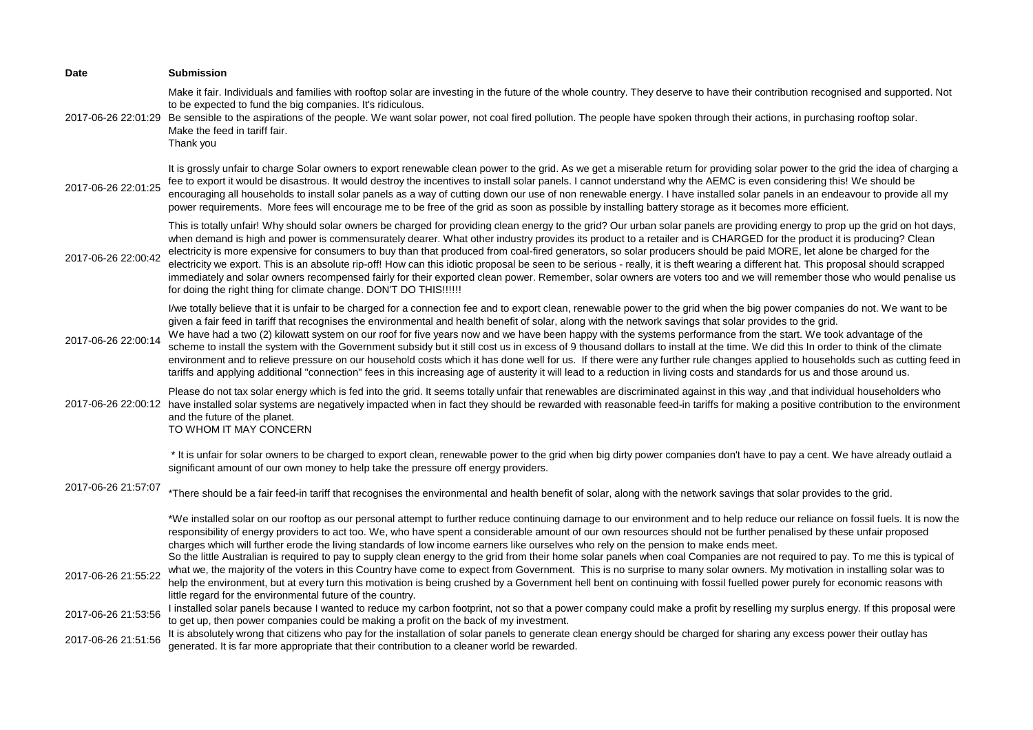| <b>Date</b>         | <b>Submission</b>                                                                                                                                                                                                                                                                                                                                                                                                                                                                                                                                                                                                                                                                                                                                                                                                                                                                                                                                                                                                                                                       |
|---------------------|-------------------------------------------------------------------------------------------------------------------------------------------------------------------------------------------------------------------------------------------------------------------------------------------------------------------------------------------------------------------------------------------------------------------------------------------------------------------------------------------------------------------------------------------------------------------------------------------------------------------------------------------------------------------------------------------------------------------------------------------------------------------------------------------------------------------------------------------------------------------------------------------------------------------------------------------------------------------------------------------------------------------------------------------------------------------------|
| 2017-06-26 22:01:29 | Make it fair. Individuals and families with rooftop solar are investing in the future of the whole country. They deserve to have their contribution recognised and supported. Not<br>to be expected to fund the big companies. It's ridiculous.<br>Be sensible to the aspirations of the people. We want solar power, not coal fired pollution. The people have spoken through their actions, in purchasing rooftop solar.<br>Make the feed in tariff fair.<br>Thank you                                                                                                                                                                                                                                                                                                                                                                                                                                                                                                                                                                                                |
| 2017-06-26 22:01:25 | It is grossly unfair to charge Solar owners to export renewable clean power to the grid. As we get a miserable return for providing solar power to the grid the idea of charging a<br>fee to export it would be disastrous. It would destroy the incentives to install solar panels. I cannot understand why the AEMC is even considering this! We should be<br>encouraging all households to install solar panels as a way of cutting down our use of non renewable energy. I have installed solar panels in an endeavour to provide all my<br>power requirements. More fees will encourage me to be free of the grid as soon as possible by installing battery storage as it becomes more efficient.                                                                                                                                                                                                                                                                                                                                                                  |
| 2017-06-26 22:00:42 | This is totally unfair! Why should solar owners be charged for providing clean energy to the grid? Our urban solar panels are providing energy to prop up the grid on hot days,<br>when demand is high and power is commensurately dearer. What other industry provides its product to a retailer and is CHARGED for the product it is producing? Clean<br>electricity is more expensive for consumers to buy than that produced from coal-fired generators, so solar producers should be paid MORE, let alone be charged for the<br>electricity we export. This is an absolute rip-off! How can this idiotic proposal be seen to be serious - really, it is theft wearing a different hat. This proposal should scrapped<br>immediately and solar owners recompensed fairly for their exported clean power. Remember, solar owners are voters too and we will remember those who would penalise us<br>for doing the right thing for climate change. DON'T DO THIS!!!!!!                                                                                                |
| 2017-06-26 22:00:14 | I/we totally believe that it is unfair to be charged for a connection fee and to export clean, renewable power to the grid when the big power companies do not. We want to be<br>given a fair feed in tariff that recognises the environmental and health benefit of solar, along with the network savings that solar provides to the grid.<br>We have had a two (2) kilowatt system on our roof for five years now and we have been happy with the systems performance from the start. We took advantage of the<br>scheme to install the system with the Government subsidy but it still cost us in excess of 9 thousand dollars to install at the time. We did this In order to think of the climate<br>environment and to relieve pressure on our household costs which it has done well for us. If there were any further rule changes applied to households such as cutting feed in<br>tariffs and applying additional "connection" fees in this increasing age of austerity it will lead to a reduction in living costs and standards for us and those around us. |
| 2017-06-26 22:00:12 | Please do not tax solar energy which is fed into the grid. It seems totally unfair that renewables are discriminated against in this way ,and that individual householders who<br>have installed solar systems are negatively impacted when in fact they should be rewarded with reasonable feed-in tariffs for making a positive contribution to the environment<br>and the future of the planet.<br>TO WHOM IT MAY CONCERN                                                                                                                                                                                                                                                                                                                                                                                                                                                                                                                                                                                                                                            |
|                     | * It is unfair for solar owners to be charged to export clean, renewable power to the grid when big dirty power companies don't have to pay a cent. We have already outlaid a<br>significant amount of our own money to help take the pressure off energy providers.                                                                                                                                                                                                                                                                                                                                                                                                                                                                                                                                                                                                                                                                                                                                                                                                    |
| 2017-06-26 21:57:07 | *There should be a fair feed-in tariff that recognises the environmental and health benefit of solar, along with the network savings that solar provides to the grid.                                                                                                                                                                                                                                                                                                                                                                                                                                                                                                                                                                                                                                                                                                                                                                                                                                                                                                   |
|                     | *We installed solar on our rooftop as our personal attempt to further reduce continuing damage to our environment and to help reduce our reliance on fossil fuels. It is now the<br>responsibility of energy providers to act too. We, who have spent a considerable amount of our own resources should not be further penalised by these unfair proposed<br>charges which will further erode the living standards of low income earners like ourselves who rely on the pension to make ends meet.<br>So the little Australian is required to pay to supply clean energy to the grid from their home solar panels when coal Companies are not required to pay. To me this is typical of                                                                                                                                                                                                                                                                                                                                                                                 |
| 2017-06-26 21:55:22 | what we, the majority of the voters in this Country have come to expect from Government. This is no surprise to many solar owners. My motivation in installing solar was to<br>help the environment, but at every turn this motivation is being crushed by a Government hell bent on continuing with fossil fuelled power purely for economic reasons with                                                                                                                                                                                                                                                                                                                                                                                                                                                                                                                                                                                                                                                                                                              |
| 2017-06-26 21:53:56 | little regard for the environmental future of the country.<br>I installed solar panels because I wanted to reduce my carbon footprint, not so that a power company could make a profit by reselling my surplus energy. If this proposal were<br>to get up, then power companies could be making a profit on the back of my investment.                                                                                                                                                                                                                                                                                                                                                                                                                                                                                                                                                                                                                                                                                                                                  |
| 2017-06-26 21:51:56 | It is absolutely wrong that citizens who pay for the installation of solar panels to generate clean energy should be charged for sharing any excess power their outlay has<br>generated. It is far more appropriate that their contribution to a cleaner world be rewarded.                                                                                                                                                                                                                                                                                                                                                                                                                                                                                                                                                                                                                                                                                                                                                                                             |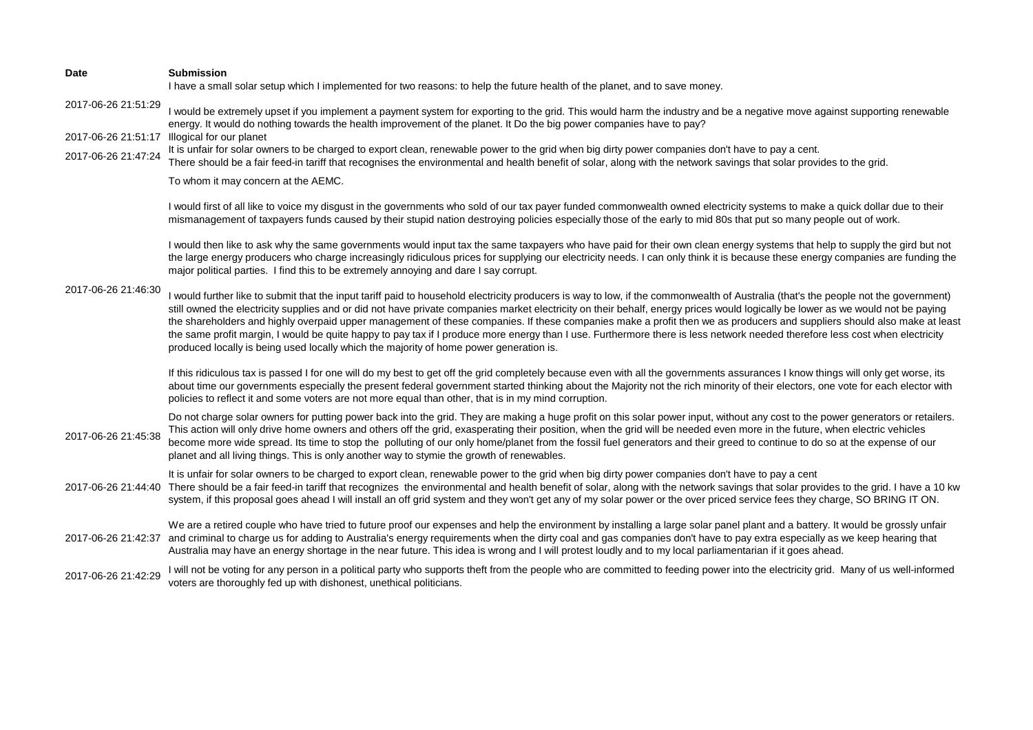| <b>Date</b>         | <b>Submission</b><br>I have a small solar setup which I implemented for two reasons: to help the future health of the planet, and to save money.                                                                                                                                                                                                                                                                                                                                                                                                                                                                                                                                                                                                                                                                            |
|---------------------|-----------------------------------------------------------------------------------------------------------------------------------------------------------------------------------------------------------------------------------------------------------------------------------------------------------------------------------------------------------------------------------------------------------------------------------------------------------------------------------------------------------------------------------------------------------------------------------------------------------------------------------------------------------------------------------------------------------------------------------------------------------------------------------------------------------------------------|
| 2017-06-26 21:51:29 | I would be extremely upset if you implement a payment system for exporting to the grid. This would harm the industry and be a negative move against supporting renewable<br>energy. It would do nothing towards the health improvement of the planet. It Do the big power companies have to pay?                                                                                                                                                                                                                                                                                                                                                                                                                                                                                                                            |
| 2017-06-26 21:51:17 | Illogical for our planet                                                                                                                                                                                                                                                                                                                                                                                                                                                                                                                                                                                                                                                                                                                                                                                                    |
| 2017-06-26 21:47:24 | It is unfair for solar owners to be charged to export clean, renewable power to the grid when big dirty power companies don't have to pay a cent.<br>There should be a fair feed-in tariff that recognises the environmental and health benefit of solar, along with the network savings that solar provides to the grid.                                                                                                                                                                                                                                                                                                                                                                                                                                                                                                   |
|                     | To whom it may concern at the AEMC.                                                                                                                                                                                                                                                                                                                                                                                                                                                                                                                                                                                                                                                                                                                                                                                         |
| 2017-06-26 21:46:30 | I would first of all like to voice my disgust in the governments who sold of our tax payer funded commonwealth owned electricity systems to make a quick dollar due to their<br>mismanagement of taxpayers funds caused by their stupid nation destroying policies especially those of the early to mid 80s that put so many people out of work.                                                                                                                                                                                                                                                                                                                                                                                                                                                                            |
|                     | I would then like to ask why the same governments would input tax the same taxpayers who have paid for their own clean energy systems that help to supply the gird but not<br>the large energy producers who charge increasingly ridiculous prices for supplying our electricity needs. I can only think it is because these energy companies are funding the<br>major political parties. I find this to be extremely annoying and dare I say corrupt.                                                                                                                                                                                                                                                                                                                                                                      |
|                     | I would further like to submit that the input tariff paid to household electricity producers is way to low, if the commonwealth of Australia (that's the people not the government)<br>still owned the electricity supplies and or did not have private companies market electricity on their behalf, energy prices would logically be lower as we would not be paying<br>the shareholders and highly overpaid upper management of these companies. If these companies make a profit then we as producers and suppliers should also make at least<br>the same profit margin, I would be quite happy to pay tax if I produce more energy than I use. Furthermore there is less network needed therefore less cost when electricity<br>produced locally is being used locally which the majority of home power generation is. |
|                     | If this ridiculous tax is passed I for one will do my best to get off the grid completely because even with all the governments assurances I know things will only get worse, its<br>about time our governments especially the present federal government started thinking about the Majority not the rich minority of their electors, one vote for each elector with<br>policies to reflect it and some voters are not more equal than other, that is in my mind corruption.                                                                                                                                                                                                                                                                                                                                               |
| 2017-06-26 21:45:38 | Do not charge solar owners for putting power back into the grid. They are making a huge profit on this solar power input, without any cost to the power generators or retailers.<br>This action will only drive home owners and others off the grid, exasperating their position, when the grid will be needed even more in the future, when electric vehicles<br>become more wide spread. Its time to stop the polluting of our only home/planet from the fossil fuel generators and their greed to continue to do so at the expense of our<br>planet and all living things. This is only another way to stymie the growth of renewables.                                                                                                                                                                                  |
| 2017-06-26 21:44:40 | It is unfair for solar owners to be charged to export clean, renewable power to the grid when big dirty power companies don't have to pay a cent<br>There should be a fair feed-in tariff that recognizes the environmental and health benefit of solar, along with the network savings that solar provides to the grid. I have a 10 kw<br>system, if this proposal goes ahead I will install an off grid system and they won't get any of my solar power or the over priced service fees they charge, SO BRING IT ON.                                                                                                                                                                                                                                                                                                      |
| 2017-06-26 21:42:37 | We are a retired couple who have tried to future proof our expenses and help the environment by installing a large solar panel plant and a battery. It would be grossly unfair<br>and criminal to charge us for adding to Australia's energy requirements when the dirty coal and gas companies don't have to pay extra especially as we keep hearing that<br>Australia may have an energy shortage in the near future. This idea is wrong and I will protest loudly and to my local parliamentarian if it goes ahead.                                                                                                                                                                                                                                                                                                      |
| 2017-06-26 21:42:29 | I will not be voting for any person in a political party who supports theft from the people who are committed to feeding power into the electricity grid. Many of us well-informed<br>voters are thoroughly fed up with dishonest, unethical politicians.                                                                                                                                                                                                                                                                                                                                                                                                                                                                                                                                                                   |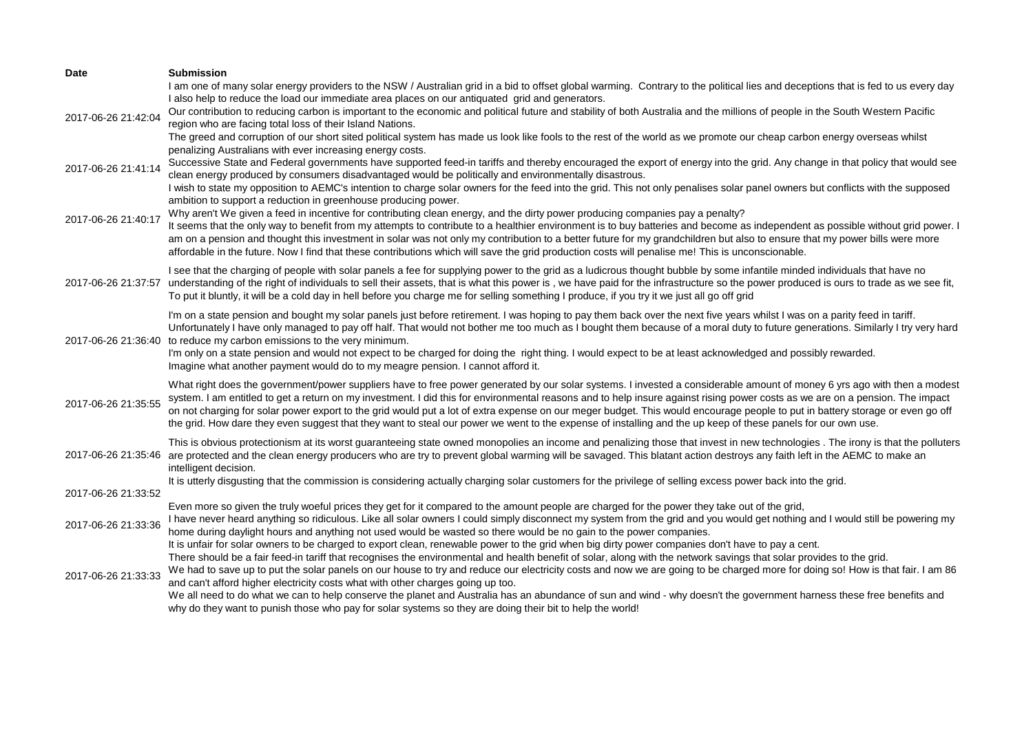| <b>Date</b>         | <b>Submission</b>                                                                                                                                                                          |
|---------------------|--------------------------------------------------------------------------------------------------------------------------------------------------------------------------------------------|
|                     | I am one of many solar energy providers to the NSW / Australian grid in a bid to offset global warming. Contrary to the political lies and deceptions that is fed to us every day          |
|                     | I also help to reduce the load our immediate area places on our antiquated grid and generators.                                                                                            |
| 2017-06-26 21:42:04 | Our contribution to reducing carbon is important to the economic and political future and stability of both Australia and the millions of people in the South Western Pacific              |
|                     | region who are facing total loss of their Island Nations.                                                                                                                                  |
|                     | The greed and corruption of our short sited political system has made us look like fools to the rest of the world as we promote our cheap carbon energy overseas whilst                    |
|                     | penalizing Australians with ever increasing energy costs.                                                                                                                                  |
| 2017-06-26 21:41:14 | Successive State and Federal governments have supported feed-in tariffs and thereby encouraged the export of energy into the grid. Any change in that policy that would see                |
|                     | clean energy produced by consumers disadvantaged would be politically and environmentally disastrous.                                                                                      |
|                     | I wish to state my opposition to AEMC's intention to charge solar owners for the feed into the grid. This not only penalises solar panel owners but conflicts with the supposed            |
|                     | ambition to support a reduction in greenhouse producing power.                                                                                                                             |
| 2017-06-26 21:40:17 | Why aren't We given a feed in incentive for contributing clean energy, and the dirty power producing companies pay a penalty?                                                              |
|                     | It seems that the only way to benefit from my attempts to contribute to a healthier environment is to buy batteries and become as independent as possible without grid power. I            |
|                     | am on a pension and thought this investment in solar was not only my contribution to a better future for my grandchildren but also to ensure that my power bills were more                 |
|                     | affordable in the future. Now I find that these contributions which will save the grid production costs will penalise me! This is unconscionable.                                          |
|                     | I see that the charging of people with solar panels a fee for supplying power to the grid as a ludicrous thought bubble by some infantile minded individuals that have no                  |
| 2017-06-26 21:37:57 | understanding of the right of individuals to sell their assets, that is what this power is, we have paid for the infrastructure so the power produced is ours to trade as we see fit,      |
|                     | To put it bluntly, it will be a cold day in hell before you charge me for selling something I produce, if you try it we just all go off grid                                               |
|                     | I'm on a state pension and bought my solar panels just before retirement. I was hoping to pay them back over the next five years whilst I was on a parity feed in tariff.                  |
|                     | Unfortunately I have only managed to pay off half. That would not bother me too much as I bought them because of a moral duty to future generations. Similarly I try very hard             |
| 2017-06-26 21:36:40 | to reduce my carbon emissions to the very minimum.                                                                                                                                         |
|                     | I'm only on a state pension and would not expect to be charged for doing the right thing. I would expect to be at least acknowledged and possibly rewarded.                                |
|                     | Imagine what another payment would do to my meagre pension. I cannot afford it.                                                                                                            |
|                     | What right does the government/power suppliers have to free power generated by our solar systems. I invested a considerable amount of money 6 yrs ago with then a modest                   |
|                     | system. I am entitled to get a return on my investment. I did this for environmental reasons and to help insure against rising power costs as we are on a pension. The impact              |
| 2017-06-26 21:35:55 | on not charging for solar power export to the grid would put a lot of extra expense on our meger budget. This would encourage people to put in battery storage or even go off              |
|                     | the grid. How dare they even suggest that they want to steal our power we went to the expense of installing and the up keep of these panels for our own use.                               |
|                     | This is obvious protectionism at its worst guaranteeing state owned monopolies an income and penalizing those that invest in new technologies. The irony is that the polluters             |
|                     | 2017-06-26 21:35:46 are protected and the clean energy producers who are try to prevent global warming will be savaged. This blatant action destroys any faith left in the AEMC to make an |
|                     | intelligent decision.                                                                                                                                                                      |
|                     | It is utterly disgusting that the commission is considering actually charging solar customers for the privilege of selling excess power back into the grid.                                |
| 2017-06-26 21:33:52 |                                                                                                                                                                                            |
|                     | Even more so given the truly woeful prices they get for it compared to the amount people are charged for the power they take out of the grid,                                              |
| 2017-06-26 21:33:36 | I have never heard anything so ridiculous. Like all solar owners I could simply disconnect my system from the grid and you would get nothing and I would still be powering my              |
|                     | home during daylight hours and anything not used would be wasted so there would be no gain to the power companies.                                                                         |
|                     | It is unfair for solar owners to be charged to export clean, renewable power to the grid when big dirty power companies don't have to pay a cent.                                          |
|                     | There should be a fair feed-in tariff that recognises the environmental and health benefit of solar, along with the network savings that solar provides to the grid.                       |
| 2017-06-26 21:33:33 | We had to save up to put the solar panels on our house to try and reduce our electricity costs and now we are going to be charged more for doing so! How is that fair. I am 86             |
|                     | and can't afford higher electricity costs what with other charges going up too.                                                                                                            |
|                     | We all need to do what we can to help conserve the planet and Australia has an abundance of sun and wind - why doesn't the government harness these free benefits and                      |
|                     | why do they want to punish those who pay for solar systems so they are doing their bit to help the world!                                                                                  |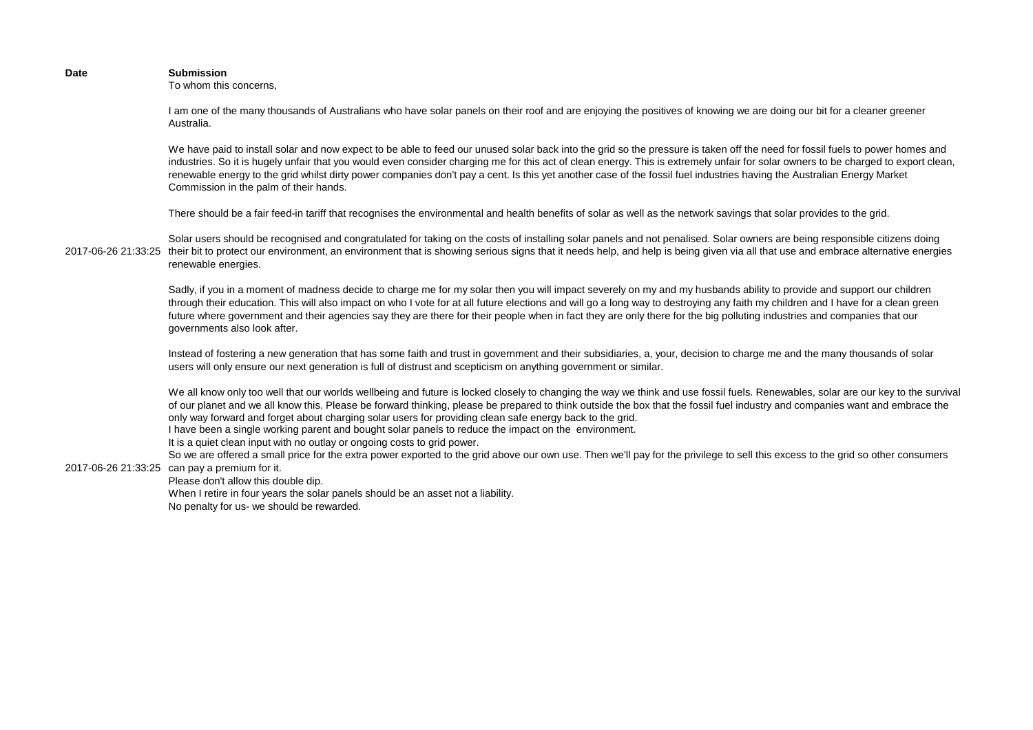## **Date Submission**

To whom this concerns,

I am one of the many thousands of Australians who have solar panels on their roof and are enjoying the positives of knowing we are doing our bit for a cleaner greener Australia.

We have paid to install solar and now expect to be able to feed our unused solar back into the grid so the pressure is taken off the need for fossil fuels to power homes and industries. So it is hugely unfair that you would even consider charging me for this act of clean energy. This is extremely unfair for solar owners to be charged to export clean, renewable energy to the grid whilst dirty power companies don't pay a cent. Is this yet another case of the fossil fuel industries having the Australian Energy Market Commission in the palm of their hands.

There should be a fair feed-in tariff that recognises the environmental and health benefits of solar as well as the network savings that solar provides to the grid.

2017-06-26 21:33:25 their bit to protect our environment, an environment that is showing serious signs that it needs help, and help is being given via all that use and embrace alternative energies Solar users should be recognised and congratulated for taking on the costs of installing solar panels and not penalised. Solar owners are being responsible citizens doing renewable energies.

> Sadly, if you in a moment of madness decide to charge me for my solar then you will impact severely on my and my husbands ability to provide and support our children through their education. This will also impact on who I vote for at all future elections and will go a long way to destroying any faith my children and I have for a clean green future where government and their agencies say they are there for their people when in fact they are only there for the big polluting industries and companies that our governments also look after.

> Instead of fostering a new generation that has some faith and trust in government and their subsidiaries, a, your, decision to charge me and the many thousands of solar users will only ensure our next generation is full of distrust and scepticism on anything government or similar.

We all know only too well that our worlds wellbeing and future is locked closely to changing the way we think and use fossil fuels. Renewables, solar are our key to the survival of our planet and we all know this. Please be forward thinking, please be prepared to think outside the box that the fossil fuel industry and companies want and embrace the only way forward and forget about charging solar users for providing clean safe energy back to the grid.

I have been a single working parent and bought solar panels to reduce the impact on the environment.

It is a quiet clean input with no outlay or ongoing costs to grid power.

2017-06-26 21:33:25 can pay a premium for it. So we are offered a small price for the extra power exported to the grid above our own use. Then we'll pay for the privilege to sell this excess to the grid so other consumers

Please don't allow this double dip.

When I retire in four years the solar panels should be an asset not a liability.

No penalty for us- we should be rewarded.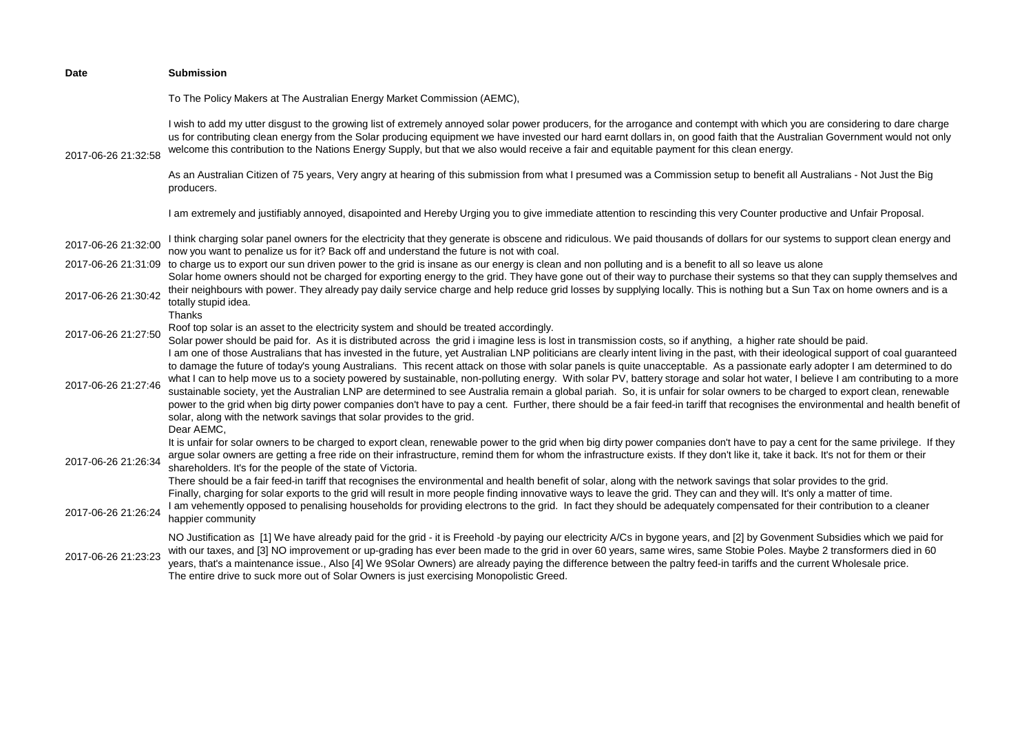| Date                | <b>Submission</b>                                                                                                                                                                                                                                                                                                                                                                                                                                                                                                                                                                                                                                                                                                                                                                                                             |
|---------------------|-------------------------------------------------------------------------------------------------------------------------------------------------------------------------------------------------------------------------------------------------------------------------------------------------------------------------------------------------------------------------------------------------------------------------------------------------------------------------------------------------------------------------------------------------------------------------------------------------------------------------------------------------------------------------------------------------------------------------------------------------------------------------------------------------------------------------------|
|                     | To The Policy Makers at The Australian Energy Market Commission (AEMC),                                                                                                                                                                                                                                                                                                                                                                                                                                                                                                                                                                                                                                                                                                                                                       |
| 2017-06-26 21:32:58 | I wish to add my utter disgust to the growing list of extremely annoyed solar power producers, for the arrogance and contempt with which you are considering to dare charge<br>us for contributing clean energy from the Solar producing equipment we have invested our hard earnt dollars in, on good faith that the Australian Government would not only<br>welcome this contribution to the Nations Energy Supply, but that we also would receive a fair and equitable payment for this clean energy.                                                                                                                                                                                                                                                                                                                      |
|                     | As an Australian Citizen of 75 years, Very angry at hearing of this submission from what I presumed was a Commission setup to benefit all Australians - Not Just the Big<br>producers.                                                                                                                                                                                                                                                                                                                                                                                                                                                                                                                                                                                                                                        |
|                     | I am extremely and justifiably annoyed, disapointed and Hereby Urging you to give immediate attention to rescinding this very Counter productive and Unfair Proposal.                                                                                                                                                                                                                                                                                                                                                                                                                                                                                                                                                                                                                                                         |
| 2017-06-26 21:32:00 | I think charging solar panel owners for the electricity that they generate is obscene and ridiculous. We paid thousands of dollars for our systems to support clean energy and<br>now you want to penalize us for it? Back off and understand the future is not with coal.                                                                                                                                                                                                                                                                                                                                                                                                                                                                                                                                                    |
| 2017-06-26 21:31:09 | to charge us to export our sun driven power to the grid is insane as our energy is clean and non polluting and is a benefit to all so leave us alone                                                                                                                                                                                                                                                                                                                                                                                                                                                                                                                                                                                                                                                                          |
| 2017-06-26 21:30:42 | Solar home owners should not be charged for exporting energy to the grid. They have gone out of their way to purchase their systems so that they can supply themselves and<br>their neighbours with power. They already pay daily service charge and help reduce grid losses by supplying locally. This is nothing but a Sun Tax on home owners and is a<br>totally stupid idea.<br>Thanks                                                                                                                                                                                                                                                                                                                                                                                                                                    |
| 2017-06-26 21:27:50 | Roof top solar is an asset to the electricity system and should be treated accordingly.<br>Solar power should be paid for. As it is distributed across the grid i imagine less is lost in transmission costs, so if anything, a higher rate should be paid.<br>I am one of those Australians that has invested in the future, yet Australian LNP politicians are clearly intent living in the past, with their ideological support of coal guaranteed                                                                                                                                                                                                                                                                                                                                                                         |
| 2017-06-26 21:27:46 | to damage the future of today's young Australians. This recent attack on those with solar panels is quite unacceptable. As a passionate early adopter I am determined to do<br>what I can to help move us to a society powered by sustainable, non-polluting energy. With solar PV, battery storage and solar hot water, I believe I am contributing to a more<br>sustainable society, yet the Australian LNP are determined to see Australia remain a global pariah. So, it is unfair for solar owners to be charged to export clean, renewable<br>power to the grid when big dirty power companies don't have to pay a cent. Further, there should be a fair feed-in tariff that recognises the environmental and health benefit of<br>solar, along with the network savings that solar provides to the grid.<br>Dear AEMC, |
| 2017-06-26 21:26:34 | It is unfair for solar owners to be charged to export clean, renewable power to the grid when big dirty power companies don't have to pay a cent for the same privilege. If they<br>argue solar owners are getting a free ride on their infrastructure, remind them for whom the infrastructure exists. If they don't like it, take it back. It's not for them or their<br>shareholders. It's for the people of the state of Victoria.<br>There should be a fair feed-in tariff that recognises the environmental and health benefit of solar, along with the network savings that solar provides to the grid.                                                                                                                                                                                                                |
| 2017-06-26 21:26:24 | Finally, charging for solar exports to the grid will result in more people finding innovative ways to leave the grid. They can and they will. It's only a matter of time.<br>I am vehemently opposed to penalising households for providing electrons to the grid. In fact they should be adequately compensated for their contribution to a cleaner<br>happier community                                                                                                                                                                                                                                                                                                                                                                                                                                                     |
| 2017-06-26 21:23:23 | NO Justification as [1] We have already paid for the grid - it is Freehold -by paying our electricity A/Cs in bygone years, and [2] by Govenment Subsidies which we paid for<br>with our taxes, and [3] NO improvement or up-grading has ever been made to the grid in over 60 years, same wires, same Stobie Poles. Maybe 2 transformers died in 60<br>years, that's a maintenance issue., Also [4] We 9Solar Owners) are already paying the difference between the paltry feed-in tariffs and the current Wholesale price.<br>The entire drive to suck more out of Solar Owners is just exercising Monopolistic Greed.                                                                                                                                                                                                      |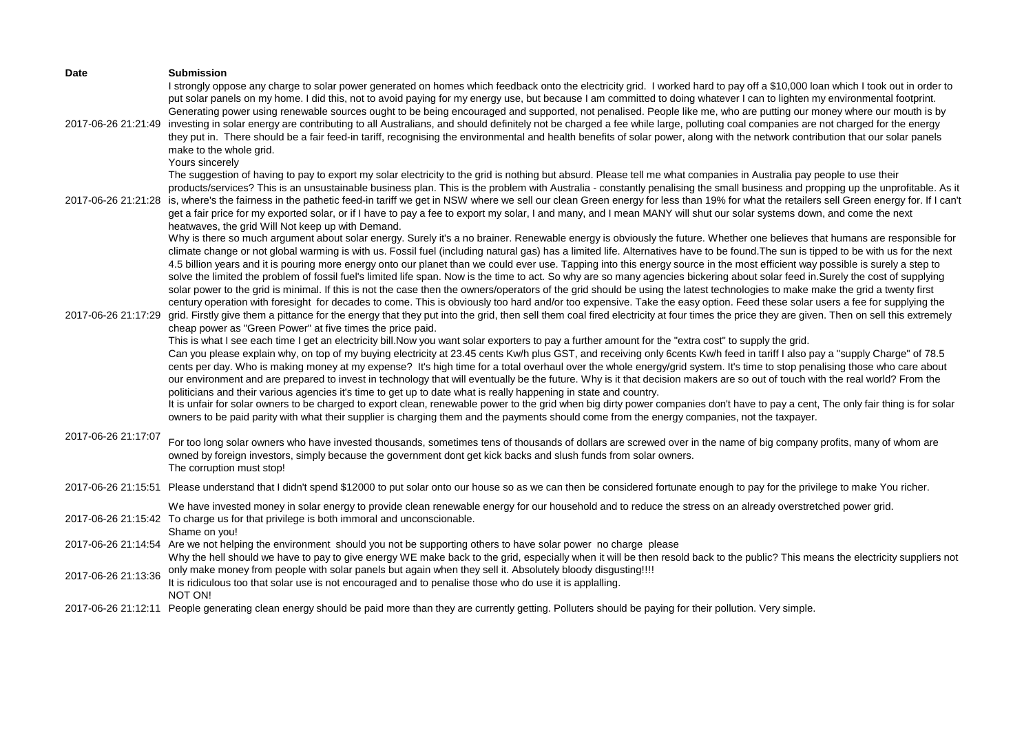| <b>Date</b>         | <b>Submission</b><br>I strongly oppose any charge to solar power generated on homes which feedback onto the electricity grid. I worked hard to pay off a \$10,000 loan which I took out in order to                                                                                                                                                                                                                                                                                                                                                                                                                                                                                                                                                                                                                                                                                                                                                                                                                                                                                                                                                                                                                                                                                                                                                                                                                                                                                                                                                                                                                                                                                                                                                                                                                                                                                                                                                                                                                                                                                                                                                                                                                                                                                                                                                                                                                                                                                                                                     |
|---------------------|-----------------------------------------------------------------------------------------------------------------------------------------------------------------------------------------------------------------------------------------------------------------------------------------------------------------------------------------------------------------------------------------------------------------------------------------------------------------------------------------------------------------------------------------------------------------------------------------------------------------------------------------------------------------------------------------------------------------------------------------------------------------------------------------------------------------------------------------------------------------------------------------------------------------------------------------------------------------------------------------------------------------------------------------------------------------------------------------------------------------------------------------------------------------------------------------------------------------------------------------------------------------------------------------------------------------------------------------------------------------------------------------------------------------------------------------------------------------------------------------------------------------------------------------------------------------------------------------------------------------------------------------------------------------------------------------------------------------------------------------------------------------------------------------------------------------------------------------------------------------------------------------------------------------------------------------------------------------------------------------------------------------------------------------------------------------------------------------------------------------------------------------------------------------------------------------------------------------------------------------------------------------------------------------------------------------------------------------------------------------------------------------------------------------------------------------------------------------------------------------------------------------------------------------|
| 2017-06-26 21:21:49 | put solar panels on my home. I did this, not to avoid paying for my energy use, but because I am committed to doing whatever I can to lighten my environmental footprint.<br>Generating power using renewable sources ought to be being encouraged and supported, not penalised. People like me, who are putting our money where our mouth is by<br>investing in solar energy are contributing to all Australians, and should definitely not be charged a fee while large, polluting coal companies are not charged for the energy<br>they put in. There should be a fair feed-in tariff, recognising the environmental and health benefits of solar power, along with the network contribution that our solar panels<br>make to the whole grid.<br>Yours sincerely                                                                                                                                                                                                                                                                                                                                                                                                                                                                                                                                                                                                                                                                                                                                                                                                                                                                                                                                                                                                                                                                                                                                                                                                                                                                                                                                                                                                                                                                                                                                                                                                                                                                                                                                                                     |
| 2017-06-26 21:21:28 | The suggestion of having to pay to export my solar electricity to the grid is nothing but absurd. Please tell me what companies in Australia pay people to use their<br>products/services? This is an unsustainable business plan. This is the problem with Australia - constantly penalising the small business and propping up the unprofitable. As it<br>is, where's the fairness in the pathetic feed-in tariff we get in NSW where we sell our clean Green energy for less than 19% for what the retailers sell Green energy for. If I can't<br>get a fair price for my exported solar, or if I have to pay a fee to export my solar, I and many, and I mean MANY will shut our solar systems down, and come the next<br>heatwaves, the grid Will Not keep up with Demand.                                                                                                                                                                                                                                                                                                                                                                                                                                                                                                                                                                                                                                                                                                                                                                                                                                                                                                                                                                                                                                                                                                                                                                                                                                                                                                                                                                                                                                                                                                                                                                                                                                                                                                                                                         |
| 2017-06-26 21:17:29 | Why is there so much argument about solar energy. Surely it's a no brainer. Renewable energy is obviously the future. Whether one believes that humans are responsible for<br>climate change or not global warming is with us. Fossil fuel (including natural gas) has a limited life. Alternatives have to be found. The sun is tipped to be with us for the next<br>4.5 billion years and it is pouring more energy onto our planet than we could ever use. Tapping into this energy source in the most efficient way possible is surely a step to<br>solve the limited the problem of fossil fuel's limited life span. Now is the time to act. So why are so many agencies bickering about solar feed in. Surely the cost of supplying<br>solar power to the grid is minimal. If this is not the case then the owners/operators of the grid should be using the latest technologies to make make the grid a twenty first<br>century operation with foresight for decades to come. This is obviously too hard and/or too expensive. Take the easy option. Feed these solar users a fee for supplying the<br>grid. Firstly give them a pittance for the energy that they put into the grid, then sell them coal fired electricity at four times the price they are given. Then on sell this extremely<br>cheap power as "Green Power" at five times the price paid.<br>This is what I see each time I get an electricity bill. Now you want solar exporters to pay a further amount for the "extra cost" to supply the grid.<br>Can you please explain why, on top of my buying electricity at 23.45 cents Kw/h plus GST, and receiving only 6cents Kw/h feed in tariff I also pay a "supply Charge" of 78.5<br>cents per day. Who is making money at my expense? It's high time for a total overhaul over the whole energy/grid system. It's time to stop penalising those who care about<br>our environment and are prepared to invest in technology that will eventually be the future. Why is it that decision makers are so out of touch with the real world? From the<br>politicians and their various agencies it's time to get up to date what is really happening in state and country.<br>It is unfair for solar owners to be charged to export clean, renewable power to the grid when big dirty power companies don't have to pay a cent, The only fair thing is for solar<br>owners to be paid parity with what their supplier is charging them and the payments should come from the energy companies, not the taxpayer. |
| 2017-06-26 21:17:07 | For too long solar owners who have invested thousands, sometimes tens of thousands of dollars are screwed over in the name of big company profits, many of whom are<br>owned by foreign investors, simply because the government dont get kick backs and slush funds from solar owners.<br>The corruption must stop!                                                                                                                                                                                                                                                                                                                                                                                                                                                                                                                                                                                                                                                                                                                                                                                                                                                                                                                                                                                                                                                                                                                                                                                                                                                                                                                                                                                                                                                                                                                                                                                                                                                                                                                                                                                                                                                                                                                                                                                                                                                                                                                                                                                                                    |
|                     | 2017-06-26 21:15:51 Please understand that I didn't spend \$12000 to put solar onto our house so as we can then be considered fortunate enough to pay for the privilege to make You richer.                                                                                                                                                                                                                                                                                                                                                                                                                                                                                                                                                                                                                                                                                                                                                                                                                                                                                                                                                                                                                                                                                                                                                                                                                                                                                                                                                                                                                                                                                                                                                                                                                                                                                                                                                                                                                                                                                                                                                                                                                                                                                                                                                                                                                                                                                                                                             |
|                     | We have invested money in solar energy to provide clean renewable energy for our household and to reduce the stress on an already overstretched power grid.<br>2017-06-26 21:15:42 To charge us for that privilege is both immoral and unconscionable.<br>Shame on you!                                                                                                                                                                                                                                                                                                                                                                                                                                                                                                                                                                                                                                                                                                                                                                                                                                                                                                                                                                                                                                                                                                                                                                                                                                                                                                                                                                                                                                                                                                                                                                                                                                                                                                                                                                                                                                                                                                                                                                                                                                                                                                                                                                                                                                                                 |
|                     | 2017-06-26 21:14:54 Are we not helping the environment should you not be supporting others to have solar power no charge please<br>Why the hell should we have to pay to give energy WE make back to the grid, especially when it will be then resold back to the public? This means the electricity suppliers not                                                                                                                                                                                                                                                                                                                                                                                                                                                                                                                                                                                                                                                                                                                                                                                                                                                                                                                                                                                                                                                                                                                                                                                                                                                                                                                                                                                                                                                                                                                                                                                                                                                                                                                                                                                                                                                                                                                                                                                                                                                                                                                                                                                                                      |
| 2017-06-26 21:13:36 | only make money from people with solar panels but again when they sell it. Absolutely bloody disgusting!!!!<br>It is ridiculous too that solar use is not encouraged and to penalise those who do use it is applalling.<br>NOT ON!                                                                                                                                                                                                                                                                                                                                                                                                                                                                                                                                                                                                                                                                                                                                                                                                                                                                                                                                                                                                                                                                                                                                                                                                                                                                                                                                                                                                                                                                                                                                                                                                                                                                                                                                                                                                                                                                                                                                                                                                                                                                                                                                                                                                                                                                                                      |
|                     | 2017-06-26 21:12:11 People generating clean energy should be paid more than they are currently getting. Polluters should be paying for their pollution. Very simple.                                                                                                                                                                                                                                                                                                                                                                                                                                                                                                                                                                                                                                                                                                                                                                                                                                                                                                                                                                                                                                                                                                                                                                                                                                                                                                                                                                                                                                                                                                                                                                                                                                                                                                                                                                                                                                                                                                                                                                                                                                                                                                                                                                                                                                                                                                                                                                    |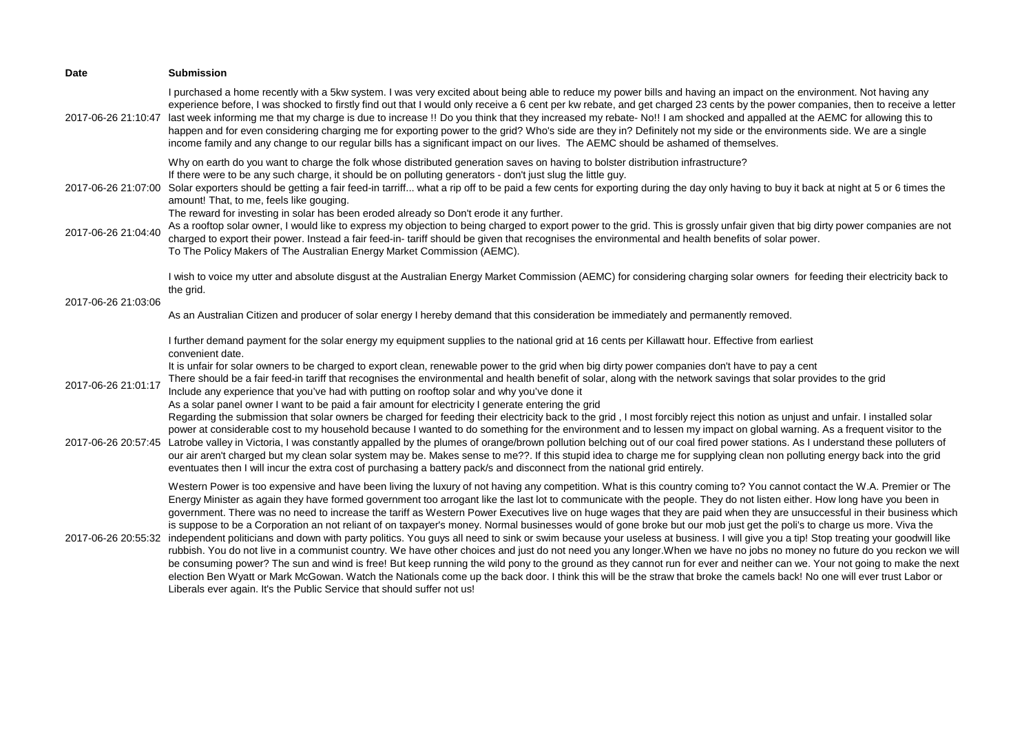| Date                | <b>Submission</b>                                                                                                                                                                                                                                                                                                                                                                                                                                                                                                                                                                                                                                                                                                                                                                                                                                                                                                                                                                                                                                                                                                                                                                                                                                                                                                                                                                                                                                                                                                    |
|---------------------|----------------------------------------------------------------------------------------------------------------------------------------------------------------------------------------------------------------------------------------------------------------------------------------------------------------------------------------------------------------------------------------------------------------------------------------------------------------------------------------------------------------------------------------------------------------------------------------------------------------------------------------------------------------------------------------------------------------------------------------------------------------------------------------------------------------------------------------------------------------------------------------------------------------------------------------------------------------------------------------------------------------------------------------------------------------------------------------------------------------------------------------------------------------------------------------------------------------------------------------------------------------------------------------------------------------------------------------------------------------------------------------------------------------------------------------------------------------------------------------------------------------------|
| 2017-06-26 21:10:47 | I purchased a home recently with a 5kw system. I was very excited about being able to reduce my power bills and having an impact on the environment. Not having any<br>experience before, I was shocked to firstly find out that I would only receive a 6 cent per kw rebate, and get charged 23 cents by the power companies, then to receive a letter<br>last week informing me that my charge is due to increase !! Do you think that they increased my rebate- No!! I am shocked and appalled at the AEMC for allowing this to<br>happen and for even considering charging me for exporting power to the grid? Who's side are they in? Definitely not my side or the environments side. We are a single<br>income family and any change to our regular bills has a significant impact on our lives. The AEMC should be ashamed of themselves.                                                                                                                                                                                                                                                                                                                                                                                                                                                                                                                                                                                                                                                                    |
| 2017-06-26 21:07:00 | Why on earth do you want to charge the folk whose distributed generation saves on having to bolster distribution infrastructure?<br>If there were to be any such charge, it should be on polluting generators - don't just slug the little guy.<br>Solar exporters should be getting a fair feed-in tarriff what a rip off to be paid a few cents for exporting during the day only having to buy it back at night at 5 or 6 times the<br>amount! That, to me, feels like gouging.<br>The reward for investing in solar has been eroded already so Don't erode it any further.                                                                                                                                                                                                                                                                                                                                                                                                                                                                                                                                                                                                                                                                                                                                                                                                                                                                                                                                       |
| 2017-06-26 21:04:40 | As a rooftop solar owner, I would like to express my objection to being charged to export power to the grid. This is grossly unfair given that big dirty power companies are not<br>charged to export their power. Instead a fair feed-in-tariff should be given that recognises the environmental and health benefits of solar power.<br>To The Policy Makers of The Australian Energy Market Commission (AEMC).                                                                                                                                                                                                                                                                                                                                                                                                                                                                                                                                                                                                                                                                                                                                                                                                                                                                                                                                                                                                                                                                                                    |
|                     | I wish to voice my utter and absolute disgust at the Australian Energy Market Commission (AEMC) for considering charging solar owners for feeding their electricity back to<br>the grid.                                                                                                                                                                                                                                                                                                                                                                                                                                                                                                                                                                                                                                                                                                                                                                                                                                                                                                                                                                                                                                                                                                                                                                                                                                                                                                                             |
| 2017-06-26 21:03:06 | As an Australian Citizen and producer of solar energy I hereby demand that this consideration be immediately and permanently removed.                                                                                                                                                                                                                                                                                                                                                                                                                                                                                                                                                                                                                                                                                                                                                                                                                                                                                                                                                                                                                                                                                                                                                                                                                                                                                                                                                                                |
|                     | I further demand payment for the solar energy my equipment supplies to the national grid at 16 cents per Killawatt hour. Effective from earliest<br>convenient date.                                                                                                                                                                                                                                                                                                                                                                                                                                                                                                                                                                                                                                                                                                                                                                                                                                                                                                                                                                                                                                                                                                                                                                                                                                                                                                                                                 |
| 2017-06-26 21:01:17 | It is unfair for solar owners to be charged to export clean, renewable power to the grid when big dirty power companies don't have to pay a cent<br>There should be a fair feed-in tariff that recognises the environmental and health benefit of solar, along with the network savings that solar provides to the grid<br>Include any experience that you've had with putting on rooftop solar and why you've done it<br>As a solar panel owner I want to be paid a fair amount for electricity I generate entering the grid                                                                                                                                                                                                                                                                                                                                                                                                                                                                                                                                                                                                                                                                                                                                                                                                                                                                                                                                                                                        |
|                     | Regarding the submission that solar owners be charged for feeding their electricity back to the grid, I most forcibly reject this notion as unjust and unfair. I installed solar<br>power at considerable cost to my household because I wanted to do something for the environment and to lessen my impact on global warning. As a frequent visitor to the<br>2017-06-26 20:57:45 Latrobe valley in Victoria, I was constantly appalled by the plumes of orange/brown pollution belching out of our coal fired power stations. As I understand these polluters of<br>our air aren't charged but my clean solar system may be. Makes sense to me??. If this stupid idea to charge me for supplying clean non polluting energy back into the grid<br>eventuates then I will incur the extra cost of purchasing a battery pack/s and disconnect from the national grid entirely.                                                                                                                                                                                                                                                                                                                                                                                                                                                                                                                                                                                                                                       |
| 2017-06-26 20:55:32 | Western Power is too expensive and have been living the luxury of not having any competition. What is this country coming to? You cannot contact the W.A. Premier or The<br>Energy Minister as again they have formed government too arrogant like the last lot to communicate with the people. They do not listen either. How long have you been in<br>government. There was no need to increase the tariff as Western Power Executives live on huge wages that they are paid when they are unsuccessful in their business which<br>is suppose to be a Corporation an not reliant of on taxpayer's money. Normal businesses would of gone broke but our mob just get the poli's to charge us more. Viva the<br>independent politicians and down with party politics. You guys all need to sink or swim because your useless at business. I will give you a tip! Stop treating your goodwill like<br>rubbish. You do not live in a communist country. We have other choices and just do not need you any longer. When we have no jobs no money no future do you reckon we will<br>be consuming power? The sun and wind is free! But keep running the wild pony to the ground as they cannot run for ever and neither can we. Your not going to make the next<br>election Ben Wyatt or Mark McGowan. Watch the Nationals come up the back door. I think this will be the straw that broke the camels back! No one will ever trust Labor or<br>Liberals ever again. It's the Public Service that should suffer not us! |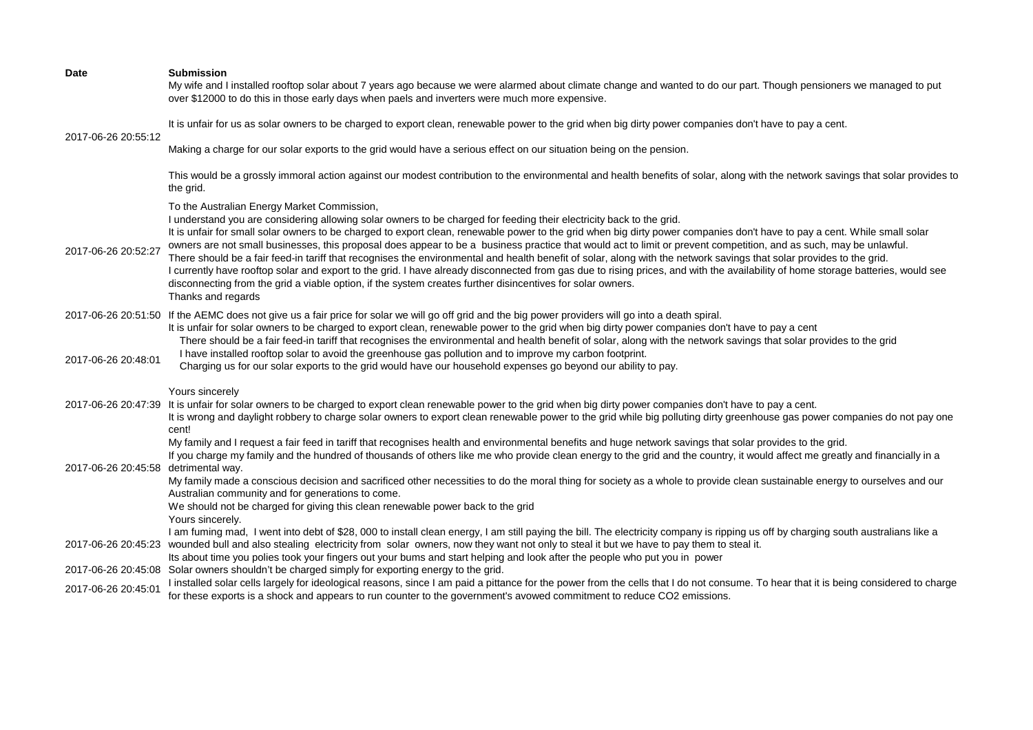| <b>Date</b>                          | <b>Submission</b><br>My wife and I installed rooftop solar about 7 years ago because we were alarmed about climate change and wanted to do our part. Though pensioners we managed to put<br>over \$12000 to do this in those early days when paels and inverters were much more expensive.                                                                                                                                                                                                                                                                                                                                                                                                                                                                                                                                                                                                                                                                                                                             |
|--------------------------------------|------------------------------------------------------------------------------------------------------------------------------------------------------------------------------------------------------------------------------------------------------------------------------------------------------------------------------------------------------------------------------------------------------------------------------------------------------------------------------------------------------------------------------------------------------------------------------------------------------------------------------------------------------------------------------------------------------------------------------------------------------------------------------------------------------------------------------------------------------------------------------------------------------------------------------------------------------------------------------------------------------------------------|
| 2017-06-26 20:55:12                  | It is unfair for us as solar owners to be charged to export clean, renewable power to the grid when big dirty power companies don't have to pay a cent.                                                                                                                                                                                                                                                                                                                                                                                                                                                                                                                                                                                                                                                                                                                                                                                                                                                                |
|                                      | Making a charge for our solar exports to the grid would have a serious effect on our situation being on the pension.                                                                                                                                                                                                                                                                                                                                                                                                                                                                                                                                                                                                                                                                                                                                                                                                                                                                                                   |
|                                      | This would be a grossly immoral action against our modest contribution to the environmental and health benefits of solar, along with the network savings that solar provides to<br>the grid.                                                                                                                                                                                                                                                                                                                                                                                                                                                                                                                                                                                                                                                                                                                                                                                                                           |
| 2017-06-26 20:52:27                  | To the Australian Energy Market Commission,<br>I understand you are considering allowing solar owners to be charged for feeding their electricity back to the grid.<br>It is unfair for small solar owners to be charged to export clean, renewable power to the grid when big dirty power companies don't have to pay a cent. While small solar<br>owners are not small businesses, this proposal does appear to be a business practice that would act to limit or prevent competition, and as such, may be unlawful.<br>There should be a fair feed-in tariff that recognises the environmental and health benefit of solar, along with the network savings that solar provides to the grid.<br>I currently have rooftop solar and export to the grid. I have already disconnected from gas due to rising prices, and with the availability of home storage batteries, would see<br>disconnecting from the grid a viable option, if the system creates further disincentives for solar owners.<br>Thanks and regards |
| 2017-06-26 20:48:01                  | 2017-06-26 20:51:50 If the AEMC does not give us a fair price for solar we will go off grid and the big power providers will go into a death spiral.<br>It is unfair for solar owners to be charged to export clean, renewable power to the grid when big dirty power companies don't have to pay a cent<br>There should be a fair feed-in tariff that recognises the environmental and health benefit of solar, along with the network savings that solar provides to the grid<br>I have installed rooftop solar to avoid the greenhouse gas pollution and to improve my carbon footprint.<br>Charging us for our solar exports to the grid would have our household expenses go beyond our ability to pay.                                                                                                                                                                                                                                                                                                           |
| 2017-06-26 20:47:39                  | Yours sincerely<br>It is unfair for solar owners to be charged to export clean renewable power to the grid when big dirty power companies don't have to pay a cent.<br>It is wrong and daylight robbery to charge solar owners to export clean renewable power to the grid while big polluting dirty greenhouse gas power companies do not pay one<br>cent!                                                                                                                                                                                                                                                                                                                                                                                                                                                                                                                                                                                                                                                            |
| 2017-06-26 20:45:58 detrimental way. | My family and I request a fair feed in tariff that recognises health and environmental benefits and huge network savings that solar provides to the grid.<br>If you charge my family and the hundred of thousands of others like me who provide clean energy to the grid and the country, it would affect me greatly and financially in a<br>My family made a conscious decision and sacrificed other necessities to do the moral thing for society as a whole to provide clean sustainable energy to ourselves and our<br>Australian community and for generations to come.<br>We should not be charged for giving this clean renewable power back to the grid                                                                                                                                                                                                                                                                                                                                                        |
| 2017-06-26 20:45:23                  | Yours sincerely.<br>I am fuming mad, I went into debt of \$28, 000 to install clean energy, I am still paying the bill. The electricity company is ripping us off by charging south australians like a<br>wounded bull and also stealing electricity from solar owners, now they want not only to steal it but we have to pay them to steal it.<br>Its about time you polies took your fingers out your bums and start helping and look after the people who put you in power                                                                                                                                                                                                                                                                                                                                                                                                                                                                                                                                          |
|                                      | 2017-06-26 20:45:08 Solar owners shouldn't be charged simply for exporting energy to the grid.                                                                                                                                                                                                                                                                                                                                                                                                                                                                                                                                                                                                                                                                                                                                                                                                                                                                                                                         |
| 2017-06-26 20:45:01                  | I installed solar cells largely for ideological reasons, since I am paid a pittance for the power from the cells that I do not consume. To hear that it is being considered to charge<br>for these exports is a shock and appears to run counter to the government's avowed commitment to reduce CO2 emissions.                                                                                                                                                                                                                                                                                                                                                                                                                                                                                                                                                                                                                                                                                                        |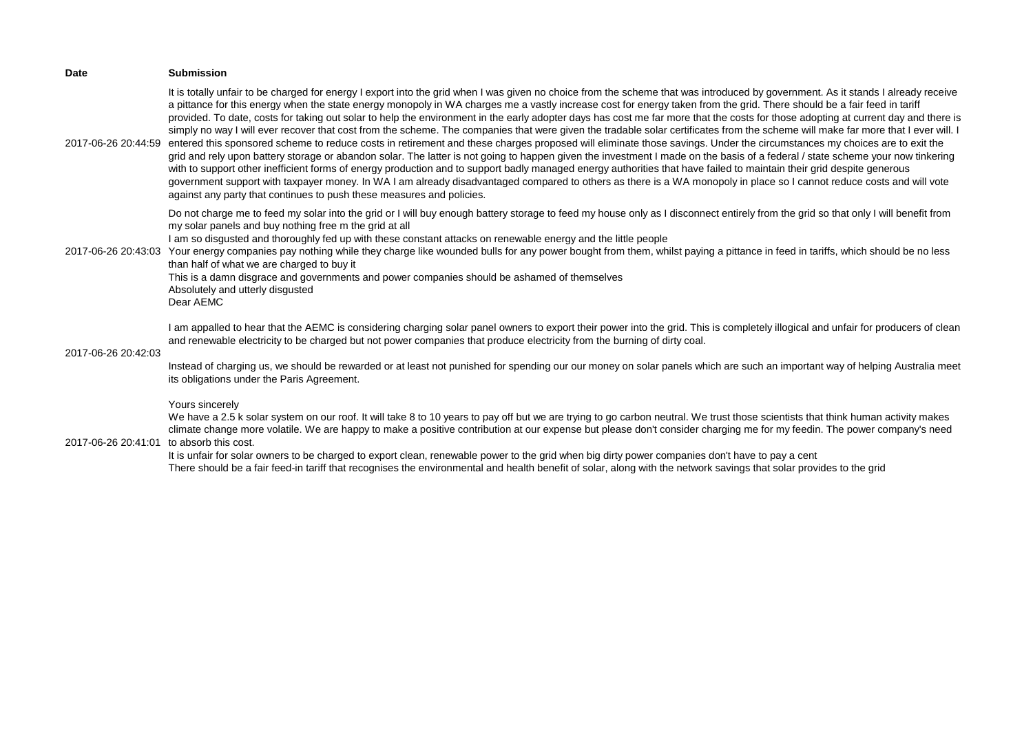| <b>Date</b>         | <b>Submission</b>                                                                                                                                                                                                                                                                                                                                                                                                                                                                                                                                                                                                                                                                                                                                                                                                                                                                                                                                                                                                                                                                                                                                                                                                                                                                                                                                                                                                                                                                                                               |
|---------------------|---------------------------------------------------------------------------------------------------------------------------------------------------------------------------------------------------------------------------------------------------------------------------------------------------------------------------------------------------------------------------------------------------------------------------------------------------------------------------------------------------------------------------------------------------------------------------------------------------------------------------------------------------------------------------------------------------------------------------------------------------------------------------------------------------------------------------------------------------------------------------------------------------------------------------------------------------------------------------------------------------------------------------------------------------------------------------------------------------------------------------------------------------------------------------------------------------------------------------------------------------------------------------------------------------------------------------------------------------------------------------------------------------------------------------------------------------------------------------------------------------------------------------------|
| 2017-06-26 20:44:59 | It is totally unfair to be charged for energy I export into the grid when I was given no choice from the scheme that was introduced by government. As it stands I already receive<br>a pittance for this energy when the state energy monopoly in WA charges me a vastly increase cost for energy taken from the grid. There should be a fair feed in tariff<br>provided. To date, costs for taking out solar to help the environment in the early adopter days has cost me far more that the costs for those adopting at current day and there is<br>simply no way I will ever recover that cost from the scheme. The companies that were given the tradable solar certificates from the scheme will make far more that I ever will. I<br>entered this sponsored scheme to reduce costs in retirement and these charges proposed will eliminate those savings. Under the circumstances my choices are to exit the<br>grid and rely upon battery storage or abandon solar. The latter is not going to happen given the investment I made on the basis of a federal / state scheme your now tinkering<br>with to support other inefficient forms of energy production and to support badly managed energy authorities that have failed to maintain their grid despite generous<br>government support with taxpayer money. In WA I am already disadvantaged compared to others as there is a WA monopoly in place so I cannot reduce costs and will vote<br>against any party that continues to push these measures and policies. |
| 2017-06-26 20:43:03 | Do not charge me to feed my solar into the grid or I will buy enough battery storage to feed my house only as I disconnect entirely from the grid so that only I will benefit from<br>my solar panels and buy nothing free m the grid at all<br>I am so disgusted and thoroughly fed up with these constant attacks on renewable energy and the little people<br>Your energy companies pay nothing while they charge like wounded bulls for any power bought from them, whilst paying a pittance in feed in tariffs, which should be no less<br>than half of what we are charged to buy it<br>This is a damn disgrace and governments and power companies should be ashamed of themselves<br>Absolutely and utterly disgusted<br>Dear AEMC                                                                                                                                                                                                                                                                                                                                                                                                                                                                                                                                                                                                                                                                                                                                                                                      |
| 2017-06-26 20:42:03 | I am appalled to hear that the AEMC is considering charging solar panel owners to export their power into the grid. This is completely illogical and unfair for producers of clean<br>and renewable electricity to be charged but not power companies that produce electricity from the burning of dirty coal.<br>Instead of charging us, we should be rewarded or at least not punished for spending our our money on solar panels which are such an important way of helping Australia meet<br>its obligations under the Paris Agreement.                                                                                                                                                                                                                                                                                                                                                                                                                                                                                                                                                                                                                                                                                                                                                                                                                                                                                                                                                                                     |
| 2017-06-26 20:41:01 | Yours sincerely<br>We have a 2.5 k solar system on our roof. It will take 8 to 10 years to pay off but we are trying to go carbon neutral. We trust those scientists that think human activity makes<br>climate change more volatile. We are happy to make a positive contribution at our expense but please don't consider charging me for my feedin. The power company's need<br>to absorb this cost.<br>It is unfair for solar owners to be charged to export clean, renewable power to the grid when big dirty power companies don't have to pay a cent<br>There should be a fair feed-in tariff that recognises the environmental and health benefit of solar, along with the network savings that solar provides to the grid                                                                                                                                                                                                                                                                                                                                                                                                                                                                                                                                                                                                                                                                                                                                                                                              |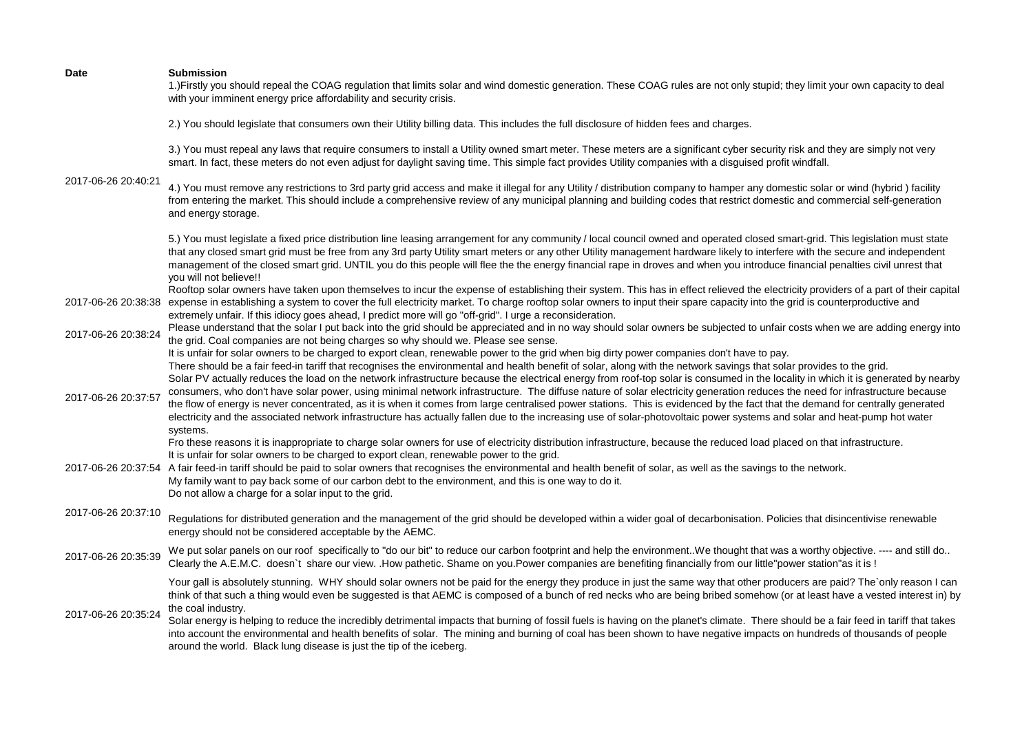| <b>Date</b>         | <b>Submission</b><br>1.) Firstly you should repeal the COAG regulation that limits solar and wind domestic generation. These COAG rules are not only stupid; they limit your own capacity to deal<br>with your imminent energy price affordability and security crisis.                                                                                                                                                                                                                                                                                                                                                                                                                                                                                                                                                                                                                                            |
|---------------------|--------------------------------------------------------------------------------------------------------------------------------------------------------------------------------------------------------------------------------------------------------------------------------------------------------------------------------------------------------------------------------------------------------------------------------------------------------------------------------------------------------------------------------------------------------------------------------------------------------------------------------------------------------------------------------------------------------------------------------------------------------------------------------------------------------------------------------------------------------------------------------------------------------------------|
|                     | 2.) You should legislate that consumers own their Utility billing data. This includes the full disclosure of hidden fees and charges.                                                                                                                                                                                                                                                                                                                                                                                                                                                                                                                                                                                                                                                                                                                                                                              |
|                     | 3.) You must repeal any laws that require consumers to install a Utility owned smart meter. These meters are a significant cyber security risk and they are simply not very<br>smart. In fact, these meters do not even adjust for daylight saving time. This simple fact provides Utility companies with a disguised profit windfall.                                                                                                                                                                                                                                                                                                                                                                                                                                                                                                                                                                             |
| 2017-06-26 20:40:21 | 4.) You must remove any restrictions to 3rd party grid access and make it illegal for any Utility / distribution company to hamper any domestic solar or wind (hybrid) facility<br>from entering the market. This should include a comprehensive review of any municipal planning and building codes that restrict domestic and commercial self-generation<br>and energy storage.                                                                                                                                                                                                                                                                                                                                                                                                                                                                                                                                  |
|                     | 5.) You must legislate a fixed price distribution line leasing arrangement for any community / local council owned and operated closed smart-grid. This legislation must state<br>that any closed smart grid must be free from any 3rd party Utility smart meters or any other Utility management hardware likely to interfere with the secure and independent<br>management of the closed smart grid. UNTIL you do this people will flee the the energy financial rape in droves and when you introduce financial penalties civil unrest that<br>you will not believe!!                                                                                                                                                                                                                                                                                                                                           |
| 2017-06-26 20:38:38 | Rooftop solar owners have taken upon themselves to incur the expense of establishing their system. This has in effect relieved the electricity providers of a part of their capital<br>expense in establishing a system to cover the full electricity market. To charge rooftop solar owners to input their spare capacity into the grid is counterproductive and<br>extremely unfair. If this idiocy goes ahead, I predict more will go "off-grid". I urge a reconsideration.                                                                                                                                                                                                                                                                                                                                                                                                                                     |
| 2017-06-26 20:38:24 | Please understand that the solar I put back into the grid should be appreciated and in no way should solar owners be subjected to unfair costs when we are adding energy into<br>the grid. Coal companies are not being charges so why should we. Please see sense.<br>It is unfair for solar owners to be charged to export clean, renewable power to the grid when big dirty power companies don't have to pay.                                                                                                                                                                                                                                                                                                                                                                                                                                                                                                  |
| 2017-06-26 20:37:57 | There should be a fair feed-in tariff that recognises the environmental and health benefit of solar, along with the network savings that solar provides to the grid.<br>Solar PV actually reduces the load on the network infrastructure because the electrical energy from roof-top solar is consumed in the locality in which it is generated by nearby<br>consumers, who don't have solar power, using minimal network infrastructure. The diffuse nature of solar electricity generation reduces the need for infrastructure because<br>the flow of energy is never concentrated, as it is when it comes from large centralised power stations. This is evidenced by the fact that the demand for centrally generated<br>electricity and the associated network infrastructure has actually fallen due to the increasing use of solar-photovoltaic power systems and solar and heat-pump hot water<br>systems. |
| 2017-06-26 20:37:54 | Fro these reasons it is inappropriate to charge solar owners for use of electricity distribution infrastructure, because the reduced load placed on that infrastructure.<br>It is unfair for solar owners to be charged to export clean, renewable power to the grid.<br>A fair feed-in tariff should be paid to solar owners that recognises the environmental and health benefit of solar, as well as the savings to the network.<br>My family want to pay back some of our carbon debt to the environment, and this is one way to do it.<br>Do not allow a charge for a solar input to the grid.                                                                                                                                                                                                                                                                                                                |
| 2017-06-26 20:37:10 | Regulations for distributed generation and the management of the grid should be developed within a wider goal of decarbonisation. Policies that disincentivise renewable<br>energy should not be considered acceptable by the AEMC.                                                                                                                                                                                                                                                                                                                                                                                                                                                                                                                                                                                                                                                                                |
| 2017-06-26 20:35:39 | We put solar panels on our roof specifically to "do our bit" to reduce our carbon footprint and help the environment. We thought that was a worthy objective. ---- and still do<br>Clearly the A.E.M.C. doesn't share our view. .How pathetic. Shame on you.Power companies are benefiting financially from our little"power station"as it is!                                                                                                                                                                                                                                                                                                                                                                                                                                                                                                                                                                     |
| 2017-06-26 20:35:24 | Your gall is absolutely stunning. WHY should solar owners not be paid for the energy they produce in just the same way that other producers are paid? The only reason I can<br>think of that such a thing would even be suggested is that AEMC is composed of a bunch of red necks who are being bribed somehow (or at least have a vested interest in) by<br>the coal industry.<br>Solar energy is helping to reduce the incredibly detrimental impacts that burning of fossil fuels is having on the planet's climate. There should be a fair feed in tariff that takes<br>into account the environmental and health benefits of solar. The mining and burning of coal has been shown to have negative impacts on hundreds of thousands of people<br>around the world. Black lung disease is just the tip of the iceberg.                                                                                        |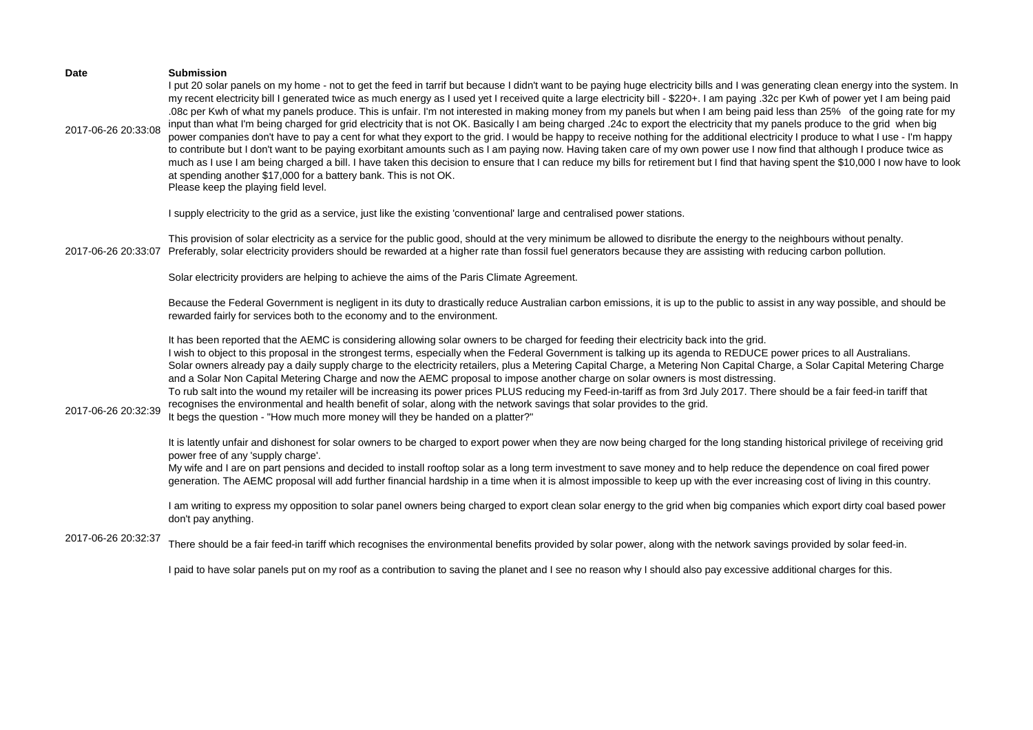| <b>Date</b><br>2017-06-26 20:33:08 | <b>Submission</b><br>I put 20 solar panels on my home - not to get the feed in tarrif but because I didn't want to be paying huge electricity bills and I was generating clean energy into the system. In<br>my recent electricity bill I generated twice as much energy as I used yet I received quite a large electricity bill - \$220+. I am paying .32c per Kwh of power yet I am being paid<br>.08c per Kwh of what my panels produce. This is unfair. I'm not interested in making money from my panels but when I am being paid less than 25% of the going rate for my<br>input than what I'm being charged for grid electricity that is not OK. Basically I am being charged .24c to export the electricity that my panels produce to the grid when big<br>power companies don't have to pay a cent for what they export to the grid. I would be happy to receive nothing for the additional electricity I produce to what I use - I'm happy<br>to contribute but I don't want to be paying exorbitant amounts such as I am paying now. Having taken care of my own power use I now find that although I produce twice as<br>much as I use I am being charged a bill. I have taken this decision to ensure that I can reduce my bills for retirement but I find that having spent the \$10,000 I now have to look<br>at spending another \$17,000 for a battery bank. This is not OK.<br>Please keep the playing field level. |
|------------------------------------|---------------------------------------------------------------------------------------------------------------------------------------------------------------------------------------------------------------------------------------------------------------------------------------------------------------------------------------------------------------------------------------------------------------------------------------------------------------------------------------------------------------------------------------------------------------------------------------------------------------------------------------------------------------------------------------------------------------------------------------------------------------------------------------------------------------------------------------------------------------------------------------------------------------------------------------------------------------------------------------------------------------------------------------------------------------------------------------------------------------------------------------------------------------------------------------------------------------------------------------------------------------------------------------------------------------------------------------------------------------------------------------------------------------------------------------|
|                                    | I supply electricity to the grid as a service, just like the existing 'conventional' large and centralised power stations.                                                                                                                                                                                                                                                                                                                                                                                                                                                                                                                                                                                                                                                                                                                                                                                                                                                                                                                                                                                                                                                                                                                                                                                                                                                                                                            |
| 2017-06-26 20:33:07                | This provision of solar electricity as a service for the public good, should at the very minimum be allowed to disribute the energy to the neighbours without penalty.<br>Preferably, solar electricity providers should be rewarded at a higher rate than fossil fuel generators because they are assisting with reducing carbon pollution.                                                                                                                                                                                                                                                                                                                                                                                                                                                                                                                                                                                                                                                                                                                                                                                                                                                                                                                                                                                                                                                                                          |
|                                    | Solar electricity providers are helping to achieve the aims of the Paris Climate Agreement.                                                                                                                                                                                                                                                                                                                                                                                                                                                                                                                                                                                                                                                                                                                                                                                                                                                                                                                                                                                                                                                                                                                                                                                                                                                                                                                                           |
|                                    | Because the Federal Government is negligent in its duty to drastically reduce Australian carbon emissions, it is up to the public to assist in any way possible, and should be<br>rewarded fairly for services both to the economy and to the environment.                                                                                                                                                                                                                                                                                                                                                                                                                                                                                                                                                                                                                                                                                                                                                                                                                                                                                                                                                                                                                                                                                                                                                                            |
| 2017-06-26 20:32:39                | It has been reported that the AEMC is considering allowing solar owners to be charged for feeding their electricity back into the grid.<br>I wish to object to this proposal in the strongest terms, especially when the Federal Government is talking up its agenda to REDUCE power prices to all Australians.<br>Solar owners already pay a daily supply charge to the electricity retailers, plus a Metering Capital Charge, a Metering Non Capital Charge, a Solar Capital Metering Charge<br>and a Solar Non Capital Metering Charge and now the AEMC proposal to impose another charge on solar owners is most distressing.<br>To rub salt into the wound my retailer will be increasing its power prices PLUS reducing my Feed-in-tariff as from 3rd July 2017. There should be a fair feed-in tariff that<br>recognises the environmental and health benefit of solar, along with the network savings that solar provides to the grid.<br>It begs the question - "How much more money will they be handed on a platter?"                                                                                                                                                                                                                                                                                                                                                                                                      |
|                                    | It is latently unfair and dishonest for solar owners to be charged to export power when they are now being charged for the long standing historical privilege of receiving grid<br>power free of any 'supply charge'.<br>My wife and I are on part pensions and decided to install rooftop solar as a long term investment to save money and to help reduce the dependence on coal fired power<br>generation. The AEMC proposal will add further financial hardship in a time when it is almost impossible to keep up with the ever increasing cost of living in this country.                                                                                                                                                                                                                                                                                                                                                                                                                                                                                                                                                                                                                                                                                                                                                                                                                                                        |
|                                    | I am writing to express my opposition to solar panel owners being charged to export clean solar energy to the grid when big companies which export dirty coal based power<br>don't pay anything.                                                                                                                                                                                                                                                                                                                                                                                                                                                                                                                                                                                                                                                                                                                                                                                                                                                                                                                                                                                                                                                                                                                                                                                                                                      |
| 2017-06-26 20:32:37                | There should be a fair feed-in tariff which recognises the environmental benefits provided by solar power, along with the network savings provided by solar feed-in.                                                                                                                                                                                                                                                                                                                                                                                                                                                                                                                                                                                                                                                                                                                                                                                                                                                                                                                                                                                                                                                                                                                                                                                                                                                                  |
|                                    | I paid to have solar panels put on my roof as a contribution to saving the planet and I see no reason why I should also pay excessive additional charges for this.                                                                                                                                                                                                                                                                                                                                                                                                                                                                                                                                                                                                                                                                                                                                                                                                                                                                                                                                                                                                                                                                                                                                                                                                                                                                    |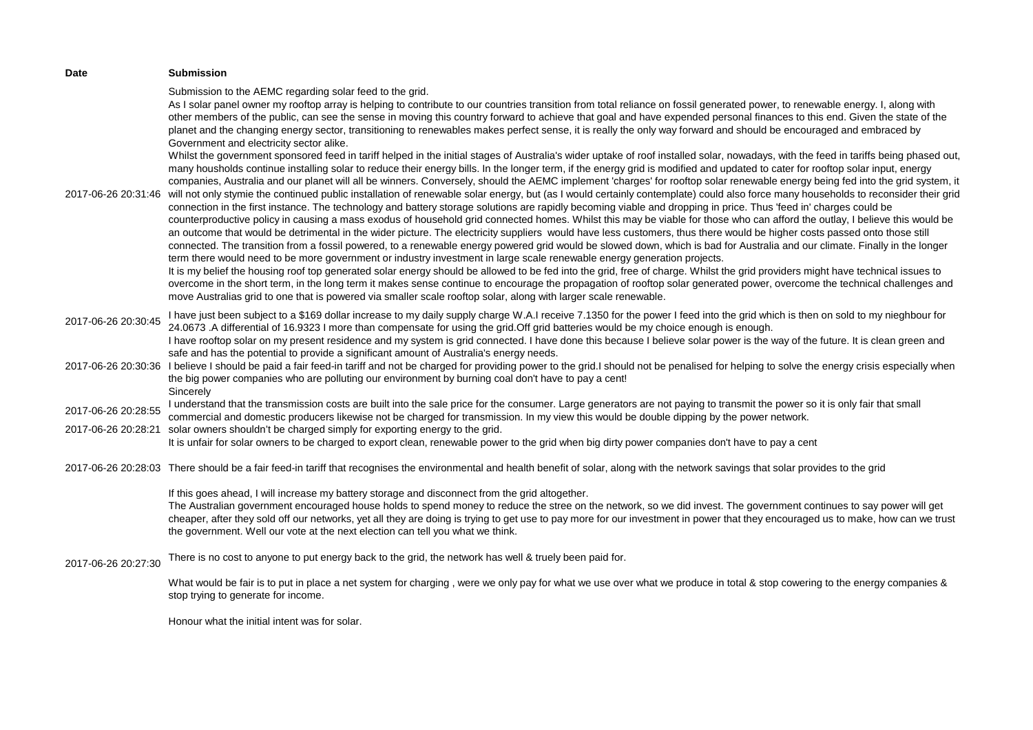| Date                                       | <b>Submission</b>                                                                                                                                                                                                                                                                                                                                                                                                                                                                                                                                                                                                                                                                                                                                                                                                                                                                                                                                                                                                                                                                                                                                                                                                                                                                                                                                                                                                                                                                                                                                                                                                                                                                                                                                                                                                                                                                                                                                                                                                                                                                                                                                                                                                                                                                                                                                                                                                                                                                                                                                                                                                                                                                                                          |
|--------------------------------------------|----------------------------------------------------------------------------------------------------------------------------------------------------------------------------------------------------------------------------------------------------------------------------------------------------------------------------------------------------------------------------------------------------------------------------------------------------------------------------------------------------------------------------------------------------------------------------------------------------------------------------------------------------------------------------------------------------------------------------------------------------------------------------------------------------------------------------------------------------------------------------------------------------------------------------------------------------------------------------------------------------------------------------------------------------------------------------------------------------------------------------------------------------------------------------------------------------------------------------------------------------------------------------------------------------------------------------------------------------------------------------------------------------------------------------------------------------------------------------------------------------------------------------------------------------------------------------------------------------------------------------------------------------------------------------------------------------------------------------------------------------------------------------------------------------------------------------------------------------------------------------------------------------------------------------------------------------------------------------------------------------------------------------------------------------------------------------------------------------------------------------------------------------------------------------------------------------------------------------------------------------------------------------------------------------------------------------------------------------------------------------------------------------------------------------------------------------------------------------------------------------------------------------------------------------------------------------------------------------------------------------------------------------------------------------------------------------------------------------|
| 2017-06-26 20:31:46                        | Submission to the AEMC regarding solar feed to the grid.<br>As I solar panel owner my rooftop array is helping to contribute to our countries transition from total reliance on fossil generated power, to renewable energy. I, along with<br>other members of the public, can see the sense in moving this country forward to achieve that goal and have expended personal finances to this end. Given the state of the<br>planet and the changing energy sector, transitioning to renewables makes perfect sense, it is really the only way forward and should be encouraged and embraced by<br>Government and electricity sector alike.<br>Whilst the government sponsored feed in tariff helped in the initial stages of Australia's wider uptake of roof installed solar, nowadays, with the feed in tariffs being phased out,<br>many housholds continue installing solar to reduce their energy bills. In the longer term, if the energy grid is modified and updated to cater for rooftop solar input, energy<br>companies, Australia and our planet will all be winners. Conversely, should the AEMC implement 'charges' for rooftop solar renewable energy being fed into the grid system, it<br>will not only stymie the continued public installation of renewable solar energy, but (as I would certainly contemplate) could also force many households to reconsider their grid<br>connection in the first instance. The technology and battery storage solutions are rapidly becoming viable and dropping in price. Thus 'feed in' charges could be<br>counterproductive policy in causing a mass exodus of household grid connected homes. Whilst this may be viable for those who can afford the outlay, I believe this would be<br>an outcome that would be detrimental in the wider picture. The electricity suppliers would have less customers, thus there would be higher costs passed onto those still<br>connected. The transition from a fossil powered, to a renewable energy powered grid would be slowed down, which is bad for Australia and our climate. Finally in the longer<br>term there would need to be more government or industry investment in large scale renewable energy generation projects.<br>It is my belief the housing roof top generated solar energy should be allowed to be fed into the grid, free of charge. Whilst the grid providers might have technical issues to<br>overcome in the short term, in the long term it makes sense continue to encourage the propagation of rooftop solar generated power, overcome the technical challenges and<br>move Australias grid to one that is powered via smaller scale rooftop solar, along with larger scale renewable. |
| 2017-06-26 20:30:45<br>2017-06-26 20:30:36 | I have just been subject to a \$169 dollar increase to my daily supply charge W.A.I receive 7.1350 for the power I feed into the grid which is then on sold to my nieghbour for<br>24.0673 .A differential of 16.9323 I more than compensate for using the grid.Off grid batteries would be my choice enough is enough.<br>I have rooftop solar on my present residence and my system is grid connected. I have done this because I believe solar power is the way of the future. It is clean green and<br>safe and has the potential to provide a significant amount of Australia's energy needs.<br>I believe I should be paid a fair feed-in tariff and not be charged for providing power to the grid.I should not be penalised for helping to solve the energy crisis especially when                                                                                                                                                                                                                                                                                                                                                                                                                                                                                                                                                                                                                                                                                                                                                                                                                                                                                                                                                                                                                                                                                                                                                                                                                                                                                                                                                                                                                                                                                                                                                                                                                                                                                                                                                                                                                                                                                                                                 |
| 2017-06-26 20:28:55                        | the big power companies who are polluting our environment by burning coal don't have to pay a cent!<br>Sincerely<br>I understand that the transmission costs are built into the sale price for the consumer. Large generators are not paying to transmit the power so it is only fair that small                                                                                                                                                                                                                                                                                                                                                                                                                                                                                                                                                                                                                                                                                                                                                                                                                                                                                                                                                                                                                                                                                                                                                                                                                                                                                                                                                                                                                                                                                                                                                                                                                                                                                                                                                                                                                                                                                                                                                                                                                                                                                                                                                                                                                                                                                                                                                                                                                           |
| 2017-06-26 20:28:21                        | commercial and domestic producers likewise not be charged for transmission. In my view this would be double dipping by the power network.<br>solar owners shouldn't be charged simply for exporting energy to the grid.<br>It is unfair for solar owners to be charged to export clean, renewable power to the grid when big dirty power companies don't have to pay a cent                                                                                                                                                                                                                                                                                                                                                                                                                                                                                                                                                                                                                                                                                                                                                                                                                                                                                                                                                                                                                                                                                                                                                                                                                                                                                                                                                                                                                                                                                                                                                                                                                                                                                                                                                                                                                                                                                                                                                                                                                                                                                                                                                                                                                                                                                                                                                |
|                                            | 2017-06-26 20:28:03 There should be a fair feed-in tariff that recognises the environmental and health benefit of solar, along with the network savings that solar provides to the grid                                                                                                                                                                                                                                                                                                                                                                                                                                                                                                                                                                                                                                                                                                                                                                                                                                                                                                                                                                                                                                                                                                                                                                                                                                                                                                                                                                                                                                                                                                                                                                                                                                                                                                                                                                                                                                                                                                                                                                                                                                                                                                                                                                                                                                                                                                                                                                                                                                                                                                                                    |
|                                            | If this goes ahead, I will increase my battery storage and disconnect from the grid altogether.<br>The Australian government encouraged house holds to spend money to reduce the stree on the network, so we did invest. The government continues to say power will get<br>cheaper, after they sold off our networks, yet all they are doing is trying to get use to pay more for our investment in power that they encouraged us to make, how can we trust<br>the government. Well our vote at the next election can tell you what we think.                                                                                                                                                                                                                                                                                                                                                                                                                                                                                                                                                                                                                                                                                                                                                                                                                                                                                                                                                                                                                                                                                                                                                                                                                                                                                                                                                                                                                                                                                                                                                                                                                                                                                                                                                                                                                                                                                                                                                                                                                                                                                                                                                                              |
| 2017-06-26 20:27:30                        | There is no cost to anyone to put energy back to the grid, the network has well & truely been paid for.                                                                                                                                                                                                                                                                                                                                                                                                                                                                                                                                                                                                                                                                                                                                                                                                                                                                                                                                                                                                                                                                                                                                                                                                                                                                                                                                                                                                                                                                                                                                                                                                                                                                                                                                                                                                                                                                                                                                                                                                                                                                                                                                                                                                                                                                                                                                                                                                                                                                                                                                                                                                                    |
|                                            | What would be fair is to put in place a net system for charging, were we only pay for what we use over what we produce in total & stop cowering to the energy companies &<br>stop trying to generate for income.                                                                                                                                                                                                                                                                                                                                                                                                                                                                                                                                                                                                                                                                                                                                                                                                                                                                                                                                                                                                                                                                                                                                                                                                                                                                                                                                                                                                                                                                                                                                                                                                                                                                                                                                                                                                                                                                                                                                                                                                                                                                                                                                                                                                                                                                                                                                                                                                                                                                                                           |
|                                            | Honour what the initial intent was for solar.                                                                                                                                                                                                                                                                                                                                                                                                                                                                                                                                                                                                                                                                                                                                                                                                                                                                                                                                                                                                                                                                                                                                                                                                                                                                                                                                                                                                                                                                                                                                                                                                                                                                                                                                                                                                                                                                                                                                                                                                                                                                                                                                                                                                                                                                                                                                                                                                                                                                                                                                                                                                                                                                              |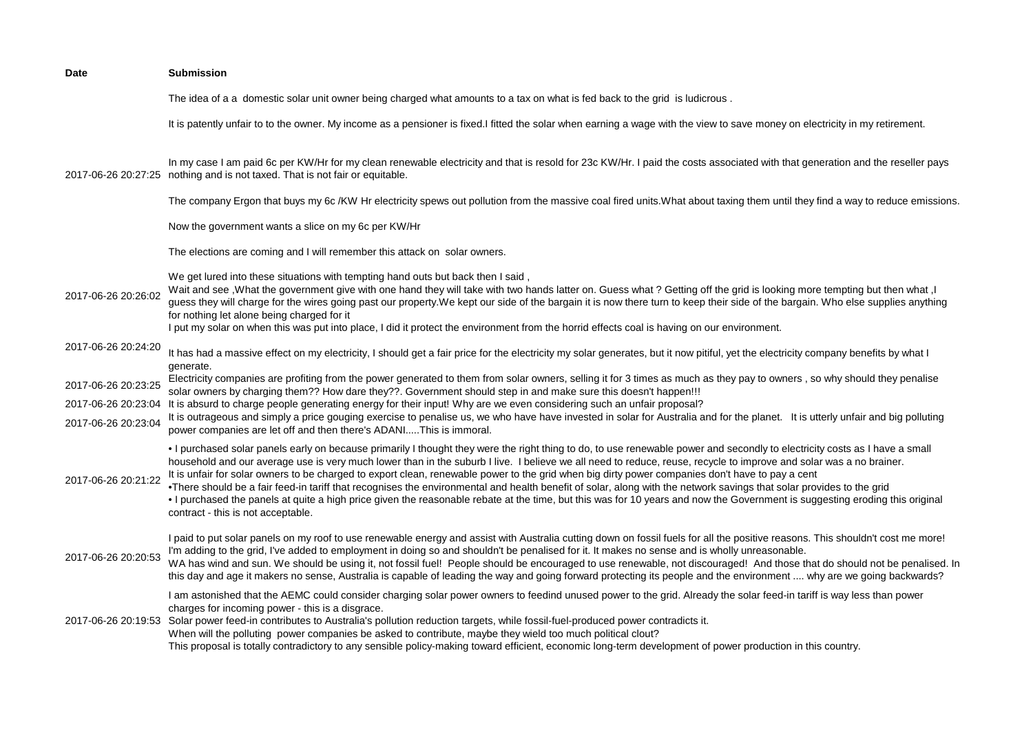| Date                | <b>Submission</b>                                                                                                                                                                                                                                                                                                                                                                                                                                                                                                                                                                                                                                                                                                                                                                                                                                                                                   |
|---------------------|-----------------------------------------------------------------------------------------------------------------------------------------------------------------------------------------------------------------------------------------------------------------------------------------------------------------------------------------------------------------------------------------------------------------------------------------------------------------------------------------------------------------------------------------------------------------------------------------------------------------------------------------------------------------------------------------------------------------------------------------------------------------------------------------------------------------------------------------------------------------------------------------------------|
|                     | The idea of a a domestic solar unit owner being charged what amounts to a tax on what is fed back to the grid is ludicrous.                                                                                                                                                                                                                                                                                                                                                                                                                                                                                                                                                                                                                                                                                                                                                                         |
|                     | It is patently unfair to to the owner. My income as a pensioner is fixed.I fitted the solar when earning a wage with the view to save money on electricity in my retirement.                                                                                                                                                                                                                                                                                                                                                                                                                                                                                                                                                                                                                                                                                                                        |
| 2017-06-26 20:27:25 | In my case I am paid 6c per KW/Hr for my clean renewable electricity and that is resold for 23c KW/Hr. I paid the costs associated with that generation and the reseller pays<br>nothing and is not taxed. That is not fair or equitable.                                                                                                                                                                                                                                                                                                                                                                                                                                                                                                                                                                                                                                                           |
|                     | The company Ergon that buys my 6c /KW Hr electricity spews out pollution from the massive coal fired units. What about taxing them until they find a way to reduce emissions.                                                                                                                                                                                                                                                                                                                                                                                                                                                                                                                                                                                                                                                                                                                       |
|                     | Now the government wants a slice on my 6c per KW/Hr                                                                                                                                                                                                                                                                                                                                                                                                                                                                                                                                                                                                                                                                                                                                                                                                                                                 |
|                     | The elections are coming and I will remember this attack on solar owners.                                                                                                                                                                                                                                                                                                                                                                                                                                                                                                                                                                                                                                                                                                                                                                                                                           |
| 2017-06-26 20:26:02 | We get lured into these situations with tempting hand outs but back then I said,<br>Wait and see , What the government give with one hand they will take with two hands latter on. Guess what? Getting off the grid is looking more tempting but then what, I<br>guess they will charge for the wires going past our property. We kept our side of the bargain it is now there turn to keep their side of the bargain. Who else supplies anything<br>for nothing let alone being charged for it<br>I put my solar on when this was put into place, I did it protect the environment from the horrid effects coal is having on our environment.                                                                                                                                                                                                                                                      |
| 2017-06-26 20:24:20 | It has had a massive effect on my electricity, I should get a fair price for the electricity my solar generates, but it now pitiful, yet the electricity company benefits by what I<br>generate.                                                                                                                                                                                                                                                                                                                                                                                                                                                                                                                                                                                                                                                                                                    |
| 2017-06-26 20:23:25 | Electricity companies are profiting from the power generated to them from solar owners, selling it for 3 times as much as they pay to owners, so why should they penalise<br>solar owners by charging them?? How dare they??. Government should step in and make sure this doesn't happen!!!                                                                                                                                                                                                                                                                                                                                                                                                                                                                                                                                                                                                        |
| 2017-06-26 20:23:04 | It is absurd to charge people generating energy for their input! Why are we even considering such an unfair proposal?                                                                                                                                                                                                                                                                                                                                                                                                                                                                                                                                                                                                                                                                                                                                                                               |
| 2017-06-26 20:23:04 | It is outrageous and simply a price gouging exercise to penalise us, we who have have invested in solar for Australia and for the planet. It is utterly unfair and big polluting<br>power companies are let off and then there's ADANIThis is immoral.                                                                                                                                                                                                                                                                                                                                                                                                                                                                                                                                                                                                                                              |
| 2017-06-26 20:21:22 | . I purchased solar panels early on because primarily I thought they were the right thing to do, to use renewable power and secondly to electricity costs as I have a small<br>household and our average use is very much lower than in the suburb I live. I believe we all need to reduce, reuse, recycle to improve and solar was a no brainer.<br>It is unfair for solar owners to be charged to export clean, renewable power to the grid when big dirty power companies don't have to pay a cent<br>•There should be a fair feed-in tariff that recognises the environmental and health benefit of solar, along with the network savings that solar provides to the grid<br>. I purchased the panels at quite a high price given the reasonable rebate at the time, but this was for 10 years and now the Government is suggesting eroding this original<br>contract - this is not acceptable. |
| 2017-06-26 20:20:53 | I paid to put solar panels on my roof to use renewable energy and assist with Australia cutting down on fossil fuels for all the positive reasons. This shouldn't cost me more!<br>I'm adding to the grid, I've added to employment in doing so and shouldn't be penalised for it. It makes no sense and is wholly unreasonable.<br>WA has wind and sun. We should be using it, not fossil fuel! People should be encouraged to use renewable, not discouraged! And those that do should not be penalised. In<br>this day and age it makers no sense, Australia is capable of leading the way and going forward protecting its people and the environment  why are we going backwards?                                                                                                                                                                                                              |
| 2017-06-26 20:19:53 | I am astonished that the AEMC could consider charging solar power owners to feedind unused power to the grid. Already the solar feed-in tariff is way less than power<br>charges for incoming power - this is a disgrace.<br>Solar power feed-in contributes to Australia's pollution reduction targets, while fossil-fuel-produced power contradicts it.<br>When will the polluting power companies be asked to contribute, maybe they wield too much political clout?<br>This proposal is totally contradictory to any sensible policy-making toward efficient, economic long-term development of power production in this country.                                                                                                                                                                                                                                                               |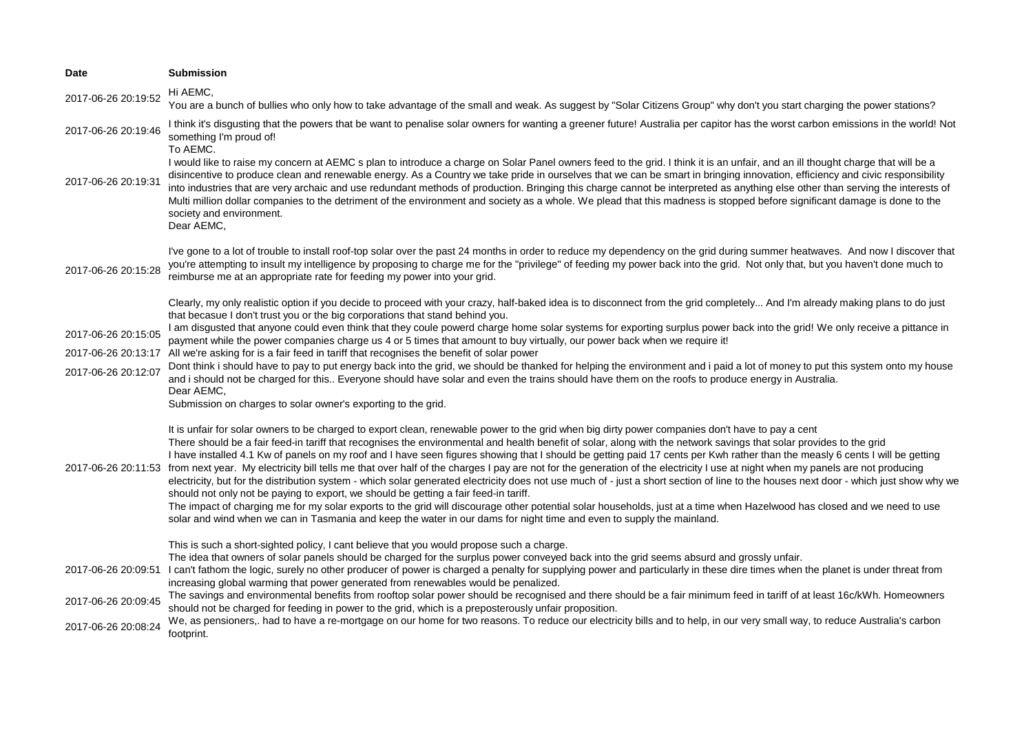| Hi AEMC,<br>2017-06-26 20:19:52<br>You are a bunch of bullies who only how to take advantage of the small and weak. As suggest by "Solar Citizens Group" why don't you start charging the power stations?<br>I think it's disgusting that the powers that be want to penalise solar owners for wanting a greener future! Australia per capitor has the worst carbon emissions in the world! Not<br>2017-06-26 20:19:46<br>something I'm proud of!<br>To AEMC.<br>I would like to raise my concern at AEMC s plan to introduce a charge on Solar Panel owners feed to the grid. I think it is an unfair, and an ill thought charge that will be a<br>disincentive to produce clean and renewable energy. As a Country we take pride in ourselves that we can be smart in bringing innovation, efficiency and civic responsibility<br>2017-06-26 20:19:31<br>into industries that are very archaic and use redundant methods of production. Bringing this charge cannot be interpreted as anything else other than serving the interests of<br>Multi million dollar companies to the detriment of the environment and society as a whole. We plead that this madness is stopped before significant damage is done to the<br>society and environment.<br>Dear AEMC,<br>I've gone to a lot of trouble to install roof-top solar over the past 24 months in order to reduce my dependency on the grid during summer heatwaves. And now I discover that<br>you're attempting to insult my intelligence by proposing to charge me for the "privilege" of feeding my power back into the grid. Not only that, but you haven't done much to<br>2017-06-26 20:15:28<br>reimburse me at an appropriate rate for feeding my power into your grid.<br>Clearly, my only realistic option if you decide to proceed with your crazy, half-baked idea is to disconnect from the grid completely And I'm already making plans to do just<br>that becasue I don't trust you or the big corporations that stand behind you.<br>I am disgusted that anyone could even think that they coule powerd charge home solar systems for exporting surplus power back into the grid! We only receive a pittance in<br>2017-06-26 20:15:05<br>payment while the power companies charge us 4 or 5 times that amount to buy virtually, our power back when we require it!<br>2017-06-26 20:13:17 All we're asking for is a fair feed in tariff that recognises the benefit of solar power<br>Dont think i should have to pay to put energy back into the grid, we should be thanked for helping the environment and i paid a lot of money to put this system onto my house<br>2017-06-26 20:12:07<br>and i should not be charged for this Everyone should have solar and even the trains should have them on the roofs to produce energy in Australia.<br>Dear AEMC,<br>Submission on charges to solar owner's exporting to the grid.<br>It is unfair for solar owners to be charged to export clean, renewable power to the grid when big dirty power companies don't have to pay a cent<br>There should be a fair feed-in tariff that recognises the environmental and health benefit of solar, along with the network savings that solar provides to the grid<br>I have installed 4.1 Kw of panels on my roof and I have seen figures showing that I should be getting paid 17 cents per Kwh rather than the measly 6 cents I will be getting<br>from next year. My electricity bill tells me that over half of the charges I pay are not for the generation of the electricity I use at night when my panels are not producing<br>2017-06-26 20:11:53<br>electricity, but for the distribution system - which solar generated electricity does not use much of - just a short section of line to the houses next door - which just show why we<br>should not only not be paying to export, we should be getting a fair feed-in tariff.<br>The impact of charging me for my solar exports to the grid will discourage other potential solar households, just at a time when Hazelwood has closed and we need to use<br>solar and wind when we can in Tasmania and keep the water in our dams for night time and even to supply the mainland.<br>This is such a short-sighted policy, I cant believe that you would propose such a charge.<br>The idea that owners of solar panels should be charged for the surplus power conveyed back into the grid seems absurd and grossly unfair.<br>I can't fathom the logic, surely no other producer of power is charged a penalty for supplying power and particularly in these dire times when the planet is under threat from<br>2017-06-26 20:09:51<br>increasing global warming that power generated from renewables would be penalized.<br>The savings and environmental benefits from rooftop solar power should be recognised and there should be a fair minimum feed in tariff of at least 16c/kWh. Homeowners<br>2017-06-26 20:09:45<br>should not be charged for feeding in power to the grid, which is a preposterously unfair proposition.<br>We, as pensioners,. had to have a re-mortgage on our home for two reasons. To reduce our electricity bills and to help, in our very small way, to reduce Australia's carbon<br>2017-06-26 20:08:24<br>footprint. | <b>Date</b> | <b>Submission</b> |
|----------------------------------------------------------------------------------------------------------------------------------------------------------------------------------------------------------------------------------------------------------------------------------------------------------------------------------------------------------------------------------------------------------------------------------------------------------------------------------------------------------------------------------------------------------------------------------------------------------------------------------------------------------------------------------------------------------------------------------------------------------------------------------------------------------------------------------------------------------------------------------------------------------------------------------------------------------------------------------------------------------------------------------------------------------------------------------------------------------------------------------------------------------------------------------------------------------------------------------------------------------------------------------------------------------------------------------------------------------------------------------------------------------------------------------------------------------------------------------------------------------------------------------------------------------------------------------------------------------------------------------------------------------------------------------------------------------------------------------------------------------------------------------------------------------------------------------------------------------------------------------------------------------------------------------------------------------------------------------------------------------------------------------------------------------------------------------------------------------------------------------------------------------------------------------------------------------------------------------------------------------------------------------------------------------------------------------------------------------------------------------------------------------------------------------------------------------------------------------------------------------------------------------------------------------------------------------------------------------------------------------------------------------------------------------------------------------------------------------------------------------------------------------------------------------------------------------------------------------------------------------------------------------------------------------------------------------------------------------------------------------------------------------------------------------------------------------------------------------------------------------------------------------------------------------------------------------------------------------------------------------------------------------------------------------------------------------------------------------------------------------------------------------------------------------------------------------------------------------------------------------------------------------------------------------------------------------------------------------------------------------------------------------------------------------------------------------------------------------------------------------------------------------------------------------------------------------------------------------------------------------------------------------------------------------------------------------------------------------------------------------------------------------------------------------------------------------------------------------------------------------------------------------------------------------------------------------------------------------------------------------------------------------------------------------------------------------------------------------------------------------------------------------------------------------------------------------------------------------------------------------------------------------------------------------------------------------------------------------------------------------------------------------------------------------------------------------------------------------------------------------------------------------------------------------------------------------------------------------------------------------------------------------------------------------------------------------------------------------------------------------------------------------------------------------------------------------------------------------------------------------------------------------------------------------------------------------------------------------------------------------------------------------------|-------------|-------------------|
|                                                                                                                                                                                                                                                                                                                                                                                                                                                                                                                                                                                                                                                                                                                                                                                                                                                                                                                                                                                                                                                                                                                                                                                                                                                                                                                                                                                                                                                                                                                                                                                                                                                                                                                                                                                                                                                                                                                                                                                                                                                                                                                                                                                                                                                                                                                                                                                                                                                                                                                                                                                                                                                                                                                                                                                                                                                                                                                                                                                                                                                                                                                                                                                                                                                                                                                                                                                                                                                                                                                                                                                                                                                                                                                                                                                                                                                                                                                                                                                                                                                                                                                                                                                                                                                                                                                                                                                                                                                                                                                                                                                                                                                                                                                                                                                                                                                                                                                                                                                                                                                                                                                                                                                                                                                                                        |             |                   |
|                                                                                                                                                                                                                                                                                                                                                                                                                                                                                                                                                                                                                                                                                                                                                                                                                                                                                                                                                                                                                                                                                                                                                                                                                                                                                                                                                                                                                                                                                                                                                                                                                                                                                                                                                                                                                                                                                                                                                                                                                                                                                                                                                                                                                                                                                                                                                                                                                                                                                                                                                                                                                                                                                                                                                                                                                                                                                                                                                                                                                                                                                                                                                                                                                                                                                                                                                                                                                                                                                                                                                                                                                                                                                                                                                                                                                                                                                                                                                                                                                                                                                                                                                                                                                                                                                                                                                                                                                                                                                                                                                                                                                                                                                                                                                                                                                                                                                                                                                                                                                                                                                                                                                                                                                                                                                        |             |                   |
|                                                                                                                                                                                                                                                                                                                                                                                                                                                                                                                                                                                                                                                                                                                                                                                                                                                                                                                                                                                                                                                                                                                                                                                                                                                                                                                                                                                                                                                                                                                                                                                                                                                                                                                                                                                                                                                                                                                                                                                                                                                                                                                                                                                                                                                                                                                                                                                                                                                                                                                                                                                                                                                                                                                                                                                                                                                                                                                                                                                                                                                                                                                                                                                                                                                                                                                                                                                                                                                                                                                                                                                                                                                                                                                                                                                                                                                                                                                                                                                                                                                                                                                                                                                                                                                                                                                                                                                                                                                                                                                                                                                                                                                                                                                                                                                                                                                                                                                                                                                                                                                                                                                                                                                                                                                                                        |             |                   |
|                                                                                                                                                                                                                                                                                                                                                                                                                                                                                                                                                                                                                                                                                                                                                                                                                                                                                                                                                                                                                                                                                                                                                                                                                                                                                                                                                                                                                                                                                                                                                                                                                                                                                                                                                                                                                                                                                                                                                                                                                                                                                                                                                                                                                                                                                                                                                                                                                                                                                                                                                                                                                                                                                                                                                                                                                                                                                                                                                                                                                                                                                                                                                                                                                                                                                                                                                                                                                                                                                                                                                                                                                                                                                                                                                                                                                                                                                                                                                                                                                                                                                                                                                                                                                                                                                                                                                                                                                                                                                                                                                                                                                                                                                                                                                                                                                                                                                                                                                                                                                                                                                                                                                                                                                                                                                        |             |                   |
|                                                                                                                                                                                                                                                                                                                                                                                                                                                                                                                                                                                                                                                                                                                                                                                                                                                                                                                                                                                                                                                                                                                                                                                                                                                                                                                                                                                                                                                                                                                                                                                                                                                                                                                                                                                                                                                                                                                                                                                                                                                                                                                                                                                                                                                                                                                                                                                                                                                                                                                                                                                                                                                                                                                                                                                                                                                                                                                                                                                                                                                                                                                                                                                                                                                                                                                                                                                                                                                                                                                                                                                                                                                                                                                                                                                                                                                                                                                                                                                                                                                                                                                                                                                                                                                                                                                                                                                                                                                                                                                                                                                                                                                                                                                                                                                                                                                                                                                                                                                                                                                                                                                                                                                                                                                                                        |             |                   |
|                                                                                                                                                                                                                                                                                                                                                                                                                                                                                                                                                                                                                                                                                                                                                                                                                                                                                                                                                                                                                                                                                                                                                                                                                                                                                                                                                                                                                                                                                                                                                                                                                                                                                                                                                                                                                                                                                                                                                                                                                                                                                                                                                                                                                                                                                                                                                                                                                                                                                                                                                                                                                                                                                                                                                                                                                                                                                                                                                                                                                                                                                                                                                                                                                                                                                                                                                                                                                                                                                                                                                                                                                                                                                                                                                                                                                                                                                                                                                                                                                                                                                                                                                                                                                                                                                                                                                                                                                                                                                                                                                                                                                                                                                                                                                                                                                                                                                                                                                                                                                                                                                                                                                                                                                                                                                        |             |                   |
|                                                                                                                                                                                                                                                                                                                                                                                                                                                                                                                                                                                                                                                                                                                                                                                                                                                                                                                                                                                                                                                                                                                                                                                                                                                                                                                                                                                                                                                                                                                                                                                                                                                                                                                                                                                                                                                                                                                                                                                                                                                                                                                                                                                                                                                                                                                                                                                                                                                                                                                                                                                                                                                                                                                                                                                                                                                                                                                                                                                                                                                                                                                                                                                                                                                                                                                                                                                                                                                                                                                                                                                                                                                                                                                                                                                                                                                                                                                                                                                                                                                                                                                                                                                                                                                                                                                                                                                                                                                                                                                                                                                                                                                                                                                                                                                                                                                                                                                                                                                                                                                                                                                                                                                                                                                                                        |             |                   |
|                                                                                                                                                                                                                                                                                                                                                                                                                                                                                                                                                                                                                                                                                                                                                                                                                                                                                                                                                                                                                                                                                                                                                                                                                                                                                                                                                                                                                                                                                                                                                                                                                                                                                                                                                                                                                                                                                                                                                                                                                                                                                                                                                                                                                                                                                                                                                                                                                                                                                                                                                                                                                                                                                                                                                                                                                                                                                                                                                                                                                                                                                                                                                                                                                                                                                                                                                                                                                                                                                                                                                                                                                                                                                                                                                                                                                                                                                                                                                                                                                                                                                                                                                                                                                                                                                                                                                                                                                                                                                                                                                                                                                                                                                                                                                                                                                                                                                                                                                                                                                                                                                                                                                                                                                                                                                        |             |                   |
|                                                                                                                                                                                                                                                                                                                                                                                                                                                                                                                                                                                                                                                                                                                                                                                                                                                                                                                                                                                                                                                                                                                                                                                                                                                                                                                                                                                                                                                                                                                                                                                                                                                                                                                                                                                                                                                                                                                                                                                                                                                                                                                                                                                                                                                                                                                                                                                                                                                                                                                                                                                                                                                                                                                                                                                                                                                                                                                                                                                                                                                                                                                                                                                                                                                                                                                                                                                                                                                                                                                                                                                                                                                                                                                                                                                                                                                                                                                                                                                                                                                                                                                                                                                                                                                                                                                                                                                                                                                                                                                                                                                                                                                                                                                                                                                                                                                                                                                                                                                                                                                                                                                                                                                                                                                                                        |             |                   |
|                                                                                                                                                                                                                                                                                                                                                                                                                                                                                                                                                                                                                                                                                                                                                                                                                                                                                                                                                                                                                                                                                                                                                                                                                                                                                                                                                                                                                                                                                                                                                                                                                                                                                                                                                                                                                                                                                                                                                                                                                                                                                                                                                                                                                                                                                                                                                                                                                                                                                                                                                                                                                                                                                                                                                                                                                                                                                                                                                                                                                                                                                                                                                                                                                                                                                                                                                                                                                                                                                                                                                                                                                                                                                                                                                                                                                                                                                                                                                                                                                                                                                                                                                                                                                                                                                                                                                                                                                                                                                                                                                                                                                                                                                                                                                                                                                                                                                                                                                                                                                                                                                                                                                                                                                                                                                        |             |                   |
|                                                                                                                                                                                                                                                                                                                                                                                                                                                                                                                                                                                                                                                                                                                                                                                                                                                                                                                                                                                                                                                                                                                                                                                                                                                                                                                                                                                                                                                                                                                                                                                                                                                                                                                                                                                                                                                                                                                                                                                                                                                                                                                                                                                                                                                                                                                                                                                                                                                                                                                                                                                                                                                                                                                                                                                                                                                                                                                                                                                                                                                                                                                                                                                                                                                                                                                                                                                                                                                                                                                                                                                                                                                                                                                                                                                                                                                                                                                                                                                                                                                                                                                                                                                                                                                                                                                                                                                                                                                                                                                                                                                                                                                                                                                                                                                                                                                                                                                                                                                                                                                                                                                                                                                                                                                                                        |             |                   |
|                                                                                                                                                                                                                                                                                                                                                                                                                                                                                                                                                                                                                                                                                                                                                                                                                                                                                                                                                                                                                                                                                                                                                                                                                                                                                                                                                                                                                                                                                                                                                                                                                                                                                                                                                                                                                                                                                                                                                                                                                                                                                                                                                                                                                                                                                                                                                                                                                                                                                                                                                                                                                                                                                                                                                                                                                                                                                                                                                                                                                                                                                                                                                                                                                                                                                                                                                                                                                                                                                                                                                                                                                                                                                                                                                                                                                                                                                                                                                                                                                                                                                                                                                                                                                                                                                                                                                                                                                                                                                                                                                                                                                                                                                                                                                                                                                                                                                                                                                                                                                                                                                                                                                                                                                                                                                        |             |                   |
|                                                                                                                                                                                                                                                                                                                                                                                                                                                                                                                                                                                                                                                                                                                                                                                                                                                                                                                                                                                                                                                                                                                                                                                                                                                                                                                                                                                                                                                                                                                                                                                                                                                                                                                                                                                                                                                                                                                                                                                                                                                                                                                                                                                                                                                                                                                                                                                                                                                                                                                                                                                                                                                                                                                                                                                                                                                                                                                                                                                                                                                                                                                                                                                                                                                                                                                                                                                                                                                                                                                                                                                                                                                                                                                                                                                                                                                                                                                                                                                                                                                                                                                                                                                                                                                                                                                                                                                                                                                                                                                                                                                                                                                                                                                                                                                                                                                                                                                                                                                                                                                                                                                                                                                                                                                                                        |             |                   |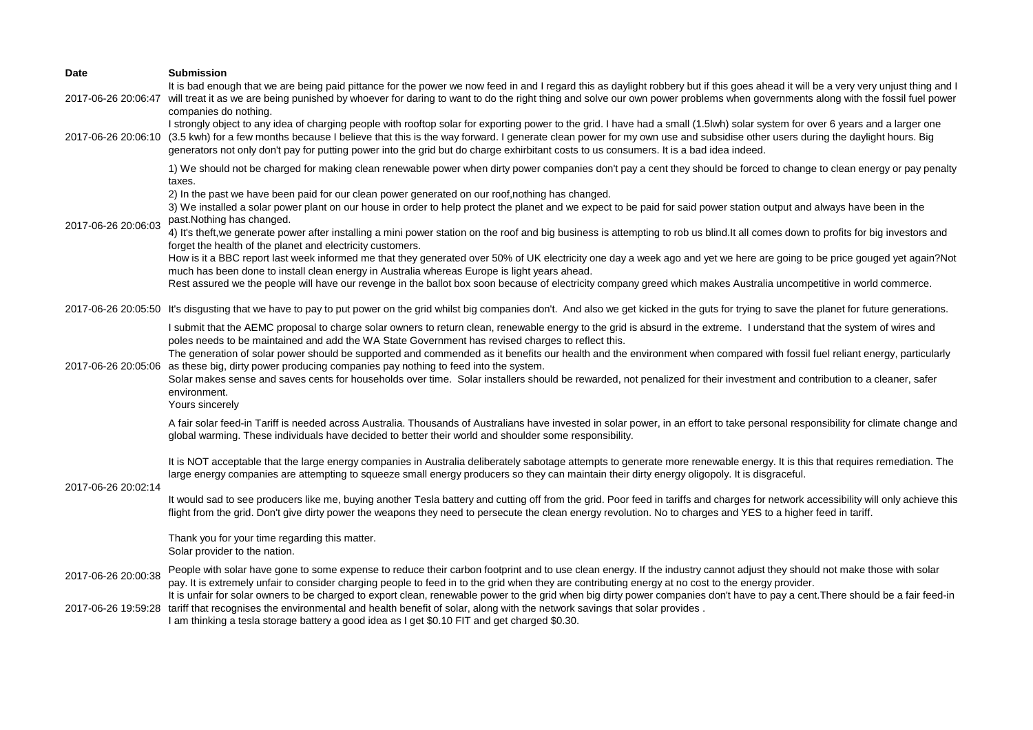| <b>Date</b>         | <b>Submission</b>                                                                                                                                                                                                                                                                                                                                                                                                                                                                                                                                                                                                                                                                                                            |
|---------------------|------------------------------------------------------------------------------------------------------------------------------------------------------------------------------------------------------------------------------------------------------------------------------------------------------------------------------------------------------------------------------------------------------------------------------------------------------------------------------------------------------------------------------------------------------------------------------------------------------------------------------------------------------------------------------------------------------------------------------|
|                     | It is bad enough that we are being paid pittance for the power we now feed in and I regard this as daylight robbery but if this goes ahead it will be a very very unjust thing and I<br>2017-06-26 20:06:47 will treat it as we are being punished by whoever for daring to want to do the right thing and solve our own power problems when governments along with the fossil fuel power<br>companies do nothing.                                                                                                                                                                                                                                                                                                           |
|                     | I strongly object to any idea of charging people with rooftop solar for exporting power to the grid. I have had a small (1.5lwh) solar system for over 6 years and a larger one<br>2017-06-26 20:06:10 (3.5 kwh) for a few months because I believe that this is the way forward. I generate clean power for my own use and subsidise other users during the daylight hours. Big<br>generators not only don't pay for putting power into the grid but do charge exhirbitant costs to us consumers. It is a bad idea indeed.                                                                                                                                                                                                  |
| 2017-06-26 20:06:03 | 1) We should not be charged for making clean renewable power when dirty power companies don't pay a cent they should be forced to change to clean energy or pay penalty<br>taxes.<br>2) In the past we have been paid for our clean power generated on our roof, nothing has changed.                                                                                                                                                                                                                                                                                                                                                                                                                                        |
|                     | 3) We installed a solar power plant on our house in order to help protect the planet and we expect to be paid for said power station output and always have been in the<br>past. Nothing has changed.                                                                                                                                                                                                                                                                                                                                                                                                                                                                                                                        |
|                     | 4) It's theft, we generate power after installing a mini power station on the roof and big business is attempting to rob us blind. It all comes down to profits for big investors and<br>forget the health of the planet and electricity customers.                                                                                                                                                                                                                                                                                                                                                                                                                                                                          |
|                     | How is it a BBC report last week informed me that they generated over 50% of UK electricity one day a week ago and yet we here are going to be price gouged yet again?Not<br>much has been done to install clean energy in Australia whereas Europe is light years ahead.<br>Rest assured we the people will have our revenge in the ballot box soon because of electricity company greed which makes Australia uncompetitive in world commerce.                                                                                                                                                                                                                                                                             |
|                     | 2017-06-26 20:05:50 It's disgusting that we have to pay to put power on the grid whilst big companies don't. And also we get kicked in the guts for trying to save the planet for future generations.                                                                                                                                                                                                                                                                                                                                                                                                                                                                                                                        |
| 2017-06-26 20:05:06 | I submit that the AEMC proposal to charge solar owners to return clean, renewable energy to the grid is absurd in the extreme. I understand that the system of wires and<br>poles needs to be maintained and add the WA State Government has revised charges to reflect this.<br>The generation of solar power should be supported and commended as it benefits our health and the environment when compared with fossil fuel reliant energy, particularly<br>as these big, dirty power producing companies pay nothing to feed into the system.<br>Solar makes sense and saves cents for households over time. Solar installers should be rewarded, not penalized for their investment and contribution to a cleaner, safer |
|                     | environment.<br>Yours sincerely                                                                                                                                                                                                                                                                                                                                                                                                                                                                                                                                                                                                                                                                                              |
| 2017-06-26 20:02:14 | A fair solar feed-in Tariff is needed across Australia. Thousands of Australians have invested in solar power, in an effort to take personal responsibility for climate change and<br>global warming. These individuals have decided to better their world and shoulder some responsibility.                                                                                                                                                                                                                                                                                                                                                                                                                                 |
|                     | It is NOT acceptable that the large energy companies in Australia deliberately sabotage attempts to generate more renewable energy. It is this that requires remediation. The<br>large energy companies are attempting to squeeze small energy producers so they can maintain their dirty energy oligopoly. It is disgraceful.                                                                                                                                                                                                                                                                                                                                                                                               |
|                     | It would sad to see producers like me, buying another Tesla battery and cutting off from the grid. Poor feed in tariffs and charges for network accessibility will only achieve this<br>flight from the grid. Don't give dirty power the weapons they need to persecute the clean energy revolution. No to charges and YES to a higher feed in tariff.                                                                                                                                                                                                                                                                                                                                                                       |
|                     | Thank you for your time regarding this matter.<br>Solar provider to the nation.                                                                                                                                                                                                                                                                                                                                                                                                                                                                                                                                                                                                                                              |
| 2017-06-26 20:00:38 | People with solar have gone to some expense to reduce their carbon footprint and to use clean energy. If the industry cannot adjust they should not make those with solar<br>pay. It is extremely unfair to consider charging people to feed in to the grid when they are contributing energy at no cost to the energy provider.<br>It is unfair for solar owners to be charged to export clean, renewable power to the grid when big dirty power companies don't have to pay a cent. There should be a fair feed-in                                                                                                                                                                                                         |
|                     | 2017-06-26 19:59:28 tariff that recognises the environmental and health benefit of solar, along with the network savings that solar provides.<br>I am thinking a tesla storage battery a good idea as I get \$0.10 FIT and get charged \$0.30.                                                                                                                                                                                                                                                                                                                                                                                                                                                                               |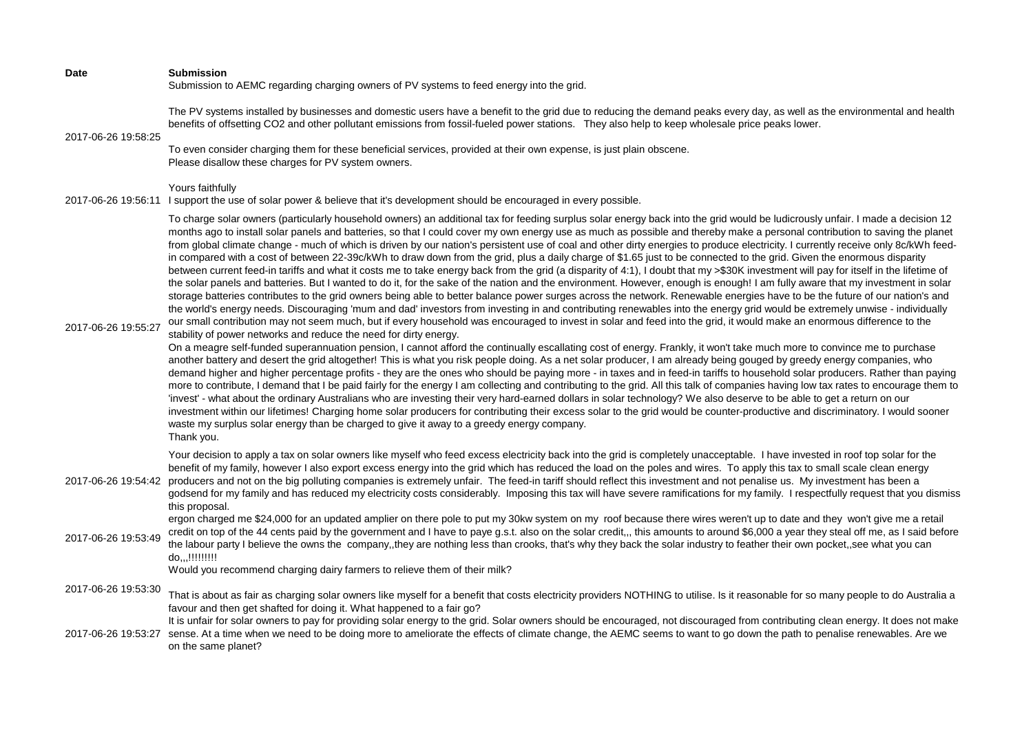| <b>Date</b>         | <b>Submission</b><br>Submission to AEMC regarding charging owners of PV systems to feed energy into the grid.                                                                                                                                                                                                                                                                                                                                                                                                                                                                                                                                                                                                                                                                                                                                                                                                                                                                                                                                                                                                                                                                                                                                                                                                                                                                                                                                                                                                                                                                                                                                                                                                                                                                                                                                                                                                                                                                                                                                                                                                                                                                                                                                                                                                                                                                                                                                                                                                                                                                                                                                                                                                                                                                                                                                                                                                           |
|---------------------|-------------------------------------------------------------------------------------------------------------------------------------------------------------------------------------------------------------------------------------------------------------------------------------------------------------------------------------------------------------------------------------------------------------------------------------------------------------------------------------------------------------------------------------------------------------------------------------------------------------------------------------------------------------------------------------------------------------------------------------------------------------------------------------------------------------------------------------------------------------------------------------------------------------------------------------------------------------------------------------------------------------------------------------------------------------------------------------------------------------------------------------------------------------------------------------------------------------------------------------------------------------------------------------------------------------------------------------------------------------------------------------------------------------------------------------------------------------------------------------------------------------------------------------------------------------------------------------------------------------------------------------------------------------------------------------------------------------------------------------------------------------------------------------------------------------------------------------------------------------------------------------------------------------------------------------------------------------------------------------------------------------------------------------------------------------------------------------------------------------------------------------------------------------------------------------------------------------------------------------------------------------------------------------------------------------------------------------------------------------------------------------------------------------------------------------------------------------------------------------------------------------------------------------------------------------------------------------------------------------------------------------------------------------------------------------------------------------------------------------------------------------------------------------------------------------------------------------------------------------------------------------------------------------------------|
| 2017-06-26 19:58:25 | The PV systems installed by businesses and domestic users have a benefit to the grid due to reducing the demand peaks every day, as well as the environmental and health<br>benefits of offsetting CO2 and other pollutant emissions from fossil-fueled power stations. They also help to keep wholesale price peaks lower.                                                                                                                                                                                                                                                                                                                                                                                                                                                                                                                                                                                                                                                                                                                                                                                                                                                                                                                                                                                                                                                                                                                                                                                                                                                                                                                                                                                                                                                                                                                                                                                                                                                                                                                                                                                                                                                                                                                                                                                                                                                                                                                                                                                                                                                                                                                                                                                                                                                                                                                                                                                             |
|                     | To even consider charging them for these beneficial services, provided at their own expense, is just plain obscene.<br>Please disallow these charges for PV system owners.                                                                                                                                                                                                                                                                                                                                                                                                                                                                                                                                                                                                                                                                                                                                                                                                                                                                                                                                                                                                                                                                                                                                                                                                                                                                                                                                                                                                                                                                                                                                                                                                                                                                                                                                                                                                                                                                                                                                                                                                                                                                                                                                                                                                                                                                                                                                                                                                                                                                                                                                                                                                                                                                                                                                              |
| 2017-06-26 19:56:11 | Yours faithfully<br>I support the use of solar power & believe that it's development should be encouraged in every possible.                                                                                                                                                                                                                                                                                                                                                                                                                                                                                                                                                                                                                                                                                                                                                                                                                                                                                                                                                                                                                                                                                                                                                                                                                                                                                                                                                                                                                                                                                                                                                                                                                                                                                                                                                                                                                                                                                                                                                                                                                                                                                                                                                                                                                                                                                                                                                                                                                                                                                                                                                                                                                                                                                                                                                                                            |
| 2017-06-26 19:55:27 | To charge solar owners (particularly household owners) an additional tax for feeding surplus solar energy back into the grid would be ludicrously unfair. I made a decision 12<br>months ago to install solar panels and batteries, so that I could cover my own energy use as much as possible and thereby make a personal contribution to saving the planet<br>from global climate change - much of which is driven by our nation's persistent use of coal and other dirty energies to produce electricity. I currently receive only 8c/kWh feed-<br>in compared with a cost of between 22-39c/kWh to draw down from the grid, plus a daily charge of \$1.65 just to be connected to the grid. Given the enormous disparity<br>between current feed-in tariffs and what it costs me to take energy back from the grid (a disparity of 4:1), I doubt that my >\$30K investment will pay for itself in the lifetime of<br>the solar panels and batteries. But I wanted to do it, for the sake of the nation and the environment. However, enough is enough! I am fully aware that my investment in solar<br>storage batteries contributes to the grid owners being able to better balance power surges across the network. Renewable energies have to be the future of our nation's and<br>the world's energy needs. Discouraging 'mum and dad' investors from investing in and contributing renewables into the energy grid would be extremely unwise - individually<br>our small contribution may not seem much, but if every household was encouraged to invest in solar and feed into the grid, it would make an enormous difference to the<br>stability of power networks and reduce the need for dirty energy.<br>On a meagre self-funded superannuation pension, I cannot afford the continually escallating cost of energy. Frankly, it won't take much more to convince me to purchase<br>another battery and desert the grid altogether! This is what you risk people doing. As a net solar producer, I am already being gouged by greedy energy companies, who<br>demand higher and higher percentage profits - they are the ones who should be paying more - in taxes and in feed-in tariffs to household solar producers. Rather than paying<br>more to contribute, I demand that I be paid fairly for the energy I am collecting and contributing to the grid. All this talk of companies having low tax rates to encourage them to<br>'invest' - what about the ordinary Australians who are investing their very hard-earned dollars in solar technology? We also deserve to be able to get a return on our<br>investment within our lifetimes! Charging home solar producers for contributing their excess solar to the grid would be counter-productive and discriminatory. I would sooner<br>waste my surplus solar energy than be charged to give it away to a greedy energy company.<br>Thank you. |
| 2017-06-26 19:54:42 | Your decision to apply a tax on solar owners like myself who feed excess electricity back into the grid is completely unacceptable. I have invested in roof top solar for the<br>benefit of my family, however I also export excess energy into the grid which has reduced the load on the poles and wires. To apply this tax to small scale clean energy<br>producers and not on the big polluting companies is extremely unfair. The feed-in tariff should reflect this investment and not penalise us. My investment has been a<br>godsend for my family and has reduced my electricity costs considerably. Imposing this tax will have severe ramifications for my family. I respectfully request that you dismiss<br>this proposal.                                                                                                                                                                                                                                                                                                                                                                                                                                                                                                                                                                                                                                                                                                                                                                                                                                                                                                                                                                                                                                                                                                                                                                                                                                                                                                                                                                                                                                                                                                                                                                                                                                                                                                                                                                                                                                                                                                                                                                                                                                                                                                                                                                                |
| 2017-06-26 19:53:49 | ergon charged me \$24,000 for an updated amplier on there pole to put my 30kw system on my roof because there wires weren't up to date and they won't give me a retail<br>credit on top of the 44 cents paid by the government and I have to paye g.s.t. also on the solar credit,,, this amounts to around \$6,000 a year they steal off me, as I said before<br>the labour party I believe the owns the company, they are nothing less than crooks, that's why they back the solar industry to feather their own pocket, see what you can<br>do,,,!!!!!!!!!<br>Would you recommend charging dairy farmers to relieve them of their milk?                                                                                                                                                                                                                                                                                                                                                                                                                                                                                                                                                                                                                                                                                                                                                                                                                                                                                                                                                                                                                                                                                                                                                                                                                                                                                                                                                                                                                                                                                                                                                                                                                                                                                                                                                                                                                                                                                                                                                                                                                                                                                                                                                                                                                                                                              |
| 2017-06-26 19:53:30 | That is about as fair as charging solar owners like myself for a benefit that costs electricity providers NOTHING to utilise. Is it reasonable for so many people to do Australia a<br>favour and then get shafted for doing it. What happened to a fair go?                                                                                                                                                                                                                                                                                                                                                                                                                                                                                                                                                                                                                                                                                                                                                                                                                                                                                                                                                                                                                                                                                                                                                                                                                                                                                                                                                                                                                                                                                                                                                                                                                                                                                                                                                                                                                                                                                                                                                                                                                                                                                                                                                                                                                                                                                                                                                                                                                                                                                                                                                                                                                                                            |
| 2017-06-26 19:53:27 | It is unfair for solar owners to pay for providing solar energy to the grid. Solar owners should be encouraged, not discouraged from contributing clean energy. It does not make<br>sense. At a time when we need to be doing more to ameliorate the effects of climate change, the AEMC seems to want to go down the path to penalise renewables. Are we<br>on the same planet?                                                                                                                                                                                                                                                                                                                                                                                                                                                                                                                                                                                                                                                                                                                                                                                                                                                                                                                                                                                                                                                                                                                                                                                                                                                                                                                                                                                                                                                                                                                                                                                                                                                                                                                                                                                                                                                                                                                                                                                                                                                                                                                                                                                                                                                                                                                                                                                                                                                                                                                                        |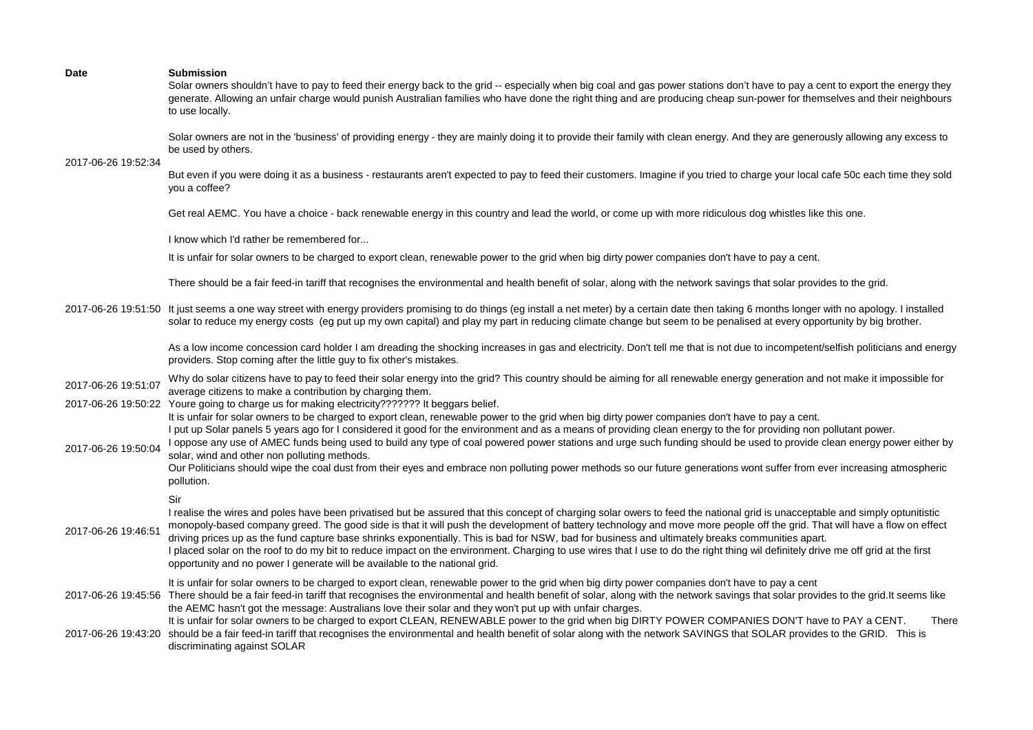| Date | <b>Submission</b> |
|------|-------------------|
|      |                   |

Solar owners shouldn't have to pay to feed their energy back to the grid -- especially when big coal and gas power stations don't have to pay a cent to export the energy they generate. Allowing an unfair charge would punish Australian families who have done the right thing and are producing cheap sun-power for themselves and their neighbours to use locally.

Solar owners are not in the 'business' of providing energy - they are mainly doing it to provide their family with clean energy. And they are generously allowing any excess to be used by others.

2017-06-26 19:52:34

But even if you were doing it as a business - restaurants aren't expected to pay to feed their customers. Imagine if you tried to charge your local cafe 50c each time they sold you a coffee?

Get real AEMC. You have a choice - back renewable energy in this country and lead the world, or come up with more ridiculous dog whistles like this one.

I know which I'd rather be remembered for...

It is unfair for solar owners to be charged to export clean, renewable power to the grid when big dirty power companies don't have to pay a cent.

There should be a fair feed-in tariff that recognises the environmental and health benefit of solar, along with the network savings that solar provides to the grid.

2017-06-26 19:51:50 It just seems a one way street with energy providers promising to do things (eg install a net meter) by a certain date then taking 6 months longer with no apology. I installed solar to reduce my energy costs (eg put up my own capital) and play my part in reducing climate change but seem to be penalised at every opportunity by big brother.

> As a low income concession card holder I am dreading the shocking increases in gas and electricity. Don't tell me that is not due to incompetent/selfish politicians and energy providers. Stop coming after the little guy to fix other's mistakes.

2017-06-26 19:51:07 Why do solar citizens have to pay to feed their solar energy into the grid? This country should be aiming for all renewable energy generation and not make it impossible for average citizens to make a contribution by charging them.

2017-06-26 19:50:22 Youre going to charge us for making electricity??????? It beggars belief.

It is unfair for solar owners to be charged to export clean, renewable power to the grid when big dirty power companies don't have to pay a cent.

I put up Solar panels 5 years ago for I considered it good for the environment and as a means of providing clean energy to the for providing non pollutant power.

2017-06-26 19:50:04 I oppose any use of AMEC funds being used to build any type of coal powered power stations and urge such funding should be used to provide clean energy power either by solar, wind and other non polluting methods.

Our Politicians should wipe the coal dust from their eyes and embrace non polluting power methods so our future generations wont suffer from ever increasing atmospheric pollution.

Sir

2017-06-26 19:46:51 I realise the wires and poles have been privatised but be assured that this concept of charging solar owers to feed the national grid is unacceptable and simply optunitistic monopoly-based company greed. The good side is that it will push the development of battery technology and move more people off the grid. That will have a flow on effect driving prices up as the fund capture base shrinks exponentially. This is bad for NSW, bad for business and ultimately breaks communities apart. I placed solar on the roof to do my bit to reduce impact on the environment. Charging to use wires that I use to do the right thing wil definitely drive me off grid at the first opportunity and no power I generate will be available to the national grid.

It is unfair for solar owners to be charged to export clean, renewable power to the grid when big dirty power companies don't have to pay a cent

2017-06-26 19:45:56 There should be a fair feed-in tariff that recognises the environmental and health benefit of solar, along with the network savings that solar provides to the grid.It seems like the AEMC hasn't got the message: Australians love their solar and they won't put up with unfair charges.

2017-06-26 19:43:20 should be a fair feed-in tariff that recognises the environmental and health benefit of solar along with the network SAVINGS that SOLAR provides to the GRID. This is It is unfair for solar owners to be charged to export CLEAN, RENEWABLE power to the grid when big DIRTY POWER COMPANIES DON'T have to PAY a CENT. There

discriminating against SOLAR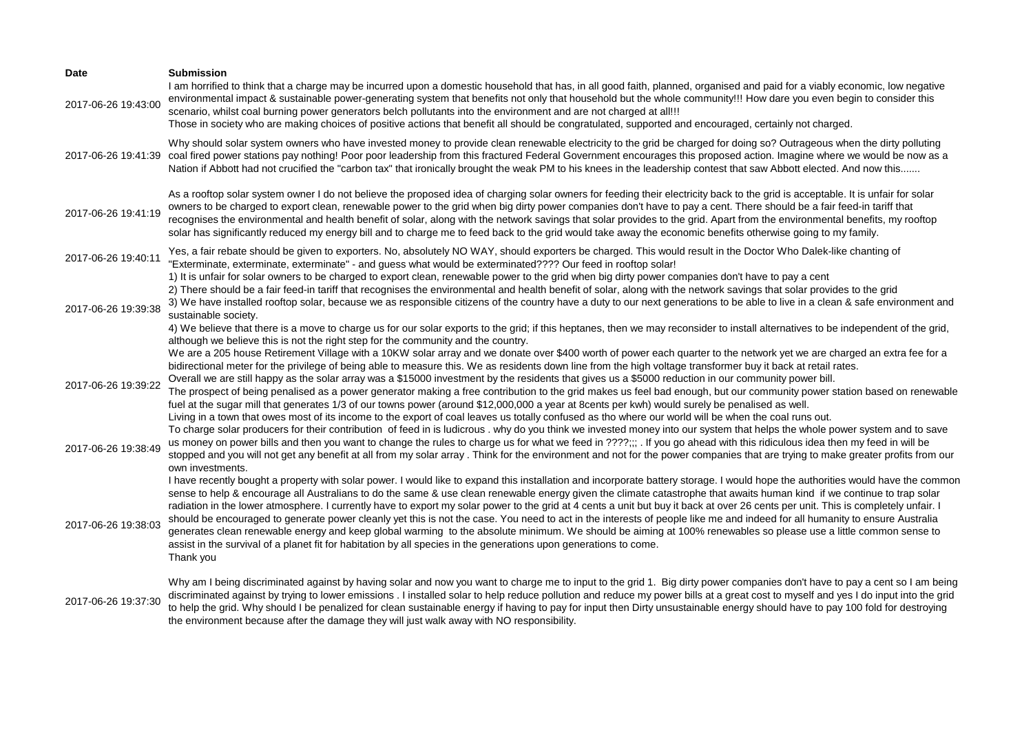| Date                | <b>Submission</b><br>I am horrified to think that a charge may be incurred upon a domestic household that has, in all good faith, planned, organised and paid for a viably economic, low negative                                                                                                                                                                                                                                                                                                                                                                                                                                                                                                                                                                                                                                                                                                                                                                                                                                                                             |
|---------------------|-------------------------------------------------------------------------------------------------------------------------------------------------------------------------------------------------------------------------------------------------------------------------------------------------------------------------------------------------------------------------------------------------------------------------------------------------------------------------------------------------------------------------------------------------------------------------------------------------------------------------------------------------------------------------------------------------------------------------------------------------------------------------------------------------------------------------------------------------------------------------------------------------------------------------------------------------------------------------------------------------------------------------------------------------------------------------------|
| 2017-06-26 19:43:00 | environmental impact & sustainable power-generating system that benefits not only that household but the whole community!!! How dare you even begin to consider this<br>scenario, whilst coal burning power generators belch pollutants into the environment and are not charged at all!!!<br>Those in society who are making choices of positive actions that benefit all should be congratulated, supported and encouraged, certainly not charged.                                                                                                                                                                                                                                                                                                                                                                                                                                                                                                                                                                                                                          |
|                     | Why should solar system owners who have invested money to provide clean renewable electricity to the grid be charged for doing so? Outrageous when the dirty polluting<br>2017-06-26 19:41:39 coal fired power stations pay nothing! Poor poor leadership from this fractured Federal Government encourages this proposed action. Imagine where we would be now as a<br>Nation if Abbott had not crucified the "carbon tax" that ironically brought the weak PM to his knees in the leadership contest that saw Abbott elected. And now this                                                                                                                                                                                                                                                                                                                                                                                                                                                                                                                                  |
| 2017-06-26 19:41:19 | As a rooftop solar system owner I do not believe the proposed idea of charging solar owners for feeding their electricity back to the grid is acceptable. It is unfair for solar<br>owners to be charged to export clean, renewable power to the grid when big dirty power companies don't have to pay a cent. There should be a fair feed-in tariff that<br>recognises the environmental and health benefit of solar, along with the network savings that solar provides to the grid. Apart from the environmental benefits, my rooftop<br>solar has significantly reduced my energy bill and to charge me to feed back to the grid would take away the economic benefits otherwise going to my family.                                                                                                                                                                                                                                                                                                                                                                      |
| 2017-06-26 19:40:11 | Yes, a fair rebate should be given to exporters. No, absolutely NO WAY, should exporters be charged. This would result in the Doctor Who Dalek-like chanting of<br>"Exterminate, exterminate, exterminate" - and guess what would be exterminated???? Our feed in rooftop solar!                                                                                                                                                                                                                                                                                                                                                                                                                                                                                                                                                                                                                                                                                                                                                                                              |
| 2017-06-26 19:39:38 | 1) It is unfair for solar owners to be charged to export clean, renewable power to the grid when big dirty power companies don't have to pay a cent<br>2) There should be a fair feed-in tariff that recognises the environmental and health benefit of solar, along with the network savings that solar provides to the grid<br>3) We have installed rooftop solar, because we as responsible citizens of the country have a duty to our next generations to be able to live in a clean & safe environment and<br>sustainable society.<br>4) We believe that there is a move to charge us for our solar exports to the grid; if this heptanes, then we may reconsider to install alternatives to be independent of the grid,                                                                                                                                                                                                                                                                                                                                                 |
| 2017-06-26 19:39:22 | although we believe this is not the right step for the community and the country.<br>We are a 205 house Retirement Village with a 10KW solar array and we donate over \$400 worth of power each quarter to the network yet we are charged an extra fee for a<br>bidirectional meter for the privilege of being able to measure this. We as residents down line from the high voltage transformer buy it back at retail rates.<br>Overall we are still happy as the solar array was a \$15000 investment by the residents that gives us a \$5000 reduction in our community power bill.<br>The prospect of being penalised as a power generator making a free contribution to the grid makes us feel bad enough, but our community power station based on renewable<br>fuel at the sugar mill that generates 1/3 of our towns power (around \$12,000,000 a year at 8cents per kwh) would surely be penalised as well.<br>Living in a town that owes most of its income to the export of coal leaves us totally confused as tho where our world will be when the coal runs out. |
| 2017-06-26 19:38:49 | To charge solar producers for their contribution of feed in is ludicrous . why do you think we invested money into our system that helps the whole power system and to save<br>us money on power bills and then you want to change the rules to charge us for what we feed in ????;;; . If you go ahead with this ridiculous idea then my feed in will be<br>stopped and you will not get any benefit at all from my solar array. Think for the environment and not for the power companies that are trying to make greater profits from our<br>own investments.                                                                                                                                                                                                                                                                                                                                                                                                                                                                                                              |
| 2017-06-26 19:38:03 | I have recently bought a property with solar power. I would like to expand this installation and incorporate battery storage. I would hope the authorities would have the common<br>sense to help & encourage all Australians to do the same & use clean renewable energy given the climate catastrophe that awaits human kind if we continue to trap solar<br>radiation in the lower atmosphere. I currently have to export my solar power to the grid at 4 cents a unit but buy it back at over 26 cents per unit. This is completely unfair. I<br>should be encouraged to generate power cleanly yet this is not the case. You need to act in the interests of people like me and indeed for all humanity to ensure Australia<br>generates clean renewable energy and keep global warming to the absolute minimum. We should be aiming at 100% renewables so please use a little common sense to<br>assist in the survival of a planet fit for habitation by all species in the generations upon generations to come.<br>Thank you                                         |
| 2017-06-26 19:37:30 | Why am I being discriminated against by having solar and now you want to charge me to input to the grid 1. Big dirty power companies don't have to pay a cent so I am being<br>discriminated against by trying to lower emissions. I installed solar to help reduce pollution and reduce my power bills at a great cost to myself and yes I do input into the grid<br>to help the grid. Why should I be penalized for clean sustainable energy if having to pay for input then Dirty unsustainable energy should have to pay 100 fold for destroying<br>the environment because after the damage they will just walk away with NO responsibility.                                                                                                                                                                                                                                                                                                                                                                                                                             |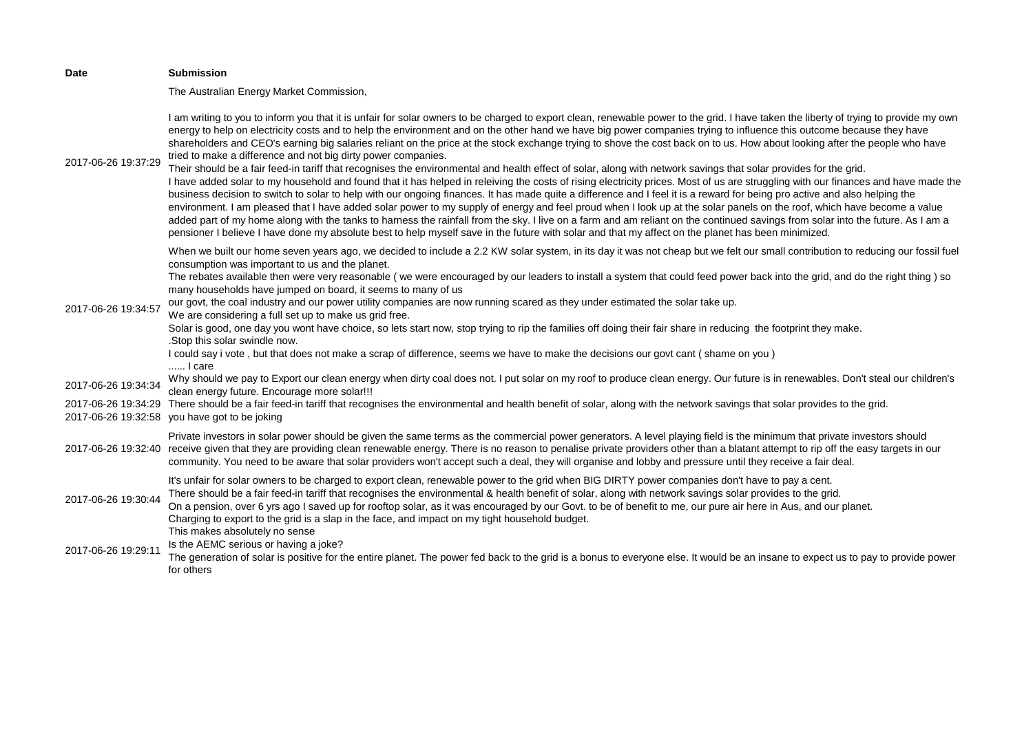| Date                | <b>Submission</b>                                                                                                                                                                                                                                                                                                                                                                                                                                                                                                                                                                                                                                                                                                                                                                                                                                                                                                                                                                                                                                                                                                                                                                                                                                                                                                                                                                                                                                                                                                                                                                                                                                                        |
|---------------------|--------------------------------------------------------------------------------------------------------------------------------------------------------------------------------------------------------------------------------------------------------------------------------------------------------------------------------------------------------------------------------------------------------------------------------------------------------------------------------------------------------------------------------------------------------------------------------------------------------------------------------------------------------------------------------------------------------------------------------------------------------------------------------------------------------------------------------------------------------------------------------------------------------------------------------------------------------------------------------------------------------------------------------------------------------------------------------------------------------------------------------------------------------------------------------------------------------------------------------------------------------------------------------------------------------------------------------------------------------------------------------------------------------------------------------------------------------------------------------------------------------------------------------------------------------------------------------------------------------------------------------------------------------------------------|
|                     | The Australian Energy Market Commission,                                                                                                                                                                                                                                                                                                                                                                                                                                                                                                                                                                                                                                                                                                                                                                                                                                                                                                                                                                                                                                                                                                                                                                                                                                                                                                                                                                                                                                                                                                                                                                                                                                 |
| 2017-06-26 19:37:29 | I am writing to you to inform you that it is unfair for solar owners to be charged to export clean, renewable power to the grid. I have taken the liberty of trying to provide my own<br>energy to help on electricity costs and to help the environment and on the other hand we have big power companies trying to influence this outcome because they have<br>shareholders and CEO's earning big salaries reliant on the price at the stock exchange trying to shove the cost back on to us. How about looking after the people who have<br>tried to make a difference and not big dirty power companies.<br>Their should be a fair feed-in tariff that recognises the environmental and health effect of solar, along with network savings that solar provides for the grid.<br>I have added solar to my household and found that it has helped in releiving the costs of rising electricity prices. Most of us are struggling with our finances and have made the<br>business decision to switch to solar to help with our ongoing finances. It has made quite a difference and I feel it is a reward for being pro active and also helping the<br>environment. I am pleased that I have added solar power to my supply of energy and feel proud when I look up at the solar panels on the roof, which have become a value<br>added part of my home along with the tanks to harness the rainfall from the sky. I live on a farm and am reliant on the continued savings from solar into the future. As I am a<br>pensioner I believe I have done my absolute best to help myself save in the future with solar and that my affect on the planet has been minimized. |
| 2017-06-26 19:34:57 | When we built our home seven years ago, we decided to include a 2.2 KW solar system, in its day it was not cheap but we felt our small contribution to reducing our fossil fuel<br>consumption was important to us and the planet.<br>The rebates available then were very reasonable (we were encouraged by our leaders to install a system that could feed power back into the grid, and do the right thing) so<br>many households have jumped on board, it seems to many of us<br>our govt, the coal industry and our power utility companies are now running scared as they under estimated the solar take up.<br>We are considering a full set up to make us grid free.<br>Solar is good, one day you wont have choice, so lets start now, stop trying to rip the families off doing their fair share in reducing the footprint they make.<br>.Stop this solar swindle now.<br>I could say i vote, but that does not make a scrap of difference, seems we have to make the decisions our govt cant (shame on you)<br>I care                                                                                                                                                                                                                                                                                                                                                                                                                                                                                                                                                                                                                                         |
| 2017-06-26 19:34:34 | Why should we pay to Export our clean energy when dirty coal does not. I put solar on my roof to produce clean energy. Our future is in renewables. Don't steal our children's<br>clean energy future. Encourage more solar!!!                                                                                                                                                                                                                                                                                                                                                                                                                                                                                                                                                                                                                                                                                                                                                                                                                                                                                                                                                                                                                                                                                                                                                                                                                                                                                                                                                                                                                                           |
|                     | 2017-06-26 19:34:29 There should be a fair feed-in tariff that recognises the environmental and health benefit of solar, along with the network savings that solar provides to the grid.<br>2017-06-26 19:32:58 you have got to be joking                                                                                                                                                                                                                                                                                                                                                                                                                                                                                                                                                                                                                                                                                                                                                                                                                                                                                                                                                                                                                                                                                                                                                                                                                                                                                                                                                                                                                                |
|                     | Private investors in solar power should be given the same terms as the commercial power generators. A level playing field is the minimum that private investors should<br>2017-06-26 19:32:40 receive given that they are providing clean renewable energy. There is no reason to penalise private providers other than a blatant attempt to rip off the easy targets in our<br>community. You need to be aware that solar providers won't accept such a deal, they will organise and lobby and pressure until they receive a fair deal.                                                                                                                                                                                                                                                                                                                                                                                                                                                                                                                                                                                                                                                                                                                                                                                                                                                                                                                                                                                                                                                                                                                                 |
| 2017-06-26 19:30:44 | It's unfair for solar owners to be charged to export clean, renewable power to the grid when BIG DIRTY power companies don't have to pay a cent.<br>There should be a fair feed-in tariff that recognises the environmental & health benefit of solar, along with network savings solar provides to the grid.<br>On a pension, over 6 yrs ago I saved up for rooftop solar, as it was encouraged by our Govt. to be of benefit to me, our pure air here in Aus, and our planet.<br>Charging to export to the grid is a slap in the face, and impact on my tight household budget.<br>This makes absolutely no sense                                                                                                                                                                                                                                                                                                                                                                                                                                                                                                                                                                                                                                                                                                                                                                                                                                                                                                                                                                                                                                                      |
| 2017-06-26 19:29:11 | Is the AEMC serious or having a joke?<br>The generation of solar is positive for the entire planet. The power fed back to the grid is a bonus to everyone else. It would be an insane to expect us to pay to provide power<br>for others                                                                                                                                                                                                                                                                                                                                                                                                                                                                                                                                                                                                                                                                                                                                                                                                                                                                                                                                                                                                                                                                                                                                                                                                                                                                                                                                                                                                                                 |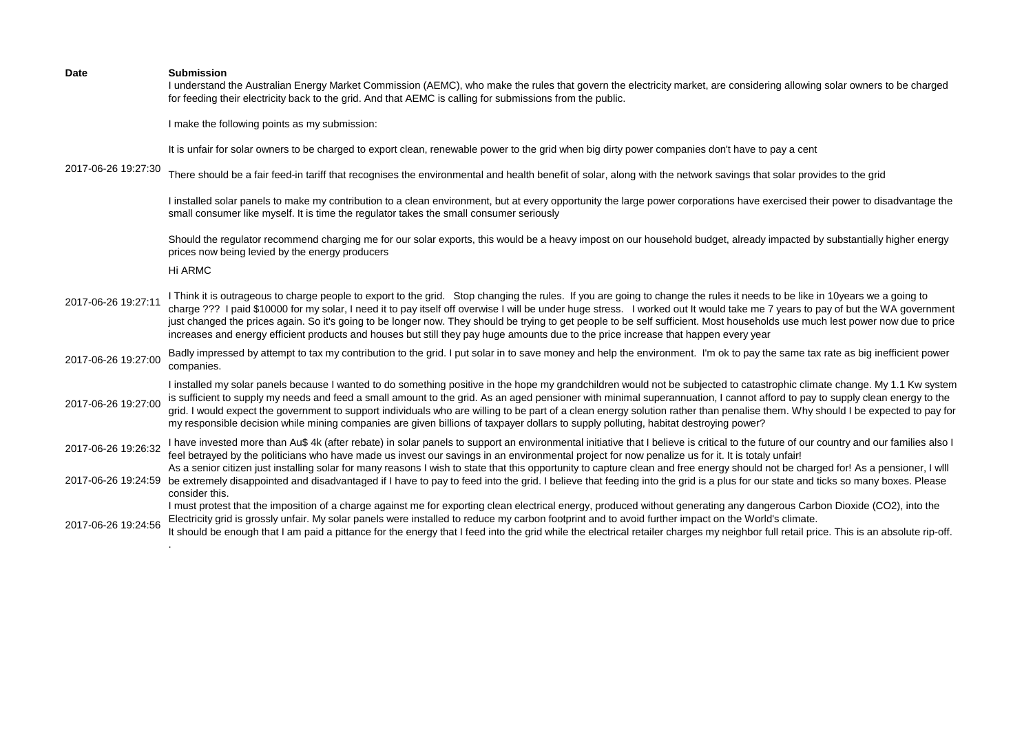I understand the Australian Energy Market Commission (AEMC), who make the rules that govern the electricity market, are considering allowing solar owners to be charged for feeding their electricity back to the grid. And that AEMC is calling for submissions from the public.

I make the following points as my submission:

It is unfair for solar owners to be charged to export clean, renewable power to the grid when big dirty power companies don't have to pay a cent

2017-06-26 19:27:30

There should be a fair feed-in tariff that recognises the environmental and health benefit of solar, along with the network savings that solar provides to the grid

I installed solar panels to make my contribution to a clean environment, but at every opportunity the large power corporations have exercised their power to disadvantage the small consumer like myself. It is time the regulator takes the small consumer seriously

Should the regulator recommend charging me for our solar exports, this would be a heavy impost on our household budget, already impacted by substantially higher energy prices now being levied by the energy producers

Hi ARMC

.

- 2017-06-26 19:27:11 I Think it is outrageous to charge people to export to the grid. Stop changing the rules. If you are going to change the rules it needs to be like in 10years we a going to charge ??? I paid \$10000 for my solar, I need it to pay itself off overwise I will be under huge stress. I worked out It would take me 7 years to pay of but the WA government just changed the prices again. So it's going to be longer now. They should be trying to get people to be self sufficient. Most households use much lest power now due to price increases and energy efficient products and houses but still they pay huge amounts due to the price increase that happen every year
- 2017-06-26 19:27:00 Badly impressed by attempt to tax my contribution to the grid. I put solar in to save money and help the environment. I'm ok to pay the same tax rate as big inefficient power companies.

2017-06-26 19:27:00 I installed my solar panels because I wanted to do something positive in the hope my grandchildren would not be subjected to catastrophic climate change. My 1.1 Kw system is sufficient to supply my needs and feed a small amount to the grid. As an aged pensioner with minimal superannuation, I cannot afford to pay to supply clean energy to the grid. I would expect the government to support individuals who are willing to be part of a clean energy solution rather than penalise them. Why should I be expected to pay for my responsible decision while mining companies are given billions of taxpayer dollars to supply polluting, habitat destroying power?

2017-06-26 19:26:32 I have invested more than Au\$ 4k (after rebate) in solar panels to support an environmental initiative that I believe is critical to the future of our country and our families also I feel betrayed by the politicians who have made us invest our savings in an environmental project for now penalize us for it. It is totaly unfair!

2017-06-26 19:24:59 be extremely disappointed and disadvantaged if I have to pay to feed into the grid. I believe that feeding into the grid is a plus for our state and ticks so many boxes. Please As a senior citizen just installing solar for many reasons I wish to state that this opportunity to capture clean and free energy should not be charged for! As a pensioner, I will consider this.

I must protest that the imposition of a charge against me for exporting clean electrical energy, produced without generating any dangerous Carbon Dioxide (CO2), into the Electricity grid is grossly unfair. My solar panels were installed to reduce my carbon footprint and to avoid further impact on the World's climate.

2017-06-26 19:24:56 It should be enough that I am paid a pittance for the energy that I feed into the grid while the electrical retailer charges my neighbor full retail price. This is an absolute rip-off.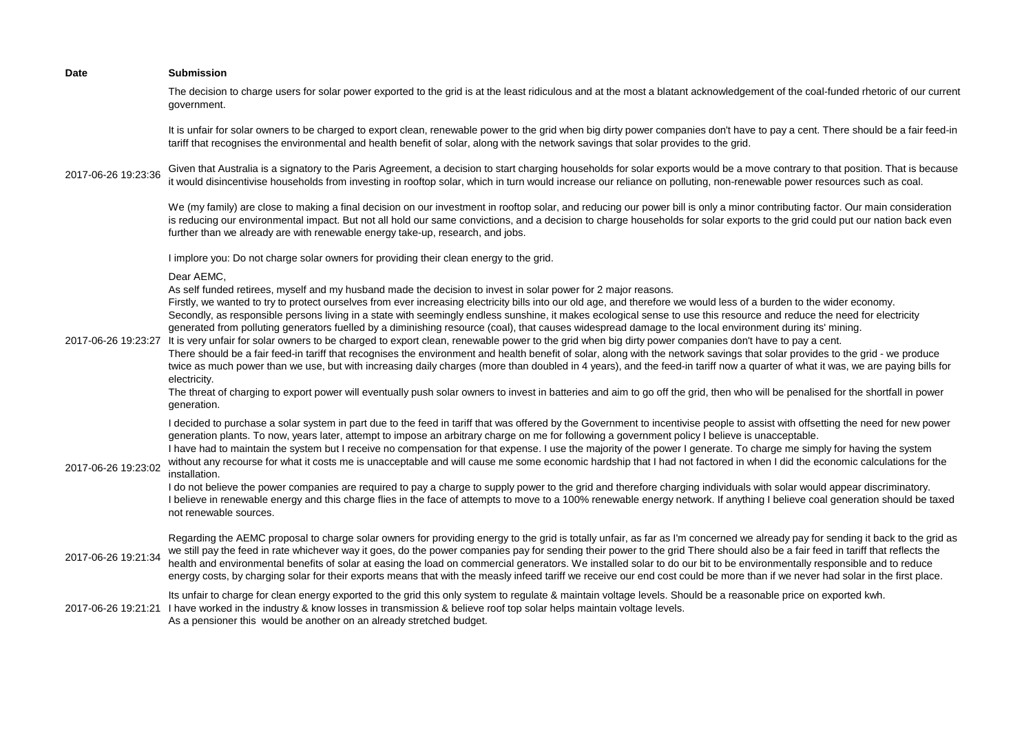| <b>Date</b>         | <b>Submission</b>                                                                                                                                                                                                                                                                                                                                                                                                                                                                                                                                                                                                                                                                                                                                                                                                                                                                                                                                                                                                                                                                                                                                                                                                                                                                                                                                                                              |
|---------------------|------------------------------------------------------------------------------------------------------------------------------------------------------------------------------------------------------------------------------------------------------------------------------------------------------------------------------------------------------------------------------------------------------------------------------------------------------------------------------------------------------------------------------------------------------------------------------------------------------------------------------------------------------------------------------------------------------------------------------------------------------------------------------------------------------------------------------------------------------------------------------------------------------------------------------------------------------------------------------------------------------------------------------------------------------------------------------------------------------------------------------------------------------------------------------------------------------------------------------------------------------------------------------------------------------------------------------------------------------------------------------------------------|
|                     | The decision to charge users for solar power exported to the grid is at the least ridiculous and at the most a blatant acknowledgement of the coal-funded rhetoric of our current<br>government.                                                                                                                                                                                                                                                                                                                                                                                                                                                                                                                                                                                                                                                                                                                                                                                                                                                                                                                                                                                                                                                                                                                                                                                               |
|                     | It is unfair for solar owners to be charged to export clean, renewable power to the grid when big dirty power companies don't have to pay a cent. There should be a fair feed-in<br>tariff that recognises the environmental and health benefit of solar, along with the network savings that solar provides to the grid.                                                                                                                                                                                                                                                                                                                                                                                                                                                                                                                                                                                                                                                                                                                                                                                                                                                                                                                                                                                                                                                                      |
| 2017-06-26 19:23:36 | Given that Australia is a signatory to the Paris Agreement, a decision to start charging households for solar exports would be a move contrary to that position. That is because<br>it would disincentivise households from investing in rooftop solar, which in turn would increase our reliance on polluting, non-renewable power resources such as coal.                                                                                                                                                                                                                                                                                                                                                                                                                                                                                                                                                                                                                                                                                                                                                                                                                                                                                                                                                                                                                                    |
|                     | We (my family) are close to making a final decision on our investment in rooftop solar, and reducing our power bill is only a minor contributing factor. Our main consideration<br>is reducing our environmental impact. But not all hold our same convictions, and a decision to charge households for solar exports to the grid could put our nation back even<br>further than we already are with renewable energy take-up, research, and jobs.                                                                                                                                                                                                                                                                                                                                                                                                                                                                                                                                                                                                                                                                                                                                                                                                                                                                                                                                             |
|                     | I implore you: Do not charge solar owners for providing their clean energy to the grid.                                                                                                                                                                                                                                                                                                                                                                                                                                                                                                                                                                                                                                                                                                                                                                                                                                                                                                                                                                                                                                                                                                                                                                                                                                                                                                        |
| 2017-06-26 19:23:27 | Dear AEMC,<br>As self funded retirees, myself and my husband made the decision to invest in solar power for 2 major reasons.<br>Firstly, we wanted to try to protect ourselves from ever increasing electricity bills into our old age, and therefore we would less of a burden to the wider economy.<br>Secondly, as responsible persons living in a state with seemingly endless sunshine, it makes ecological sense to use this resource and reduce the need for electricity<br>generated from polluting generators fuelled by a diminishing resource (coal), that causes widespread damage to the local environment during its' mining.<br>It is very unfair for solar owners to be charged to export clean, renewable power to the grid when big dirty power companies don't have to pay a cent.<br>There should be a fair feed-in tariff that recognises the environment and health benefit of solar, along with the network savings that solar provides to the grid - we produce<br>twice as much power than we use, but with increasing daily charges (more than doubled in 4 years), and the feed-in tariff now a quarter of what it was, we are paying bills for<br>electricity.<br>The threat of charging to export power will eventually push solar owners to invest in batteries and aim to go off the grid, then who will be penalised for the shortfall in power<br>generation. |
| 2017-06-26 19:23:02 | I decided to purchase a solar system in part due to the feed in tariff that was offered by the Government to incentivise people to assist with offsetting the need for new power<br>generation plants. To now, years later, attempt to impose an arbitrary charge on me for following a government policy I believe is unacceptable.<br>I have had to maintain the system but I receive no compensation for that expense. I use the majority of the power I generate. To charge me simply for having the system<br>without any recourse for what it costs me is unacceptable and will cause me some economic hardship that I had not factored in when I did the economic calculations for the<br>installation.<br>I do not believe the power companies are required to pay a charge to supply power to the grid and therefore charging individuals with solar would appear discriminatory.<br>I believe in renewable energy and this charge flies in the face of attempts to move to a 100% renewable energy network. If anything I believe coal generation should be taxed<br>not renewable sources.                                                                                                                                                                                                                                                                                          |
| 2017-06-26 19:21:34 | Regarding the AEMC proposal to charge solar owners for providing energy to the grid is totally unfair, as far as I'm concerned we already pay for sending it back to the grid as<br>we still pay the feed in rate whichever way it goes, do the power companies pay for sending their power to the grid There should also be a fair feed in tariff that reflects the<br>health and environmental benefits of solar at easing the load on commercial generators. We installed solar to do our bit to be environmentally responsible and to reduce<br>energy costs, by charging solar for their exports means that with the measly infeed tariff we receive our end cost could be more than if we never had solar in the first place.                                                                                                                                                                                                                                                                                                                                                                                                                                                                                                                                                                                                                                                            |
| 2017-06-26 19:21:21 | Its unfair to charge for clean energy exported to the grid this only system to regulate & maintain voltage levels. Should be a reasonable price on exported kwh.<br>I have worked in the industry & know losses in transmission & believe roof top solar helps maintain voltage levels.<br>As a pensioner this would be another on an already stretched budget.                                                                                                                                                                                                                                                                                                                                                                                                                                                                                                                                                                                                                                                                                                                                                                                                                                                                                                                                                                                                                                |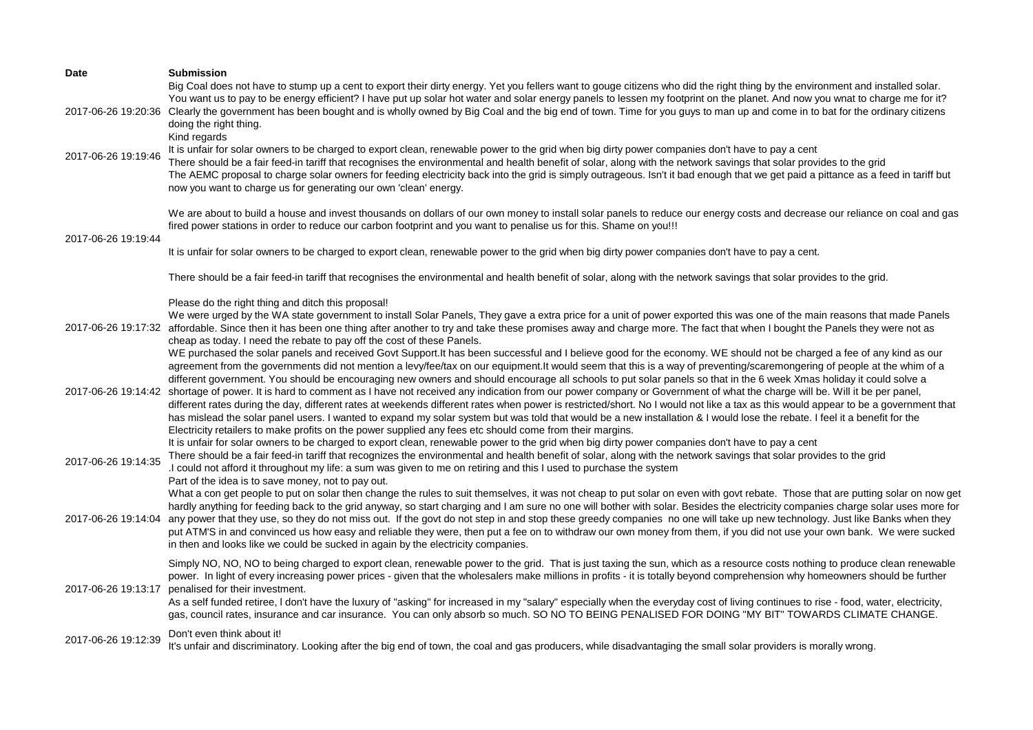| <b>Date</b>         | <b>Submission</b>                                                                                                                                                                                                                                                                                                                                                                                                                                                                                                                                                                                                                                                                                                                                                                                                                                                                                                                                                                                                                                                                                                                                                               |
|---------------------|---------------------------------------------------------------------------------------------------------------------------------------------------------------------------------------------------------------------------------------------------------------------------------------------------------------------------------------------------------------------------------------------------------------------------------------------------------------------------------------------------------------------------------------------------------------------------------------------------------------------------------------------------------------------------------------------------------------------------------------------------------------------------------------------------------------------------------------------------------------------------------------------------------------------------------------------------------------------------------------------------------------------------------------------------------------------------------------------------------------------------------------------------------------------------------|
| 2017-06-26 19:20:36 | Big Coal does not have to stump up a cent to export their dirty energy. Yet you fellers want to gouge citizens who did the right thing by the environment and installed solar.<br>You want us to pay to be energy efficient? I have put up solar hot water and solar energy panels to lessen my footprint on the planet. And now you wnat to charge me for it?<br>Clearly the government has been bought and is wholly owned by Big Coal and the big end of town. Time for you guys to man up and come in to bat for the ordinary citizens<br>doing the right thing.<br>Kind regards                                                                                                                                                                                                                                                                                                                                                                                                                                                                                                                                                                                            |
| 2017-06-26 19:19:46 | It is unfair for solar owners to be charged to export clean, renewable power to the grid when big dirty power companies don't have to pay a cent<br>There should be a fair feed-in tariff that recognises the environmental and health benefit of solar, along with the network savings that solar provides to the grid<br>The AEMC proposal to charge solar owners for feeding electricity back into the grid is simply outrageous. Isn't it bad enough that we get paid a pittance as a feed in tariff but<br>now you want to charge us for generating our own 'clean' energy.                                                                                                                                                                                                                                                                                                                                                                                                                                                                                                                                                                                                |
| 2017-06-26 19:19:44 | We are about to build a house and invest thousands on dollars of our own money to install solar panels to reduce our energy costs and decrease our reliance on coal and gas<br>fired power stations in order to reduce our carbon footprint and you want to penalise us for this. Shame on you!!!                                                                                                                                                                                                                                                                                                                                                                                                                                                                                                                                                                                                                                                                                                                                                                                                                                                                               |
|                     | It is unfair for solar owners to be charged to export clean, renewable power to the grid when big dirty power companies don't have to pay a cent.                                                                                                                                                                                                                                                                                                                                                                                                                                                                                                                                                                                                                                                                                                                                                                                                                                                                                                                                                                                                                               |
|                     | There should be a fair feed-in tariff that recognises the environmental and health benefit of solar, along with the network savings that solar provides to the grid.                                                                                                                                                                                                                                                                                                                                                                                                                                                                                                                                                                                                                                                                                                                                                                                                                                                                                                                                                                                                            |
| 2017-06-26 19:17:32 | Please do the right thing and ditch this proposal!<br>We were urged by the WA state government to install Solar Panels, They gave a extra price for a unit of power exported this was one of the main reasons that made Panels<br>affordable. Since then it has been one thing after another to try and take these promises away and charge more. The fact that when I bought the Panels they were not as<br>cheap as today. I need the rebate to pay off the cost of these Panels.                                                                                                                                                                                                                                                                                                                                                                                                                                                                                                                                                                                                                                                                                             |
| 2017-06-26 19:14:42 | WE purchased the solar panels and received Govt Support.It has been successful and I believe good for the economy. WE should not be charged a fee of any kind as our<br>agreement from the governments did not mention a levy/fee/tax on our equipment.It would seem that this is a way of preventing/scaremongering of people at the whim of a<br>different government. You should be encouraging new owners and should encourage all schools to put solar panels so that in the 6 week Xmas holiday it could solve a<br>shortage of power. It is hard to comment as I have not received any indication from our power company or Government of what the charge will be. Will it be per panel,<br>different rates during the day, different rates at weekends different rates when power is restricted/short. No I would not like a tax as this would appear to be a government that<br>has mislead the solar panel users. I wanted to expand my solar system but was told that would be a new installation & I would lose the rebate. I feel it a benefit for the<br>Electricity retailers to make profits on the power supplied any fees etc should come from their margins. |
| 2017-06-26 19:14:35 | It is unfair for solar owners to be charged to export clean, renewable power to the grid when big dirty power companies don't have to pay a cent<br>There should be a fair feed-in tariff that recognizes the environmental and health benefit of solar, along with the network savings that solar provides to the grid<br>I could not afford it throughout my life: a sum was given to me on retiring and this I used to purchase the system<br>Part of the idea is to save money, not to pay out.                                                                                                                                                                                                                                                                                                                                                                                                                                                                                                                                                                                                                                                                             |
| 2017-06-26 19:14:04 | What a con get people to put on solar then change the rules to suit themselves, it was not cheap to put solar on even with govt rebate. Those that are putting solar on now get<br>hardly anything for feeding back to the grid anyway, so start charging and I am sure no one will bother with solar. Besides the electricity companies charge solar uses more for<br>any power that they use, so they do not miss out. If the govt do not step in and stop these greedy companies no one will take up new technology. Just like Banks when they<br>put ATM'S in and convinced us how easy and reliable they were, then put a fee on to withdraw our own money from them, if you did not use your own bank. We were sucked<br>in then and looks like we could be sucked in again by the electricity companies.                                                                                                                                                                                                                                                                                                                                                                 |
| 2017-06-26 19:13:17 | Simply NO, NO, NO to being charged to export clean, renewable power to the grid. That is just taxing the sun, which as a resource costs nothing to produce clean renewable<br>power. In light of every increasing power prices - given that the wholesalers make millions in profits - it is totally beyond comprehension why homeowners should be further<br>penalised for their investment.<br>As a self funded retiree, I don't have the luxury of "asking" for increased in my "salary" especially when the everyday cost of living continues to rise - food, water, electricity,<br>gas, council rates, insurance and car insurance. You can only absorb so much. SO NO TO BEING PENALISED FOR DOING "MY BIT" TOWARDS CLIMATE CHANGE.                                                                                                                                                                                                                                                                                                                                                                                                                                      |
| 2017-06-26 19:12:39 | Don't even think about it!<br>It's unfair and discriminatory. Looking after the big end of town, the coal and gas producers, while disadvantaging the small solar providers is morally wrong.                                                                                                                                                                                                                                                                                                                                                                                                                                                                                                                                                                                                                                                                                                                                                                                                                                                                                                                                                                                   |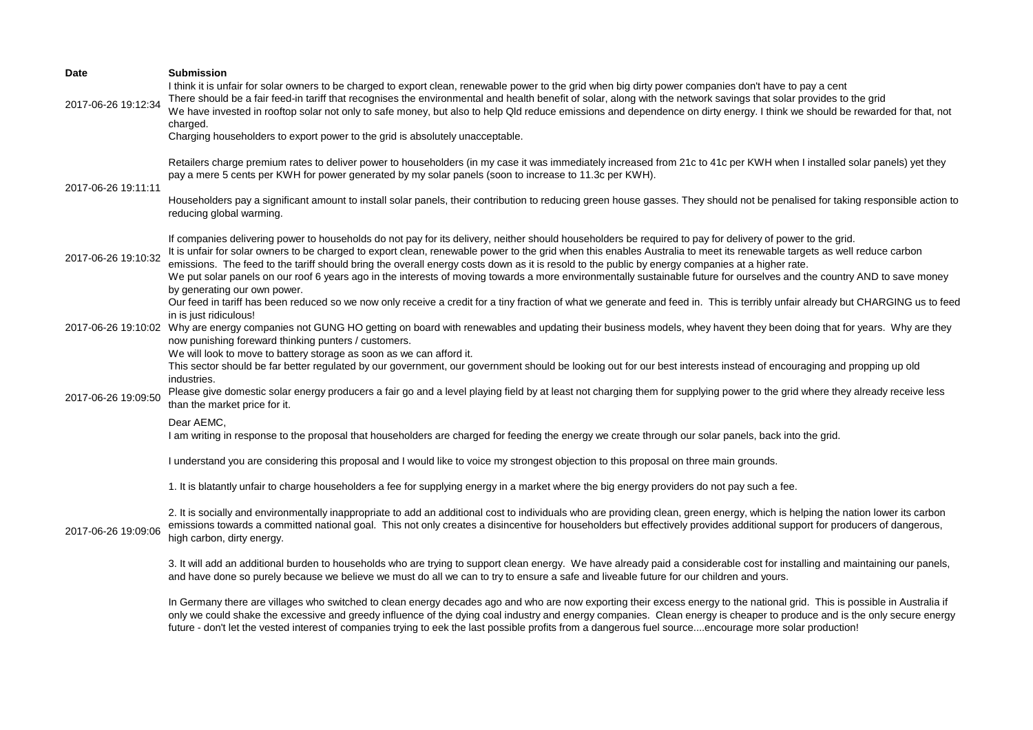| Date                | <b>Submission</b><br>I think it is unfair for solar owners to be charged to export clean, renewable power to the grid when big dirty power companies don't have to pay a cent                                                                                                                                                                                                                                                                                                                                                                                                                                                                                                                          |
|---------------------|--------------------------------------------------------------------------------------------------------------------------------------------------------------------------------------------------------------------------------------------------------------------------------------------------------------------------------------------------------------------------------------------------------------------------------------------------------------------------------------------------------------------------------------------------------------------------------------------------------------------------------------------------------------------------------------------------------|
| 2017-06-26 19:12:34 | There should be a fair feed-in tariff that recognises the environmental and health benefit of solar, along with the network savings that solar provides to the grid<br>We have invested in rooftop solar not only to safe money, but also to help Qld reduce emissions and dependence on dirty energy. I think we should be rewarded for that, not<br>charged.                                                                                                                                                                                                                                                                                                                                         |
|                     | Charging householders to export power to the grid is absolutely unacceptable.                                                                                                                                                                                                                                                                                                                                                                                                                                                                                                                                                                                                                          |
| 2017-06-26 19:11:11 | Retailers charge premium rates to deliver power to householders (in my case it was immediately increased from 21c to 41c per KWH when I installed solar panels) yet they<br>pay a mere 5 cents per KWH for power generated by my solar panels (soon to increase to 11.3c per KWH).                                                                                                                                                                                                                                                                                                                                                                                                                     |
|                     | Householders pay a significant amount to install solar panels, their contribution to reducing green house gasses. They should not be penalised for taking responsible action to<br>reducing global warming.                                                                                                                                                                                                                                                                                                                                                                                                                                                                                            |
| 2017-06-26 19:10:32 | If companies delivering power to households do not pay for its delivery, neither should householders be required to pay for delivery of power to the grid.<br>It is unfair for solar owners to be charged to export clean, renewable power to the grid when this enables Australia to meet its renewable targets as well reduce carbon<br>emissions. The feed to the tariff should bring the overall energy costs down as it is resold to the public by energy companies at a higher rate.<br>We put solar panels on our roof 6 years ago in the interests of moving towards a more environmentally sustainable future for ourselves and the country AND to save money<br>by generating our own power. |
|                     | Our feed in tariff has been reduced so we now only receive a credit for a tiny fraction of what we generate and feed in. This is terribly unfair already but CHARGING us to feed<br>in is just ridiculous!                                                                                                                                                                                                                                                                                                                                                                                                                                                                                             |
| 2017-06-26 19:10:02 | Why are energy companies not GUNG HO getting on board with renewables and updating their business models, whey havent they been doing that for years. Why are they<br>now punishing foreward thinking punters / customers.<br>We will look to move to battery storage as soon as we can afford it.                                                                                                                                                                                                                                                                                                                                                                                                     |
|                     | This sector should be far better regulated by our government, our government should be looking out for our best interests instead of encouraging and propping up old<br>industries.                                                                                                                                                                                                                                                                                                                                                                                                                                                                                                                    |
| 2017-06-26 19:09:50 | Please give domestic solar energy producers a fair go and a level playing field by at least not charging them for supplying power to the grid where they already receive less<br>than the market price for it.                                                                                                                                                                                                                                                                                                                                                                                                                                                                                         |
|                     | Dear AEMC.<br>I am writing in response to the proposal that householders are charged for feeding the energy we create through our solar panels, back into the grid.                                                                                                                                                                                                                                                                                                                                                                                                                                                                                                                                    |
|                     | I understand you are considering this proposal and I would like to voice my strongest objection to this proposal on three main grounds.                                                                                                                                                                                                                                                                                                                                                                                                                                                                                                                                                                |
|                     | 1. It is blatantly unfair to charge householders a fee for supplying energy in a market where the big energy providers do not pay such a fee.                                                                                                                                                                                                                                                                                                                                                                                                                                                                                                                                                          |
| 2017-06-26 19:09:06 | 2. It is socially and environmentally inappropriate to add an additional cost to individuals who are providing clean, green energy, which is helping the nation lower its carbon<br>emissions towards a committed national goal. This not only creates a disincentive for householders but effectively provides additional support for producers of dangerous,<br>high carbon, dirty energy.                                                                                                                                                                                                                                                                                                           |
|                     | 3. It will add an additional burden to households who are trying to support clean energy. We have already paid a considerable cost for installing and maintaining our panels,<br>and have done so purely because we believe we must do all we can to try to ensure a safe and liveable future for our children and yours.                                                                                                                                                                                                                                                                                                                                                                              |
|                     | In Germany there are villages who switched to clean energy decades ago and who are now exporting their excess energy to the national grid. This is possible in Australia if<br>only we could shake the excessive and greedy influence of the dying coal industry and energy companies. Clean energy is cheaper to produce and is the only secure energy<br>future - don't let the vested interest of companies trying to eek the last possible profits from a dangerous fuel sourceencourage more solar production!                                                                                                                                                                                    |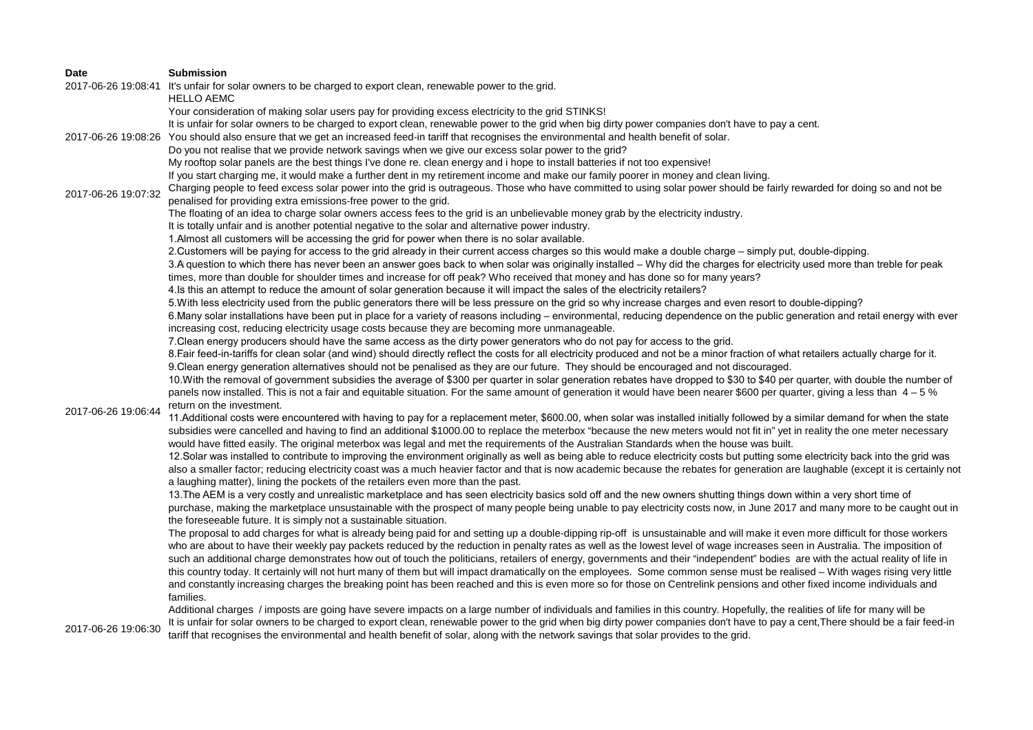| <b>Date</b>         | <b>Submission</b>                                                                                                                                                                       |
|---------------------|-----------------------------------------------------------------------------------------------------------------------------------------------------------------------------------------|
|                     | 2017-06-26 19:08:41 It's unfair for solar owners to be charged to export clean, renewable power to the grid.<br><b>HELLO AEMC</b>                                                       |
|                     | Your consideration of making solar users pay for providing excess electricity to the grid STINKS!                                                                                       |
|                     | It is unfair for solar owners to be charged to export clean, renewable power to the grid when big dirty power companies don't have to pay a cent.                                       |
|                     | 2017-06-26 19:08:26 You should also ensure that we get an increased feed-in tariff that recognises the environmental and health benefit of solar.                                       |
|                     | Do you not realise that we provide network savings when we give our excess solar power to the grid?                                                                                     |
|                     | My rooftop solar panels are the best things I've done re. clean energy and i hope to install batteries if not too expensive!                                                            |
|                     | If you start charging me, it would make a further dent in my retirement income and make our family poorer in money and clean living.                                                    |
|                     | Charging people to feed excess solar power into the grid is outrageous. Those who have committed to using solar power should be fairly rewarded for doing so and not be                 |
| 2017-06-26 19:07:32 | penalised for providing extra emissions-free power to the grid.                                                                                                                         |
|                     | The floating of an idea to charge solar owners access fees to the grid is an unbelievable money grab by the electricity industry.                                                       |
|                     | It is totally unfair and is another potential negative to the solar and alternative power industry.                                                                                     |
|                     | 1. Almost all customers will be accessing the grid for power when there is no solar available.                                                                                          |
|                     | 2. Customers will be paying for access to the grid already in their current access charges so this would make a double charge – simply put, double-dipping.                             |
|                     | 3.A question to which there has never been an answer goes back to when solar was originally installed - Why did the charges for electricity used more than treble for peak              |
|                     | times, more than double for shoulder times and increase for off peak? Who received that money and has done so for many years?                                                           |
|                     | 4. Is this an attempt to reduce the amount of solar generation because it will impact the sales of the electricity retailers?                                                           |
|                     | 5. With less electricity used from the public generators there will be less pressure on the grid so why increase charges and even resort to double-dipping?                             |
|                     | 6. Many solar installations have been put in place for a variety of reasons including - environmental, reducing dependence on the public generation and retail energy with ever         |
|                     | increasing cost, reducing electricity usage costs because they are becoming more unmanageable.                                                                                          |
|                     | 7. Clean energy producers should have the same access as the dirty power generators who do not pay for access to the grid.                                                              |
|                     | 8. Eair feed-in-tariffs for clean solar (and wind) should directly reflect the costs for all electricity produced and not be a minor fraction of what retailers actually charge for it. |
|                     | 9. Clean energy generation alternatives should not be penalised as they are our future. They should be encouraged and not discouraged.                                                  |
|                     | 10. With the removal of government subsidies the average of \$300 per quarter in solar generation rebates have dropped to \$30 to \$40 per quarter, with double the number of           |
|                     | panels now installed. This is not a fair and equitable situation. For the same amount of generation it would have been nearer \$600 per quarter, giving a less than 4 - 5 %             |
|                     | return on the investment.                                                                                                                                                               |
| 2017-06-26 19:06:44 | 11. Additional costs were encountered with having to pay for a replacement meter, \$600.00, when solar was installed initially followed by a similar demand for when the state          |
|                     | subsidies were cancelled and having to find an additional \$1000.00 to replace the meterbox "because the new meters would not fit in" yet in reality the one meter necessary            |
|                     | would have fitted easily. The original meterbox was legal and met the requirements of the Australian Standards when the house was built.                                                |
|                     | 12. Solar was installed to contribute to improving the environment originally as well as being able to reduce electricity costs but putting some electricity back into the grid was     |
|                     | also a smaller factor; reducing electricity coast was a much heavier factor and that is now academic because the rebates for generation are laughable (except it is certainly not       |
|                     | a laughing matter), lining the pockets of the retailers even more than the past.                                                                                                        |
|                     | 13. The AEM is a very costly and unrealistic marketplace and has seen electricity basics sold off and the new owners shutting things down within a very short time of                   |
|                     | purchase, making the marketplace unsustainable with the prospect of many people being unable to pay electricity costs now, in June 2017 and many more to be caught out in               |
|                     | the foreseeable future. It is simply not a sustainable situation.                                                                                                                       |
|                     | The proposal to add charges for what is already being paid for and setting up a double-dipping rip-off is unsustainable and will make it even more difficult for those workers          |
|                     | who are about to have their weekly pay packets reduced by the reduction in penalty rates as well as the lowest level of wage increases seen in Australia. The imposition of             |
|                     | such an additional charge demonstrates how out of touch the politicians, retailers of energy, governments and their "independent" bodies are with the actual reality of life in         |
|                     | this country today. It certainly will not hurt many of them but will impact dramatically on the employees. Some common sense must be realised - With wages rising very little           |
|                     | and constantly increasing charges the breaking point has been reached and this is even more so for those on Centrelink pensions and other fixed income individuals and                  |
|                     | families.                                                                                                                                                                               |
|                     | Additional charges / imposts are going have severe impacts on a large number of individuals and families in this country. Hopefully, the realities of life for many will be             |
| 2017-06-26 19:06:30 | It is unfair for solar owners to be charged to export clean, renewable power to the grid when big dirty power companies don't have to pay a cent, There should be a fair feed-in        |
|                     | tariff that recognises the environmental and health benefit of solar, along with the network savings that solar provides to the grid.                                                   |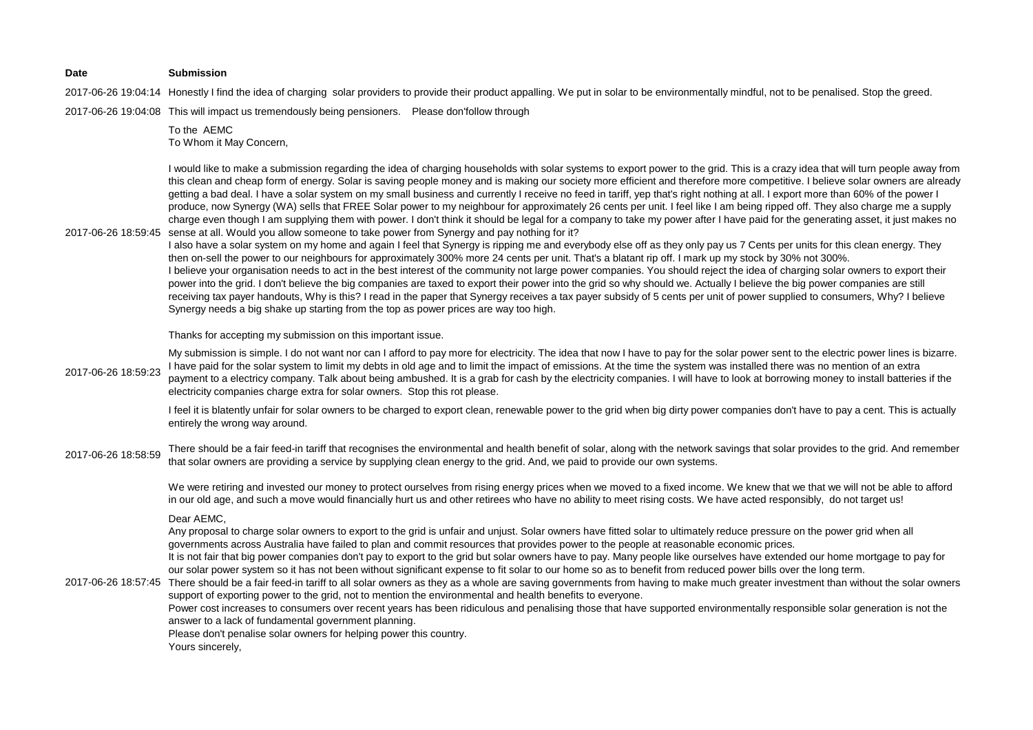#### **Date Submission**

2017-06-26 19:04:14 Honestly I find the idea of charging solar providers to provide their product appalling. We put in solar to be environmentally mindful, not to be penalised. Stop the greed.

2017-06-26 19:04:08 This will impact us tremendously being pensioners. Please don'follow through

To the AEMC To Whom it May Concern,

2017-06-26 18:59:45 sense at all. Would you allow someone to take power from Synergy and pay nothing for it? I would like to make a submission regarding the idea of charging households with solar systems to export power to the grid. This is a crazy idea that will turn people away from this clean and cheap form of energy. Solar is saving people money and is making our society more efficient and therefore more competitive. I believe solar owners are already getting a bad deal. I have a solar system on my small business and currently I receive no feed in tariff, yep that's right nothing at all. I export more than 60% of the power I produce, now Synergy (WA) sells that FREE Solar power to my neighbour for approximately 26 cents per unit. I feel like I am being ripped off. They also charge me a supply charge even though I am supplying them with power. I don't think it should be legal for a company to take my power after I have paid for the generating asset, it just makes no

I also have a solar system on my home and again I feel that Synergy is ripping me and everybody else off as they only pay us 7 Cents per units for this clean energy. They then on-sell the power to our neighbours for approximately 300% more 24 cents per unit. That's a blatant rip off. I mark up my stock by 30% not 300%. I believe your organisation needs to act in the best interest of the community not large power companies. You should reject the idea of charging solar owners to export their power into the grid. I don't believe the big companies are taxed to export their power into the grid so why should we. Actually I believe the big power companies are still receiving tax payer handouts, Why is this? I read in the paper that Synergy receives a tax payer subsidy of 5 cents per unit of power supplied to consumers, Why? I believe Synergy needs a big shake up starting from the top as power prices are way too high.

Thanks for accepting my submission on this important issue.

2017-06-26 18:59:23 My submission is simple. I do not want nor can I afford to pay more for electricity. The idea that now I have to pay for the solar power sent to the electric power lines is bizarre. I have paid for the solar system to limit my debts in old age and to limit the impact of emissions. At the time the system was installed there was no mention of an extra payment to a electricy company. Talk about being ambushed. It is a grab for cash by the electricity companies. I will have to look at borrowing money to install batteries if the electricity companies charge extra for solar owners. Stop this rot please.

> I feel it is blatently unfair for solar owners to be charged to export clean, renewable power to the grid when big dirty power companies don't have to pay a cent. This is actually entirely the wrong way around.

2017-06-26 18:58:59 There should be a fair feed-in tariff that recognises the environmental and health benefit of solar, along with the network savings that solar provides to the grid. And remember that solar owners are providing a service by supplying clean energy to the grid. And, we paid to provide our own systems.

> We were retiring and invested our money to protect ourselves from rising energy prices when we moved to a fixed income. We knew that we that we will not be able to afford in our old age, and such a move would financially hurt us and other retirees who have no ability to meet rising costs. We have acted responsibly, do not target us!

Dear AEMC,

Any proposal to charge solar owners to export to the grid is unfair and unjust. Solar owners have fitted solar to ultimately reduce pressure on the power grid when all governments across Australia have failed to plan and commit resources that provides power to the people at reasonable economic prices.

It is not fair that big power companies don't pay to export to the grid but solar owners have to pay. Many people like ourselves have extended our home mortgage to pay for our solar power system so it has not been without significant expense to fit solar to our home so as to benefit from reduced power bills over the long term.

2017-06-26 18:57:45 There should be a fair feed-in tariff to all solar owners as they as a whole are saving governments from having to make much greater investment than without the solar owners support of exporting power to the grid, not to mention the environmental and health benefits to everyone.

Power cost increases to consumers over recent years has been ridiculous and penalising those that have supported environmentally responsible solar generation is not the answer to a lack of fundamental government planning.

Please don't penalise solar owners for helping power this country.

Yours sincerely,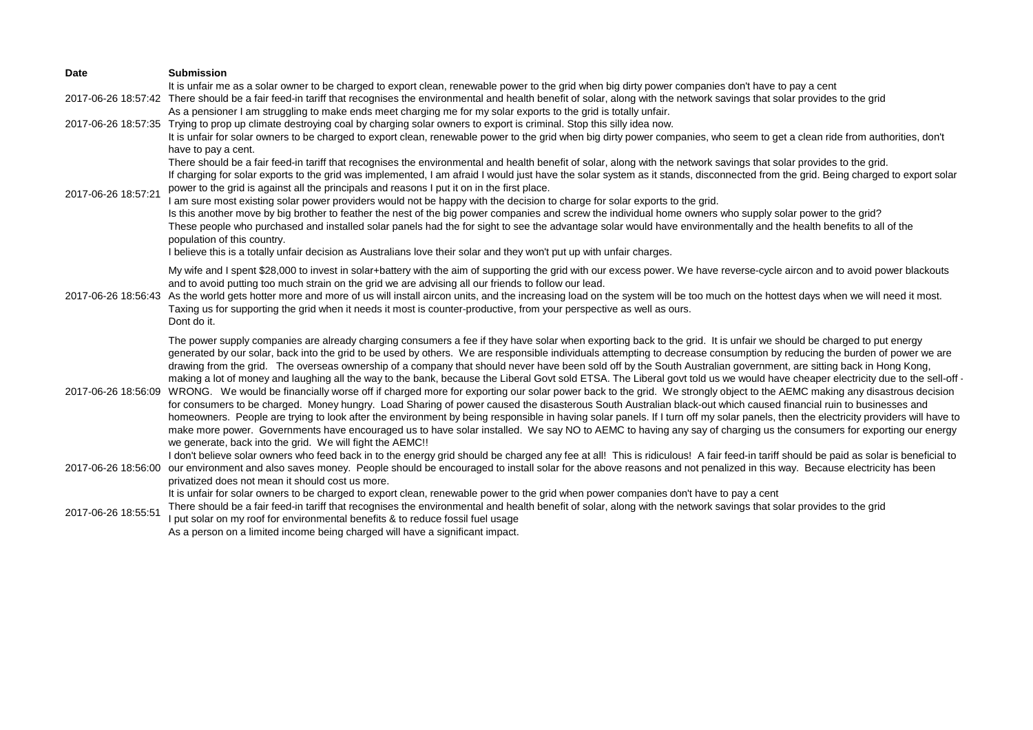| <b>Date</b>         | <b>Submission</b>                                                                                                                                                                                                                                                                |
|---------------------|----------------------------------------------------------------------------------------------------------------------------------------------------------------------------------------------------------------------------------------------------------------------------------|
|                     | It is unfair me as a solar owner to be charged to export clean, renewable power to the grid when big dirty power companies don't have to pay a cent                                                                                                                              |
|                     | 2017-06-26 18:57:42 There should be a fair feed-in tariff that recognises the environmental and health benefit of solar, along with the network savings that solar provides to the grid                                                                                          |
|                     | As a pensioner I am struggling to make ends meet charging me for my solar exports to the grid is totally unfair.                                                                                                                                                                 |
| 2017-06-26 18:57:35 | Trying to prop up climate destroying coal by charging solar owners to export is criminal. Stop this silly idea now.                                                                                                                                                              |
|                     | It is unfair for solar owners to be charged to export clean, renewable power to the grid when big dirty power companies, who seem to get a clean ride from authorities, don't                                                                                                    |
|                     | have to pay a cent.                                                                                                                                                                                                                                                              |
|                     | There should be a fair feed-in tariff that recognises the environmental and health benefit of solar, along with the network savings that solar provides to the grid.                                                                                                             |
|                     | If charging for solar exports to the grid was implemented, I am afraid I would just have the solar system as it stands, disconnected from the grid. Being charged to export solar<br>power to the grid is against all the principals and reasons I put it on in the first place. |
| 2017-06-26 18:57:21 | I am sure most existing solar power providers would not be happy with the decision to charge for solar exports to the grid.                                                                                                                                                      |
|                     | Is this another move by big brother to feather the nest of the big power companies and screw the individual home owners who supply solar power to the grid?                                                                                                                      |
|                     | These people who purchased and installed solar panels had the for sight to see the advantage solar would have environmentally and the health benefits to all of the                                                                                                              |
|                     | population of this country.                                                                                                                                                                                                                                                      |
|                     | I believe this is a totally unfair decision as Australians love their solar and they won't put up with unfair charges.                                                                                                                                                           |
|                     | My wife and I spent \$28,000 to invest in solar+battery with the aim of supporting the grid with our excess power. We have reverse-cycle aircon and to avoid power blackouts                                                                                                     |
|                     | and to avoid putting too much strain on the grid we are advising all our friends to follow our lead.                                                                                                                                                                             |
| 2017-06-26 18:56:43 | As the world gets hotter more and more of us will install aircon units, and the increasing load on the system will be too much on the hottest days when we will need it most.                                                                                                    |
|                     | Taxing us for supporting the grid when it needs it most is counter-productive, from your perspective as well as ours.                                                                                                                                                            |
|                     | Dont do it.                                                                                                                                                                                                                                                                      |
|                     | The power supply companies are already charging consumers a fee if they have solar when exporting back to the grid. It is unfair we should be charged to put energy                                                                                                              |
|                     | generated by our solar, back into the grid to be used by others. We are responsible individuals attempting to decrease consumption by reducing the burden of power we are                                                                                                        |
|                     | drawing from the grid. The overseas ownership of a company that should never have been sold off by the South Australian government, are sitting back in Hong Kong,                                                                                                               |
|                     | making a lot of money and laughing all the way to the bank, because the Liberal Govt sold ETSA. The Liberal govt told us we would have cheaper electricity due to the sell-off -                                                                                                 |
| 2017-06-26 18:56:09 | WRONG. We would be financially worse off if charged more for exporting our solar power back to the grid. We strongly object to the AEMC making any disastrous decision                                                                                                           |
|                     | for consumers to be charged. Money hungry. Load Sharing of power caused the disasterous South Australian black-out which caused financial ruin to businesses and                                                                                                                 |
|                     | homeowners. People are trying to look after the environment by being responsible in having solar panels. If I turn off my solar panels, then the electricity providers will have to                                                                                              |
|                     | make more power. Governments have encouraged us to have solar installed. We say NO to AEMC to having any say of charging us the consumers for exporting our energy                                                                                                               |
|                     | we generate, back into the grid. We will fight the AEMC!!                                                                                                                                                                                                                        |
|                     | I don't believe solar owners who feed back in to the energy grid should be charged any fee at all! This is ridiculous! A fair feed-in tariff should be paid as solar is beneficial to                                                                                            |
| 2017-06-26 18:56:00 | our environment and also saves money. People should be encouraged to install solar for the above reasons and not penalized in this way. Because electricity has been                                                                                                             |
|                     | privatized does not mean it should cost us more.                                                                                                                                                                                                                                 |
|                     | It is unfair for solar owners to be charged to export clean, renewable power to the grid when power companies don't have to pay a cent                                                                                                                                           |
| 2017-06-26 18:55:51 | There should be a fair feed-in tariff that recognises the environmental and health benefit of solar, along with the network savings that solar provides to the grid                                                                                                              |
|                     | I put solar on my roof for environmental benefits & to reduce fossil fuel usage                                                                                                                                                                                                  |
|                     | As a person on a limited income being charged will have a significant impact.                                                                                                                                                                                                    |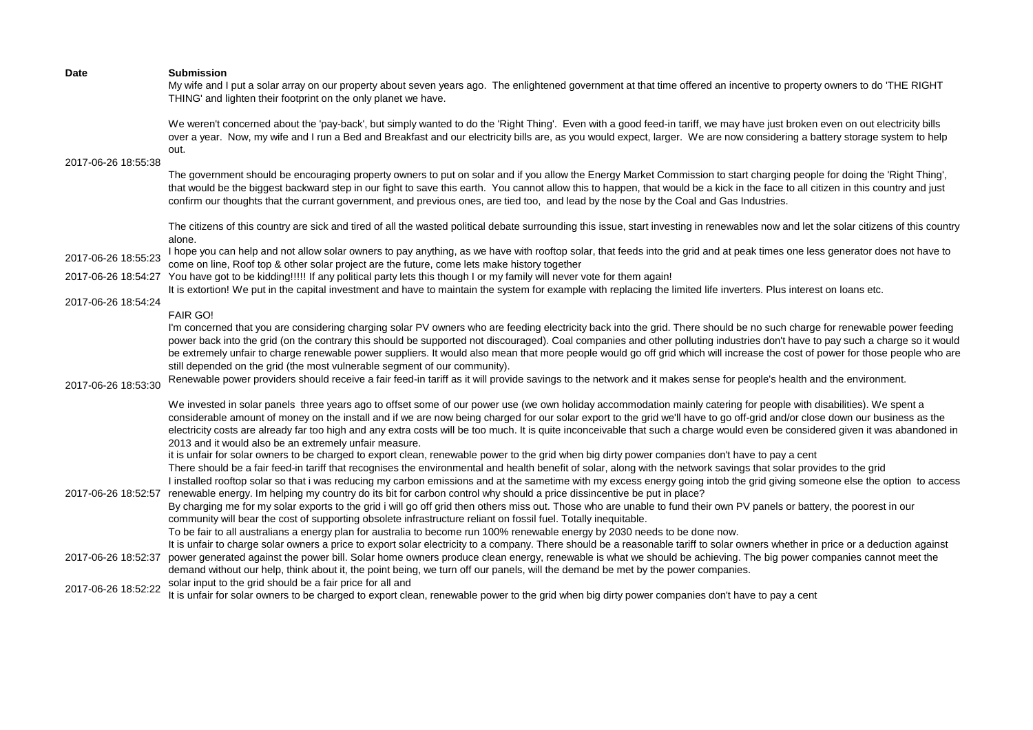My wife and I put a solar array on our property about seven years ago. The enlightened government at that time offered an incentive to property owners to do 'THE RIGHT THING' and lighten their footprint on the only planet we have.

We weren't concerned about the 'pay-back', but simply wanted to do the 'Right Thing'. Even with a good feed-in tariff, we may have just broken even on out electricity bills over a year. Now, my wife and I run a Bed and Breakfast and our electricity bills are, as you would expect, larger. We are now considering a battery storage system to help out.

2017-06-26 18:55:38

The government should be encouraging property owners to put on solar and if you allow the Energy Market Commission to start charging people for doing the 'Right Thing', that would be the biggest backward step in our fight to save this earth. You cannot allow this to happen, that would be a kick in the face to all citizen in this country and just confirm our thoughts that the currant government, and previous ones, are tied too, and lead by the nose by the Coal and Gas Industries.

The citizens of this country are sick and tired of all the wasted political debate surrounding this issue, start investing in renewables now and let the solar citizens of this country alone.

2017-06-26 18:55:23 I hope you can help and not allow solar owners to pay anything, as we have with rooftop solar, that feeds into the grid and at peak times one less generator does not have to come on line, Roof top & other solar project are the future, come lets make history together

2017-06-26 18:54:27 You have got to be kidding!!!!! If any political party lets this though I or my family will never vote for them again!

It is extortion! We put in the capital investment and have to maintain the system for example with replacing the limited life inverters. Plus interest on loans etc.

# 2017-06-26 18:54:24

# FAIR GO!

I'm concerned that you are considering charging solar PV owners who are feeding electricity back into the grid. There should be no such charge for renewable power feeding power back into the grid (on the contrary this should be supported not discouraged). Coal companies and other polluting industries don't have to pay such a charge so it would be extremely unfair to charge renewable power suppliers. It would also mean that more people would go off grid which will increase the cost of power for those people who are still depended on the grid (the most vulnerable segment of our community).

2017-06-26 18:53:30 Renewable power providers should receive a fair feed-in tariff as it will provide savings to the network and it makes sense for people's health and the environment.

We invested in solar panels three years ago to offset some of our power use (we own holiday accommodation mainly catering for people with disabilities). We spent a considerable amount of money on the install and if we are now being charged for our solar export to the grid we'll have to go off-grid and/or close down our business as the electricity costs are already far too high and any extra costs will be too much. It is quite inconceivable that such a charge would even be considered given it was abandoned in 2013 and it would also be an extremely unfair measure.

it is unfair for solar owners to be charged to export clean, renewable power to the grid when big dirty power companies don't have to pay a cent

There should be a fair feed-in tariff that recognises the environmental and health benefit of solar, along with the network savings that solar provides to the grid

2017-06-26 18:52:57 renewable energy. Im helping my country do its bit for carbon control why should a price dissincentive be put in place? I installed rooftop solar so that i was reducing my carbon emissions and at the sametime with my excess energy going intob the grid giving someone else the option to access

> By charging me for my solar exports to the grid i will go off grid then others miss out. Those who are unable to fund their own PV panels or battery, the poorest in our community will bear the cost of supporting obsolete infrastructure reliant on fossil fuel. Totally inequitable.

To be fair to all australians a energy plan for australia to become run 100% renewable energy by 2030 needs to be done now.

- 2017-06-26 18:52:37 power generated against the power bill. Solar home owners produce clean energy, renewable is what we should be achieving. The big power companies cannot meet the It is unfair to charge solar owners a price to export solar electricity to a company. There should be a reasonable tariff to solar owners whether in price or a deduction against demand without our help, think about it, the point being, we turn off our panels, will the demand be met by the power companies.
- 2017-06-26 18:52:22 solar input to the grid should be a fair price for all and

It is unfair for solar owners to be charged to export clean, renewable power to the grid when big dirty power companies don't have to pay a cent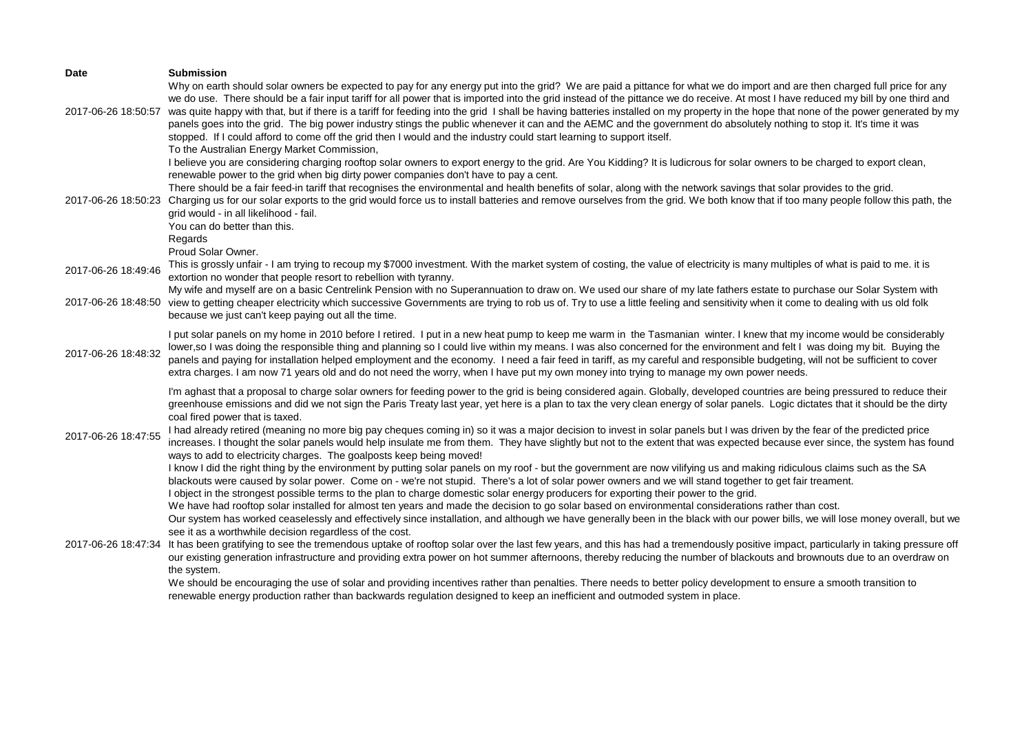| Date                | <b>Submission</b>                                                                                                                                                                                                                                                                                                                                                                                                                                                                                                                                                                                                                                                                                                                                                                                                                                                                                                                                                                                                                                                                                                                                                                                                                                                                                                                                                                                                                                                                                                                                                                                            |
|---------------------|--------------------------------------------------------------------------------------------------------------------------------------------------------------------------------------------------------------------------------------------------------------------------------------------------------------------------------------------------------------------------------------------------------------------------------------------------------------------------------------------------------------------------------------------------------------------------------------------------------------------------------------------------------------------------------------------------------------------------------------------------------------------------------------------------------------------------------------------------------------------------------------------------------------------------------------------------------------------------------------------------------------------------------------------------------------------------------------------------------------------------------------------------------------------------------------------------------------------------------------------------------------------------------------------------------------------------------------------------------------------------------------------------------------------------------------------------------------------------------------------------------------------------------------------------------------------------------------------------------------|
| 2017-06-26 18:50:57 | Why on earth should solar owners be expected to pay for any energy put into the grid? We are paid a pittance for what we do import and are then charged full price for any<br>we do use. There should be a fair input tariff for all power that is imported into the grid instead of the pittance we do receive. At most I have reduced my bill by one third and<br>was quite happy with that, but if there is a tariff for feeding into the grid I shall be having batteries installed on my property in the hope that none of the power generated by my<br>panels goes into the grid. The big power industry stings the public whenever it can and the AEMC and the government do absolutely nothing to stop it. It's time it was<br>stopped. If I could afford to come off the grid then I would and the industry could start learning to support itself.<br>To the Australian Energy Market Commission,<br>I believe you are considering charging rooftop solar owners to export energy to the grid. Are You Kidding? It is ludicrous for solar owners to be charged to export clean,<br>renewable power to the grid when big dirty power companies don't have to pay a cent.<br>There should be a fair feed-in tariff that recognises the environmental and health benefits of solar, along with the network savings that solar provides to the grid.<br>2017-06-26 18:50:23 Charging us for our solar exports to the grid would force us to install batteries and remove ourselves from the grid. We both know that if too many people follow this path, the<br>grid would - in all likelihood - fail. |
|                     | You can do better than this.<br>Regards                                                                                                                                                                                                                                                                                                                                                                                                                                                                                                                                                                                                                                                                                                                                                                                                                                                                                                                                                                                                                                                                                                                                                                                                                                                                                                                                                                                                                                                                                                                                                                      |
| 2017-06-26 18:49:46 | Proud Solar Owner.<br>This is grossly unfair - I am trying to recoup my \$7000 investment. With the market system of costing, the value of electricity is many multiples of what is paid to me. it is<br>extortion no wonder that people resort to rebellion with tyranny.                                                                                                                                                                                                                                                                                                                                                                                                                                                                                                                                                                                                                                                                                                                                                                                                                                                                                                                                                                                                                                                                                                                                                                                                                                                                                                                                   |
| 2017-06-26 18:48:50 | My wife and myself are on a basic Centrelink Pension with no Superannuation to draw on. We used our share of my late fathers estate to purchase our Solar System with<br>view to getting cheaper electricity which successive Governments are trying to rob us of. Try to use a little feeling and sensitivity when it come to dealing with us old folk<br>because we just can't keep paying out all the time.                                                                                                                                                                                                                                                                                                                                                                                                                                                                                                                                                                                                                                                                                                                                                                                                                                                                                                                                                                                                                                                                                                                                                                                               |
| 2017-06-26 18:48:32 | I put solar panels on my home in 2010 before I retired. I put in a new heat pump to keep me warm in the Tasmanian winter. I knew that my income would be considerably<br>lower, so I was doing the responsible thing and planning so I could live within my means. I was also concerned for the environment and felt I was doing my bit. Buying the<br>panels and paying for installation helped employment and the economy. I need a fair feed in tariff, as my careful and responsible budgeting, will not be sufficient to cover<br>extra charges. I am now 71 years old and do not need the worry, when I have put my own money into trying to manage my own power needs.                                                                                                                                                                                                                                                                                                                                                                                                                                                                                                                                                                                                                                                                                                                                                                                                                                                                                                                                |
| 2017-06-26 18:47:55 | I'm aghast that a proposal to charge solar owners for feeding power to the grid is being considered again. Globally, developed countries are being pressured to reduce their<br>greenhouse emissions and did we not sign the Paris Treaty last year, yet here is a plan to tax the very clean energy of solar panels. Logic dictates that it should be the dirty<br>coal fired power that is taxed.<br>I had already retired (meaning no more big pay cheques coming in) so it was a major decision to invest in solar panels but I was driven by the fear of the predicted price<br>increases. I thought the solar panels would help insulate me from them. They have slightly but not to the extent that was expected because ever since, the system has found<br>ways to add to electricity charges. The goalposts keep being moved!<br>I know I did the right thing by the environment by putting solar panels on my roof - but the government are now vilifying us and making ridiculous claims such as the SA<br>blackouts were caused by solar power. Come on - we're not stupid. There's a lot of solar power owners and we will stand together to get fair treament.                                                                                                                                                                                                                                                                                                                                                                                                                                |
| 2017-06-26 18:47:34 | I object in the strongest possible terms to the plan to charge domestic solar energy producers for exporting their power to the grid.<br>We have had rooftop solar installed for almost ten years and made the decision to go solar based on environmental considerations rather than cost.<br>Our system has worked ceaselessly and effectively since installation, and although we have generally been in the black with our power bills, we will lose money overall, but we<br>see it as a worthwhile decision regardless of the cost.<br>It has been gratifying to see the tremendous uptake of rooftop solar over the last few years, and this has had a tremendously positive impact, particularly in taking pressure off<br>our existing generation infrastructure and providing extra power on hot summer afternoons, thereby reducing the number of blackouts and brownouts due to an overdraw on<br>the system.<br>We should be encouraging the use of solar and providing incentives rather than penalties. There needs to better policy development to ensure a smooth transition to<br>renewable energy production rather than backwards regulation designed to keep an inefficient and outmoded system in place.                                                                                                                                                                                                                                                                                                                                                                               |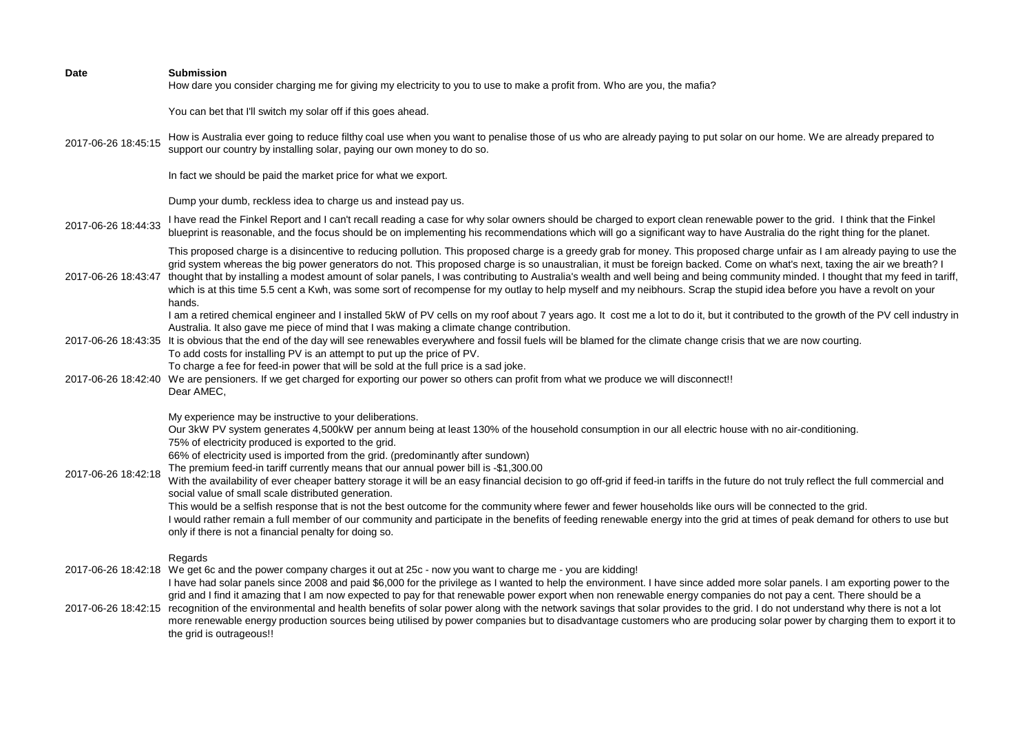| <b>Date</b>         | <b>Submission</b><br>How dare you consider charging me for giving my electricity to you to use to make a profit from. Who are you, the mafia?                                                                                                                                                                                                                                                                                                                                                                                                                                                                                                                                                                                                                                                                                                                                                                                                                                                                                                                                                               |
|---------------------|-------------------------------------------------------------------------------------------------------------------------------------------------------------------------------------------------------------------------------------------------------------------------------------------------------------------------------------------------------------------------------------------------------------------------------------------------------------------------------------------------------------------------------------------------------------------------------------------------------------------------------------------------------------------------------------------------------------------------------------------------------------------------------------------------------------------------------------------------------------------------------------------------------------------------------------------------------------------------------------------------------------------------------------------------------------------------------------------------------------|
|                     | You can bet that I'll switch my solar off if this goes ahead.                                                                                                                                                                                                                                                                                                                                                                                                                                                                                                                                                                                                                                                                                                                                                                                                                                                                                                                                                                                                                                               |
| 2017-06-26 18:45:15 | How is Australia ever going to reduce filthy coal use when you want to penalise those of us who are already paying to put solar on our home. We are already prepared to<br>support our country by installing solar, paying our own money to do so.                                                                                                                                                                                                                                                                                                                                                                                                                                                                                                                                                                                                                                                                                                                                                                                                                                                          |
|                     | In fact we should be paid the market price for what we export.                                                                                                                                                                                                                                                                                                                                                                                                                                                                                                                                                                                                                                                                                                                                                                                                                                                                                                                                                                                                                                              |
|                     | Dump your dumb, reckless idea to charge us and instead pay us.                                                                                                                                                                                                                                                                                                                                                                                                                                                                                                                                                                                                                                                                                                                                                                                                                                                                                                                                                                                                                                              |
| 2017-06-26 18:44:33 | I have read the Finkel Report and I can't recall reading a case for why solar owners should be charged to export clean renewable power to the grid. I think that the Finkel<br>blueprint is reasonable, and the focus should be on implementing his recommendations which will go a significant way to have Australia do the right thing for the planet.                                                                                                                                                                                                                                                                                                                                                                                                                                                                                                                                                                                                                                                                                                                                                    |
| 2017-06-26 18:43:47 | This proposed charge is a disincentive to reducing pollution. This proposed charge is a greedy grab for money. This proposed charge unfair as I am already paying to use the<br>grid system whereas the big power generators do not. This proposed charge is so unaustralian, it must be foreign backed. Come on what's next, taxing the air we breath? I<br>thought that by installing a modest amount of solar panels, I was contributing to Australia's wealth and well being and being community minded. I thought that my feed in tariff,<br>which is at this time 5.5 cent a Kwh, was some sort of recompense for my outlay to help myself and my neibhours. Scrap the stupid idea before you have a revolt on your<br>hands.                                                                                                                                                                                                                                                                                                                                                                         |
|                     | I am a retired chemical engineer and I installed 5kW of PV cells on my roof about 7 years ago. It cost me a lot to do it, but it contributed to the growth of the PV cell industry in<br>Australia. It also gave me piece of mind that I was making a climate change contribution.                                                                                                                                                                                                                                                                                                                                                                                                                                                                                                                                                                                                                                                                                                                                                                                                                          |
|                     | 2017-06-26 18:43:35 It is obvious that the end of the day will see renewables everywhere and fossil fuels will be blamed for the climate change crisis that we are now courting.                                                                                                                                                                                                                                                                                                                                                                                                                                                                                                                                                                                                                                                                                                                                                                                                                                                                                                                            |
|                     | To add costs for installing PV is an attempt to put up the price of PV.<br>To charge a fee for feed-in power that will be sold at the full price is a sad joke.                                                                                                                                                                                                                                                                                                                                                                                                                                                                                                                                                                                                                                                                                                                                                                                                                                                                                                                                             |
|                     | 2017-06-26 18:42:40 We are pensioners. If we get charged for exporting our power so others can profit from what we produce we will disconnect!!<br>Dear AMEC,                                                                                                                                                                                                                                                                                                                                                                                                                                                                                                                                                                                                                                                                                                                                                                                                                                                                                                                                               |
| 2017-06-26 18:42:18 | My experience may be instructive to your deliberations.<br>Our 3kW PV system generates 4,500kW per annum being at least 130% of the household consumption in our all electric house with no air-conditioning.<br>75% of electricity produced is exported to the grid.<br>66% of electricity used is imported from the grid. (predominantly after sundown)<br>The premium feed-in tariff currently means that our annual power bill is -\$1,300.00<br>With the availability of ever cheaper battery storage it will be an easy financial decision to go off-grid if feed-in tariffs in the future do not truly reflect the full commercial and<br>social value of small scale distributed generation.<br>This would be a selfish response that is not the best outcome for the community where fewer and fewer households like ours will be connected to the grid.<br>I would rather remain a full member of our community and participate in the benefits of feeding renewable energy into the grid at times of peak demand for others to use but<br>only if there is not a financial penalty for doing so. |
|                     | Regards<br>2017-06-26 18:42:18 We get 6c and the power company charges it out at 25c - now you want to charge me - you are kidding!<br>I have had solar panels since 2008 and paid \$6,000 for the privilege as I wanted to help the environment. I have since added more solar panels. I am exporting power to the                                                                                                                                                                                                                                                                                                                                                                                                                                                                                                                                                                                                                                                                                                                                                                                         |
| 2017-06-26 18:42:15 | grid and I find it amazing that I am now expected to pay for that renewable power export when non renewable energy companies do not pay a cent. There should be a<br>recognition of the environmental and health benefits of solar power along with the network savings that solar provides to the grid. I do not understand why there is not a lot<br>more renewable energy production sources being utilised by power companies but to disadvantage customers who are producing solar power by charging them to export it to<br>the grid is outrageous!!                                                                                                                                                                                                                                                                                                                                                                                                                                                                                                                                                  |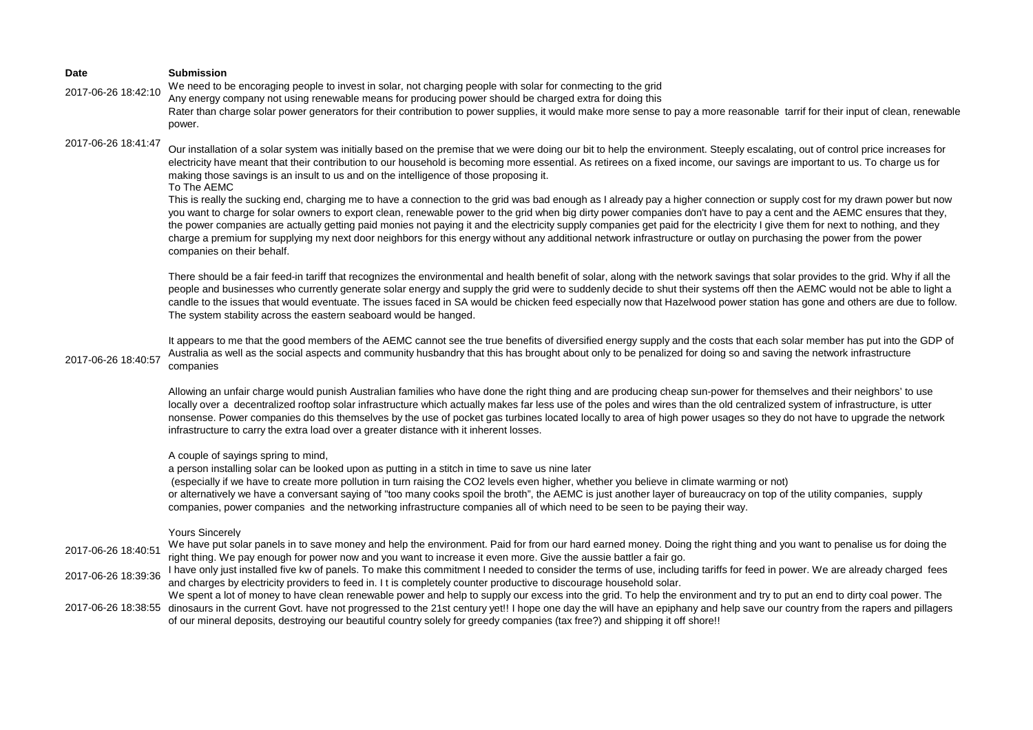| Date                | <b>Submission</b>                                                                                                                                                                                                                                                                                                                                                                                                                                                                                                                                                                                                                                                                                                                                                                                                                                                                                                                                                                                                                                                                                                                                                                                                           |
|---------------------|-----------------------------------------------------------------------------------------------------------------------------------------------------------------------------------------------------------------------------------------------------------------------------------------------------------------------------------------------------------------------------------------------------------------------------------------------------------------------------------------------------------------------------------------------------------------------------------------------------------------------------------------------------------------------------------------------------------------------------------------------------------------------------------------------------------------------------------------------------------------------------------------------------------------------------------------------------------------------------------------------------------------------------------------------------------------------------------------------------------------------------------------------------------------------------------------------------------------------------|
| 2017-06-26 18:42:10 | We need to be encoraging people to invest in solar, not charging people with solar for conmecting to the grid<br>Any energy company not using renewable means for producing power should be charged extra for doing this<br>Rater than charge solar power generators for their contribution to power supplies, it would make more sense to pay a more reasonable tarrif for their input of clean, renewable                                                                                                                                                                                                                                                                                                                                                                                                                                                                                                                                                                                                                                                                                                                                                                                                                 |
|                     | power.                                                                                                                                                                                                                                                                                                                                                                                                                                                                                                                                                                                                                                                                                                                                                                                                                                                                                                                                                                                                                                                                                                                                                                                                                      |
| 2017-06-26 18:41:47 | Our installation of a solar system was initially based on the premise that we were doing our bit to help the environment. Steeply escalating, out of control price increases for<br>electricity have meant that their contribution to our household is becoming more essential. As retirees on a fixed income, our savings are important to us. To charge us for<br>making those savings is an insult to us and on the intelligence of those proposing it.<br>To The AEMC<br>This is really the sucking end, charging me to have a connection to the grid was bad enough as I already pay a higher connection or supply cost for my drawn power but now<br>you want to charge for solar owners to export clean, renewable power to the grid when big dirty power companies don't have to pay a cent and the AEMC ensures that they,<br>the power companies are actually getting paid monies not paying it and the electricity supply companies get paid for the electricity I give them for next to nothing, and they<br>charge a premium for supplying my next door neighbors for this energy without any additional network infrastructure or outlay on purchasing the power from the power<br>companies on their behalf. |
|                     | There should be a fair feed-in tariff that recognizes the environmental and health benefit of solar, along with the network savings that solar provides to the grid. Why if all the<br>people and businesses who currently generate solar energy and supply the grid were to suddenly decide to shut their systems off then the AEMC would not be able to light a<br>candle to the issues that would eventuate. The issues faced in SA would be chicken feed especially now that Hazelwood power station has gone and others are due to follow.<br>The system stability across the eastern seaboard would be hanged.                                                                                                                                                                                                                                                                                                                                                                                                                                                                                                                                                                                                        |
| 2017-06-26 18:40:57 | It appears to me that the good members of the AEMC cannot see the true benefits of diversified energy supply and the costs that each solar member has put into the GDP of<br>Australia as well as the social aspects and community husbandry that this has brought about only to be penalized for doing so and saving the network infrastructure<br>companies                                                                                                                                                                                                                                                                                                                                                                                                                                                                                                                                                                                                                                                                                                                                                                                                                                                               |
|                     | Allowing an unfair charge would punish Australian families who have done the right thing and are producing cheap sun-power for themselves and their neighbors' to use<br>locally over a decentralized rooftop solar infrastructure which actually makes far less use of the poles and wires than the old centralized system of infrastructure, is utter<br>nonsense. Power companies do this themselves by the use of pocket gas turbines located locally to area of high power usages so they do not have to upgrade the network<br>infrastructure to carry the extra load over a greater distance with it inherent losses.                                                                                                                                                                                                                                                                                                                                                                                                                                                                                                                                                                                                |
|                     | A couple of sayings spring to mind,<br>a person installing solar can be looked upon as putting in a stitch in time to save us nine later<br>(especially if we have to create more pollution in turn raising the CO2 levels even higher, whether you believe in climate warming or not)<br>or alternatively we have a conversant saying of "too many cooks spoil the broth", the AEMC is just another layer of bureaucracy on top of the utility companies, supply<br>companies, power companies and the networking infrastructure companies all of which need to be seen to be paying their way.                                                                                                                                                                                                                                                                                                                                                                                                                                                                                                                                                                                                                            |
|                     | <b>Yours Sincerely</b>                                                                                                                                                                                                                                                                                                                                                                                                                                                                                                                                                                                                                                                                                                                                                                                                                                                                                                                                                                                                                                                                                                                                                                                                      |
| 2017-06-26 18:40:51 | We have put solar panels in to save money and help the environment. Paid for from our hard earned money. Doing the right thing and you want to penalise us for doing the<br>right thing. We pay enough for power now and you want to increase it even more. Give the aussie battler a fair go.                                                                                                                                                                                                                                                                                                                                                                                                                                                                                                                                                                                                                                                                                                                                                                                                                                                                                                                              |
| 2017-06-26 18:39:36 | I have only just installed five kw of panels. To make this commitment I needed to consider the terms of use, including tariffs for feed in power. We are already charged fees<br>and charges by electricity providers to feed in. I t is completely counter productive to discourage household solar.                                                                                                                                                                                                                                                                                                                                                                                                                                                                                                                                                                                                                                                                                                                                                                                                                                                                                                                       |
|                     | We spent a lot of money to have clean renewable power and help to supply our excess into the grid. To help the environment and try to put an end to dirty coal power. The<br>2017-06-26 18:38:55 dinosaurs in the current Govt. have not progressed to the 21st century yet!! I hope one day the will have an epiphany and help save our country from the rapers and pillagers<br>of our mineral deposits, destroying our beautiful country solely for greedy companies (tax free?) and shipping it off shore!!                                                                                                                                                                                                                                                                                                                                                                                                                                                                                                                                                                                                                                                                                                             |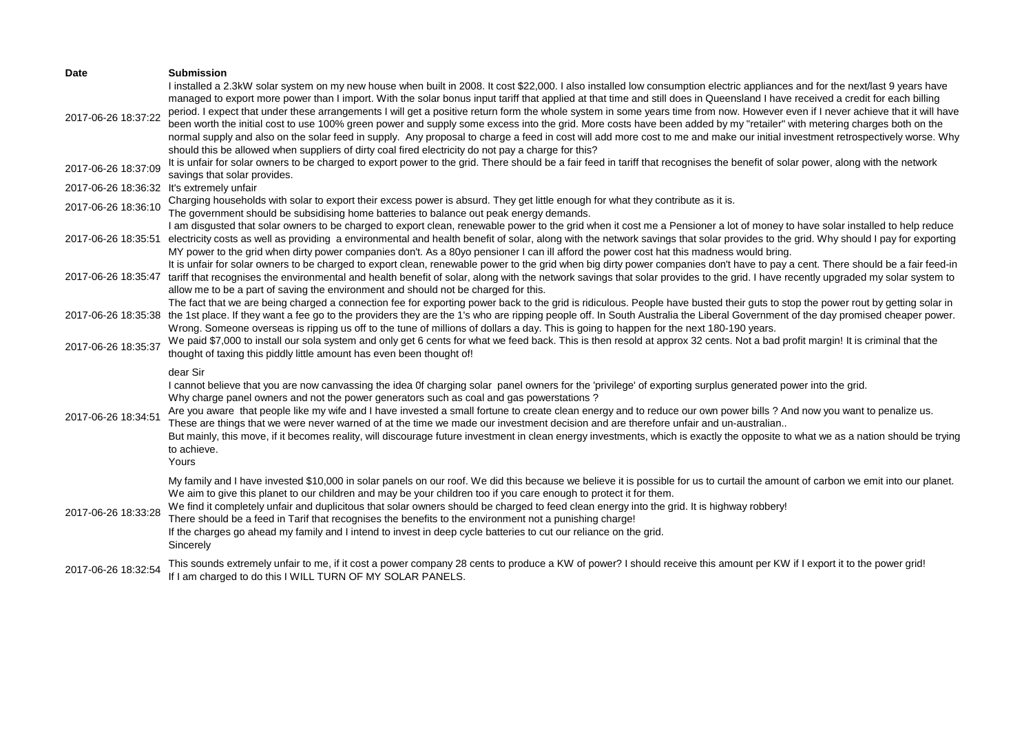| Date                                      | <b>Submission</b>                                                                                                                                                                                                                                                                                                                                                                                                                                                                                                                                                                                                                                                                                                                                                                                                                                                                                                                                                                                                       |
|-------------------------------------------|-------------------------------------------------------------------------------------------------------------------------------------------------------------------------------------------------------------------------------------------------------------------------------------------------------------------------------------------------------------------------------------------------------------------------------------------------------------------------------------------------------------------------------------------------------------------------------------------------------------------------------------------------------------------------------------------------------------------------------------------------------------------------------------------------------------------------------------------------------------------------------------------------------------------------------------------------------------------------------------------------------------------------|
| 2017-06-26 18:37:22                       | I installed a 2.3kW solar system on my new house when built in 2008. It cost \$22,000. I also installed low consumption electric appliances and for the next/last 9 years have<br>managed to export more power than I import. With the solar bonus input tariff that applied at that time and still does in Queensland I have received a credit for each billing<br>period. I expect that under these arrangements I will get a positive return form the whole system in some years time from now. However even if I never achieve that it will have<br>been worth the initial cost to use 100% green power and supply some excess into the grid. More costs have been added by my "retailer" with metering charges both on the<br>normal supply and also on the solar feed in supply. Any proposal to charge a feed in cost will add more cost to me and make our initial investment retrospectively worse. Why<br>should this be allowed when suppliers of dirty coal fired electricity do not pay a charge for this? |
| 2017-06-26 18:37:09                       | It is unfair for solar owners to be charged to export power to the grid. There should be a fair feed in tariff that recognises the benefit of solar power, along with the network<br>savings that solar provides.                                                                                                                                                                                                                                                                                                                                                                                                                                                                                                                                                                                                                                                                                                                                                                                                       |
| 2017-06-26 18:36:32 It's extremely unfair |                                                                                                                                                                                                                                                                                                                                                                                                                                                                                                                                                                                                                                                                                                                                                                                                                                                                                                                                                                                                                         |
| 2017-06-26 18:36:10                       | Charging households with solar to export their excess power is absurd. They get little enough for what they contribute as it is.<br>The government should be subsidising home batteries to balance out peak energy demands.                                                                                                                                                                                                                                                                                                                                                                                                                                                                                                                                                                                                                                                                                                                                                                                             |
| 2017-06-26 18:35:51                       | I am disgusted that solar owners to be charged to export clean, renewable power to the grid when it cost me a Pensioner a lot of money to have solar installed to help reduce<br>electricity costs as well as providing a environmental and health benefit of solar, along with the network savings that solar provides to the grid. Why should I pay for exporting<br>MY power to the grid when dirty power companies don't. As a 80yo pensioner I can ill afford the power cost hat this madness would bring.                                                                                                                                                                                                                                                                                                                                                                                                                                                                                                         |
| 2017-06-26 18:35:47                       | It is unfair for solar owners to be charged to export clean, renewable power to the grid when big dirty power companies don't have to pay a cent. There should be a fair feed-in<br>tariff that recognises the environmental and health benefit of solar, along with the network savings that solar provides to the grid. I have recently upgraded my solar system to<br>allow me to be a part of saving the environment and should not be charged for this.                                                                                                                                                                                                                                                                                                                                                                                                                                                                                                                                                            |
| 2017-06-26 18:35:38                       | The fact that we are being charged a connection fee for exporting power back to the grid is ridiculous. People have busted their guts to stop the power rout by getting solar in<br>the 1st place. If they want a fee go to the providers they are the 1's who are ripping people off. In South Australia the Liberal Government of the day promised cheaper power.<br>Wrong. Someone overseas is ripping us off to the tune of millions of dollars a day. This is going to happen for the next 180-190 years.                                                                                                                                                                                                                                                                                                                                                                                                                                                                                                          |
| 2017-06-26 18:35:37                       | We paid \$7,000 to install our sola system and only get 6 cents for what we feed back. This is then resold at approx 32 cents. Not a bad profit margin! It is criminal that the<br>thought of taxing this piddly little amount has even been thought of!                                                                                                                                                                                                                                                                                                                                                                                                                                                                                                                                                                                                                                                                                                                                                                |
| 2017-06-26 18:34:51                       | dear Sir<br>I cannot believe that you are now canvassing the idea Of charging solar panel owners for the 'privilege' of exporting surplus generated power into the grid.<br>Why charge panel owners and not the power generators such as coal and gas powerstations?<br>Are you aware that people like my wife and I have invested a small fortune to create clean energy and to reduce our own power bills ? And now you want to penalize us.<br>These are things that we were never warned of at the time we made our investment decision and are therefore unfair and un-australian<br>But mainly, this move, if it becomes reality, will discourage future investment in clean energy investments, which is exactly the opposite to what we as a nation should be trying<br>to achieve.<br>Yours                                                                                                                                                                                                                    |
| 2017-06-26 18:33:28                       | My family and I have invested \$10,000 in solar panels on our roof. We did this because we believe it is possible for us to curtail the amount of carbon we emit into our planet.<br>We aim to give this planet to our children and may be your children too if you care enough to protect it for them.<br>We find it completely unfair and duplicitous that solar owners should be charged to feed clean energy into the grid. It is highway robbery!<br>There should be a feed in Tarif that recognises the benefits to the environment not a punishing charge!<br>If the charges go ahead my family and I intend to invest in deep cycle batteries to cut our reliance on the grid.<br>Sincerely                                                                                                                                                                                                                                                                                                                     |
| 2017-06-26 18:32:54                       | This sounds extremely unfair to me, if it cost a power company 28 cents to produce a KW of power? I should receive this amount per KW if I export it to the power grid!<br>If I am charged to do this I WILL TURN OF MY SOLAR PANELS.                                                                                                                                                                                                                                                                                                                                                                                                                                                                                                                                                                                                                                                                                                                                                                                   |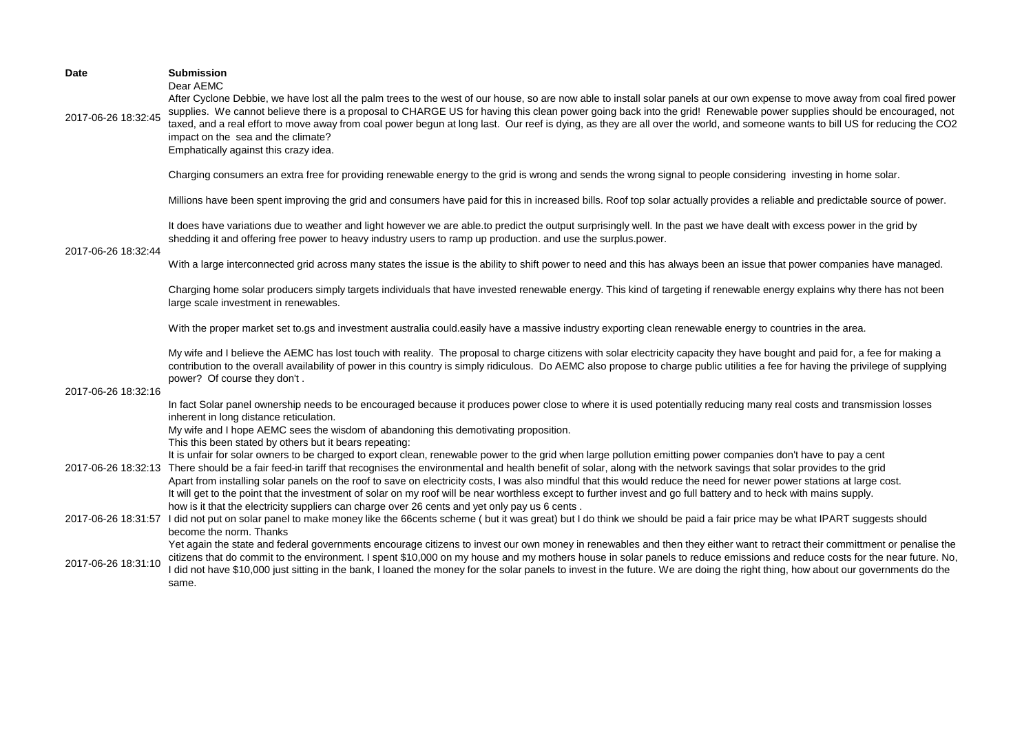| <b>Date</b>         | <b>Submission</b><br>Dear AEMC                                                                                                                                                                                                                                                                                                                                                                                                                                                                                                                                                                                                                                                                               |
|---------------------|--------------------------------------------------------------------------------------------------------------------------------------------------------------------------------------------------------------------------------------------------------------------------------------------------------------------------------------------------------------------------------------------------------------------------------------------------------------------------------------------------------------------------------------------------------------------------------------------------------------------------------------------------------------------------------------------------------------|
| 2017-06-26 18:32:45 | After Cyclone Debbie, we have lost all the palm trees to the west of our house, so are now able to install solar panels at our own expense to move away from coal fired power<br>supplies. We cannot believe there is a proposal to CHARGE US for having this clean power going back into the grid! Renewable power supplies should be encouraged, not<br>taxed, and a real effort to move away from coal power begun at long last. Our reef is dying, as they are all over the world, and someone wants to bill US for reducing the CO2<br>impact on the sea and the climate?<br>Emphatically against this crazy idea.                                                                                      |
|                     | Charging consumers an extra free for providing renewable energy to the grid is wrong and sends the wrong signal to people considering investing in home solar.                                                                                                                                                                                                                                                                                                                                                                                                                                                                                                                                               |
|                     | Millions have been spent improving the grid and consumers have paid for this in increased bills. Roof top solar actually provides a reliable and predictable source of power.                                                                                                                                                                                                                                                                                                                                                                                                                                                                                                                                |
| 2017-06-26 18:32:44 | It does have variations due to weather and light however we are able.to predict the output surprisingly well. In the past we have dealt with excess power in the grid by<br>shedding it and offering free power to heavy industry users to ramp up production. and use the surplus power.                                                                                                                                                                                                                                                                                                                                                                                                                    |
|                     | With a large interconnected grid across many states the issue is the ability to shift power to need and this has always been an issue that power companies have managed.                                                                                                                                                                                                                                                                                                                                                                                                                                                                                                                                     |
|                     | Charging home solar producers simply targets individuals that have invested renewable energy. This kind of targeting if renewable energy explains why there has not been<br>large scale investment in renewables.                                                                                                                                                                                                                                                                                                                                                                                                                                                                                            |
|                     | With the proper market set to.gs and investment australia could.easily have a massive industry exporting clean renewable energy to countries in the area.                                                                                                                                                                                                                                                                                                                                                                                                                                                                                                                                                    |
| 2017-06-26 18:32:16 | My wife and I believe the AEMC has lost touch with reality. The proposal to charge citizens with solar electricity capacity they have bought and paid for, a fee for making a<br>contribution to the overall availability of power in this country is simply ridiculous. Do AEMC also propose to charge public utilities a fee for having the privilege of supplying<br>power? Of course they don't.                                                                                                                                                                                                                                                                                                         |
|                     | In fact Solar panel ownership needs to be encouraged because it produces power close to where it is used potentially reducing many real costs and transmission losses<br>inherent in long distance reticulation.                                                                                                                                                                                                                                                                                                                                                                                                                                                                                             |
|                     | My wife and I hope AEMC sees the wisdom of abandoning this demotivating proposition.<br>This this been stated by others but it bears repeating:                                                                                                                                                                                                                                                                                                                                                                                                                                                                                                                                                              |
|                     | It is unfair for solar owners to be charged to export clean, renewable power to the grid when large pollution emitting power companies don't have to pay a cent<br>2017-06-26 18:32:13 There should be a fair feed-in tariff that recognises the environmental and health benefit of solar, along with the network savings that solar provides to the grid<br>Apart from installing solar panels on the roof to save on electricity costs, I was also mindful that this would reduce the need for newer power stations at large cost.<br>It will get to the point that the investment of solar on my roof will be near worthless except to further invest and go full battery and to heck with mains supply. |
|                     | how is it that the electricity suppliers can charge over 26 cents and yet only pay us 6 cents.<br>2017-06-26 18:31:57 I did not put on solar panel to make money like the 66cents scheme (but it was great) but I do think we should be paid a fair price may be what IPART suggests should                                                                                                                                                                                                                                                                                                                                                                                                                  |
| 2017-06-26 18:31:10 | become the norm. Thanks<br>Yet again the state and federal governments encourage citizens to invest our own money in renewables and then they either want to retract their committment or penalise the<br>citizens that do commit to the environment. I spent \$10,000 on my house and my mothers house in solar panels to reduce emissions and reduce costs for the near future. No,<br>I did not have \$10,000 just sitting in the bank, I loaned the money for the solar panels to invest in the future. We are doing the right thing, how about our governments do the<br>same.                                                                                                                          |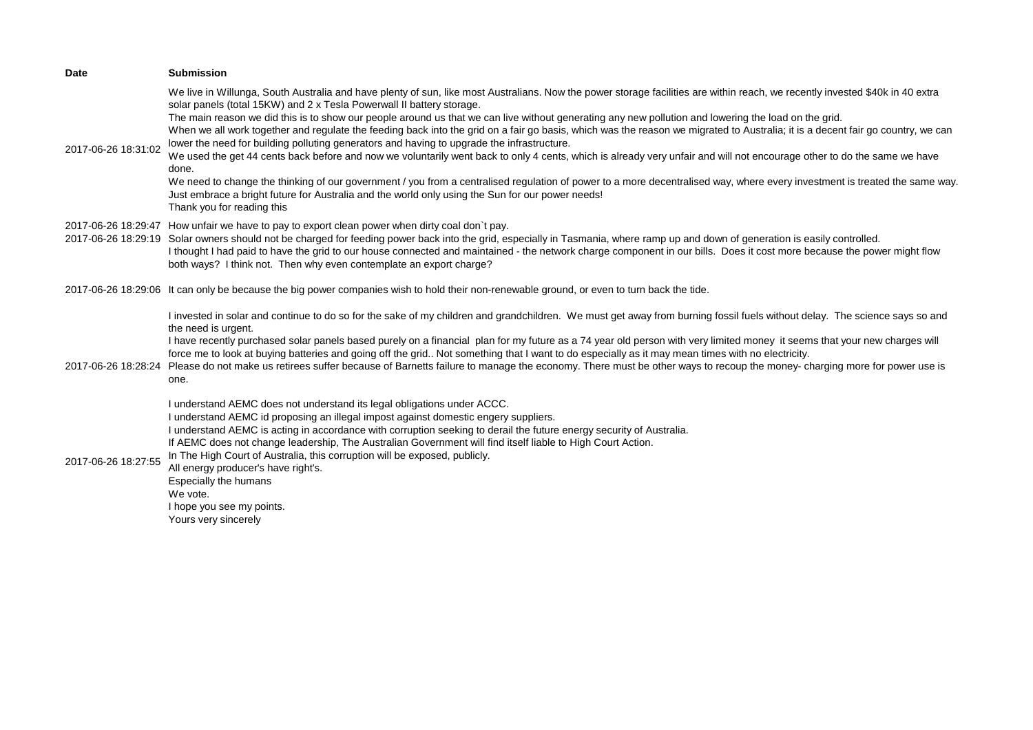| <b>Date</b>         | <b>Submission</b>                                                                                                                                                                                                                                                                                                                                                                                                                                                                                                                                                                                                                                                                                                                                                                                                                                                                                                                                                                                                                                                                                                                                                                                   |
|---------------------|-----------------------------------------------------------------------------------------------------------------------------------------------------------------------------------------------------------------------------------------------------------------------------------------------------------------------------------------------------------------------------------------------------------------------------------------------------------------------------------------------------------------------------------------------------------------------------------------------------------------------------------------------------------------------------------------------------------------------------------------------------------------------------------------------------------------------------------------------------------------------------------------------------------------------------------------------------------------------------------------------------------------------------------------------------------------------------------------------------------------------------------------------------------------------------------------------------|
| 2017-06-26 18:31:02 | We live in Willunga, South Australia and have plenty of sun, like most Australians. Now the power storage facilities are within reach, we recently invested \$40k in 40 extra<br>solar panels (total 15KW) and 2 x Tesla Powerwall II battery storage.<br>The main reason we did this is to show our people around us that we can live without generating any new pollution and lowering the load on the grid.<br>When we all work together and regulate the feeding back into the grid on a fair go basis, which was the reason we migrated to Australia; it is a decent fair go country, we can<br>lower the need for building polluting generators and having to upgrade the infrastructure.<br>We used the get 44 cents back before and now we voluntarily went back to only 4 cents, which is already very unfair and will not encourage other to do the same we have<br>done.<br>We need to change the thinking of our government / you from a centralised regulation of power to a more decentralised way, where every investment is treated the same way.<br>Just embrace a bright future for Australia and the world only using the Sun for our power needs!<br>Thank you for reading this |
|                     | 2017-06-26 18:29:47 How unfair we have to pay to export clean power when dirty coal don't pay.<br>2017-06-26 18:29:19 Solar owners should not be charged for feeding power back into the grid, especially in Tasmania, where ramp up and down of generation is easily controlled.<br>I thought I had paid to have the grid to our house connected and maintained - the network charge component in our bills. Does it cost more because the power might flow<br>both ways? I think not. Then why even contemplate an export charge?                                                                                                                                                                                                                                                                                                                                                                                                                                                                                                                                                                                                                                                                 |
|                     | 2017-06-26 18:29:06 It can only be because the big power companies wish to hold their non-renewable ground, or even to turn back the tide.                                                                                                                                                                                                                                                                                                                                                                                                                                                                                                                                                                                                                                                                                                                                                                                                                                                                                                                                                                                                                                                          |
| 2017-06-26 18:28:24 | I invested in solar and continue to do so for the sake of my children and grandchildren. We must get away from burning fossil fuels without delay. The science says so and<br>the need is urgent.<br>I have recently purchased solar panels based purely on a financial plan for my future as a 74 year old person with very limited money it seems that your new charges will<br>force me to look at buying batteries and going off the grid Not something that I want to do especially as it may mean times with no electricity.<br>Please do not make us retirees suffer because of Barnetts failure to manage the economy. There must be other ways to recoup the money- charging more for power use is<br>one.                                                                                                                                                                                                                                                                                                                                                                                                                                                                                 |
| 2017-06-26 18:27:55 | I understand AEMC does not understand its legal obligations under ACCC.<br>I understand AEMC id proposing an illegal impost against domestic engery suppliers.<br>I understand AEMC is acting in accordance with corruption seeking to derail the future energy security of Australia.<br>If AEMC does not change leadership, The Australian Government will find itself liable to High Court Action.<br>In The High Court of Australia, this corruption will be exposed, publicly.<br>All energy producer's have right's.<br>Especially the humans<br>We vote.<br>I hope you see my points.<br>Yours very sincerely                                                                                                                                                                                                                                                                                                                                                                                                                                                                                                                                                                                |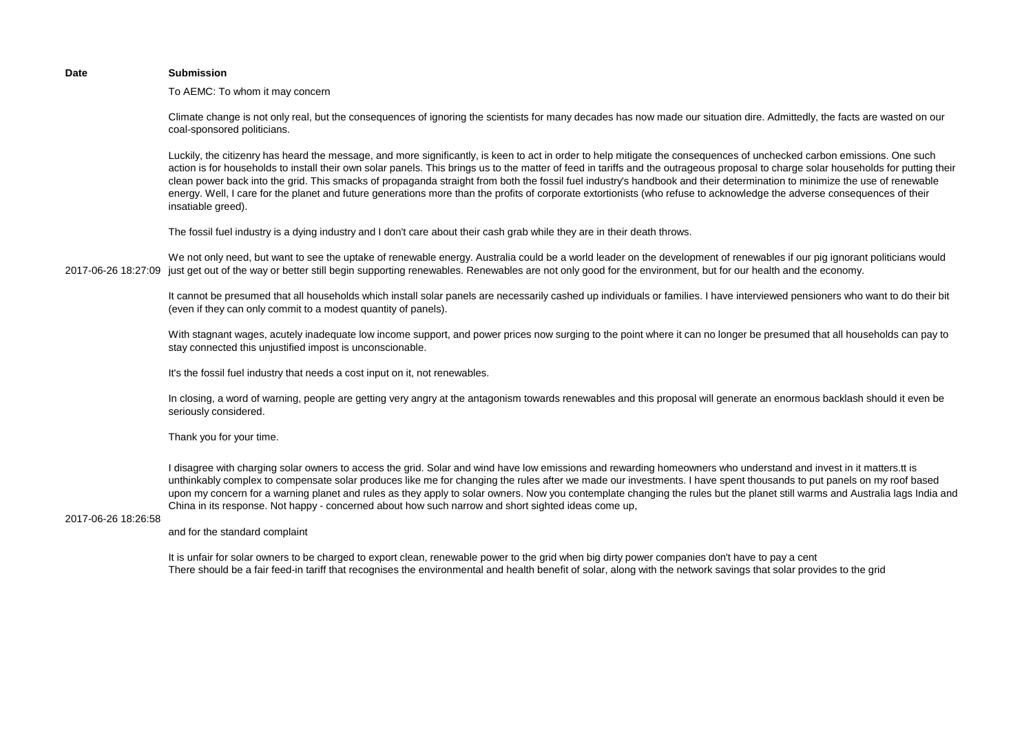### **Date Submission**

To AEMC: To whom it may concern

Climate change is not only real, but the consequences of ignoring the scientists for many decades has now made our situation dire. Admittedly, the facts are wasted on our coal-sponsored politicians.

Luckily, the citizenry has heard the message, and more significantly, is keen to act in order to help mitigate the consequences of unchecked carbon emissions. One such action is for households to install their own solar panels. This brings us to the matter of feed in tariffs and the outrageous proposal to charge solar households for putting their clean power back into the grid. This smacks of propaganda straight from both the fossil fuel industry's handbook and their determination to minimize the use of renewable energy. Well, I care for the planet and future generations more than the profits of corporate extortionists (who refuse to acknowledge the adverse consequences of their insatiable greed).

The fossil fuel industry is a dying industry and I don't care about their cash grab while they are in their death throws.

2017-06-26 18:27:09 just get out of the way or better still begin supporting renewables. Renewables are not only good for the environment, but for our health and the economy. We not only need, but want to see the uptake of renewable energy. Australia could be a world leader on the development of renewables if our pig ignorant politicians would

> It cannot be presumed that all households which install solar panels are necessarily cashed up individuals or families. I have interviewed pensioners who want to do their bit (even if they can only commit to a modest quantity of panels).

> With stagnant wages, acutely inadequate low income support, and power prices now surging to the point where it can no longer be presumed that all households can pay to stay connected this unjustified impost is unconscionable.

It's the fossil fuel industry that needs a cost input on it, not renewables.

In closing, a word of warning, people are getting very angry at the antagonism towards renewables and this proposal will generate an enormous backlash should it even be seriously considered.

Thank you for your time.

I disagree with charging solar owners to access the grid. Solar and wind have low emissions and rewarding homeowners who understand and invest in it matters.tt is unthinkably complex to compensate solar produces like me for changing the rules after we made our investments. I have spent thousands to put panels on my roof based upon my concern for a warning planet and rules as they apply to solar owners. Now you contemplate changing the rules but the planet still warms and Australia lags India and China in its response. Not happy - concerned about how such narrow and short sighted ideas come up,

### 2017-06-26 18:26:58

and for the standard complaint

It is unfair for solar owners to be charged to export clean, renewable power to the grid when big dirty power companies don't have to pay a cent There should be a fair feed-in tariff that recognises the environmental and health benefit of solar, along with the network savings that solar provides to the grid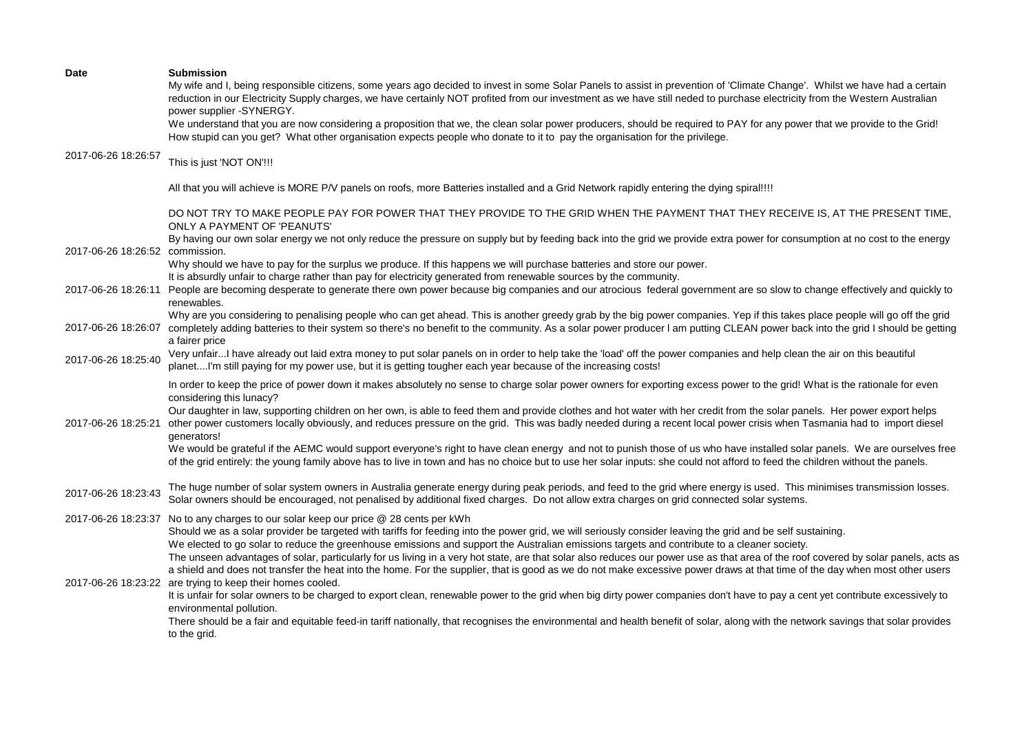| <b>Date</b>                     | <b>Submission</b><br>My wife and I, being responsible citizens, some years ago decided to invest in some Solar Panels to assist in prevention of 'Climate Change'. Whilst we have had a certain<br>reduction in our Electricity Supply charges, we have certainly NOT profited from our investment as we have still neded to purchase electricity from the Western Australian<br>power supplier -SYNERGY.<br>We understand that you are now considering a proposition that we, the clean solar power producers, should be required to PAY for any power that we provide to the Grid!<br>How stupid can you get? What other organisation expects people who donate to it to pay the organisation for the privilege.                                                                                                                                                                                                                                                                                                                                   |
|---------------------------------|------------------------------------------------------------------------------------------------------------------------------------------------------------------------------------------------------------------------------------------------------------------------------------------------------------------------------------------------------------------------------------------------------------------------------------------------------------------------------------------------------------------------------------------------------------------------------------------------------------------------------------------------------------------------------------------------------------------------------------------------------------------------------------------------------------------------------------------------------------------------------------------------------------------------------------------------------------------------------------------------------------------------------------------------------|
| 2017-06-26 18:26:57             | This is just 'NOT ON'!!!                                                                                                                                                                                                                                                                                                                                                                                                                                                                                                                                                                                                                                                                                                                                                                                                                                                                                                                                                                                                                             |
|                                 | All that you will achieve is MORE P/V panels on roofs, more Batteries installed and a Grid Network rapidly entering the dying spiral!!!!                                                                                                                                                                                                                                                                                                                                                                                                                                                                                                                                                                                                                                                                                                                                                                                                                                                                                                             |
|                                 | DO NOT TRY TO MAKE PEOPLE PAY FOR POWER THAT THEY PROVIDE TO THE GRID WHEN THE PAYMENT THAT THEY RECEIVE IS, AT THE PRESENT TIME,<br><b>ONLY A PAYMENT OF 'PEANUTS'</b>                                                                                                                                                                                                                                                                                                                                                                                                                                                                                                                                                                                                                                                                                                                                                                                                                                                                              |
| 2017-06-26 18:26:52 commission. | By having our own solar energy we not only reduce the pressure on supply but by feeding back into the grid we provide extra power for consumption at no cost to the energy                                                                                                                                                                                                                                                                                                                                                                                                                                                                                                                                                                                                                                                                                                                                                                                                                                                                           |
|                                 | Why should we have to pay for the surplus we produce. If this happens we will purchase batteries and store our power.<br>It is absurdly unfair to charge rather than pay for electricity generated from renewable sources by the community.<br>2017-06-26 18:26:11 People are becoming desperate to generate there own power because big companies and our atrocious federal government are so slow to change effectively and quickly to<br>renewables.                                                                                                                                                                                                                                                                                                                                                                                                                                                                                                                                                                                              |
|                                 | Why are you considering to penalising people who can get ahead. This is another greedy grab by the big power companies. Yep if this takes place people will go off the grid<br>2017-06-26 18:26:07 completely adding batteries to their system so there's no benefit to the community. As a solar power producer I am putting CLEAN power back into the grid I should be getting<br>a fairer price                                                                                                                                                                                                                                                                                                                                                                                                                                                                                                                                                                                                                                                   |
| 2017-06-26 18:25:40             | Very unfairI have already out laid extra money to put solar panels on in order to help take the 'load' off the power companies and help clean the air on this beautiful<br>planetI'm still paying for my power use, but it is getting tougher each year because of the increasing costs!                                                                                                                                                                                                                                                                                                                                                                                                                                                                                                                                                                                                                                                                                                                                                             |
|                                 | In order to keep the price of power down it makes absolutely no sense to charge solar power owners for exporting excess power to the grid! What is the rationale for even<br>considering this lunacy?<br>Our daughter in law, supporting children on her own, is able to feed them and provide clothes and hot water with her credit from the solar panels. Her power export helps<br>2017-06-26 18:25:21 other power customers locally obviously, and reduces pressure on the grid. This was badly needed during a recent local power crisis when Tasmania had to import diesel<br>generators!<br>We would be grateful if the AEMC would support everyone's right to have clean energy and not to punish those of us who have installed solar panels. We are ourselves free<br>of the grid entirely: the young family above has to live in town and has no choice but to use her solar inputs: she could not afford to feed the children without the panels.                                                                                        |
| 2017-06-26 18:23:43             | The huge number of solar system owners in Australia generate energy during peak periods, and feed to the grid where energy is used. This minimises transmission losses.<br>Solar owners should be encouraged, not penalised by additional fixed charges. Do not allow extra charges on grid connected solar systems.                                                                                                                                                                                                                                                                                                                                                                                                                                                                                                                                                                                                                                                                                                                                 |
|                                 | 2017-06-26 18:23:37 No to any charges to our solar keep our price @ 28 cents per kWh<br>Should we as a solar provider be targeted with tariffs for feeding into the power grid, we will seriously consider leaving the grid and be self sustaining.<br>We elected to go solar to reduce the greenhouse emissions and support the Australian emissions targets and contribute to a cleaner society.<br>The unseen advantages of solar, particularly for us living in a very hot state, are that solar also reduces our power use as that area of the roof covered by solar panels, acts as<br>a shield and does not transfer the heat into the home. For the supplier, that is good as we do not make excessive power draws at that time of the day when most other users<br>2017-06-26 18:23:22 are trying to keep their homes cooled.<br>It is unfair for solar owners to be charged to export clean, renewable power to the grid when big dirty power companies don't have to pay a cent yet contribute excessively to<br>environmental pollution. |
|                                 | There should be a fair and equitable feed-in tariff nationally, that recognises the environmental and health benefit of solar, along with the network savings that solar provides<br>to the grid.                                                                                                                                                                                                                                                                                                                                                                                                                                                                                                                                                                                                                                                                                                                                                                                                                                                    |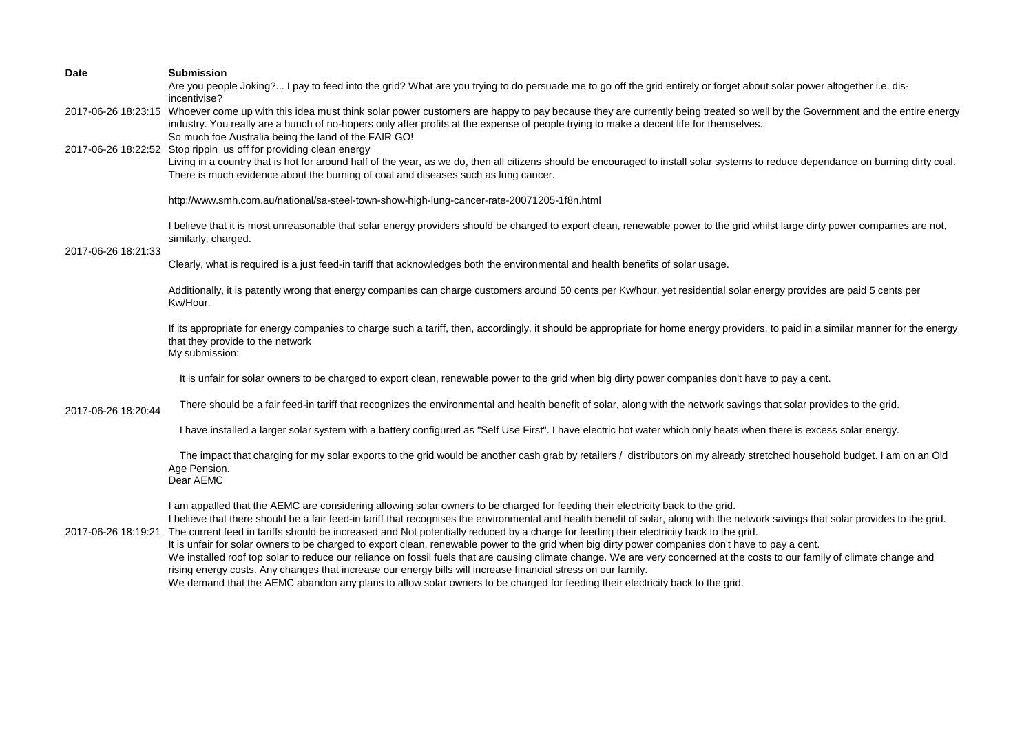| <b>Date</b>         | <b>Submission</b>                                                                                                                                                                                                                                                                                                                                                                                                                                                                                                                                                                                                                                                                                                                                                                                                                                                                                                                                                                                                                                      |
|---------------------|--------------------------------------------------------------------------------------------------------------------------------------------------------------------------------------------------------------------------------------------------------------------------------------------------------------------------------------------------------------------------------------------------------------------------------------------------------------------------------------------------------------------------------------------------------------------------------------------------------------------------------------------------------------------------------------------------------------------------------------------------------------------------------------------------------------------------------------------------------------------------------------------------------------------------------------------------------------------------------------------------------------------------------------------------------|
|                     | Are you people Joking? I pay to feed into the grid? What are you trying to do persuade me to go off the grid entirely or forget about solar power altogether i.e. dis-<br>incentivise?                                                                                                                                                                                                                                                                                                                                                                                                                                                                                                                                                                                                                                                                                                                                                                                                                                                                 |
|                     | 2017-06-26 18:23:15 Whoever come up with this idea must think solar power customers are happy to pay because they are currently being treated so well by the Government and the entire energy<br>industry. You really are a bunch of no-hopers only after profits at the expense of people trying to make a decent life for themselves.<br>So much foe Australia being the land of the FAIR GO!                                                                                                                                                                                                                                                                                                                                                                                                                                                                                                                                                                                                                                                        |
|                     | 2017-06-26 18:22:52 Stop rippin us off for providing clean energy<br>Living in a country that is hot for around half of the year, as we do, then all citizens should be encouraged to install solar systems to reduce dependance on burning dirty coal.<br>There is much evidence about the burning of coal and diseases such as lung cancer.                                                                                                                                                                                                                                                                                                                                                                                                                                                                                                                                                                                                                                                                                                          |
|                     | http://www.smh.com.au/national/sa-steel-town-show-high-lung-cancer-rate-20071205-1f8n.html                                                                                                                                                                                                                                                                                                                                                                                                                                                                                                                                                                                                                                                                                                                                                                                                                                                                                                                                                             |
| 2017-06-26 18:21:33 | I believe that it is most unreasonable that solar energy providers should be charged to export clean, renewable power to the grid whilst large dirty power companies are not,<br>similarly, charged.                                                                                                                                                                                                                                                                                                                                                                                                                                                                                                                                                                                                                                                                                                                                                                                                                                                   |
|                     | Clearly, what is required is a just feed-in tariff that acknowledges both the environmental and health benefits of solar usage.                                                                                                                                                                                                                                                                                                                                                                                                                                                                                                                                                                                                                                                                                                                                                                                                                                                                                                                        |
|                     | Additionally, it is patently wrong that energy companies can charge customers around 50 cents per Kw/hour, yet residential solar energy provides are paid 5 cents per<br>Kw/Hour.                                                                                                                                                                                                                                                                                                                                                                                                                                                                                                                                                                                                                                                                                                                                                                                                                                                                      |
|                     | If its appropriate for energy companies to charge such a tariff, then, accordingly, it should be appropriate for home energy providers, to paid in a similar manner for the energy<br>that they provide to the network<br>My submission:                                                                                                                                                                                                                                                                                                                                                                                                                                                                                                                                                                                                                                                                                                                                                                                                               |
|                     | It is unfair for solar owners to be charged to export clean, renewable power to the grid when big dirty power companies don't have to pay a cent.                                                                                                                                                                                                                                                                                                                                                                                                                                                                                                                                                                                                                                                                                                                                                                                                                                                                                                      |
| 2017-06-26 18:20:44 | There should be a fair feed-in tariff that recognizes the environmental and health benefit of solar, along with the network savings that solar provides to the grid.                                                                                                                                                                                                                                                                                                                                                                                                                                                                                                                                                                                                                                                                                                                                                                                                                                                                                   |
|                     | I have installed a larger solar system with a battery configured as "Self Use First". I have electric hot water which only heats when there is excess solar energy.                                                                                                                                                                                                                                                                                                                                                                                                                                                                                                                                                                                                                                                                                                                                                                                                                                                                                    |
|                     | The impact that charging for my solar exports to the grid would be another cash grab by retailers / distributors on my already stretched household budget. I am on an Old<br>Age Pension.<br>Dear AEMC                                                                                                                                                                                                                                                                                                                                                                                                                                                                                                                                                                                                                                                                                                                                                                                                                                                 |
| 2017-06-26 18:19:21 | I am appalled that the AEMC are considering allowing solar owners to be charged for feeding their electricity back to the grid.<br>I believe that there should be a fair feed-in tariff that recognises the environmental and health benefit of solar, along with the network savings that solar provides to the grid.<br>The current feed in tariffs should be increased and Not potentially reduced by a charge for feeding their electricity back to the grid.<br>It is unfair for solar owners to be charged to export clean, renewable power to the grid when big dirty power companies don't have to pay a cent.<br>We installed roof top solar to reduce our reliance on fossil fuels that are causing climate change. We are very concerned at the costs to our family of climate change and<br>rising energy costs. Any changes that increase our energy bills will increase financial stress on our family.<br>We demand that the AEMC abandon any plans to allow solar owners to be charged for feeding their electricity back to the grid. |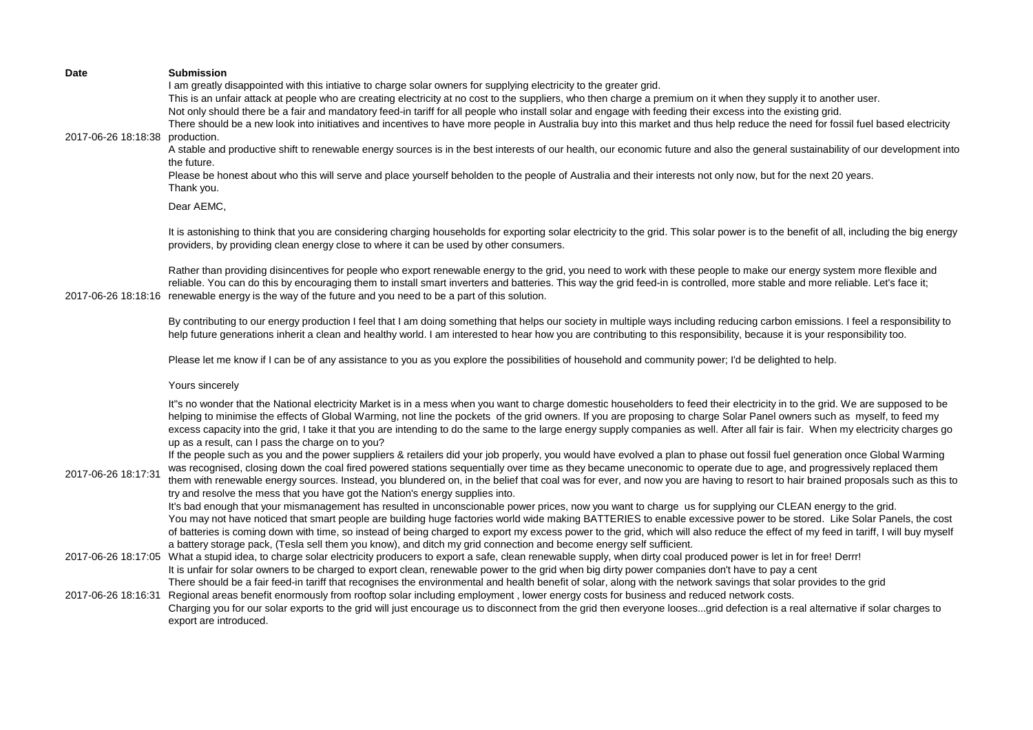| <b>Date</b><br>2017-06-26 18:18:38 | <b>Submission</b><br>I am greatly disappointed with this intiative to charge solar owners for supplying electricity to the greater grid.<br>This is an unfair attack at people who are creating electricity at no cost to the suppliers, who then charge a premium on it when they supply it to another user.<br>Not only should there be a fair and mandatory feed-in tariff for all people who install solar and engage with feeding their excess into the existing grid.<br>There should be a new look into initiatives and incentives to have more people in Australia buy into this market and thus help reduce the need for fossil fuel based electricity<br>production.<br>A stable and productive shift to renewable energy sources is in the best interests of our health, our economic future and also the general sustainability of our development into<br>the future.<br>Please be honest about who this will serve and place yourself beholden to the people of Australia and their interests not only now, but for the next 20 years.<br>Thank you.                                                                                                                                                                                                                                                                                                                                                                                                                                                                                                                                                                                                                                                                                                                |
|------------------------------------|-----------------------------------------------------------------------------------------------------------------------------------------------------------------------------------------------------------------------------------------------------------------------------------------------------------------------------------------------------------------------------------------------------------------------------------------------------------------------------------------------------------------------------------------------------------------------------------------------------------------------------------------------------------------------------------------------------------------------------------------------------------------------------------------------------------------------------------------------------------------------------------------------------------------------------------------------------------------------------------------------------------------------------------------------------------------------------------------------------------------------------------------------------------------------------------------------------------------------------------------------------------------------------------------------------------------------------------------------------------------------------------------------------------------------------------------------------------------------------------------------------------------------------------------------------------------------------------------------------------------------------------------------------------------------------------------------------------------------------------------------------------------------------------|
|                                    | Dear AEMC,<br>It is astonishing to think that you are considering charging households for exporting solar electricity to the grid. This solar power is to the benefit of all, including the big energy<br>providers, by providing clean energy close to where it can be used by other consumers.<br>Rather than providing disincentives for people who export renewable energy to the grid, you need to work with these people to make our energy system more flexible and<br>reliable. You can do this by encouraging them to install smart inverters and batteries. This way the grid feed-in is controlled, more stable and more reliable. Let's face it;<br>2017-06-26 18:18:16 renewable energy is the way of the future and you need to be a part of this solution.<br>By contributing to our energy production I feel that I am doing something that helps our society in multiple ways including reducing carbon emissions. I feel a responsibility to<br>help future generations inherit a clean and healthy world. I am interested to hear how you are contributing to this responsibility, because it is your responsibility too.<br>Please let me know if I can be of any assistance to you as you explore the possibilities of household and community power; I'd be delighted to help.                                                                                                                                                                                                                                                                                                                                                                                                                                                                              |
| 2017-06-26 18:17:31                | Yours sincerely<br>It"s no wonder that the National electricity Market is in a mess when you want to charge domestic householders to feed their electricity in to the grid. We are supposed to be<br>helping to minimise the effects of Global Warming, not line the pockets of the grid owners. If you are proposing to charge Solar Panel owners such as myself, to feed my<br>excess capacity into the grid, I take it that you are intending to do the same to the large energy supply companies as well. After all fair is fair. When my electricity charges go<br>up as a result, can I pass the charge on to you?<br>If the people such as you and the power suppliers & retailers did your job properly, you would have evolved a plan to phase out fossil fuel generation once Global Warming<br>was recognised, closing down the coal fired powered stations sequentially over time as they became uneconomic to operate due to age, and progressively replaced them<br>them with renewable energy sources. Instead, you blundered on, in the belief that coal was for ever, and now you are having to resort to hair brained proposals such as this to<br>try and resolve the mess that you have got the Nation's energy supplies into.<br>It's bad enough that your mismanagement has resulted in unconscionable power prices, now you want to charge us for supplying our CLEAN energy to the grid.<br>You may not have noticed that smart people are building huge factories world wide making BATTERIES to enable excessive power to be stored. Like Solar Panels, the cost<br>of batteries is coming down with time, so instead of being charged to export my excess power to the grid, which will also reduce the effect of my feed in tariff, I will buy myself |
| 2017-06-26 18:16:31                | a battery storage pack, (Tesla sell them you know), and ditch my grid connection and become energy self sufficient.<br>2017-06-26 18:17:05 What a stupid idea, to charge solar electricity producers to export a safe, clean renewable supply, when dirty coal produced power is let in for free! Derrr!<br>It is unfair for solar owners to be charged to export clean, renewable power to the grid when big dirty power companies don't have to pay a cent<br>There should be a fair feed-in tariff that recognises the environmental and health benefit of solar, along with the network savings that solar provides to the grid<br>Regional areas benefit enormously from rooftop solar including employment, lower energy costs for business and reduced network costs.<br>Charging you for our solar exports to the grid will just encourage us to disconnect from the grid then everyone loosesgrid defection is a real alternative if solar charges to<br>export are introduced.                                                                                                                                                                                                                                                                                                                                                                                                                                                                                                                                                                                                                                                                                                                                                                                          |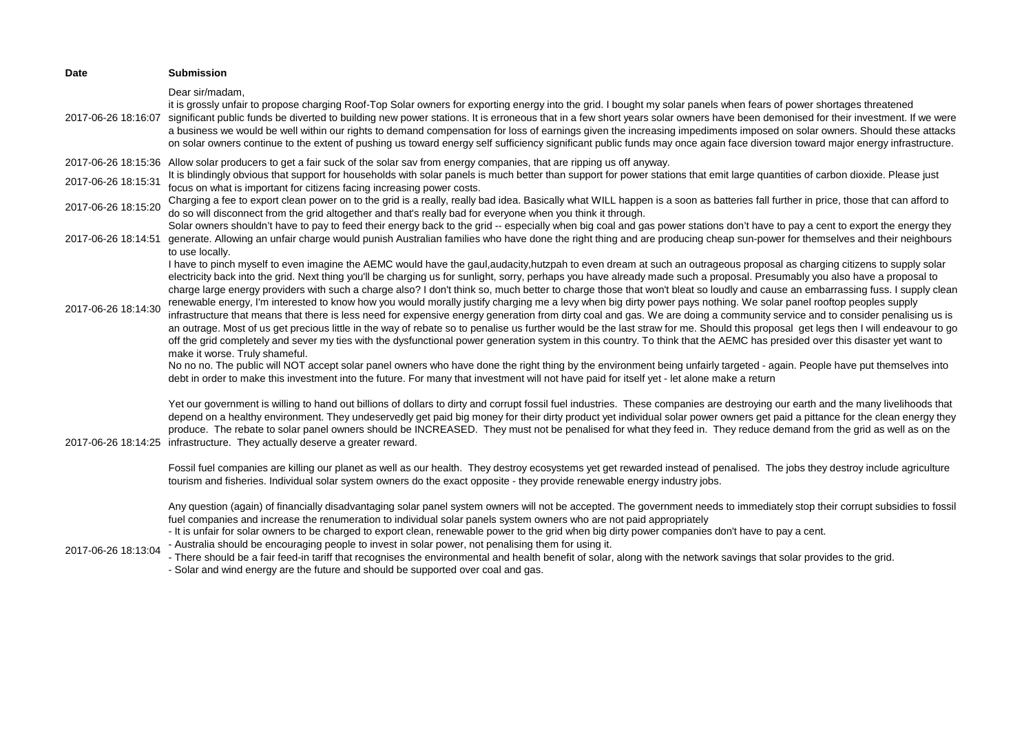| <b>Date</b>         | <b>Submission</b>                                                                                                                                                                                                                                                                                                                                                                                                                                                                                                                                                                                                                                                                                                                                                                                                                                                                                                                                                                                                                                                                                                                                                                                                                                                                                                                                                                                                                                                                                                                                                                                                                  |
|---------------------|------------------------------------------------------------------------------------------------------------------------------------------------------------------------------------------------------------------------------------------------------------------------------------------------------------------------------------------------------------------------------------------------------------------------------------------------------------------------------------------------------------------------------------------------------------------------------------------------------------------------------------------------------------------------------------------------------------------------------------------------------------------------------------------------------------------------------------------------------------------------------------------------------------------------------------------------------------------------------------------------------------------------------------------------------------------------------------------------------------------------------------------------------------------------------------------------------------------------------------------------------------------------------------------------------------------------------------------------------------------------------------------------------------------------------------------------------------------------------------------------------------------------------------------------------------------------------------------------------------------------------------|
| 2017-06-26 18:16:07 | Dear sir/madam,<br>it is grossly unfair to propose charging Roof-Top Solar owners for exporting energy into the grid. I bought my solar panels when fears of power shortages threatened<br>significant public funds be diverted to building new power stations. It is erroneous that in a few short years solar owners have been demonised for their investment. If we were<br>a business we would be well within our rights to demand compensation for loss of earnings given the increasing impediments imposed on solar owners. Should these attacks<br>on solar owners continue to the extent of pushing us toward energy self sufficiency significant public funds may once again face diversion toward major energy infrastructure.                                                                                                                                                                                                                                                                                                                                                                                                                                                                                                                                                                                                                                                                                                                                                                                                                                                                                          |
| 2017-06-26 18:15:36 | Allow solar producers to get a fair suck of the solar sav from energy companies, that are ripping us off anyway.                                                                                                                                                                                                                                                                                                                                                                                                                                                                                                                                                                                                                                                                                                                                                                                                                                                                                                                                                                                                                                                                                                                                                                                                                                                                                                                                                                                                                                                                                                                   |
| 2017-06-26 18:15:31 | It is blindingly obvious that support for households with solar panels is much better than support for power stations that emit large quantities of carbon dioxide. Please just<br>focus on what is important for citizens facing increasing power costs.                                                                                                                                                                                                                                                                                                                                                                                                                                                                                                                                                                                                                                                                                                                                                                                                                                                                                                                                                                                                                                                                                                                                                                                                                                                                                                                                                                          |
| 2017-06-26 18:15:20 | Charging a fee to export clean power on to the grid is a really, really bad idea. Basically what WILL happen is a soon as batteries fall further in price, those that can afford to<br>do so will disconnect from the grid altogether and that's really bad for everyone when you think it through.                                                                                                                                                                                                                                                                                                                                                                                                                                                                                                                                                                                                                                                                                                                                                                                                                                                                                                                                                                                                                                                                                                                                                                                                                                                                                                                                |
| 2017-06-26 18:14:51 | Solar owners shouldn't have to pay to feed their energy back to the grid -- especially when big coal and gas power stations don't have to pay a cent to export the energy they<br>generate. Allowing an unfair charge would punish Australian families who have done the right thing and are producing cheap sun-power for themselves and their neighbours<br>to use locally.                                                                                                                                                                                                                                                                                                                                                                                                                                                                                                                                                                                                                                                                                                                                                                                                                                                                                                                                                                                                                                                                                                                                                                                                                                                      |
| 2017-06-26 18:14:30 | I have to pinch myself to even imagine the AEMC would have the gaul,audacity,hutzpah to even dream at such an outrageous proposal as charging citizens to supply solar<br>electricity back into the grid. Next thing you'll be charging us for sunlight, sorry, perhaps you have already made such a proposal. Presumably you also have a proposal to<br>charge large energy providers with such a charge also? I don't think so, much better to charge those that won't bleat so loudly and cause an embarrassing fuss. I supply clean<br>renewable energy, I'm interested to know how you would morally justify charging me a levy when big dirty power pays nothing. We solar panel rooftop peoples supply<br>infrastructure that means that there is less need for expensive energy generation from dirty coal and gas. We are doing a community service and to consider penalising us is<br>an outrage. Most of us get precious little in the way of rebate so to penalise us further would be the last straw for me. Should this proposal get legs then I will endeavour to go<br>off the grid completely and sever my ties with the dysfunctional power generation system in this country. To think that the AEMC has presided over this disaster yet want to<br>make it worse. Truly shameful.<br>No no no. The public will NOT accept solar panel owners who have done the right thing by the environment being unfairly targeted - again. People have put themselves into<br>debt in order to make this investment into the future. For many that investment will not have paid for itself yet - let alone make a return |
| 2017-06-26 18:14:25 | Yet our government is willing to hand out billions of dollars to dirty and corrupt fossil fuel industries. These companies are destroying our earth and the many livelihoods that<br>depend on a healthy environment. They undeservedly get paid big money for their dirty product yet individual solar power owners get paid a pittance for the clean energy they<br>produce. The rebate to solar panel owners should be INCREASED. They must not be penalised for what they feed in. They reduce demand from the grid as well as on the<br>infrastructure. They actually deserve a greater reward.                                                                                                                                                                                                                                                                                                                                                                                                                                                                                                                                                                                                                                                                                                                                                                                                                                                                                                                                                                                                                               |
|                     | Fossil fuel companies are killing our planet as well as our health. They destroy ecosystems yet get rewarded instead of penalised. The jobs they destroy include agriculture<br>tourism and fisheries. Individual solar system owners do the exact opposite - they provide renewable energy industry jobs.                                                                                                                                                                                                                                                                                                                                                                                                                                                                                                                                                                                                                                                                                                                                                                                                                                                                                                                                                                                                                                                                                                                                                                                                                                                                                                                         |
| 2017-06-26 18:13:04 | Any question (again) of financially disadvantaging solar panel system owners will not be accepted. The government needs to immediately stop their corrupt subsidies to fossil<br>fuel companies and increase the renumeration to individual solar panels system owners who are not paid appropriately<br>- It is unfair for solar owners to be charged to export clean, renewable power to the grid when big dirty power companies don't have to pay a cent.<br>- Australia should be encouraging people to invest in solar power, not penalising them for using it.<br>- There should be a fair feed-in tariff that recognises the environmental and health benefit of solar, along with the network savings that solar provides to the grid.<br>- Solar and wind energy are the future and should be supported over coal and gas.                                                                                                                                                                                                                                                                                                                                                                                                                                                                                                                                                                                                                                                                                                                                                                                                |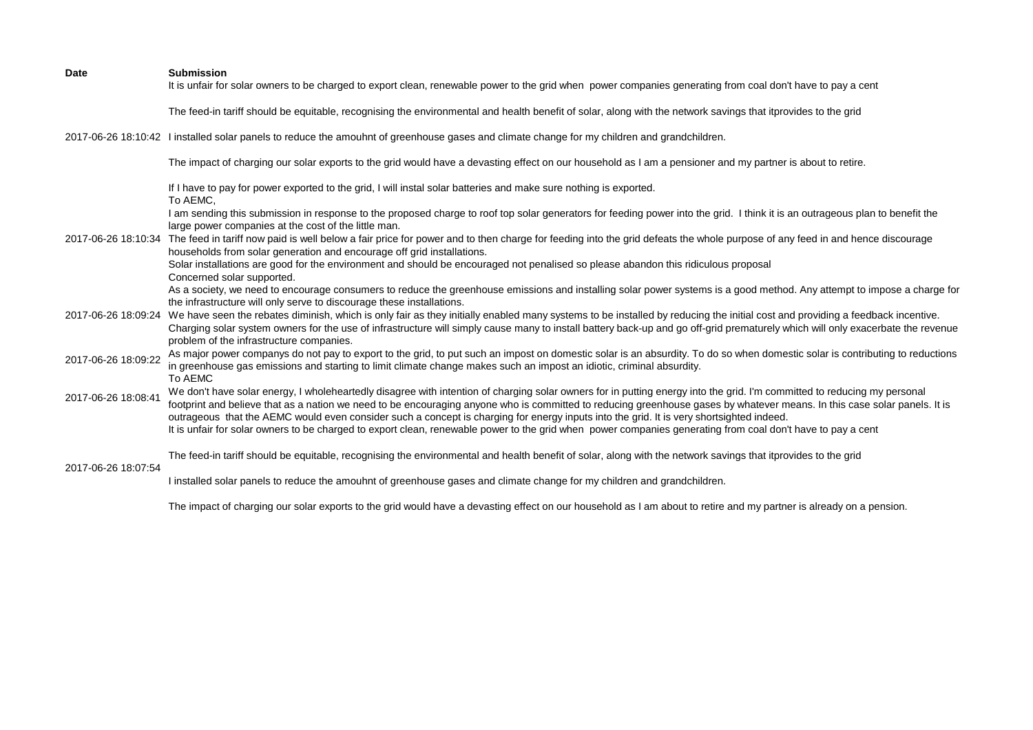| <b>Date</b>         | <b>Submission</b><br>It is unfair for solar owners to be charged to export clean, renewable power to the grid when power companies generating from coal don't have to pay a cent                                                                                                                                                                                                                                                                                                                  |
|---------------------|---------------------------------------------------------------------------------------------------------------------------------------------------------------------------------------------------------------------------------------------------------------------------------------------------------------------------------------------------------------------------------------------------------------------------------------------------------------------------------------------------|
|                     | The feed-in tariff should be equitable, recognising the environmental and health benefit of solar, along with the network savings that itprovides to the grid                                                                                                                                                                                                                                                                                                                                     |
|                     | 2017-06-26 18:10:42 I installed solar panels to reduce the amouhnt of greenhouse gases and climate change for my children and grandchildren.                                                                                                                                                                                                                                                                                                                                                      |
|                     | The impact of charging our solar exports to the grid would have a devasting effect on our household as I am a pensioner and my partner is about to retire.                                                                                                                                                                                                                                                                                                                                        |
|                     | If I have to pay for power exported to the grid, I will instal solar batteries and make sure nothing is exported.<br>To AEMC.                                                                                                                                                                                                                                                                                                                                                                     |
|                     | I am sending this submission in response to the proposed charge to roof top solar generators for feeding power into the grid. I think it is an outrageous plan to benefit the<br>large power companies at the cost of the little man.                                                                                                                                                                                                                                                             |
|                     | 2017-06-26 18:10:34 The feed in tariff now paid is well below a fair price for power and to then charge for feeding into the grid defeats the whole purpose of any feed in and hence discourage<br>households from solar generation and encourage off grid installations.                                                                                                                                                                                                                         |
|                     | Solar installations are good for the environment and should be encouraged not penalised so please abandon this ridiculous proposal<br>Concerned solar supported.                                                                                                                                                                                                                                                                                                                                  |
|                     | As a society, we need to encourage consumers to reduce the greenhouse emissions and installing solar power systems is a good method. Any attempt to impose a charge for<br>the infrastructure will only serve to discourage these installations.                                                                                                                                                                                                                                                  |
|                     | 2017-06-26 18:09:24 We have seen the rebates diminish, which is only fair as they initially enabled many systems to be installed by reducing the initial cost and providing a feedback incentive.<br>Charging solar system owners for the use of infrastructure will simply cause many to install battery back-up and go off-grid prematurely which will only exacerbate the revenue<br>problem of the infrastructure companies.                                                                  |
| 2017-06-26 18:09:22 | As major power companys do not pay to export to the grid, to put such an impost on domestic solar is an absurdity. To do so when domestic solar is contributing to reductions<br>in greenhouse gas emissions and starting to limit climate change makes such an impost an idiotic, criminal absurdity.<br>To AEMC                                                                                                                                                                                 |
| 2017-06-26 18:08:41 | We don't have solar energy, I wholeheartedly disagree with intention of charging solar owners for in putting energy into the grid. I'm committed to reducing my personal<br>footprint and believe that as a nation we need to be encouraging anyone who is committed to reducing greenhouse gases by whatever means. In this case solar panels. It is<br>outrageous that the AEMC would even consider such a concept is charging for energy inputs into the grid. It is very shortsighted indeed. |
|                     | It is unfair for solar owners to be charged to export clean, renewable power to the grid when power companies generating from coal don't have to pay a cent                                                                                                                                                                                                                                                                                                                                       |
| 2017-06-26 18:07:54 | The feed-in tariff should be equitable, recognising the environmental and health benefit of solar, along with the network savings that itprovides to the grid                                                                                                                                                                                                                                                                                                                                     |
|                     | I installed solar panels to reduce the amouhnt of greenhouse gases and climate change for my children and grandchildren.                                                                                                                                                                                                                                                                                                                                                                          |

The impact of charging our solar exports to the grid would have a devasting effect on our household as I am about to retire and my partner is already on a pension.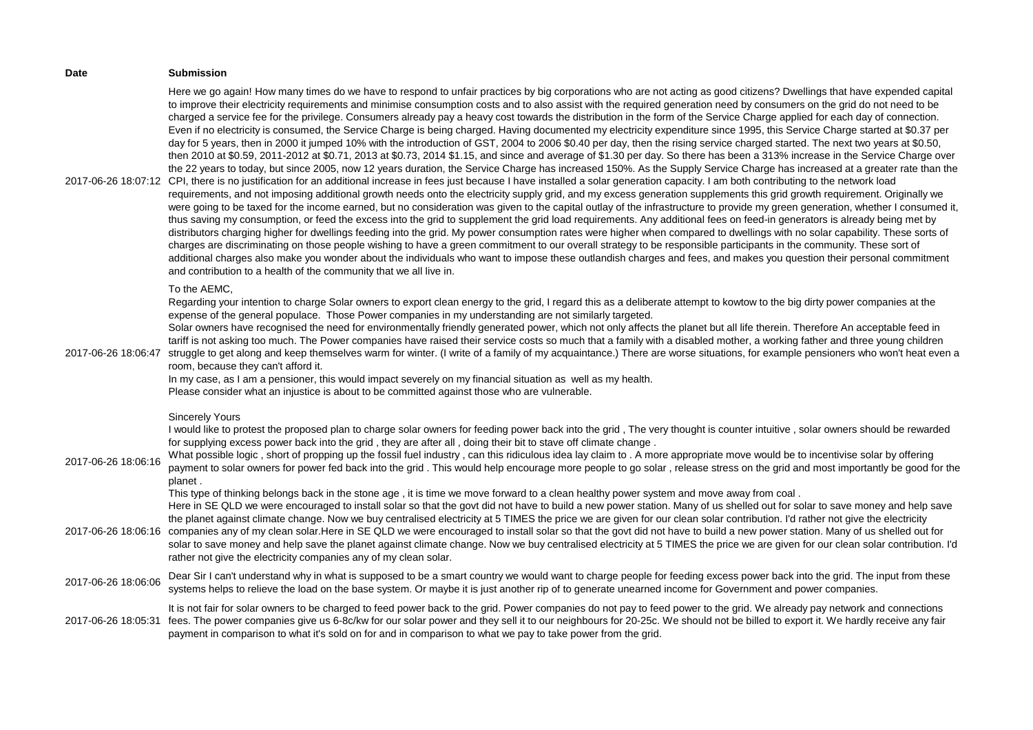| Date                                       | <b>Submission</b>                                                                                                                                                                                                                                                                                                                                                                                                                                                                                                                                                                                                                                                                                                                                                                                                                                                                                                                                                                                                                                                                                                                                                                                                                                                                                                                                                                                                                                                                                                                                                                                                                                                                                                                                                                                                                                                                                                                                                                                                                                                                                                                                                                                                                                                                                                                                                                                                                                                                                                                                                                                                 |
|--------------------------------------------|-------------------------------------------------------------------------------------------------------------------------------------------------------------------------------------------------------------------------------------------------------------------------------------------------------------------------------------------------------------------------------------------------------------------------------------------------------------------------------------------------------------------------------------------------------------------------------------------------------------------------------------------------------------------------------------------------------------------------------------------------------------------------------------------------------------------------------------------------------------------------------------------------------------------------------------------------------------------------------------------------------------------------------------------------------------------------------------------------------------------------------------------------------------------------------------------------------------------------------------------------------------------------------------------------------------------------------------------------------------------------------------------------------------------------------------------------------------------------------------------------------------------------------------------------------------------------------------------------------------------------------------------------------------------------------------------------------------------------------------------------------------------------------------------------------------------------------------------------------------------------------------------------------------------------------------------------------------------------------------------------------------------------------------------------------------------------------------------------------------------------------------------------------------------------------------------------------------------------------------------------------------------------------------------------------------------------------------------------------------------------------------------------------------------------------------------------------------------------------------------------------------------------------------------------------------------------------------------------------------------|
|                                            | Here we go again! How many times do we have to respond to unfair practices by big corporations who are not acting as good citizens? Dwellings that have expended capital<br>to improve their electricity requirements and minimise consumption costs and to also assist with the required generation need by consumers on the grid do not need to be<br>charged a service fee for the privilege. Consumers already pay a heavy cost towards the distribution in the form of the Service Charge applied for each day of connection.<br>Even if no electricity is consumed, the Service Charge is being charged. Having documented my electricity expenditure since 1995, this Service Charge started at \$0.37 per<br>day for 5 years, then in 2000 it jumped 10% with the introduction of GST, 2004 to 2006 \$0.40 per day, then the rising service charged started. The next two years at \$0.50,<br>then 2010 at \$0.59, 2011-2012 at \$0.71, 2013 at \$0.73, 2014 \$1.15, and since and average of \$1.30 per day. So there has been a 313% increase in the Service Charge over<br>the 22 years to today, but since 2005, now 12 years duration, the Service Charge has increased 150%. As the Supply Service Charge has increased at a greater rate than the<br>2017-06-26 18:07:12 CPI, there is no justification for an additional increase in fees just because I have installed a solar generation capacity. I am both contributing to the network load<br>requirements, and not imposing additional growth needs onto the electricity supply grid, and my excess generation supplements this grid growth requirement. Originally we<br>were going to be taxed for the income earned, but no consideration was given to the capital outlay of the infrastructure to provide my green generation, whether I consumed it,<br>thus saving my consumption, or feed the excess into the grid to supplement the grid load requirements. Any additional fees on feed-in generators is already being met by<br>distributors charging higher for dwellings feeding into the grid. My power consumption rates were higher when compared to dwellings with no solar capability. These sorts of<br>charges are discriminating on those people wishing to have a green commitment to our overall strategy to be responsible participants in the community. These sort of<br>additional charges also make you wonder about the individuals who want to impose these outlandish charges and fees, and makes you question their personal commitment<br>and contribution to a health of the community that we all live in. |
| 2017-06-26 18:06:47                        | To the AEMC,<br>Regarding your intention to charge Solar owners to export clean energy to the grid, I regard this as a deliberate attempt to kowtow to the big dirty power companies at the<br>expense of the general populace. Those Power companies in my understanding are not similarly targeted.<br>Solar owners have recognised the need for environmentally friendly generated power, which not only affects the planet but all life therein. Therefore An acceptable feed in<br>tariff is not asking too much. The Power companies have raised their service costs so much that a family with a disabled mother, a working father and three young children<br>struggle to get along and keep themselves warm for winter. (I write of a family of my acquaintance.) There are worse situations, for example pensioners who won't heat even a<br>room, because they can't afford it.<br>In my case, as I am a pensioner, this would impact severely on my financial situation as well as my health.<br>Please consider what an injustice is about to be committed against those who are vulnerable.                                                                                                                                                                                                                                                                                                                                                                                                                                                                                                                                                                                                                                                                                                                                                                                                                                                                                                                                                                                                                                                                                                                                                                                                                                                                                                                                                                                                                                                                                                         |
| 2017-06-26 18:06:16<br>2017-06-26 18:06:16 | <b>Sincerely Yours</b><br>I would like to protest the proposed plan to charge solar owners for feeding power back into the grid, The very thought is counter intuitive, solar owners should be rewarded<br>for supplying excess power back into the grid, they are after all, doing their bit to stave off climate change.<br>What possible logic, short of propping up the fossil fuel industry, can this ridiculous idea lay claim to . A more appropriate move would be to incentivise solar by offering<br>payment to solar owners for power fed back into the grid. This would help encourage more people to go solar, release stress on the grid and most importantly be good for the<br>planet.<br>This type of thinking belongs back in the stone age, it is time we move forward to a clean healthy power system and move away from coal.<br>Here in SE QLD we were encouraged to install solar so that the govt did not have to build a new power station. Many of us shelled out for solar to save money and help save<br>the planet against climate change. Now we buy centralised electricity at 5 TIMES the price we are given for our clean solar contribution. I'd rather not give the electricity<br>companies any of my clean solar.Here in SE QLD we were encouraged to install solar so that the govt did not have to build a new power station. Many of us shelled out for<br>solar to save money and help save the planet against climate change. Now we buy centralised electricity at 5 TIMES the price we are given for our clean solar contribution. I'd                                                                                                                                                                                                                                                                                                                                                                                                                                                                                                                                                                                                                                                                                                                                                                                                                                                                                                                                                                                                                                |
| 2017-06-26 18:06:06                        | rather not give the electricity companies any of my clean solar.<br>Dear Sir I can't understand why in what is supposed to be a smart country we would want to charge people for feeding excess power back into the grid. The input from these<br>systems helps to relieve the load on the base system. Or maybe it is just another rip of to generate unearned income for Government and power companies.                                                                                                                                                                                                                                                                                                                                                                                                                                                                                                                                                                                                                                                                                                                                                                                                                                                                                                                                                                                                                                                                                                                                                                                                                                                                                                                                                                                                                                                                                                                                                                                                                                                                                                                                                                                                                                                                                                                                                                                                                                                                                                                                                                                                        |
| 2017-06-26 18:05:31                        | It is not fair for solar owners to be charged to feed power back to the grid. Power companies do not pay to feed power to the grid. We already pay network and connections<br>fees. The power companies give us 6-8c/kw for our solar power and they sell it to our neighbours for 20-25c. We should not be billed to export it. We hardly receive any fair<br>payment in comparison to what it's sold on for and in comparison to what we pay to take power from the grid.                                                                                                                                                                                                                                                                                                                                                                                                                                                                                                                                                                                                                                                                                                                                                                                                                                                                                                                                                                                                                                                                                                                                                                                                                                                                                                                                                                                                                                                                                                                                                                                                                                                                                                                                                                                                                                                                                                                                                                                                                                                                                                                                       |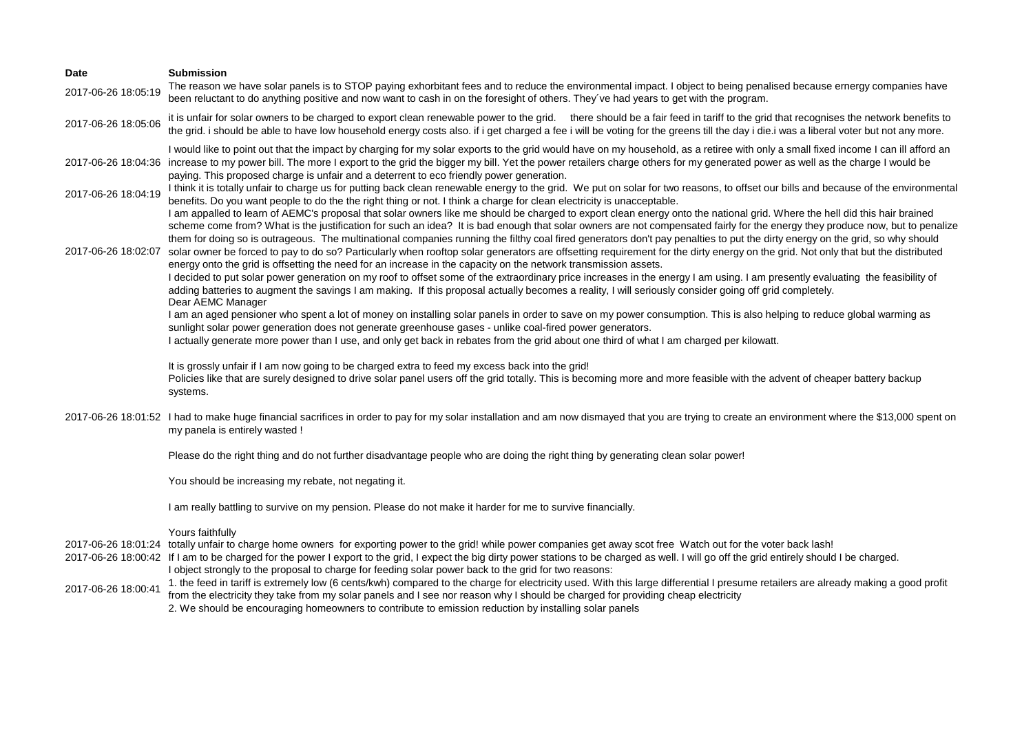# **Date Submission** 2017-06-26 18:05:19 The reason we have solar panels is to STOP paying exhorbitant fees and to reduce the environmental impact. I object to being penalised because ernergy companies have been reluctant to do anything positive and now want to cash in on the foresight of others. They've had years to get with the program. 2017-06-26 18:05:06 it is unfair for solar owners to be charged to export clean renewable power to the grid. there should be a fair feed in tariff to the grid that recognises the network benefits to the grid. i should be able to have low household energy costs also. if i get charged a fee i will be voting for the greens till the day i die.i was a liberal voter but not any more. 2017-06-26 18:04:36 increase to my power bill. The more I export to the grid the bigger my bill. Yet the power retailers charge others for my generated power as well as the charge I would be I would like to point out that the impact by charging for my solar exports to the grid would have on my household, as a retiree with only a small fixed income I can ill afford an paying. This proposed charge is unfair and a deterrent to eco friendly power generation. 2017-06-26 18:04:19 I think it is totally unfair to charge us for putting back clean renewable energy to the grid. We put on solar for two reasons, to offset our bills and because of the environmental benefits. Do you want people to do the the right thing or not. I think a charge for clean electricity is unacceptable. 2017-06-26 18:02:07 solar owner be forced to pay to do so? Particularly when rooftop solar generators are offsetting requirement for the dirty energy on the grid. Not only that but the distributed I am appalled to learn of AEMC's proposal that solar owners like me should be charged to export clean energy onto the national grid. Where the hell did this hair brained scheme come from? What is the justification for such an idea? It is bad enough that solar owners are not compensated fairly for the energy they produce now, but to penalize them for doing so is outrageous. The multinational companies running the filthy coal fired generators don't pay penalties to put the dirty energy on the grid, so why should energy onto the grid is offsetting the need for an increase in the capacity on the network transmission assets. I decided to put solar power generation on my roof to offset some of the extraordinary price increases in the energy I am using. I am presently evaluating the feasibility of adding batteries to augment the savings I am making. If this proposal actually becomes a reality, I will seriously consider going off grid completely. 2017-06-26 18:01:52 I had to make huge financial sacrifices in order to pay for my solar installation and am now dismayed that you are trying to create an environment where the \$13,000 spent on Dear AEMC Manager I am an aged pensioner who spent a lot of money on installing solar panels in order to save on my power consumption. This is also helping to reduce global warming as sunlight solar power generation does not generate greenhouse gases - unlike coal-fired power generators. I actually generate more power than I use, and only get back in rebates from the grid about one third of what I am charged per kilowatt. It is grossly unfair if I am now going to be charged extra to feed my excess back into the grid! Policies like that are surely designed to drive solar panel users off the grid totally. This is becoming more and more feasible with the advent of cheaper battery backup systems. my panela is entirely wasted ! Please do the right thing and do not further disadvantage people who are doing the right thing by generating clean solar power! You should be increasing my rebate, not negating it. I am really battling to survive on my pension. Please do not make it harder for me to survive financially. Yours faithfully 2017-06-26 18:01:24 totally unfair to charge home owners for exporting power to the grid! while power companies get away scot free Watch out for the voter back lash! 2017-06-26 18:00:42 If I am to be charged for the power I export to the grid, I expect the big dirty power stations to be charged as well. I will go off the grid entirely should I be charged.

- I object strongly to the proposal to charge for feeding solar power back to the grid for two reasons:
- 2017-06-26 18:00:41 1. the feed in tariff is extremely low (6 cents/kwh) compared to the charge for electricity used. With this large differential I presume retailers are already making a good profit from the electricity they take from my solar panels and I see nor reason why I should be charged for providing cheap electricity 2. We should be encouraging homeowners to contribute to emission reduction by installing solar panels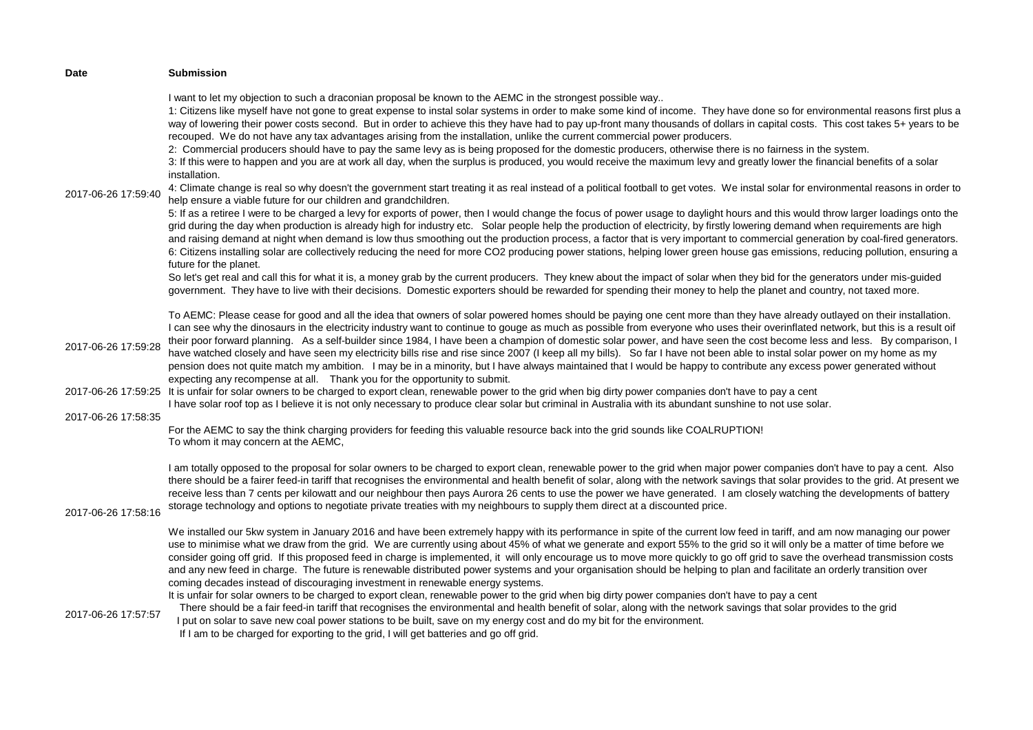| <b>Date</b>         | <b>Submission</b>                                                                                                                                                                                                                                                                                                                                                                                                                                                                                                                                                                                                                                                                                                                                                                                                                                                                                                                                                                                                                                                                                                                                                                      |
|---------------------|----------------------------------------------------------------------------------------------------------------------------------------------------------------------------------------------------------------------------------------------------------------------------------------------------------------------------------------------------------------------------------------------------------------------------------------------------------------------------------------------------------------------------------------------------------------------------------------------------------------------------------------------------------------------------------------------------------------------------------------------------------------------------------------------------------------------------------------------------------------------------------------------------------------------------------------------------------------------------------------------------------------------------------------------------------------------------------------------------------------------------------------------------------------------------------------|
| 2017-06-26 17:59:40 | I want to let my objection to such a draconian proposal be known to the AEMC in the strongest possible way<br>1: Citizens like myself have not gone to great expense to instal solar systems in order to make some kind of income. They have done so for environmental reasons first plus a<br>way of lowering their power costs second. But in order to achieve this they have had to pay up-front many thousands of dollars in capital costs. This cost takes 5+ years to be<br>recouped. We do not have any tax advantages arising from the installation, unlike the current commercial power producers.<br>2: Commercial producers should have to pay the same levy as is being proposed for the domestic producers, otherwise there is no fairness in the system.<br>3: If this were to happen and you are at work all day, when the surplus is produced, you would receive the maximum levy and greatly lower the financial benefits of a solar<br>installation.<br>4: Climate change is real so why doesn't the government start treating it as real instead of a political football to get votes. We instal solar for environmental reasons in order to                        |
|                     | help ensure a viable future for our children and grandchildren.<br>5: If as a retiree I were to be charged a levy for exports of power, then I would change the focus of power usage to daylight hours and this would throw larger loadings onto the<br>grid during the day when production is already high for industry etc. Solar people help the production of electricity, by firstly lowering demand when requirements are high<br>and raising demand at night when demand is low thus smoothing out the production process, a factor that is very important to commercial generation by coal-fired generators.<br>6: Citizens installing solar are collectively reducing the need for more CO2 producing power stations, helping lower green house gas emissions, reducing pollution, ensuring a<br>future for the planet.<br>So let's get real and call this for what it is, a money grab by the current producers. They knew about the impact of solar when they bid for the generators under mis-guided<br>government. They have to live with their decisions. Domestic exporters should be rewarded for spending their money to help the planet and country, not taxed more. |
| 2017-06-26 17:59:28 | To AEMC: Please cease for good and all the idea that owners of solar powered homes should be paying one cent more than they have already outlayed on their installation.<br>I can see why the dinosaurs in the electricity industry want to continue to gouge as much as possible from everyone who uses their overinflated network, but this is a result oif<br>their poor forward planning. As a self-builder since 1984, I have been a champion of domestic solar power, and have seen the cost become less and less. By comparison, I<br>have watched closely and have seen my electricity bills rise and rise since 2007 (I keep all my bills). So far I have not been able to instal solar power on my home as my<br>pension does not quite match my ambition. I may be in a minority, but I have always maintained that I would be happy to contribute any excess power generated without<br>expecting any recompense at all. Thank you for the opportunity to submit.                                                                                                                                                                                                          |
| 2017-06-26 17:59:25 | It is unfair for solar owners to be charged to export clean, renewable power to the grid when big dirty power companies don't have to pay a cent<br>I have solar roof top as I believe it is not only necessary to produce clear solar but criminal in Australia with its abundant sunshine to not use solar.                                                                                                                                                                                                                                                                                                                                                                                                                                                                                                                                                                                                                                                                                                                                                                                                                                                                          |
| 2017-06-26 17:58:35 | For the AEMC to say the think charging providers for feeding this valuable resource back into the grid sounds like COALRUPTION!<br>To whom it may concern at the AEMC,                                                                                                                                                                                                                                                                                                                                                                                                                                                                                                                                                                                                                                                                                                                                                                                                                                                                                                                                                                                                                 |
| 2017-06-26 17:58:16 | I am totally opposed to the proposal for solar owners to be charged to export clean, renewable power to the grid when major power companies don't have to pay a cent. Also<br>there should be a fairer feed-in tariff that recognises the environmental and health benefit of solar, along with the network savings that solar provides to the grid. At present we<br>receive less than 7 cents per kilowatt and our neighbour then pays Aurora 26 cents to use the power we have generated. I am closely watching the developments of battery<br>storage technology and options to negotiate private treaties with my neighbours to supply them direct at a discounted price.                                                                                                                                                                                                                                                                                                                                                                                                                                                                                                         |
|                     | We installed our 5kw system in January 2016 and have been extremely happy with its performance in spite of the current low feed in tariff, and am now managing our power<br>use to minimise what we draw from the grid. We are currently using about 45% of what we generate and export 55% to the grid so it will only be a matter of time before we<br>consider going off grid. If this proposed feed in charge is implemented, it will only encourage us to move more quickly to go off grid to save the overhead transmission costs<br>and any new feed in charge. The future is renewable distributed power systems and your organisation should be helping to plan and facilitate an orderly transition over<br>coming decades instead of discouraging investment in renewable energy systems.                                                                                                                                                                                                                                                                                                                                                                                   |
| 2017-06-26 17:57:57 | It is unfair for solar owners to be charged to export clean, renewable power to the grid when big dirty power companies don't have to pay a cent<br>There should be a fair feed-in tariff that recognises the environmental and health benefit of solar, along with the network savings that solar provides to the grid<br>I put on solar to save new coal power stations to be built, save on my energy cost and do my bit for the environment.<br>If I am to be charged for exporting to the grid, I will get batteries and go off grid.                                                                                                                                                                                                                                                                                                                                                                                                                                                                                                                                                                                                                                             |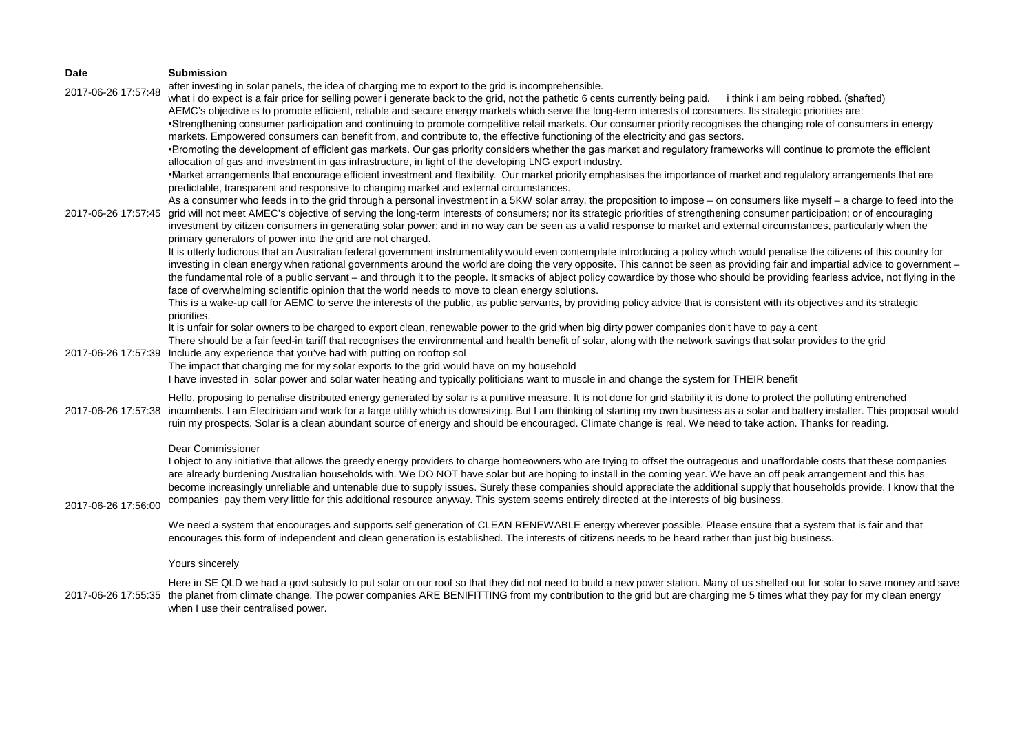| Date                | <b>Submission</b>                                                                                                                                                                                                                                                                                                                                                                                                                                                                                                                                                                                                                                                                                                                                                                                                                                                                                                                                                                                                                                                                                                                                                                                                                                                                               |
|---------------------|-------------------------------------------------------------------------------------------------------------------------------------------------------------------------------------------------------------------------------------------------------------------------------------------------------------------------------------------------------------------------------------------------------------------------------------------------------------------------------------------------------------------------------------------------------------------------------------------------------------------------------------------------------------------------------------------------------------------------------------------------------------------------------------------------------------------------------------------------------------------------------------------------------------------------------------------------------------------------------------------------------------------------------------------------------------------------------------------------------------------------------------------------------------------------------------------------------------------------------------------------------------------------------------------------|
| 2017-06-26 17:57:48 | after investing in solar panels, the idea of charging me to export to the grid is incomprehensible.<br>what i do expect is a fair price for selling power i generate back to the grid, not the pathetic 6 cents currently being paid. ithink i am being robbed. (shafted)<br>AEMC's objective is to promote efficient, reliable and secure energy markets which serve the long-term interests of consumers. Its strategic priorities are:<br>•Strengthening consumer participation and continuing to promote competitive retail markets. Our consumer priority recognises the changing role of consumers in energy                                                                                                                                                                                                                                                                                                                                                                                                                                                                                                                                                                                                                                                                              |
| 2017-06-26 17:57:45 | markets. Empowered consumers can benefit from, and contribute to, the effective functioning of the electricity and gas sectors.<br>• Promoting the development of efficient gas markets. Our gas priority considers whether the gas market and regulatory frameworks will continue to promote the efficient<br>allocation of gas and investment in gas infrastructure, in light of the developing LNG export industry.<br>•Market arrangements that encourage efficient investment and flexibility. Our market priority emphasises the importance of market and regulatory arrangements that are<br>predictable, transparent and responsive to changing market and external circumstances.<br>As a consumer who feeds in to the grid through a personal investment in a 5KW solar array, the proposition to impose - on consumers like myself - a charge to feed into the<br>grid will not meet AMEC's objective of serving the long-term interests of consumers; nor its strategic priorities of strengthening consumer participation; or of encouraging<br>investment by citizen consumers in generating solar power; and in no way can be seen as a valid response to market and external circumstances, particularly when the<br>primary generators of power into the grid are not charged. |
|                     | It is utterly ludicrous that an Australian federal government instrumentality would even contemplate introducing a policy which would penalise the citizens of this country for<br>investing in clean energy when rational governments around the world are doing the very opposite. This cannot be seen as providing fair and impartial advice to government -<br>the fundamental role of a public servant - and through it to the people. It smacks of abject policy cowardice by those who should be providing fearless advice, not flying in the<br>face of overwhelming scientific opinion that the world needs to move to clean energy solutions.<br>This is a wake-up call for AEMC to serve the interests of the public, as public servants, by providing policy advice that is consistent with its objectives and its strategic<br>priorities.                                                                                                                                                                                                                                                                                                                                                                                                                                         |
| 2017-06-26 17:57:39 | It is unfair for solar owners to be charged to export clean, renewable power to the grid when big dirty power companies don't have to pay a cent<br>There should be a fair feed-in tariff that recognises the environmental and health benefit of solar, along with the network savings that solar provides to the grid<br>Include any experience that you've had with putting on rooftop sol<br>The impact that charging me for my solar exports to the grid would have on my household<br>I have invested in solar power and solar water heating and typically politicians want to muscle in and change the system for THEIR benefit                                                                                                                                                                                                                                                                                                                                                                                                                                                                                                                                                                                                                                                          |
| 2017-06-26 17:57:38 | Hello, proposing to penalise distributed energy generated by solar is a punitive measure. It is not done for grid stability it is done to protect the polluting entrenched<br>incumbents. I am Electrician and work for a large utility which is downsizing. But I am thinking of starting my own business as a solar and battery installer. This proposal would<br>ruin my prospects. Solar is a clean abundant source of energy and should be encouraged. Climate change is real. We need to take action. Thanks for reading.                                                                                                                                                                                                                                                                                                                                                                                                                                                                                                                                                                                                                                                                                                                                                                 |
| 2017-06-26 17:56:00 | Dear Commissioner<br>I object to any initiative that allows the greedy energy providers to charge homeowners who are trying to offset the outrageous and unaffordable costs that these companies<br>are already burdening Australian households with. We DO NOT have solar but are hoping to install in the coming year. We have an off peak arrangement and this has<br>become increasingly unreliable and untenable due to supply issues. Surely these companies should appreciate the additional supply that households provide. I know that the<br>companies pay them very little for this additional resource anyway. This system seems entirely directed at the interests of big business.<br>We need a system that encourages and supports self generation of CLEAN RENEWABLE energy wherever possible. Please ensure that a system that is fair and that                                                                                                                                                                                                                                                                                                                                                                                                                                |
|                     | encourages this form of independent and clean generation is established. The interests of citizens needs to be heard rather than just big business.<br>Yours sincerely                                                                                                                                                                                                                                                                                                                                                                                                                                                                                                                                                                                                                                                                                                                                                                                                                                                                                                                                                                                                                                                                                                                          |
|                     | Here in SE QLD we had a govt subsidy to put solar on our roof so that they did not need to build a new power station. Many of us shelled out for solar to save money and save                                                                                                                                                                                                                                                                                                                                                                                                                                                                                                                                                                                                                                                                                                                                                                                                                                                                                                                                                                                                                                                                                                                   |
|                     | 2017-06-26 17:55:35, the planet from climate change. The power companies ARE RENIEITTING from my contribution to the grid but are charging me 5 times what they nay for my clean energy                                                                                                                                                                                                                                                                                                                                                                                                                                                                                                                                                                                                                                                                                                                                                                                                                                                                                                                                                                                                                                                                                                         |

2017-06-26 17:55:35 the planet from climate change. The power companies ARE BENIFITTING from my contribution to the grid but are charging me 5 times what they pay for my clean energy when I use their centralised power.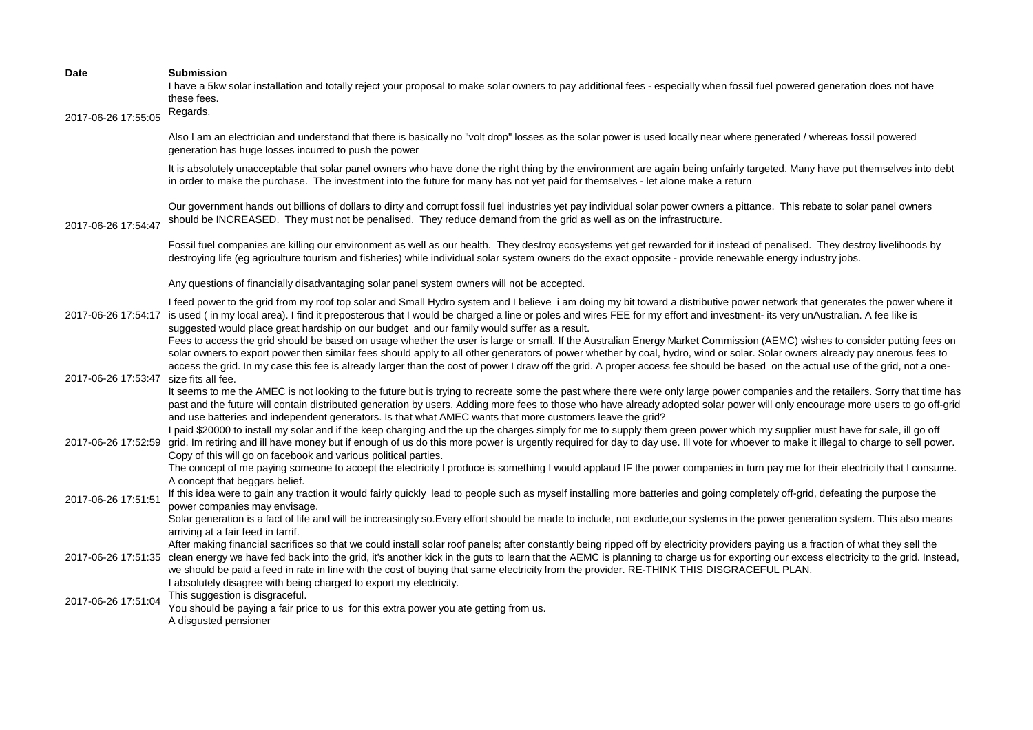| Date<br>2017-06-26 17:55:05            | <b>Submission</b><br>I have a 5kw solar installation and totally reject your proposal to make solar owners to pay additional fees - especially when fossil fuel powered generation does not have<br>these fees.<br>Regards,                                                                                                                                                                                                                                                                                                                                                                                                                                 |
|----------------------------------------|-------------------------------------------------------------------------------------------------------------------------------------------------------------------------------------------------------------------------------------------------------------------------------------------------------------------------------------------------------------------------------------------------------------------------------------------------------------------------------------------------------------------------------------------------------------------------------------------------------------------------------------------------------------|
|                                        | Also I am an electrician and understand that there is basically no "volt drop" losses as the solar power is used locally near where generated / whereas fossil powered<br>generation has huge losses incurred to push the power                                                                                                                                                                                                                                                                                                                                                                                                                             |
|                                        | It is absolutely unacceptable that solar panel owners who have done the right thing by the environment are again being unfairly targeted. Many have put themselves into debt<br>in order to make the purchase. The investment into the future for many has not yet paid for themselves - let alone make a return                                                                                                                                                                                                                                                                                                                                            |
| 2017-06-26 17:54:47                    | Our government hands out billions of dollars to dirty and corrupt fossil fuel industries yet pay individual solar power owners a pittance. This rebate to solar panel owners<br>should be INCREASED. They must not be penalised. They reduce demand from the grid as well as on the infrastructure.                                                                                                                                                                                                                                                                                                                                                         |
|                                        | Fossil fuel companies are killing our environment as well as our health. They destroy ecosystems yet get rewarded for it instead of penalised. They destroy livelihoods by<br>destroying life (eg agriculture tourism and fisheries) while individual solar system owners do the exact opposite - provide renewable energy industry jobs.                                                                                                                                                                                                                                                                                                                   |
|                                        | Any questions of financially disadvantaging solar panel system owners will not be accepted.                                                                                                                                                                                                                                                                                                                                                                                                                                                                                                                                                                 |
|                                        | I feed power to the grid from my roof top solar and Small Hydro system and I believe i am doing my bit toward a distributive power network that generates the power where it<br>2017-06-26 17:54:17 is used (in my local area). I find it preposterous that I would be charged a line or poles and wires FEE for my effort and investment- its very unAustralian. A fee like is<br>suggested would place great hardship on our budget and our family would suffer as a result.<br>Fees to access the grid should be based on usage whether the user is large or small. If the Australian Energy Market Commission (AEMC) wishes to consider putting fees on |
| 2017-06-26 17:53:47 size fits all fee. | solar owners to export power then similar fees should apply to all other generators of power whether by coal, hydro, wind or solar. Solar owners already pay onerous fees to<br>access the grid. In my case this fee is already larger than the cost of power I draw off the grid. A proper access fee should be based on the actual use of the grid, not a one-                                                                                                                                                                                                                                                                                            |
|                                        | It seems to me the AMEC is not looking to the future but is trying to recreate some the past where there were only large power companies and the retailers. Sorry that time has<br>past and the future will contain distributed generation by users. Adding more fees to those who have already adopted solar power will only encourage more users to go off-grid<br>and use batteries and independent generators. Is that what AMEC wants that more customers leave the grid?                                                                                                                                                                              |
| 2017-06-26 17:52:59                    | I paid \$20000 to install my solar and if the keep charging and the up the charges simply for me to supply them green power which my supplier must have for sale, ill go off<br>grid. Im retiring and ill have money but if enough of us do this more power is urgently required for day to day use. Ill vote for whoever to make it illegal to charge to sell power.<br>Copy of this will go on facebook and various political parties.                                                                                                                                                                                                                    |
|                                        | The concept of me paying someone to accept the electricity I produce is something I would applaud IF the power companies in turn pay me for their electricity that I consume.<br>A concept that beggars belief.                                                                                                                                                                                                                                                                                                                                                                                                                                             |
| 2017-06-26 17:51:51                    | If this idea were to gain any traction it would fairly quickly lead to people such as myself installing more batteries and going completely off-grid, defeating the purpose the<br>power companies may envisage.                                                                                                                                                                                                                                                                                                                                                                                                                                            |
|                                        | Solar generation is a fact of life and will be increasingly so. Every effort should be made to include, not exclude, our systems in the power generation system. This also means<br>arriving at a fair feed in tarrif.                                                                                                                                                                                                                                                                                                                                                                                                                                      |
| 2017-06-26 17:51:35                    | After making financial sacrifices so that we could install solar roof panels; after constantly being ripped off by electricity providers paying us a fraction of what they sell the<br>clean energy we have fed back into the grid, it's another kick in the guts to learn that the AEMC is planning to charge us for exporting our excess electricity to the grid. Instead,<br>we should be paid a feed in rate in line with the cost of buying that same electricity from the provider. RE-THINK THIS DISGRACEFUL PLAN.                                                                                                                                   |
| 2017-06-26 17:51:04                    | I absolutely disagree with being charged to export my electricity.<br>This suggestion is disgraceful.<br>You should be paying a fair price to us for this extra power you ate getting from us.<br>A disgusted pensioner                                                                                                                                                                                                                                                                                                                                                                                                                                     |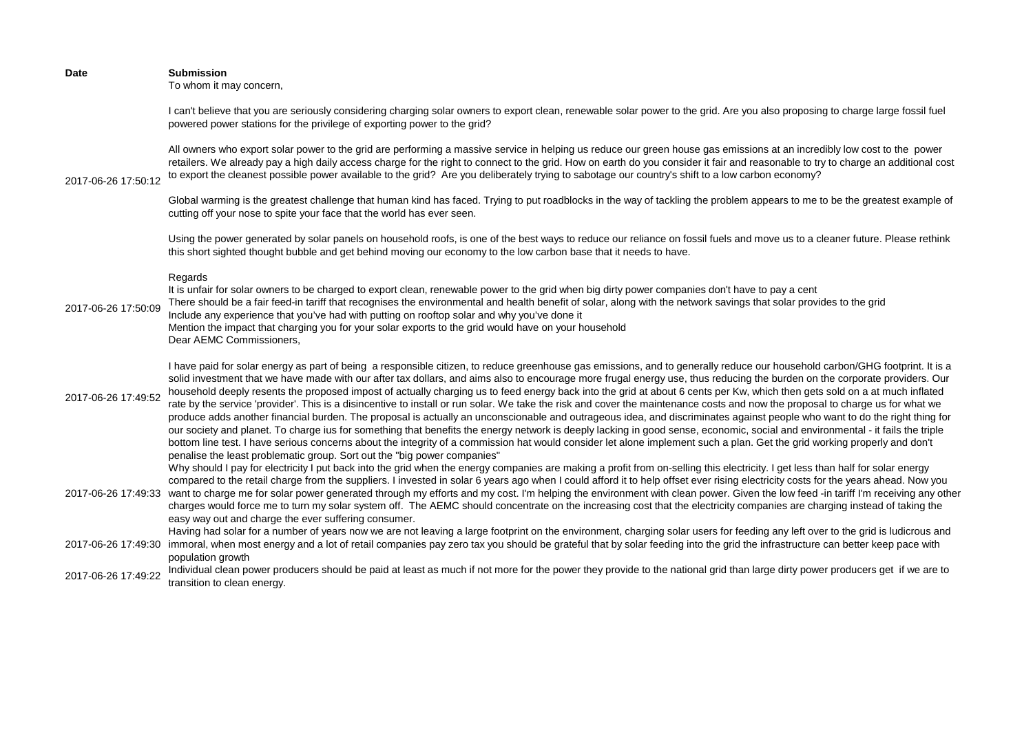| <b>Date</b>         | <b>Submission</b><br>To whom it may concern,                                                                                                                                                                                                                                                                                                                                                                                                                                                                                                                                                                                                                                                                                                                                                                                                                                                                                                                                                                                                                                                                                                                                                                                                                                                                                                        |
|---------------------|-----------------------------------------------------------------------------------------------------------------------------------------------------------------------------------------------------------------------------------------------------------------------------------------------------------------------------------------------------------------------------------------------------------------------------------------------------------------------------------------------------------------------------------------------------------------------------------------------------------------------------------------------------------------------------------------------------------------------------------------------------------------------------------------------------------------------------------------------------------------------------------------------------------------------------------------------------------------------------------------------------------------------------------------------------------------------------------------------------------------------------------------------------------------------------------------------------------------------------------------------------------------------------------------------------------------------------------------------------|
|                     | I can't believe that you are seriously considering charging solar owners to export clean, renewable solar power to the grid. Are you also proposing to charge large fossil fuel<br>powered power stations for the privilege of exporting power to the grid?                                                                                                                                                                                                                                                                                                                                                                                                                                                                                                                                                                                                                                                                                                                                                                                                                                                                                                                                                                                                                                                                                         |
| 2017-06-26 17:50:12 | All owners who export solar power to the grid are performing a massive service in helping us reduce our green house gas emissions at an incredibly low cost to the power<br>retailers. We already pay a high daily access charge for the right to connect to the grid. How on earth do you consider it fair and reasonable to try to charge an additional cost<br>to export the cleanest possible power available to the grid? Are you deliberately trying to sabotage our country's shift to a low carbon economy?                                                                                                                                                                                                                                                                                                                                                                                                                                                                                                                                                                                                                                                                                                                                                                                                                                 |
|                     | Global warming is the greatest challenge that human kind has faced. Trying to put roadblocks in the way of tackling the problem appears to me to be the greatest example of<br>cutting off your nose to spite your face that the world has ever seen.                                                                                                                                                                                                                                                                                                                                                                                                                                                                                                                                                                                                                                                                                                                                                                                                                                                                                                                                                                                                                                                                                               |
|                     | Using the power generated by solar panels on household roofs, is one of the best ways to reduce our reliance on fossil fuels and move us to a cleaner future. Please rethink<br>this short sighted thought bubble and get behind moving our economy to the low carbon base that it needs to have.                                                                                                                                                                                                                                                                                                                                                                                                                                                                                                                                                                                                                                                                                                                                                                                                                                                                                                                                                                                                                                                   |
| 2017-06-26 17:50:09 | Regards<br>It is unfair for solar owners to be charged to export clean, renewable power to the grid when big dirty power companies don't have to pay a cent<br>There should be a fair feed-in tariff that recognises the environmental and health benefit of solar, along with the network savings that solar provides to the grid<br>Include any experience that you've had with putting on rooftop solar and why you've done it<br>Mention the impact that charging you for your solar exports to the grid would have on your household<br>Dear AEMC Commissioners,                                                                                                                                                                                                                                                                                                                                                                                                                                                                                                                                                                                                                                                                                                                                                                               |
| 2017-06-26 17:49:52 | I have paid for solar energy as part of being a responsible citizen, to reduce greenhouse gas emissions, and to generally reduce our household carbon/GHG footprint. It is a<br>solid investment that we have made with our after tax dollars, and aims also to encourage more frugal energy use, thus reducing the burden on the corporate providers. Our<br>household deeply resents the proposed impost of actually charging us to feed energy back into the grid at about 6 cents per Kw, which then gets sold on a at much inflated<br>rate by the service 'provider'. This is a disincentive to install or run solar. We take the risk and cover the maintenance costs and now the proposal to charge us for what we<br>produce adds another financial burden. The proposal is actually an unconscionable and outrageous idea, and discriminates against people who want to do the right thing for<br>our society and planet. To charge ius for something that benefits the energy network is deeply lacking in good sense, economic, social and environmental - it fails the triple<br>bottom line test. I have serious concerns about the integrity of a commission hat would consider let alone implement such a plan. Get the grid working properly and don't<br>penalise the least problematic group. Sort out the "big power companies" |
|                     | Why should I pay for electricity I put back into the grid when the energy companies are making a profit from on-selling this electricity. I get less than half for solar energy<br>compared to the retail charge from the suppliers. I invested in solar 6 years ago when I could afford it to help offset ever rising electricity costs for the years ahead. Now you<br>2017-06-26 17:49:33 want to charge me for solar power generated through my efforts and my cost. I'm helping the environment with clean power. Given the low feed -in tariff I'm receiving any other<br>charges would force me to turn my solar system off. The AEMC should concentrate on the increasing cost that the electricity companies are charging instead of taking the<br>easy way out and charge the ever suffering consumer.                                                                                                                                                                                                                                                                                                                                                                                                                                                                                                                                    |
|                     | Having had solar for a number of years now we are not leaving a large footprint on the environment, charging solar users for feeding any left over to the grid is ludicrous and<br>2017-06-26 17:49:30 immoral, when most energy and a lot of retail companies pay zero tax you should be grateful that by solar feeding into the grid the infrastructure can better keep pace with<br>population growth                                                                                                                                                                                                                                                                                                                                                                                                                                                                                                                                                                                                                                                                                                                                                                                                                                                                                                                                            |
| 2017-06-26 17:49:22 | Individual clean power producers should be paid at least as much if not more for the power they provide to the national grid than large dirty power producers get if we are to<br>transition to clean energy.                                                                                                                                                                                                                                                                                                                                                                                                                                                                                                                                                                                                                                                                                                                                                                                                                                                                                                                                                                                                                                                                                                                                       |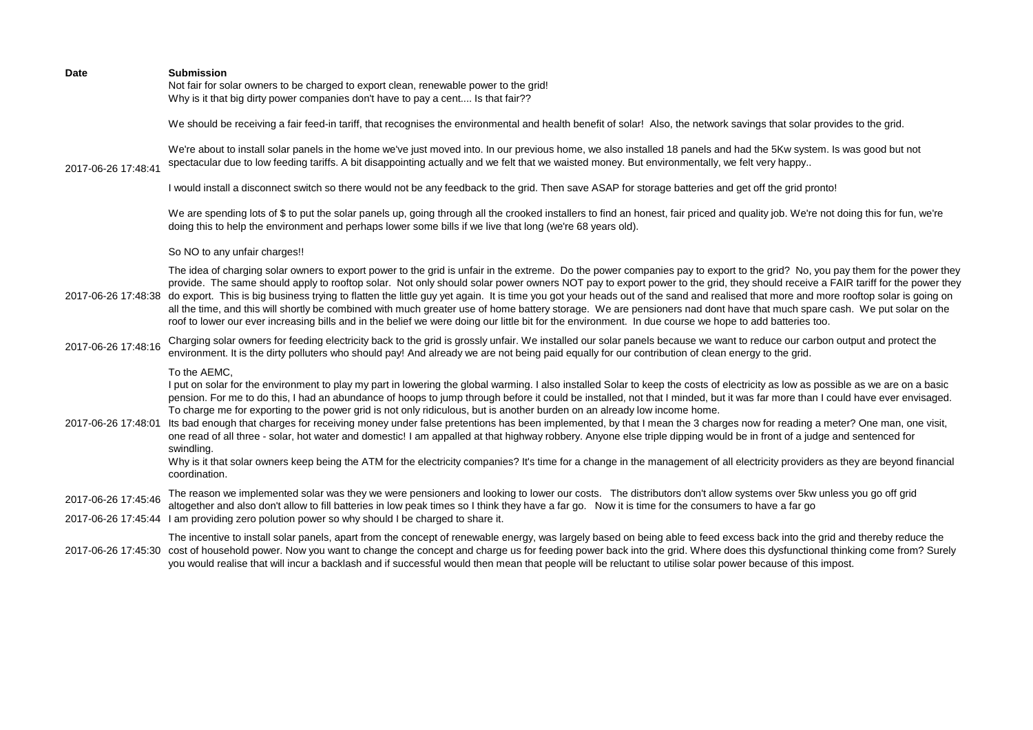| <b>Date</b>         | <b>Submission</b><br>Not fair for solar owners to be charged to export clean, renewable power to the grid!<br>Why is it that big dirty power companies don't have to pay a cent Is that fair??                                                                                                                                                                                                                                                                                                                                                                                                                                                                                                                                                                                                                                                                                                                                                                                                                                                                                             |
|---------------------|--------------------------------------------------------------------------------------------------------------------------------------------------------------------------------------------------------------------------------------------------------------------------------------------------------------------------------------------------------------------------------------------------------------------------------------------------------------------------------------------------------------------------------------------------------------------------------------------------------------------------------------------------------------------------------------------------------------------------------------------------------------------------------------------------------------------------------------------------------------------------------------------------------------------------------------------------------------------------------------------------------------------------------------------------------------------------------------------|
|                     | We should be receiving a fair feed-in tariff, that recognises the environmental and health benefit of solar! Also, the network savings that solar provides to the grid.                                                                                                                                                                                                                                                                                                                                                                                                                                                                                                                                                                                                                                                                                                                                                                                                                                                                                                                    |
| 2017-06-26 17:48:41 | We're about to install solar panels in the home we've just moved into. In our previous home, we also installed 18 panels and had the 5Kw system. Is was good but not<br>spectacular due to low feeding tariffs. A bit disappointing actually and we felt that we waisted money. But environmentally, we felt very happy                                                                                                                                                                                                                                                                                                                                                                                                                                                                                                                                                                                                                                                                                                                                                                    |
|                     | I would install a disconnect switch so there would not be any feedback to the grid. Then save ASAP for storage batteries and get off the grid pronto!                                                                                                                                                                                                                                                                                                                                                                                                                                                                                                                                                                                                                                                                                                                                                                                                                                                                                                                                      |
|                     | We are spending lots of \$ to put the solar panels up, going through all the crooked installers to find an honest, fair priced and quality job. We're not doing this for fun, we're<br>doing this to help the environment and perhaps lower some bills if we live that long (we're 68 years old).                                                                                                                                                                                                                                                                                                                                                                                                                                                                                                                                                                                                                                                                                                                                                                                          |
|                     | So NO to any unfair charges!!                                                                                                                                                                                                                                                                                                                                                                                                                                                                                                                                                                                                                                                                                                                                                                                                                                                                                                                                                                                                                                                              |
| 2017-06-26 17:48:38 | The idea of charging solar owners to export power to the grid is unfair in the extreme. Do the power companies pay to export to the grid? No, you pay them for the power they<br>provide. The same should apply to rooftop solar. Not only should solar power owners NOT pay to export power to the grid, they should receive a FAIR tariff for the power they<br>do export. This is big business trying to flatten the little guy yet again. It is time you got your heads out of the sand and realised that more and more rooftop solar is going on<br>all the time, and this will shortly be combined with much greater use of home battery storage. We are pensioners nad dont have that much spare cash. We put solar on the<br>roof to lower our ever increasing bills and in the belief we were doing our little bit for the environment. In due course we hope to add batteries too.                                                                                                                                                                                               |
| 2017-06-26 17:48:16 | Charging solar owners for feeding electricity back to the grid is grossly unfair. We installed our solar panels because we want to reduce our carbon output and protect the<br>environment. It is the dirty polluters who should pay! And already we are not being paid equally for our contribution of clean energy to the grid.                                                                                                                                                                                                                                                                                                                                                                                                                                                                                                                                                                                                                                                                                                                                                          |
| 2017-06-26 17:48:01 | To the AEMC,<br>I put on solar for the environment to play my part in lowering the global warming. I also installed Solar to keep the costs of electricity as low as possible as we are on a basic<br>pension. For me to do this, I had an abundance of hoops to jump through before it could be installed, not that I minded, but it was far more than I could have ever envisaged.<br>To charge me for exporting to the power grid is not only ridiculous, but is another burden on an already low income home.<br>Its bad enough that charges for receiving money under false pretentions has been implemented, by that I mean the 3 charges now for reading a meter? One man, one visit,<br>one read of all three - solar, hot water and domestic! I am appalled at that highway robbery. Anyone else triple dipping would be in front of a judge and sentenced for<br>swindling.<br>Why is it that solar owners keep being the ATM for the electricity companies? It's time for a change in the management of all electricity providers as they are beyond financial<br>coordination. |
| 2017-06-26 17:45:46 | The reason we implemented solar was they we were pensioners and looking to lower our costs. The distributors don't allow systems over 5kw unless you go off grid<br>altogether and also don't allow to fill batteries in low peak times so I think they have a far go. Now it is time for the consumers to have a far go                                                                                                                                                                                                                                                                                                                                                                                                                                                                                                                                                                                                                                                                                                                                                                   |
|                     | 2017-06-26 17:45:44 I am providing zero polution power so why should I be charged to share it.                                                                                                                                                                                                                                                                                                                                                                                                                                                                                                                                                                                                                                                                                                                                                                                                                                                                                                                                                                                             |
| 2017-06-26 17:45:30 | The incentive to install solar panels, apart from the concept of renewable energy, was largely based on being able to feed excess back into the grid and thereby reduce the<br>cost of household power. Now you want to change the concept and charge us for feeding power back into the grid. Where does this dysfunctional thinking come from? Surely<br>you would realise that will incur a backlash and if successful would then mean that people will be reluctant to utilise solar power because of this impost.                                                                                                                                                                                                                                                                                                                                                                                                                                                                                                                                                                     |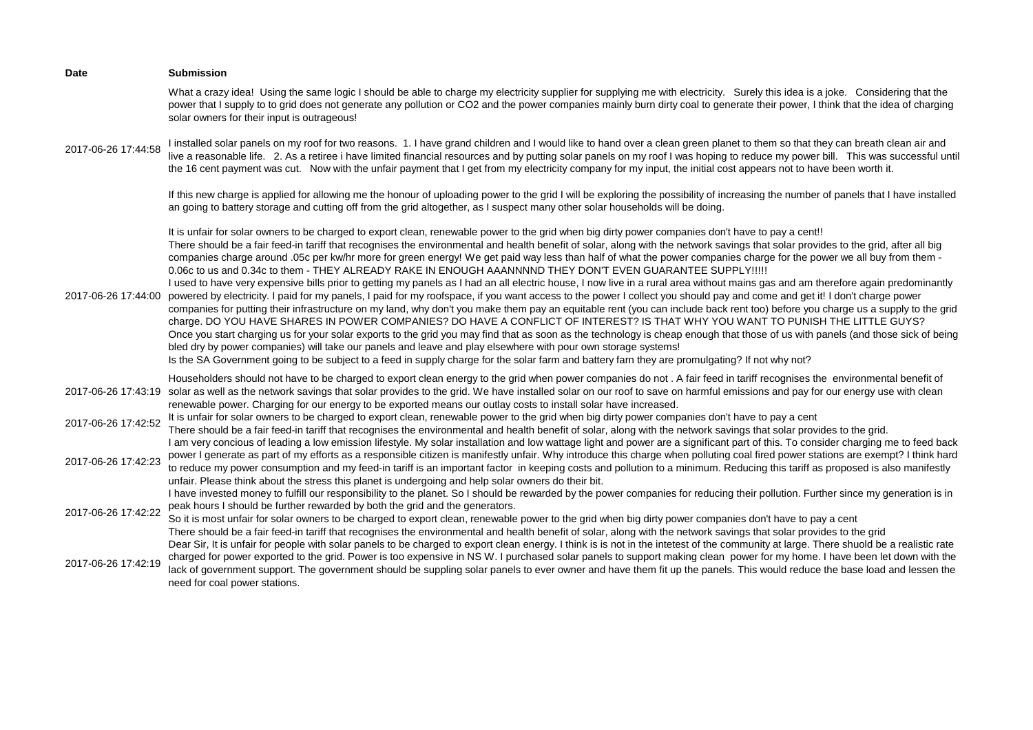| <b>Date</b>         | <b>Submission</b>                                                                                                                                                                                                                                                                                                                                                                                                                                                                                                                                                                                                                                                                                                                                                                                                                                                                                                                                                                                                                                                                                                                                                                                                                                                                                                                                                                                                                                                                                                                                                                                                                                                                                                                                                          |
|---------------------|----------------------------------------------------------------------------------------------------------------------------------------------------------------------------------------------------------------------------------------------------------------------------------------------------------------------------------------------------------------------------------------------------------------------------------------------------------------------------------------------------------------------------------------------------------------------------------------------------------------------------------------------------------------------------------------------------------------------------------------------------------------------------------------------------------------------------------------------------------------------------------------------------------------------------------------------------------------------------------------------------------------------------------------------------------------------------------------------------------------------------------------------------------------------------------------------------------------------------------------------------------------------------------------------------------------------------------------------------------------------------------------------------------------------------------------------------------------------------------------------------------------------------------------------------------------------------------------------------------------------------------------------------------------------------------------------------------------------------------------------------------------------------|
|                     | What a crazy idea! Using the same logic I should be able to charge my electricity supplier for supplying me with electricity. Surely this idea is a joke. Considering that the<br>power that I supply to to grid does not generate any pollution or CO2 and the power companies mainly burn dirty coal to generate their power, I think that the idea of charging<br>solar owners for their input is outrageous!                                                                                                                                                                                                                                                                                                                                                                                                                                                                                                                                                                                                                                                                                                                                                                                                                                                                                                                                                                                                                                                                                                                                                                                                                                                                                                                                                           |
| 2017-06-26 17:44:58 | I installed solar panels on my roof for two reasons. 1. I have grand children and I would like to hand over a clean green planet to them so that they can breath clean air and<br>live a reasonable life. 2. As a retiree i have limited financial resources and by putting solar panels on my roof I was hoping to reduce my power bill. This was successful until<br>the 16 cent payment was cut. Now with the unfair payment that I get from my electricity company for my input, the initial cost appears not to have been worth it.                                                                                                                                                                                                                                                                                                                                                                                                                                                                                                                                                                                                                                                                                                                                                                                                                                                                                                                                                                                                                                                                                                                                                                                                                                   |
|                     | If this new charge is applied for allowing me the honour of uploading power to the grid I will be exploring the possibility of increasing the number of panels that I have installed<br>an going to battery storage and cutting off from the grid altogether, as I suspect many other solar households will be doing.                                                                                                                                                                                                                                                                                                                                                                                                                                                                                                                                                                                                                                                                                                                                                                                                                                                                                                                                                                                                                                                                                                                                                                                                                                                                                                                                                                                                                                                      |
| 2017-06-26 17:44:00 | It is unfair for solar owners to be charged to export clean, renewable power to the grid when big dirty power companies don't have to pay a cent!!<br>There should be a fair feed-in tariff that recognises the environmental and health benefit of solar, along with the network savings that solar provides to the grid, after all big<br>companies charge around .05c per kw/hr more for green energy! We get paid way less than half of what the power companies charge for the power we all buy from them -<br>0.06c to us and 0.34c to them - THEY ALREADY RAKE IN ENOUGH AAANNNND THEY DON'T EVEN GUARANTEE SUPPLY !!!!!<br>I used to have very expensive bills prior to getting my panels as I had an all electric house, I now live in a rural area without mains gas and am therefore again predominantly<br>powered by electricity. I paid for my panels, I paid for my roofspace, if you want access to the power I collect you should pay and come and get it! I don't charge power<br>companies for putting their infrastructure on my land, why don't you make them pay an equitable rent (you can include back rent too) before you charge us a supply to the grid<br>charge. DO YOU HAVE SHARES IN POWER COMPANIES? DO HAVE A CONFLICT OF INTEREST? IS THAT WHY YOU WANT TO PUNISH THE LITTLE GUYS?<br>Once you start charging us for your solar exports to the grid you may find that as soon as the technology is cheap enough that those of us with panels (and those sick of being<br>bled dry by power companies) will take our panels and leave and play elsewhere with pour own storage systems!<br>Is the SA Government going to be subject to a feed in supply charge for the solar farm and battery farn they are promulgating? If not why not? |
|                     | Householders should not have to be charged to export clean energy to the grid when power companies do not . A fair feed in tariff recognises the environmental benefit of<br>2017-06-26 17:43:19 solar as well as the network savings that solar provides to the grid. We have installed solar on our roof to save on harmful emissions and pay for our energy use with clean<br>renewable power. Charging for our energy to be exported means our outlay costs to install solar have increased.                                                                                                                                                                                                                                                                                                                                                                                                                                                                                                                                                                                                                                                                                                                                                                                                                                                                                                                                                                                                                                                                                                                                                                                                                                                                           |
| 2017-06-26 17:42:52 | It is unfair for solar owners to be charged to export clean, renewable power to the grid when big dirty power companies don't have to pay a cent<br>There should be a fair feed-in tariff that recognises the environmental and health benefit of solar, along with the network savings that solar provides to the grid.<br>I am very concious of leading a low emission lifestyle. My solar installation and low wattage light and power are a significant part of this. To consider charging me to feed back                                                                                                                                                                                                                                                                                                                                                                                                                                                                                                                                                                                                                                                                                                                                                                                                                                                                                                                                                                                                                                                                                                                                                                                                                                                             |
| 2017-06-26 17:42:23 | power I generate as part of my efforts as a responsible citizen is manifestly unfair. Why introduce this charge when polluting coal fired power stations are exempt? I think hard<br>to reduce my power consumption and my feed-in tariff is an important factor in keeping costs and pollution to a minimum. Reducing this tariff as proposed is also manifestly<br>unfair. Please think about the stress this planet is undergoing and help solar owners do their bit.                                                                                                                                                                                                                                                                                                                                                                                                                                                                                                                                                                                                                                                                                                                                                                                                                                                                                                                                                                                                                                                                                                                                                                                                                                                                                                   |
| 2017-06-26 17:42:22 | I have invested money to fulfill our responsibility to the planet. So I should be rewarded by the power companies for reducing their pollution. Further since my generation is in<br>peak hours I should be further rewarded by both the grid and the generators.<br>So it is most unfair for solar owners to be charged to export clean, renewable power to the grid when big dirty power companies don't have to pay a cent                                                                                                                                                                                                                                                                                                                                                                                                                                                                                                                                                                                                                                                                                                                                                                                                                                                                                                                                                                                                                                                                                                                                                                                                                                                                                                                                              |
| 2017-06-26 17:42:19 | There should be a fair feed-in tariff that recognises the environmental and health benefit of solar, along with the network savings that solar provides to the grid<br>Dear Sir, It is unfair for people with solar panels to be charged to export clean energy. I think is is not in the intetest of the community at large. There shuold be a realistic rate<br>charged for power exported to the grid. Power is too expensive in NS W. I purchased solar panels to support making clean power for my home. I have been let down with the<br>lack of government support. The government should be suppling solar panels to ever owner and have them fit up the panels. This would reduce the base load and lessen the<br>need for coal power stations.                                                                                                                                                                                                                                                                                                                                                                                                                                                                                                                                                                                                                                                                                                                                                                                                                                                                                                                                                                                                                   |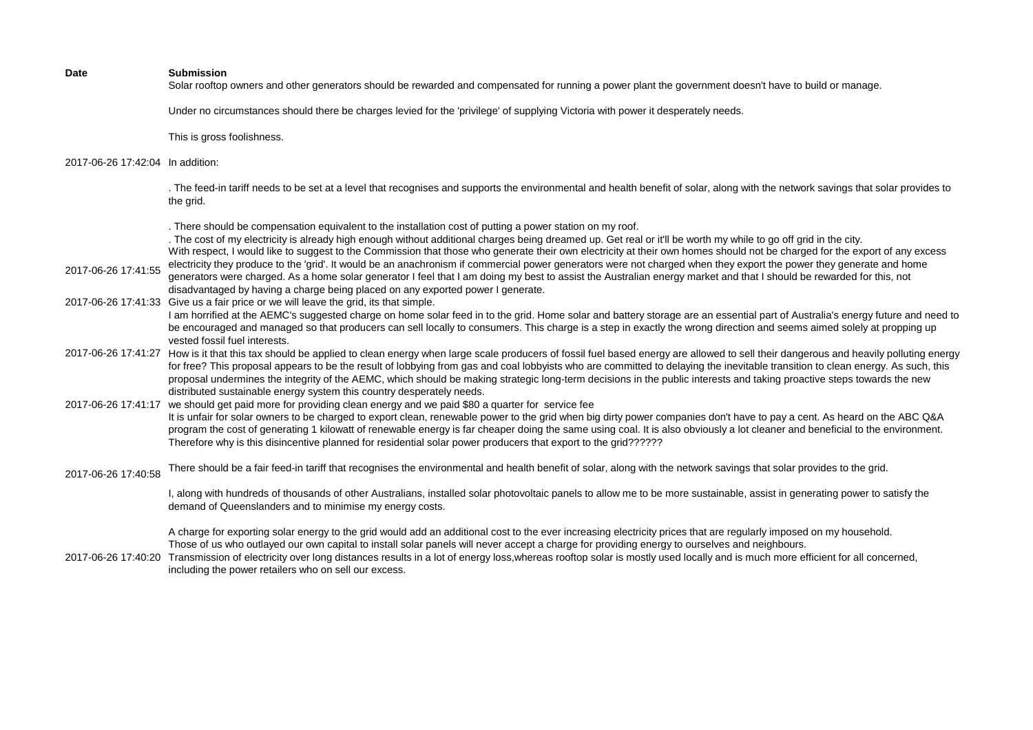Solar rooftop owners and other generators should be rewarded and compensated for running a power plant the government doesn't have to build or manage.

Under no circumstances should there be charges levied for the 'privilege' of supplying Victoria with power it desperately needs.

This is gross foolishness.

## 2017-06-26 17:42:04 In addition:

. The feed-in tariff needs to be set at a level that recognises and supports the environmental and health benefit of solar, along with the network savings that solar provides to the grid.

. There should be compensation equivalent to the installation cost of putting a power station on my roof.

. The cost of my electricity is already high enough without additional charges being dreamed up. Get real or it'll be worth my while to go off grid in the city. With respect, I would like to suggest to the Commission that those who generate their own electricity at their own homes should not be charged for the export of any excess electricity they produce to the 'grid'. It would be an anachronism if commercial power generators were not charged when they export the power they generate and home

- 2017-06-26 17:41:55 generators were charged. As a home solar generator I feel that I am doing my best to assist the Australian energy market and that I should be rewarded for this, not disadvantaged by having a charge being placed on any exported power I generate.
- 2017-06-26 17:41:33 Give us a fair price or we will leave the grid, its that simple.

I am horrified at the AEMC's suggested charge on home solar feed in to the grid. Home solar and battery storage are an essential part of Australia's energy future and need to be encouraged and managed so that producers can sell locally to consumers. This charge is a step in exactly the wrong direction and seems aimed solely at propping up vested fossil fuel interests.

- 2017-06-26 17:41:27 How is it that this tax should be applied to clean energy when large scale producers of fossil fuel based energy are allowed to sell their dangerous and heavily polluting energy for free? This proposal appears to be the result of lobbying from gas and coal lobbyists who are committed to delaying the inevitable transition to clean energy. As such, this proposal undermines the integrity of the AEMC, which should be making strategic long-term decisions in the public interests and taking proactive steps towards the new distributed sustainable energy system this country desperately needs.
- 2017-06-26 17:41:17 we should get paid more for providing clean energy and we paid \$80 a quarter for service fee It is unfair for solar owners to be charged to export clean, renewable power to the grid when big dirty power companies don't have to pay a cent. As heard on the ABC Q&A program the cost of generating 1 kilowatt of renewable energy is far cheaper doing the same using coal. It is also obviously a lot cleaner and beneficial to the environment. Therefore why is this disincentive planned for residential solar power producers that export to the grid??????
- 2017-06-26 17:40:58 There should be a fair feed-in tariff that recognises the environmental and health benefit of solar, along with the network savings that solar provides to the grid.

I, along with hundreds of thousands of other Australians, installed solar photovoltaic panels to allow me to be more sustainable, assist in generating power to satisfy the demand of Queenslanders and to minimise my energy costs.

A charge for exporting solar energy to the grid would add an additional cost to the ever increasing electricity prices that are regularly imposed on my household. Those of us who outlayed our own capital to install solar panels will never accept a charge for providing energy to ourselves and neighbours.

2017-06-26 17:40:20 Transmission of electricity over long distances results in a lot of energy loss,whereas rooftop solar is mostly used locally and is much more efficient for all concerned, including the power retailers who on sell our excess.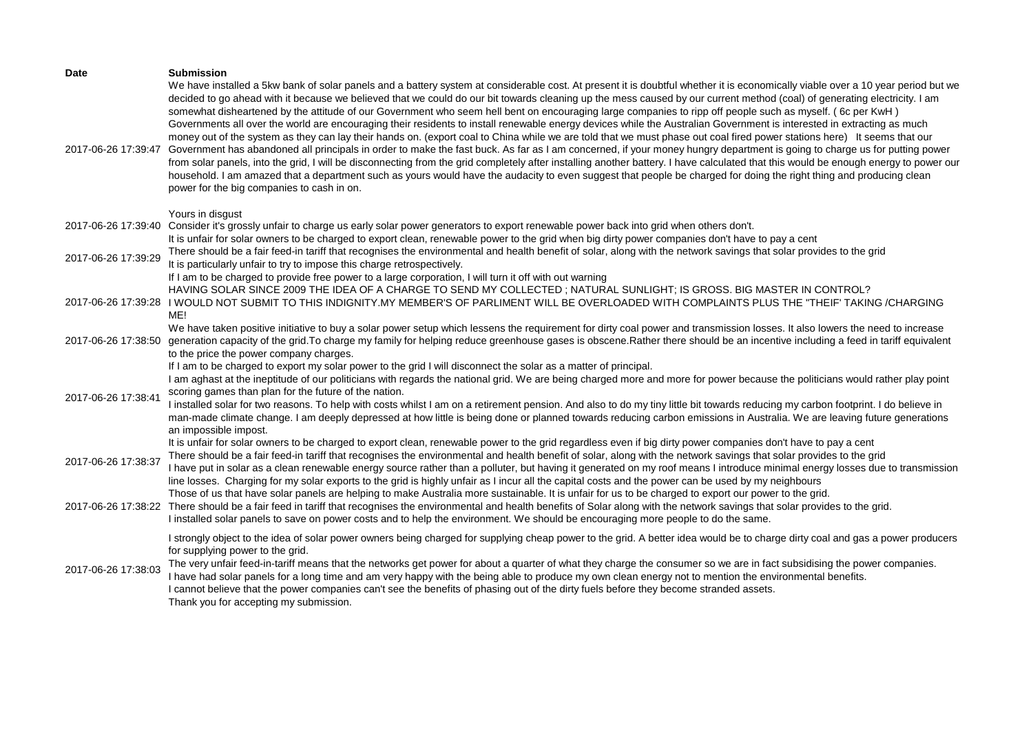| <b>Date</b><br>2017-06-26 17:39:47 | <b>Submission</b><br>We have installed a 5kw bank of solar panels and a battery system at considerable cost. At present it is doubtful whether it is economically viable over a 10 year period but we<br>decided to go ahead with it because we believed that we could do our bit towards cleaning up the mess caused by our current method (coal) of generating electricity. I am<br>somewhat disheartened by the attitude of our Government who seem hell bent on encouraging large companies to ripp off people such as myself. (6c per KwH)<br>Governments all over the world are encouraging their residents to install renewable energy devices while the Australian Government is interested in extracting as much<br>money out of the system as they can lay their hands on. (export coal to China while we are told that we must phase out coal fired power stations here) It seems that our<br>Government has abandoned all principals in order to make the fast buck. As far as I am concerned, if your money hungry department is going to charge us for putting power<br>from solar panels, into the grid, I will be disconnecting from the grid completely after installing another battery. I have calculated that this would be enough energy to power our<br>household. I am amazed that a department such as yours would have the audacity to even suggest that people be charged for doing the right thing and producing clean<br>power for the big companies to cash in on. |
|------------------------------------|-------------------------------------------------------------------------------------------------------------------------------------------------------------------------------------------------------------------------------------------------------------------------------------------------------------------------------------------------------------------------------------------------------------------------------------------------------------------------------------------------------------------------------------------------------------------------------------------------------------------------------------------------------------------------------------------------------------------------------------------------------------------------------------------------------------------------------------------------------------------------------------------------------------------------------------------------------------------------------------------------------------------------------------------------------------------------------------------------------------------------------------------------------------------------------------------------------------------------------------------------------------------------------------------------------------------------------------------------------------------------------------------------------------------------------------------------------------------------------------------------|
| 2017-06-26 17:39:40                | Yours in disgust<br>Consider it's grossly unfair to charge us early solar power generators to export renewable power back into grid when others don't.<br>It is unfair for solar owners to be charged to export clean, renewable power to the grid when big dirty power companies don't have to pay a cent                                                                                                                                                                                                                                                                                                                                                                                                                                                                                                                                                                                                                                                                                                                                                                                                                                                                                                                                                                                                                                                                                                                                                                                      |
| 2017-06-26 17:39:29                | There should be a fair feed-in tariff that recognises the environmental and health benefit of solar, along with the network savings that solar provides to the grid<br>It is particularly unfair to try to impose this charge retrospectively.                                                                                                                                                                                                                                                                                                                                                                                                                                                                                                                                                                                                                                                                                                                                                                                                                                                                                                                                                                                                                                                                                                                                                                                                                                                  |
| 2017-06-26 17:39:28                | If I am to be charged to provide free power to a large corporation, I will turn it off with out warning<br>HAVING SOLAR SINCE 2009 THE IDEA OF A CHARGE TO SEND MY COLLECTED; NATURAL SUNLIGHT; IS GROSS. BIG MASTER IN CONTROL?<br>I WOULD NOT SUBMIT TO THIS INDIGNITY.MY MEMBER'S OF PARLIMENT WILL BE OVERLOADED WITH COMPLAINTS PLUS THE "THEIF' TAKING /CHARGING<br>ME!                                                                                                                                                                                                                                                                                                                                                                                                                                                                                                                                                                                                                                                                                                                                                                                                                                                                                                                                                                                                                                                                                                                   |
| 2017-06-26 17:38:50                | We have taken positive initiative to buy a solar power setup which lessens the requirement for dirty coal power and transmission losses. It also lowers the need to increase<br>generation capacity of the grid. To charge my family for helping reduce greenhouse gases is obscene. Rather there should be an incentive including a feed in tariff equivalent<br>to the price the power company charges.                                                                                                                                                                                                                                                                                                                                                                                                                                                                                                                                                                                                                                                                                                                                                                                                                                                                                                                                                                                                                                                                                       |
| 2017-06-26 17:38:41                | If I am to be charged to export my solar power to the grid I will disconnect the solar as a matter of principal.<br>I am aghast at the ineptitude of our politicians with regards the national grid. We are being charged more and more for power because the politicians would rather play point<br>scoring games than plan for the future of the nation.<br>I installed solar for two reasons. To help with costs whilst I am on a retirement pension. And also to do my tiny little bit towards reducing my carbon footprint. I do believe in<br>man-made climate change. I am deeply depressed at how little is being done or planned towards reducing carbon emissions in Australia. We are leaving future generations<br>an impossible impost.                                                                                                                                                                                                                                                                                                                                                                                                                                                                                                                                                                                                                                                                                                                                            |
| 2017-06-26 17:38:37                | It is unfair for solar owners to be charged to export clean, renewable power to the grid regardless even if big dirty power companies don't have to pay a cent<br>There should be a fair feed-in tariff that recognises the environmental and health benefit of solar, along with the network savings that solar provides to the grid<br>I have put in solar as a clean renewable energy source rather than a polluter, but having it generated on my roof means I introduce minimal energy losses due to transmission<br>line losses. Charging for my solar exports to the grid is highly unfair as I incur all the capital costs and the power can be used by my neighbours                                                                                                                                                                                                                                                                                                                                                                                                                                                                                                                                                                                                                                                                                                                                                                                                                   |
|                                    | Those of us that have solar panels are helping to make Australia more sustainable. It is unfair for us to be charged to export our power to the grid.<br>2017-06-26 17:38:22 There should be a fair feed in tariff that recognises the environmental and health benefits of Solar along with the network savings that solar provides to the grid.<br>I installed solar panels to save on power costs and to help the environment. We should be encouraging more people to do the same.                                                                                                                                                                                                                                                                                                                                                                                                                                                                                                                                                                                                                                                                                                                                                                                                                                                                                                                                                                                                          |
| 2017-06-26 17:38:03                | I strongly object to the idea of solar power owners being charged for supplying cheap power to the grid. A better idea would be to charge dirty coal and gas a power producers<br>for supplying power to the grid.<br>The very unfair feed-in-tariff means that the networks get power for about a quarter of what they charge the consumer so we are in fact subsidising the power companies.<br>I have had solar panels for a long time and am very happy with the being able to produce my own clean energy not to mention the environmental benefits.<br>I cannot believe that the power companies can't see the benefits of phasing out of the dirty fuels before they become stranded assets.<br>Thank you for accepting my submission.                                                                                                                                                                                                                                                                                                                                                                                                                                                                                                                                                                                                                                                                                                                                                   |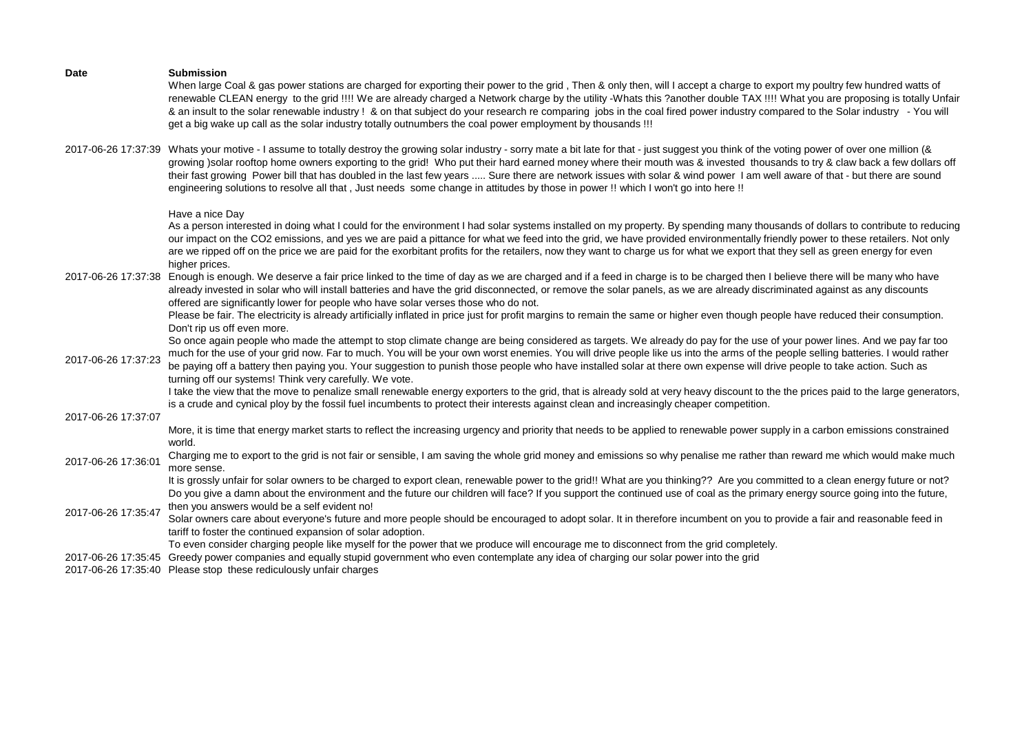When large Coal & gas power stations are charged for exporting their power to the grid. Then & only then, will I accept a charge to export my poultry few hundred watts of renewable CLEAN energy to the grid !!!! We are already charged a Network charge by the utility -Whats this ?another double TAX !!!! What you are proposing is totally Unfair & an insult to the solar renewable industry ! & on that subject do your research re comparing jobs in the coal fired power industry compared to the Solar industry - You will get a big wake up call as the solar industry totally outnumbers the coal power employment by thousands !!!

2017-06-26 17:37:39 Whats your motive - I assume to totally destroy the growing solar industry - sorry mate a bit late for that - just suggest you think of the voting power of over one million (& growing )solar rooftop home owners exporting to the grid! Who put their hard earned money where their mouth was & invested thousands to try & claw back a few dollars off their fast growing Power bill that has doubled in the last few years ..... Sure there are network issues with solar & wind power I am well aware of that - but there are sound engineering solutions to resolve all that , Just needs some change in attitudes by those in power !! which I won't go into here !!

Have a nice Day

As a person interested in doing what I could for the environment I had solar systems installed on my property. By spending many thousands of dollars to contribute to reducing our impact on the CO2 emissions, and yes we are paid a pittance for what we feed into the grid, we have provided environmentally friendly power to these retailers. Not only are we ripped off on the price we are paid for the exorbitant profits for the retailers, now they want to charge us for what we export that they sell as green energy for even higher prices.

2017-06-26 17:37:38 Enough is enough. We deserve a fair price linked to the time of day as we are charged and if a feed in charge is to be charged then I believe there will be many who have already invested in solar who will install batteries and have the grid disconnected, or remove the solar panels, as we are already discriminated against as any discounts offered are significantly lower for people who have solar verses those who do not.

> Please be fair. The electricity is already artificially inflated in price just for profit margins to remain the same or higher even though people have reduced their consumption. Don't rip us off even more.

> So once again people who made the attempt to stop climate change are being considered as targets. We already do pay for the use of your power lines. And we pay far too much for the use of your grid now. Far to much. You will be your own worst enemies. You will drive people like us into the arms of the people selling batteries. I would rather

2017-06-26 17:37:23 be paying off a battery then paying you. Your suggestion to punish those people who have installed solar at there own expense will drive people to take action. Such as turning off our systems! Think very carefully. We vote.

> I take the view that the move to penalize small renewable energy exporters to the grid, that is already sold at very heavy discount to the the prices paid to the large generators, is a crude and cynical ploy by the fossil fuel incumbents to protect their interests against clean and increasingly cheaper competition.

2017-06-26 17:37:07

More, it is time that energy market starts to reflect the increasing urgency and priority that needs to be applied to renewable power supply in a carbon emissions constrained world.

2017-06-26 17:36:01 Charging me to export to the grid is not fair or sensible, I am saving the whole grid money and emissions so why penalise me rather than reward me which would make much more sense.

> It is grossly unfair for solar owners to be charged to export clean, renewable power to the grid!! What are you thinking?? Are you committed to a clean energy future or not? Do you give a damn about the environment and the future our children will face? If you support the continued use of coal as the primary energy source going into the future, then you answers would be a self evident no!

- 2017-06-26 17:35:47 Solar owners care about everyone's future and more people should be encouraged to adopt solar. It in therefore incumbent on you to provide a fair and reasonable feed in
	- tariff to foster the continued expansion of solar adoption.

To even consider charging people like myself for the power that we produce will encourage me to disconnect from the grid completely.

- 2017-06-26 17:35:45 Greedy power companies and equally stupid government who even contemplate any idea of charging our solar power into the grid
- 2017-06-26 17:35:40 Please stop these rediculously unfair charges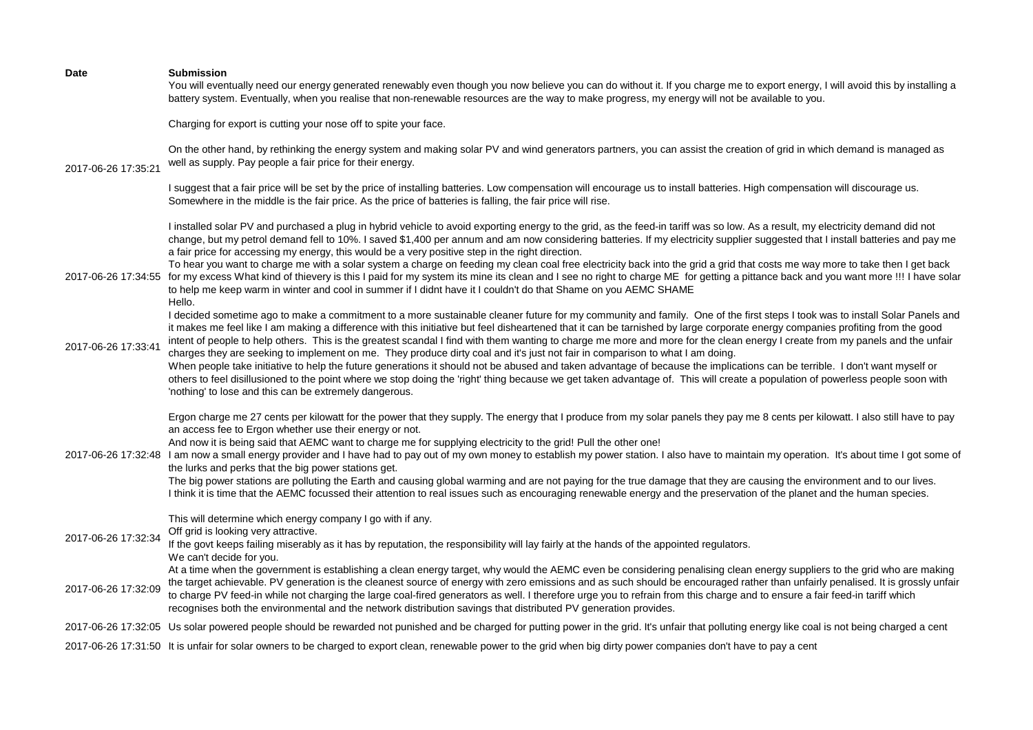| <b>Date</b>         | <b>Submission</b><br>You will eventually need our energy generated renewably even though you now believe you can do without it. If you charge me to export energy, I will avoid this by installing a<br>battery system. Eventually, when you realise that non-renewable resources are the way to make progress, my energy will not be available to you.                                                                                                                                                                                                                                                                                                                                                                                                                                                                                                                                                                                                                                                                                                                                                   |
|---------------------|-----------------------------------------------------------------------------------------------------------------------------------------------------------------------------------------------------------------------------------------------------------------------------------------------------------------------------------------------------------------------------------------------------------------------------------------------------------------------------------------------------------------------------------------------------------------------------------------------------------------------------------------------------------------------------------------------------------------------------------------------------------------------------------------------------------------------------------------------------------------------------------------------------------------------------------------------------------------------------------------------------------------------------------------------------------------------------------------------------------|
|                     | Charging for export is cutting your nose off to spite your face.                                                                                                                                                                                                                                                                                                                                                                                                                                                                                                                                                                                                                                                                                                                                                                                                                                                                                                                                                                                                                                          |
| 2017-06-26 17:35:21 | On the other hand, by rethinking the energy system and making solar PV and wind generators partners, you can assist the creation of grid in which demand is managed as<br>well as supply. Pay people a fair price for their energy.                                                                                                                                                                                                                                                                                                                                                                                                                                                                                                                                                                                                                                                                                                                                                                                                                                                                       |
|                     | I suggest that a fair price will be set by the price of installing batteries. Low compensation will encourage us to install batteries. High compensation will discourage us.<br>Somewhere in the middle is the fair price. As the price of batteries is falling, the fair price will rise.                                                                                                                                                                                                                                                                                                                                                                                                                                                                                                                                                                                                                                                                                                                                                                                                                |
|                     | I installed solar PV and purchased a plug in hybrid vehicle to avoid exporting energy to the grid, as the feed-in tariff was so low. As a result, my electricity demand did not<br>change, but my petrol demand fell to 10%. I saved \$1,400 per annum and am now considering batteries. If my electricity supplier suggested that I install batteries and pay me<br>a fair price for accessing my energy, this would be a very positive step in the right direction.<br>To hear you want to charge me with a solar system a charge on feeding my clean coal free electricity back into the grid a grid that costs me way more to take then I get back<br>2017-06-26 17:34:55 for my excess What kind of thievery is this I paid for my system its mine its clean and I see no right to charge ME for getting a pittance back and you want more !!! I have solar<br>to help me keep warm in winter and cool in summer if I didnt have it I couldn't do that Shame on you AEMC SHAME<br>Hello.                                                                                                             |
| 2017-06-26 17:33:41 | I decided sometime ago to make a commitment to a more sustainable cleaner future for my community and family. One of the first steps I took was to install Solar Panels and<br>it makes me feel like I am making a difference with this initiative but feel disheartened that it can be tarnished by large corporate energy companies profiting from the good<br>intent of people to help others. This is the greatest scandal I find with them wanting to charge me more and more for the clean energy I create from my panels and the unfair<br>charges they are seeking to implement on me. They produce dirty coal and it's just not fair in comparison to what I am doing.<br>When people take initiative to help the future generations it should not be abused and taken advantage of because the implications can be terrible. I don't want myself or<br>others to feel disillusioned to the point where we stop doing the 'right' thing because we get taken advantage of. This will create a population of powerless people soon with<br>'nothing' to lose and this can be extremely dangerous. |
|                     | Ergon charge me 27 cents per kilowatt for the power that they supply. The energy that I produce from my solar panels they pay me 8 cents per kilowatt. I also still have to pay<br>an access fee to Ergon whether use their energy or not.<br>And now it is being said that AEMC want to charge me for supplying electricity to the grid! Pull the other one!<br>2017-06-26 17:32:48 I am now a small energy provider and I have had to pay out of my own money to establish my power station. I also have to maintain my operation. It's about time I got some of<br>the lurks and perks that the big power stations get.<br>The big power stations are polluting the Earth and causing global warming and are not paying for the true damage that they are causing the environment and to our lives.<br>I think it is time that the AEMC focussed their attention to real issues such as encouraging renewable energy and the preservation of the planet and the human species.                                                                                                                         |
| 2017-06-26 17:32:34 | This will determine which energy company I go with if any.<br>Off grid is looking very attractive.<br>If the govt keeps failing miserably as it has by reputation, the responsibility will lay fairly at the hands of the appointed regulators.<br>We can't decide for you.                                                                                                                                                                                                                                                                                                                                                                                                                                                                                                                                                                                                                                                                                                                                                                                                                               |
| 2017-06-26 17:32:09 | At a time when the government is establishing a clean energy target, why would the AEMC even be considering penalising clean energy suppliers to the grid who are making<br>the target achievable. PV generation is the cleanest source of energy with zero emissions and as such should be encouraged rather than unfairly penalised. It is grossly unfair<br>to charge PV feed-in while not charging the large coal-fired generators as well. I therefore urge you to refrain from this charge and to ensure a fair feed-in tariff which<br>recognises both the environmental and the network distribution savings that distributed PV generation provides.                                                                                                                                                                                                                                                                                                                                                                                                                                             |
|                     | 2017-06-26 17:32:05 Us solar powered people should be rewarded not punished and be charged for putting power in the grid. It's unfair that polluting energy like coal is not being charged a cent                                                                                                                                                                                                                                                                                                                                                                                                                                                                                                                                                                                                                                                                                                                                                                                                                                                                                                         |
|                     | 2017-06-26 17:31:50 It is unfair for solar owners to be charged to export clean, renewable power to the grid when big dirty power companies don't have to pay a cent                                                                                                                                                                                                                                                                                                                                                                                                                                                                                                                                                                                                                                                                                                                                                                                                                                                                                                                                      |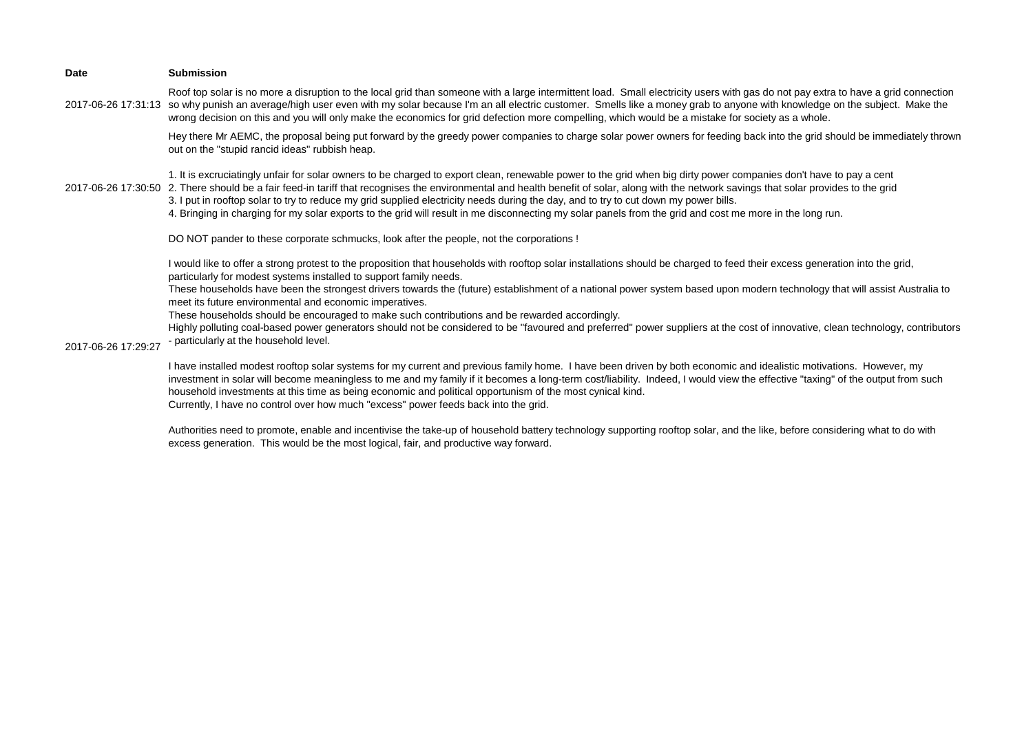| Date                | <b>Submission</b>                                                                                                                                                                                                                                                                                                                                                                                                                                                                                                                                                                                                                                                    |
|---------------------|----------------------------------------------------------------------------------------------------------------------------------------------------------------------------------------------------------------------------------------------------------------------------------------------------------------------------------------------------------------------------------------------------------------------------------------------------------------------------------------------------------------------------------------------------------------------------------------------------------------------------------------------------------------------|
| 2017-06-26 17:31:13 | Roof top solar is no more a disruption to the local grid than someone with a large intermittent load. Small electricity users with gas do not pay extra to have a grid connection<br>so why punish an average/high user even with my solar because I'm an all electric customer. Smells like a money grab to anyone with knowledge on the subject. Make the<br>wrong decision on this and you will only make the economics for grid defection more compelling, which would be a mistake for society as a whole.                                                                                                                                                      |
|                     | Hey there Mr AEMC, the proposal being put forward by the greedy power companies to charge solar power owners for feeding back into the grid should be immediately thrown<br>out on the "stupid rancid ideas" rubbish heap.                                                                                                                                                                                                                                                                                                                                                                                                                                           |
|                     | 1. It is excruciatingly unfair for solar owners to be charged to export clean, renewable power to the grid when big dirty power companies don't have to pay a cent<br>2017-06-26 17:30:50 2. There should be a fair feed-in tariff that recognises the environmental and health benefit of solar, along with the network savings that solar provides to the grid<br>3. I put in rooftop solar to try to reduce my grid supplied electricity needs during the day, and to try to cut down my power bills.<br>4. Bringing in charging for my solar exports to the grid will result in me disconnecting my solar panels from the grid and cost me more in the long run. |
|                     | DO NOT pander to these corporate schmucks, look after the people, not the corporations !                                                                                                                                                                                                                                                                                                                                                                                                                                                                                                                                                                             |
|                     | I would like to offer a strong protest to the proposition that households with rooftop solar installations should be charged to feed their excess generation into the grid,<br>particularly for modest systems installed to support family needs.<br>These households have been the strongest drivers towards the (future) establishment of a national power system based upon modern technology that will assist Australia to<br>meet its future environmental and economic imperatives.                                                                                                                                                                            |
|                     | These households should be encouraged to make such contributions and be rewarded accordingly.                                                                                                                                                                                                                                                                                                                                                                                                                                                                                                                                                                        |
| 2017-06-26 17:29:27 | Highly polluting coal-based power generators should not be considered to be "favoured and preferred" power suppliers at the cost of innovative, clean technology, contributors<br>- particularly at the household level.                                                                                                                                                                                                                                                                                                                                                                                                                                             |
|                     | I have installed modest rooftop solar systems for my current and previous family home. I have been driven by both economic and idealistic motivations. However, my<br>investment in solar will become meaningless to me and my family if it becomes a long-term cost/liability. Indeed, I would view the effective "taxing" of the output from such<br>household investments at this time as being economic and political opportunism of the most cynical kind.<br>Currently, I have no control over how much "excess" power feeds back into the grid.                                                                                                               |

Authorities need to promote, enable and incentivise the take-up of household battery technology supporting rooftop solar, and the like, before considering what to do with excess generation. This would be the most logical, fair, and productive way forward.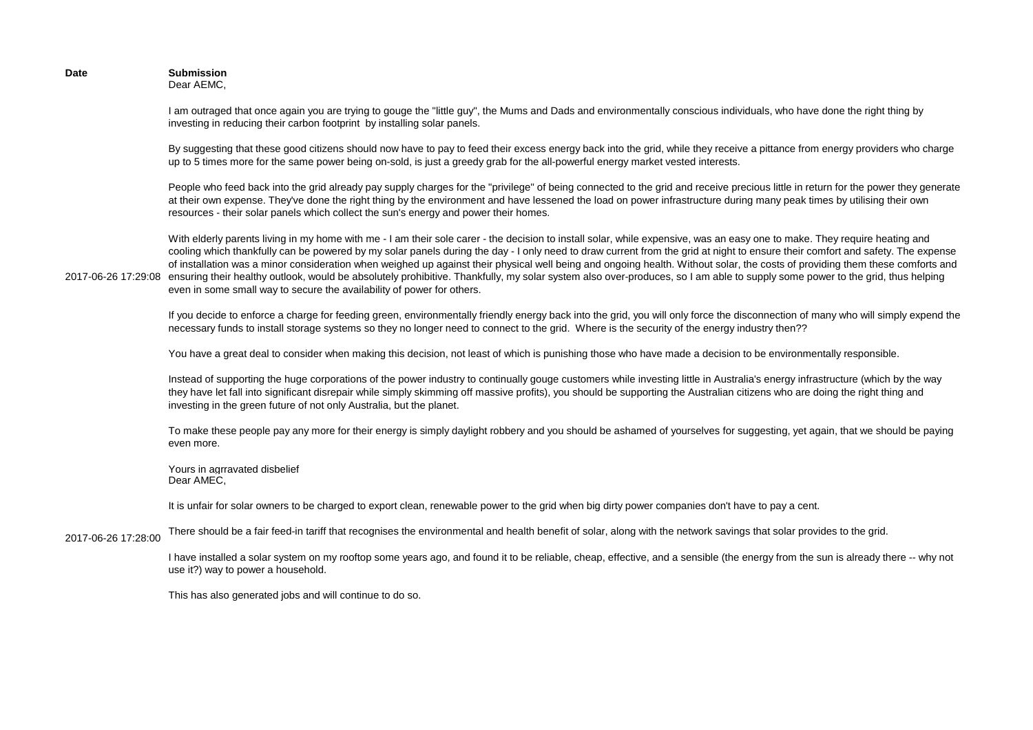**Date Submission** Dear AEMC,

> I am outraged that once again you are trying to gouge the "little guy", the Mums and Dads and environmentally conscious individuals, who have done the right thing by investing in reducing their carbon footprint by installing solar panels.

By suggesting that these good citizens should now have to pay to feed their excess energy back into the grid, while they receive a pittance from energy providers who charge up to 5 times more for the same power being on-sold, is just a greedy grab for the all-powerful energy market vested interests.

People who feed back into the grid already pay supply charges for the "privilege" of being connected to the grid and receive precious little in return for the power they generate at their own expense. They've done the right thing by the environment and have lessened the load on power infrastructure during many peak times by utilising their own resources - their solar panels which collect the sun's energy and power their homes.

2017-06-26 17:29:08 ensuring their healthy outlook, would be absolutely prohibitive. Thankfully, my solar system also over-produces, so I am able to supply some power to the grid, thus helping With elderly parents living in my home with me - I am their sole carer - the decision to install solar, while expensive, was an easy one to make. They require heating and cooling which thankfully can be powered by my solar panels during the day - I only need to draw current from the grid at night to ensure their comfort and safety. The expense of installation was a minor consideration when weighed up against their physical well being and ongoing health. Without solar, the costs of providing them these comforts and even in some small way to secure the availability of power for others.

> If you decide to enforce a charge for feeding green, environmentally friendly energy back into the grid, you will only force the disconnection of many who will simply expend the necessary funds to install storage systems so they no longer need to connect to the grid. Where is the security of the energy industry then??

You have a great deal to consider when making this decision, not least of which is punishing those who have made a decision to be environmentally responsible.

Instead of supporting the huge corporations of the power industry to continually gouge customers while investing little in Australia's energy infrastructure (which by the way they have let fall into significant disrepair while simply skimming off massive profits), you should be supporting the Australian citizens who are doing the right thing and investing in the green future of not only Australia, but the planet.

To make these people pay any more for their energy is simply daylight robbery and you should be ashamed of yourselves for suggesting, yet again, that we should be paying even more.

Yours in agrravated disbelief Dear AMEC,

It is unfair for solar owners to be charged to export clean, renewable power to the grid when big dirty power companies don't have to pay a cent.

2017-06-26 17:28:00 There should be a fair feed-in tariff that recognises the environmental and health benefit of solar, along with the network savings that solar provides to the grid.

> I have installed a solar system on my rooftop some years ago, and found it to be reliable, cheap, effective, and a sensible (the energy from the sun is already there -- why not use it?) way to power a household.

This has also generated jobs and will continue to do so.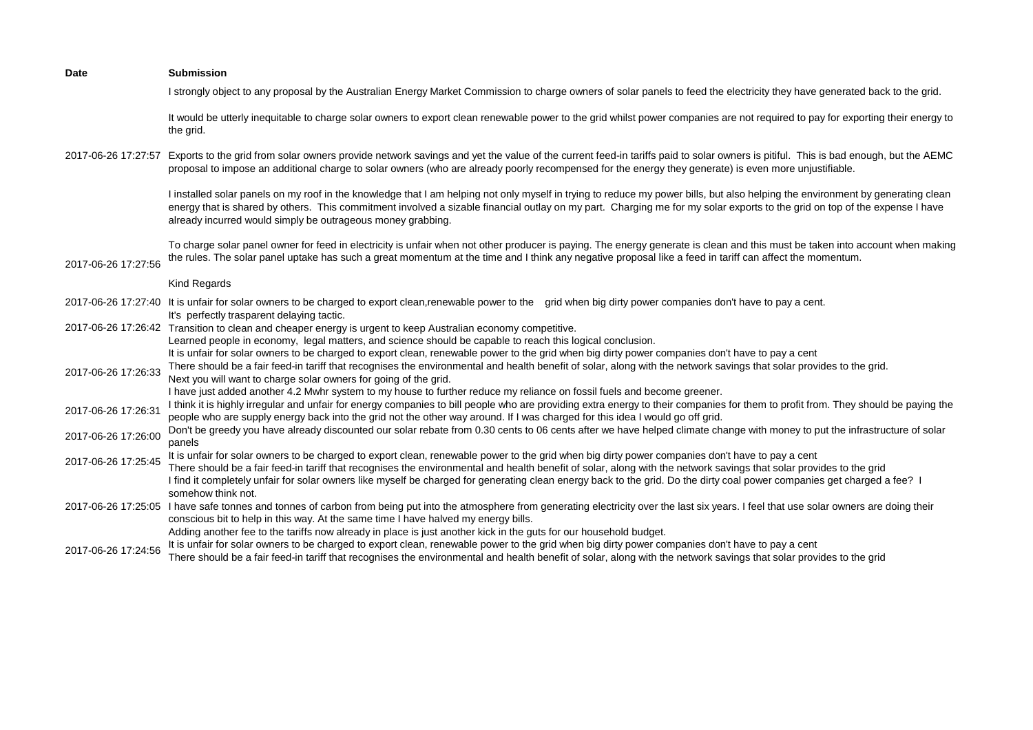| <b>Date</b>         | <b>Submission</b>                                                                                                                                                                                                                                                                                                                                                                                                            |
|---------------------|------------------------------------------------------------------------------------------------------------------------------------------------------------------------------------------------------------------------------------------------------------------------------------------------------------------------------------------------------------------------------------------------------------------------------|
|                     | I strongly object to any proposal by the Australian Energy Market Commission to charge owners of solar panels to feed the electricity they have generated back to the grid.                                                                                                                                                                                                                                                  |
|                     | It would be utterly inequitable to charge solar owners to export clean renewable power to the grid whilst power companies are not required to pay for exporting their energy to<br>the grid.                                                                                                                                                                                                                                 |
|                     | 2017-06-26 17:27:57 Exports to the grid from solar owners provide network savings and yet the value of the current feed-in tariffs paid to solar owners is pitiful. This is bad enough, but the AEMC<br>proposal to impose an additional charge to solar owners (who are already poorly recompensed for the energy they generate) is even more unjustifiable.                                                                |
|                     | I installed solar panels on my roof in the knowledge that I am helping not only myself in trying to reduce my power bills, but also helping the environment by generating clean<br>energy that is shared by others. This commitment involved a sizable financial outlay on my part. Charging me for my solar exports to the grid on top of the expense I have<br>already incurred would simply be outrageous money grabbing. |
| 2017-06-26 17:27:56 | To charge solar panel owner for feed in electricity is unfair when not other producer is paying. The energy generate is clean and this must be taken into account when making<br>the rules. The solar panel uptake has such a great momentum at the time and I think any negative proposal like a feed in tariff can affect the momentum.                                                                                    |
|                     | Kind Regards                                                                                                                                                                                                                                                                                                                                                                                                                 |
|                     | 2017-06-26 17:27:40 It is unfair for solar owners to be charged to export clean,renewable power to the grid when big dirty power companies don't have to pay a cent.<br>It's perfectly trasparent delaying tactic.                                                                                                                                                                                                           |
|                     | 2017-06-26 17:26:42 Transition to clean and cheaper energy is urgent to keep Australian economy competitive.                                                                                                                                                                                                                                                                                                                 |
|                     | Learned people in economy, legal matters, and science should be capable to reach this logical conclusion.<br>It is unfair for solar owners to be charged to export clean, renewable power to the grid when big dirty power companies don't have to pay a cent                                                                                                                                                                |
| 2017-06-26 17:26:33 | There should be a fair feed-in tariff that recognises the environmental and health benefit of solar, along with the network savings that solar provides to the grid.<br>Next you will want to charge solar owners for going of the grid.<br>I have just added another 4.2 Mwhr system to my house to further reduce my reliance on fossil fuels and become greener.                                                          |
| 2017-06-26 17:26:31 | I think it is highly irregular and unfair for energy companies to bill people who are providing extra energy to their companies for them to profit from. They should be paying the<br>people who are supply energy back into the grid not the other way around. If I was charged for this idea I would go off grid.                                                                                                          |
| 2017-06-26 17:26:00 | Don't be greedy you have already discounted our solar rebate from 0.30 cents to 06 cents after we have helped climate change with money to put the infrastructure of solar<br>panels                                                                                                                                                                                                                                         |
| 2017-06-26 17:25:45 | It is unfair for solar owners to be charged to export clean, renewable power to the grid when big dirty power companies don't have to pay a cent<br>There should be a fair feed-in tariff that recognises the environmental and health benefit of solar, along with the network savings that solar provides to the grid                                                                                                      |
|                     | I find it completely unfair for solar owners like myself be charged for generating clean energy back to the grid. Do the dirty coal power companies get charged a fee? I<br>somehow think not.                                                                                                                                                                                                                               |
|                     | 2017-06-26 17:25:05 I have safe tonnes and tonnes of carbon from being put into the atmosphere from generating electricity over the last six years. I feel that use solar owners are doing their<br>conscious bit to help in this way. At the same time I have halved my energy bills.                                                                                                                                       |
|                     | Adding another fee to the tariffs now already in place is just another kick in the guts for our household budget.                                                                                                                                                                                                                                                                                                            |
| 2017-06-26 17:24:56 | It is unfair for solar owners to be charged to export clean, renewable power to the grid when big dirty power companies don't have to pay a cent                                                                                                                                                                                                                                                                             |
|                     | There should be a fair feed-in tariff that recognises the environmental and health benefit of solar, along with the network savings that solar provides to the grid                                                                                                                                                                                                                                                          |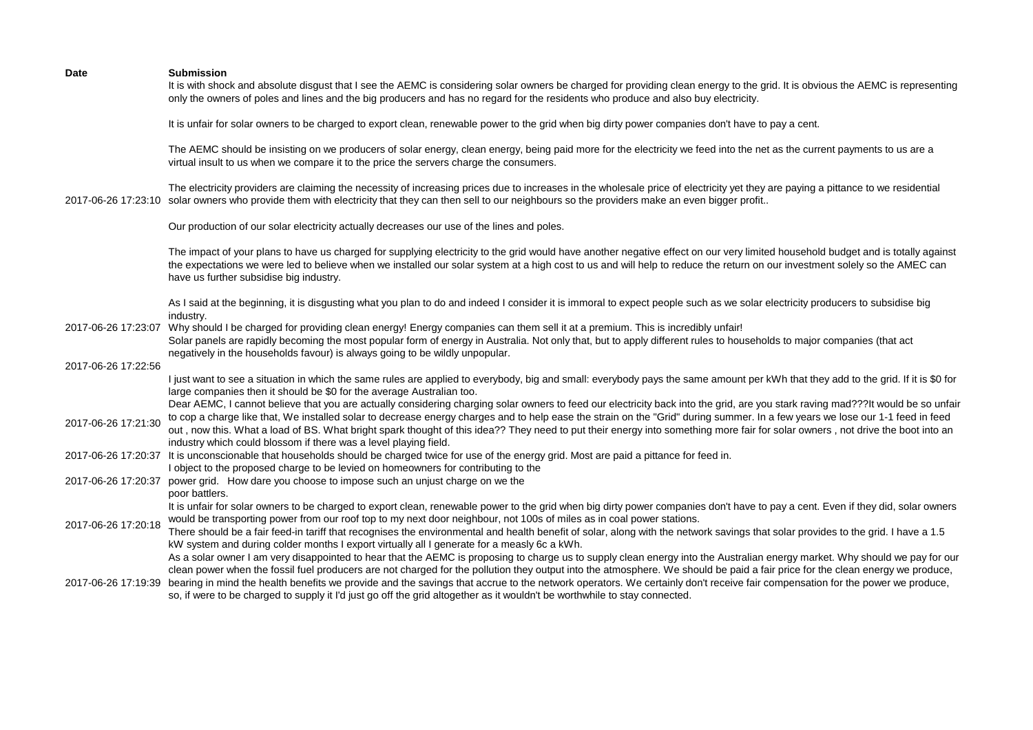|                     | It is with shock and absolute disgust that I see the AEMC is considering solar owners be charged for providing clean energy to the grid. It is obvious the AEMC is representing<br>only the owners of poles and lines and the big producers and has no regard for the residents who produce and also buy electricity.                                                                                                                                                                                                                                                                                                                                                                                                                                                        |
|---------------------|------------------------------------------------------------------------------------------------------------------------------------------------------------------------------------------------------------------------------------------------------------------------------------------------------------------------------------------------------------------------------------------------------------------------------------------------------------------------------------------------------------------------------------------------------------------------------------------------------------------------------------------------------------------------------------------------------------------------------------------------------------------------------|
|                     | It is unfair for solar owners to be charged to export clean, renewable power to the grid when big dirty power companies don't have to pay a cent.                                                                                                                                                                                                                                                                                                                                                                                                                                                                                                                                                                                                                            |
|                     | The AEMC should be insisting on we producers of solar energy, clean energy, being paid more for the electricity we feed into the net as the current payments to us are a<br>virtual insult to us when we compare it to the price the servers charge the consumers.                                                                                                                                                                                                                                                                                                                                                                                                                                                                                                           |
| 2017-06-26 17:23:10 | The electricity providers are claiming the necessity of increasing prices due to increases in the wholesale price of electricity yet they are paying a pittance to we residential<br>solar owners who provide them with electricity that they can then sell to our neighbours so the providers make an even bigger profit                                                                                                                                                                                                                                                                                                                                                                                                                                                    |
|                     | Our production of our solar electricity actually decreases our use of the lines and poles.                                                                                                                                                                                                                                                                                                                                                                                                                                                                                                                                                                                                                                                                                   |
|                     | The impact of your plans to have us charged for supplying electricity to the grid would have another negative effect on our very limited household budget and is totally against<br>the expectations we were led to believe when we installed our solar system at a high cost to us and will help to reduce the return on our investment solely so the AMEC can<br>have us further subsidise big industry.                                                                                                                                                                                                                                                                                                                                                                   |
|                     | As I said at the beginning, it is disgusting what you plan to do and indeed I consider it is immoral to expect people such as we solar electricity producers to subsidise big<br>industry.                                                                                                                                                                                                                                                                                                                                                                                                                                                                                                                                                                                   |
| 2017-06-26 17:23:07 | Why should I be charged for providing clean energy! Energy companies can them sell it at a premium. This is incredibly unfair!<br>Solar panels are rapidly becoming the most popular form of energy in Australia. Not only that, but to apply different rules to households to major companies (that act<br>negatively in the households favour) is always going to be wildly unpopular.                                                                                                                                                                                                                                                                                                                                                                                     |
| 2017-06-26 17:22:56 |                                                                                                                                                                                                                                                                                                                                                                                                                                                                                                                                                                                                                                                                                                                                                                              |
|                     | I just want to see a situation in which the same rules are applied to everybody, big and small: everybody pays the same amount per kWh that they add to the grid. If it is \$0 for<br>large companies then it should be \$0 for the average Australian too.                                                                                                                                                                                                                                                                                                                                                                                                                                                                                                                  |
| 2017-06-26 17:21:30 | Dear AEMC, I cannot believe that you are actually considering charging solar owners to feed our electricity back into the grid, are you stark raving mad???It would be so unfair<br>to cop a charge like that, We installed solar to decrease energy charges and to help ease the strain on the "Grid" during summer. In a few years we lose our 1-1 feed in feed<br>out, now this. What a load of BS. What bright spark thought of this idea?? They need to put their energy into something more fair for solar owners, not drive the boot into an<br>industry which could blossom if there was a level playing field.                                                                                                                                                      |
| 2017-06-26 17:20:37 | It is unconscionable that households should be charged twice for use of the energy grid. Most are paid a pittance for feed in.<br>I object to the proposed charge to be levied on homeowners for contributing to the                                                                                                                                                                                                                                                                                                                                                                                                                                                                                                                                                         |
| 2017-06-26 17:20:37 | power grid. How dare you choose to impose such an unjust charge on we the<br>poor battlers.                                                                                                                                                                                                                                                                                                                                                                                                                                                                                                                                                                                                                                                                                  |
| 2017-06-26 17:20:18 | It is unfair for solar owners to be charged to export clean, renewable power to the grid when big dirty power companies don't have to pay a cent. Even if they did, solar owners<br>would be transporting power from our roof top to my next door neighbour, not 100s of miles as in coal power stations.<br>There should be a fair feed-in tariff that recognises the environmental and health benefit of solar, along with the network savings that solar provides to the grid. I have a 1.5<br>kW system and during colder months I export virtually all I generate for a measly 6c a kWh.<br>As a solar owner I am very disappointed to hear that the AEMC is proposing to charge us to supply clean energy into the Australian energy market. Why should we pay for our |
| 2017-06-26 17:19:39 | clean power when the fossil fuel producers are not charged for the pollution they output into the atmosphere. We should be paid a fair price for the clean energy we produce,<br>bearing in mind the health benefits we provide and the savings that accrue to the network operators. We certainly don't receive fair compensation for the power we produce,<br>so, if were to be charged to supply it I'd just go off the grid altogether as it wouldn't be worthwhile to stay connected.                                                                                                                                                                                                                                                                                   |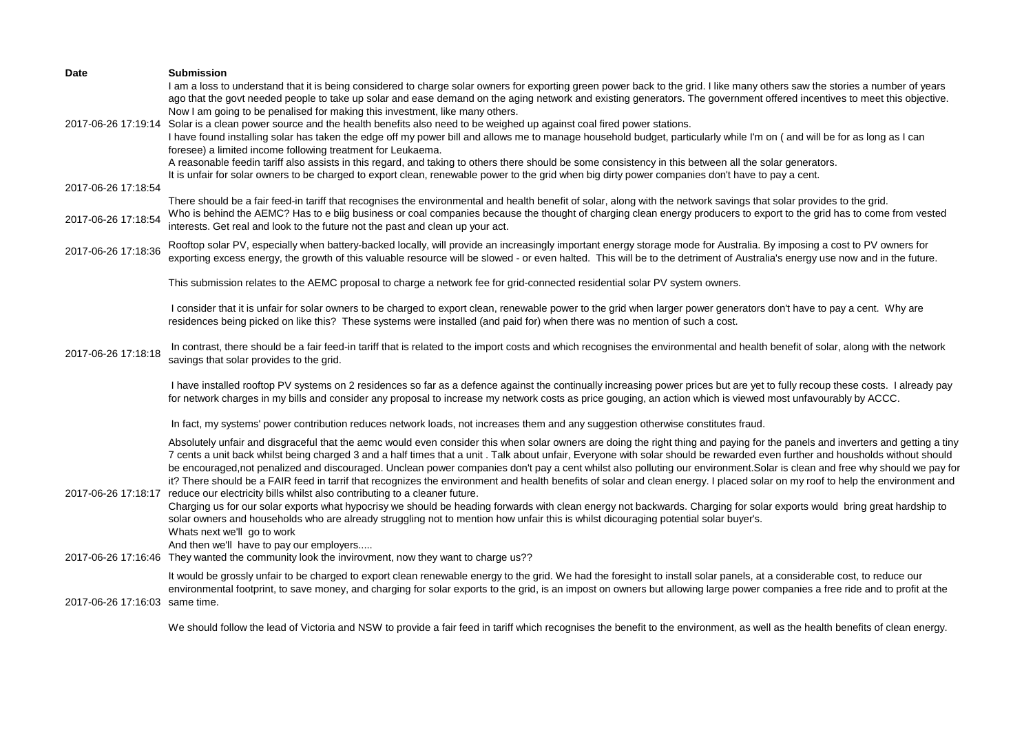| <b>Date</b>                    | <b>Submission</b>                                                                                                                                                                                                                                                                                                                                                                                                                                                                                                                                                                                                                                                                                                                                                                                                                                                                                                                                                                          |
|--------------------------------|--------------------------------------------------------------------------------------------------------------------------------------------------------------------------------------------------------------------------------------------------------------------------------------------------------------------------------------------------------------------------------------------------------------------------------------------------------------------------------------------------------------------------------------------------------------------------------------------------------------------------------------------------------------------------------------------------------------------------------------------------------------------------------------------------------------------------------------------------------------------------------------------------------------------------------------------------------------------------------------------|
|                                | I am a loss to understand that it is being considered to charge solar owners for exporting green power back to the grid. I like many others saw the stories a number of years<br>ago that the govt needed people to take up solar and ease demand on the aging network and existing generators. The government offered incentives to meet this objective.<br>Now I am going to be penalised for making this investment, like many others.<br>2017-06-26 17:19:14 Solar is a clean power source and the health benefits also need to be weighed up against coal fired power stations.<br>I have found installing solar has taken the edge off my power bill and allows me to manage household budget, particularly while I'm on (and will be for as long as I can<br>foresee) a limited income following treatment for Leukaema.<br>A reasonable feedin tariff also assists in this regard, and taking to others there should be some consistency in this between all the solar generators. |
| 2017-06-26 17:18:54            | It is unfair for solar owners to be charged to export clean, renewable power to the grid when big dirty power companies don't have to pay a cent.                                                                                                                                                                                                                                                                                                                                                                                                                                                                                                                                                                                                                                                                                                                                                                                                                                          |
| 2017-06-26 17:18:54            | There should be a fair feed-in tariff that recognises the environmental and health benefit of solar, along with the network savings that solar provides to the grid.<br>Who is behind the AEMC? Has to e biig business or coal companies because the thought of charging clean energy producers to export to the grid has to come from vested<br>interests. Get real and look to the future not the past and clean up your act.                                                                                                                                                                                                                                                                                                                                                                                                                                                                                                                                                            |
| 2017-06-26 17:18:36            | Rooftop solar PV, especially when battery-backed locally, will provide an increasingly important energy storage mode for Australia. By imposing a cost to PV owners for<br>exporting excess energy, the growth of this valuable resource will be slowed - or even halted. This will be to the detriment of Australia's energy use now and in the future.                                                                                                                                                                                                                                                                                                                                                                                                                                                                                                                                                                                                                                   |
|                                | This submission relates to the AEMC proposal to charge a network fee for grid-connected residential solar PV system owners.                                                                                                                                                                                                                                                                                                                                                                                                                                                                                                                                                                                                                                                                                                                                                                                                                                                                |
|                                | I consider that it is unfair for solar owners to be charged to export clean, renewable power to the grid when larger power generators don't have to pay a cent. Why are<br>residences being picked on like this? These systems were installed (and paid for) when there was no mention of such a cost.                                                                                                                                                                                                                                                                                                                                                                                                                                                                                                                                                                                                                                                                                     |
| 2017-06-26 17:18:18            | In contrast, there should be a fair feed-in tariff that is related to the import costs and which recognises the environmental and health benefit of solar, along with the network<br>savings that solar provides to the grid.                                                                                                                                                                                                                                                                                                                                                                                                                                                                                                                                                                                                                                                                                                                                                              |
|                                | I have installed rooftop PV systems on 2 residences so far as a defence against the continually increasing power prices but are yet to fully recoup these costs. I already pay<br>for network charges in my bills and consider any proposal to increase my network costs as price gouging, an action which is viewed most unfavourably by ACCC.                                                                                                                                                                                                                                                                                                                                                                                                                                                                                                                                                                                                                                            |
|                                | In fact, my systems' power contribution reduces network loads, not increases them and any suggestion otherwise constitutes fraud.                                                                                                                                                                                                                                                                                                                                                                                                                                                                                                                                                                                                                                                                                                                                                                                                                                                          |
| 2017-06-26 17:18:17            | Absolutely unfair and disgraceful that the aemc would even consider this when solar owners are doing the right thing and paying for the panels and inverters and getting a tiny<br>7 cents a unit back whilst being charged 3 and a half times that a unit . Talk about unfair, Everyone with solar should be rewarded even further and housholds without should<br>be encouraged, not penalized and discouraged. Unclean power companies don't pay a cent whilst also polluting our environment. Solar is clean and free why should we pay for<br>it? There should be a FAIR feed in tarrif that recognizes the environment and health benefits of solar and clean energy. I placed solar on my roof to help the environment and<br>reduce our electricity bills whilst also contributing to a cleaner future.                                                                                                                                                                            |
|                                | Charging us for our solar exports what hypocrisy we should be heading forwards with clean energy not backwards. Charging for solar exports would bring great hardship to<br>solar owners and households who are already struggling not to mention how unfair this is whilst dicouraging potential solar buyer's.<br>Whats next we'll go to work<br>And then we'll have to pay our employers                                                                                                                                                                                                                                                                                                                                                                                                                                                                                                                                                                                                |
|                                | 2017-06-26 17:16:46 They wanted the community look the invirovment, now they want to charge us??                                                                                                                                                                                                                                                                                                                                                                                                                                                                                                                                                                                                                                                                                                                                                                                                                                                                                           |
| 2017-06-26 17:16:03 same time. | It would be grossly unfair to be charged to export clean renewable energy to the grid. We had the foresight to install solar panels, at a considerable cost, to reduce our<br>environmental footprint, to save money, and charging for solar exports to the grid, is an impost on owners but allowing large power companies a free ride and to profit at the                                                                                                                                                                                                                                                                                                                                                                                                                                                                                                                                                                                                                               |

We should follow the lead of Victoria and NSW to provide a fair feed in tariff which recognises the benefit to the environment, as well as the health benefits of clean energy.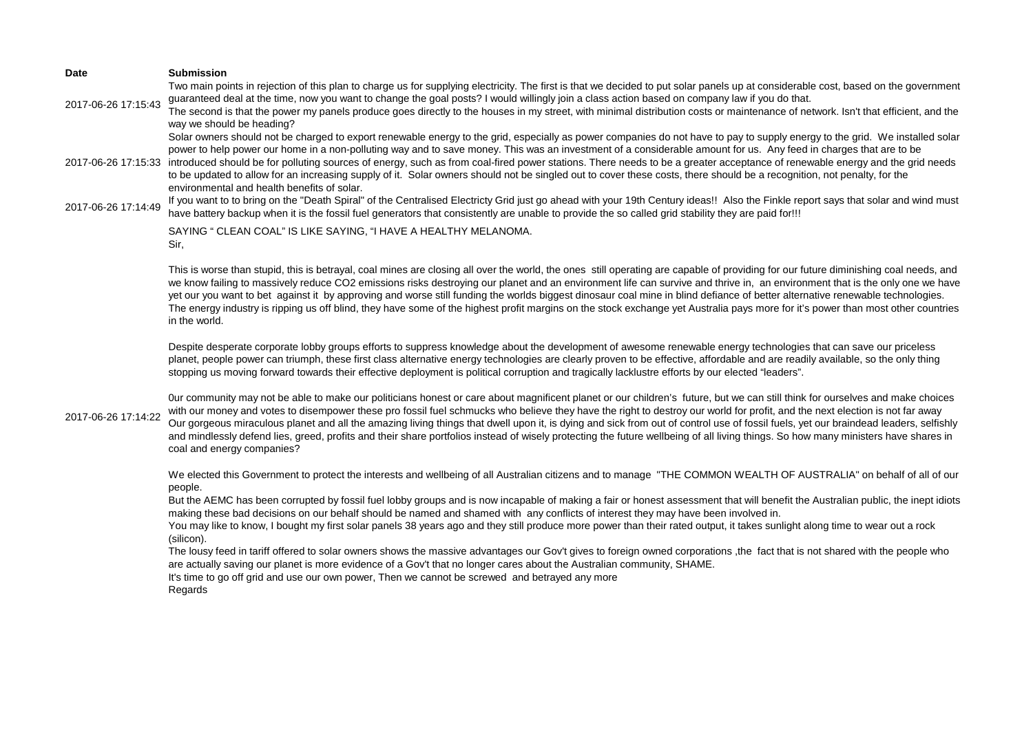**Date Submission** 2017-06-26 17:15:43 Two main points in rejection of this plan to charge us for supplying electricity. The first is that we decided to put solar panels up at considerable cost, based on the government guaranteed deal at the time, now you want to change the goal posts? I would willingly join a class action based on company law if you do that. The second is that the power my panels produce goes directly to the houses in my street, with minimal distribution costs or maintenance of network. Isn't that efficient, and the way we should be heading? 2017-06-26 17:15:33 introduced should be for polluting sources of energy, such as from coal-fired power stations. There needs to be a greater acceptance of renewable energy and the grid needs Solar owners should not be charged to export renewable energy to the grid, especially as power companies do not have to pay to supply energy to the grid. We installed solar power to help power our home in a non-polluting way and to save money. This was an investment of a considerable amount for us. Any feed in charges that are to be to be updated to allow for an increasing supply of it. Solar owners should not be singled out to cover these costs, there should be a recognition, not penalty, for the environmental and health benefits of solar. 2017-06-26 17:14:49 If you want to to bring on the "Death Spiral" of the Centralised Electricty Grid just go ahead with your 19th Century ideas!! Also the Finkle report says that solar and wind must have battery backup when it is the fossil fuel generators that consistently are unable to provide the so called grid stability they are paid for!!! 2017-06-26 17:14:22 SAYING " CLEAN COAL" IS LIKE SAYING, "I HAVE A HEALTHY MELANOMA. Sir, This is worse than stupid, this is betrayal, coal mines are closing all over the world, the ones still operating are capable of providing for our future diminishing coal needs, and we know failing to massively reduce CO2 emissions risks destroying our planet and an environment life can survive and thrive in, an environment that is the only one we have yet our you want to bet against it by approving and worse still funding the worlds biggest dinosaur coal mine in blind defiance of better alternative renewable technologies. The energy industry is ripping us off blind, they have some of the highest profit margins on the stock exchange yet Australia pays more for it's power than most other countries in the world. Despite desperate corporate lobby groups efforts to suppress knowledge about the development of awesome renewable energy technologies that can save our priceless planet, people power can triumph, these first class alternative energy technologies are clearly proven to be effective, affordable and are readily available, so the only thing stopping us moving forward towards their effective deployment is political corruption and tragically lacklustre efforts by our elected "leaders". 0ur community may not be able to make our politicians honest or care about magnificent planet or our children's future, but we can still think for ourselves and make choices with our money and votes to disempower these pro fossil fuel schmucks who believe they have the right to destroy our world for profit, and the next election is not far away Our gorgeous miraculous planet and all the amazing living things that dwell upon it, is dying and sick from out of control use of fossil fuels, yet our braindead leaders, selfishly and mindlessly defend lies, greed, profits and their share portfolios instead of wisely protecting the future wellbeing of all living things. So how many ministers have shares in coal and energy companies? We elected this Government to protect the interests and wellbeing of all Australian citizens and to manage "THE COMMON WEALTH OF AUSTRALIA" on behalf of all of our people. But the AEMC has been corrupted by fossil fuel lobby groups and is now incapable of making a fair or honest assessment that will benefit the Australian public, the inept idiots making these bad decisions on our behalf should be named and shamed with any conflicts of interest they may have been involved in. You may like to know, I bought my first solar panels 38 years ago and they still produce more power than their rated output, it takes sunlight along time to wear out a rock (silicon). The lousy feed in tariff offered to solar owners shows the massive advantages our Gov't gives to foreign owned corporations ,the fact that is not shared with the people who are actually saving our planet is more evidence of a Gov't that no longer cares about the Australian community, SHAME. It's time to go off grid and use our own power, Then we cannot be screwed and betrayed any more Regards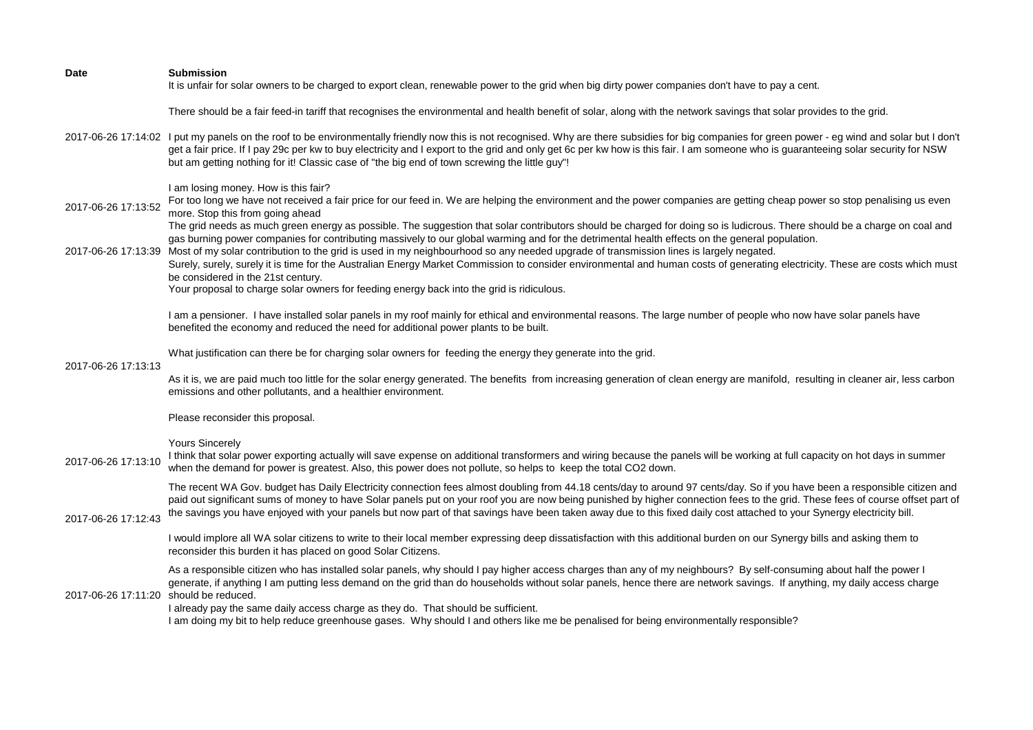| Date                                   | <b>Submission</b><br>It is unfair for solar owners to be charged to export clean, renewable power to the grid when big dirty power companies don't have to pay a cent.                                                                                                                                                                                                                                                                                                                                                                                                                                                                                                                                                                                                                                                                                                                                                                                                                                                                                                |
|----------------------------------------|-----------------------------------------------------------------------------------------------------------------------------------------------------------------------------------------------------------------------------------------------------------------------------------------------------------------------------------------------------------------------------------------------------------------------------------------------------------------------------------------------------------------------------------------------------------------------------------------------------------------------------------------------------------------------------------------------------------------------------------------------------------------------------------------------------------------------------------------------------------------------------------------------------------------------------------------------------------------------------------------------------------------------------------------------------------------------|
|                                        | There should be a fair feed-in tariff that recognises the environmental and health benefit of solar, along with the network savings that solar provides to the grid.                                                                                                                                                                                                                                                                                                                                                                                                                                                                                                                                                                                                                                                                                                                                                                                                                                                                                                  |
|                                        | 2017-06-26 17:14:02 I put my panels on the roof to be environmentally friendly now this is not recognised. Why are there subsidies for big companies for green power - eg wind and solar but I don't<br>get a fair price. If I pay 29c per kw to buy electricity and I export to the grid and only get 6c per kw how is this fair. I am someone who is guaranteeing solar security for NSW<br>but am getting nothing for it! Classic case of "the big end of town screwing the little guy"!                                                                                                                                                                                                                                                                                                                                                                                                                                                                                                                                                                           |
| 2017-06-26 17:13:52                    | I am losing money. How is this fair?<br>For too long we have not received a fair price for our feed in. We are helping the environment and the power companies are getting cheap power so stop penalising us even<br>more. Stop this from going ahead<br>The grid needs as much green energy as possible. The suggestion that solar contributors should be charged for doing so is ludicrous. There should be a charge on coal and<br>gas burning power companies for contributing massively to our global warming and for the detrimental health effects on the general population.<br>2017-06-26 17:13:39 Most of my solar contribution to the grid is used in my neighbourhood so any needed upgrade of transmission lines is largely negated.<br>Surely, surely, surely it is time for the Australian Energy Market Commission to consider environmental and human costs of generating electricity. These are costs which must<br>be considered in the 21st century.<br>Your proposal to charge solar owners for feeding energy back into the grid is ridiculous. |
|                                        | I am a pensioner. I have installed solar panels in my roof mainly for ethical and environmental reasons. The large number of people who now have solar panels have<br>benefited the economy and reduced the need for additional power plants to be built.                                                                                                                                                                                                                                                                                                                                                                                                                                                                                                                                                                                                                                                                                                                                                                                                             |
| 2017-06-26 17:13:13                    | What justification can there be for charging solar owners for feeding the energy they generate into the grid.                                                                                                                                                                                                                                                                                                                                                                                                                                                                                                                                                                                                                                                                                                                                                                                                                                                                                                                                                         |
|                                        | As it is, we are paid much too little for the solar energy generated. The benefits from increasing generation of clean energy are manifold, resulting in cleaner air, less carbon<br>emissions and other pollutants, and a healthier environment.                                                                                                                                                                                                                                                                                                                                                                                                                                                                                                                                                                                                                                                                                                                                                                                                                     |
|                                        | Please reconsider this proposal.                                                                                                                                                                                                                                                                                                                                                                                                                                                                                                                                                                                                                                                                                                                                                                                                                                                                                                                                                                                                                                      |
| 2017-06-26 17:13:10                    | <b>Yours Sincerely</b><br>I think that solar power exporting actually will save expense on additional transformers and wiring because the panels will be working at full capacity on hot days in summer<br>when the demand for power is greatest. Also, this power does not pollute, so helps to keep the total CO2 down.                                                                                                                                                                                                                                                                                                                                                                                                                                                                                                                                                                                                                                                                                                                                             |
| 2017-06-26 17:12:43                    | The recent WA Gov. budget has Daily Electricity connection fees almost doubling from 44.18 cents/day to around 97 cents/day. So if you have been a responsible citizen and<br>paid out significant sums of money to have Solar panels put on your roof you are now being punished by higher connection fees to the grid. These fees of course offset part of<br>the savings you have enjoyed with your panels but now part of that savings have been taken away due to this fixed daily cost attached to your Synergy electricity bill.                                                                                                                                                                                                                                                                                                                                                                                                                                                                                                                               |
|                                        | I would implore all WA solar citizens to write to their local member expressing deep dissatisfaction with this additional burden on our Synergy bills and asking them to<br>reconsider this burden it has placed on good Solar Citizens.                                                                                                                                                                                                                                                                                                                                                                                                                                                                                                                                                                                                                                                                                                                                                                                                                              |
| 2017-06-26 17:11:20 should be reduced. | As a responsible citizen who has installed solar panels, why should I pay higher access charges than any of my neighbours? By self-consuming about half the power I<br>generate, if anything I am putting less demand on the grid than do households without solar panels, hence there are network savings. If anything, my daily access charge<br>I already pay the same daily access charge as they do. That should be sufficient.<br>I am doing my bit to help reduce greenhouse gases. Why should I and others like me be penalised for being environmentally responsible?                                                                                                                                                                                                                                                                                                                                                                                                                                                                                        |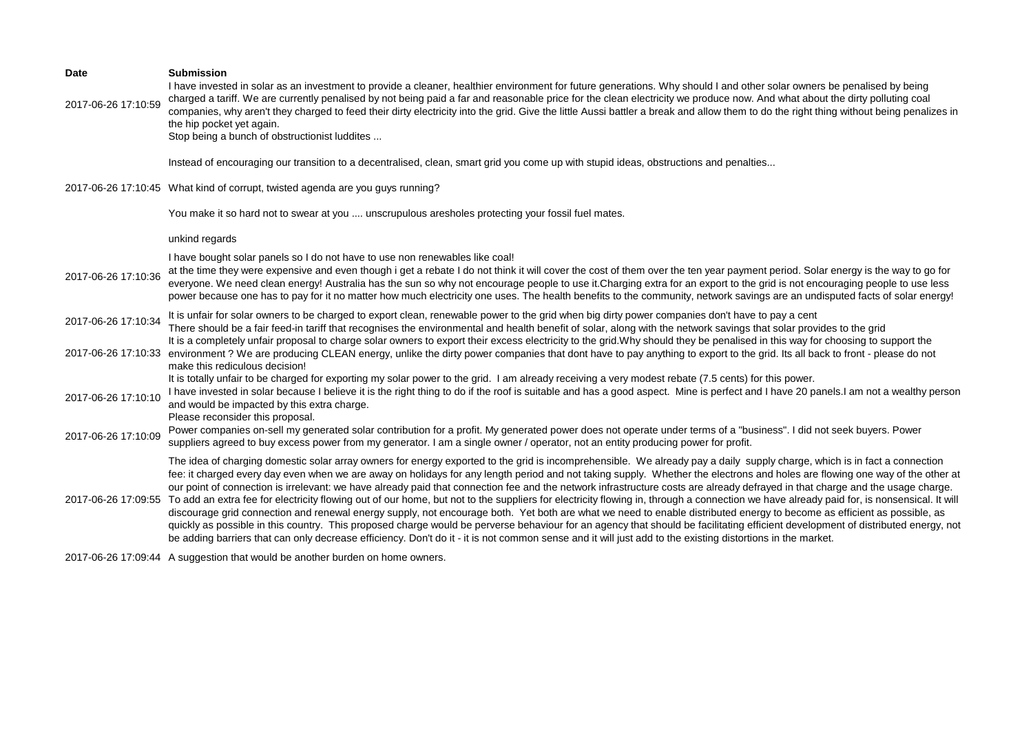| <b>Date</b><br>2017-06-26 17:10:59 | <b>Submission</b><br>I have invested in solar as an investment to provide a cleaner, healthier environment for future generations. Why should I and other solar owners be penalised by being<br>charged a tariff. We are currently penalised by not being paid a far and reasonable price for the clean electricity we produce now. And what about the dirty polluting coal                                                                                                                                                                                                                                                                                                                                                                                                                                                                                                                                                                                                                                                                                                                                                                                                                                                                                          |
|------------------------------------|----------------------------------------------------------------------------------------------------------------------------------------------------------------------------------------------------------------------------------------------------------------------------------------------------------------------------------------------------------------------------------------------------------------------------------------------------------------------------------------------------------------------------------------------------------------------------------------------------------------------------------------------------------------------------------------------------------------------------------------------------------------------------------------------------------------------------------------------------------------------------------------------------------------------------------------------------------------------------------------------------------------------------------------------------------------------------------------------------------------------------------------------------------------------------------------------------------------------------------------------------------------------|
|                                    | companies, why aren't they charged to feed their dirty electricity into the grid. Give the little Aussi battler a break and allow them to do the right thing without being penalizes in<br>the hip pocket yet again.<br>Stop being a bunch of obstructionist luddites                                                                                                                                                                                                                                                                                                                                                                                                                                                                                                                                                                                                                                                                                                                                                                                                                                                                                                                                                                                                |
|                                    | Instead of encouraging our transition to a decentralised, clean, smart grid you come up with stupid ideas, obstructions and penalties                                                                                                                                                                                                                                                                                                                                                                                                                                                                                                                                                                                                                                                                                                                                                                                                                                                                                                                                                                                                                                                                                                                                |
|                                    | 2017-06-26 17:10:45 What kind of corrupt, twisted agenda are you guys running?                                                                                                                                                                                                                                                                                                                                                                                                                                                                                                                                                                                                                                                                                                                                                                                                                                                                                                                                                                                                                                                                                                                                                                                       |
|                                    | You make it so hard not to swear at you  unscrupulous aresholes protecting your fossil fuel mates.                                                                                                                                                                                                                                                                                                                                                                                                                                                                                                                                                                                                                                                                                                                                                                                                                                                                                                                                                                                                                                                                                                                                                                   |
|                                    | unkind regards                                                                                                                                                                                                                                                                                                                                                                                                                                                                                                                                                                                                                                                                                                                                                                                                                                                                                                                                                                                                                                                                                                                                                                                                                                                       |
| 2017-06-26 17:10:36                | I have bought solar panels so I do not have to use non renewables like coal!<br>at the time they were expensive and even though i get a rebate I do not think it will cover the cost of them over the ten year payment period. Solar energy is the way to go for<br>everyone. We need clean energy! Australia has the sun so why not encourage people to use it. Charging extra for an export to the grid is not encouraging people to use less<br>power because one has to pay for it no matter how much electricity one uses. The health benefits to the community, network savings are an undisputed facts of solar energy!                                                                                                                                                                                                                                                                                                                                                                                                                                                                                                                                                                                                                                       |
| 2017-06-26 17:10:34                | It is unfair for solar owners to be charged to export clean, renewable power to the grid when big dirty power companies don't have to pay a cent<br>There should be a fair feed-in tariff that recognises the environmental and health benefit of solar, along with the network savings that solar provides to the grid<br>It is a completely unfair proposal to charge solar owners to export their excess electricity to the grid. Why should they be penalised in this way for choosing to support the                                                                                                                                                                                                                                                                                                                                                                                                                                                                                                                                                                                                                                                                                                                                                            |
| 2017-06-26 17:10:33                | environment ? We are producing CLEAN energy, unlike the dirty power companies that dont have to pay anything to export to the grid. Its all back to front - please do not<br>make this rediculous decision!                                                                                                                                                                                                                                                                                                                                                                                                                                                                                                                                                                                                                                                                                                                                                                                                                                                                                                                                                                                                                                                          |
| 2017-06-26 17:10:10                | It is totally unfair to be charged for exporting my solar power to the grid. I am already receiving a very modest rebate (7.5 cents) for this power.<br>I have invested in solar because I believe it is the right thing to do if the roof is suitable and has a good aspect. Mine is perfect and I have 20 panels.I am not a wealthy person<br>and would be impacted by this extra charge.<br>Please reconsider this proposal.                                                                                                                                                                                                                                                                                                                                                                                                                                                                                                                                                                                                                                                                                                                                                                                                                                      |
| 2017-06-26 17:10:09                | Power companies on-sell my generated solar contribution for a profit. My generated power does not operate under terms of a "business". I did not seek buyers. Power<br>suppliers agreed to buy excess power from my generator. I am a single owner / operator, not an entity producing power for profit.                                                                                                                                                                                                                                                                                                                                                                                                                                                                                                                                                                                                                                                                                                                                                                                                                                                                                                                                                             |
| 2017-06-26 17:09:55                | The idea of charging domestic solar array owners for energy exported to the grid is incomprehensible. We already pay a daily supply charge, which is in fact a connection<br>fee: it charged every day even when we are away on holidays for any length period and not taking supply. Whether the electrons and holes are flowing one way of the other at<br>our point of connection is irrelevant: we have already paid that connection fee and the network infrastructure costs are already defrayed in that charge and the usage charge.<br>To add an extra fee for electricity flowing out of our home, but not to the suppliers for electricity flowing in, through a connection we have already paid for, is nonsensical. It will<br>discourage grid connection and renewal energy supply, not encourage both. Yet both are what we need to enable distributed energy to become as efficient as possible, as<br>quickly as possible in this country. This proposed charge would be perverse behaviour for an agency that should be facilitating efficient development of distributed energy, not<br>be adding barriers that can only decrease efficiency. Don't do it - it is not common sense and it will just add to the existing distortions in the market. |
|                                    | 2017-06-26 17:09:44 A suggestion that would be another burden on home owners.                                                                                                                                                                                                                                                                                                                                                                                                                                                                                                                                                                                                                                                                                                                                                                                                                                                                                                                                                                                                                                                                                                                                                                                        |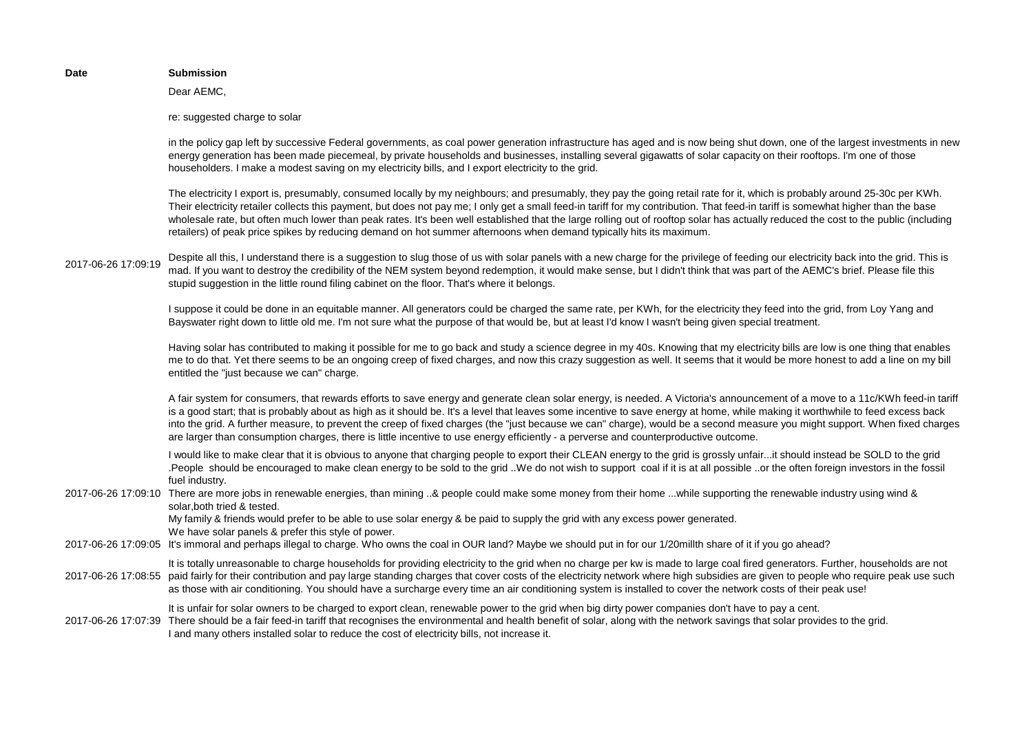|                     | Dear AEMC,                                                                                                                                                                                                                                                                                                                                                                                                                                                                                                                                                                                                                                                                             |
|---------------------|----------------------------------------------------------------------------------------------------------------------------------------------------------------------------------------------------------------------------------------------------------------------------------------------------------------------------------------------------------------------------------------------------------------------------------------------------------------------------------------------------------------------------------------------------------------------------------------------------------------------------------------------------------------------------------------|
|                     | re: suggested charge to solar                                                                                                                                                                                                                                                                                                                                                                                                                                                                                                                                                                                                                                                          |
|                     | in the policy gap left by successive Federal governments, as coal power generation infrastructure has aged and is now being shut down, one of the largest investments in new<br>energy generation has been made piecemeal, by private households and businesses, installing several gigawatts of solar capacity on their rooftops. I'm one of those<br>householders. I make a modest saving on my electricity bills, and I export electricity to the grid.                                                                                                                                                                                                                             |
|                     | The electricity I export is, presumably, consumed locally by my neighbours; and presumably, they pay the going retail rate for it, which is probably around 25-30c per KWh.<br>Their electricity retailer collects this payment, but does not pay me; I only get a small feed-in tariff for my contribution. That feed-in tariff is somewhat higher than the base<br>wholesale rate, but often much lower than peak rates. It's been well established that the large rolling out of rooftop solar has actually reduced the cost to the public (including<br>retailers) of peak price spikes by reducing demand on hot summer afternoons when demand typically hits its maximum.        |
| 2017-06-26 17:09:19 | Despite all this, I understand there is a suggestion to slug those of us with solar panels with a new charge for the privilege of feeding our electricity back into the grid. This is<br>mad. If you want to destroy the credibility of the NEM system beyond redemption, it would make sense, but I didn't think that was part of the AEMC's brief. Please file this<br>stupid suggestion in the little round filing cabinet on the floor. That's where it belongs.                                                                                                                                                                                                                   |
|                     | I suppose it could be done in an equitable manner. All generators could be charged the same rate, per KWh, for the electricity they feed into the grid, from Loy Yang and<br>Bayswater right down to little old me. I'm not sure what the purpose of that would be, but at least I'd know I wasn't being given special treatment.                                                                                                                                                                                                                                                                                                                                                      |
|                     | Having solar has contributed to making it possible for me to go back and study a science degree in my 40s. Knowing that my electricity bills are low is one thing that enables<br>me to do that. Yet there seems to be an ongoing creep of fixed charges, and now this crazy suggestion as well. It seems that it would be more honest to add a line on my bill<br>entitled the "just because we can" charge.                                                                                                                                                                                                                                                                          |
|                     | A fair system for consumers, that rewards efforts to save energy and generate clean solar energy, is needed. A Victoria's announcement of a move to a 11c/KWh feed-in tariff<br>is a good start; that is probably about as high as it should be. It's a level that leaves some incentive to save energy at home, while making it worthwhile to feed excess back<br>into the grid. A further measure, to prevent the creep of fixed charges (the "just because we can" charge), would be a second measure you might support. When fixed charges<br>are larger than consumption charges, there is little incentive to use energy efficiently - a perverse and counterproductive outcome. |
|                     | I would like to make clear that it is obvious to anyone that charging people to export their CLEAN energy to the grid is grossly unfairit should instead be SOLD to the grid<br>.People should be encouraged to make clean energy to be sold to the grid We do not wish to support coal if it is at all possible or the often foreign investors in the fossil<br>fuel industry.                                                                                                                                                                                                                                                                                                        |
| 2017-06-26 17:09:10 | There are more jobs in renewable energies, than mining & people could make some money from their home while supporting the renewable industry using wind &<br>solar, both tried & tested.<br>My family & friends would prefer to be able to use solar energy & be paid to supply the grid with any excess power generated.                                                                                                                                                                                                                                                                                                                                                             |
|                     | We have solar panels & prefer this style of power.<br>2017-06-26 17:09:05 It's immoral and perhaps illegal to charge. Who owns the coal in OUR land? Maybe we should put in for our 1/20millth share of it if you go ahead?                                                                                                                                                                                                                                                                                                                                                                                                                                                            |
| 2017-06-26 17:08:55 | It is totally unreasonable to charge households for providing electricity to the grid when no charge per kw is made to large coal fired generators. Further, households are not<br>paid fairly for their contribution and pay large standing charges that cover costs of the electricity network where high subsidies are given to people who require peak use such<br>as those with air conditioning. You should have a surcharge every time an air conditioning system is installed to cover the network costs of their peak use!                                                                                                                                                    |
| 2017-06-26 17:07:39 | It is unfair for solar owners to be charged to export clean, renewable power to the grid when big dirty power companies don't have to pay a cent.<br>There should be a fair feed-in tariff that recognises the environmental and health benefit of solar, along with the network savings that solar provides to the grid.<br>I and many others installed solar to reduce the cost of electricity bills, not increase it.                                                                                                                                                                                                                                                               |
|                     |                                                                                                                                                                                                                                                                                                                                                                                                                                                                                                                                                                                                                                                                                        |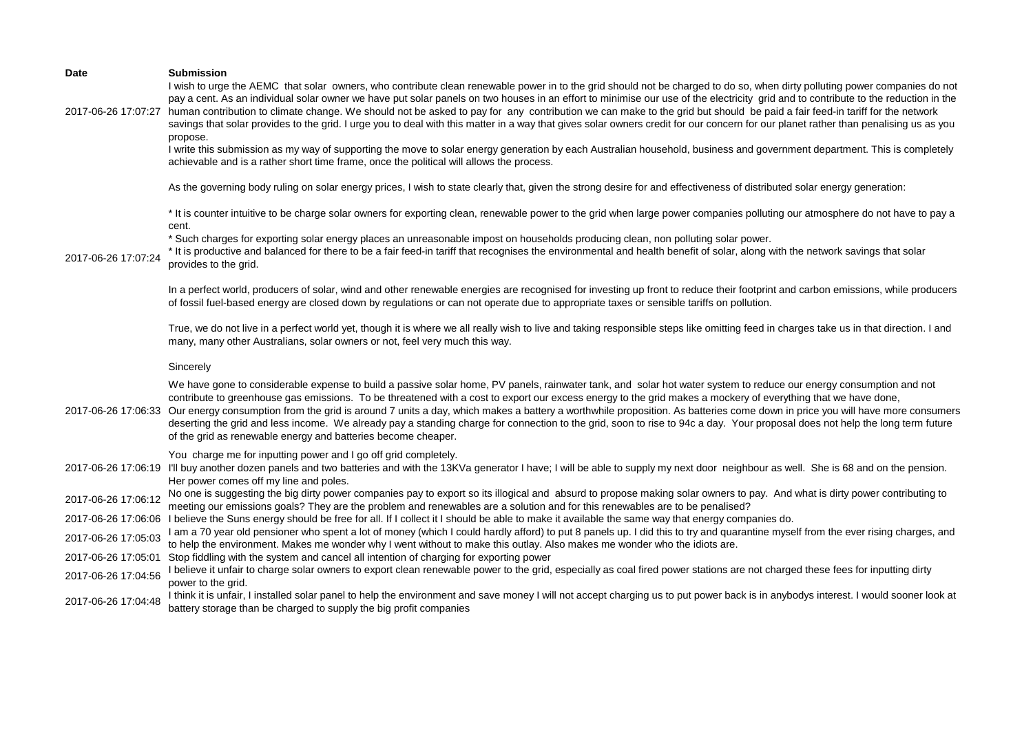| <b>Date</b>         | <b>Submission</b>                                                                                                                                                                                                                                                                                                                                                                                                                                                                                                                                                                                                                                                                                                                                                                                                                                                                                                                                                                                                         |
|---------------------|---------------------------------------------------------------------------------------------------------------------------------------------------------------------------------------------------------------------------------------------------------------------------------------------------------------------------------------------------------------------------------------------------------------------------------------------------------------------------------------------------------------------------------------------------------------------------------------------------------------------------------------------------------------------------------------------------------------------------------------------------------------------------------------------------------------------------------------------------------------------------------------------------------------------------------------------------------------------------------------------------------------------------|
| 2017-06-26 17:07:27 | I wish to urge the AEMC that solar owners, who contribute clean renewable power in to the grid should not be charged to do so, when dirty polluting power companies do not<br>pay a cent. As an individual solar owner we have put solar panels on two houses in an effort to minimise our use of the electricity grid and to contribute to the reduction in the<br>human contribution to climate change. We should not be asked to pay for any contribution we can make to the grid but should be paid a fair feed-in tariff for the network<br>savings that solar provides to the grid. I urge you to deal with this matter in a way that gives solar owners credit for our concern for our planet rather than penalising us as you<br>propose.<br>I write this submission as my way of supporting the move to solar energy generation by each Australian household, business and government department. This is completely<br>achievable and is a rather short time frame, once the political will allows the process. |
|                     | As the governing body ruling on solar energy prices, I wish to state clearly that, given the strong desire for and effectiveness of distributed solar energy generation:                                                                                                                                                                                                                                                                                                                                                                                                                                                                                                                                                                                                                                                                                                                                                                                                                                                  |
| 2017-06-26 17:07:24 | * It is counter intuitive to be charge solar owners for exporting clean, renewable power to the grid when large power companies polluting our atmosphere do not have to pay a<br>cent.<br>* Such charges for exporting solar energy places an unreasonable impost on households producing clean, non polluting solar power.<br>* It is productive and balanced for there to be a fair feed-in tariff that recognises the environmental and health benefit of solar, along with the network savings that solar<br>provides to the grid.                                                                                                                                                                                                                                                                                                                                                                                                                                                                                    |
|                     | In a perfect world, producers of solar, wind and other renewable energies are recognised for investing up front to reduce their footprint and carbon emissions, while producers<br>of fossil fuel-based energy are closed down by regulations or can not operate due to appropriate taxes or sensible tariffs on pollution.                                                                                                                                                                                                                                                                                                                                                                                                                                                                                                                                                                                                                                                                                               |
|                     | True, we do not live in a perfect world yet, though it is where we all really wish to live and taking responsible steps like omitting feed in charges take us in that direction. I and<br>many, many other Australians, solar owners or not, feel very much this way.                                                                                                                                                                                                                                                                                                                                                                                                                                                                                                                                                                                                                                                                                                                                                     |
|                     | Sincerely                                                                                                                                                                                                                                                                                                                                                                                                                                                                                                                                                                                                                                                                                                                                                                                                                                                                                                                                                                                                                 |
|                     | We have gone to considerable expense to build a passive solar home, PV panels, rainwater tank, and solar hot water system to reduce our energy consumption and not<br>contribute to greenhouse gas emissions. To be threatened with a cost to export our excess energy to the grid makes a mockery of everything that we have done,<br>2017-06-26 17:06:33 Our energy consumption from the grid is around 7 units a day, which makes a battery a worthwhile proposition. As batteries come down in price you will have more consumers<br>deserting the grid and less income. We already pay a standing charge for connection to the grid, soon to rise to 94c a day. Your proposal does not help the long term future<br>of the grid as renewable energy and batteries become cheaper.                                                                                                                                                                                                                                    |
|                     | You charge me for inputting power and I go off grid completely.<br>2017-06-26 17:06:19 I'll buy another dozen panels and two batteries and with the 13KVa generator I have; I will be able to supply my next door neighbour as well. She is 68 and on the pension.<br>Her power comes off my line and poles.                                                                                                                                                                                                                                                                                                                                                                                                                                                                                                                                                                                                                                                                                                              |
| 2017-06-26 17:06:12 | No one is suggesting the big dirty power companies pay to export so its illogical and absurd to propose making solar owners to pay. And what is dirty power contributing to<br>meeting our emissions goals? They are the problem and renewables are a solution and for this renewables are to be penalised?                                                                                                                                                                                                                                                                                                                                                                                                                                                                                                                                                                                                                                                                                                               |
|                     | 2017-06-26 17:06:06 I believe the Suns energy should be free for all. If I collect it I should be able to make it available the same way that energy companies do.                                                                                                                                                                                                                                                                                                                                                                                                                                                                                                                                                                                                                                                                                                                                                                                                                                                        |
| 2017-06-26 17:05:03 | I am a 70 year old pensioner who spent a lot of money (which I could hardly afford) to put 8 panels up. I did this to try and quarantine myself from the ever rising charges, and<br>to help the environment. Makes me wonder why I went without to make this outlay. Also makes me wonder who the idiots are.                                                                                                                                                                                                                                                                                                                                                                                                                                                                                                                                                                                                                                                                                                            |
| 2017-06-26 17:05:01 | Stop fiddling with the system and cancel all intention of charging for exporting power                                                                                                                                                                                                                                                                                                                                                                                                                                                                                                                                                                                                                                                                                                                                                                                                                                                                                                                                    |
| 2017-06-26 17:04:56 | I believe it unfair to charge solar owners to export clean renewable power to the grid, especially as coal fired power stations are not charged these fees for inputting dirty<br>power to the grid.                                                                                                                                                                                                                                                                                                                                                                                                                                                                                                                                                                                                                                                                                                                                                                                                                      |
| 2017-06-26 17:04:48 | I think it is unfair, I installed solar panel to help the environment and save money I will not accept charging us to put power back is in anybodys interest. I would sooner look at<br>battery storage than be charged to supply the big profit companies                                                                                                                                                                                                                                                                                                                                                                                                                                                                                                                                                                                                                                                                                                                                                                |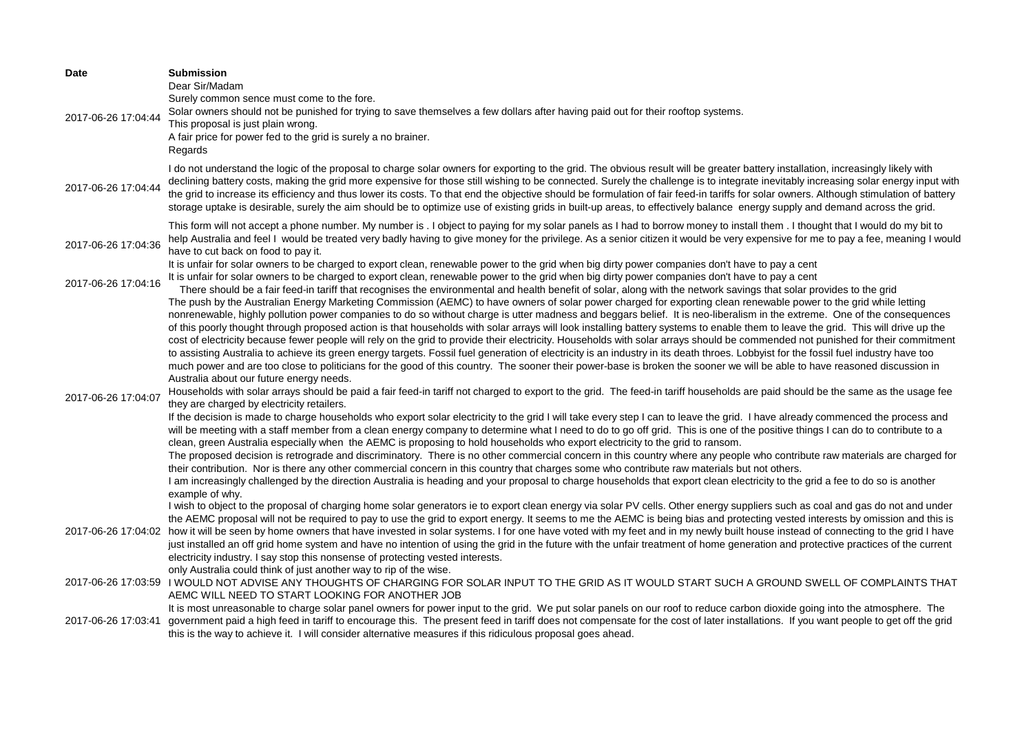| Date                | <b>Submission</b><br>Dear Sir/Madam<br>Surely common sence must come to the fore.                                                                                                                                                                                                                                                                                                                                                                                                                                                                                                                                                                                                                                                                                                                                                                                                                                                                                                                                                                                                                                                      |
|---------------------|----------------------------------------------------------------------------------------------------------------------------------------------------------------------------------------------------------------------------------------------------------------------------------------------------------------------------------------------------------------------------------------------------------------------------------------------------------------------------------------------------------------------------------------------------------------------------------------------------------------------------------------------------------------------------------------------------------------------------------------------------------------------------------------------------------------------------------------------------------------------------------------------------------------------------------------------------------------------------------------------------------------------------------------------------------------------------------------------------------------------------------------|
| 2017-06-26 17:04:44 | Solar owners should not be punished for trying to save themselves a few dollars after having paid out for their rooftop systems.<br>This proposal is just plain wrong.                                                                                                                                                                                                                                                                                                                                                                                                                                                                                                                                                                                                                                                                                                                                                                                                                                                                                                                                                                 |
|                     | A fair price for power fed to the grid is surely a no brainer.<br>Regards                                                                                                                                                                                                                                                                                                                                                                                                                                                                                                                                                                                                                                                                                                                                                                                                                                                                                                                                                                                                                                                              |
| 2017-06-26 17:04:44 | I do not understand the logic of the proposal to charge solar owners for exporting to the grid. The obvious result will be greater battery installation, increasingly likely with<br>declining battery costs, making the grid more expensive for those still wishing to be connected. Surely the challenge is to integrate inevitably increasing solar energy input with<br>the grid to increase its efficiency and thus lower its costs. To that end the objective should be formulation of fair feed-in tariffs for solar owners. Although stimulation of battery<br>storage uptake is desirable, surely the aim should be to optimize use of existing grids in built-up areas, to effectively balance energy supply and demand across the grid.                                                                                                                                                                                                                                                                                                                                                                                     |
| 2017-06-26 17:04:36 | This form will not accept a phone number. My number is . I object to paying for my solar panels as I had to borrow money to install them . I thought that I would do my bit to<br>help Australia and feel I would be treated very badly having to give money for the privilege. As a senior citizen it would be very expensive for me to pay a fee, meaning I would<br>have to cut back on food to pay it.                                                                                                                                                                                                                                                                                                                                                                                                                                                                                                                                                                                                                                                                                                                             |
| 2017-06-26 17:04:16 | It is unfair for solar owners to be charged to export clean, renewable power to the grid when big dirty power companies don't have to pay a cent<br>It is unfair for solar owners to be charged to export clean, renewable power to the grid when big dirty power companies don't have to pay a cent<br>There should be a fair feed-in tariff that recognises the environmental and health benefit of solar, along with the network savings that solar provides to the grid                                                                                                                                                                                                                                                                                                                                                                                                                                                                                                                                                                                                                                                            |
|                     | The push by the Australian Energy Marketing Commission (AEMC) to have owners of solar power charged for exporting clean renewable power to the grid while letting<br>nonrenewable, highly pollution power companies to do so without charge is utter madness and beggars belief. It is neo-liberalism in the extreme. One of the consequences<br>of this poorly thought through proposed action is that households with solar arrays will look installing battery systems to enable them to leave the grid. This will drive up the<br>cost of electricity because fewer people will rely on the grid to provide their electricity. Households with solar arrays should be commended not punished for their commitment<br>to assisting Australia to achieve its green energy targets. Fossil fuel generation of electricity is an industry in its death throes. Lobbyist for the fossil fuel industry have too<br>much power and are too close to politicians for the good of this country. The sooner their power-base is broken the sooner we will be able to have reasoned discussion in<br>Australia about our future energy needs. |
| 2017-06-26 17:04:07 | Households with solar arrays should be paid a fair feed-in tariff not charged to export to the grid. The feed-in tariff households are paid should be the same as the usage fee<br>they are charged by electricity retailers.                                                                                                                                                                                                                                                                                                                                                                                                                                                                                                                                                                                                                                                                                                                                                                                                                                                                                                          |
|                     | If the decision is made to charge households who export solar electricity to the grid I will take every step I can to leave the grid. I have already commenced the process and<br>will be meeting with a staff member from a clean energy company to determine what I need to do to go off grid. This is one of the positive things I can do to contribute to a<br>clean, green Australia especially when the AEMC is proposing to hold households who export electricity to the grid to ransom.                                                                                                                                                                                                                                                                                                                                                                                                                                                                                                                                                                                                                                       |
|                     | The proposed decision is retrograde and discriminatory. There is no other commercial concern in this country where any people who contribute raw materials are charged for<br>their contribution. Nor is there any other commercial concern in this country that charges some who contribute raw materials but not others.                                                                                                                                                                                                                                                                                                                                                                                                                                                                                                                                                                                                                                                                                                                                                                                                             |
|                     | I am increasingly challenged by the direction Australia is heading and your proposal to charge households that export clean electricity to the grid a fee to do so is another<br>example of why.<br>I wish to object to the proposal of charging home solar generators ie to export clean energy via solar PV cells. Other energy suppliers such as coal and gas do not and under                                                                                                                                                                                                                                                                                                                                                                                                                                                                                                                                                                                                                                                                                                                                                      |
| 2017-06-26 17:04:02 | the AEMC proposal will not be required to pay to use the grid to export energy. It seems to me the AEMC is being bias and protecting vested interests by omission and this is<br>how it will be seen by home owners that have invested in solar systems. I for one have voted with my feet and in my newly built house instead of connecting to the grid I have<br>just installed an off grid home system and have no intention of using the grid in the future with the unfair treatment of home generation and protective practices of the current<br>electricity industry. I say stop this nonsense of protecting vested interests.<br>only Australia could think of just another way to rip of the wise.                                                                                                                                                                                                                                                                                                                                                                                                                           |
|                     | 2017-06-26 17:03:59 I WOULD NOT ADVISE ANY THOUGHTS OF CHARGING FOR SOLAR INPUT TO THE GRID AS IT WOULD START SUCH A GROUND SWELL OF COMPLAINTS THAT<br>AEMC WILL NEED TO START LOOKING FOR ANOTHER JOB                                                                                                                                                                                                                                                                                                                                                                                                                                                                                                                                                                                                                                                                                                                                                                                                                                                                                                                                |
| 2017-06-26 17:03:41 | It is most unreasonable to charge solar panel owners for power input to the grid. We put solar panels on our roof to reduce carbon dioxide going into the atmosphere. The<br>government paid a high feed in tariff to encourage this. The present feed in tariff does not compensate for the cost of later installations. If you want people to get off the grid<br>this is the way to achieve it. I will consider alternative measures if this ridiculous proposal goes ahead.                                                                                                                                                                                                                                                                                                                                                                                                                                                                                                                                                                                                                                                        |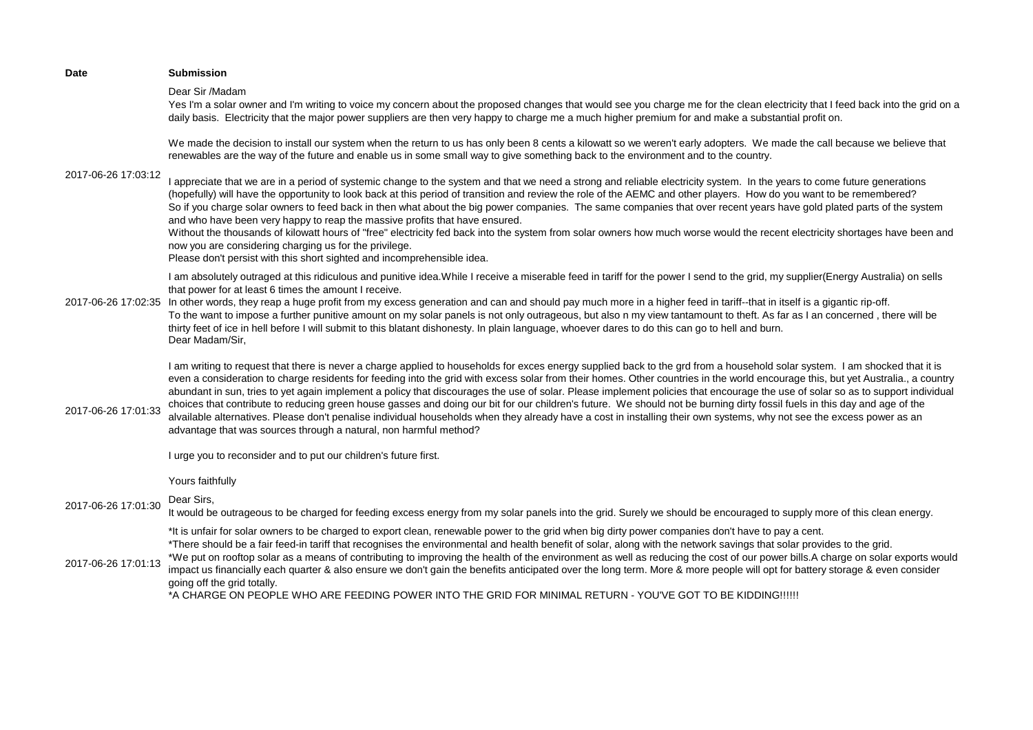| Date                | <b>Submission</b>                                                                                                                                                                                                                                                                                                                                                                                                                                                                                                                                                                                                                                                                                                                                                                                                                                                                                                                                                                |
|---------------------|----------------------------------------------------------------------------------------------------------------------------------------------------------------------------------------------------------------------------------------------------------------------------------------------------------------------------------------------------------------------------------------------------------------------------------------------------------------------------------------------------------------------------------------------------------------------------------------------------------------------------------------------------------------------------------------------------------------------------------------------------------------------------------------------------------------------------------------------------------------------------------------------------------------------------------------------------------------------------------|
|                     | Dear Sir /Madam<br>Yes I'm a solar owner and I'm writing to voice my concern about the proposed changes that would see you charge me for the clean electricity that I feed back into the grid on a<br>daily basis. Electricity that the major power suppliers are then very happy to charge me a much higher premium for and make a substantial profit on.                                                                                                                                                                                                                                                                                                                                                                                                                                                                                                                                                                                                                       |
| 2017-06-26 17:03:12 | We made the decision to install our system when the return to us has only been 8 cents a kilowatt so we weren't early adopters. We made the call because we believe that<br>renewables are the way of the future and enable us in some small way to give something back to the environment and to the country.                                                                                                                                                                                                                                                                                                                                                                                                                                                                                                                                                                                                                                                                   |
|                     | I appreciate that we are in a period of systemic change to the system and that we need a strong and reliable electricity system. In the years to come future generations<br>(hopefully) will have the opportunity to look back at this period of transition and review the role of the AEMC and other players. How do you want to be remembered?<br>So if you charge solar owners to feed back in then what about the big power companies. The same companies that over recent years have gold plated parts of the system<br>and who have been very happy to reap the massive profits that have ensured.<br>Without the thousands of kilowatt hours of "free" electricity fed back into the system from solar owners how much worse would the recent electricity shortages have been and<br>now you are considering charging us for the privilege.                                                                                                                               |
|                     | Please don't persist with this short sighted and incomprehensible idea.                                                                                                                                                                                                                                                                                                                                                                                                                                                                                                                                                                                                                                                                                                                                                                                                                                                                                                          |
|                     | I am absolutely outraged at this ridiculous and punitive idea. While I receive a miserable feed in tariff for the power I send to the grid, my supplier(Energy Australia) on sells<br>that power for at least 6 times the amount I receive.<br>2017-06-26 17:02:35 In other words, they reap a huge profit from my excess generation and can and should pay much more in a higher feed in tariff--that in itself is a gigantic rip-off.                                                                                                                                                                                                                                                                                                                                                                                                                                                                                                                                          |
|                     | To the want to impose a further punitive amount on my solar panels is not only outrageous, but also n my view tantamount to theft. As far as I an concerned, there will be<br>thirty feet of ice in hell before I will submit to this blatant dishonesty. In plain language, whoever dares to do this can go to hell and burn.<br>Dear Madam/Sir,                                                                                                                                                                                                                                                                                                                                                                                                                                                                                                                                                                                                                                |
| 2017-06-26 17:01:33 | I am writing to request that there is never a charge applied to households for exces energy supplied back to the grd from a household solar system. I am shocked that it is<br>even a consideration to charge residents for feeding into the grid with excess solar from their homes. Other countries in the world encourage this, but yet Australia., a country<br>abundant in sun, tries to yet again implement a policy that discourages the use of solar. Please implement policies that encourage the use of solar so as to support individual<br>choices that contribute to reducing green house gasses and doing our bit for our children's future. We should not be burning dirty fossil fuels in this day and age of the<br>alvailable alternatives. Please don't penalise individual households when they already have a cost in installing their own systems, why not see the excess power as an<br>advantage that was sources through a natural, non harmful method? |
|                     | I urge you to reconsider and to put our children's future first.                                                                                                                                                                                                                                                                                                                                                                                                                                                                                                                                                                                                                                                                                                                                                                                                                                                                                                                 |
|                     | Yours faithfully                                                                                                                                                                                                                                                                                                                                                                                                                                                                                                                                                                                                                                                                                                                                                                                                                                                                                                                                                                 |
| 2017-06-26 17:01:30 | Dear Sirs,<br>It would be outrageous to be charged for feeding excess energy from my solar panels into the grid. Surely we should be encouraged to supply more of this clean energy.                                                                                                                                                                                                                                                                                                                                                                                                                                                                                                                                                                                                                                                                                                                                                                                             |
| 2017-06-26 17:01:13 | *It is unfair for solar owners to be charged to export clean, renewable power to the grid when big dirty power companies don't have to pay a cent.<br>*There should be a fair feed-in tariff that recognises the environmental and health benefit of solar, along with the network savings that solar provides to the grid.<br>*We put on rooftop solar as a means of contributing to improving the health of the environment as well as reducing the cost of our power bills. A charge on solar exports would<br>impact us financially each quarter & also ensure we don't gain the benefits anticipated over the long term. More & more people will opt for battery storage & even consider<br>going off the grid totally.<br>*A CHARGE ON PEOPLE WHO ARE FEEDING POWER INTO THE GRID FOR MINIMAL RETURN - YOU'VE GOT TO BE KIDDING !!!!!!                                                                                                                                     |
|                     |                                                                                                                                                                                                                                                                                                                                                                                                                                                                                                                                                                                                                                                                                                                                                                                                                                                                                                                                                                                  |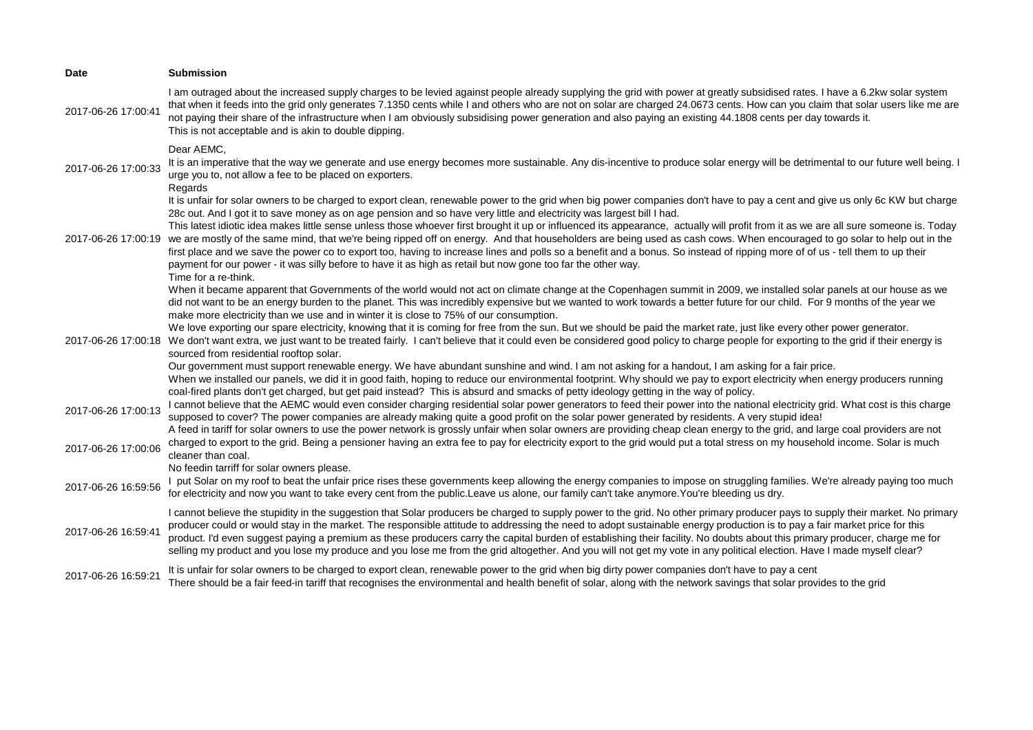| <b>Date</b>         | <b>Submission</b>                                                                                                                                                                                                                                                                                                                                                                                                                                                                                                                                                                                                                                                                                                                                                                                                                                                                                                                                                                                                                                                                                                                                                                                                                                                                                                               |
|---------------------|---------------------------------------------------------------------------------------------------------------------------------------------------------------------------------------------------------------------------------------------------------------------------------------------------------------------------------------------------------------------------------------------------------------------------------------------------------------------------------------------------------------------------------------------------------------------------------------------------------------------------------------------------------------------------------------------------------------------------------------------------------------------------------------------------------------------------------------------------------------------------------------------------------------------------------------------------------------------------------------------------------------------------------------------------------------------------------------------------------------------------------------------------------------------------------------------------------------------------------------------------------------------------------------------------------------------------------|
| 2017-06-26 17:00:41 | I am outraged about the increased supply charges to be levied against people already supplying the grid with power at greatly subsidised rates. I have a 6.2kw solar system<br>that when it feeds into the grid only generates 7.1350 cents while I and others who are not on solar are charged 24.0673 cents. How can you claim that solar users like me are<br>not paying their share of the infrastructure when I am obviously subsidising power generation and also paying an existing 44.1808 cents per day towards it.<br>This is not acceptable and is akin to double dipping.                                                                                                                                                                                                                                                                                                                                                                                                                                                                                                                                                                                                                                                                                                                                           |
| 2017-06-26 17:00:33 | Dear AEMC,<br>It is an imperative that the way we generate and use energy becomes more sustainable. Any dis-incentive to produce solar energy will be detrimental to our future well being. I<br>urge you to, not allow a fee to be placed on exporters.<br>Regards                                                                                                                                                                                                                                                                                                                                                                                                                                                                                                                                                                                                                                                                                                                                                                                                                                                                                                                                                                                                                                                             |
| 2017-06-26 17:00:19 | It is unfair for solar owners to be charged to export clean, renewable power to the grid when big power companies don't have to pay a cent and give us only 6c KW but charge<br>28c out. And I got it to save money as on age pension and so have very little and electricity was largest bill I had.<br>This latest idiotic idea makes little sense unless those whoever first brought it up or influenced its appearance, actually will profit from it as we are all sure someone is. Today<br>we are mostly of the same mind, that we're being ripped off on energy. And that householders are being used as cash cows. When encouraged to go solar to help out in the<br>first place and we save the power co to export too, having to increase lines and polls so a benefit and a bonus. So instead of ripping more of of us - tell them to up their<br>payment for our power - it was silly before to have it as high as retail but now gone too far the other way.<br>Time for a re-think.                                                                                                                                                                                                                                                                                                                               |
| 2017-06-26 17:00:18 | When it became apparent that Governments of the world would not act on climate change at the Copenhagen summit in 2009, we installed solar panels at our house as we<br>did not want to be an energy burden to the planet. This was incredibly expensive but we wanted to work towards a better future for our child. For 9 months of the year we<br>make more electricity than we use and in winter it is close to 75% of our consumption.<br>We love exporting our spare electricity, knowing that it is coming for free from the sun. But we should be paid the market rate, just like every other power generator.<br>We don't want extra, we just want to be treated fairly. I can't believe that it could even be considered good policy to charge people for exporting to the grid if their energy is<br>sourced from residential rooftop solar.<br>Our government must support renewable energy. We have abundant sunshine and wind. I am not asking for a handout, I am asking for a fair price.<br>When we installed our panels, we did it in good faith, hoping to reduce our environmental footprint. Why should we pay to export electricity when energy producers running<br>coal-fired plants don't get charged, but get paid instead? This is absurd and smacks of petty ideology getting in the way of policy. |
| 2017-06-26 17:00:13 | I cannot believe that the AEMC would even consider charging residential solar power generators to feed their power into the national electricity grid. What cost is this charge<br>supposed to cover? The power companies are already making quite a good profit on the solar power generated by residents. A very stupid idea!<br>A feed in tariff for solar owners to use the power network is grossly unfair when solar owners are providing cheap clean energy to the grid, and large coal providers are not                                                                                                                                                                                                                                                                                                                                                                                                                                                                                                                                                                                                                                                                                                                                                                                                                |
| 2017-06-26 17:00:06 | charged to export to the grid. Being a pensioner having an extra fee to pay for electricity export to the grid would put a total stress on my household income. Solar is much<br>cleaner than coal.                                                                                                                                                                                                                                                                                                                                                                                                                                                                                                                                                                                                                                                                                                                                                                                                                                                                                                                                                                                                                                                                                                                             |
| 2017-06-26 16:59:56 | No feedin tarriff for solar owners please.<br>I put Solar on my roof to beat the unfair price rises these governments keep allowing the energy companies to impose on struggling families. We're already paying too much<br>for electricity and now you want to take every cent from the public. Leave us alone, our family can't take anymore. You're bleeding us dry.                                                                                                                                                                                                                                                                                                                                                                                                                                                                                                                                                                                                                                                                                                                                                                                                                                                                                                                                                         |
| 2017-06-26 16:59:41 | I cannot believe the stupidity in the suggestion that Solar producers be charged to supply power to the grid. No other primary producer pays to supply their market. No primary<br>producer could or would stay in the market. The responsible attitude to addressing the need to adopt sustainable energy production is to pay a fair market price for this<br>product. I'd even suggest paying a premium as these producers carry the capital burden of establishing their facility. No doubts about this primary producer, charge me for<br>selling my product and you lose my produce and you lose me from the grid altogether. And you will not get my vote in any political election. Have I made myself clear?                                                                                                                                                                                                                                                                                                                                                                                                                                                                                                                                                                                                           |
| 2017-06-26 16:59:21 | It is unfair for solar owners to be charged to export clean, renewable power to the grid when big dirty power companies don't have to pay a cent<br>There should be a fair feed-in tariff that recognises the environmental and health benefit of solar, along with the network savings that solar provides to the grid                                                                                                                                                                                                                                                                                                                                                                                                                                                                                                                                                                                                                                                                                                                                                                                                                                                                                                                                                                                                         |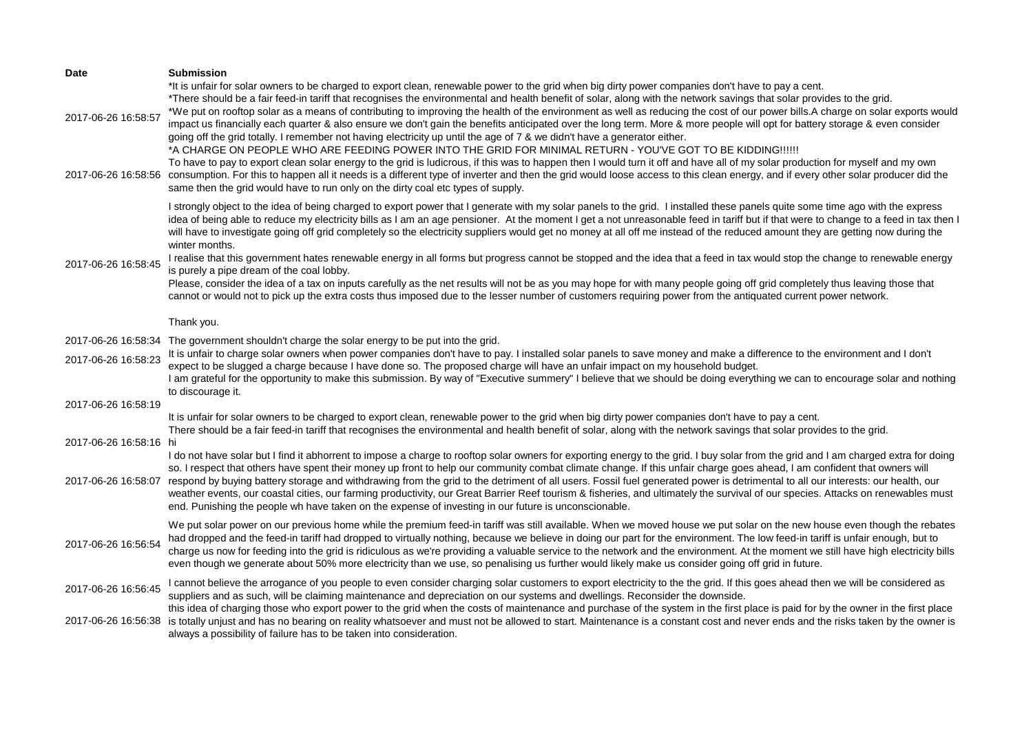| Date                                       | <b>Submission</b>                                                                                                                                                                                                                                                                                                                                                                                                                                                                                                                                                                                                                                                                                                                                                                                                                                                                                                                                                                                                                                                                                                                                                                                                                                                                                                                                                                                   |
|--------------------------------------------|-----------------------------------------------------------------------------------------------------------------------------------------------------------------------------------------------------------------------------------------------------------------------------------------------------------------------------------------------------------------------------------------------------------------------------------------------------------------------------------------------------------------------------------------------------------------------------------------------------------------------------------------------------------------------------------------------------------------------------------------------------------------------------------------------------------------------------------------------------------------------------------------------------------------------------------------------------------------------------------------------------------------------------------------------------------------------------------------------------------------------------------------------------------------------------------------------------------------------------------------------------------------------------------------------------------------------------------------------------------------------------------------------------|
| 2017-06-26 16:58:57<br>2017-06-26 16:58:56 | *It is unfair for solar owners to be charged to export clean, renewable power to the grid when big dirty power companies don't have to pay a cent.<br>*There should be a fair feed-in tariff that recognises the environmental and health benefit of solar, along with the network savings that solar provides to the grid.<br>*We put on rooftop solar as a means of contributing to improving the health of the environment as well as reducing the cost of our power bills.A charge on solar exports would<br>impact us financially each quarter & also ensure we don't gain the benefits anticipated over the long term. More & more people will opt for battery storage & even consider<br>going off the grid totally. I remember not having electricity up until the age of 7 & we didn't have a generator either.<br>*A CHARGE ON PEOPLE WHO ARE FEEDING POWER INTO THE GRID FOR MINIMAL RETURN - YOU'VE GOT TO BE KIDDING !!!!!!<br>To have to pay to export clean solar energy to the grid is ludicrous, if this was to happen then I would turn it off and have all of my solar production for myself and my own<br>consumption. For this to happen all it needs is a different type of inverter and then the grid would loose access to this clean energy, and if every other solar producer did the<br>same then the grid would have to run only on the dirty coal etc types of supply. |
| 2017-06-26 16:58:45                        | I strongly object to the idea of being charged to export power that I generate with my solar panels to the grid. I installed these panels quite some time ago with the express<br>idea of being able to reduce my electricity bills as I am an age pensioner. At the moment I get a not unreasonable feed in tariff but if that were to change to a feed in tax then I<br>will have to investigate going off grid completely so the electricity suppliers would get no money at all off me instead of the reduced amount they are getting now during the<br>winter months.<br>I realise that this government hates renewable energy in all forms but progress cannot be stopped and the idea that a feed in tax would stop the change to renewable energy<br>is purely a pipe dream of the coal lobby.<br>Please, consider the idea of a tax on inputs carefully as the net results will not be as you may hope for with many people going off grid completely thus leaving those that<br>cannot or would not to pick up the extra costs thus imposed due to the lesser number of customers requiring power from the antiquated current power network.<br>Thank you.                                                                                                                                                                                                                                |
| 2017-06-26 16:58:34                        | The government shouldn't charge the solar energy to be put into the grid.                                                                                                                                                                                                                                                                                                                                                                                                                                                                                                                                                                                                                                                                                                                                                                                                                                                                                                                                                                                                                                                                                                                                                                                                                                                                                                                           |
| 2017-06-26 16:58:23<br>2017-06-26 16:58:19 | It is unfair to charge solar owners when power companies don't have to pay. I installed solar panels to save money and make a difference to the environment and I don't<br>expect to be slugged a charge because I have done so. The proposed charge will have an unfair impact on my household budget.<br>I am grateful for the opportunity to make this submission. By way of "Executive summery" I believe that we should be doing everything we can to encourage solar and nothing<br>to discourage it.                                                                                                                                                                                                                                                                                                                                                                                                                                                                                                                                                                                                                                                                                                                                                                                                                                                                                         |
|                                            | It is unfair for solar owners to be charged to export clean, renewable power to the grid when big dirty power companies don't have to pay a cent.                                                                                                                                                                                                                                                                                                                                                                                                                                                                                                                                                                                                                                                                                                                                                                                                                                                                                                                                                                                                                                                                                                                                                                                                                                                   |
| 2017-06-26 16:58:16 hi                     | There should be a fair feed-in tariff that recognises the environmental and health benefit of solar, along with the network savings that solar provides to the grid.                                                                                                                                                                                                                                                                                                                                                                                                                                                                                                                                                                                                                                                                                                                                                                                                                                                                                                                                                                                                                                                                                                                                                                                                                                |
| 2017-06-26 16:58:07                        | I do not have solar but I find it abhorrent to impose a charge to rooftop solar owners for exporting energy to the grid. I buy solar from the grid and I am charged extra for doing<br>so. I respect that others have spent their money up front to help our community combat climate change. If this unfair charge goes ahead, I am confident that owners will<br>respond by buying battery storage and withdrawing from the grid to the detriment of all users. Fossil fuel generated power is detrimental to all our interests: our health, our<br>weather events, our coastal cities, our farming productivity, our Great Barrier Reef tourism & fisheries, and ultimately the survival of our species. Attacks on renewables must<br>end. Punishing the people wh have taken on the expense of investing in our future is unconscionable.                                                                                                                                                                                                                                                                                                                                                                                                                                                                                                                                                      |
| 2017-06-26 16:56:54                        | We put solar power on our previous home while the premium feed-in tariff was still available. When we moved house we put solar on the new house even though the rebates<br>had dropped and the feed-in tariff had dropped to virtually nothing, because we believe in doing our part for the environment. The low feed-in tariff is unfair enough, but to<br>charge us now for feeding into the grid is ridiculous as we're providing a valuable service to the network and the environment. At the moment we still have high electricity bills<br>even though we generate about 50% more electricity than we use, so penalising us further would likely make us consider going off grid in future.                                                                                                                                                                                                                                                                                                                                                                                                                                                                                                                                                                                                                                                                                                 |
| 2017-06-26 16:56:45                        | I cannot believe the arrogance of you people to even consider charging solar customers to export electricity to the the grid. If this goes ahead then we will be considered as<br>suppliers and as such, will be claiming maintenance and depreciation on our systems and dwellings. Reconsider the downside.<br>this idea of charging those who export power to the grid when the costs of maintenance and purchase of the system in the first place is paid for by the owner in the first place                                                                                                                                                                                                                                                                                                                                                                                                                                                                                                                                                                                                                                                                                                                                                                                                                                                                                                   |
| 2017-06-26 16:56:38                        | is totally unjust and has no bearing on reality whatsoever and must not be allowed to start. Maintenance is a constant cost and never ends and the risks taken by the owner is<br>always a possibility of failure has to be taken into consideration.                                                                                                                                                                                                                                                                                                                                                                                                                                                                                                                                                                                                                                                                                                                                                                                                                                                                                                                                                                                                                                                                                                                                               |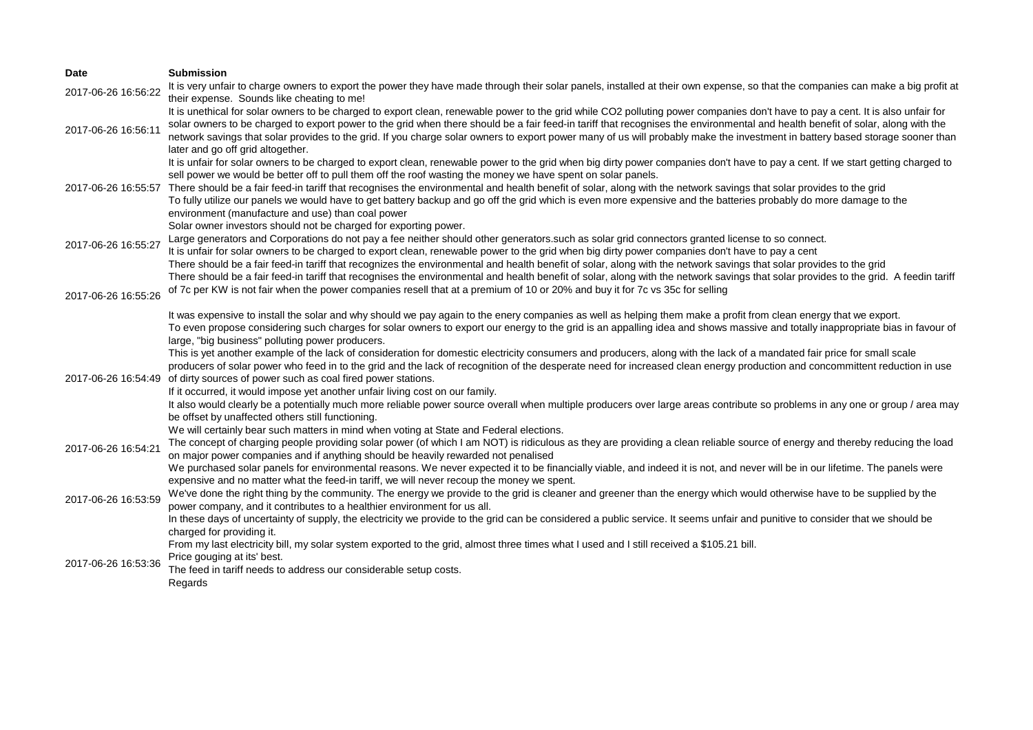| Date                | <b>Submission</b>                                                                                                                                                                                                                                                                                                                                                                                                                                                                                                                                                                        |
|---------------------|------------------------------------------------------------------------------------------------------------------------------------------------------------------------------------------------------------------------------------------------------------------------------------------------------------------------------------------------------------------------------------------------------------------------------------------------------------------------------------------------------------------------------------------------------------------------------------------|
| 2017-06-26 16:56:22 | It is very unfair to charge owners to export the power they have made through their solar panels, installed at their own expense, so that the companies can make a big profit at                                                                                                                                                                                                                                                                                                                                                                                                         |
|                     | their expense. Sounds like cheating to me!                                                                                                                                                                                                                                                                                                                                                                                                                                                                                                                                               |
| 2017-06-26 16:56:11 | It is unethical for solar owners to be charged to export clean, renewable power to the grid while CO2 polluting power companies don't have to pay a cent. It is also unfair for<br>solar owners to be charged to export power to the grid when there should be a fair feed-in tariff that recognises the environmental and health benefit of solar, along with the<br>network savings that solar provides to the grid. If you charge solar owners to export power many of us will probably make the investment in battery based storage sooner than<br>later and go off grid altogether. |
|                     | It is unfair for solar owners to be charged to export clean, renewable power to the grid when big dirty power companies don't have to pay a cent. If we start getting charged to<br>sell power we would be better off to pull them off the roof wasting the money we have spent on solar panels.                                                                                                                                                                                                                                                                                         |
| 2017-06-26 16:55:57 | There should be a fair feed-in tariff that recognises the environmental and health benefit of solar, along with the network savings that solar provides to the grid<br>To fully utilize our panels we would have to get battery backup and go off the grid which is even more expensive and the batteries probably do more damage to the<br>environment (manufacture and use) than coal power<br>Solar owner investors should not be charged for exporting power.                                                                                                                        |
| 2017-06-26 16:55:27 | Large generators and Corporations do not pay a fee neither should other generators such as solar grid connectors granted license to so connect.<br>It is unfair for solar owners to be charged to export clean, renewable power to the grid when big dirty power companies don't have to pay a cent<br>There should be a fair feed-in tariff that recognizes the environmental and health benefit of solar, along with the network savings that solar provides to the grid                                                                                                               |
| 2017-06-26 16:55:26 | There should be a fair feed-in tariff that recognises the environmental and health benefit of solar, along with the network savings that solar provides to the grid. A feedin tariff<br>of 7c per KW is not fair when the power companies resell that at a premium of 10 or 20% and buy it for 7c vs 35c for selling                                                                                                                                                                                                                                                                     |
|                     | It was expensive to install the solar and why should we pay again to the enery companies as well as helping them make a profit from clean energy that we export.<br>To even propose considering such charges for solar owners to export our energy to the grid is an appalling idea and shows massive and totally inappropriate bias in favour of<br>large, "big business" polluting power producers.                                                                                                                                                                                    |
|                     | This is yet another example of the lack of consideration for domestic electricity consumers and producers, along with the lack of a mandated fair price for small scale<br>producers of solar power who feed in to the grid and the lack of recognition of the desperate need for increased clean energy production and concommittent reduction in use<br>2017-06-26 16:54:49 of dirty sources of power such as coal fired power stations.                                                                                                                                               |
|                     | If it occurred, it would impose yet another unfair living cost on our family.                                                                                                                                                                                                                                                                                                                                                                                                                                                                                                            |
|                     | It also would clearly be a potentially much more reliable power source overall when multiple producers over large areas contribute so problems in any one or group / area may<br>be offset by unaffected others still functioning.                                                                                                                                                                                                                                                                                                                                                       |
| 2017-06-26 16:54:21 | We will certainly bear such matters in mind when voting at State and Federal elections.<br>The concept of charging people providing solar power (of which I am NOT) is ridiculous as they are providing a clean reliable source of energy and thereby reducing the load<br>on major power companies and if anything should be heavily rewarded not penalised                                                                                                                                                                                                                             |
|                     | We purchased solar panels for environmental reasons. We never expected it to be financially viable, and indeed it is not, and never will be in our lifetime. The panels were<br>expensive and no matter what the feed-in tariff, we will never recoup the money we spent.                                                                                                                                                                                                                                                                                                                |
| 2017-06-26 16:53:59 | We've done the right thing by the community. The energy we provide to the grid is cleaner and greener than the energy which would otherwise have to be supplied by the<br>power company, and it contributes to a healthier environment for us all.                                                                                                                                                                                                                                                                                                                                       |
|                     | In these days of uncertainty of supply, the electricity we provide to the grid can be considered a public service. It seems unfair and punitive to consider that we should be<br>charged for providing it.                                                                                                                                                                                                                                                                                                                                                                               |
|                     | From my last electricity bill, my solar system exported to the grid, almost three times what I used and I still received a \$105.21 bill.<br>Price gouging at its' best.                                                                                                                                                                                                                                                                                                                                                                                                                 |
| 2017-06-26 16:53:36 | The feed in tariff needs to address our considerable setup costs.                                                                                                                                                                                                                                                                                                                                                                                                                                                                                                                        |
|                     | Regards                                                                                                                                                                                                                                                                                                                                                                                                                                                                                                                                                                                  |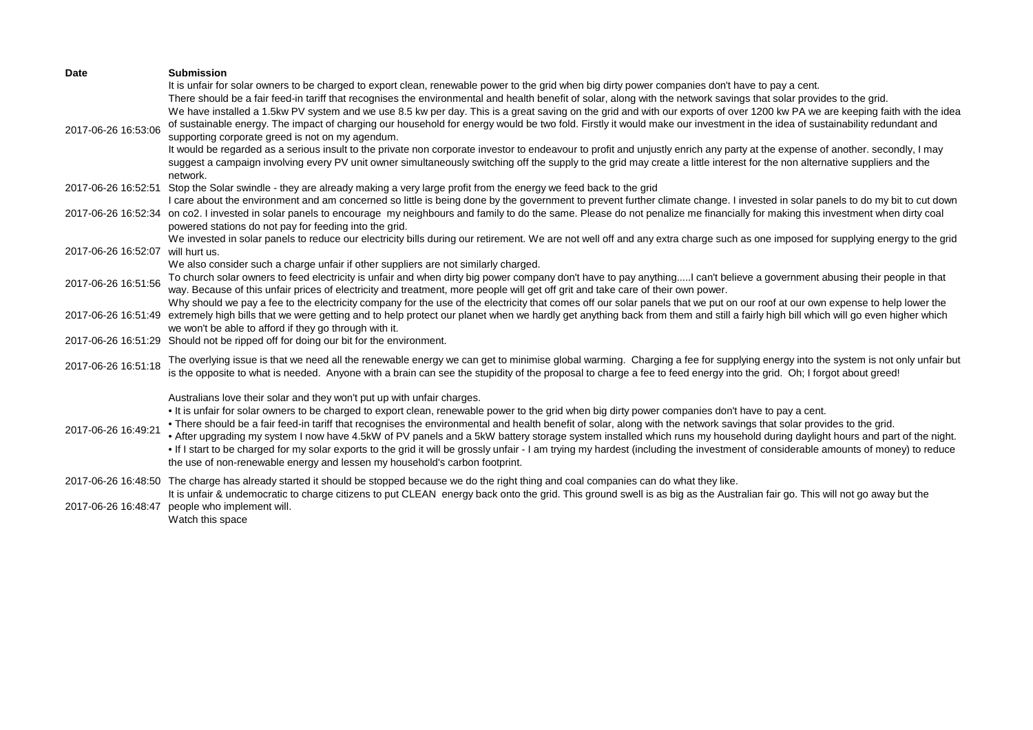| <b>Date</b>                                | <b>Submission</b>                                                                                                                                                                                                                                                                                                                                                                                                                                                                                                                                                                                                                                                                                                                                                                                                                                                                                                                                                                                                                                                                                            |
|--------------------------------------------|--------------------------------------------------------------------------------------------------------------------------------------------------------------------------------------------------------------------------------------------------------------------------------------------------------------------------------------------------------------------------------------------------------------------------------------------------------------------------------------------------------------------------------------------------------------------------------------------------------------------------------------------------------------------------------------------------------------------------------------------------------------------------------------------------------------------------------------------------------------------------------------------------------------------------------------------------------------------------------------------------------------------------------------------------------------------------------------------------------------|
| 2017-06-26 16:53:06                        | It is unfair for solar owners to be charged to export clean, renewable power to the grid when big dirty power companies don't have to pay a cent.<br>There should be a fair feed-in tariff that recognises the environmental and health benefit of solar, along with the network savings that solar provides to the grid.<br>We have installed a 1.5kw PV system and we use 8.5 kw per day. This is a great saving on the grid and with our exports of over 1200 kw PA we are keeping faith with the idea<br>of sustainable energy. The impact of charging our household for energy would be two fold. Firstly it would make our investment in the idea of sustainability redundant and<br>supporting corporate greed is not on my agendum.<br>It would be regarded as a serious insult to the private non corporate investor to endeavour to profit and unjustly enrich any party at the expense of another. secondly, I may<br>suggest a campaign involving every PV unit owner simultaneously switching off the supply to the grid may create a little interest for the non alternative suppliers and the |
|                                            | network.                                                                                                                                                                                                                                                                                                                                                                                                                                                                                                                                                                                                                                                                                                                                                                                                                                                                                                                                                                                                                                                                                                     |
| 2017-06-26 16:52:51                        | Stop the Solar swindle - they are already making a very large profit from the energy we feed back to the grid                                                                                                                                                                                                                                                                                                                                                                                                                                                                                                                                                                                                                                                                                                                                                                                                                                                                                                                                                                                                |
| 2017-06-26 16:52:34                        | I care about the environment and am concerned so little is being done by the government to prevent further climate change. I invested in solar panels to do my bit to cut down<br>on co2. I invested in solar panels to encourage my neighbours and family to do the same. Please do not penalize me financially for making this investment when dirty coal<br>powered stations do not pay for feeding into the grid.                                                                                                                                                                                                                                                                                                                                                                                                                                                                                                                                                                                                                                                                                        |
|                                            | We invested in solar panels to reduce our electricity bills during our retirement. We are not well off and any extra charge such as one imposed for supplying energy to the grid                                                                                                                                                                                                                                                                                                                                                                                                                                                                                                                                                                                                                                                                                                                                                                                                                                                                                                                             |
| 2017-06-26 16:52:07                        | will hurt us.                                                                                                                                                                                                                                                                                                                                                                                                                                                                                                                                                                                                                                                                                                                                                                                                                                                                                                                                                                                                                                                                                                |
| 2017-06-26 16:51:56                        | We also consider such a charge unfair if other suppliers are not similarly charged.<br>To church solar owners to feed electricity is unfair and when dirty big power company don't have to pay anythingI can't believe a government abusing their people in that<br>way. Because of this unfair prices of electricity and treatment, more people will get off grit and take care of their own power.<br>Why should we pay a fee to the electricity company for the use of the electricity that comes off our solar panels that we put on our roof at our own expense to help lower the                                                                                                                                                                                                                                                                                                                                                                                                                                                                                                                       |
| 2017-06-26 16:51:49                        | extremely high bills that we were getting and to help protect our planet when we hardly get anything back from them and still a fairly high bill which will go even higher which<br>we won't be able to afford if they go through with it.                                                                                                                                                                                                                                                                                                                                                                                                                                                                                                                                                                                                                                                                                                                                                                                                                                                                   |
| 2017-06-26 16:51:29                        | Should not be ripped off for doing our bit for the environment.                                                                                                                                                                                                                                                                                                                                                                                                                                                                                                                                                                                                                                                                                                                                                                                                                                                                                                                                                                                                                                              |
| 2017-06-26 16:51:18                        | The overlying issue is that we need all the renewable energy we can get to minimise global warming. Charging a fee for supplying energy into the system is not only unfair but<br>is the opposite to what is needed. Anyone with a brain can see the stupidity of the proposal to charge a fee to feed energy into the grid. Oh; I forgot about greed!                                                                                                                                                                                                                                                                                                                                                                                                                                                                                                                                                                                                                                                                                                                                                       |
| 2017-06-26 16:49:21                        | Australians love their solar and they won't put up with unfair charges.<br>. It is unfair for solar owners to be charged to export clean, renewable power to the grid when big dirty power companies don't have to pay a cent.<br>. There should be a fair feed-in tariff that recognises the environmental and health benefit of solar, along with the network savings that solar provides to the grid.<br>. After upgrading my system I now have 4.5kW of PV panels and a 5kW battery storage system installed which runs my household during daylight hours and part of the night.<br>. If I start to be charged for my solar exports to the grid it will be grossly unfair - I am trying my hardest (including the investment of considerable amounts of money) to reduce<br>the use of non-renewable energy and lessen my household's carbon footprint.                                                                                                                                                                                                                                                 |
| 2017-06-26 16:48:50<br>2017-06-26 16:48:47 | The charge has already started it should be stopped because we do the right thing and coal companies can do what they like.<br>It is unfair & undemocratic to charge citizens to put CLEAN energy back onto the grid. This ground swell is as big as the Australian fair go. This will not go away but the<br>people who implement will.<br>Watch this space                                                                                                                                                                                                                                                                                                                                                                                                                                                                                                                                                                                                                                                                                                                                                 |
|                                            |                                                                                                                                                                                                                                                                                                                                                                                                                                                                                                                                                                                                                                                                                                                                                                                                                                                                                                                                                                                                                                                                                                              |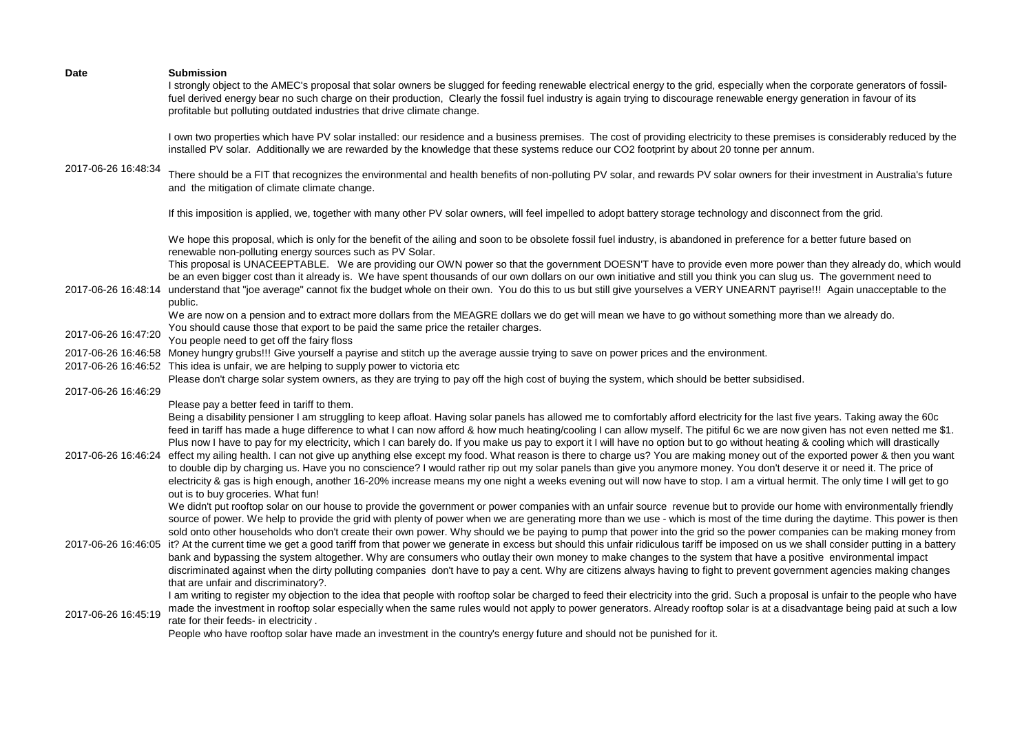| Date                | <b>Submission</b><br>I strongly object to the AMEC's proposal that solar owners be slugged for feeding renewable electrical energy to the grid, especially when the corporate generators of fossil-<br>fuel derived energy bear no such charge on their production, Clearly the fossil fuel industry is again trying to discourage renewable energy generation in favour of its<br>profitable but polluting outdated industries that drive climate change.                                                                                                                                                                                                                                                                                                                                                                                                                                                                                                                                                                                                                                                                            |
|---------------------|---------------------------------------------------------------------------------------------------------------------------------------------------------------------------------------------------------------------------------------------------------------------------------------------------------------------------------------------------------------------------------------------------------------------------------------------------------------------------------------------------------------------------------------------------------------------------------------------------------------------------------------------------------------------------------------------------------------------------------------------------------------------------------------------------------------------------------------------------------------------------------------------------------------------------------------------------------------------------------------------------------------------------------------------------------------------------------------------------------------------------------------|
| 2017-06-26 16:48:34 | I own two properties which have PV solar installed: our residence and a business premises. The cost of providing electricity to these premises is considerably reduced by the<br>installed PV solar. Additionally we are rewarded by the knowledge that these systems reduce our CO2 footprint by about 20 tonne per annum.                                                                                                                                                                                                                                                                                                                                                                                                                                                                                                                                                                                                                                                                                                                                                                                                           |
|                     | There should be a FIT that recognizes the environmental and health benefits of non-polluting PV solar, and rewards PV solar owners for their investment in Australia's future<br>and the mitigation of climate climate change.                                                                                                                                                                                                                                                                                                                                                                                                                                                                                                                                                                                                                                                                                                                                                                                                                                                                                                        |
|                     | If this imposition is applied, we, together with many other PV solar owners, will feel impelled to adopt battery storage technology and disconnect from the grid.                                                                                                                                                                                                                                                                                                                                                                                                                                                                                                                                                                                                                                                                                                                                                                                                                                                                                                                                                                     |
|                     | We hope this proposal, which is only for the benefit of the ailing and soon to be obsolete fossil fuel industry, is abandoned in preference for a better future based on<br>renewable non-polluting energy sources such as PV Solar.                                                                                                                                                                                                                                                                                                                                                                                                                                                                                                                                                                                                                                                                                                                                                                                                                                                                                                  |
| 2017-06-26 16:48:14 | This proposal is UNACEEPTABLE. We are providing our OWN power so that the government DOESN'T have to provide even more power than they already do, which would<br>be an even bigger cost than it already is. We have spent thousands of our own dollars on our own initiative and still you think you can slug us. The government need to<br>understand that "joe average" cannot fix the budget whole on their own. You do this to us but still give yourselves a VERY UNEARNT payrise!!! Again unacceptable to the<br>public.                                                                                                                                                                                                                                                                                                                                                                                                                                                                                                                                                                                                       |
| 2017-06-26 16:47:20 | We are now on a pension and to extract more dollars from the MEAGRE dollars we do get will mean we have to go without something more than we already do.<br>You should cause those that export to be paid the same price the retailer charges.<br>You people need to get off the fairy floss                                                                                                                                                                                                                                                                                                                                                                                                                                                                                                                                                                                                                                                                                                                                                                                                                                          |
|                     | 2017-06-26 16:46:58 Money hungry grubs!!! Give yourself a payrise and stitch up the average aussie trying to save on power prices and the environment.                                                                                                                                                                                                                                                                                                                                                                                                                                                                                                                                                                                                                                                                                                                                                                                                                                                                                                                                                                                |
|                     | 2017-06-26 16:46:52 This idea is unfair, we are helping to supply power to victoria etc                                                                                                                                                                                                                                                                                                                                                                                                                                                                                                                                                                                                                                                                                                                                                                                                                                                                                                                                                                                                                                               |
|                     | Please don't charge solar system owners, as they are trying to pay off the high cost of buying the system, which should be better subsidised.                                                                                                                                                                                                                                                                                                                                                                                                                                                                                                                                                                                                                                                                                                                                                                                                                                                                                                                                                                                         |
| 2017-06-26 16:46:29 | Please pay a better feed in tariff to them.                                                                                                                                                                                                                                                                                                                                                                                                                                                                                                                                                                                                                                                                                                                                                                                                                                                                                                                                                                                                                                                                                           |
| 2017-06-26 16:46:24 | Being a disability pensioner I am struggling to keep afloat. Having solar panels has allowed me to comfortably afford electricity for the last five years. Taking away the 60c<br>feed in tariff has made a huge difference to what I can now afford & how much heating/cooling I can allow myself. The pitiful 6c we are now given has not even netted me \$1.<br>Plus now I have to pay for my electricity, which I can barely do. If you make us pay to export it I will have no option but to go without heating & cooling which will drastically<br>effect my ailing health. I can not give up anything else except my food. What reason is there to charge us? You are making money out of the exported power & then you want<br>to double dip by charging us. Have you no conscience? I would rather rip out my solar panels than give you anymore money. You don't deserve it or need it. The price of<br>electricity & gas is high enough, another 16-20% increase means my one night a weeks evening out will now have to stop. I am a virtual hermit. The only time I will get to go<br>out is to buy groceries. What fun! |
|                     | We didn't put rooftop solar on our house to provide the government or power companies with an unfair source revenue but to provide our home with environmentally friendly<br>source of power. We help to provide the grid with plenty of power when we are generating more than we use - which is most of the time during the daytime. This power is then<br>sold onto other households who don't create their own power. Why should we be paying to pump that power into the grid so the power companies can be making money from<br>2017-06-26 16:46:05 it? At the current time we get a good tariff from that power we generate in excess but should this unfair ridiculous tariff be imposed on us we shall consider putting in a battery<br>bank and bypassing the system altogether. Why are consumers who outlay their own money to make changes to the system that have a positive environmental impact<br>discriminated against when the dirty polluting companies don't have to pay a cent. Why are citizens always having to fight to prevent government agencies making changes<br>that are unfair and discriminatory?.   |
| 2017-06-26 16:45:19 | I am writing to register my objection to the idea that people with rooftop solar be charged to feed their electricity into the grid. Such a proposal is unfair to the people who have<br>made the investment in rooftop solar especially when the same rules would not apply to power generators. Already rooftop solar is at a disadvantage being paid at such a low<br>rate for their feeds- in electricity.<br>People who have rooftop solar have made an investment in the country's energy future and should not be punished for it.                                                                                                                                                                                                                                                                                                                                                                                                                                                                                                                                                                                             |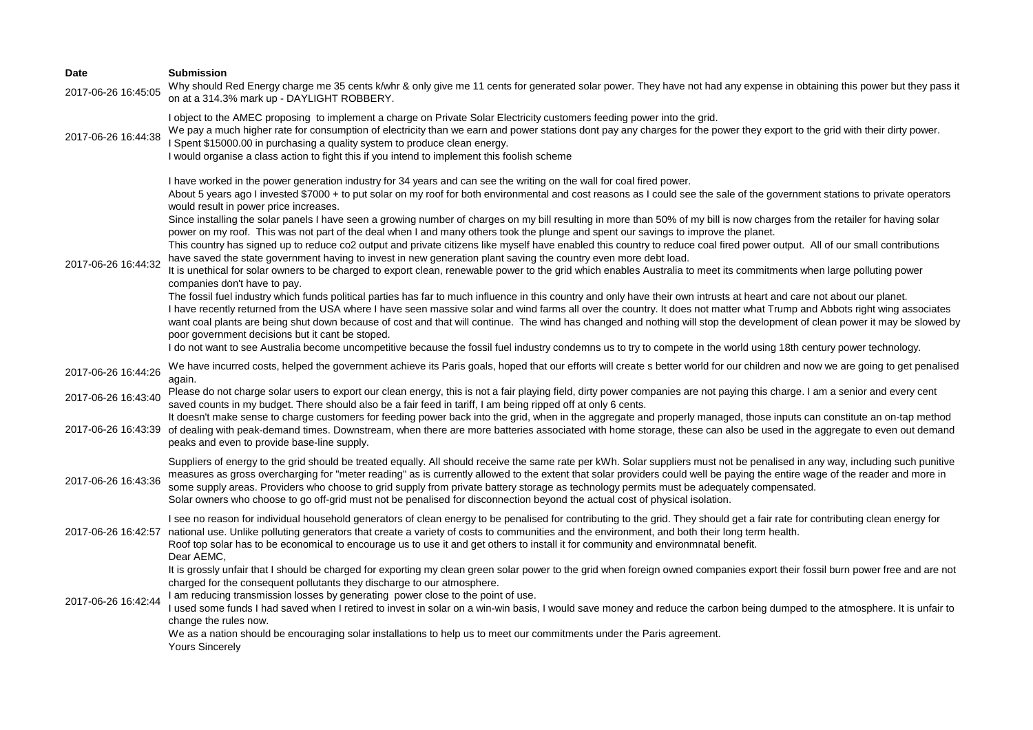| <b>Date</b>         | <b>Submission</b>                                                                                                                                                                                                                                                                                                                                                                                                                                                                                                                                                                                                                                                                                                                                                                                                                                                                                                                                                                                                                                                                                                                                                                                                                                                                                                                                                                                                                                                                                                                                                                                                                                                                                                                                                                                                                                                                                                                                         |
|---------------------|-----------------------------------------------------------------------------------------------------------------------------------------------------------------------------------------------------------------------------------------------------------------------------------------------------------------------------------------------------------------------------------------------------------------------------------------------------------------------------------------------------------------------------------------------------------------------------------------------------------------------------------------------------------------------------------------------------------------------------------------------------------------------------------------------------------------------------------------------------------------------------------------------------------------------------------------------------------------------------------------------------------------------------------------------------------------------------------------------------------------------------------------------------------------------------------------------------------------------------------------------------------------------------------------------------------------------------------------------------------------------------------------------------------------------------------------------------------------------------------------------------------------------------------------------------------------------------------------------------------------------------------------------------------------------------------------------------------------------------------------------------------------------------------------------------------------------------------------------------------------------------------------------------------------------------------------------------------|
| 2017-06-26 16:45:05 | Why should Red Energy charge me 35 cents k/whr & only give me 11 cents for generated solar power. They have not had any expense in obtaining this power but they pass it<br>on at a 314.3% mark up - DAYLIGHT ROBBERY.                                                                                                                                                                                                                                                                                                                                                                                                                                                                                                                                                                                                                                                                                                                                                                                                                                                                                                                                                                                                                                                                                                                                                                                                                                                                                                                                                                                                                                                                                                                                                                                                                                                                                                                                    |
| 2017-06-26 16:44:38 | I object to the AMEC proposing to implement a charge on Private Solar Electricity customers feeding power into the grid.<br>We pay a much higher rate for consumption of electricity than we earn and power stations dont pay any charges for the power they export to the grid with their dirty power.<br>I Spent \$15000.00 in purchasing a quality system to produce clean energy.<br>I would organise a class action to fight this if you intend to implement this foolish scheme                                                                                                                                                                                                                                                                                                                                                                                                                                                                                                                                                                                                                                                                                                                                                                                                                                                                                                                                                                                                                                                                                                                                                                                                                                                                                                                                                                                                                                                                     |
| 2017-06-26 16:44:32 | I have worked in the power generation industry for 34 years and can see the writing on the wall for coal fired power.<br>About 5 years ago I invested \$7000 + to put solar on my roof for both environmental and cost reasons as I could see the sale of the government stations to private operators<br>would result in power price increases.<br>Since installing the solar panels I have seen a growing number of charges on my bill resulting in more than 50% of my bill is now charges from the retailer for having solar<br>power on my roof. This was not part of the deal when I and many others took the plunge and spent our savings to improve the planet.<br>This country has signed up to reduce co2 output and private citizens like myself have enabled this country to reduce coal fired power output. All of our small contributions<br>have saved the state government having to invest in new generation plant saving the country even more debt load.<br>It is unethical for solar owners to be charged to export clean, renewable power to the grid which enables Australia to meet its commitments when large polluting power<br>companies don't have to pay.<br>The fossil fuel industry which funds political parties has far to much influence in this country and only have their own intrusts at heart and care not about our planet.<br>I have recently returned from the USA where I have seen massive solar and wind farms all over the country. It does not matter what Trump and Abbots right wing associates<br>want coal plants are being shut down because of cost and that will continue. The wind has changed and nothing will stop the development of clean power it may be slowed by<br>poor government decisions but it cant be stoped.<br>I do not want to see Australia become uncompetitive because the fossil fuel industry condemns us to try to compete in the world using 18th century power technology. |
| 2017-06-26 16:44:26 | We have incurred costs, helped the government achieve its Paris goals, hoped that our efforts will create s better world for our children and now we are going to get penalised<br>again.                                                                                                                                                                                                                                                                                                                                                                                                                                                                                                                                                                                                                                                                                                                                                                                                                                                                                                                                                                                                                                                                                                                                                                                                                                                                                                                                                                                                                                                                                                                                                                                                                                                                                                                                                                 |
| 2017-06-26 16:43:40 | Please do not charge solar users to export our clean energy, this is not a fair playing field, dirty power companies are not paying this charge. I am a senior and every cent<br>saved counts in my budget. There should also be a fair feed in tariff, I am being ripped off at only 6 cents.                                                                                                                                                                                                                                                                                                                                                                                                                                                                                                                                                                                                                                                                                                                                                                                                                                                                                                                                                                                                                                                                                                                                                                                                                                                                                                                                                                                                                                                                                                                                                                                                                                                            |
| 2017-06-26 16:43:39 | It doesn't make sense to charge customers for feeding power back into the grid, when in the aggregate and properly managed, those inputs can constitute an on-tap method<br>of dealing with peak-demand times. Downstream, when there are more batteries associated with home storage, these can also be used in the aggregate to even out demand<br>peaks and even to provide base-line supply.                                                                                                                                                                                                                                                                                                                                                                                                                                                                                                                                                                                                                                                                                                                                                                                                                                                                                                                                                                                                                                                                                                                                                                                                                                                                                                                                                                                                                                                                                                                                                          |
| 2017-06-26 16:43:36 | Suppliers of energy to the grid should be treated equally. All should receive the same rate per kWh. Solar suppliers must not be penalised in any way, including such punitive<br>measures as gross overcharging for "meter reading" as is currently allowed to the extent that solar providers could well be paying the entire wage of the reader and more in<br>some supply areas. Providers who choose to grid supply from private battery storage as technology permits must be adequately compensated.<br>Solar owners who choose to go off-grid must not be penalised for disconnection beyond the actual cost of physical isolation.                                                                                                                                                                                                                                                                                                                                                                                                                                                                                                                                                                                                                                                                                                                                                                                                                                                                                                                                                                                                                                                                                                                                                                                                                                                                                                               |
| 2017-06-26 16:42:57 | I see no reason for individual household generators of clean energy to be penalised for contributing to the grid. They should get a fair rate for contributing clean energy for<br>national use. Unlike polluting generators that create a variety of costs to communities and the environment, and both their long term health.<br>Roof top solar has to be economical to encourage us to use it and get others to install it for community and environmnatal benefit.<br>Dear AEMC,                                                                                                                                                                                                                                                                                                                                                                                                                                                                                                                                                                                                                                                                                                                                                                                                                                                                                                                                                                                                                                                                                                                                                                                                                                                                                                                                                                                                                                                                     |
| 2017-06-26 16:42:44 | It is grossly unfair that I should be charged for exporting my clean green solar power to the grid when foreign owned companies export their fossil burn power free and are not<br>charged for the consequent pollutants they discharge to our atmosphere.<br>I am reducing transmission losses by generating power close to the point of use.<br>I used some funds I had saved when I retired to invest in solar on a win-win basis, I would save money and reduce the carbon being dumped to the atmosphere. It is unfair to<br>change the rules now.<br>We as a nation should be encouraging solar installations to help us to meet our commitments under the Paris agreement.<br><b>Yours Sincerely</b>                                                                                                                                                                                                                                                                                                                                                                                                                                                                                                                                                                                                                                                                                                                                                                                                                                                                                                                                                                                                                                                                                                                                                                                                                                               |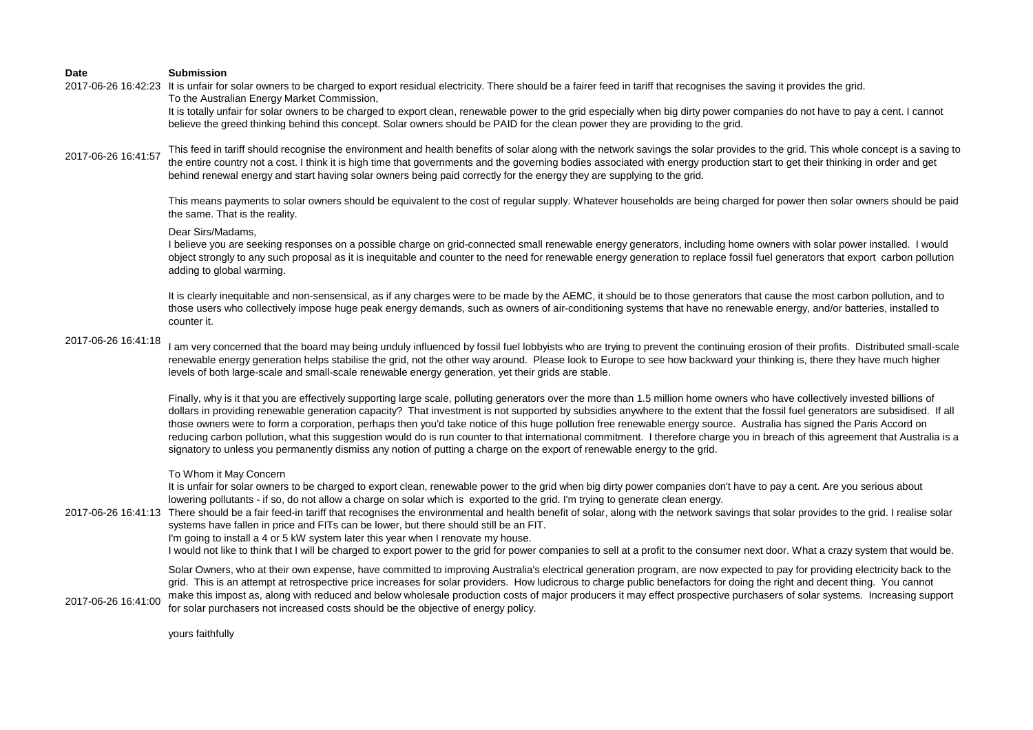2017-06-26 16:42:23 It is unfair for solar owners to be charged to export residual electricity. There should be a fairer feed in tariff that recognises the saving it provides the grid. To the Australian Energy Market Commission,

It is totally unfair for solar owners to be charged to export clean, renewable power to the grid especially when big dirty power companies do not have to pay a cent. I cannot believe the greed thinking behind this concept. Solar owners should be PAID for the clean power they are providing to the grid.

2017-06-26 16:41:57 This feed in tariff should recognise the environment and health benefits of solar along with the network savings the solar provides to the grid. This whole concept is a saving to the entire country not a cost. I think it is high time that governments and the governing bodies associated with energy production start to get their thinking in order and get behind renewal energy and start having solar owners being paid correctly for the energy they are supplying to the grid.

> This means payments to solar owners should be equivalent to the cost of regular supply. Whatever households are being charged for power then solar owners should be paid the same. That is the reality.

## Dear Sirs/Madams,

I believe you are seeking responses on a possible charge on grid-connected small renewable energy generators, including home owners with solar power installed. I would object strongly to any such proposal as it is inequitable and counter to the need for renewable energy generation to replace fossil fuel generators that export carbon pollution adding to global warming.

It is clearly inequitable and non-sensensical, as if any charges were to be made by the AEMC, it should be to those generators that cause the most carbon pollution, and to those users who collectively impose huge peak energy demands, such as owners of air-conditioning systems that have no renewable energy, and/or batteries, installed to counter it.

## 2017-06-26 16:41:18

I am very concerned that the board may being unduly influenced by fossil fuel lobbyists who are trying to prevent the continuing erosion of their profits. Distributed small-scale renewable energy generation helps stabilise the grid, not the other way around. Please look to Europe to see how backward your thinking is, there they have much higher levels of both large-scale and small-scale renewable energy generation, yet their grids are stable.

Finally, why is it that you are effectively supporting large scale, polluting generators over the more than 1.5 million home owners who have collectively invested billions of dollars in providing renewable generation capacity? That investment is not supported by subsidies anywhere to the extent that the fossil fuel generators are subsidised. If all those owners were to form a corporation, perhaps then you'd take notice of this huge pollution free renewable energy source. Australia has signed the Paris Accord on reducing carbon pollution, what this suggestion would do is run counter to that international commitment. I therefore charge you in breach of this agreement that Australia is a signatory to unless you permanently dismiss any notion of putting a charge on the export of renewable energy to the grid.

#### To Whom it May Concern

It is unfair for solar owners to be charged to export clean, renewable power to the grid when big dirty power companies don't have to pay a cent. Are you serious about lowering pollutants - if so, do not allow a charge on solar which is exported to the grid. I'm trying to generate clean energy.

2017-06-26 16:41:13 There should be a fair feed-in tariff that recognises the environmental and health benefit of solar, along with the network savings that solar provides to the grid. I realise solar systems have fallen in price and FITs can be lower, but there should still be an FIT.

I'm going to install a 4 or 5 kW system later this year when I renovate my house.

I would not like to think that I will be charged to export power to the grid for power companies to sell at a profit to the consumer next door. What a crazy system that would be.

Solar Owners, who at their own expense, have committed to improving Australia's electrical generation program, are now expected to pay for providing electricity back to the grid. This is an attempt at retrospective price increases for solar providers. How ludicrous to charge public benefactors for doing the right and decent thing. You cannot

2017-06-26 16:41:00 make this impost as, along with reduced and below wholesale production costs of major producers it may effect prospective purchasers of solar systems. Increasing support for solar purchasers not increased costs should be the objective of energy policy.

yours faithfully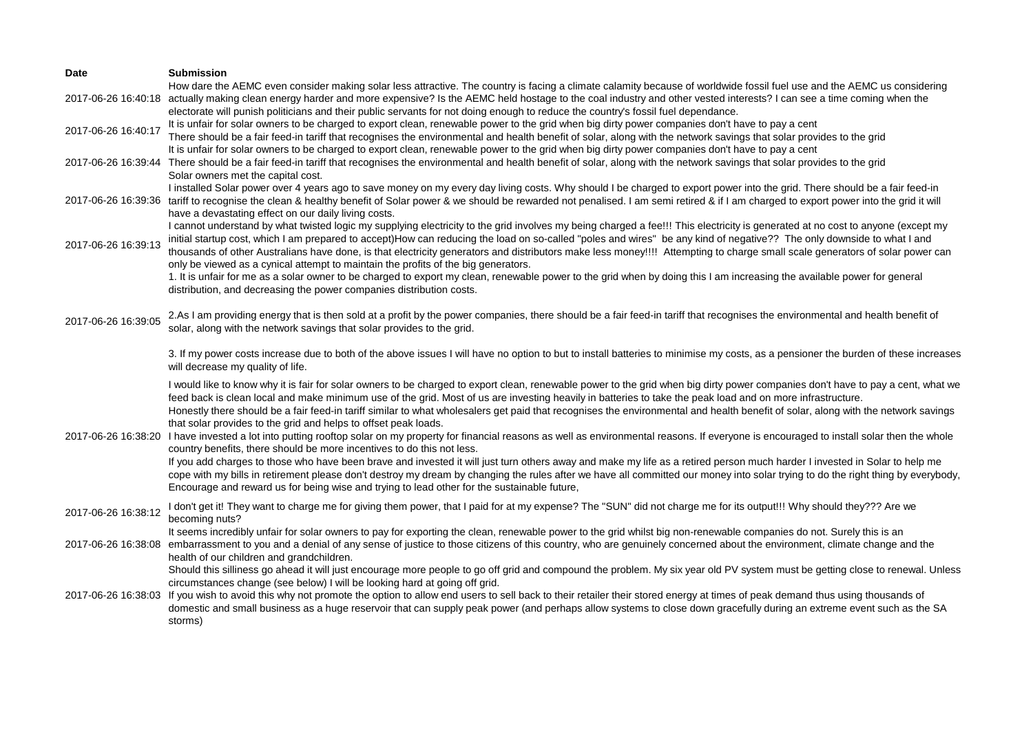| <b>Date</b>         | <b>Submission</b>                                                                                                                                                                                                                                                                                                                                                                                                                                                                                                                                                                                                                                                                                                                                                                                                                                                                   |
|---------------------|-------------------------------------------------------------------------------------------------------------------------------------------------------------------------------------------------------------------------------------------------------------------------------------------------------------------------------------------------------------------------------------------------------------------------------------------------------------------------------------------------------------------------------------------------------------------------------------------------------------------------------------------------------------------------------------------------------------------------------------------------------------------------------------------------------------------------------------------------------------------------------------|
|                     | How dare the AEMC even consider making solar less attractive. The country is facing a climate calamity because of worldwide fossil fuel use and the AEMC us considering<br>2017-06-26 16:40:18 actually making clean energy harder and more expensive? Is the AEMC held hostage to the coal industry and other vested interests? I can see a time coming when the<br>electorate will punish politicians and their public servants for not doing enough to reduce the country's fossil fuel dependance.                                                                                                                                                                                                                                                                                                                                                                              |
| 2017-06-26 16:40:17 | It is unfair for solar owners to be charged to export clean, renewable power to the grid when big dirty power companies don't have to pay a cent<br>There should be a fair feed-in tariff that recognises the environmental and health benefit of solar, along with the network savings that solar provides to the grid<br>It is unfair for solar owners to be charged to export clean, renewable power to the grid when big dirty power companies don't have to pay a cent                                                                                                                                                                                                                                                                                                                                                                                                         |
|                     | 2017-06-26 16:39:44 There should be a fair feed-in tariff that recognises the environmental and health benefit of solar, along with the network savings that solar provides to the grid<br>Solar owners met the capital cost.                                                                                                                                                                                                                                                                                                                                                                                                                                                                                                                                                                                                                                                       |
| 2017-06-26 16:39:36 | I installed Solar power over 4 years ago to save money on my every day living costs. Why should I be charged to export power into the grid. There should be a fair feed-in<br>tariff to recognise the clean & healthy benefit of Solar power & we should be rewarded not penalised. I am semi retired & if I am charged to export power into the grid it will<br>have a devastating effect on our daily living costs.                                                                                                                                                                                                                                                                                                                                                                                                                                                               |
| 2017-06-26 16:39:13 | I cannot understand by what twisted logic my supplying electricity to the grid involves my being charged a fee!!! This electricity is generated at no cost to anyone (except my<br>initial startup cost, which I am prepared to accept)How can reducing the load on so-called "poles and wires" be any kind of negative?? The only downside to what I and<br>thousands of other Australians have done, is that electricity generators and distributors make less money!!!! Attempting to charge small scale generators of solar power can<br>only be viewed as a cynical attempt to maintain the profits of the big generators.<br>1. It is unfair for me as a solar owner to be charged to export my clean, renewable power to the grid when by doing this I am increasing the available power for general<br>distribution, and decreasing the power companies distribution costs. |
| 2017-06-26 16:39:05 | 2.As I am providing energy that is then sold at a profit by the power companies, there should be a fair feed-in tariff that recognises the environmental and health benefit of<br>solar, along with the network savings that solar provides to the grid.                                                                                                                                                                                                                                                                                                                                                                                                                                                                                                                                                                                                                            |
|                     | 3. If my power costs increase due to both of the above issues I will have no option to but to install batteries to minimise my costs, as a pensioner the burden of these increases<br>will decrease my quality of life.                                                                                                                                                                                                                                                                                                                                                                                                                                                                                                                                                                                                                                                             |
| 2017-06-26 16:38:20 | I would like to know why it is fair for solar owners to be charged to export clean, renewable power to the grid when big dirty power companies don't have to pay a cent, what we<br>feed back is clean local and make minimum use of the grid. Most of us are investing heavily in batteries to take the peak load and on more infrastructure.<br>Honestly there should be a fair feed-in tariff similar to what wholesalers get paid that recognises the environmental and health benefit of solar, along with the network savings<br>that solar provides to the grid and helps to offset peak loads.<br>I have invested a lot into putting rooftop solar on my property for financial reasons as well as environmental reasons. If everyone is encouraged to install solar then the whole<br>country benefits, there should be more incentives to do this not less.               |
|                     | If you add charges to those who have been brave and invested it will just turn others away and make my life as a retired person much harder I invested in Solar to help me<br>cope with my bills in retirement please don't destroy my dream by changing the rules after we have all committed our money into solar trying to do the right thing by everybody,<br>Encourage and reward us for being wise and trying to lead other for the sustainable future,                                                                                                                                                                                                                                                                                                                                                                                                                       |
| 2017-06-26 16:38:12 | I don't get it! They want to charge me for giving them power, that I paid for at my expense? The "SUN" did not charge me for its output!!! Why should they??? Are we<br>becoming nuts?                                                                                                                                                                                                                                                                                                                                                                                                                                                                                                                                                                                                                                                                                              |
| 2017-06-26 16:38:08 | It seems incredibly unfair for solar owners to pay for exporting the clean, renewable power to the grid whilst big non-renewable companies do not. Surely this is an<br>embarrassment to you and a denial of any sense of justice to those citizens of this country, who are genuinely concerned about the environment, climate change and the<br>health of our children and grandchildren.                                                                                                                                                                                                                                                                                                                                                                                                                                                                                         |
| 2017-06-26 16:38:03 | Should this silliness go ahead it will just encourage more people to go off grid and compound the problem. My six year old PV system must be getting close to renewal. Unless<br>circumstances change (see below) I will be looking hard at going off grid.<br>If you wish to avoid this why not promote the option to allow end users to sell back to their retailer their stored energy at times of peak demand thus using thousands of<br>domestic and small business as a huge reservoir that can supply peak power (and perhaps allow systems to close down gracefully during an extreme event such as the SA<br>storms)                                                                                                                                                                                                                                                       |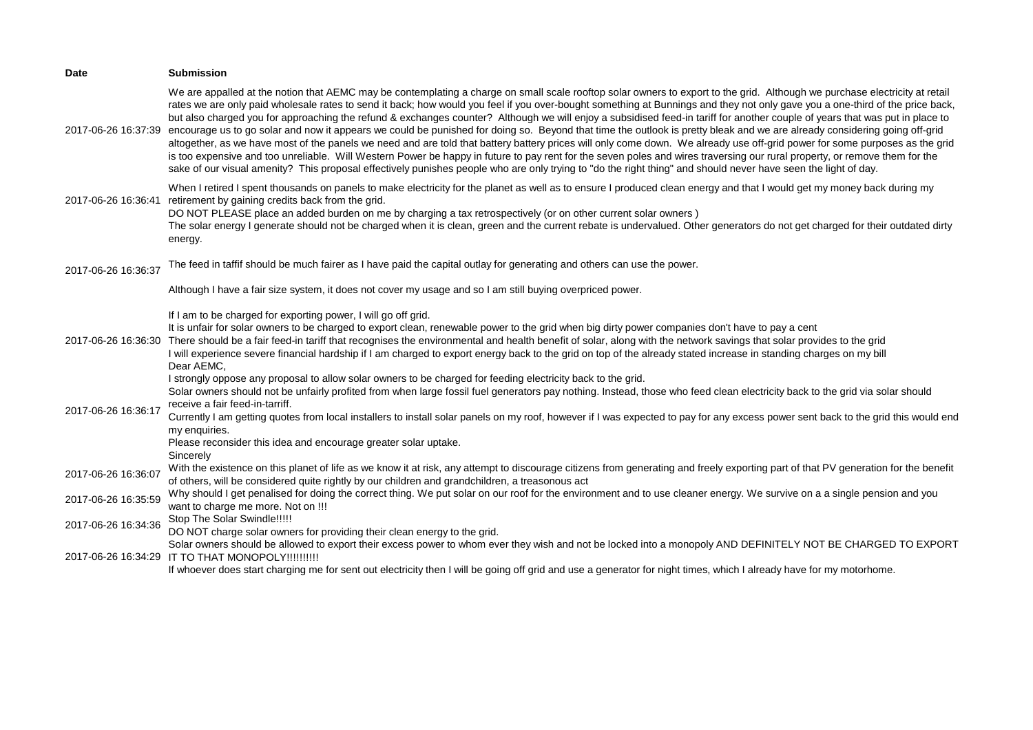| <b>Date</b>         | <b>Submission</b>                                                                                                                                                                                                                                                                                                                                                                                                                                                                                                                                                                                                                                                                                                                                                                                                                                                                                                                                                                                                                                                                                                                                                                                                                                        |
|---------------------|----------------------------------------------------------------------------------------------------------------------------------------------------------------------------------------------------------------------------------------------------------------------------------------------------------------------------------------------------------------------------------------------------------------------------------------------------------------------------------------------------------------------------------------------------------------------------------------------------------------------------------------------------------------------------------------------------------------------------------------------------------------------------------------------------------------------------------------------------------------------------------------------------------------------------------------------------------------------------------------------------------------------------------------------------------------------------------------------------------------------------------------------------------------------------------------------------------------------------------------------------------|
| 2017-06-26 16:37:39 | We are appalled at the notion that AEMC may be contemplating a charge on small scale rooftop solar owners to export to the grid. Although we purchase electricity at retail<br>rates we are only paid wholesale rates to send it back; how would you feel if you over-bought something at Bunnings and they not only gave you a one-third of the price back,<br>but also charged you for approaching the refund & exchanges counter? Although we will enjoy a subsidised feed-in tariff for another couple of years that was put in place to<br>encourage us to go solar and now it appears we could be punished for doing so. Beyond that time the outlook is pretty bleak and we are already considering going off-grid<br>altogether, as we have most of the panels we need and are told that battery battery prices will only come down. We already use off-grid power for some purposes as the grid<br>is too expensive and too unreliable. Will Western Power be happy in future to pay rent for the seven poles and wires traversing our rural property, or remove them for the<br>sake of our visual amenity? This proposal effectively punishes people who are only trying to "do the right thing" and should never have seen the light of day. |
| 2017-06-26 16:36:41 | When I retired I spent thousands on panels to make electricity for the planet as well as to ensure I produced clean energy and that I would get my money back during my<br>retirement by gaining credits back from the grid.<br>DO NOT PLEASE place an added burden on me by charging a tax retrospectively (or on other current solar owners)<br>The solar energy I generate should not be charged when it is clean, green and the current rebate is undervalued. Other generators do not get charged for their outdated dirty<br>energy.                                                                                                                                                                                                                                                                                                                                                                                                                                                                                                                                                                                                                                                                                                               |
| 2017-06-26 16:36:37 | The feed in taffif should be much fairer as I have paid the capital outlay for generating and others can use the power.                                                                                                                                                                                                                                                                                                                                                                                                                                                                                                                                                                                                                                                                                                                                                                                                                                                                                                                                                                                                                                                                                                                                  |
|                     | Although I have a fair size system, it does not cover my usage and so I am still buying overpriced power.                                                                                                                                                                                                                                                                                                                                                                                                                                                                                                                                                                                                                                                                                                                                                                                                                                                                                                                                                                                                                                                                                                                                                |
| 2017-06-26 16:36:30 | If I am to be charged for exporting power, I will go off grid.<br>It is unfair for solar owners to be charged to export clean, renewable power to the grid when big dirty power companies don't have to pay a cent<br>There should be a fair feed-in tariff that recognises the environmental and health benefit of solar, along with the network savings that solar provides to the grid<br>I will experience severe financial hardship if I am charged to export energy back to the grid on top of the already stated increase in standing charges on my bill<br>Dear AEMC,                                                                                                                                                                                                                                                                                                                                                                                                                                                                                                                                                                                                                                                                            |
| 2017-06-26 16:36:17 | I strongly oppose any proposal to allow solar owners to be charged for feeding electricity back to the grid.<br>Solar owners should not be unfairly profited from when large fossil fuel generators pay nothing. Instead, those who feed clean electricity back to the grid via solar should<br>receive a fair feed-in-tarriff.<br>Currently I am getting quotes from local installers to install solar panels on my roof, however if I was expected to pay for any excess power sent back to the grid this would end<br>my enquiries.<br>Please reconsider this idea and encourage greater solar uptake.<br>Sincerely                                                                                                                                                                                                                                                                                                                                                                                                                                                                                                                                                                                                                                   |
| 2017-06-26 16:36:07 | With the existence on this planet of life as we know it at risk, any attempt to discourage citizens from generating and freely exporting part of that PV generation for the benefit<br>of others, will be considered quite rightly by our children and grandchildren, a treasonous act                                                                                                                                                                                                                                                                                                                                                                                                                                                                                                                                                                                                                                                                                                                                                                                                                                                                                                                                                                   |
| 2017-06-26 16:35:59 | Why should I get penalised for doing the correct thing. We put solar on our roof for the environment and to use cleaner energy. We survive on a a single pension and you<br>want to charge me more. Not on !!!                                                                                                                                                                                                                                                                                                                                                                                                                                                                                                                                                                                                                                                                                                                                                                                                                                                                                                                                                                                                                                           |
| 2017-06-26 16:34:36 | Stop The Solar Swindle!!!!!<br>DO NOT charge solar owners for providing their clean energy to the grid.                                                                                                                                                                                                                                                                                                                                                                                                                                                                                                                                                                                                                                                                                                                                                                                                                                                                                                                                                                                                                                                                                                                                                  |
| 2017-06-26 16:34:29 | Solar owners should be allowed to export their excess power to whom ever they wish and not be locked into a monopoly AND DEFINITELY NOT BE CHARGED TO EXPORT<br>IT TO THAT MONOPOLY!!!!!!!!!!<br>If whoever does start charging me for sent out electricity then I will be going off grid and use a generator for night times, which I already have for my motorhome.                                                                                                                                                                                                                                                                                                                                                                                                                                                                                                                                                                                                                                                                                                                                                                                                                                                                                    |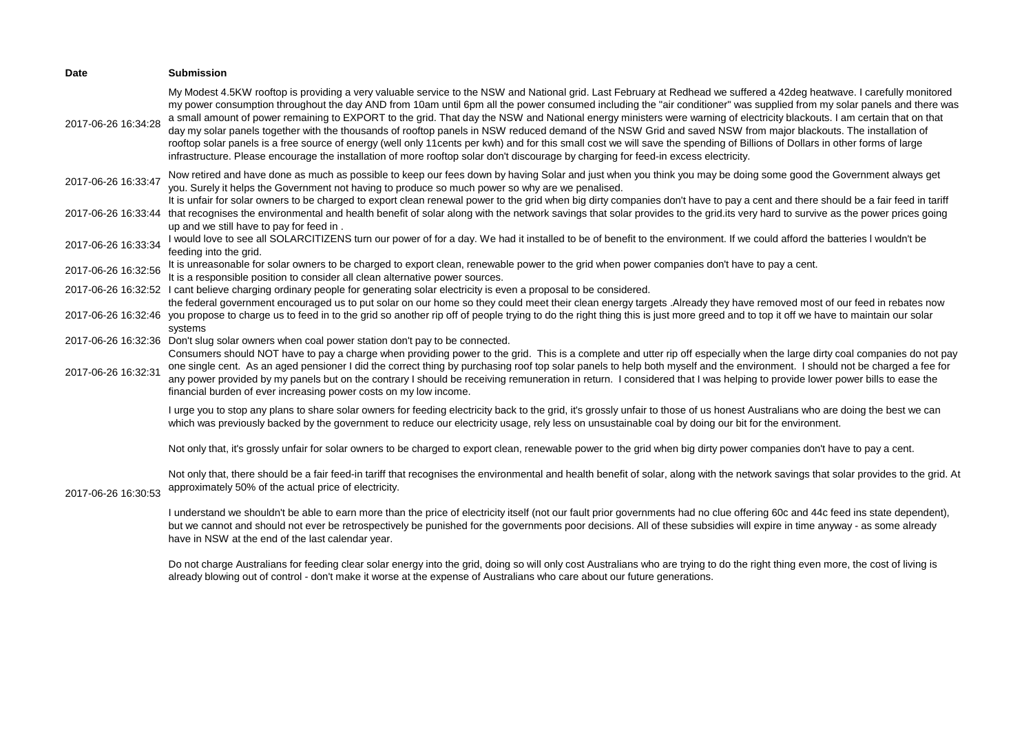| <b>Date</b>         | <b>Submission</b>                                                                                                                                                                                                                                                                                                                                                                                                                                                                                                                                                                                                                                                                                                                                                                                                                                                                                                                                                                                                        |
|---------------------|--------------------------------------------------------------------------------------------------------------------------------------------------------------------------------------------------------------------------------------------------------------------------------------------------------------------------------------------------------------------------------------------------------------------------------------------------------------------------------------------------------------------------------------------------------------------------------------------------------------------------------------------------------------------------------------------------------------------------------------------------------------------------------------------------------------------------------------------------------------------------------------------------------------------------------------------------------------------------------------------------------------------------|
| 2017-06-26 16:34:28 | My Modest 4.5KW rooftop is providing a very valuable service to the NSW and National grid. Last February at Redhead we suffered a 42deg heatwave. I carefully monitored<br>my power consumption throughout the day AND from 10am until 6pm all the power consumed including the "air conditioner" was supplied from my solar panels and there was<br>a small amount of power remaining to EXPORT to the grid. That day the NSW and National energy ministers were warning of electricity blackouts. I am certain that on that<br>day my solar panels together with the thousands of rooftop panels in NSW reduced demand of the NSW Grid and saved NSW from major blackouts. The installation of<br>rooftop solar panels is a free source of energy (well only 11cents per kwh) and for this small cost we will save the spending of Billions of Dollars in other forms of large<br>infrastructure. Please encourage the installation of more rooftop solar don't discourage by charging for feed-in excess electricity. |
| 2017-06-26 16:33:47 | Now retired and have done as much as possible to keep our fees down by having Solar and just when you think you may be doing some good the Government always get<br>you. Surely it helps the Government not having to produce so much power so why are we penalised.                                                                                                                                                                                                                                                                                                                                                                                                                                                                                                                                                                                                                                                                                                                                                     |
|                     | It is unfair for solar owners to be charged to export clean renewal power to the grid when big dirty companies don't have to pay a cent and there should be a fair feed in tariff<br>2017-06-26 16:33:44 that recognises the environmental and health benefit of solar along with the network savings that solar provides to the grid.its very hard to survive as the power prices going<br>up and we still have to pay for feed in.                                                                                                                                                                                                                                                                                                                                                                                                                                                                                                                                                                                     |
| 2017-06-26 16:33:34 | I would love to see all SOLARCITIZENS turn our power of for a day. We had it installed to be of benefit to the environment. If we could afford the batteries I wouldn't be<br>feeding into the grid.                                                                                                                                                                                                                                                                                                                                                                                                                                                                                                                                                                                                                                                                                                                                                                                                                     |
| 2017-06-26 16:32:56 | It is unreasonable for solar owners to be charged to export clean, renewable power to the grid when power companies don't have to pay a cent.<br>It is a responsible position to consider all clean alternative power sources.                                                                                                                                                                                                                                                                                                                                                                                                                                                                                                                                                                                                                                                                                                                                                                                           |
|                     | 2017-06-26 16:32:52 I cant believe charging ordinary people for generating solar electricity is even a proposal to be considered.<br>the federal government encouraged us to put solar on our home so they could meet their clean energy targets .Already they have removed most of our feed in rebates now                                                                                                                                                                                                                                                                                                                                                                                                                                                                                                                                                                                                                                                                                                              |
|                     | 2017-06-26 16:32:46 you propose to charge us to feed in to the grid so another rip off of people trying to do the right thing this is just more greed and to top it off we have to maintain our solar<br>systems                                                                                                                                                                                                                                                                                                                                                                                                                                                                                                                                                                                                                                                                                                                                                                                                         |
|                     | 2017-06-26 16:32:36 Don't slug solar owners when coal power station don't pay to be connected.<br>Consumers should NOT have to pay a charge when providing power to the grid. This is a complete and utter rip off especially when the large dirty coal companies do not pay                                                                                                                                                                                                                                                                                                                                                                                                                                                                                                                                                                                                                                                                                                                                             |
| 2017-06-26 16:32:31 | one single cent. As an aged pensioner I did the correct thing by purchasing roof top solar panels to help both myself and the environment. I should not be charged a fee for<br>any power provided by my panels but on the contrary I should be receiving remuneration in return. I considered that I was helping to provide lower power bills to ease the<br>financial burden of ever increasing power costs on my low income.                                                                                                                                                                                                                                                                                                                                                                                                                                                                                                                                                                                          |
|                     | I urge you to stop any plans to share solar owners for feeding electricity back to the grid, it's grossly unfair to those of us honest Australians who are doing the best we can<br>which was previously backed by the government to reduce our electricity usage, rely less on unsustainable coal by doing our bit for the environment.                                                                                                                                                                                                                                                                                                                                                                                                                                                                                                                                                                                                                                                                                 |
|                     | Not only that, it's grossly unfair for solar owners to be charged to export clean, renewable power to the grid when big dirty power companies don't have to pay a cent.                                                                                                                                                                                                                                                                                                                                                                                                                                                                                                                                                                                                                                                                                                                                                                                                                                                  |
| 2017-06-26 16:30:53 | Not only that, there should be a fair feed-in tariff that recognises the environmental and health benefit of solar, along with the network savings that solar provides to the grid. At<br>approximately 50% of the actual price of electricity.                                                                                                                                                                                                                                                                                                                                                                                                                                                                                                                                                                                                                                                                                                                                                                          |
|                     | I understand we shouldn't be able to earn more than the price of electricity itself (not our fault prior governments had no clue offering 60c and 44c feed ins state dependent),<br>but we cannot and should not ever be retrospectively be punished for the governments poor decisions. All of these subsidies will expire in time anyway - as some already<br>have in NSW at the end of the last calendar year.                                                                                                                                                                                                                                                                                                                                                                                                                                                                                                                                                                                                        |

Do not charge Australians for feeding clear solar energy into the grid, doing so will only cost Australians who are trying to do the right thing even more, the cost of living is already blowing out of control - don't make it worse at the expense of Australians who care about our future generations.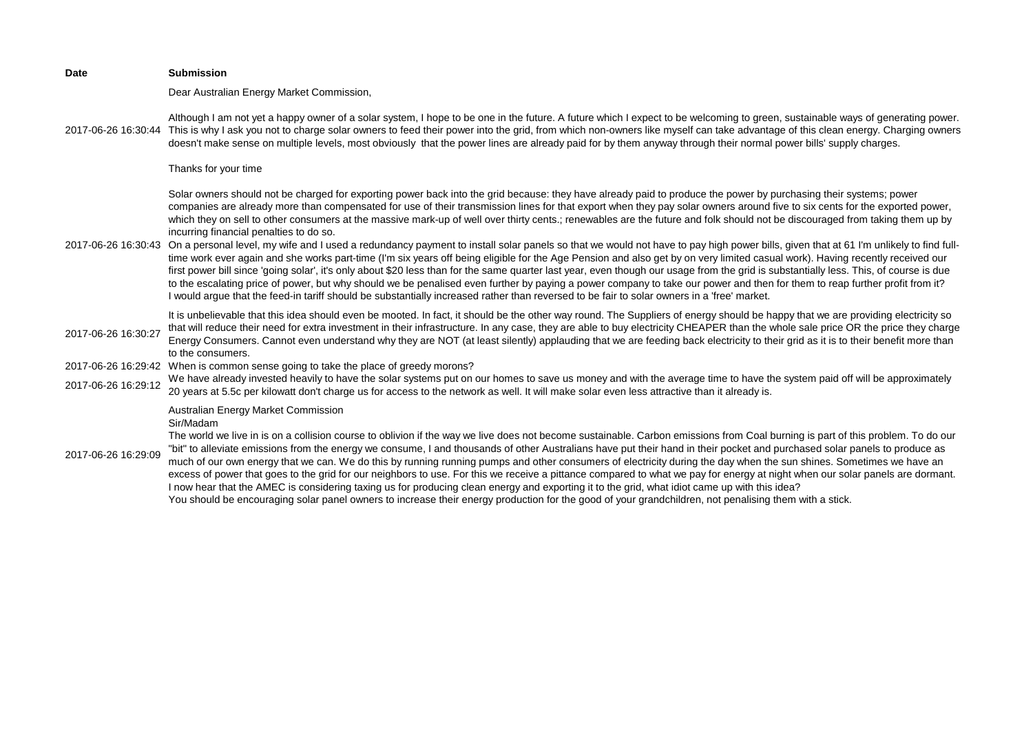| <b>Date</b>         | <b>Submission</b>                                                                                                                                                                                                                                                                                                                                                                                                                                                                                                                                                                                                                                                                                                                                                                                                                                                                                                                                                                                                                                                                    |
|---------------------|--------------------------------------------------------------------------------------------------------------------------------------------------------------------------------------------------------------------------------------------------------------------------------------------------------------------------------------------------------------------------------------------------------------------------------------------------------------------------------------------------------------------------------------------------------------------------------------------------------------------------------------------------------------------------------------------------------------------------------------------------------------------------------------------------------------------------------------------------------------------------------------------------------------------------------------------------------------------------------------------------------------------------------------------------------------------------------------|
|                     | Dear Australian Energy Market Commission,                                                                                                                                                                                                                                                                                                                                                                                                                                                                                                                                                                                                                                                                                                                                                                                                                                                                                                                                                                                                                                            |
|                     | Although I am not yet a happy owner of a solar system, I hope to be one in the future. A future which I expect to be welcoming to green, sustainable ways of generating power.<br>2017-06-26 16:30:44 This is why I ask you not to charge solar owners to feed their power into the grid, from which non-owners like myself can take advantage of this clean energy. Charging owners<br>doesn't make sense on multiple levels, most obviously that the power lines are already paid for by them anyway through their normal power bills' supply charges.                                                                                                                                                                                                                                                                                                                                                                                                                                                                                                                             |
|                     | Thanks for your time                                                                                                                                                                                                                                                                                                                                                                                                                                                                                                                                                                                                                                                                                                                                                                                                                                                                                                                                                                                                                                                                 |
|                     | Solar owners should not be charged for exporting power back into the grid because: they have already paid to produce the power by purchasing their systems; power<br>companies are already more than compensated for use of their transmission lines for that export when they pay solar owners around five to six cents for the exported power,<br>which they on sell to other consumers at the massive mark-up of well over thirty cents.; renewables are the future and folk should not be discouraged from taking them up by<br>incurring financial penalties to do so.<br>2017-06-26 16:30:43 On a personal level, my wife and I used a redundancy payment to install solar panels so that we would not have to pay high power bills, given that at 61 I'm unlikely to find full-<br>time work ever again and she works part-time (I'm six years off being eligible for the Age Pension and also get by on very limited casual work). Having recently received our                                                                                                              |
|                     | first power bill since 'going solar', it's only about \$20 less than for the same quarter last year, even though our usage from the grid is substantially less. This, of course is due<br>to the escalating price of power, but why should we be penalised even further by paying a power company to take our power and then for them to reap further profit from it?<br>I would argue that the feed-in tariff should be substantially increased rather than reversed to be fair to solar owners in a 'free' market.                                                                                                                                                                                                                                                                                                                                                                                                                                                                                                                                                                 |
| 2017-06-26 16:30:27 | It is unbelievable that this idea should even be mooted. In fact, it should be the other way round. The Suppliers of energy should be happy that we are providing electricity so<br>that will reduce their need for extra investment in their infrastructure. In any case, they are able to buy electricity CHEAPER than the whole sale price OR the price they charge<br>Energy Consumers. Cannot even understand why they are NOT (at least silently) applauding that we are feeding back electricity to their grid as it is to their benefit more than<br>to the consumers.                                                                                                                                                                                                                                                                                                                                                                                                                                                                                                       |
| 2017-06-26 16:29:42 | When is common sense going to take the place of greedy morons?                                                                                                                                                                                                                                                                                                                                                                                                                                                                                                                                                                                                                                                                                                                                                                                                                                                                                                                                                                                                                       |
| 2017-06-26 16:29:12 | We have already invested heavily to have the solar systems put on our homes to save us money and with the average time to have the system paid off will be approximately<br>20 years at 5.5c per kilowatt don't charge us for access to the network as well. It will make solar even less attractive than it already is.                                                                                                                                                                                                                                                                                                                                                                                                                                                                                                                                                                                                                                                                                                                                                             |
| 2017-06-26 16:29:09 | Australian Energy Market Commission<br>Sir/Madam<br>The world we live in is on a collision course to oblivion if the way we live does not become sustainable. Carbon emissions from Coal burning is part of this problem. To do our<br>"bit" to alleviate emissions from the energy we consume, I and thousands of other Australians have put their hand in their pocket and purchased solar panels to produce as<br>much of our own energy that we can. We do this by running running pumps and other consumers of electricity during the day when the sun shines. Sometimes we have an<br>excess of power that goes to the grid for our neighbors to use. For this we receive a pittance compared to what we pay for energy at night when our solar panels are dormant.<br>I now hear that the AMEC is considering taxing us for producing clean energy and exporting it to the grid, what idiot came up with this idea?<br>You should be encouraging solar panel owners to increase their energy production for the good of your grandchildren, not penalising them with a stick. |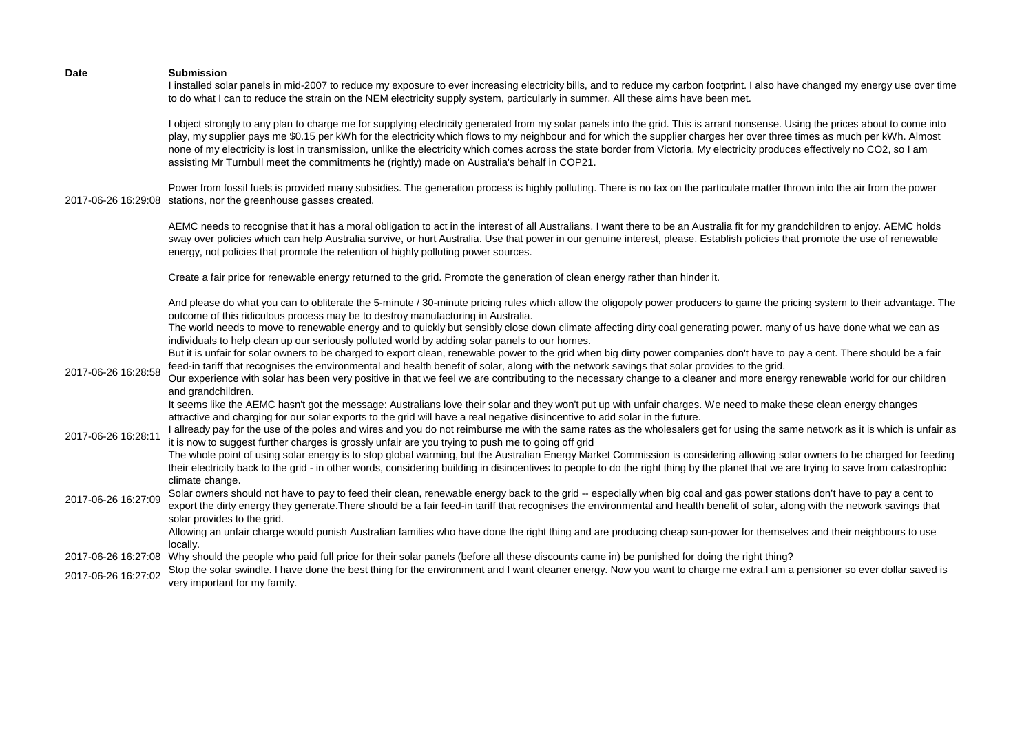|                     | I installed solar panels in mid-2007 to reduce my exposure to ever increasing electricity bills, and to reduce my carbon footprint. I also have changed my energy use over time<br>to do what I can to reduce the strain on the NEM electricity supply system, particularly in summer. All these aims have been met.                                                                                                                                                                                                                                                                                                                         |
|---------------------|----------------------------------------------------------------------------------------------------------------------------------------------------------------------------------------------------------------------------------------------------------------------------------------------------------------------------------------------------------------------------------------------------------------------------------------------------------------------------------------------------------------------------------------------------------------------------------------------------------------------------------------------|
|                     | I object strongly to any plan to charge me for supplying electricity generated from my solar panels into the grid. This is arrant nonsense. Using the prices about to come into<br>play, my supplier pays me \$0.15 per kWh for the electricity which flows to my neighbour and for which the supplier charges her over three times as much per kWh. Almost<br>none of my electricity is lost in transmission, unlike the electricity which comes across the state border from Victoria. My electricity produces effectively no CO2, so I am<br>assisting Mr Turnbull meet the commitments he (rightly) made on Australia's behalf in COP21. |
|                     | Power from fossil fuels is provided many subsidies. The generation process is highly polluting. There is no tax on the particulate matter thrown into the air from the power<br>2017-06-26 16:29:08 stations, nor the greenhouse gasses created.                                                                                                                                                                                                                                                                                                                                                                                             |
|                     | AEMC needs to recognise that it has a moral obligation to act in the interest of all Australians. I want there to be an Australia fit for my grandchildren to enjoy. AEMC holds<br>sway over policies which can help Australia survive, or hurt Australia. Use that power in our genuine interest, please. Establish policies that promote the use of renewable<br>energy, not policies that promote the retention of highly polluting power sources.                                                                                                                                                                                        |
|                     | Create a fair price for renewable energy returned to the grid. Promote the generation of clean energy rather than hinder it.                                                                                                                                                                                                                                                                                                                                                                                                                                                                                                                 |
|                     | And please do what you can to obliterate the 5-minute / 30-minute pricing rules which allow the oligopoly power producers to game the pricing system to their advantage. The<br>outcome of this ridiculous process may be to destroy manufacturing in Australia.                                                                                                                                                                                                                                                                                                                                                                             |
|                     | The world needs to move to renewable energy and to quickly but sensibly close down climate affecting dirty coal generating power. many of us have done what we can as<br>individuals to help clean up our seriously polluted world by adding solar panels to our homes.                                                                                                                                                                                                                                                                                                                                                                      |
|                     | But it is unfair for solar owners to be charged to export clean, renewable power to the grid when big dirty power companies don't have to pay a cent. There should be a fair<br>feed-in tariff that recognises the environmental and health benefit of solar, along with the network savings that solar provides to the grid.                                                                                                                                                                                                                                                                                                                |
| 2017-06-26 16:28:58 | Our experience with solar has been very positive in that we feel we are contributing to the necessary change to a cleaner and more energy renewable world for our children<br>and grandchildren.                                                                                                                                                                                                                                                                                                                                                                                                                                             |
|                     | It seems like the AEMC hasn't got the message: Australians love their solar and they won't put up with unfair charges. We need to make these clean energy changes<br>attractive and charging for our solar exports to the grid will have a real negative disincentive to add solar in the future.                                                                                                                                                                                                                                                                                                                                            |
| 2017-06-26 16:28:11 | I allready pay for the use of the poles and wires and you do not reimburse me with the same rates as the wholesalers get for using the same network as it is which is unfair as<br>it is now to suggest further charges is grossly unfair are you trying to push me to going off grid                                                                                                                                                                                                                                                                                                                                                        |
|                     | The whole point of using solar energy is to stop global warming, but the Australian Energy Market Commission is considering allowing solar owners to be charged for feeding<br>their electricity back to the grid - in other words, considering building in disincentives to people to do the right thing by the planet that we are trying to save from catastrophic<br>climate change.                                                                                                                                                                                                                                                      |
| 2017-06-26 16:27:09 | Solar owners should not have to pay to feed their clean, renewable energy back to the grid -- especially when big coal and gas power stations don't have to pay a cent to<br>export the dirty energy they generate. There should be a fair feed-in tariff that recognises the environmental and health benefit of solar, along with the network savings that                                                                                                                                                                                                                                                                                 |
|                     | solar provides to the grid.<br>Allowing an unfair charge would punish Australian families who have done the right thing and are producing cheap sun-power for themselves and their neighbours to use                                                                                                                                                                                                                                                                                                                                                                                                                                         |
|                     | locally.<br>2017-06-26 16:27:08 Why should the people who paid full price for their solar panels (before all these discounts came in) be punished for doing the right thing?                                                                                                                                                                                                                                                                                                                                                                                                                                                                 |
| 2017-06-26 16:27:02 | Stop the solar swindle. I have done the best thing for the environment and I want cleaner energy. Now you want to charge me extra.I am a pensioner so ever dollar saved is<br>very important for my family.                                                                                                                                                                                                                                                                                                                                                                                                                                  |
|                     |                                                                                                                                                                                                                                                                                                                                                                                                                                                                                                                                                                                                                                              |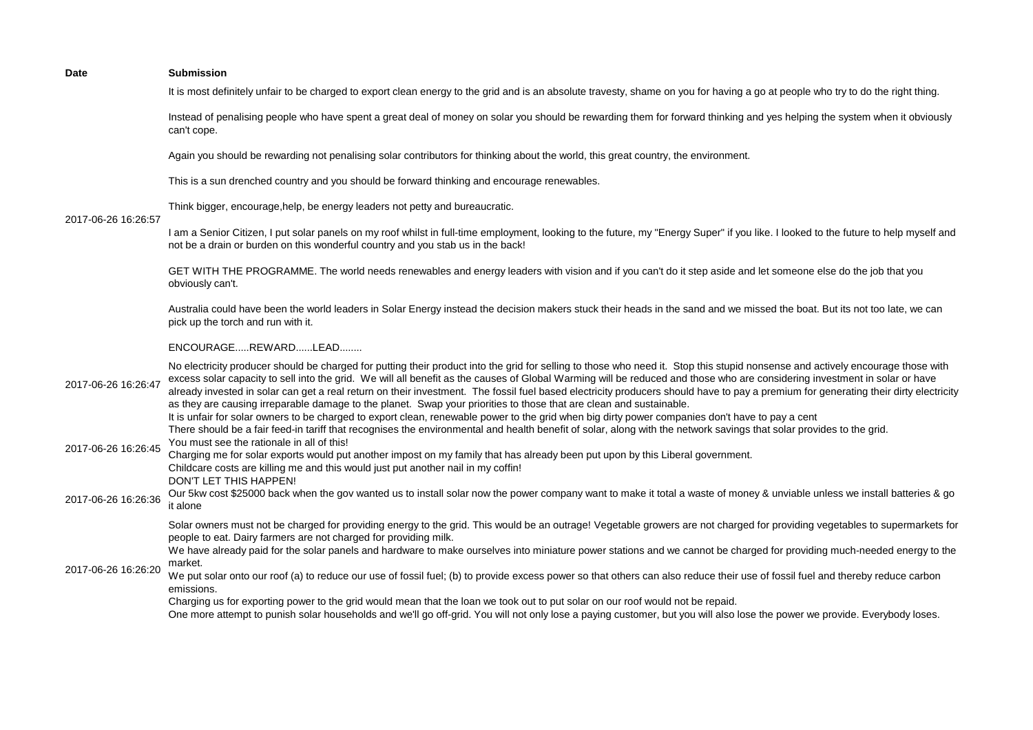| Date | <b>Submission</b> |
|------|-------------------|
|      |                   |

It is most definitely unfair to be charged to export clean energy to the grid and is an absolute travesty, shame on you for having a go at people who try to do the right thing.

Instead of penalising people who have spent a great deal of money on solar you should be rewarding them for forward thinking and yes helping the system when it obviously can't cope.

Again you should be rewarding not penalising solar contributors for thinking about the world, this great country, the environment.

This is a sun drenched country and you should be forward thinking and encourage renewables.

Think bigger, encourage,help, be energy leaders not petty and bureaucratic.

# 2017-06-26 16:26:57

I am a Senior Citizen, I put solar panels on my roof whilst in full-time employment, looking to the future, my "Energy Super" if you like. I looked to the future to help myself and not be a drain or burden on this wonderful country and you stab us in the back!

GET WITH THE PROGRAMME. The world needs renewables and energy leaders with vision and if you can't do it step aside and let someone else do the job that you obviously can't.

Australia could have been the world leaders in Solar Energy instead the decision makers stuck their heads in the sand and we missed the boat. But its not too late, we can pick up the torch and run with it.

### ENCOURAGE.....REWARD......LEAD........

2017-06-26 16:26:47 No electricity producer should be charged for putting their product into the grid for selling to those who need it. Stop this stupid nonsense and actively encourage those with excess solar capacity to sell into the grid. We will all benefit as the causes of Global Warming will be reduced and those who are considering investment in solar or have already invested in solar can get a real return on their investment. The fossil fuel based electricity producers should have to pay a premium for generating their dirty electricity as they are causing irreparable damage to the planet. Swap your priorities to those that are clean and sustainable. 2017-06-26 16:26:45 It is unfair for solar owners to be charged to export clean, renewable power to the grid when big dirty power companies don't have to pay a cent There should be a fair feed-in tariff that recognises the environmental and health benefit of solar, along with the network savings that solar provides to the grid. You must see the rationale in all of this! Charging me for solar exports would put another impost on my family that has already been put upon by this Liberal government. Childcare costs are killing me and this would just put another nail in my coffin! DON'T LET THIS HAPPEN! 2017-06-26 16:26:36 Our 5kw cost \$25000 back when the gov wanted us to install solar now the power company want to make it total a waste of money & unviable unless we install batteries & go it alone 2017-06-26 16:26:20 Solar owners must not be charged for providing energy to the grid. This would be an outrage! Vegetable growers are not charged for providing vegetables to supermarkets for people to eat. Dairy farmers are not charged for providing milk. We have already paid for the solar panels and hardware to make ourselves into miniature power stations and we cannot be charged for providing much-needed energy to the market. We put solar onto our roof (a) to reduce our use of fossil fuel; (b) to provide excess power so that others can also reduce their use of fossil fuel and thereby reduce carbon emissions. Charging us for exporting power to the grid would mean that the loan we took out to put solar on our roof would not be repaid. One more attempt to punish solar households and we'll go off-grid. You will not only lose a paying customer, but you will also lose the power we provide. Everybody loses.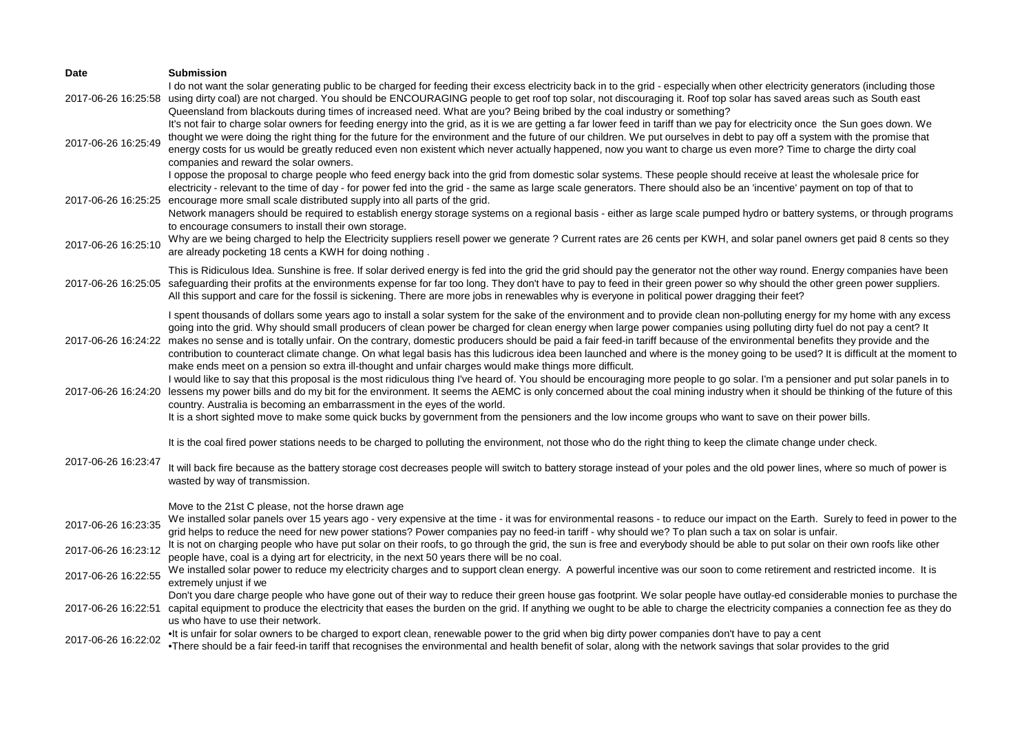| Date                | <b>Submission</b>                                                                                                                                                                                                                                                                                                                                                                                                                                                                                                                                                                                                                                                                                                                                                                                                                                 |
|---------------------|---------------------------------------------------------------------------------------------------------------------------------------------------------------------------------------------------------------------------------------------------------------------------------------------------------------------------------------------------------------------------------------------------------------------------------------------------------------------------------------------------------------------------------------------------------------------------------------------------------------------------------------------------------------------------------------------------------------------------------------------------------------------------------------------------------------------------------------------------|
|                     | I do not want the solar generating public to be charged for feeding their excess electricity back in to the grid - especially when other electricity generators (including those<br>2017-06-26 16:25:58 using dirty coal) are not charged. You should be ENCOURAGING people to get roof top solar, not discouraging it. Roof top solar has saved areas such as South east                                                                                                                                                                                                                                                                                                                                                                                                                                                                         |
| 2017-06-26 16:25:49 | Queensland from blackouts during times of increased need. What are you? Being bribed by the coal industry or something?<br>It's not fair to charge solar owners for feeding energy into the grid, as it is we are getting a far lower feed in tariff than we pay for electricity once the Sun goes down. We<br>thought we were doing the right thing for the future for the environment and the future of our children. We put ourselves in debt to pay off a system with the promise that<br>energy costs for us would be greatly reduced even non existent which never actually happened, now you want to charge us even more? Time to charge the dirty coal<br>companies and reward the solar owners.                                                                                                                                          |
|                     | I oppose the proposal to charge people who feed energy back into the grid from domestic solar systems. These people should receive at least the wholesale price for<br>electricity - relevant to the time of day - for power fed into the grid - the same as large scale generators. There should also be an 'incentive' payment on top of that to<br>2017-06-26 16:25:25 encourage more small scale distributed supply into all parts of the grid.<br>Network managers should be required to establish energy storage systems on a regional basis - either as large scale pumped hydro or battery systems, or through programs<br>to encourage consumers to install their own storage.                                                                                                                                                           |
| 2017-06-26 16:25:10 | Why are we being charged to help the Electricity suppliers resell power we generate? Current rates are 26 cents per KWH, and solar panel owners get paid 8 cents so they<br>are already pocketing 18 cents a KWH for doing nothing.                                                                                                                                                                                                                                                                                                                                                                                                                                                                                                                                                                                                               |
| 2017-06-26 16:25:05 | This is Ridiculous Idea. Sunshine is free. If solar derived energy is fed into the grid the grid should pay the generator not the other way round. Energy companies have been<br>safeguarding their profits at the environments expense for far too long. They don't have to pay to feed in their green power so why should the other green power suppliers.<br>All this support and care for the fossil is sickening. There are more jobs in renewables why is everyone in political power dragging their feet?                                                                                                                                                                                                                                                                                                                                  |
|                     | I spent thousands of dollars some years ago to install a solar system for the sake of the environment and to provide clean non-polluting energy for my home with any excess<br>going into the grid. Why should small producers of clean power be charged for clean energy when large power companies using polluting dirty fuel do not pay a cent? It<br>2017-06-26 16:24:22 makes no sense and is totally unfair. On the contrary, domestic producers should be paid a fair feed-in tariff because of the environmental benefits they provide and the<br>contribution to counteract climate change. On what legal basis has this ludicrous idea been launched and where is the money going to be used? It is difficult at the moment to<br>make ends meet on a pension so extra ill-thought and unfair charges would make things more difficult. |
| 2017-06-26 16:24:20 | I would like to say that this proposal is the most ridiculous thing I've heard of. You should be encouraging more people to go solar. I'm a pensioner and put solar panels in to<br>lessens my power bills and do my bit for the environment. It seems the AEMC is only concerned about the coal mining industry when it should be thinking of the future of this<br>country. Australia is becoming an embarrassment in the eyes of the world.<br>It is a short sighted move to make some quick bucks by government from the pensioners and the low income groups who want to save on their power bills.                                                                                                                                                                                                                                          |
|                     | It is the coal fired power stations needs to be charged to polluting the environment, not those who do the right thing to keep the climate change under check.                                                                                                                                                                                                                                                                                                                                                                                                                                                                                                                                                                                                                                                                                    |
| 2017-06-26 16:23:47 | It will back fire because as the battery storage cost decreases people will switch to battery storage instead of your poles and the old power lines, where so much of power is<br>wasted by way of transmission.                                                                                                                                                                                                                                                                                                                                                                                                                                                                                                                                                                                                                                  |
|                     | Move to the 21st C please, not the horse drawn age                                                                                                                                                                                                                                                                                                                                                                                                                                                                                                                                                                                                                                                                                                                                                                                                |
| 2017-06-26 16:23:35 | We installed solar panels over 15 years ago - very expensive at the time - it was for environmental reasons - to reduce our impact on the Earth. Surely to feed in power to the<br>grid helps to reduce the need for new power stations? Power companies pay no feed-in tariff - why should we? To plan such a tax on solar is unfair.                                                                                                                                                                                                                                                                                                                                                                                                                                                                                                            |
| 2017-06-26 16:23:12 | It is not on charging people who have put solar on their roofs, to go through the grid, the sun is free and everybody should be able to put solar on their own roofs like other<br>people have, coal is a dying art for electricity, in the next 50 years there will be no coal.                                                                                                                                                                                                                                                                                                                                                                                                                                                                                                                                                                  |
| 2017-06-26 16:22:55 | We installed solar power to reduce my electricity charges and to support clean energy. A powerful incentive was our soon to come retirement and restricted income. It is<br>extremely unjust if we                                                                                                                                                                                                                                                                                                                                                                                                                                                                                                                                                                                                                                                |
| 2017-06-26 16:22:51 | Don't you dare charge people who have gone out of their way to reduce their green house gas footprint. We solar people have outlay-ed considerable monies to purchase the<br>capital equipment to produce the electricity that eases the burden on the grid. If anything we ought to be able to charge the electricity companies a connection fee as they do<br>us who have to use their network.                                                                                                                                                                                                                                                                                                                                                                                                                                                 |
| 2017-06-26 16:22:02 | It is unfair for solar owners to be charged to export clean, renewable power to the grid when big dirty power companies don't have to pay a cent<br>•There should be a fair feed-in tariff that recognises the environmental and health benefit of solar, along with the network savings that solar provides to the grid                                                                                                                                                                                                                                                                                                                                                                                                                                                                                                                          |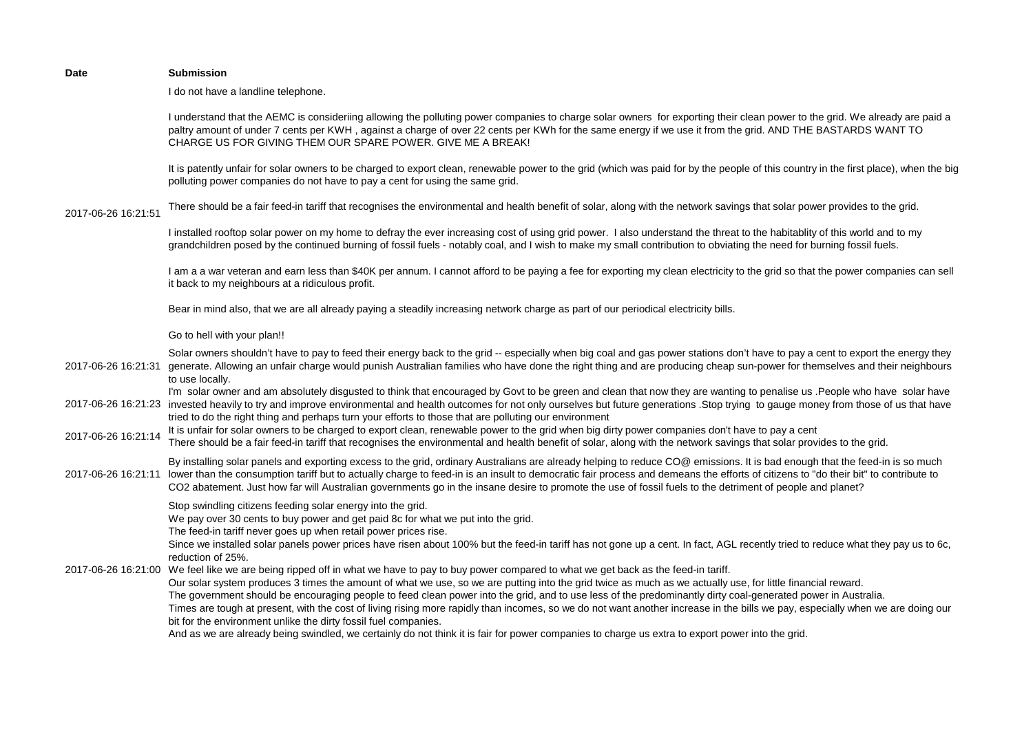I do not have a landline telephone.

I understand that the AEMC is consideriing allowing the polluting power companies to charge solar owners for exporting their clean power to the grid. We already are paid a paltry amount of under 7 cents per KWH, against a charge of over 22 cents per KWh for the same energy if we use it from the grid. AND THE BASTARDS WANT TO CHARGE US FOR GIVING THEM OUR SPARE POWER. GIVE ME A BREAK!

It is patently unfair for solar owners to be charged to export clean, renewable power to the grid (which was paid for by the people of this country in the first place), when the big polluting power companies do not have to pay a cent for using the same grid.

2017-06-26 16:21:51 There should be a fair feed-in tariff that recognises the environmental and health benefit of solar, along with the network savings that solar power provides to the grid.

> I installed rooftop solar power on my home to defray the ever increasing cost of using grid power. I also understand the threat to the habitablity of this world and to my grandchildren posed by the continued burning of fossil fuels - notably coal, and I wish to make my small contribution to obviating the need for burning fossil fuels.

I am a a war veteran and earn less than \$40K per annum. I cannot afford to be paying a fee for exporting my clean electricity to the grid so that the power companies can sell it back to my neighbours at a ridiculous profit.

Bear in mind also, that we are all already paying a steadily increasing network charge as part of our periodical electricity bills.

### Go to hell with your plan!!

2017-06-26 16:21:31 generate. Allowing an unfair charge would punish Australian families who have done the right thing and are producing cheap sun-power for themselves and their neighbours Solar owners shouldn't have to pay to feed their energy back to the grid -- especially when big coal and gas power stations don't have to pay a cent to export the energy they to use locally.

2017-06-26 16:21:23 invested heavily to try and improve environmental and health outcomes for not only ourselves but future generations .Stop trying to gauge money from those of us that have I'm solar owner and am absolutely disgusted to think that encouraged by Govt to be green and clean that now they are wanting to penalise us .People who have solar have tried to do the right thing and perhaps turn your efforts to those that are polluting our environment

# 2017-06-26 16:21:14 It is unfair for solar owners to be charged to export clean, renewable power to the grid when big dirty power companies don't have to pay a cent There should be a fair feed-in tariff that recognises the environmental and health benefit of solar, along with the network savings that solar provides to the grid.

By installing solar panels and exporting excess to the grid, ordinary Australians are already helping to reduce CO@ emissions. It is bad enough that the feed-in is so much

2017-06-26 16:21:11 lower than the consumption tariff but to actually charge to feed-in is an insult to democratic fair process and demeans the efforts of citizens to "do their bit" to contribute to CO2 abatement. Just how far will Australian governments go in the insane desire to promote the use of fossil fuels to the detriment of people and planet?

Stop swindling citizens feeding solar energy into the grid.

We pay over 30 cents to buy power and get paid 8c for what we put into the grid.

The feed-in tariff never goes up when retail power prices rise.

Since we installed solar panels power prices have risen about 100% but the feed-in tariff has not gone up a cent. In fact, AGL recently tried to reduce what they pay us to 6c, reduction of 25%.

2017-06-26 16:21:00 We feel like we are being ripped off in what we have to pay to buy power compared to what we get back as the feed-in tariff.

Our solar system produces 3 times the amount of what we use, so we are putting into the grid twice as much as we actually use, for little financial reward.

The government should be encouraging people to feed clean power into the grid, and to use less of the predominantly dirty coal-generated power in Australia. Times are tough at present, with the cost of living rising more rapidly than incomes, so we do not want another increase in the bills we pay, especially when we are doing our bit for the environment unlike the dirty fossil fuel companies.

And as we are already being swindled, we certainly do not think it is fair for power companies to charge us extra to export power into the grid.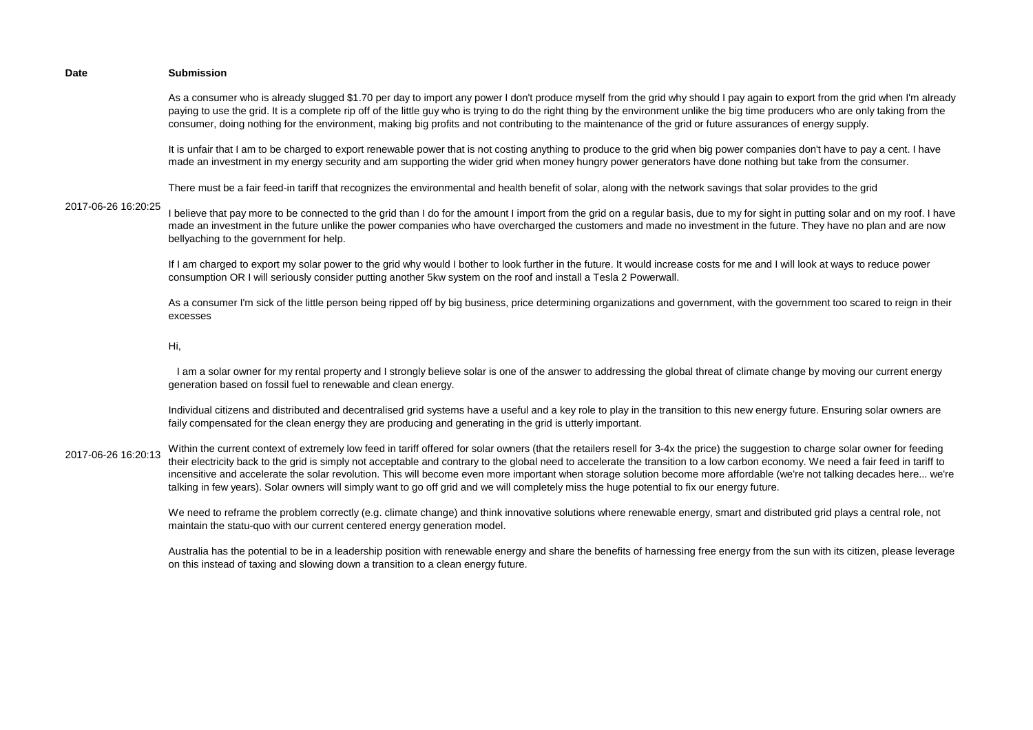As a consumer who is already slugged \$1.70 per day to import any power I don't produce myself from the grid why should I pay again to export from the grid when I'm already paying to use the grid. It is a complete rip off of the little guy who is trying to do the right thing by the environment unlike the big time producers who are only taking from the consumer, doing nothing for the environment, making big profits and not contributing to the maintenance of the grid or future assurances of energy supply.

It is unfair that I am to be charged to export renewable power that is not costing anything to produce to the grid when big power companies don't have to pay a cent. I have made an investment in my energy security and am supporting the wider grid when money hungry power generators have done nothing but take from the consumer.

There must be a fair feed-in tariff that recognizes the environmental and health benefit of solar, along with the network savings that solar provides to the grid

#### 2017-06-26 16:20:25 I believe that pay more to be connected to the grid than I do for the amount I import from the grid on a regular basis, due to my for sight in putting solar and on my roof. I have made an investment in the future unlike the power companies who have overcharged the customers and made no investment in the future. They have no plan and are now bellyaching to the government for help.

If I am charged to export my solar power to the grid why would I bother to look further in the future. It would increase costs for me and I will look at ways to reduce power consumption OR I will seriously consider putting another 5kw system on the roof and install a Tesla 2 Powerwall.

As a consumer I'm sick of the little person being ripped off by big business, price determining organizations and government, with the government too scared to reign in their excesses

#### Hi,

I am a solar owner for my rental property and I strongly believe solar is one of the answer to addressing the global threat of climate change by moving our current energy generation based on fossil fuel to renewable and clean energy.

Individual citizens and distributed and decentralised grid systems have a useful and a key role to play in the transition to this new energy future. Ensuring solar owners are faily compensated for the clean energy they are producing and generating in the grid is utterly important.

2017-06-26 16:20:13 Within the current context of extremely low feed in tariff offered for solar owners (that the retailers resell for 3-4x the price) the suggestion to charge solar owner for feeding their electricity back to the grid is simply not acceptable and contrary to the global need to accelerate the transition to a low carbon economy. We need a fair feed in tariff to incensitive and accelerate the solar revolution. This will become even more important when storage solution become more affordable (we're not talking decades here... we're talking in few years). Solar owners will simply want to go off grid and we will completely miss the huge potential to fix our energy future.

> We need to reframe the problem correctly (e.g. climate change) and think innovative solutions where renewable energy, smart and distributed grid plays a central role, not maintain the statu-quo with our current centered energy generation model.

Australia has the potential to be in a leadership position with renewable energy and share the benefits of harnessing free energy from the sun with its citizen, please leverage on this instead of taxing and slowing down a transition to a clean energy future.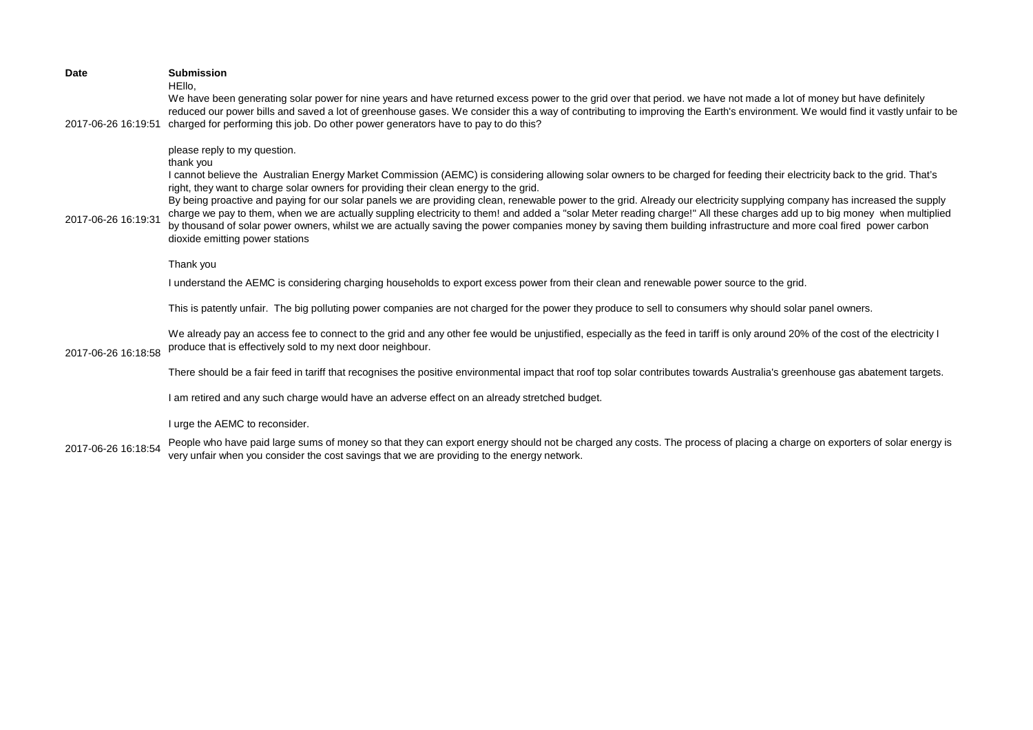| <b>Date</b>         | <b>Submission</b><br>HEllo.<br>We have been generating solar power for nine years and have returned excess power to the grid over that period. we have not made a lot of money but have definitely                                                                                                                                                                                                                                                                                                                                                                                                                                                                                                                                                                                                                                                                                  |
|---------------------|-------------------------------------------------------------------------------------------------------------------------------------------------------------------------------------------------------------------------------------------------------------------------------------------------------------------------------------------------------------------------------------------------------------------------------------------------------------------------------------------------------------------------------------------------------------------------------------------------------------------------------------------------------------------------------------------------------------------------------------------------------------------------------------------------------------------------------------------------------------------------------------|
| 2017-06-26 16:19:51 | reduced our power bills and saved a lot of greenhouse gases. We consider this a way of contributing to improving the Earth's environment. We would find it vastly unfair to be<br>charged for performing this job. Do other power generators have to pay to do this?                                                                                                                                                                                                                                                                                                                                                                                                                                                                                                                                                                                                                |
| 2017-06-26 16:19:31 | please reply to my question.<br>thank you<br>I cannot believe the Australian Energy Market Commission (AEMC) is considering allowing solar owners to be charged for feeding their electricity back to the grid. That's<br>right, they want to charge solar owners for providing their clean energy to the grid.<br>By being proactive and paying for our solar panels we are providing clean, renewable power to the grid. Already our electricity supplying company has increased the supply<br>charge we pay to them, when we are actually suppling electricity to them! and added a "solar Meter reading charge!" All these charges add up to big money when multiplied<br>by thousand of solar power owners, whilst we are actually saving the power companies money by saving them building infrastructure and more coal fired power carbon<br>dioxide emitting power stations |
|                     | Thank you                                                                                                                                                                                                                                                                                                                                                                                                                                                                                                                                                                                                                                                                                                                                                                                                                                                                           |
|                     | I understand the AEMC is considering charging households to export excess power from their clean and renewable power source to the grid.                                                                                                                                                                                                                                                                                                                                                                                                                                                                                                                                                                                                                                                                                                                                            |
|                     | This is patently unfair. The big polluting power companies are not charged for the power they produce to sell to consumers why should solar panel owners.                                                                                                                                                                                                                                                                                                                                                                                                                                                                                                                                                                                                                                                                                                                           |
| 2017-06-26 16:18:58 | We already pay an access fee to connect to the grid and any other fee would be unjustified, especially as the feed in tariff is only around 20% of the cost of the electricity I<br>produce that is effectively sold to my next door neighbour.                                                                                                                                                                                                                                                                                                                                                                                                                                                                                                                                                                                                                                     |
|                     | There should be a fair feed in tariff that recognises the positive environmental impact that roof top solar contributes towards Australia's greenhouse gas abatement targets.                                                                                                                                                                                                                                                                                                                                                                                                                                                                                                                                                                                                                                                                                                       |
|                     | I am retired and any such charge would have an adverse effect on an already stretched budget.                                                                                                                                                                                                                                                                                                                                                                                                                                                                                                                                                                                                                                                                                                                                                                                       |
|                     | I urge the AEMC to reconsider.                                                                                                                                                                                                                                                                                                                                                                                                                                                                                                                                                                                                                                                                                                                                                                                                                                                      |
| 2017-06-26 16:18:54 | People who have paid large sums of money so that they can export energy should not be charged any costs. The process of placing a charge on exporters of solar energy is<br>very unfair when you consider the cost savings that we are providing to the energy network.                                                                                                                                                                                                                                                                                                                                                                                                                                                                                                                                                                                                             |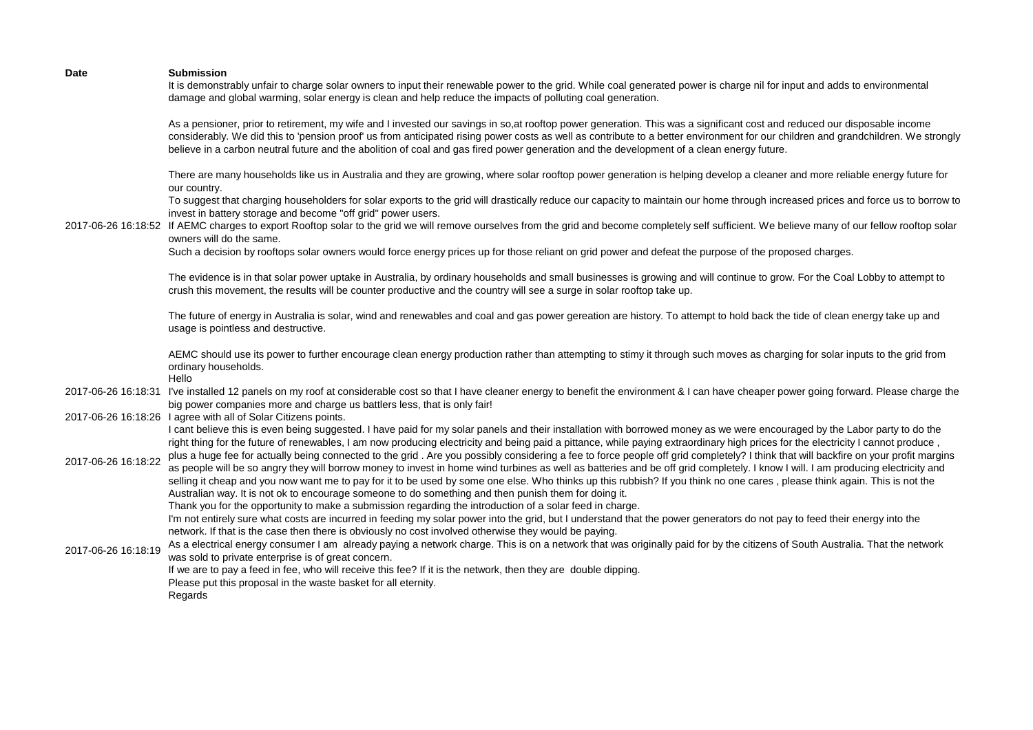| <b>Date</b>         | <b>Submission</b><br>It is demonstrably unfair to charge solar owners to input their renewable power to the grid. While coal generated power is charge nil for input and adds to environmental<br>damage and global warming, solar energy is clean and help reduce the impacts of polluting coal generation.                                                                                                                                                                                                                                                                                                                                                                                                                                                                                                                                                                                                                                                                                                                                                                                                                                |
|---------------------|---------------------------------------------------------------------------------------------------------------------------------------------------------------------------------------------------------------------------------------------------------------------------------------------------------------------------------------------------------------------------------------------------------------------------------------------------------------------------------------------------------------------------------------------------------------------------------------------------------------------------------------------------------------------------------------------------------------------------------------------------------------------------------------------------------------------------------------------------------------------------------------------------------------------------------------------------------------------------------------------------------------------------------------------------------------------------------------------------------------------------------------------|
|                     | As a pensioner, prior to retirement, my wife and I invested our savings in so, at rooftop power generation. This was a significant cost and reduced our disposable income<br>considerably. We did this to 'pension proof' us from anticipated rising power costs as well as contribute to a better environment for our children and grandchildren. We strongly<br>believe in a carbon neutral future and the abolition of coal and gas fired power generation and the development of a clean energy future.                                                                                                                                                                                                                                                                                                                                                                                                                                                                                                                                                                                                                                 |
|                     | There are many households like us in Australia and they are growing, where solar rooftop power generation is helping develop a cleaner and more reliable energy future for<br>our country.<br>To suggest that charging householders for solar exports to the grid will drastically reduce our capacity to maintain our home through increased prices and force us to borrow to                                                                                                                                                                                                                                                                                                                                                                                                                                                                                                                                                                                                                                                                                                                                                              |
|                     | invest in battery storage and become "off grid" power users.<br>2017-06-26 16:18:52 If AEMC charges to export Rooftop solar to the grid we will remove ourselves from the grid and become completely self sufficient. We believe many of our fellow rooftop solar<br>owners will do the same.                                                                                                                                                                                                                                                                                                                                                                                                                                                                                                                                                                                                                                                                                                                                                                                                                                               |
|                     | Such a decision by rooftops solar owners would force energy prices up for those reliant on grid power and defeat the purpose of the proposed charges.                                                                                                                                                                                                                                                                                                                                                                                                                                                                                                                                                                                                                                                                                                                                                                                                                                                                                                                                                                                       |
|                     | The evidence is in that solar power uptake in Australia, by ordinary households and small businesses is growing and will continue to grow. For the Coal Lobby to attempt to<br>crush this movement, the results will be counter productive and the country will see a surge in solar rooftop take up.                                                                                                                                                                                                                                                                                                                                                                                                                                                                                                                                                                                                                                                                                                                                                                                                                                       |
|                     | The future of energy in Australia is solar, wind and renewables and coal and gas power gereation are history. To attempt to hold back the tide of clean energy take up and<br>usage is pointless and destructive.                                                                                                                                                                                                                                                                                                                                                                                                                                                                                                                                                                                                                                                                                                                                                                                                                                                                                                                           |
|                     | AEMC should use its power to further encourage clean energy production rather than attempting to stimy it through such moves as charging for solar inputs to the grid from<br>ordinary households.<br>Hello                                                                                                                                                                                                                                                                                                                                                                                                                                                                                                                                                                                                                                                                                                                                                                                                                                                                                                                                 |
|                     | 2017-06-26 16:18:31 I've installed 12 panels on my roof at considerable cost so that I have cleaner energy to benefit the environment & I can have cheaper power going forward. Please charge the<br>big power companies more and charge us battlers less, that is only fair!                                                                                                                                                                                                                                                                                                                                                                                                                                                                                                                                                                                                                                                                                                                                                                                                                                                               |
|                     | 2017-06-26 16:18:26 I agree with all of Solar Citizens points.                                                                                                                                                                                                                                                                                                                                                                                                                                                                                                                                                                                                                                                                                                                                                                                                                                                                                                                                                                                                                                                                              |
| 2017-06-26 16:18:22 | I cant believe this is even being suggested. I have paid for my solar panels and their installation with borrowed money as we were encouraged by the Labor party to do the<br>right thing for the future of renewables, I am now producing electricity and being paid a pittance, while paying extraordinary high prices for the electricity I cannot produce,<br>plus a huge fee for actually being connected to the grid. Are you possibly considering a fee to force people off grid completely? I think that will backfire on your profit margins<br>as people will be so angry they will borrow money to invest in home wind turbines as well as batteries and be off grid completely. I know I will. I am producing electricity and<br>selling it cheap and you now want me to pay for it to be used by some one else. Who thinks up this rubbish? If you think no one cares, please think again. This is not the<br>Australian way. It is not ok to encourage someone to do something and then punish them for doing it.<br>Thank you for the opportunity to make a submission regarding the introduction of a solar feed in charge. |
| 2017-06-26 16:18:19 | I'm not entirely sure what costs are incurred in feeding my solar power into the grid, but I understand that the power generators do not pay to feed their energy into the<br>network. If that is the case then there is obviously no cost involved otherwise they would be paying.<br>As a electrical energy consumer I am already paying a network charge. This is on a network that was originally paid for by the citizens of South Australia. That the network<br>was sold to private enterprise is of great concern.<br>If we are to pay a feed in fee, who will receive this fee? If it is the network, then they are double dipping.<br>Please put this proposal in the waste basket for all eternity.<br>Regards                                                                                                                                                                                                                                                                                                                                                                                                                   |
|                     |                                                                                                                                                                                                                                                                                                                                                                                                                                                                                                                                                                                                                                                                                                                                                                                                                                                                                                                                                                                                                                                                                                                                             |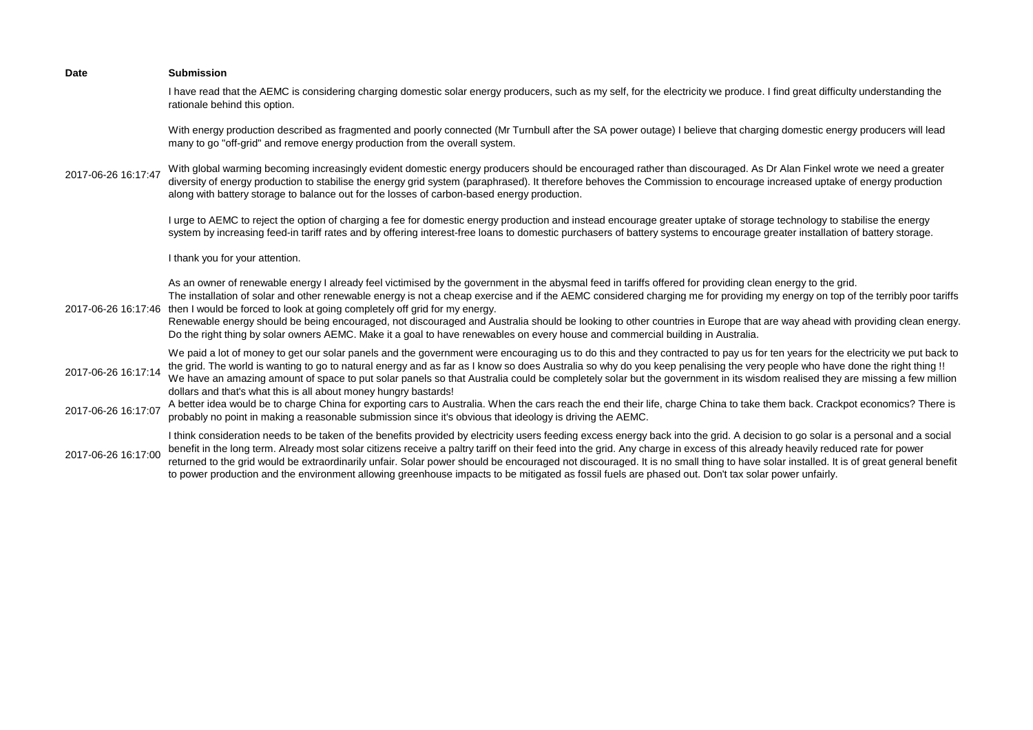| <b>Date</b>         | <b>Submission</b>                                                                                                                                                                                                                                                                                                                                                                                                                                                                                                                                                                                                                                                                                                                           |
|---------------------|---------------------------------------------------------------------------------------------------------------------------------------------------------------------------------------------------------------------------------------------------------------------------------------------------------------------------------------------------------------------------------------------------------------------------------------------------------------------------------------------------------------------------------------------------------------------------------------------------------------------------------------------------------------------------------------------------------------------------------------------|
|                     | I have read that the AEMC is considering charging domestic solar energy producers, such as my self, for the electricity we produce. I find great difficulty understanding the<br>rationale behind this option.                                                                                                                                                                                                                                                                                                                                                                                                                                                                                                                              |
|                     | With energy production described as fragmented and poorly connected (Mr Turnbull after the SA power outage) I believe that charging domestic energy producers will lead<br>many to go "off-grid" and remove energy production from the overall system.                                                                                                                                                                                                                                                                                                                                                                                                                                                                                      |
| 2017-06-26 16:17:47 | With global warming becoming increasingly evident domestic energy producers should be encouraged rather than discouraged. As Dr Alan Finkel wrote we need a greater<br>diversity of energy production to stabilise the energy grid system (paraphrased). It therefore behoves the Commission to encourage increased uptake of energy production<br>along with battery storage to balance out for the losses of carbon-based energy production.                                                                                                                                                                                                                                                                                              |
|                     | I urge to AEMC to reject the option of charging a fee for domestic energy production and instead encourage greater uptake of storage technology to stabilise the energy<br>system by increasing feed-in tariff rates and by offering interest-free loans to domestic purchasers of battery systems to encourage greater installation of battery storage.                                                                                                                                                                                                                                                                                                                                                                                    |
|                     | I thank you for your attention.                                                                                                                                                                                                                                                                                                                                                                                                                                                                                                                                                                                                                                                                                                             |
| 2017-06-26 16:17:46 | As an owner of renewable energy I already feel victimised by the government in the abysmal feed in tariffs offered for providing clean energy to the grid.<br>The installation of solar and other renewable energy is not a cheap exercise and if the AEMC considered charging me for providing my energy on top of the terribly poor tariffs<br>then I would be forced to look at going completely off grid for my energy.<br>Renewable energy should be being encouraged, not discouraged and Australia should be looking to other countries in Europe that are way ahead with providing clean energy.<br>Do the right thing by solar owners AEMC. Make it a goal to have renewables on every house and commercial building in Australia. |
| 2017-06-26 16:17:14 | We paid a lot of money to get our solar panels and the government were encouraging us to do this and they contracted to pay us for ten years for the electricity we put back to<br>the grid. The world is wanting to go to natural energy and as far as I know so does Australia so why do you keep penalising the very people who have done the right thing !!<br>We have an amazing amount of space to put solar panels so that Australia could be completely solar but the government in its wisdom realised they are missing a few million<br>dollars and that's what this is all about money hungry bastards!                                                                                                                          |
| 2017-06-26 16:17:07 | A better idea would be to charge China for exporting cars to Australia. When the cars reach the end their life, charge China to take them back. Crackpot economics? There is<br>probably no point in making a reasonable submission since it's obvious that ideology is driving the AEMC.                                                                                                                                                                                                                                                                                                                                                                                                                                                   |
| 2017-06-26 16:17:00 | I think consideration needs to be taken of the benefits provided by electricity users feeding excess energy back into the grid. A decision to go solar is a personal and a social<br>benefit in the long term. Already most solar citizens receive a paltry tariff on their feed into the grid. Any charge in excess of this already heavily reduced rate for power<br>returned to the grid would be extraordinarily unfair. Solar power should be encouraged not discouraged. It is no small thing to have solar installed. It is of great general benefit<br>to power production and the environment allowing greenhouse impacts to be mitigated as fossil fuels are phased out. Don't tax solar power unfairly.                          |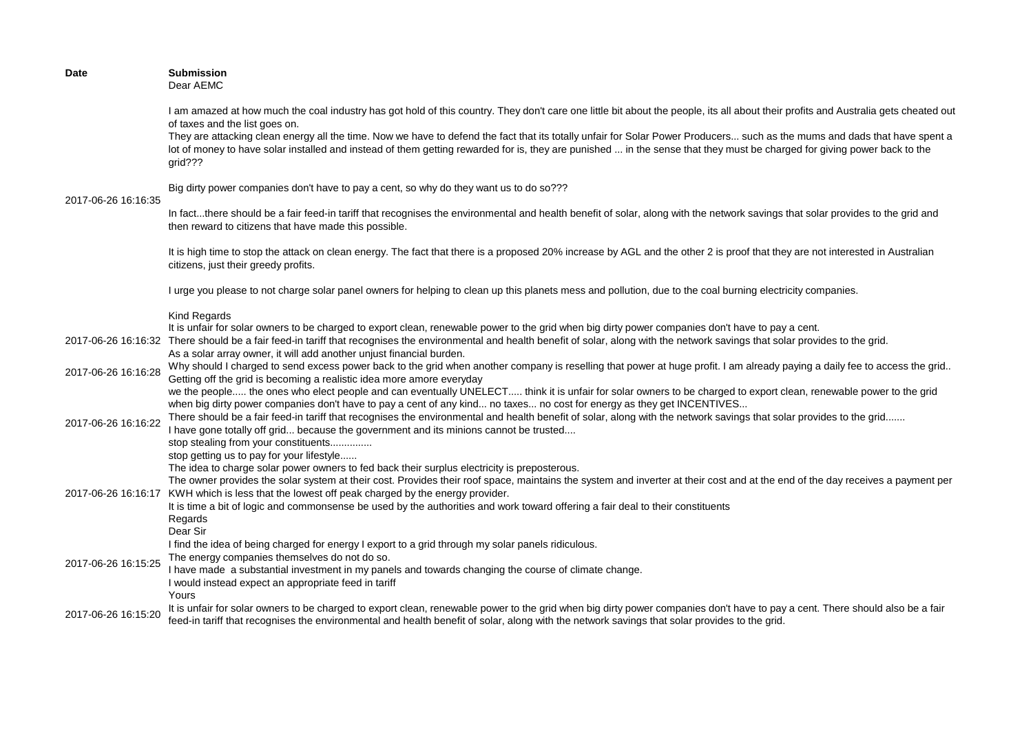| <b>Date</b>         | <b>Submission</b><br>Dear AEMC                                                                                                                                                                                                                                                                                                                                                                                                                                                                                                                                                                                                                   |
|---------------------|--------------------------------------------------------------------------------------------------------------------------------------------------------------------------------------------------------------------------------------------------------------------------------------------------------------------------------------------------------------------------------------------------------------------------------------------------------------------------------------------------------------------------------------------------------------------------------------------------------------------------------------------------|
|                     | I am amazed at how much the coal industry has got hold of this country. They don't care one little bit about the people, its all about their profits and Australia gets cheated out<br>of taxes and the list goes on.<br>They are attacking clean energy all the time. Now we have to defend the fact that its totally unfair for Solar Power Producers such as the mums and dads that have spent a<br>lot of money to have solar installed and instead of them getting rewarded for is, they are punished  in the sense that they must be charged for giving power back to the<br>grid???                                                       |
| 2017-06-26 16:16:35 | Big dirty power companies don't have to pay a cent, so why do they want us to do so???                                                                                                                                                                                                                                                                                                                                                                                                                                                                                                                                                           |
|                     | In factthere should be a fair feed-in tariff that recognises the environmental and health benefit of solar, along with the network savings that solar provides to the grid and<br>then reward to citizens that have made this possible.                                                                                                                                                                                                                                                                                                                                                                                                          |
|                     | It is high time to stop the attack on clean energy. The fact that there is a proposed 20% increase by AGL and the other 2 is proof that they are not interested in Australian<br>citizens, just their greedy profits.                                                                                                                                                                                                                                                                                                                                                                                                                            |
|                     | I urge you please to not charge solar panel owners for helping to clean up this planets mess and pollution, due to the coal burning electricity companies.                                                                                                                                                                                                                                                                                                                                                                                                                                                                                       |
|                     | <b>Kind Regards</b><br>It is unfair for solar owners to be charged to export clean, renewable power to the grid when big dirty power companies don't have to pay a cent.<br>2017-06-26 16:16:32 There should be a fair feed-in tariff that recognises the environmental and health benefit of solar, along with the network savings that solar provides to the grid.                                                                                                                                                                                                                                                                             |
| 2017-06-26 16:16:28 | As a solar array owner, it will add another unjust financial burden.<br>Why should I charged to send excess power back to the grid when another company is reselling that power at huge profit. I am already paying a daily fee to access the grid<br>Getting off the grid is becoming a realistic idea more amore everyday                                                                                                                                                                                                                                                                                                                      |
| 2017-06-26 16:16:22 | we the people the ones who elect people and can eventually UNELECT think it is unfair for solar owners to be charged to export clean, renewable power to the grid<br>when big dirty power companies don't have to pay a cent of any kind no taxes no cost for energy as they get INCENTIVES<br>There should be a fair feed-in tariff that recognises the environmental and health benefit of solar, along with the network savings that solar provides to the grid<br>I have gone totally off grid because the government and its minions cannot be trusted<br>stop stealing from your constituents<br>stop getting us to pay for your lifestyle |
| 2017-06-26 16:16:17 | The idea to charge solar power owners to fed back their surplus electricity is preposterous.<br>The owner provides the solar system at their cost. Provides their roof space, maintains the system and inverter at their cost and at the end of the day receives a payment per<br>KWH which is less that the lowest off peak charged by the energy provider.<br>It is time a bit of logic and commonsense be used by the authorities and work toward offering a fair deal to their constituents<br>Regards<br>Dear Sir                                                                                                                           |
| 2017-06-26 16:15:25 | I find the idea of being charged for energy I export to a grid through my solar panels ridiculous.<br>The energy companies themselves do not do so.<br>I have made a substantial investment in my panels and towards changing the course of climate change.<br>I would instead expect an appropriate feed in tariff<br>Yours                                                                                                                                                                                                                                                                                                                     |
| 2017-06-26 16:15:20 | It is unfair for solar owners to be charged to export clean, renewable power to the grid when big dirty power companies don't have to pay a cent. There should also be a fair<br>feed-in tariff that recognises the environmental and health benefit of solar, along with the network savings that solar provides to the grid.                                                                                                                                                                                                                                                                                                                   |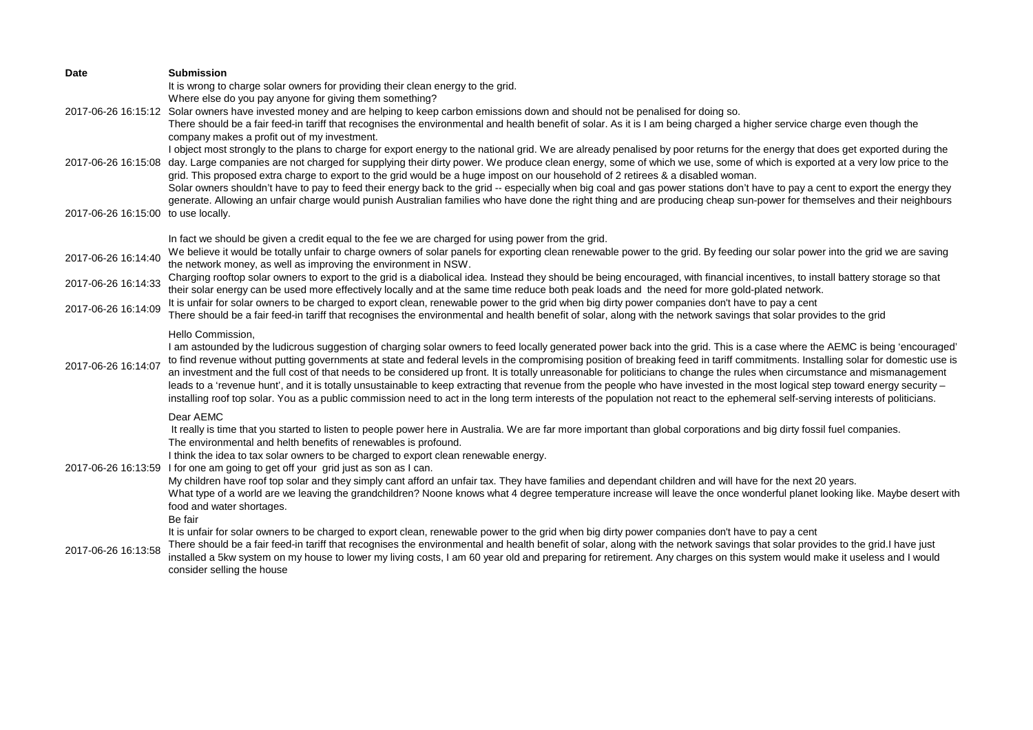| <b>Date</b>                         | <b>Submission</b>                                                                                                                                                                                                                                                                                                                                                                                                                                                                                                                                                                                                                                                                                                                                                                                                                                                                                                                          |
|-------------------------------------|--------------------------------------------------------------------------------------------------------------------------------------------------------------------------------------------------------------------------------------------------------------------------------------------------------------------------------------------------------------------------------------------------------------------------------------------------------------------------------------------------------------------------------------------------------------------------------------------------------------------------------------------------------------------------------------------------------------------------------------------------------------------------------------------------------------------------------------------------------------------------------------------------------------------------------------------|
|                                     | It is wrong to charge solar owners for providing their clean energy to the grid.                                                                                                                                                                                                                                                                                                                                                                                                                                                                                                                                                                                                                                                                                                                                                                                                                                                           |
|                                     | Where else do you pay anyone for giving them something?                                                                                                                                                                                                                                                                                                                                                                                                                                                                                                                                                                                                                                                                                                                                                                                                                                                                                    |
|                                     | 2017-06-26 16:15:12 Solar owners have invested money and are helping to keep carbon emissions down and should not be penalised for doing so.                                                                                                                                                                                                                                                                                                                                                                                                                                                                                                                                                                                                                                                                                                                                                                                               |
|                                     | There should be a fair feed-in tariff that recognises the environmental and health benefit of solar. As it is I am being charged a higher service charge even though the<br>company makes a profit out of my investment.                                                                                                                                                                                                                                                                                                                                                                                                                                                                                                                                                                                                                                                                                                                   |
|                                     | I object most strongly to the plans to charge for export energy to the national grid. We are already penalised by poor returns for the energy that does get exported during the                                                                                                                                                                                                                                                                                                                                                                                                                                                                                                                                                                                                                                                                                                                                                            |
| 2017-06-26 16:15:08                 | day. Large companies are not charged for supplying their dirty power. We produce clean energy, some of which we use, some of which is exported at a very low price to the<br>grid. This proposed extra charge to export to the grid would be a huge impost on our household of 2 retirees & a disabled woman.                                                                                                                                                                                                                                                                                                                                                                                                                                                                                                                                                                                                                              |
|                                     | Solar owners shouldn't have to pay to feed their energy back to the grid -- especially when big coal and gas power stations don't have to pay a cent to export the energy they                                                                                                                                                                                                                                                                                                                                                                                                                                                                                                                                                                                                                                                                                                                                                             |
|                                     | generate. Allowing an unfair charge would punish Australian families who have done the right thing and are producing cheap sun-power for themselves and their neighbours                                                                                                                                                                                                                                                                                                                                                                                                                                                                                                                                                                                                                                                                                                                                                                   |
| 2017-06-26 16:15:00 to use locally. |                                                                                                                                                                                                                                                                                                                                                                                                                                                                                                                                                                                                                                                                                                                                                                                                                                                                                                                                            |
|                                     | In fact we should be given a credit equal to the fee we are charged for using power from the grid.                                                                                                                                                                                                                                                                                                                                                                                                                                                                                                                                                                                                                                                                                                                                                                                                                                         |
| 2017-06-26 16:14:40                 | We believe it would be totally unfair to charge owners of solar panels for exporting clean renewable power to the grid. By feeding our solar power into the grid we are saving<br>the network money, as well as improving the environment in NSW.                                                                                                                                                                                                                                                                                                                                                                                                                                                                                                                                                                                                                                                                                          |
| 2017-06-26 16:14:33                 | Charging rooftop solar owners to export to the grid is a diabolical idea. Instead they should be being encouraged, with financial incentives, to install battery storage so that<br>their solar energy can be used more effectively locally and at the same time reduce both peak loads and the need for more gold-plated network.                                                                                                                                                                                                                                                                                                                                                                                                                                                                                                                                                                                                         |
| 2017-06-26 16:14:09                 | It is unfair for solar owners to be charged to export clean, renewable power to the grid when big dirty power companies don't have to pay a cent                                                                                                                                                                                                                                                                                                                                                                                                                                                                                                                                                                                                                                                                                                                                                                                           |
|                                     | There should be a fair feed-in tariff that recognises the environmental and health benefit of solar, along with the network savings that solar provides to the grid                                                                                                                                                                                                                                                                                                                                                                                                                                                                                                                                                                                                                                                                                                                                                                        |
| 2017-06-26 16:14:07                 | Hello Commission,<br>I am astounded by the ludicrous suggestion of charging solar owners to feed locally generated power back into the grid. This is a case where the AEMC is being 'encouraged'<br>to find revenue without putting governments at state and federal levels in the compromising position of breaking feed in tariff commitments. Installing solar for domestic use is<br>an investment and the full cost of that needs to be considered up front. It is totally unreasonable for politicians to change the rules when circumstance and mismanagement<br>leads to a 'revenue hunt', and it is totally unsustainable to keep extracting that revenue from the people who have invested in the most logical step toward energy security -<br>installing roof top solar. You as a public commission need to act in the long term interests of the population not react to the ephemeral self-serving interests of politicians. |
|                                     | Dear AEMC                                                                                                                                                                                                                                                                                                                                                                                                                                                                                                                                                                                                                                                                                                                                                                                                                                                                                                                                  |
|                                     | It really is time that you started to listen to people power here in Australia. We are far more important than global corporations and big dirty fossil fuel companies.<br>The environmental and helth benefits of renewables is profound.<br>I think the idea to tax solar owners to be charged to export clean renewable energy.<br>2017-06-26 16:13:59 I for one am going to get off your grid just as son as I can.                                                                                                                                                                                                                                                                                                                                                                                                                                                                                                                    |
|                                     | My children have roof top solar and they simply cant afford an unfair tax. They have families and dependant children and will have for the next 20 years.<br>What type of a world are we leaving the grandchildren? Noone knows what 4 degree temperature increase will leave the once wonderful planet looking like. Maybe desert with<br>food and water shortages.<br>Be fair                                                                                                                                                                                                                                                                                                                                                                                                                                                                                                                                                            |
| 2017-06-26 16:13:58                 | It is unfair for solar owners to be charged to export clean, renewable power to the grid when big dirty power companies don't have to pay a cent<br>There should be a fair feed-in tariff that recognises the environmental and health benefit of solar, along with the network savings that solar provides to the grid.I have just<br>installed a 5kw system on my house to lower my living costs, I am 60 year old and preparing for retirement. Any charges on this system would make it useless and I would<br>consider selling the house                                                                                                                                                                                                                                                                                                                                                                                              |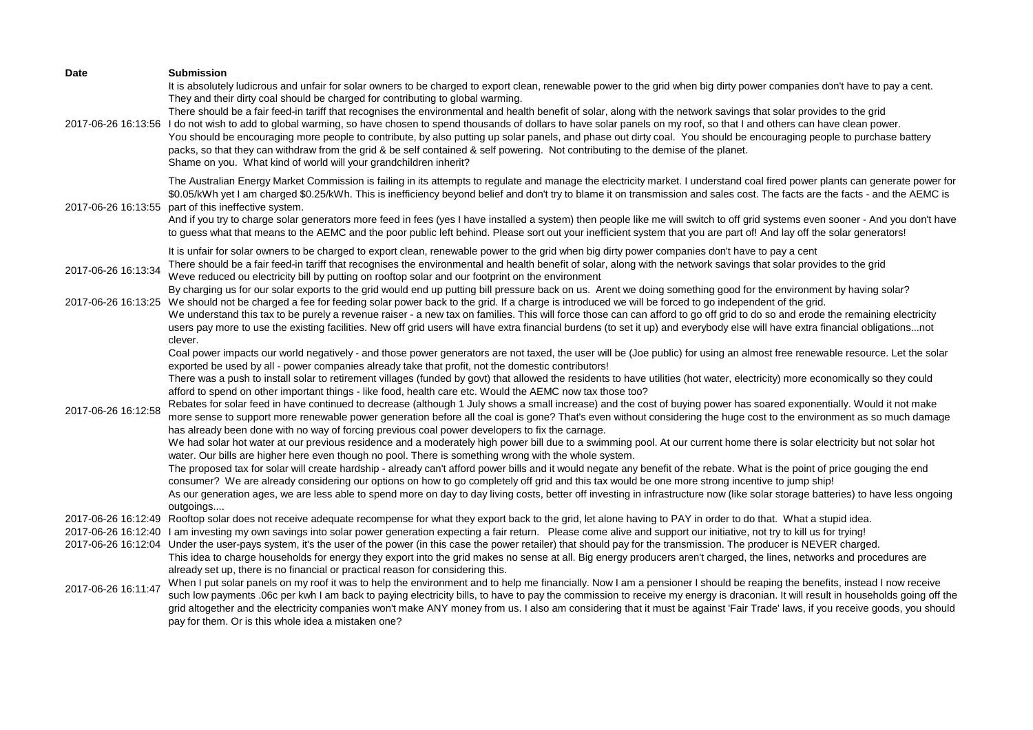| Date                | <b>Submission</b><br>It is absolutely ludicrous and unfair for solar owners to be charged to export clean, renewable power to the grid when big dirty power companies don't have to pay a cent.<br>They and their dirty coal should be charged for contributing to global warming.<br>There should be a fair feed-in tariff that recognises the environmental and health benefit of solar, along with the network savings that solar provides to the grid<br>2017-06-26 16:13:56 I do not wish to add to global warming, so have chosen to spend thousands of dollars to have solar panels on my roof, so that I and others can have clean power.<br>You should be encouraging more people to contribute, by also putting up solar panels, and phase out dirty coal. You should be encouraging people to purchase battery<br>packs, so that they can withdraw from the grid & be self contained & self powering. Not contributing to the demise of the planet.<br>Shame on you. What kind of world will your grandchildren inherit?                                                                                                                                                                                                                                                                                                                                                                                                                                                                                                                                                                                                                                                                                                                                                                                                                                                                                                                                                                                                                               |
|---------------------|-------------------------------------------------------------------------------------------------------------------------------------------------------------------------------------------------------------------------------------------------------------------------------------------------------------------------------------------------------------------------------------------------------------------------------------------------------------------------------------------------------------------------------------------------------------------------------------------------------------------------------------------------------------------------------------------------------------------------------------------------------------------------------------------------------------------------------------------------------------------------------------------------------------------------------------------------------------------------------------------------------------------------------------------------------------------------------------------------------------------------------------------------------------------------------------------------------------------------------------------------------------------------------------------------------------------------------------------------------------------------------------------------------------------------------------------------------------------------------------------------------------------------------------------------------------------------------------------------------------------------------------------------------------------------------------------------------------------------------------------------------------------------------------------------------------------------------------------------------------------------------------------------------------------------------------------------------------------------------------------------------------------------------------------------------------------|
| 2017-06-26 16:13:55 | The Australian Energy Market Commission is failing in its attempts to regulate and manage the electricity market. I understand coal fired power plants can generate power for<br>\$0.05/kWh yet I am charged \$0.25/kWh. This is inefficiency beyond belief and don't try to blame it on transmission and sales cost. The facts are the facts - and the AEMC is<br>part of this ineffective system.<br>And if you try to charge solar generators more feed in fees (yes I have installed a system) then people like me will switch to off grid systems even sooner - And you don't have<br>to guess what that means to the AEMC and the poor public left behind. Please sort out your inefficient system that you are part of! And lay off the solar generators!                                                                                                                                                                                                                                                                                                                                                                                                                                                                                                                                                                                                                                                                                                                                                                                                                                                                                                                                                                                                                                                                                                                                                                                                                                                                                                  |
| 2017-06-26 16:13:34 | It is unfair for solar owners to be charged to export clean, renewable power to the grid when big dirty power companies don't have to pay a cent<br>There should be a fair feed-in tariff that recognises the environmental and health benefit of solar, along with the network savings that solar provides to the grid<br>Weve reduced ou electricity bill by putting on rooftop solar and our footprint on the environment                                                                                                                                                                                                                                                                                                                                                                                                                                                                                                                                                                                                                                                                                                                                                                                                                                                                                                                                                                                                                                                                                                                                                                                                                                                                                                                                                                                                                                                                                                                                                                                                                                      |
|                     | By charging us for our solar exports to the grid would end up putting bill pressure back on us. Arent we doing something good for the environment by having solar?<br>2017-06-26 16:13:25 We should not be charged a fee for feeding solar power back to the grid. If a charge is introduced we will be forced to go independent of the grid.<br>We understand this tax to be purely a revenue raiser - a new tax on families. This will force those can can afford to go off grid to do so and erode the remaining electricity                                                                                                                                                                                                                                                                                                                                                                                                                                                                                                                                                                                                                                                                                                                                                                                                                                                                                                                                                                                                                                                                                                                                                                                                                                                                                                                                                                                                                                                                                                                                   |
| 2017-06-26 16:12:58 | users pay more to use the existing facilities. New off grid users will have extra financial burdens (to set it up) and everybody else will have extra financial obligationsnot<br>clever.<br>Coal power impacts our world negatively - and those power generators are not taxed, the user will be (Joe public) for using an almost free renewable resource. Let the solar<br>exported be used by all - power companies already take that profit, not the domestic contributors!<br>There was a push to install solar to retirement villages (funded by govt) that allowed the residents to have utilities (hot water, electricity) more economically so they could<br>afford to spend on other important things - like food, health care etc. Would the AEMC now tax those too?<br>Rebates for solar feed in have continued to decrease (although 1 July shows a small increase) and the cost of buying power has soared exponentially. Would it not make<br>more sense to support more renewable power generation before all the coal is gone? That's even without considering the huge cost to the environment as so much damage<br>has already been done with no way of forcing previous coal power developers to fix the carnage.<br>We had solar hot water at our previous residence and a moderately high power bill due to a swimming pool. At our current home there is solar electricity but not solar hot<br>water. Our bills are higher here even though no pool. There is something wrong with the whole system.<br>The proposed tax for solar will create hardship - already can't afford power bills and it would negate any benefit of the rebate. What is the point of price gouging the end<br>consumer? We are already considering our options on how to go completely off grid and this tax would be one more strong incentive to jump ship!<br>As our generation ages, we are less able to spend more on day to day living costs, better off investing in infrastructure now (like solar storage batteries) to have less ongoing<br>outgoings |
| 2017-06-26 16:12:49 | Rooftop solar does not receive adequate recompense for what they export back to the grid, let alone having to PAY in order to do that. What a stupid idea.<br>2017-06-26 16:12:40 I am investing my own savings into solar power generation expecting a fair return. Please come alive and support our initiative, not try to kill us for trying!<br>2017-06-26 16:12:04 Under the user-pays system, it's the user of the power (in this case the power retailer) that should pay for the transmission. The producer is NEVER charged.<br>This idea to charge households for energy they export into the grid makes no sense at all. Big energy producers aren't charged, the lines, networks and procedures are<br>already set up, there is no financial or practical reason for considering this.                                                                                                                                                                                                                                                                                                                                                                                                                                                                                                                                                                                                                                                                                                                                                                                                                                                                                                                                                                                                                                                                                                                                                                                                                                                               |
| 2017-06-26 16:11:47 | When I put solar panels on my roof it was to help the environment and to help me financially. Now I am a pensioner I should be reaping the benefits, instead I now receive<br>such low payments .06c per kwh I am back to paying electricity bills, to have to pay the commission to receive my energy is draconian. It will result in households going off the<br>grid altogether and the electricity companies won't make ANY money from us. I also am considering that it must be against 'Fair Trade' laws, if you receive goods, you should<br>pay for them. Or is this whole idea a mistaken one?                                                                                                                                                                                                                                                                                                                                                                                                                                                                                                                                                                                                                                                                                                                                                                                                                                                                                                                                                                                                                                                                                                                                                                                                                                                                                                                                                                                                                                                           |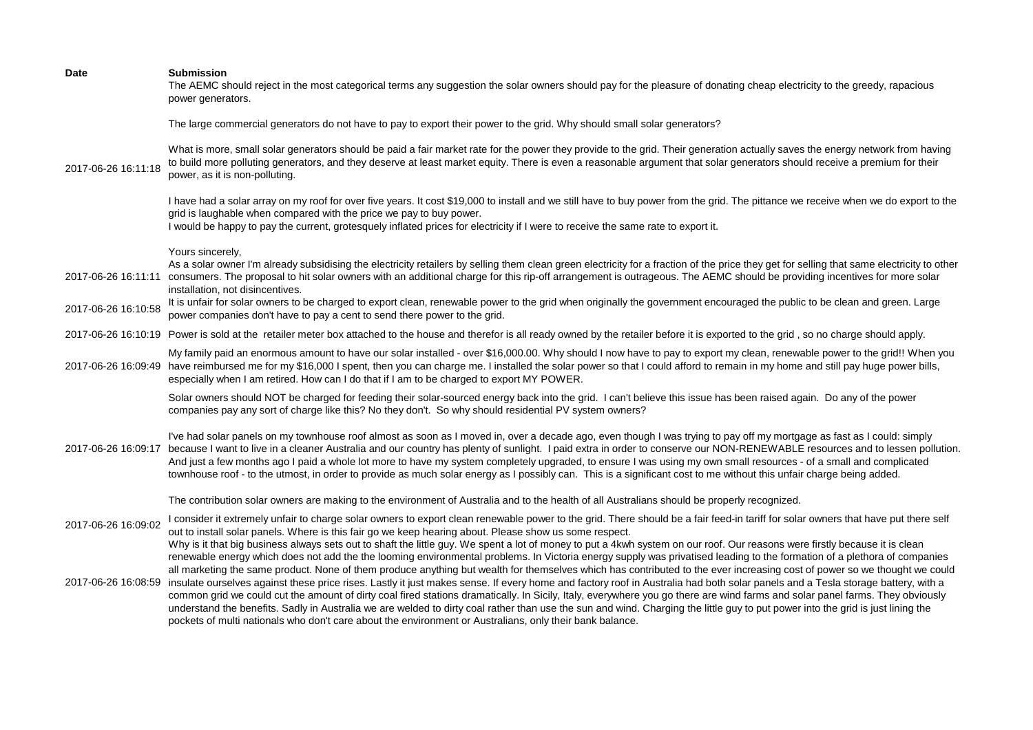| <b>Submission</b><br>The AEMC should reject in the most categorical terms any suggestion the solar owners should pay for the pleasure of donating cheap electricity to the greedy, rapacious<br>power generators.                                                                                                                                                                                                                                                                                                                                                                                                                                                                                                                                                                                                                                                |
|------------------------------------------------------------------------------------------------------------------------------------------------------------------------------------------------------------------------------------------------------------------------------------------------------------------------------------------------------------------------------------------------------------------------------------------------------------------------------------------------------------------------------------------------------------------------------------------------------------------------------------------------------------------------------------------------------------------------------------------------------------------------------------------------------------------------------------------------------------------|
| The large commercial generators do not have to pay to export their power to the grid. Why should small solar generators?                                                                                                                                                                                                                                                                                                                                                                                                                                                                                                                                                                                                                                                                                                                                         |
| What is more, small solar generators should be paid a fair market rate for the power they provide to the grid. Their generation actually saves the energy network from having<br>to build more polluting generators, and they deserve at least market equity. There is even a reasonable argument that solar generators should receive a premium for their<br>2017-06-26 16:11:18<br>power, as it is non-polluting.                                                                                                                                                                                                                                                                                                                                                                                                                                              |
| I have had a solar array on my roof for over five years. It cost \$19,000 to install and we still have to buy power from the grid. The pittance we receive when we do export to the<br>grid is laughable when compared with the price we pay to buy power.<br>I would be happy to pay the current, grotesquely inflated prices for electricity if I were to receive the same rate to export it.                                                                                                                                                                                                                                                                                                                                                                                                                                                                  |
| Yours sincerely,                                                                                                                                                                                                                                                                                                                                                                                                                                                                                                                                                                                                                                                                                                                                                                                                                                                 |
| As a solar owner I'm already subsidising the electricity retailers by selling them clean green electricity for a fraction of the price they get for selling that same electricity to other<br>2017-06-26 16:11:11 consumers. The proposal to hit solar owners with an additional charge for this rip-off arrangement is outrageous. The AEMC should be providing incentives for more solar<br>installation, not disincentives.                                                                                                                                                                                                                                                                                                                                                                                                                                   |
| It is unfair for solar owners to be charged to export clean, renewable power to the grid when originally the government encouraged the public to be clean and green. Large<br>2017-06-26 16:10:58<br>power companies don't have to pay a cent to send there power to the grid.                                                                                                                                                                                                                                                                                                                                                                                                                                                                                                                                                                                   |
| 2017-06-26 16:10:19 Power is sold at the retailer meter box attached to the house and therefor is all ready owned by the retailer before it is exported to the grid, so no charge should apply.                                                                                                                                                                                                                                                                                                                                                                                                                                                                                                                                                                                                                                                                  |
| My family paid an enormous amount to have our solar installed - over \$16,000.00. Why should I now have to pay to export my clean, renewable power to the grid!! When you<br>2017-06-26 16:09:49 have reimbursed me for my \$16,000 I spent, then you can charge me. I installed the solar power so that I could afford to remain in my home and still pay huge power bills,<br>especially when I am retired. How can I do that if I am to be charged to export MY POWER.                                                                                                                                                                                                                                                                                                                                                                                        |
| Solar owners should NOT be charged for feeding their solar-sourced energy back into the grid. I can't believe this issue has been raised again. Do any of the power<br>companies pay any sort of charge like this? No they don't. So why should residential PV system owners?                                                                                                                                                                                                                                                                                                                                                                                                                                                                                                                                                                                    |
| I've had solar panels on my townhouse roof almost as soon as I moved in, over a decade ago, even though I was trying to pay off my mortgage as fast as I could: simply<br>2017-06-26 16:09:17 because I want to live in a cleaner Australia and our country has plenty of sunlight. I paid extra in order to conserve our NON-RENEWABLE resources and to lessen pollution.<br>And just a few months ago I paid a whole lot more to have my system completely upgraded, to ensure I was using my own small resources - of a small and complicated<br>townhouse roof - to the utmost, in order to provide as much solar energy as I possibly can. This is a significant cost to me without this unfair charge being added.                                                                                                                                         |
| The contribution solar owners are making to the environment of Australia and to the health of all Australians should be properly recognized.                                                                                                                                                                                                                                                                                                                                                                                                                                                                                                                                                                                                                                                                                                                     |
| I consider it extremely unfair to charge solar owners to export clean renewable power to the grid. There should be a fair feed-in tariff for solar owners that have put there self<br>out to install solar panels. Where is this fair go we keep hearing about. Please show us some respect.<br>Why is it that big business always sets out to shaft the little guy. We spent a lot of money to put a 4kwh system on our roof. Our reasons were firstly because it is clean<br>renewable energy which does not add the the looming environmental problems. In Victoria energy supply was privatised leading to the formation of a plethora of companies                                                                                                                                                                                                          |
| all marketing the same product. None of them produce anything but wealth for themselves which has contributed to the ever increasing cost of power so we thought we could<br>2017-06-26 16:08:59 insulate ourselves against these price rises. Lastly it just makes sense. If every home and factory roof in Australia had both solar panels and a Tesla storage battery, with a<br>common grid we could cut the amount of dirty coal fired stations dramatically. In Sicily, Italy, everywhere you go there are wind farms and solar panel farms. They obviously<br>understand the benefits. Sadly in Australia we are welded to dirty coal rather than use the sun and wind. Charging the little guy to put power into the grid is just lining the<br>pockets of multi nationals who don't care about the environment or Australians, only their bank balance. |
| 2017-06-26 16:09:02                                                                                                                                                                                                                                                                                                                                                                                                                                                                                                                                                                                                                                                                                                                                                                                                                                              |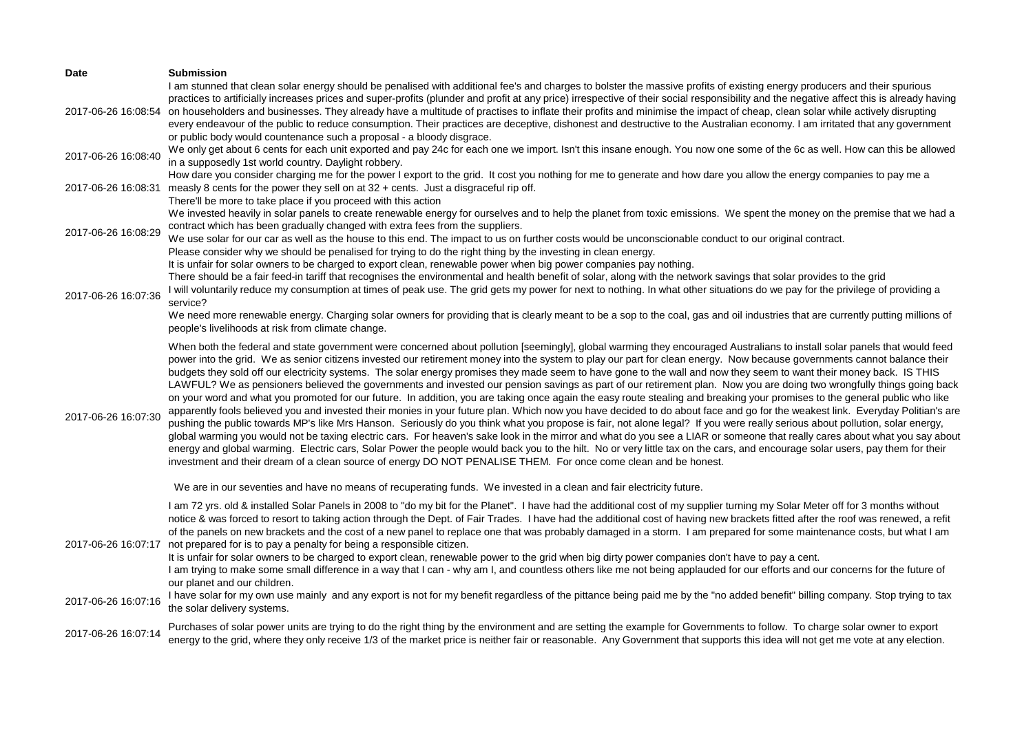| Date                | <b>Submission</b>                                                                                                                                                                                                                                                                                                                                                                                                                                                                                                                                                                                                                                                                                                                                                                                                                                                                                                                                                                                                                                                                                                                                                                                                                                                                                                                                                                                                                                                                                                                                                                                                                                                                                                                         |
|---------------------|-------------------------------------------------------------------------------------------------------------------------------------------------------------------------------------------------------------------------------------------------------------------------------------------------------------------------------------------------------------------------------------------------------------------------------------------------------------------------------------------------------------------------------------------------------------------------------------------------------------------------------------------------------------------------------------------------------------------------------------------------------------------------------------------------------------------------------------------------------------------------------------------------------------------------------------------------------------------------------------------------------------------------------------------------------------------------------------------------------------------------------------------------------------------------------------------------------------------------------------------------------------------------------------------------------------------------------------------------------------------------------------------------------------------------------------------------------------------------------------------------------------------------------------------------------------------------------------------------------------------------------------------------------------------------------------------------------------------------------------------|
| 2017-06-26 16:08:54 | I am stunned that clean solar energy should be penalised with additional fee's and charges to bolster the massive profits of existing energy producers and their spurious<br>practices to artificially increases prices and super-profits (plunder and profit at any price) irrespective of their social responsibility and the negative affect this is already having<br>on householders and businesses. They already have a multitude of practises to inflate their profits and minimise the impact of cheap, clean solar while actively disrupting<br>every endeavour of the public to reduce consumption. Their practices are deceptive, dishonest and destructive to the Australian economy. I am irritated that any government<br>or public body would countenance such a proposal - a bloody disgrace.                                                                                                                                                                                                                                                                                                                                                                                                                                                                                                                                                                                                                                                                                                                                                                                                                                                                                                                             |
| 2017-06-26 16:08:40 | We only get about 6 cents for each unit exported and pay 24c for each one we import. Isn't this insane enough. You now one some of the 6c as well. How can this be allowed<br>in a supposedly 1st world country. Daylight robbery.                                                                                                                                                                                                                                                                                                                                                                                                                                                                                                                                                                                                                                                                                                                                                                                                                                                                                                                                                                                                                                                                                                                                                                                                                                                                                                                                                                                                                                                                                                        |
| 2017-06-26 16:08:31 | How dare you consider charging me for the power I export to the grid. It cost you nothing for me to generate and how dare you allow the energy companies to pay me a<br>measly 8 cents for the power they sell on at 32 + cents. Just a disgraceful rip off.<br>There'll be more to take place if you proceed with this action                                                                                                                                                                                                                                                                                                                                                                                                                                                                                                                                                                                                                                                                                                                                                                                                                                                                                                                                                                                                                                                                                                                                                                                                                                                                                                                                                                                                            |
| 2017-06-26 16:08:29 | We invested heavily in solar panels to create renewable energy for ourselves and to help the planet from toxic emissions. We spent the money on the premise that we had a<br>contract which has been gradually changed with extra fees from the suppliers.<br>We use solar for our car as well as the house to this end. The impact to us on further costs would be unconscionable conduct to our original contract.<br>Please consider why we should be penalised for trying to do the right thing by the investing in clean energy.                                                                                                                                                                                                                                                                                                                                                                                                                                                                                                                                                                                                                                                                                                                                                                                                                                                                                                                                                                                                                                                                                                                                                                                                     |
| 2017-06-26 16:07:36 | It is unfair for solar owners to be charged to export clean, renewable power when big power companies pay nothing.<br>There should be a fair feed-in tariff that recognises the environmental and health benefit of solar, along with the network savings that solar provides to the grid<br>I will voluntarily reduce my consumption at times of peak use. The grid gets my power for next to nothing. In what other situations do we pay for the privilege of providing a<br>service?                                                                                                                                                                                                                                                                                                                                                                                                                                                                                                                                                                                                                                                                                                                                                                                                                                                                                                                                                                                                                                                                                                                                                                                                                                                   |
|                     | We need more renewable energy. Charging solar owners for providing that is clearly meant to be a sop to the coal, gas and oil industries that are currently putting millions of<br>people's livelihoods at risk from climate change.                                                                                                                                                                                                                                                                                                                                                                                                                                                                                                                                                                                                                                                                                                                                                                                                                                                                                                                                                                                                                                                                                                                                                                                                                                                                                                                                                                                                                                                                                                      |
| 2017-06-26 16:07:30 | When both the federal and state government were concerned about pollution [seemingly], global warming they encouraged Australians to install solar panels that would feed<br>power into the grid. We as senior citizens invested our retirement money into the system to play our part for clean energy. Now because governments cannot balance their<br>budgets they sold off our electricity systems. The solar energy promises they made seem to have gone to the wall and now they seem to want their money back. IS THIS<br>LAWFUL? We as pensioners believed the governments and invested our pension savings as part of our retirement plan. Now you are doing two wrongfully things going back<br>on your word and what you promoted for our future. In addition, you are taking once again the easy route stealing and breaking your promises to the general public who like<br>apparently fools believed you and invested their monies in your future plan. Which now you have decided to do about face and go for the weakest link. Everyday Politian's are<br>pushing the public towards MP's like Mrs Hanson. Seriously do you think what you propose is fair, not alone legal? If you were really serious about pollution, solar energy,<br>global warming you would not be taxing electric cars. For heaven's sake look in the mirror and what do you see a LIAR or someone that really cares about what you say about<br>energy and global warming. Electric cars, Solar Power the people would back you to the hilt. No or very little tax on the cars, and encourage solar users, pay them for their<br>investment and their dream of a clean source of energy DO NOT PENALISE THEM. For once come clean and be honest. |
|                     | We are in our seventies and have no means of recuperating funds. We invested in a clean and fair electricity future.                                                                                                                                                                                                                                                                                                                                                                                                                                                                                                                                                                                                                                                                                                                                                                                                                                                                                                                                                                                                                                                                                                                                                                                                                                                                                                                                                                                                                                                                                                                                                                                                                      |
| 2017-06-26 16:07:17 | I am 72 yrs. old & installed Solar Panels in 2008 to "do my bit for the Planet". I have had the additional cost of my supplier turning my Solar Meter off for 3 months without<br>notice & was forced to resort to taking action through the Dept. of Fair Trades. I have had the additional cost of having new brackets fitted after the roof was renewed, a refit<br>of the panels on new brackets and the cost of a new panel to replace one that was probably damaged in a storm. I am prepared for some maintenance costs, but what I am<br>not prepared for is to pay a penalty for being a responsible citizen.<br>It is unfair for solar owners to be charged to export clean, renewable power to the grid when big dirty power companies don't have to pay a cent.<br>I am trying to make some small difference in a way that I can - why am I, and countless others like me not being applauded for our efforts and our concerns for the future of<br>our planet and our children.<br>I have solar for my own use mainly and any export is not for my benefit regardless of the pittance being paid me by the "no added benefit" billing company. Stop trying to tax                                                                                                                                                                                                                                                                                                                                                                                                                                                                                                                                                            |
| 2017-06-26 16:07:16 | the solar delivery systems.                                                                                                                                                                                                                                                                                                                                                                                                                                                                                                                                                                                                                                                                                                                                                                                                                                                                                                                                                                                                                                                                                                                                                                                                                                                                                                                                                                                                                                                                                                                                                                                                                                                                                                               |
| 2017-06-26 16:07:14 | Purchases of solar power units are trying to do the right thing by the environment and are setting the example for Governments to follow. To charge solar owner to export<br>energy to the grid, where they only receive 1/3 of the market price is neither fair or reasonable. Any Government that supports this idea will not get me vote at any election.                                                                                                                                                                                                                                                                                                                                                                                                                                                                                                                                                                                                                                                                                                                                                                                                                                                                                                                                                                                                                                                                                                                                                                                                                                                                                                                                                                              |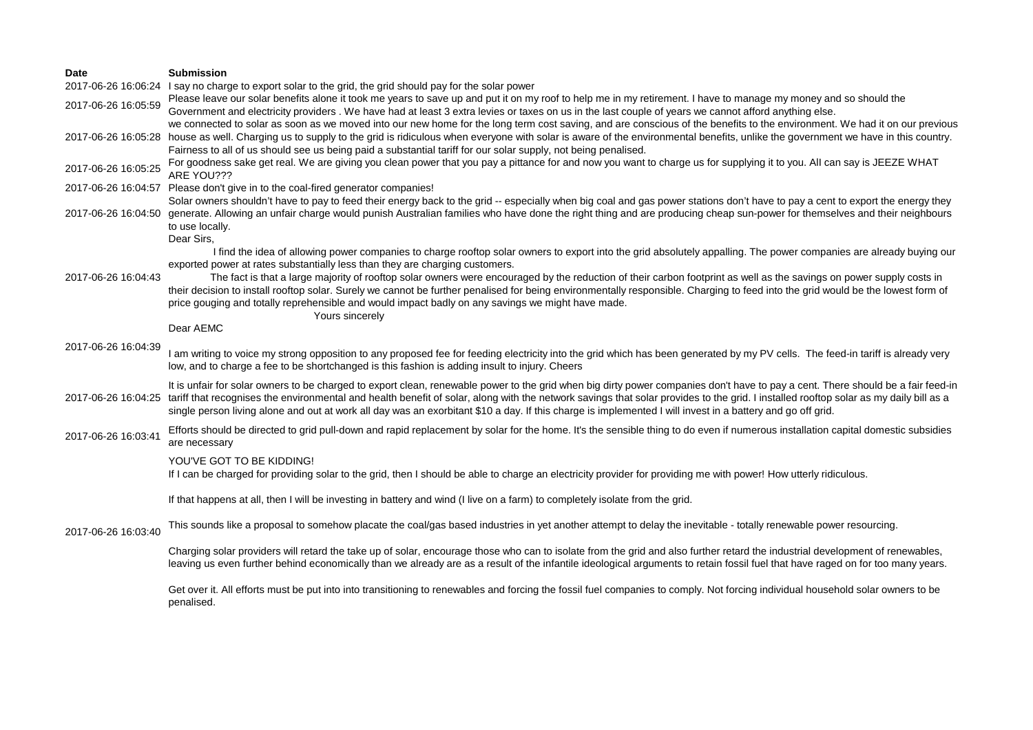| <b>Date</b>         | <b>Submission</b>                                                                                                                                                                                                                                                                                                                                                                                                                                                                                                                                                                                                                                                                                                                                     |
|---------------------|-------------------------------------------------------------------------------------------------------------------------------------------------------------------------------------------------------------------------------------------------------------------------------------------------------------------------------------------------------------------------------------------------------------------------------------------------------------------------------------------------------------------------------------------------------------------------------------------------------------------------------------------------------------------------------------------------------------------------------------------------------|
| 2017-06-26 16:06:24 | I say no charge to export solar to the grid, the grid should pay for the solar power                                                                                                                                                                                                                                                                                                                                                                                                                                                                                                                                                                                                                                                                  |
| 2017-06-26 16:05:59 | Please leave our solar benefits alone it took me years to save up and put it on my roof to help me in my retirement. I have to manage my money and so should the<br>Government and electricity providers. We have had at least 3 extra levies or taxes on us in the last couple of years we cannot afford anything else.                                                                                                                                                                                                                                                                                                                                                                                                                              |
|                     | we connected to solar as soon as we moved into our new home for the long term cost saving, and are conscious of the benefits to the environment. We had it on our previous<br>2017-06-26 16:05:28 house as well. Charging us to supply to the grid is ridiculous when everyone with solar is aware of the environmental benefits, unlike the government we have in this country.<br>Fairness to all of us should see us being paid a substantial tariff for our solar supply, not being penalised.                                                                                                                                                                                                                                                    |
| 2017-06-26 16:05:25 | For goodness sake get real. We are giving you clean power that you pay a pittance for and now you want to charge us for supplying it to you. All can say is JEEZE WHAT<br>ARE YOU???                                                                                                                                                                                                                                                                                                                                                                                                                                                                                                                                                                  |
|                     | 2017-06-26 16:04:57 Please don't give in to the coal-fired generator companies!                                                                                                                                                                                                                                                                                                                                                                                                                                                                                                                                                                                                                                                                       |
| 2017-06-26 16:04:50 | Solar owners shouldn't have to pay to feed their energy back to the grid -- especially when big coal and gas power stations don't have to pay a cent to export the energy they<br>generate. Allowing an unfair charge would punish Australian families who have done the right thing and are producing cheap sun-power for themselves and their neighbours<br>to use locally.                                                                                                                                                                                                                                                                                                                                                                         |
| 2017-06-26 16:04:43 | Dear Sirs,<br>I find the idea of allowing power companies to charge rooftop solar owners to export into the grid absolutely appalling. The power companies are already buying our<br>exported power at rates substantially less than they are charging customers.<br>The fact is that a large majority of rooftop solar owners were encouraged by the reduction of their carbon footprint as well as the savings on power supply costs in<br>their decision to install rooftop solar. Surely we cannot be further penalised for being environmentally responsible. Charging to feed into the grid would be the lowest form of<br>price gouging and totally reprehensible and would impact badly on any savings we might have made.<br>Yours sincerely |
|                     | Dear AEMC                                                                                                                                                                                                                                                                                                                                                                                                                                                                                                                                                                                                                                                                                                                                             |
| 2017-06-26 16:04:39 | I am writing to voice my strong opposition to any proposed fee for feeding electricity into the grid which has been generated by my PV cells. The feed-in tariff is already very<br>low, and to charge a fee to be shortchanged is this fashion is adding insult to injury. Cheers                                                                                                                                                                                                                                                                                                                                                                                                                                                                    |
| 2017-06-26 16:04:25 | It is unfair for solar owners to be charged to export clean, renewable power to the grid when big dirty power companies don't have to pay a cent. There should be a fair feed-in<br>tariff that recognises the environmental and health benefit of solar, along with the network savings that solar provides to the grid. I installed rooftop solar as my daily bill as a<br>single person living alone and out at work all day was an exorbitant \$10 a day. If this charge is implemented I will invest in a battery and go off grid.                                                                                                                                                                                                               |
| 2017-06-26 16:03:41 | Efforts should be directed to grid pull-down and rapid replacement by solar for the home. It's the sensible thing to do even if numerous installation capital domestic subsidies<br>are necessary                                                                                                                                                                                                                                                                                                                                                                                                                                                                                                                                                     |
|                     | YOU'VE GOT TO BE KIDDING!<br>If I can be charged for providing solar to the grid, then I should be able to charge an electricity provider for providing me with power! How utterly ridiculous.                                                                                                                                                                                                                                                                                                                                                                                                                                                                                                                                                        |
|                     | If that happens at all, then I will be investing in battery and wind (I live on a farm) to completely isolate from the grid.                                                                                                                                                                                                                                                                                                                                                                                                                                                                                                                                                                                                                          |
| 2017-06-26 16:03:40 | This sounds like a proposal to somehow placate the coal/gas based industries in yet another attempt to delay the inevitable - totally renewable power resourcing.                                                                                                                                                                                                                                                                                                                                                                                                                                                                                                                                                                                     |
|                     | Charging solar providers will retard the take up of solar, encourage those who can to isolate from the grid and also further retard the industrial development of renewables,<br>leaving us even further behind economically than we already are as a result of the infantile ideological arguments to retain fossil fuel that have raged on for too many years.                                                                                                                                                                                                                                                                                                                                                                                      |
|                     | Get over it. All efforts must be put into into transitioning to renewables and forcing the fossil fuel companies to comply. Not forcing individual household solar owners to be<br>penalised.                                                                                                                                                                                                                                                                                                                                                                                                                                                                                                                                                         |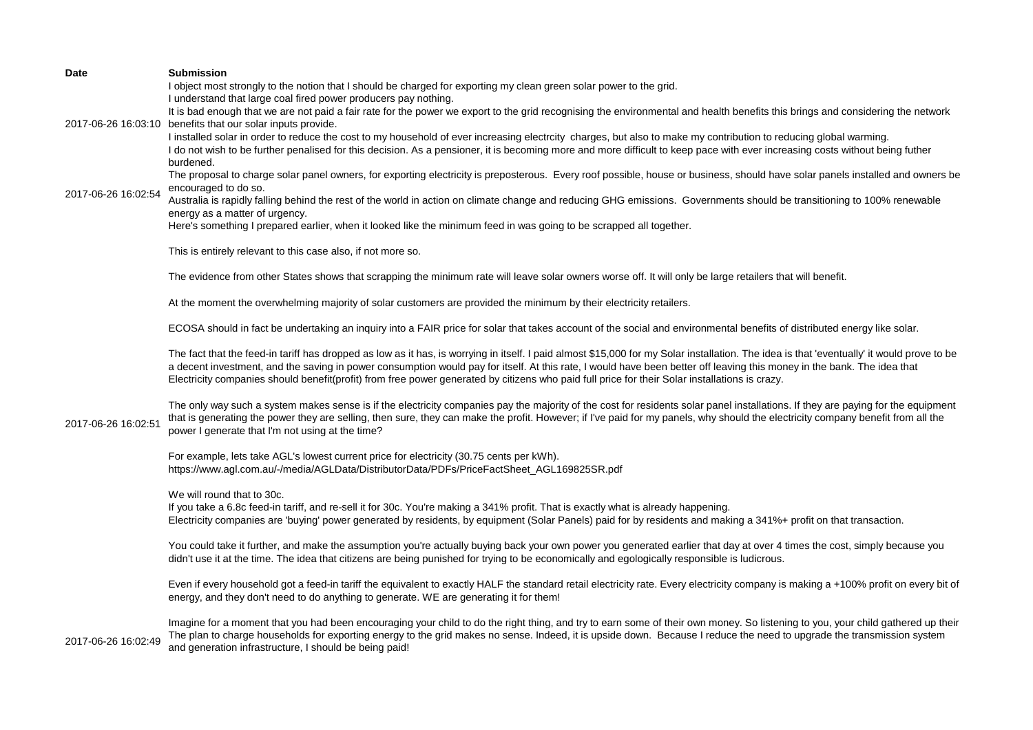| <b>Date</b>         | <b>Submission</b>                                                                                                                                                                                                                                                                                                                                                                                                                                                                                                       |
|---------------------|-------------------------------------------------------------------------------------------------------------------------------------------------------------------------------------------------------------------------------------------------------------------------------------------------------------------------------------------------------------------------------------------------------------------------------------------------------------------------------------------------------------------------|
|                     | I object most strongly to the notion that I should be charged for exporting my clean green solar power to the grid.<br>I understand that large coal fired power producers pay nothing.                                                                                                                                                                                                                                                                                                                                  |
| 2017-06-26 16:03:10 | It is bad enough that we are not paid a fair rate for the power we export to the grid recognising the environmental and health benefits this brings and considering the network<br>benefits that our solar inputs provide.                                                                                                                                                                                                                                                                                              |
|                     | I installed solar in order to reduce the cost to my household of ever increasing electrcity charges, but also to make my contribution to reducing global warming.<br>I do not wish to be further penalised for this decision. As a pensioner, it is becoming more and more difficult to keep pace with ever increasing costs without being futher<br>burdened.                                                                                                                                                          |
|                     | The proposal to charge solar panel owners, for exporting electricity is preposterous. Every roof possible, house or business, should have solar panels installed and owners be<br>encouraged to do so.                                                                                                                                                                                                                                                                                                                  |
| 2017-06-26 16:02:54 | Australia is rapidly falling behind the rest of the world in action on climate change and reducing GHG emissions. Governments should be transitioning to 100% renewable                                                                                                                                                                                                                                                                                                                                                 |
|                     | energy as a matter of urgency.<br>Here's something I prepared earlier, when it looked like the minimum feed in was going to be scrapped all together.                                                                                                                                                                                                                                                                                                                                                                   |
|                     | This is entirely relevant to this case also, if not more so.                                                                                                                                                                                                                                                                                                                                                                                                                                                            |
|                     | The evidence from other States shows that scrapping the minimum rate will leave solar owners worse off. It will only be large retailers that will benefit.                                                                                                                                                                                                                                                                                                                                                              |
|                     | At the moment the overwhelming majority of solar customers are provided the minimum by their electricity retailers.                                                                                                                                                                                                                                                                                                                                                                                                     |
|                     | ECOSA should in fact be undertaking an inquiry into a FAIR price for solar that takes account of the social and environmental benefits of distributed energy like solar.                                                                                                                                                                                                                                                                                                                                                |
| 2017-06-26 16:02:51 | The fact that the feed-in tariff has dropped as low as it has, is worrying in itself. I paid almost \$15,000 for my Solar installation. The idea is that 'eventually' it would prove to be<br>a decent investment, and the saving in power consumption would pay for itself. At this rate, I would have been better off leaving this money in the bank. The idea that<br>Electricity companies should benefit(profit) from free power generated by citizens who paid full price for their Solar installations is crazy. |
|                     | The only way such a system makes sense is if the electricity companies pay the majority of the cost for residents solar panel installations. If they are paying for the equipment<br>that is generating the power they are selling, then sure, they can make the profit. However; if I've paid for my panels, why should the electricity company benefit from all the<br>power I generate that I'm not using at the time?                                                                                               |
|                     | For example, lets take AGL's lowest current price for electricity (30.75 cents per kWh).<br>https://www.agl.com.au/-/media/AGLData/DistributorData/PDFs/PriceFactSheet_AGL169825SR.pdf                                                                                                                                                                                                                                                                                                                                  |
|                     | We will round that to 30c.<br>If you take a 6.8c feed-in tariff, and re-sell it for 30c. You're making a 341% profit. That is exactly what is already happening.<br>Electricity companies are 'buying' power generated by residents, by equipment (Solar Panels) paid for by residents and making a 341%+ profit on that transaction.                                                                                                                                                                                   |
|                     | You could take it further, and make the assumption you're actually buying back your own power you generated earlier that day at over 4 times the cost, simply because you<br>didn't use it at the time. The idea that citizens are being punished for trying to be economically and egologically responsible is ludicrous.                                                                                                                                                                                              |
|                     | Even if every household got a feed-in tariff the equivalent to exactly HALF the standard retail electricity rate. Every electricity company is making a +100% profit on every bit of<br>energy, and they don't need to do anything to generate. WE are generating it for them!                                                                                                                                                                                                                                          |
| 2017-06-26 16:02:49 | Imagine for a moment that you had been encouraging your child to do the right thing, and try to earn some of their own money. So listening to you, your child gathered up their<br>The plan to charge households for exporting energy to the grid makes no sense. Indeed, it is upside down. Because I reduce the need to upgrade the transmission system<br>and generation infrastructure, I should be being paid!                                                                                                     |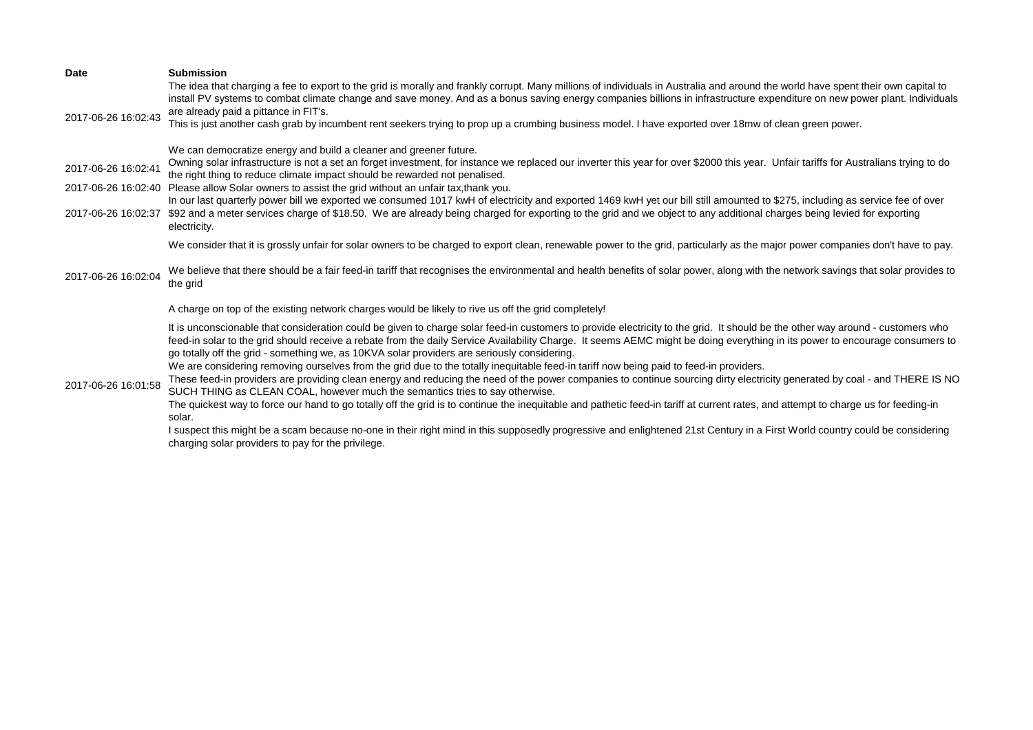| <b>Date</b>                                | <b>Submission</b><br>The idea that charging a fee to export to the grid is morally and frankly corrupt. Many millions of individuals in Australia and around the world have spent their own capital to<br>install PV systems to combat climate change and save money. And as a bonus saving energy companies billions in infrastructure expenditure on new power plant. Individuals                                                                                                                                                                                                                                                                                                                                                                                                   |
|--------------------------------------------|---------------------------------------------------------------------------------------------------------------------------------------------------------------------------------------------------------------------------------------------------------------------------------------------------------------------------------------------------------------------------------------------------------------------------------------------------------------------------------------------------------------------------------------------------------------------------------------------------------------------------------------------------------------------------------------------------------------------------------------------------------------------------------------|
| 2017-06-26 16:02:43                        | are already paid a pittance in FIT's.<br>This is just another cash grab by incumbent rent seekers trying to prop up a crumbing business model. I have exported over 18mw of clean green power.                                                                                                                                                                                                                                                                                                                                                                                                                                                                                                                                                                                        |
| 2017-06-26 16:02:41                        | We can democratize energy and build a cleaner and greener future.<br>Owning solar infrastructure is not a set an forget investment, for instance we replaced our inverter this year for over \$2000 this year. Unfair tariffs for Australians trying to do<br>the right thing to reduce climate impact should be rewarded not penalised.                                                                                                                                                                                                                                                                                                                                                                                                                                              |
| 2017-06-26 16:02:40<br>2017-06-26 16:02:37 | Please allow Solar owners to assist the grid without an unfair tax, thank you.<br>In our last quarterly power bill we exported we consumed 1017 kwH of electricity and exported 1469 kwH yet our bill still amounted to \$275, including as service fee of over<br>\$92 and a meter services charge of \$18.50. We are already being charged for exporting to the grid and we object to any additional charges being levied for exporting                                                                                                                                                                                                                                                                                                                                             |
|                                            | electricity.<br>We consider that it is grossly unfair for solar owners to be charged to export clean, renewable power to the grid, particularly as the major power companies don't have to pay.                                                                                                                                                                                                                                                                                                                                                                                                                                                                                                                                                                                       |
| 2017-06-26 16:02:04                        | We believe that there should be a fair feed-in tariff that recognises the environmental and health benefits of solar power, along with the network savings that solar provides to<br>the grid                                                                                                                                                                                                                                                                                                                                                                                                                                                                                                                                                                                         |
|                                            | A charge on top of the existing network charges would be likely to rive us off the grid completely!                                                                                                                                                                                                                                                                                                                                                                                                                                                                                                                                                                                                                                                                                   |
|                                            | It is unconscionable that consideration could be given to charge solar feed-in customers to provide electricity to the grid. It should be the other way around - customers who<br>feed-in solar to the grid should receive a rebate from the daily Service Availability Charge. It seems AEMC might be doing everything in its power to encourage consumers to<br>go totally off the grid - something we, as 10KVA solar providers are seriously considering.<br>We are considering removing ourselves from the grid due to the totally inequitable feed-in tariff now being paid to feed-in providers.<br>These feed-in providers are providing clean energy and reducing the need of the power companies to continue sourcing dirty electricity generated by coal - and THERE IS NO |
| 2017-06-26 16:01:58                        | SUCH THING as CLEAN COAL, however much the semantics tries to say otherwise.<br>The quickest way to force our hand to go totally off the grid is to continue the inequitable and pathetic feed-in tariff at current rates, and attempt to charge us for feeding-in                                                                                                                                                                                                                                                                                                                                                                                                                                                                                                                    |
|                                            | solar.<br>I suspect this might be a scam because no-one in their right mind in this supposedly progressive and enlightened 21st Century in a First World country could be considering<br>charging solar providers to pay for the privilege.                                                                                                                                                                                                                                                                                                                                                                                                                                                                                                                                           |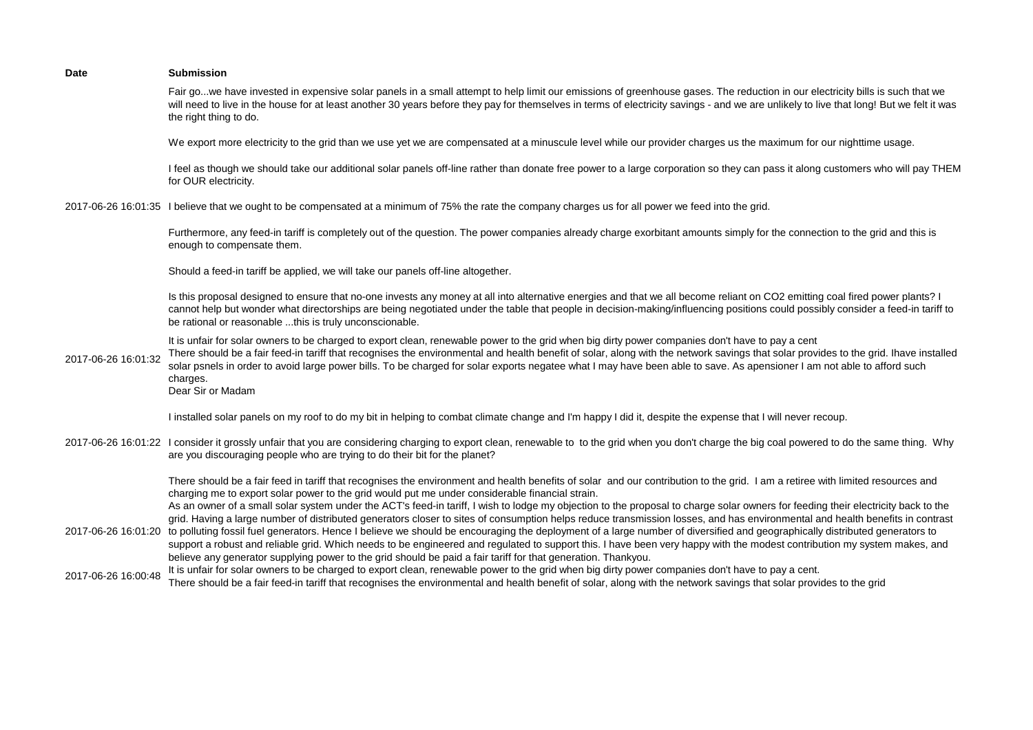| <b>Date</b>         | <b>Submission</b>                                                                                                                                                                                                                                                                                                                                                                                                                                                                                                                                                                                                                                                           |
|---------------------|-----------------------------------------------------------------------------------------------------------------------------------------------------------------------------------------------------------------------------------------------------------------------------------------------------------------------------------------------------------------------------------------------------------------------------------------------------------------------------------------------------------------------------------------------------------------------------------------------------------------------------------------------------------------------------|
|                     | Fair gowe have invested in expensive solar panels in a small attempt to help limit our emissions of greenhouse gases. The reduction in our electricity bills is such that we<br>will need to live in the house for at least another 30 years before they pay for themselves in terms of electricity savings - and we are unlikely to live that long! But we felt it was<br>the right thing to do.                                                                                                                                                                                                                                                                           |
|                     | We export more electricity to the grid than we use yet we are compensated at a minuscule level while our provider charges us the maximum for our nighttime usage.                                                                                                                                                                                                                                                                                                                                                                                                                                                                                                           |
|                     | I feel as though we should take our additional solar panels off-line rather than donate free power to a large corporation so they can pass it along customers who will pay THEM<br>for OUR electricity.                                                                                                                                                                                                                                                                                                                                                                                                                                                                     |
|                     | 2017-06-26 16:01:35 I believe that we ought to be compensated at a minimum of 75% the rate the company charges us for all power we feed into the grid.                                                                                                                                                                                                                                                                                                                                                                                                                                                                                                                      |
|                     | Furthermore, any feed-in tariff is completely out of the question. The power companies already charge exorbitant amounts simply for the connection to the grid and this is<br>enough to compensate them.                                                                                                                                                                                                                                                                                                                                                                                                                                                                    |
|                     | Should a feed-in tariff be applied, we will take our panels off-line altogether.                                                                                                                                                                                                                                                                                                                                                                                                                                                                                                                                                                                            |
|                     | Is this proposal designed to ensure that no-one invests any money at all into alternative energies and that we all become reliant on CO2 emitting coal fired power plants? I<br>cannot help but wonder what directorships are being negotiated under the table that people in decision-making/influencing positions could possibly consider a feed-in tariff to<br>be rational or reasonable this is truly unconscionable.                                                                                                                                                                                                                                                  |
| 2017-06-26 16:01:32 | It is unfair for solar owners to be charged to export clean, renewable power to the grid when big dirty power companies don't have to pay a cent<br>There should be a fair feed-in tariff that recognises the environmental and health benefit of solar, along with the network savings that solar provides to the grid. Ihave installed<br>solar psnels in order to avoid large power bills. To be charged for solar exports negatee what I may have been able to save. As apensioner I am not able to afford such<br>charges.<br>Dear Sir or Madam                                                                                                                        |
|                     | I installed solar panels on my roof to do my bit in helping to combat climate change and I'm happy I did it, despite the expense that I will never recoup.                                                                                                                                                                                                                                                                                                                                                                                                                                                                                                                  |
|                     | 2017-06-26 16:01:22 I consider it grossly unfair that you are considering charging to export clean, renewable to to the grid when you don't charge the big coal powered to do the same thing. Why<br>are you discouraging people who are trying to do their bit for the planet?                                                                                                                                                                                                                                                                                                                                                                                             |
|                     | There should be a fair feed in tariff that recognises the environment and health benefits of solar and our contribution to the grid. I am a retiree with limited resources and<br>charging me to export solar power to the grid would put me under considerable financial strain.<br>As an owner of a small solar system under the ACT's feed-in tariff, I wish to lodge my objection to the proposal to charge solar owners for feeding their electricity back to the                                                                                                                                                                                                      |
|                     | grid. Having a large number of distributed generators closer to sites of consumption helps reduce transmission losses, and has environmental and health benefits in contrast<br>2017-06-26 16:01:20 to polluting fossil fuel generators. Hence I believe we should be encouraging the deployment of a large number of diversified and geographically distributed generators to<br>support a robust and reliable grid. Which needs to be engineered and regulated to support this. I have been very happy with the modest contribution my system makes, and<br>believe any generator supplying power to the grid should be paid a fair tariff for that generation. Thankyou. |
| 2017-06-26 16:00:48 | It is unfair for solar owners to be charged to export clean, renewable power to the grid when big dirty power companies don't have to pay a cent.<br>There should be a fair feed-in tariff that recognises the environmental and health benefit of solar, along with the network savings that solar provides to the grid                                                                                                                                                                                                                                                                                                                                                    |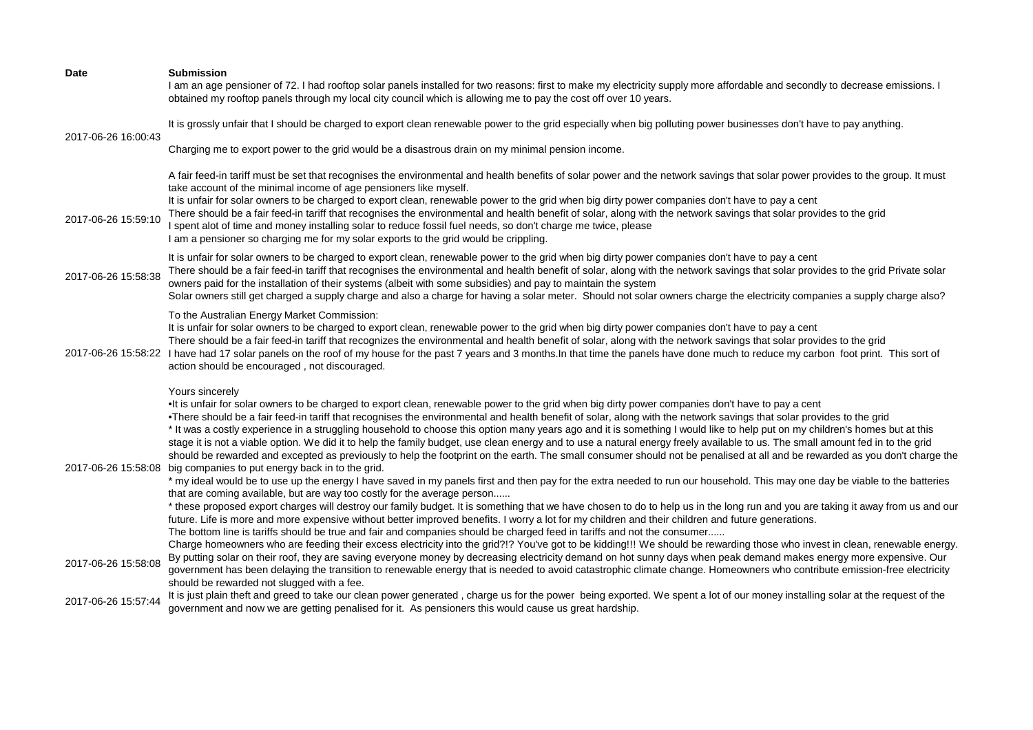| Date                | <b>Submission</b><br>I am an age pensioner of 72. I had rooftop solar panels installed for two reasons: first to make my electricity supply more affordable and secondly to decrease emissions. I<br>obtained my rooftop panels through my local city council which is allowing me to pay the cost off over 10 years.                                                                                                                                                                                                                                                                                                                                                                                                                                                                                                                                                                                                                                                                                                                                                                                                                                                                                                                                                                                                                                                                                                                                                                                                                                                                                                                                                                                                                                                                                                                                           |
|---------------------|-----------------------------------------------------------------------------------------------------------------------------------------------------------------------------------------------------------------------------------------------------------------------------------------------------------------------------------------------------------------------------------------------------------------------------------------------------------------------------------------------------------------------------------------------------------------------------------------------------------------------------------------------------------------------------------------------------------------------------------------------------------------------------------------------------------------------------------------------------------------------------------------------------------------------------------------------------------------------------------------------------------------------------------------------------------------------------------------------------------------------------------------------------------------------------------------------------------------------------------------------------------------------------------------------------------------------------------------------------------------------------------------------------------------------------------------------------------------------------------------------------------------------------------------------------------------------------------------------------------------------------------------------------------------------------------------------------------------------------------------------------------------------------------------------------------------------------------------------------------------|
| 2017-06-26 16:00:43 | It is grossly unfair that I should be charged to export clean renewable power to the grid especially when big polluting power businesses don't have to pay anything.                                                                                                                                                                                                                                                                                                                                                                                                                                                                                                                                                                                                                                                                                                                                                                                                                                                                                                                                                                                                                                                                                                                                                                                                                                                                                                                                                                                                                                                                                                                                                                                                                                                                                            |
|                     | Charging me to export power to the grid would be a disastrous drain on my minimal pension income.                                                                                                                                                                                                                                                                                                                                                                                                                                                                                                                                                                                                                                                                                                                                                                                                                                                                                                                                                                                                                                                                                                                                                                                                                                                                                                                                                                                                                                                                                                                                                                                                                                                                                                                                                               |
| 2017-06-26 15:59:10 | A fair feed-in tariff must be set that recognises the environmental and health benefits of solar power and the network savings that solar power provides to the group. It must<br>take account of the minimal income of age pensioners like myself.<br>It is unfair for solar owners to be charged to export clean, renewable power to the grid when big dirty power companies don't have to pay a cent<br>There should be a fair feed-in tariff that recognises the environmental and health benefit of solar, along with the network savings that solar provides to the grid<br>I spent alot of time and money installing solar to reduce fossil fuel needs, so don't charge me twice, please<br>I am a pensioner so charging me for my solar exports to the grid would be crippling.                                                                                                                                                                                                                                                                                                                                                                                                                                                                                                                                                                                                                                                                                                                                                                                                                                                                                                                                                                                                                                                                         |
| 2017-06-26 15:58:38 | It is unfair for solar owners to be charged to export clean, renewable power to the grid when big dirty power companies don't have to pay a cent<br>There should be a fair feed-in tariff that recognises the environmental and health benefit of solar, along with the network savings that solar provides to the grid Private solar<br>owners paid for the installation of their systems (albeit with some subsidies) and pay to maintain the system<br>Solar owners still get charged a supply charge and also a charge for having a solar meter. Should not solar owners charge the electricity companies a supply charge also?                                                                                                                                                                                                                                                                                                                                                                                                                                                                                                                                                                                                                                                                                                                                                                                                                                                                                                                                                                                                                                                                                                                                                                                                                             |
| 2017-06-26 15:58:22 | To the Australian Energy Market Commission:<br>It is unfair for solar owners to be charged to export clean, renewable power to the grid when big dirty power companies don't have to pay a cent<br>There should be a fair feed-in tariff that recognizes the environmental and health benefit of solar, along with the network savings that solar provides to the grid<br>I have had 17 solar panels on the roof of my house for the past 7 years and 3 months. In that time the panels have done much to reduce my carbon foot print. This sort of<br>action should be encouraged, not discouraged.                                                                                                                                                                                                                                                                                                                                                                                                                                                                                                                                                                                                                                                                                                                                                                                                                                                                                                                                                                                                                                                                                                                                                                                                                                                            |
| 2017-06-26 15:58:08 | Yours sincerely<br>•It is unfair for solar owners to be charged to export clean, renewable power to the grid when big dirty power companies don't have to pay a cent<br>•There should be a fair feed-in tariff that recognises the environmental and health benefit of solar, along with the network savings that solar provides to the grid<br>* It was a costly experience in a struggling household to choose this option many years ago and it is something I would like to help put on my children's homes but at this<br>stage it is not a viable option. We did it to help the family budget, use clean energy and to use a natural energy freely available to us. The small amount fed in to the grid<br>should be rewarded and excepted as previously to help the footprint on the earth. The small consumer should not be penalised at all and be rewarded as you don't charge the<br>big companies to put energy back in to the grid.<br>* my ideal would be to use up the energy I have saved in my panels first and then pay for the extra needed to run our household. This may one day be viable to the batteries<br>that are coming available, but are way too costly for the average person<br>* these proposed export charges will destroy our family budget. It is something that we have chosen to do to help us in the long run and you are taking it away from us and our<br>future. Life is more and more expensive without better improved benefits. I worry a lot for my children and their children and future generations.<br>The bottom line is tariffs should be true and fair and companies should be charged feed in tariffs and not the consumer<br>Charge homeowners who are feeding their excess electricity into the grid?!? You've got to be kidding!!! We should be rewarding those who invest in clean, renewable energy. |
| 2017-06-26 15:58:08 | By putting solar on their roof, they are saving everyone money by decreasing electricity demand on hot sunny days when peak demand makes energy more expensive. Our<br>government has been delaying the transition to renewable energy that is needed to avoid catastrophic climate change. Homeowners who contribute emission-free electricity<br>should be rewarded not slugged with a fee.                                                                                                                                                                                                                                                                                                                                                                                                                                                                                                                                                                                                                                                                                                                                                                                                                                                                                                                                                                                                                                                                                                                                                                                                                                                                                                                                                                                                                                                                   |
| 2017-06-26 15:57:44 | It is just plain theft and greed to take our clean power generated, charge us for the power being exported. We spent a lot of our money installing solar at the request of the<br>government and now we are getting penalised for it. As pensioners this would cause us great hardship.                                                                                                                                                                                                                                                                                                                                                                                                                                                                                                                                                                                                                                                                                                                                                                                                                                                                                                                                                                                                                                                                                                                                                                                                                                                                                                                                                                                                                                                                                                                                                                         |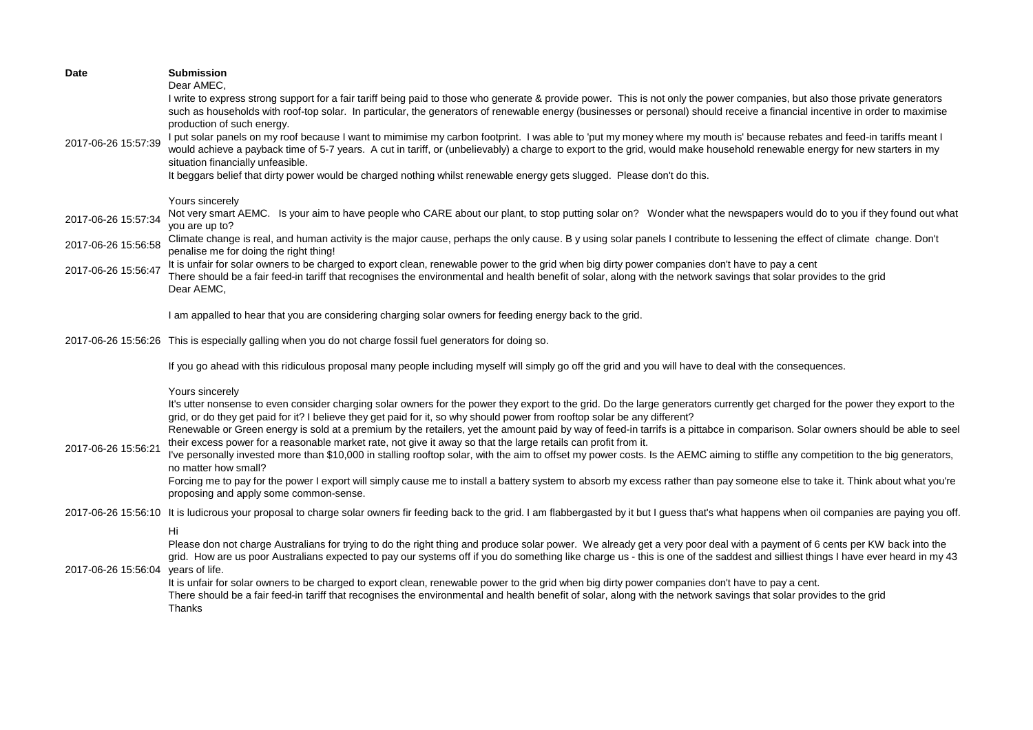| <b>Date</b><br>2017-06-26 15:57:39 | <b>Submission</b><br>Dear AMEC,<br>I write to express strong support for a fair tariff being paid to those who generate & provide power. This is not only the power companies, but also those private generators<br>such as households with roof-top solar. In particular, the generators of renewable energy (businesses or personal) should receive a financial incentive in order to maximise<br>production of such energy.<br>I put solar panels on my roof because I want to mimimise my carbon footprint. I was able to 'put my money where my mouth is' because rebates and feed-in tariffs meant I<br>would achieve a payback time of 5-7 years. A cut in tariff, or (unbelievably) a charge to export to the grid, would make household renewable energy for new starters in my<br>situation financially unfeasible.                                                                                                                                                                                                                                                     |
|------------------------------------|-----------------------------------------------------------------------------------------------------------------------------------------------------------------------------------------------------------------------------------------------------------------------------------------------------------------------------------------------------------------------------------------------------------------------------------------------------------------------------------------------------------------------------------------------------------------------------------------------------------------------------------------------------------------------------------------------------------------------------------------------------------------------------------------------------------------------------------------------------------------------------------------------------------------------------------------------------------------------------------------------------------------------------------------------------------------------------------|
|                                    | It beggars belief that dirty power would be charged nothing whilst renewable energy gets slugged. Please don't do this.                                                                                                                                                                                                                                                                                                                                                                                                                                                                                                                                                                                                                                                                                                                                                                                                                                                                                                                                                           |
| 2017-06-26 15:57:34                | Yours sincerely<br>Not very smart AEMC. Is your aim to have people who CARE about our plant, to stop putting solar on? Wonder what the newspapers would do to you if they found out what<br>you are up to?                                                                                                                                                                                                                                                                                                                                                                                                                                                                                                                                                                                                                                                                                                                                                                                                                                                                        |
| 2017-06-26 15:56:58                | Climate change is real, and human activity is the major cause, perhaps the only cause. By using solar panels I contribute to lessening the effect of climate change. Don't<br>penalise me for doing the right thing!                                                                                                                                                                                                                                                                                                                                                                                                                                                                                                                                                                                                                                                                                                                                                                                                                                                              |
| 2017-06-26 15:56:47                | It is unfair for solar owners to be charged to export clean, renewable power to the grid when big dirty power companies don't have to pay a cent<br>There should be a fair feed-in tariff that recognises the environmental and health benefit of solar, along with the network savings that solar provides to the grid<br>Dear AEMC,                                                                                                                                                                                                                                                                                                                                                                                                                                                                                                                                                                                                                                                                                                                                             |
|                                    | I am appalled to hear that you are considering charging solar owners for feeding energy back to the grid.                                                                                                                                                                                                                                                                                                                                                                                                                                                                                                                                                                                                                                                                                                                                                                                                                                                                                                                                                                         |
|                                    | 2017-06-26 15:56:26 This is especially galling when you do not charge fossil fuel generators for doing so.                                                                                                                                                                                                                                                                                                                                                                                                                                                                                                                                                                                                                                                                                                                                                                                                                                                                                                                                                                        |
|                                    | If you go ahead with this ridiculous proposal many people including myself will simply go off the grid and you will have to deal with the consequences.                                                                                                                                                                                                                                                                                                                                                                                                                                                                                                                                                                                                                                                                                                                                                                                                                                                                                                                           |
| 2017-06-26 15:56:21                | Yours sincerely<br>It's utter nonsense to even consider charging solar owners for the power they export to the grid. Do the large generators currently get charged for the power they export to the<br>grid, or do they get paid for it? I believe they get paid for it, so why should power from rooftop solar be any different?<br>Renewable or Green energy is sold at a premium by the retailers, yet the amount paid by way of feed-in tarrifs is a pittabce in comparison. Solar owners should be able to seel<br>their excess power for a reasonable market rate, not give it away so that the large retails can profit from it.<br>I've personally invested more than \$10,000 in stalling rooftop solar, with the aim to offset my power costs. Is the AEMC aiming to stiffle any competition to the big generators,<br>no matter how small?<br>Forcing me to pay for the power I export will simply cause me to install a battery system to absorb my excess rather than pay someone else to take it. Think about what you're<br>proposing and apply some common-sense. |
|                                    | 2017-06-26 15:56:10 It is ludicrous your proposal to charge solar owners fir feeding back to the grid. I am flabbergasted by it but I guess that's what happens when oil companies are paying you off.                                                                                                                                                                                                                                                                                                                                                                                                                                                                                                                                                                                                                                                                                                                                                                                                                                                                            |
| 2017-06-26 15:56:04 years of life. | Hi<br>Please don not charge Australians for trying to do the right thing and produce solar power. We already get a very poor deal with a payment of 6 cents per KW back into the<br>grid. How are us poor Australians expected to pay our systems off if you do something like charge us - this is one of the saddest and silliest things I have ever heard in my 43<br>It is unfair for solar owners to be charged to export clean, renewable power to the grid when big dirty power companies don't have to pay a cent.<br>There should be a fair feed-in tariff that recognises the environmental and health benefit of solar, along with the network savings that solar provides to the grid<br>Thanks                                                                                                                                                                                                                                                                                                                                                                        |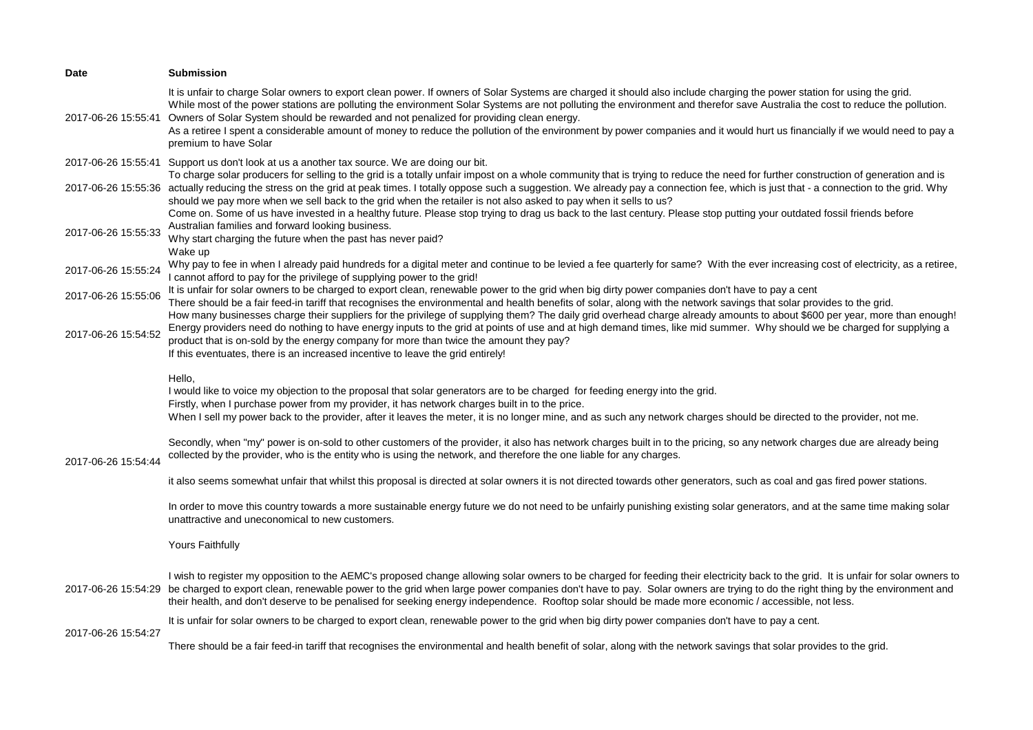| <b>Date</b>         | <b>Submission</b>                                                                                                                                                                                                                                                                                                                                                                                                                                                                                                                                                                                                                                                                      |
|---------------------|----------------------------------------------------------------------------------------------------------------------------------------------------------------------------------------------------------------------------------------------------------------------------------------------------------------------------------------------------------------------------------------------------------------------------------------------------------------------------------------------------------------------------------------------------------------------------------------------------------------------------------------------------------------------------------------|
| 2017-06-26 15:55:41 | It is unfair to charge Solar owners to export clean power. If owners of Solar Systems are charged it should also include charging the power station for using the grid.<br>While most of the power stations are polluting the environment Solar Systems are not polluting the environment and therefor save Australia the cost to reduce the pollution.<br>Owners of Solar System should be rewarded and not penalized for providing clean energy.<br>As a retiree I spent a considerable amount of money to reduce the pollution of the environment by power companies and it would hurt us financially if we would need to pay a<br>premium to have Solar                            |
|                     | 2017-06-26 15:55:41 Support us don't look at us a another tax source. We are doing our bit.                                                                                                                                                                                                                                                                                                                                                                                                                                                                                                                                                                                            |
|                     | To charge solar producers for selling to the grid is a totally unfair impost on a whole community that is trying to reduce the need for further construction of generation and is<br>2017-06-26 15:55:36 actually reducing the stress on the grid at peak times. I totally oppose such a suggestion. We already pay a connection fee, which is just that - a connection to the grid. Why<br>should we pay more when we sell back to the grid when the retailer is not also asked to pay when it sells to us?<br>Come on. Some of us have invested in a healthy future. Please stop trying to drag us back to the last century. Please stop putting your outdated fossil friends before |
| 2017-06-26 15:55:33 | Australian families and forward looking business.<br>Why start charging the future when the past has never paid?<br>Wake up                                                                                                                                                                                                                                                                                                                                                                                                                                                                                                                                                            |
| 2017-06-26 15:55:24 | Why pay to fee in when I already paid hundreds for a digital meter and continue to be levied a fee quarterly for same? With the ever increasing cost of electricity, as a retiree,<br>I cannot afford to pay for the privilege of supplying power to the grid!                                                                                                                                                                                                                                                                                                                                                                                                                         |
| 2017-06-26 15:55:06 | It is unfair for solar owners to be charged to export clean, renewable power to the grid when big dirty power companies don't have to pay a cent<br>There should be a fair feed-in tariff that recognises the environmental and health benefits of solar, along with the network savings that solar provides to the grid.<br>How many businesses charge their suppliers for the privilege of supplying them? The daily grid overhead charge already amounts to about \$600 per year, more than enough!                                                                                                                                                                                 |
| 2017-06-26 15:54:52 | Energy providers need do nothing to have energy inputs to the grid at points of use and at high demand times, like mid summer. Why should we be charged for supplying a<br>product that is on-sold by the energy company for more than twice the amount they pay?<br>If this eventuates, there is an increased incentive to leave the grid entirely!                                                                                                                                                                                                                                                                                                                                   |
| 2017-06-26 15:54:44 | Hello,<br>I would like to voice my objection to the proposal that solar generators are to be charged for feeding energy into the grid.<br>Firstly, when I purchase power from my provider, it has network charges built in to the price.<br>When I sell my power back to the provider, after it leaves the meter, it is no longer mine, and as such any network charges should be directed to the provider, not me.                                                                                                                                                                                                                                                                    |
|                     | Secondly, when "my" power is on-sold to other customers of the provider, it also has network charges built in to the pricing, so any network charges due are already being<br>collected by the provider, who is the entity who is using the network, and therefore the one liable for any charges.                                                                                                                                                                                                                                                                                                                                                                                     |
|                     | it also seems somewhat unfair that whilst this proposal is directed at solar owners it is not directed towards other generators, such as coal and gas fired power stations.                                                                                                                                                                                                                                                                                                                                                                                                                                                                                                            |
|                     | In order to move this country towards a more sustainable energy future we do not need to be unfairly punishing existing solar generators, and at the same time making solar<br>unattractive and uneconomical to new customers.                                                                                                                                                                                                                                                                                                                                                                                                                                                         |
|                     | Yours Faithfully                                                                                                                                                                                                                                                                                                                                                                                                                                                                                                                                                                                                                                                                       |
|                     | I wish to register my opposition to the AEMC's proposed change allowing solar owners to be charged for feeding their electricity back to the grid. It is unfair for solar owners to<br>2017-06-26 15:54:29 be charged to export clean, renewable power to the grid when large power companies don't have to pay. Solar owners are trying to do the right thing by the environment and<br>their health, and don't deserve to be penalised for seeking energy independence. Rooftop solar should be made more economic / accessible, not less.                                                                                                                                           |
|                     | It is unfair for solar owners to be charged to export clean, renewable power to the grid when big dirty power companies don't have to pay a cent.                                                                                                                                                                                                                                                                                                                                                                                                                                                                                                                                      |
| 2017-06-26 15:54:27 | There should be a fair feed-in tariff that recognises the environmental and health benefit of solar, along with the network savings that solar provides to the grid.                                                                                                                                                                                                                                                                                                                                                                                                                                                                                                                   |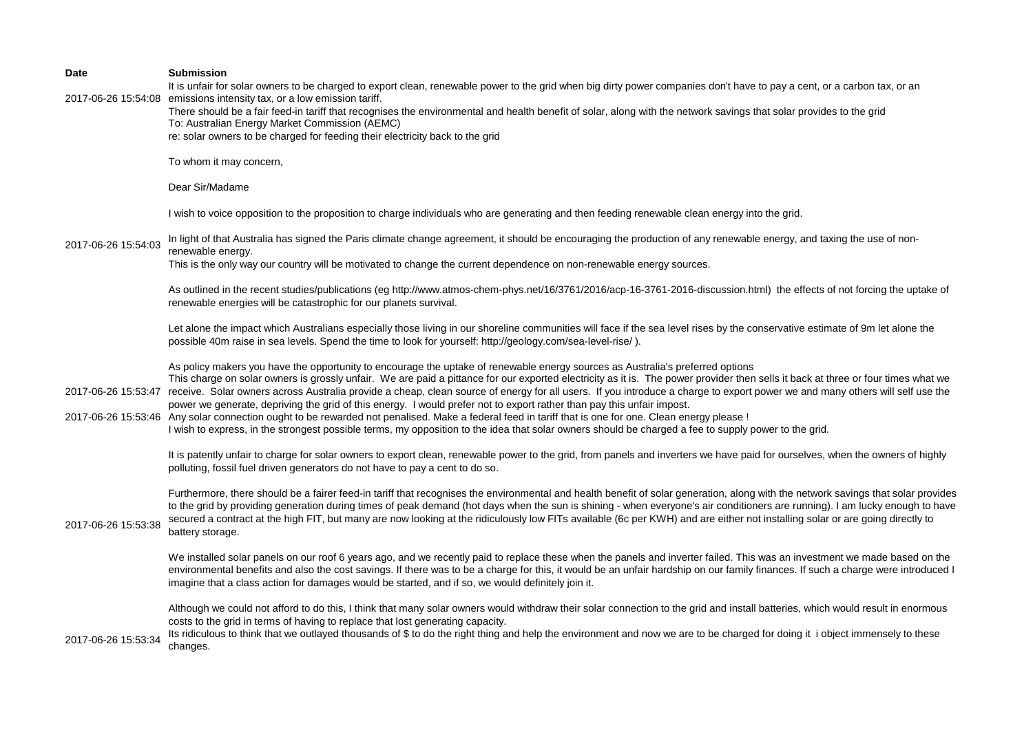| Date                | <b>Submission</b><br>It is unfair for solar owners to be charged to export clean, renewable power to the grid when big dirty power companies don't have to pay a cent, or a carbon tax, or an                                                                                                                                                                                                                                                                                                                                                                                                                                                                                                                                                                                                                                                                                                                                                 |
|---------------------|-----------------------------------------------------------------------------------------------------------------------------------------------------------------------------------------------------------------------------------------------------------------------------------------------------------------------------------------------------------------------------------------------------------------------------------------------------------------------------------------------------------------------------------------------------------------------------------------------------------------------------------------------------------------------------------------------------------------------------------------------------------------------------------------------------------------------------------------------------------------------------------------------------------------------------------------------|
|                     | 2017-06-26 15:54:08 emissions intensity tax, or a low emission tariff.<br>There should be a fair feed-in tariff that recognises the environmental and health benefit of solar, along with the network savings that solar provides to the grid<br>To: Australian Energy Market Commission (AEMC)<br>re: solar owners to be charged for feeding their electricity back to the grid                                                                                                                                                                                                                                                                                                                                                                                                                                                                                                                                                              |
|                     | To whom it may concern,                                                                                                                                                                                                                                                                                                                                                                                                                                                                                                                                                                                                                                                                                                                                                                                                                                                                                                                       |
|                     | Dear Sir/Madame                                                                                                                                                                                                                                                                                                                                                                                                                                                                                                                                                                                                                                                                                                                                                                                                                                                                                                                               |
|                     | I wish to voice opposition to the proposition to charge individuals who are generating and then feeding renewable clean energy into the grid.                                                                                                                                                                                                                                                                                                                                                                                                                                                                                                                                                                                                                                                                                                                                                                                                 |
| 2017-06-26 15:54:03 | In light of that Australia has signed the Paris climate change agreement, it should be encouraging the production of any renewable energy, and taxing the use of non-<br>renewable energy.<br>This is the only way our country will be motivated to change the current dependence on non-renewable energy sources.                                                                                                                                                                                                                                                                                                                                                                                                                                                                                                                                                                                                                            |
|                     | As outlined in the recent studies/publications (eg http://www.atmos-chem-phys.net/16/3761/2016/acp-16-3761-2016-discussion.html) the effects of not forcing the uptake of<br>renewable energies will be catastrophic for our planets survival.                                                                                                                                                                                                                                                                                                                                                                                                                                                                                                                                                                                                                                                                                                |
|                     | Let alone the impact which Australians especially those living in our shoreline communities will face if the sea level rises by the conservative estimate of 9m let alone the<br>possible 40m raise in sea levels. Spend the time to look for yourself: http://geology.com/sea-level-rise/).                                                                                                                                                                                                                                                                                                                                                                                                                                                                                                                                                                                                                                                  |
| 2017-06-26 15:53:47 | As policy makers you have the opportunity to encourage the uptake of renewable energy sources as Australia's preferred options<br>This charge on solar owners is grossly unfair. We are paid a pittance for our exported electricity as it is. The power provider then sells it back at three or four times what we<br>receive. Solar owners across Australia provide a cheap, clean source of energy for all users. If you introduce a charge to export power we and many others will self use the<br>power we generate, depriving the grid of this energy. I would prefer not to export rather than pay this unfair impost.<br>2017-06-26 15:53:46 Any solar connection ought to be rewarded not penalised. Make a federal feed in tariff that is one for one. Clean energy please!<br>I wish to express, in the strongest possible terms, my opposition to the idea that solar owners should be charged a fee to supply power to the grid. |
|                     | It is patently unfair to charge for solar owners to export clean, renewable power to the grid, from panels and inverters we have paid for ourselves, when the owners of highly<br>polluting, fossil fuel driven generators do not have to pay a cent to do so.                                                                                                                                                                                                                                                                                                                                                                                                                                                                                                                                                                                                                                                                                |
| 2017-06-26 15:53:38 | Furthermore, there should be a fairer feed-in tariff that recognises the environmental and health benefit of solar generation, along with the network savings that solar provides<br>to the grid by providing generation during times of peak demand (hot days when the sun is shining - when everyone's air conditioners are running). I am lucky enough to have<br>secured a contract at the high FIT, but many are now looking at the ridiculously low FITs available (6c per KWH) and are either not installing solar or are going directly to<br>battery storage.                                                                                                                                                                                                                                                                                                                                                                        |
|                     | We installed solar panels on our roof 6 years ago, and we recently paid to replace these when the panels and inverter failed. This was an investment we made based on the<br>environmental benefits and also the cost savings. If there was to be a charge for this, it would be an unfair hardship on our family finances. If such a charge were introduced I<br>imagine that a class action for damages would be started, and if so, we would definitely join it.                                                                                                                                                                                                                                                                                                                                                                                                                                                                           |
| 2017-06-26 15:53:34 | Although we could not afford to do this, I think that many solar owners would withdraw their solar connection to the grid and install batteries, which would result in enormous<br>costs to the grid in terms of having to replace that lost generating capacity.<br>Its ridiculous to think that we outlayed thousands of \$ to do the right thing and help the environment and now we are to be charged for doing it i object immensely to these<br>changes.                                                                                                                                                                                                                                                                                                                                                                                                                                                                                |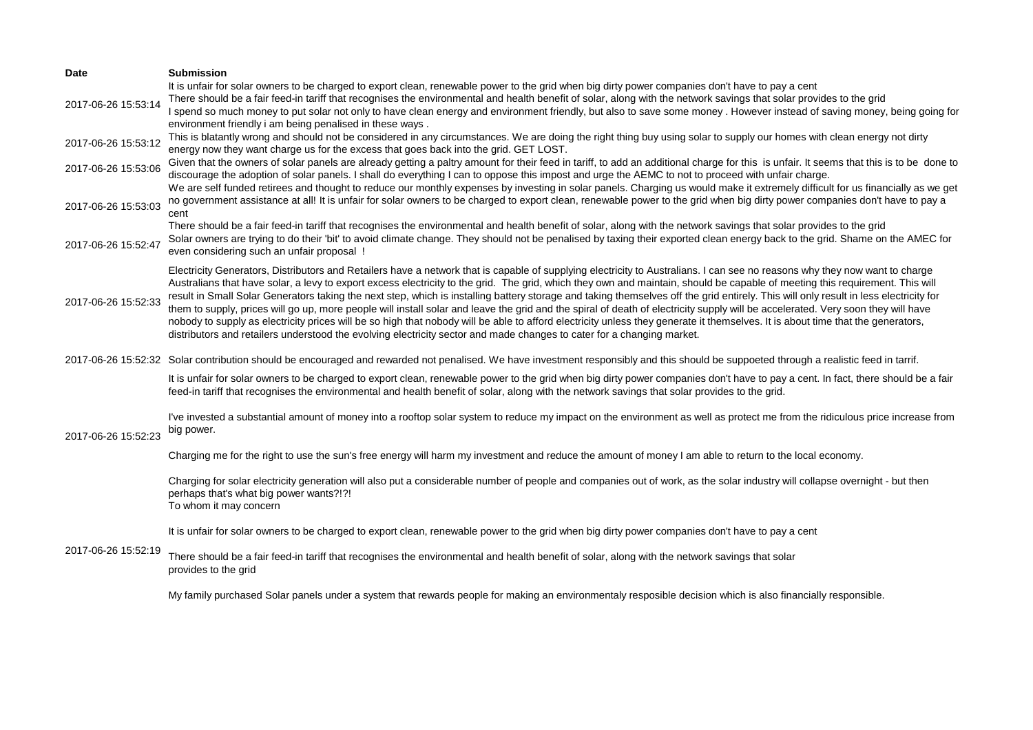| Date                                       | <b>Submission</b>                                                                                                                                                                                                                                                                                                                                                                                                                                                                                                                                                                                                                                                                                                                                                                                                                                                                                                                                                                                                                                      |
|--------------------------------------------|--------------------------------------------------------------------------------------------------------------------------------------------------------------------------------------------------------------------------------------------------------------------------------------------------------------------------------------------------------------------------------------------------------------------------------------------------------------------------------------------------------------------------------------------------------------------------------------------------------------------------------------------------------------------------------------------------------------------------------------------------------------------------------------------------------------------------------------------------------------------------------------------------------------------------------------------------------------------------------------------------------------------------------------------------------|
| 2017-06-26 15:53:14                        | It is unfair for solar owners to be charged to export clean, renewable power to the grid when big dirty power companies don't have to pay a cent<br>There should be a fair feed-in tariff that recognises the environmental and health benefit of solar, along with the network savings that solar provides to the grid<br>I spend so much money to put solar not only to have clean energy and environment friendly, but also to save some money. However instead of saving money, being going for<br>environment friendly i am being penalised in these ways.                                                                                                                                                                                                                                                                                                                                                                                                                                                                                        |
| 2017-06-26 15:53:12                        | This is blatantly wrong and should not be considered in any circumstances. We are doing the right thing buy using solar to supply our homes with clean energy not dirty<br>energy now they want charge us for the excess that goes back into the grid. GET LOST.                                                                                                                                                                                                                                                                                                                                                                                                                                                                                                                                                                                                                                                                                                                                                                                       |
| 2017-06-26 15:53:06                        | Given that the owners of solar panels are already getting a paltry amount for their feed in tariff, to add an additional charge for this is unfair. It seems that this is to be done to<br>discourage the adoption of solar panels. I shall do everything I can to oppose this impost and urge the AEMC to not to proceed with unfair charge.<br>We are self funded retirees and thought to reduce our monthly expenses by investing in solar panels. Charging us would make it extremely difficult for us financially as we get                                                                                                                                                                                                                                                                                                                                                                                                                                                                                                                       |
| 2017-06-26 15:53:03                        | no government assistance at all! It is unfair for solar owners to be charged to export clean, renewable power to the grid when big dirty power companies don't have to pay a<br>cent                                                                                                                                                                                                                                                                                                                                                                                                                                                                                                                                                                                                                                                                                                                                                                                                                                                                   |
| 2017-06-26 15:52:47                        | There should be a fair feed-in tariff that recognises the environmental and health benefit of solar, along with the network savings that solar provides to the grid<br>Solar owners are trying to do their 'bit' to avoid climate change. They should not be penalised by taxing their exported clean energy back to the grid. Shame on the AMEC for<br>even considering such an unfair proposal !                                                                                                                                                                                                                                                                                                                                                                                                                                                                                                                                                                                                                                                     |
| 2017-06-26 15:52:33                        | Electricity Generators, Distributors and Retailers have a network that is capable of supplying electricity to Australians. I can see no reasons why they now want to charge<br>Australians that have solar, a levy to export excess electricity to the grid. The grid, which they own and maintain, should be capable of meeting this requirement. This will<br>result in Small Solar Generators taking the next step, which is installing battery storage and taking themselves off the grid entirely. This will only result in less electricity for<br>them to supply, prices will go up, more people will install solar and leave the grid and the spiral of death of electricity supply will be accelerated. Very soon they will have<br>nobody to supply as electricity prices will be so high that nobody will be able to afford electricity unless they generate it themselves. It is about time that the generators,<br>distributors and retailers understood the evolving electricity sector and made changes to cater for a changing market. |
|                                            | 2017-06-26 15:52:32 Solar contribution should be encouraged and rewarded not penalised. We have investment responsibly and this should be suppoeted through a realistic feed in tarrif.                                                                                                                                                                                                                                                                                                                                                                                                                                                                                                                                                                                                                                                                                                                                                                                                                                                                |
| 2017-06-26 15:52:23<br>2017-06-26 15:52:19 | It is unfair for solar owners to be charged to export clean, renewable power to the grid when big dirty power companies don't have to pay a cent. In fact, there should be a fair<br>feed-in tariff that recognises the environmental and health benefit of solar, along with the network savings that solar provides to the grid.                                                                                                                                                                                                                                                                                                                                                                                                                                                                                                                                                                                                                                                                                                                     |
|                                            | I've invested a substantial amount of money into a rooftop solar system to reduce my impact on the environment as well as protect me from the ridiculous price increase from<br>big power.                                                                                                                                                                                                                                                                                                                                                                                                                                                                                                                                                                                                                                                                                                                                                                                                                                                             |
|                                            | Charging me for the right to use the sun's free energy will harm my investment and reduce the amount of money I am able to return to the local economy.                                                                                                                                                                                                                                                                                                                                                                                                                                                                                                                                                                                                                                                                                                                                                                                                                                                                                                |
|                                            | Charging for solar electricity generation will also put a considerable number of people and companies out of work, as the solar industry will collapse overnight - but then<br>perhaps that's what big power wants?!?!<br>To whom it may concern                                                                                                                                                                                                                                                                                                                                                                                                                                                                                                                                                                                                                                                                                                                                                                                                       |
|                                            | It is unfair for solar owners to be charged to export clean, renewable power to the grid when big dirty power companies don't have to pay a cent                                                                                                                                                                                                                                                                                                                                                                                                                                                                                                                                                                                                                                                                                                                                                                                                                                                                                                       |
|                                            | There should be a fair feed-in tariff that recognises the environmental and health benefit of solar, along with the network savings that solar<br>provides to the grid                                                                                                                                                                                                                                                                                                                                                                                                                                                                                                                                                                                                                                                                                                                                                                                                                                                                                 |
|                                            | My family purchased Solar panels under a system that rewards people for making an environmentaly resposible decision which is also financially responsible.                                                                                                                                                                                                                                                                                                                                                                                                                                                                                                                                                                                                                                                                                                                                                                                                                                                                                            |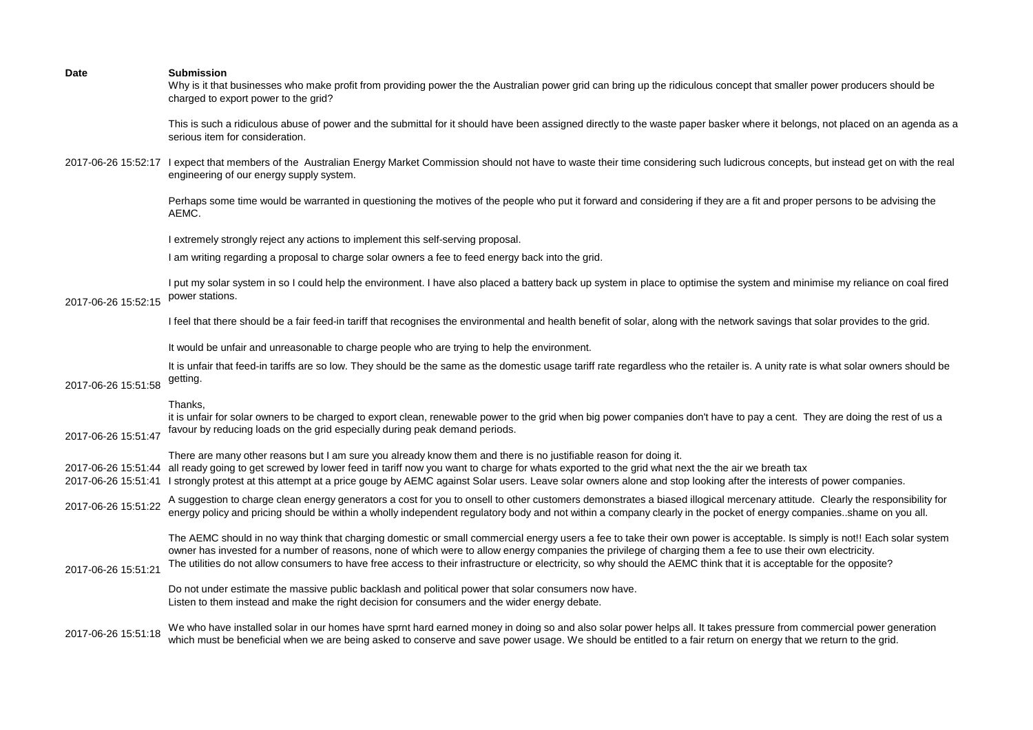| <b>Date</b>         | <b>Submission</b><br>Why is it that businesses who make profit from providing power the the Australian power grid can bring up the ridiculous concept that smaller power producers should be<br>charged to export power to the grid?                                                                                                                                                                                                                                                                              |
|---------------------|-------------------------------------------------------------------------------------------------------------------------------------------------------------------------------------------------------------------------------------------------------------------------------------------------------------------------------------------------------------------------------------------------------------------------------------------------------------------------------------------------------------------|
|                     | This is such a ridiculous abuse of power and the submittal for it should have been assigned directly to the waste paper basker where it belongs, not placed on an agenda as a<br>serious item for consideration.                                                                                                                                                                                                                                                                                                  |
|                     | 2017-06-26 15:52:17 I expect that members of the Australian Energy Market Commission should not have to waste their time considering such ludicrous concepts, but instead get on with the real<br>engineering of our energy supply system.                                                                                                                                                                                                                                                                        |
|                     | Perhaps some time would be warranted in questioning the motives of the people who put it forward and considering if they are a fit and proper persons to be advising the<br>AEMC.                                                                                                                                                                                                                                                                                                                                 |
|                     | I extremely strongly reject any actions to implement this self-serving proposal.                                                                                                                                                                                                                                                                                                                                                                                                                                  |
|                     | I am writing regarding a proposal to charge solar owners a fee to feed energy back into the grid.                                                                                                                                                                                                                                                                                                                                                                                                                 |
| 2017-06-26 15:52:15 | I put my solar system in so I could help the environment. I have also placed a battery back up system in place to optimise the system and minimise my reliance on coal fired<br>power stations.                                                                                                                                                                                                                                                                                                                   |
|                     | I feel that there should be a fair feed-in tariff that recognises the environmental and health benefit of solar, along with the network savings that solar provides to the grid.                                                                                                                                                                                                                                                                                                                                  |
|                     | It would be unfair and unreasonable to charge people who are trying to help the environment.                                                                                                                                                                                                                                                                                                                                                                                                                      |
| 2017-06-26 15:51:58 | It is unfair that feed-in tariffs are so low. They should be the same as the domestic usage tariff rate regardless who the retailer is. A unity rate is what solar owners should be<br>getting.                                                                                                                                                                                                                                                                                                                   |
| 2017-06-26 15:51:47 | Thanks,<br>it is unfair for solar owners to be charged to export clean, renewable power to the grid when big power companies don't have to pay a cent. They are doing the rest of us a<br>favour by reducing loads on the grid especially during peak demand periods.                                                                                                                                                                                                                                             |
|                     | There are many other reasons but I am sure you already know them and there is no justifiable reason for doing it.<br>2017-06-26 15:51:44 all ready going to get screwed by lower feed in tariff now you want to charge for whats exported to the grid what next the the air we breath tax<br>2017-06-26 15:51:41 I strongly protest at this attempt at a price gouge by AEMC against Solar users. Leave solar owners alone and stop looking after the interests of power companies.                               |
| 2017-06-26 15:51:22 | A suggestion to charge clean energy generators a cost for you to onsell to other customers demonstrates a biased illogical mercenary attitude. Clearly the responsibility for<br>energy policy and pricing should be within a wholly independent regulatory body and not within a company clearly in the pocket of energy companiesshame on you all.                                                                                                                                                              |
| 2017-06-26 15:51:21 | The AEMC should in no way think that charging domestic or small commercial energy users a fee to take their own power is acceptable. Is simply is not!! Each solar system<br>owner has invested for a number of reasons, none of which were to allow energy companies the privilege of charging them a fee to use their own electricity.<br>The utilities do not allow consumers to have free access to their infrastructure or electricity, so why should the AEMC think that it is acceptable for the opposite? |
|                     | Do not under estimate the massive public backlash and political power that solar consumers now have.<br>Listen to them instead and make the right decision for consumers and the wider energy debate.                                                                                                                                                                                                                                                                                                             |
| 2017-06-26 15:51:18 | We who have installed solar in our homes have sprnt hard earned money in doing so and also solar power helps all. It takes pressure from commercial power generation<br>which must be beneficial when we are being asked to conserve and save power usage. We should be entitled to a fair return on energy that we return to the grid.                                                                                                                                                                           |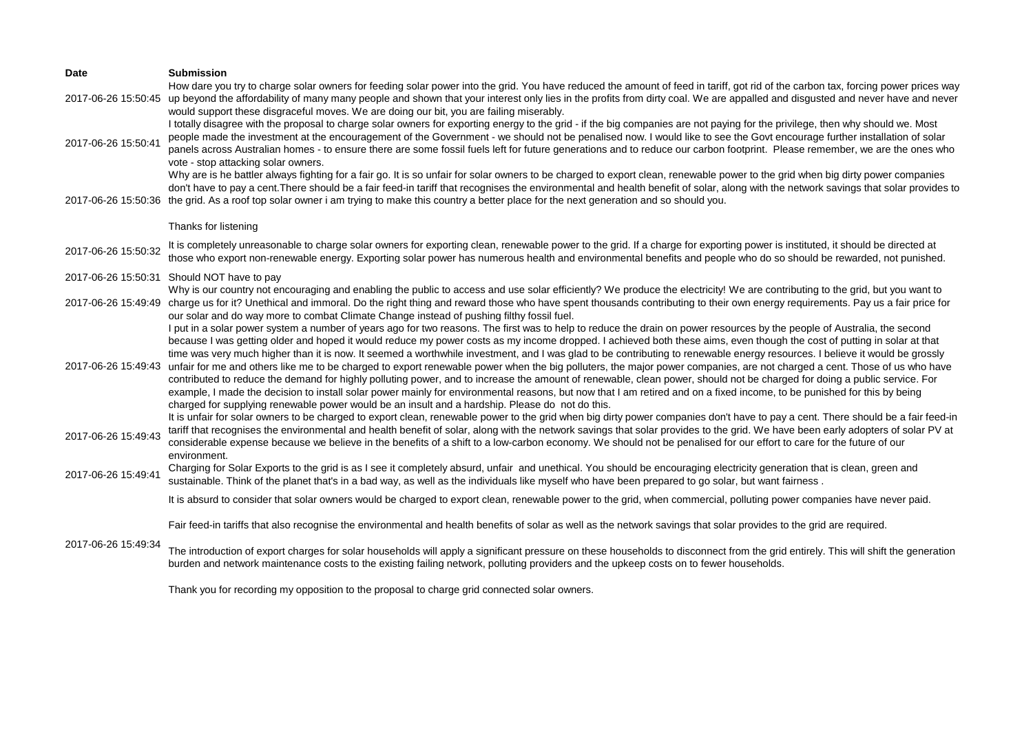| Date                | <b>Submission</b>                                                                                                                                                                                                                                                                                                                                                                                                                                                                                                                                                                                                                                                                                                                                                                                                                                                                                                                                                                                                                                                                                                                                                        |
|---------------------|--------------------------------------------------------------------------------------------------------------------------------------------------------------------------------------------------------------------------------------------------------------------------------------------------------------------------------------------------------------------------------------------------------------------------------------------------------------------------------------------------------------------------------------------------------------------------------------------------------------------------------------------------------------------------------------------------------------------------------------------------------------------------------------------------------------------------------------------------------------------------------------------------------------------------------------------------------------------------------------------------------------------------------------------------------------------------------------------------------------------------------------------------------------------------|
| 2017-06-26 15:50:45 | How dare you try to charge solar owners for feeding solar power into the grid. You have reduced the amount of feed in tariff, got rid of the carbon tax, forcing power prices way<br>up beyond the affordability of many many people and shown that your interest only lies in the profits from dirty coal. We are appalled and disgusted and never have and never<br>would support these disgraceful moves. We are doing our bit, you are failing miserably.                                                                                                                                                                                                                                                                                                                                                                                                                                                                                                                                                                                                                                                                                                            |
| 2017-06-26 15:50:41 | I totally disagree with the proposal to charge solar owners for exporting energy to the grid - if the big companies are not paying for the privilege, then why should we. Most<br>people made the investment at the encouragement of the Government - we should not be penalised now. I would like to see the Govt encourage further installation of solar<br>panels across Australian homes - to ensure there are some fossil fuels left for future generations and to reduce our carbon footprint. Please remember, we are the ones who<br>vote - stop attacking solar owners.                                                                                                                                                                                                                                                                                                                                                                                                                                                                                                                                                                                         |
|                     | Why are is he battler always fighting for a fair go. It is so unfair for solar owners to be charged to export clean, renewable power to the grid when big dirty power companies<br>don't have to pay a cent. There should be a fair feed-in tariff that recognises the environmental and health benefit of solar, along with the network savings that solar provides to<br>2017-06-26 15:50:36 the grid. As a roof top solar owner i am trying to make this country a better place for the next generation and so should you.                                                                                                                                                                                                                                                                                                                                                                                                                                                                                                                                                                                                                                            |
|                     | Thanks for listening                                                                                                                                                                                                                                                                                                                                                                                                                                                                                                                                                                                                                                                                                                                                                                                                                                                                                                                                                                                                                                                                                                                                                     |
| 2017-06-26 15:50:32 | It is completely unreasonable to charge solar owners for exporting clean, renewable power to the grid. If a charge for exporting power is instituted, it should be directed at<br>those who export non-renewable energy. Exporting solar power has numerous health and environmental benefits and people who do so should be rewarded, not punished.                                                                                                                                                                                                                                                                                                                                                                                                                                                                                                                                                                                                                                                                                                                                                                                                                     |
|                     | 2017-06-26 15:50:31 Should NOT have to pay                                                                                                                                                                                                                                                                                                                                                                                                                                                                                                                                                                                                                                                                                                                                                                                                                                                                                                                                                                                                                                                                                                                               |
|                     | Why is our country not encouraging and enabling the public to access and use solar efficiently? We produce the electricity! We are contributing to the grid, but you want to<br>2017-06-26 15:49:49 charge us for it? Unethical and immoral. Do the right thing and reward those who have spent thousands contributing to their own energy requirements. Pay us a fair price for<br>our solar and do way more to combat Climate Change instead of pushing filthy fossil fuel.                                                                                                                                                                                                                                                                                                                                                                                                                                                                                                                                                                                                                                                                                            |
| 2017-06-26 15:49:43 | I put in a solar power system a number of years ago for two reasons. The first was to help to reduce the drain on power resources by the people of Australia, the second<br>because I was getting older and hoped it would reduce my power costs as my income dropped. I achieved both these aims, even though the cost of putting in solar at that<br>time was very much higher than it is now. It seemed a worthwhile investment, and I was glad to be contributing to renewable energy resources. I believe it would be grossly<br>unfair for me and others like me to be charged to export renewable power when the big polluters, the major power companies, are not charged a cent. Those of us who have<br>contributed to reduce the demand for highly polluting power, and to increase the amount of renewable, clean power, should not be charged for doing a public service. For<br>example, I made the decision to install solar power mainly for environmental reasons, but now that I am retired and on a fixed income, to be punished for this by being<br>charged for supplying renewable power would be an insult and a hardship. Please do not do this. |
| 2017-06-26 15:49:43 | It is unfair for solar owners to be charged to export clean, renewable power to the grid when big dirty power companies don't have to pay a cent. There should be a fair feed-in<br>tariff that recognises the environmental and health benefit of solar, along with the network savings that solar provides to the grid. We have been early adopters of solar PV at<br>considerable expense because we believe in the benefits of a shift to a low-carbon economy. We should not be penalised for our effort to care for the future of our<br>environment.                                                                                                                                                                                                                                                                                                                                                                                                                                                                                                                                                                                                              |
| 2017-06-26 15:49:41 | Charging for Solar Exports to the grid is as I see it completely absurd, unfair and unethical. You should be encouraging electricity generation that is clean, green and<br>sustainable. Think of the planet that's in a bad way, as well as the individuals like myself who have been prepared to go solar, but want fairness.                                                                                                                                                                                                                                                                                                                                                                                                                                                                                                                                                                                                                                                                                                                                                                                                                                          |
|                     | It is absurd to consider that solar owners would be charged to export clean, renewable power to the grid, when commercial, polluting power companies have never paid.                                                                                                                                                                                                                                                                                                                                                                                                                                                                                                                                                                                                                                                                                                                                                                                                                                                                                                                                                                                                    |
|                     | Fair feed-in tariffs that also recognise the environmental and health benefits of solar as well as the network savings that solar provides to the grid are required.                                                                                                                                                                                                                                                                                                                                                                                                                                                                                                                                                                                                                                                                                                                                                                                                                                                                                                                                                                                                     |
| 2017-06-26 15:49:34 | The introduction of export charges for solar households will apply a significant pressure on these households to disconnect from the grid entirely. This will shift the generation<br>burden and network maintenance costs to the existing failing network, polluting providers and the upkeep costs on to fewer households.                                                                                                                                                                                                                                                                                                                                                                                                                                                                                                                                                                                                                                                                                                                                                                                                                                             |
|                     | Thank you for recording my opposition to the proposal to charge grid connected solar owners.                                                                                                                                                                                                                                                                                                                                                                                                                                                                                                                                                                                                                                                                                                                                                                                                                                                                                                                                                                                                                                                                             |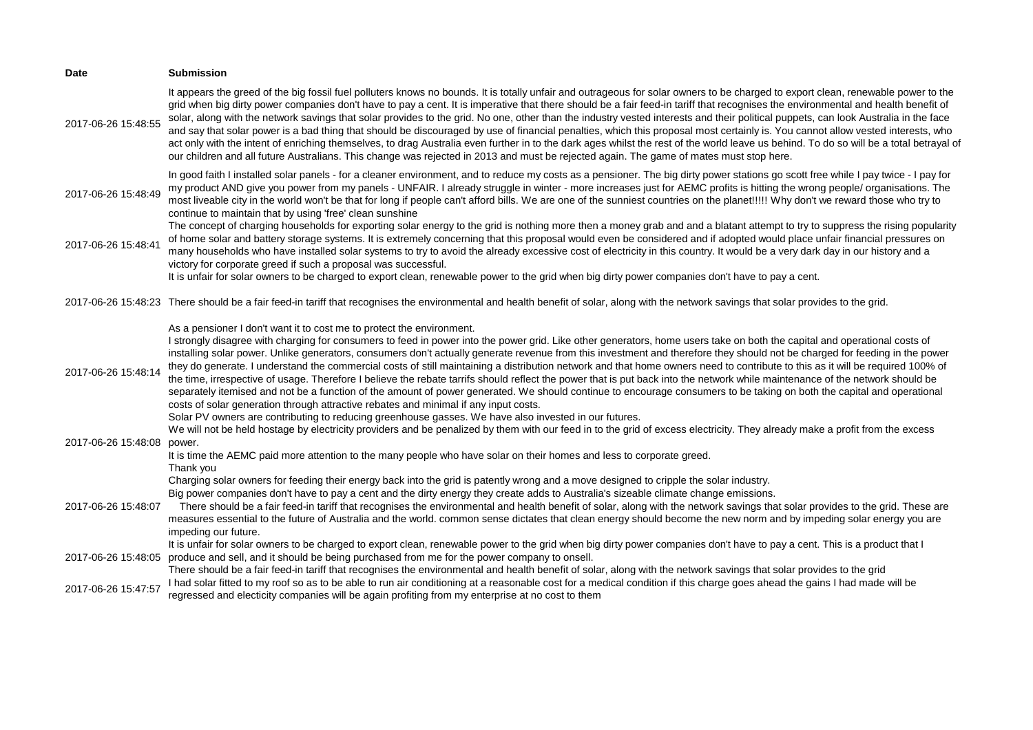| Date                | <b>Submission</b>                                                                                                                                                                                                                                                                                                                                                                                                                                                                                                                                                                                                                                                                                                                                                                                                                                                                                                                                                                                                                                                                                                                                                                                                                                                                                                                                               |
|---------------------|-----------------------------------------------------------------------------------------------------------------------------------------------------------------------------------------------------------------------------------------------------------------------------------------------------------------------------------------------------------------------------------------------------------------------------------------------------------------------------------------------------------------------------------------------------------------------------------------------------------------------------------------------------------------------------------------------------------------------------------------------------------------------------------------------------------------------------------------------------------------------------------------------------------------------------------------------------------------------------------------------------------------------------------------------------------------------------------------------------------------------------------------------------------------------------------------------------------------------------------------------------------------------------------------------------------------------------------------------------------------|
| 2017-06-26 15:48:55 | It appears the greed of the big fossil fuel polluters knows no bounds. It is totally unfair and outrageous for solar owners to be charged to export clean, renewable power to the<br>grid when big dirty power companies don't have to pay a cent. It is imperative that there should be a fair feed-in tariff that recognises the environmental and health benefit of<br>solar, along with the network savings that solar provides to the grid. No one, other than the industry vested interests and their political puppets, can look Australia in the face<br>and say that solar power is a bad thing that should be discouraged by use of financial penalties, which this proposal most certainly is. You cannot allow vested interests, who<br>act only with the intent of enriching themselves, to drag Australia even further in to the dark ages whilst the rest of the world leave us behind. To do so will be a total betrayal of<br>our children and all future Australians. This change was rejected in 2013 and must be rejected again. The game of mates must stop here.                                                                                                                                                                                                                                                                          |
| 2017-06-26 15:48:49 | In good faith I installed solar panels - for a cleaner environment, and to reduce my costs as a pensioner. The big dirty power stations go scott free while I pay twice - I pay for<br>my product AND give you power from my panels - UNFAIR. I already struggle in winter - more increases just for AEMC profits is hitting the wrong people/ organisations. The<br>most liveable city in the world won't be that for long if people can't afford bills. We are one of the sunniest countries on the planet!!!!! Why don't we reward those who try to<br>continue to maintain that by using 'free' clean sunshine                                                                                                                                                                                                                                                                                                                                                                                                                                                                                                                                                                                                                                                                                                                                              |
| 2017-06-26 15:48:41 | The concept of charging households for exporting solar energy to the grid is nothing more then a money grab and and a blatant attempt to try to suppress the rising popularity<br>of home solar and battery storage systems. It is extremely concerning that this proposal would even be considered and if adopted would place unfair financial pressures on<br>many households who have installed solar systems to try to avoid the already excessive cost of electricity in this country. It would be a very dark day in our history and a<br>victory for corporate greed if such a proposal was successful.                                                                                                                                                                                                                                                                                                                                                                                                                                                                                                                                                                                                                                                                                                                                                  |
|                     | It is unfair for solar owners to be charged to export clean, renewable power to the grid when big dirty power companies don't have to pay a cent.                                                                                                                                                                                                                                                                                                                                                                                                                                                                                                                                                                                                                                                                                                                                                                                                                                                                                                                                                                                                                                                                                                                                                                                                               |
|                     | 2017-06-26 15:48:23 There should be a fair feed-in tariff that recognises the environmental and health benefit of solar, along with the network savings that solar provides to the grid.                                                                                                                                                                                                                                                                                                                                                                                                                                                                                                                                                                                                                                                                                                                                                                                                                                                                                                                                                                                                                                                                                                                                                                        |
| 2017-06-26 15:48:14 | As a pensioner I don't want it to cost me to protect the environment.<br>I strongly disagree with charging for consumers to feed in power into the power grid. Like other generators, home users take on both the capital and operational costs of<br>installing solar power. Unlike generators, consumers don't actually generate revenue from this investment and therefore they should not be charged for feeding in the power<br>they do generate. I understand the commercial costs of still maintaining a distribution network and that home owners need to contribute to this as it will be required 100% of<br>the time, irrespective of usage. Therefore I believe the rebate tarrifs should reflect the power that is put back into the network while maintenance of the network should be<br>separately itemised and not be a function of the amount of power generated. We should continue to encourage consumers to be taking on both the capital and operational<br>costs of solar generation through attractive rebates and minimal if any input costs.<br>Solar PV owners are contributing to reducing greenhouse gasses. We have also invested in our futures.<br>We will not be held hostage by electricity providers and be penalized by them with our feed in to the grid of excess electricity. They already make a profit from the excess |
| 2017-06-26 15:48:08 | power.                                                                                                                                                                                                                                                                                                                                                                                                                                                                                                                                                                                                                                                                                                                                                                                                                                                                                                                                                                                                                                                                                                                                                                                                                                                                                                                                                          |
|                     | It is time the AEMC paid more attention to the many people who have solar on their homes and less to corporate greed.<br>Thank you<br>Charging solar owners for feeding their energy back into the grid is patently wrong and a move designed to cripple the solar industry.                                                                                                                                                                                                                                                                                                                                                                                                                                                                                                                                                                                                                                                                                                                                                                                                                                                                                                                                                                                                                                                                                    |
| 2017-06-26 15:48:07 | Big power companies don't have to pay a cent and the dirty energy they create adds to Australia's sizeable climate change emissions.<br>There should be a fair feed-in tariff that recognises the environmental and health benefit of solar, along with the network savings that solar provides to the grid. These are<br>measures essential to the future of Australia and the world, common sense dictates that clean energy should become the new norm and by impeding solar energy you are<br>impeding our future.                                                                                                                                                                                                                                                                                                                                                                                                                                                                                                                                                                                                                                                                                                                                                                                                                                          |
| 2017-06-26 15:48:05 | It is unfair for solar owners to be charged to export clean, renewable power to the grid when big dirty power companies don't have to pay a cent. This is a product that I<br>produce and sell, and it should be being purchased from me for the power company to onsell.<br>There should be a fair feed-in tariff that recognises the environmental and health benefit of solar, along with the network savings that solar provides to the grid                                                                                                                                                                                                                                                                                                                                                                                                                                                                                                                                                                                                                                                                                                                                                                                                                                                                                                                |
| 2017-06-26 15:47:57 | I had solar fitted to my roof so as to be able to run air conditioning at a reasonable cost for a medical condition if this charge goes ahead the gains I had made will be<br>regressed and electicity companies will be again profiting from my enterprise at no cost to them                                                                                                                                                                                                                                                                                                                                                                                                                                                                                                                                                                                                                                                                                                                                                                                                                                                                                                                                                                                                                                                                                  |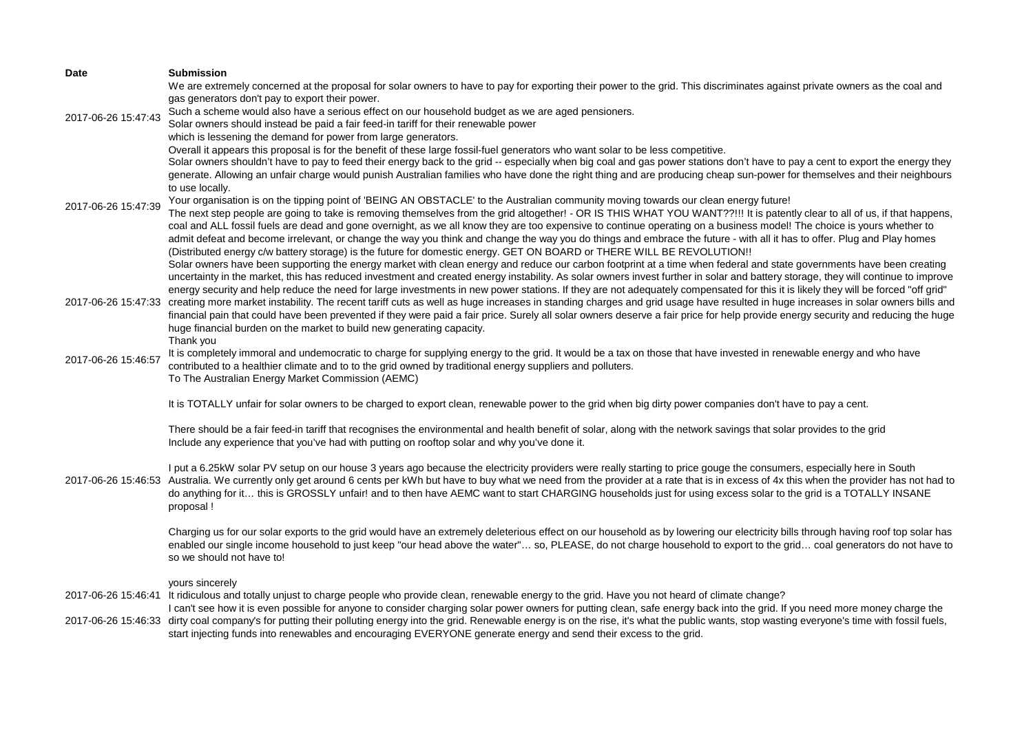| <b>Date</b>         | <b>Submission</b>                                                                                                                                                                                                                                                                                                                                                          |
|---------------------|----------------------------------------------------------------------------------------------------------------------------------------------------------------------------------------------------------------------------------------------------------------------------------------------------------------------------------------------------------------------------|
|                     | We are extremely concerned at the proposal for solar owners to have to pay for exporting their power to the grid. This discriminates against private owners as the coal and                                                                                                                                                                                                |
|                     | gas generators don't pay to export their power.<br>Such a scheme would also have a serious effect on our household budget as we are aged pensioners.                                                                                                                                                                                                                       |
| 2017-06-26 15:47:43 | Solar owners should instead be paid a fair feed-in tariff for their renewable power                                                                                                                                                                                                                                                                                        |
|                     | which is lessening the demand for power from large generators.                                                                                                                                                                                                                                                                                                             |
|                     | Overall it appears this proposal is for the benefit of these large fossil-fuel generators who want solar to be less competitive.                                                                                                                                                                                                                                           |
|                     | Solar owners shouldn't have to pay to feed their energy back to the grid -- especially when big coal and gas power stations don't have to pay a cent to export the energy they                                                                                                                                                                                             |
|                     | generate. Allowing an unfair charge would punish Australian families who have done the right thing and are producing cheap sun-power for themselves and their neighbours<br>to use locally.                                                                                                                                                                                |
|                     | Your organisation is on the tipping point of 'BEING AN OBSTACLE' to the Australian community moving towards our clean energy future!                                                                                                                                                                                                                                       |
| 2017-06-26 15:47:39 | The next step people are going to take is removing themselves from the grid altogether! - OR IS THIS WHAT YOU WANT??!!! It is patently clear to all of us, if that happens,                                                                                                                                                                                                |
|                     | coal and ALL fossil fuels are dead and gone overnight, as we all know they are too expensive to continue operating on a business model! The choice is yours whether to                                                                                                                                                                                                     |
|                     | admit defeat and become irrelevant, or change the way you think and change the way you do things and embrace the future - with all it has to offer. Plug and Play homes                                                                                                                                                                                                    |
|                     | (Distributed energy c/w battery storage) is the future for domestic energy. GET ON BOARD or THERE WILL BE REVOLUTION !!<br>Solar owners have been supporting the energy market with clean energy and reduce our carbon footprint at a time when federal and state governments have been creating                                                                           |
|                     | uncertainty in the market, this has reduced investment and created energy instability. As solar owners invest further in solar and battery storage, they will continue to improve                                                                                                                                                                                          |
|                     | energy security and help reduce the need for large investments in new power stations. If they are not adequately compensated for this it is likely they will be forced "off grid"                                                                                                                                                                                          |
|                     | 2017-06-26 15:47:33 creating more market instability. The recent tariff cuts as well as huge increases in standing charges and grid usage have resulted in huge increases in solar owners bills and                                                                                                                                                                        |
|                     | financial pain that could have been prevented if they were paid a fair price. Surely all solar owners deserve a fair price for help provide energy security and reducing the huge<br>huge financial burden on the market to build new generating capacity.                                                                                                                 |
|                     | Thank you                                                                                                                                                                                                                                                                                                                                                                  |
| 2017-06-26 15:46:57 | It is completely immoral and undemocratic to charge for supplying energy to the grid. It would be a tax on those that have invested in renewable energy and who have                                                                                                                                                                                                       |
|                     | contributed to a healthier climate and to to the grid owned by traditional energy suppliers and polluters.                                                                                                                                                                                                                                                                 |
|                     | To The Australian Energy Market Commission (AEMC)                                                                                                                                                                                                                                                                                                                          |
|                     | It is TOTALLY unfair for solar owners to be charged to export clean, renewable power to the grid when big dirty power companies don't have to pay a cent.                                                                                                                                                                                                                  |
|                     | There should be a fair feed-in tariff that recognises the environmental and health benefit of solar, along with the network savings that solar provides to the grid                                                                                                                                                                                                        |
|                     | Include any experience that you've had with putting on rooftop solar and why you've done it.                                                                                                                                                                                                                                                                               |
|                     |                                                                                                                                                                                                                                                                                                                                                                            |
|                     | I put a 6.25kW solar PV setup on our house 3 years ago because the electricity providers were really starting to price gouge the consumers, especially here in South<br>2017-06-26 15:46:53 Australia. We currently only get around 6 cents per kWh but have to buy what we need from the provider at a rate that is in excess of 4x this when the provider has not had to |
|                     | do anything for it this is GROSSLY unfair! and to then have AEMC want to start CHARGING households just for using excess solar to the grid is a TOTALLY INSANE                                                                                                                                                                                                             |
|                     | proposal!                                                                                                                                                                                                                                                                                                                                                                  |
|                     | Charging us for our solar exports to the grid would have an extremely deleterious effect on our household as by lowering our electricity bills through having roof top solar has                                                                                                                                                                                           |
|                     | enabled our single income household to just keep "our head above the water" so, PLEASE, do not charge household to export to the grid coal generators do not have to                                                                                                                                                                                                       |
|                     | so we should not have to!                                                                                                                                                                                                                                                                                                                                                  |
|                     |                                                                                                                                                                                                                                                                                                                                                                            |
|                     | yours sincerely<br>2017-06-26 15:46:41 It ridiculous and totally unjust to charge people who provide clean, renewable energy to the grid. Have you not heard of climate change?                                                                                                                                                                                            |
|                     | I can't see how it is even possible for anyone to consider charging solar power owners for putting clean, safe energy back into the grid. If you need more money charge the                                                                                                                                                                                                |
|                     | 2017-06-26 15:46:33 dirty coal company's for putting their polluting energy into the grid. Renewable energy is on the rise, it's what the public wants, stop wasting everyone's time with fossil fuels,                                                                                                                                                                    |
|                     | start injecting funds into renewables and encouraging EVERYONE generate energy and send their excess to the grid.                                                                                                                                                                                                                                                          |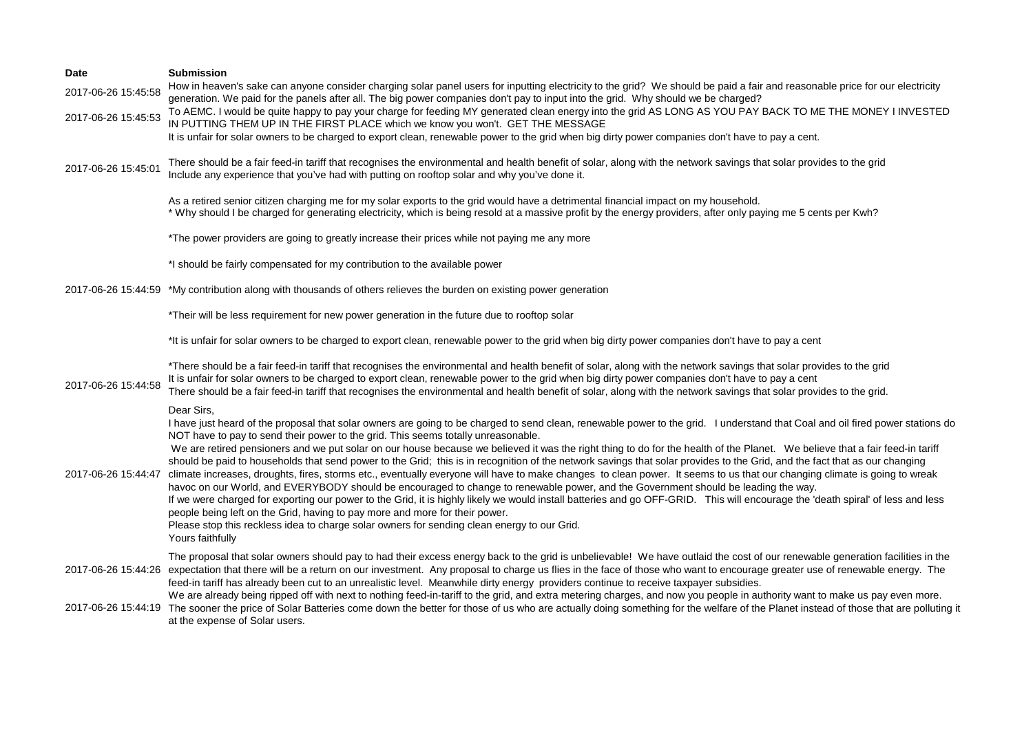| <b>Date</b><br>2017-06-26 15:45:58 | <b>Submission</b><br>How in heaven's sake can anyone consider charging solar panel users for inputting electricity to the grid? We should be paid a fair and reasonable price for our electricity<br>generation. We paid for the panels after all. The big power companies don't pay to input into the grid. Why should we be charged?<br>To AEMC. I would be quite happy to pay your charge for feeding MY generated clean energy into the grid AS LONG AS YOU PAY BACK TO ME THE MONEY I INVESTED                                                                                                                                                                                                                                                                                                                                                                                                                                                                                                                                                                                                                                                                                                                                                                                                                                                     |
|------------------------------------|---------------------------------------------------------------------------------------------------------------------------------------------------------------------------------------------------------------------------------------------------------------------------------------------------------------------------------------------------------------------------------------------------------------------------------------------------------------------------------------------------------------------------------------------------------------------------------------------------------------------------------------------------------------------------------------------------------------------------------------------------------------------------------------------------------------------------------------------------------------------------------------------------------------------------------------------------------------------------------------------------------------------------------------------------------------------------------------------------------------------------------------------------------------------------------------------------------------------------------------------------------------------------------------------------------------------------------------------------------|
| 2017-06-26 15:45:53                | IN PUTTING THEM UP IN THE FIRST PLACE which we know you won't. GET THE MESSAGE<br>It is unfair for solar owners to be charged to export clean, renewable power to the grid when big dirty power companies don't have to pay a cent.                                                                                                                                                                                                                                                                                                                                                                                                                                                                                                                                                                                                                                                                                                                                                                                                                                                                                                                                                                                                                                                                                                                     |
| 2017-06-26 15:45:01                | There should be a fair feed-in tariff that recognises the environmental and health benefit of solar, along with the network savings that solar provides to the grid<br>Include any experience that you've had with putting on rooftop solar and why you've done it.                                                                                                                                                                                                                                                                                                                                                                                                                                                                                                                                                                                                                                                                                                                                                                                                                                                                                                                                                                                                                                                                                     |
|                                    | As a retired senior citizen charging me for my solar exports to the grid would have a detrimental financial impact on my household.<br>* Why should I be charged for generating electricity, which is being resold at a massive profit by the energy providers, after only paying me 5 cents per Kwh?                                                                                                                                                                                                                                                                                                                                                                                                                                                                                                                                                                                                                                                                                                                                                                                                                                                                                                                                                                                                                                                   |
|                                    | *The power providers are going to greatly increase their prices while not paying me any more                                                                                                                                                                                                                                                                                                                                                                                                                                                                                                                                                                                                                                                                                                                                                                                                                                                                                                                                                                                                                                                                                                                                                                                                                                                            |
|                                    | *I should be fairly compensated for my contribution to the available power                                                                                                                                                                                                                                                                                                                                                                                                                                                                                                                                                                                                                                                                                                                                                                                                                                                                                                                                                                                                                                                                                                                                                                                                                                                                              |
|                                    | 2017-06-26 15:44:59 *My contribution along with thousands of others relieves the burden on existing power generation                                                                                                                                                                                                                                                                                                                                                                                                                                                                                                                                                                                                                                                                                                                                                                                                                                                                                                                                                                                                                                                                                                                                                                                                                                    |
|                                    | *Their will be less requirement for new power generation in the future due to rooftop solar                                                                                                                                                                                                                                                                                                                                                                                                                                                                                                                                                                                                                                                                                                                                                                                                                                                                                                                                                                                                                                                                                                                                                                                                                                                             |
|                                    | *It is unfair for solar owners to be charged to export clean, renewable power to the grid when big dirty power companies don't have to pay a cent                                                                                                                                                                                                                                                                                                                                                                                                                                                                                                                                                                                                                                                                                                                                                                                                                                                                                                                                                                                                                                                                                                                                                                                                       |
| 2017-06-26 15:44:58                | *There should be a fair feed-in tariff that recognises the environmental and health benefit of solar, along with the network savings that solar provides to the grid<br>It is unfair for solar owners to be charged to export clean, renewable power to the grid when big dirty power companies don't have to pay a cent<br>There should be a fair feed-in tariff that recognises the environmental and health benefit of solar, along with the network savings that solar provides to the grid.                                                                                                                                                                                                                                                                                                                                                                                                                                                                                                                                                                                                                                                                                                                                                                                                                                                        |
| 2017-06-26 15:44:47                | Dear Sirs,<br>I have just heard of the proposal that solar owners are going to be charged to send clean, renewable power to the grid. I understand that Coal and oil fired power stations do<br>NOT have to pay to send their power to the grid. This seems totally unreasonable.<br>We are retired pensioners and we put solar on our house because we believed it was the right thing to do for the health of the Planet. We believe that a fair feed-in tariff<br>should be paid to households that send power to the Grid; this is in recognition of the network savings that solar provides to the Grid, and the fact that as our changing<br>climate increases, droughts, fires, storms etc., eventually everyone will have to make changes to clean power. It seems to us that our changing climate is going to wreak<br>havoc on our World, and EVERYBODY should be encouraged to change to renewable power, and the Government should be leading the way.<br>If we were charged for exporting our power to the Grid, it is highly likely we would install batteries and go OFF-GRID. This will encourage the 'death spiral' of less and less<br>people being left on the Grid, having to pay more and more for their power.<br>Please stop this reckless idea to charge solar owners for sending clean energy to our Grid.<br>Yours faithfully |
|                                    | The proposal that solar owners should pay to had their excess energy back to the grid is unbelievable! We have outlaid the cost of our renewable generation facilities in the<br>2017-06-26 15:44:26 expectation that there will be a return on our investment. Any proposal to charge us flies in the face of those who want to encourage greater use of renewable energy. The<br>feed-in tariff has already been cut to an unrealistic level. Meanwhile dirty energy providers continue to receive taxpayer subsidies.<br>We are already being ripped off with next to nothing feed-in-tariff to the grid, and extra metering charges, and now you people in authority want to make us pay even more.<br>2017-06-26 15:44:19 The sooner the price of Solar Batteries come down the better for those of us who are actually doing something for the welfare of the Planet instead of those that are polluting it<br>at the expense of Solar users.                                                                                                                                                                                                                                                                                                                                                                                                     |
|                                    |                                                                                                                                                                                                                                                                                                                                                                                                                                                                                                                                                                                                                                                                                                                                                                                                                                                                                                                                                                                                                                                                                                                                                                                                                                                                                                                                                         |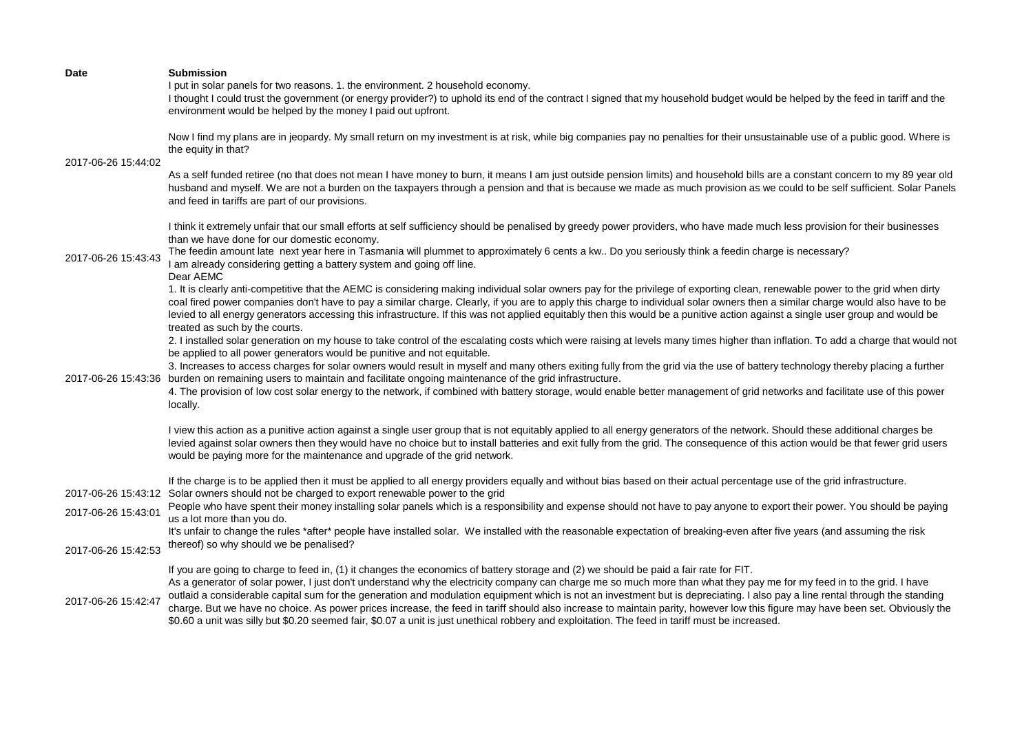|                     | I thought I could trust the government (or energy provider?) to uphold its end of the contract I signed that my household budget would be helped by the feed in tariff and the<br>environment would be helped by the money I paid out upfront.                                                                                                                                                                                                                                                                                                                                                                                                                                                                                                                                                                                      |
|---------------------|-------------------------------------------------------------------------------------------------------------------------------------------------------------------------------------------------------------------------------------------------------------------------------------------------------------------------------------------------------------------------------------------------------------------------------------------------------------------------------------------------------------------------------------------------------------------------------------------------------------------------------------------------------------------------------------------------------------------------------------------------------------------------------------------------------------------------------------|
| 2017-06-26 15:44:02 | Now I find my plans are in jeopardy. My small return on my investment is at risk, while big companies pay no penalties for their unsustainable use of a public good. Where is<br>the equity in that?                                                                                                                                                                                                                                                                                                                                                                                                                                                                                                                                                                                                                                |
|                     | As a self funded retiree (no that does not mean I have money to burn, it means I am just outside pension limits) and household bills are a constant concern to my 89 year old<br>husband and myself. We are not a burden on the taxpayers through a pension and that is because we made as much provision as we could to be self sufficient. Solar Panels<br>and feed in tariffs are part of our provisions.                                                                                                                                                                                                                                                                                                                                                                                                                        |
| 2017-06-26 15:43:43 | I think it extremely unfair that our small efforts at self sufficiency should be penalised by greedy power providers, who have made much less provision for their businesses<br>than we have done for our domestic economy.                                                                                                                                                                                                                                                                                                                                                                                                                                                                                                                                                                                                         |
|                     | The feedin amount late next year here in Tasmania will plummet to approximately 6 cents a kw Do you seriously think a feedin charge is necessary?<br>I am already considering getting a battery system and going off line.<br>Dear AEMC                                                                                                                                                                                                                                                                                                                                                                                                                                                                                                                                                                                             |
|                     | 1. It is clearly anti-competitive that the AEMC is considering making individual solar owners pay for the privilege of exporting clean, renewable power to the grid when dirty<br>coal fired power companies don't have to pay a similar charge. Clearly, if you are to apply this charge to individual solar owners then a similar charge would also have to be<br>levied to all energy generators accessing this infrastructure. If this was not applied equitably then this would be a punitive action against a single user group and would be<br>treated as such by the courts.                                                                                                                                                                                                                                                |
|                     | 2. I installed solar generation on my house to take control of the escalating costs which were raising at levels many times higher than inflation. To add a charge that would not<br>be applied to all power generators would be punitive and not equitable.                                                                                                                                                                                                                                                                                                                                                                                                                                                                                                                                                                        |
|                     | 3. Increases to access charges for solar owners would result in myself and many others exiting fully from the grid via the use of battery technology thereby placing a further<br>2017-06-26 15:43:36 burden on remaining users to maintain and facilitate ongoing maintenance of the grid infrastructure.                                                                                                                                                                                                                                                                                                                                                                                                                                                                                                                          |
|                     | 4. The provision of low cost solar energy to the network, if combined with battery storage, would enable better management of grid networks and facilitate use of this power<br>locally.                                                                                                                                                                                                                                                                                                                                                                                                                                                                                                                                                                                                                                            |
|                     | I view this action as a punitive action against a single user group that is not equitably applied to all energy generators of the network. Should these additional charges be<br>levied against solar owners then they would have no choice but to install batteries and exit fully from the grid. The consequence of this action would be that fewer grid users<br>would be paying more for the maintenance and upgrade of the grid network.                                                                                                                                                                                                                                                                                                                                                                                       |
|                     | If the charge is to be applied then it must be applied to all energy providers equally and without bias based on their actual percentage use of the grid infrastructure.<br>2017-06-26 15:43:12 Solar owners should not be charged to export renewable power to the grid                                                                                                                                                                                                                                                                                                                                                                                                                                                                                                                                                            |
| 2017-06-26 15:43:01 | People who have spent their money installing solar panels which is a responsibility and expense should not have to pay anyone to export their power. You should be paying<br>us a lot more than you do.                                                                                                                                                                                                                                                                                                                                                                                                                                                                                                                                                                                                                             |
| 2017-06-26 15:42:53 | It's unfair to change the rules *after* people have installed solar. We installed with the reasonable expectation of breaking-even after five years (and assuming the risk<br>thereof) so why should we be penalised?                                                                                                                                                                                                                                                                                                                                                                                                                                                                                                                                                                                                               |
| 2017-06-26 15:42:47 | If you are going to charge to feed in, (1) it changes the economics of battery storage and (2) we should be paid a fair rate for FIT.<br>As a generator of solar power, I just don't understand why the electricity company can charge me so much more than what they pay me for my feed in to the grid. I have<br>outlaid a considerable capital sum for the generation and modulation equipment which is not an investment but is depreciating. I also pay a line rental through the standing<br>charge. But we have no choice. As power prices increase, the feed in tariff should also increase to maintain parity, however low this figure may have been set. Obviously the<br>\$0.60 a unit was silly but \$0.20 seemed fair, \$0.07 a unit is just unethical robbery and exploitation. The feed in tariff must be increased. |
|                     |                                                                                                                                                                                                                                                                                                                                                                                                                                                                                                                                                                                                                                                                                                                                                                                                                                     |

I put in solar panels for two reasons. 1. the environment. 2 household economy.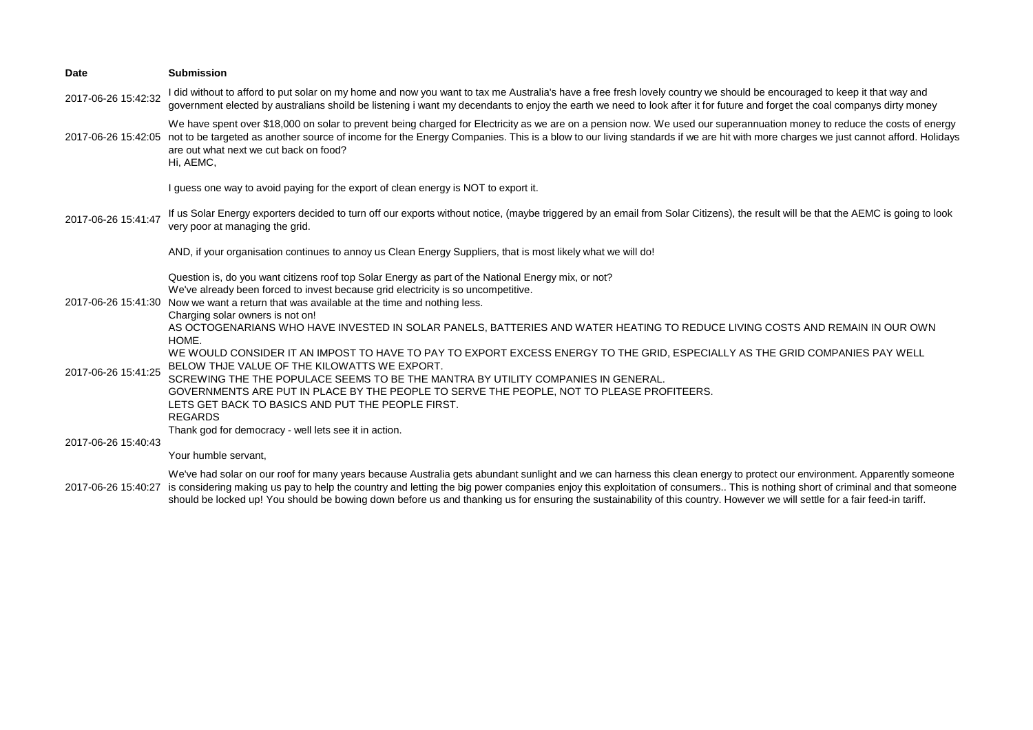| <b>Date</b>         | <b>Submission</b>                                                                                                                                                                                                                                                                                                                                                                                                                                                                                                                      |
|---------------------|----------------------------------------------------------------------------------------------------------------------------------------------------------------------------------------------------------------------------------------------------------------------------------------------------------------------------------------------------------------------------------------------------------------------------------------------------------------------------------------------------------------------------------------|
| 2017-06-26 15:42:32 | I did without to afford to put solar on my home and now you want to tax me Australia's have a free fresh lovely country we should be encouraged to keep it that way and<br>government elected by australians shoild be listening i want my decendants to enjoy the earth we need to look after it for future and forget the coal companys dirty money                                                                                                                                                                                  |
| 2017-06-26 15:42:05 | We have spent over \$18,000 on solar to prevent being charged for Electricity as we are on a pension now. We used our superannuation money to reduce the costs of energy<br>not to be targeted as another source of income for the Energy Companies. This is a blow to our living standards if we are hit with more charges we just cannot afford. Holidays<br>are out what next we cut back on food?<br>Hi, AEMC,                                                                                                                     |
| 2017-06-26 15:41:47 | I guess one way to avoid paying for the export of clean energy is NOT to export it.                                                                                                                                                                                                                                                                                                                                                                                                                                                    |
|                     | If us Solar Energy exporters decided to turn off our exports without notice, (maybe triggered by an email from Solar Citizens), the result will be that the AEMC is going to look<br>very poor at managing the grid.                                                                                                                                                                                                                                                                                                                   |
|                     | AND, if your organisation continues to annoy us Clean Energy Suppliers, that is most likely what we will do!                                                                                                                                                                                                                                                                                                                                                                                                                           |
| 2017-06-26 15:41:30 | Question is, do you want citizens roof top Solar Energy as part of the National Energy mix, or not?<br>We've already been forced to invest because grid electricity is so uncompetitive.<br>Now we want a return that was available at the time and nothing less.<br>Charging solar owners is not on!                                                                                                                                                                                                                                  |
|                     | AS OCTOGENARIANS WHO HAVE INVESTED IN SOLAR PANELS, BATTERIES AND WATER HEATING TO REDUCE LIVING COSTS AND REMAIN IN OUR OWN<br>HOME.                                                                                                                                                                                                                                                                                                                                                                                                  |
| 2017-06-26 15:41:25 | WE WOULD CONSIDER IT AN IMPOST TO HAVE TO PAY TO EXPORT EXCESS ENERGY TO THE GRID, ESPECIALLY AS THE GRID COMPANIES PAY WELL<br>BELOW THJE VALUE OF THE KILOWATTS WE EXPORT.<br>SCREWING THE THE POPULACE SEEMS TO BE THE MANTRA BY UTILITY COMPANIES IN GENERAL.<br>GOVERNMENTS ARE PUT IN PLACE BY THE PEOPLE TO SERVE THE PEOPLE, NOT TO PLEASE PROFITEERS.<br>LETS GET BACK TO BASICS AND PUT THE PEOPLE FIRST.<br><b>REGARDS</b>                                                                                                  |
| 2017-06-26 15:40:43 | Thank god for democracy - well lets see it in action.                                                                                                                                                                                                                                                                                                                                                                                                                                                                                  |
|                     | Your humble servant,                                                                                                                                                                                                                                                                                                                                                                                                                                                                                                                   |
| 2017-06-26 15:40:27 | We've had solar on our roof for many years because Australia gets abundant sunlight and we can harness this clean energy to protect our environment. Apparently someone<br>is considering making us pay to help the country and letting the big power companies enjoy this exploitation of consumers This is nothing short of criminal and that someone<br>should be locked up! You should be bowing down before us and thanking us for ensuring the sustainability of this country. However we will settle for a fair feed-in tariff. |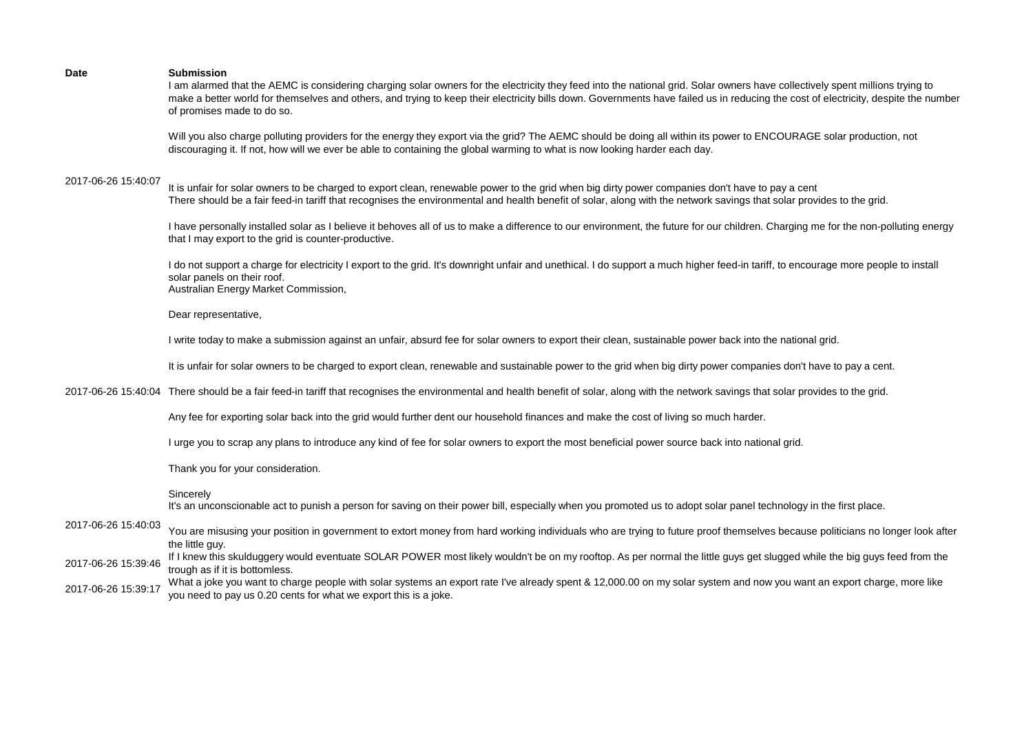I am alarmed that the AEMC is considering charging solar owners for the electricity they feed into the national grid. Solar owners have collectively spent millions trying to make a better world for themselves and others, and trying to keep their electricity bills down. Governments have failed us in reducing the cost of electricity, despite the number of promises made to do so.

Will you also charge polluting providers for the energy they export via the grid? The AEMC should be doing all within its power to ENCOURAGE solar production, not discouraging it. If not, how will we ever be able to containing the global warming to what is now looking harder each day.

## 2017-06-26 15:40:07

It is unfair for solar owners to be charged to export clean, renewable power to the grid when big dirty power companies don't have to pay a cent There should be a fair feed-in tariff that recognises the environmental and health benefit of solar, along with the network savings that solar provides to the grid.

I have personally installed solar as I believe it behoves all of us to make a difference to our environment, the future for our children. Charging me for the non-polluting energy that I may export to the grid is counter-productive.

I do not support a charge for electricity I export to the grid. It's downright unfair and unethical. I do support a much higher feed-in tariff, to encourage more people to install solar panels on their roof. Australian Energy Market Commission,

Dear representative,

I write today to make a submission against an unfair, absurd fee for solar owners to export their clean, sustainable power back into the national grid.

It is unfair for solar owners to be charged to export clean, renewable and sustainable power to the grid when big dirty power companies don't have to pay a cent.

2017-06-26 15:40:04 There should be a fair feed-in tariff that recognises the environmental and health benefit of solar, along with the network savings that solar provides to the grid.

Any fee for exporting solar back into the grid would further dent our household finances and make the cost of living so much harder.

I urge you to scrap any plans to introduce any kind of fee for solar owners to export the most beneficial power source back into national grid.

Thank you for your consideration.

## Sincerely

It's an unconscionable act to punish a person for saving on their power bill, especially when you promoted us to adopt solar panel technology in the first place.

2017-06-26 15:40:03 You are misusing vour position in government to extort money from hard working individuals who are trying to future proof themselves because politicians no longer look after the little guy.

2017-06-26 15:39:46 If I knew this skulduggery would eventuate SOLAR POWER most likely wouldn't be on my rooftop. As per normal the little guys get slugged while the big guys feed from the trough as if it is bottomless.

2017-06-26 15:39:17 What a joke you want to charge people with solar systems an export rate I've already spent & 12,000.00 on my solar system and now you want an export charge, more like you need to pay us 0.20 cents for what we export this is a joke.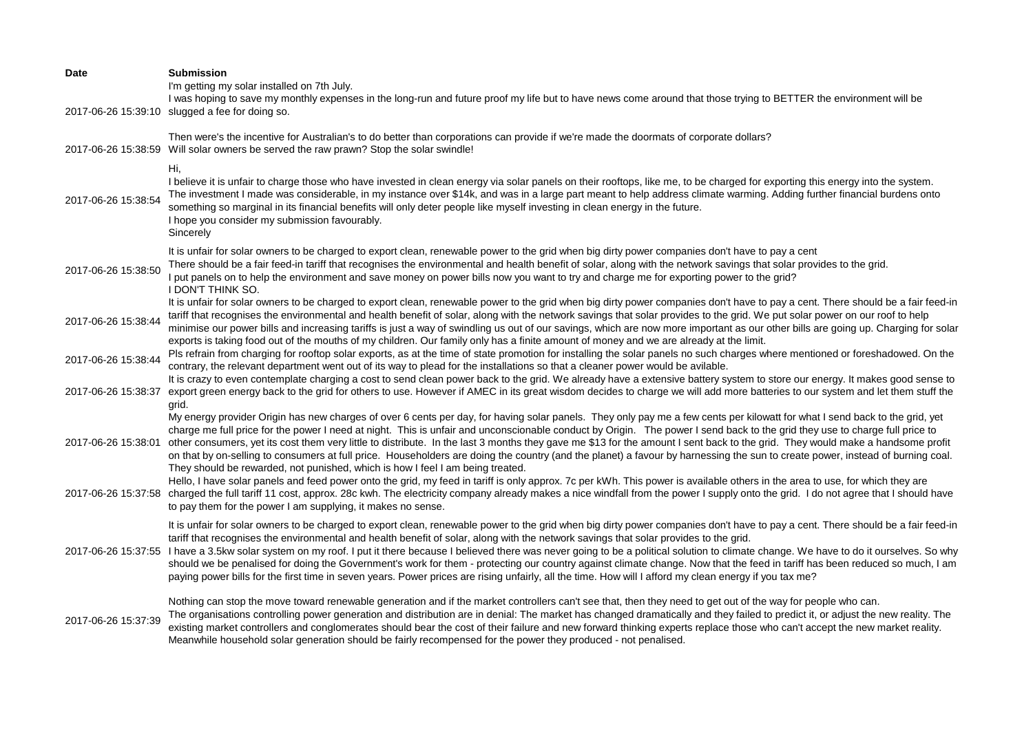| Date                | <b>Submission</b><br>I'm getting my solar installed on 7th July.<br>I was hoping to save my monthly expenses in the long-run and future proof my life but to have news come around that those trying to BETTER the environment will be                                                                                                                                                                                                                                                                                                                                                                                                                                                                                                                                                                                                                                                                                                                                                           |
|---------------------|--------------------------------------------------------------------------------------------------------------------------------------------------------------------------------------------------------------------------------------------------------------------------------------------------------------------------------------------------------------------------------------------------------------------------------------------------------------------------------------------------------------------------------------------------------------------------------------------------------------------------------------------------------------------------------------------------------------------------------------------------------------------------------------------------------------------------------------------------------------------------------------------------------------------------------------------------------------------------------------------------|
|                     | 2017-06-26 15:39:10 slugged a fee for doing so.                                                                                                                                                                                                                                                                                                                                                                                                                                                                                                                                                                                                                                                                                                                                                                                                                                                                                                                                                  |
|                     | Then were's the incentive for Australian's to do better than corporations can provide if we're made the doormats of corporate dollars?<br>2017-06-26 15:38:59 Will solar owners be served the raw prawn? Stop the solar swindle!                                                                                                                                                                                                                                                                                                                                                                                                                                                                                                                                                                                                                                                                                                                                                                 |
| 2017-06-26 15:38:54 | Hi,<br>I believe it is unfair to charge those who have invested in clean energy via solar panels on their rooftops, like me, to be charged for exporting this energy into the system.<br>The investment I made was considerable, in my instance over \$14k, and was in a large part meant to help address climate warming. Adding further financial burdens onto<br>something so marginal in its financial benefits will only deter people like myself investing in clean energy in the future.<br>I hope you consider my submission favourably.<br>Sincerely                                                                                                                                                                                                                                                                                                                                                                                                                                    |
| 2017-06-26 15:38:50 | It is unfair for solar owners to be charged to export clean, renewable power to the grid when big dirty power companies don't have to pay a cent<br>There should be a fair feed-in tariff that recognises the environmental and health benefit of solar, along with the network savings that solar provides to the grid.<br>I put panels on to help the environment and save money on power bills now you want to try and charge me for exporting power to the grid?<br>I DON'T THINK SO.                                                                                                                                                                                                                                                                                                                                                                                                                                                                                                        |
| 2017-06-26 15:38:44 | It is unfair for solar owners to be charged to export clean, renewable power to the grid when big dirty power companies don't have to pay a cent. There should be a fair feed-in<br>tariff that recognises the environmental and health benefit of solar, along with the network savings that solar provides to the grid. We put solar power on our roof to help<br>minimise our power bills and increasing tariffs is just a way of swindling us out of our savings, which are now more important as our other bills are going up. Charging for solar<br>exports is taking food out of the mouths of my children. Our family only has a finite amount of money and we are already at the limit.                                                                                                                                                                                                                                                                                                 |
| 2017-06-26 15:38:44 | Pls refrain from charging for rooftop solar exports, as at the time of state promotion for installing the solar panels no such charges where mentioned or foreshadowed. On the<br>contrary, the relevant department went out of its way to plead for the installations so that a cleaner power would be avilable.                                                                                                                                                                                                                                                                                                                                                                                                                                                                                                                                                                                                                                                                                |
| 2017-06-26 15:38:37 | It is crazy to even contemplate charging a cost to send clean power back to the grid. We already have a extensive battery system to store our energy. It makes good sense to<br>export green energy back to the grid for others to use. However if AMEC in its great wisdom decides to charge we will add more batteries to our system and let them stuff the<br>grid.                                                                                                                                                                                                                                                                                                                                                                                                                                                                                                                                                                                                                           |
| 2017-06-26 15:38:01 | My energy provider Origin has new charges of over 6 cents per day, for having solar panels. They only pay me a few cents per kilowatt for what I send back to the grid, yet<br>charge me full price for the power I need at night. This is unfair and unconscionable conduct by Origin. The power I send back to the grid they use to charge full price to<br>other consumers, yet its cost them very little to distribute. In the last 3 months they gave me \$13 for the amount I sent back to the grid. They would make a handsome profit<br>on that by on-selling to consumers at full price. Householders are doing the country (and the planet) a favour by harnessing the sun to create power, instead of burning coal.<br>They should be rewarded, not punished, which is how I feel I am being treated.<br>Hello, I have solar panels and feed power onto the grid, my feed in tariff is only approx. 7c per kWh. This power is available others in the area to use, for which they are |
|                     | 2017-06-26 15:37:58 charged the full tariff 11 cost, approx. 28c kwh. The electricity company already makes a nice windfall from the power I supply onto the grid. I do not agree that I should have<br>to pay them for the power I am supplying, it makes no sense.                                                                                                                                                                                                                                                                                                                                                                                                                                                                                                                                                                                                                                                                                                                             |
| 2017-06-26 15:37:55 | It is unfair for solar owners to be charged to export clean, renewable power to the grid when big dirty power companies don't have to pay a cent. There should be a fair feed-in<br>tariff that recognises the environmental and health benefit of solar, along with the network savings that solar provides to the grid.<br>I have a 3.5kw solar system on my roof. I put it there because I believed there was never going to be a political solution to climate change. We have to do it ourselves. So why<br>should we be penalised for doing the Government's work for them - protecting our country against climate change. Now that the feed in tariff has been reduced so much, I am<br>paying power bills for the first time in seven years. Power prices are rising unfairly, all the time. How will I afford my clean energy if you tax me?                                                                                                                                           |
| 2017-06-26 15:37:39 | Nothing can stop the move toward renewable generation and if the market controllers can't see that, then they need to get out of the way for people who can.<br>The organisations controlling power generation and distribution are in denial: The market has changed dramatically and they failed to predict it, or adjust the new reality. The<br>existing market controllers and conglomerates should bear the cost of their failure and new forward thinking experts replace those who can't accept the new market reality.<br>Meanwhile household solar generation should be fairly recompensed for the power they produced - not penalised.                                                                                                                                                                                                                                                                                                                                                |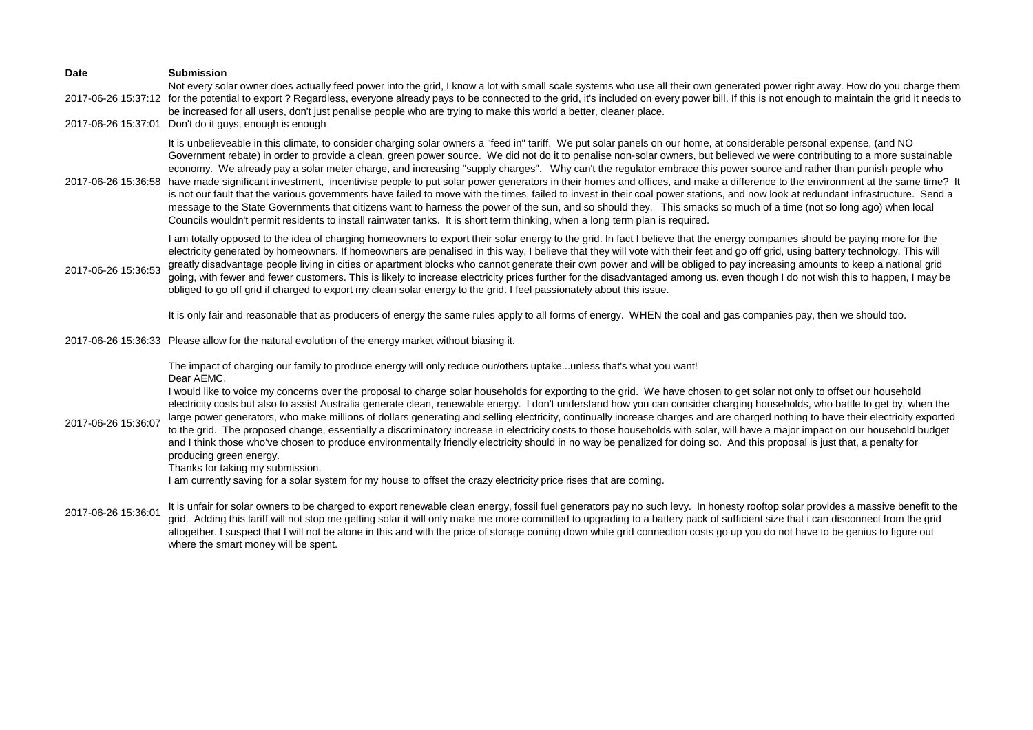| <b>Date</b>         | <b>Submission</b><br>Not every solar owner does actually feed power into the grid, I know a lot with small scale systems who use all their own generated power right away. How do you charge them                                                                                                                                                                                                                                                                                                                                                                                                                                                                                                                                                                                                                                                                                                                                                                                                                                                                                                                                                                                                                                 |
|---------------------|-----------------------------------------------------------------------------------------------------------------------------------------------------------------------------------------------------------------------------------------------------------------------------------------------------------------------------------------------------------------------------------------------------------------------------------------------------------------------------------------------------------------------------------------------------------------------------------------------------------------------------------------------------------------------------------------------------------------------------------------------------------------------------------------------------------------------------------------------------------------------------------------------------------------------------------------------------------------------------------------------------------------------------------------------------------------------------------------------------------------------------------------------------------------------------------------------------------------------------------|
|                     | 2017-06-26 15:37:12 for the potential to export? Regardless, everyone already pays to be connected to the grid, it's included on every power bill. If this is not enough to maintain the grid it needs to<br>be increased for all users, don't just penalise people who are trying to make this world a better, cleaner place.                                                                                                                                                                                                                                                                                                                                                                                                                                                                                                                                                                                                                                                                                                                                                                                                                                                                                                    |
|                     | 2017-06-26 15:37:01 Don't do it guys, enough is enough                                                                                                                                                                                                                                                                                                                                                                                                                                                                                                                                                                                                                                                                                                                                                                                                                                                                                                                                                                                                                                                                                                                                                                            |
|                     | It is unbelieveable in this climate, to consider charging solar owners a "feed in" tariff. We put solar panels on our home, at considerable personal expense, (and NO<br>Government rebate) in order to provide a clean, green power source. We did not do it to penalise non-solar owners, but believed we were contributing to a more sustainable<br>economy. We already pay a solar meter charge, and increasing "supply charges". Why can't the regulator embrace this power source and rather than punish people who<br>2017-06-26 15:36:58 have made significant investment, incentivise people to put solar power generators in their homes and offices, and make a difference to the environment at the same time? It<br>is not our fault that the various governments have failed to move with the times, failed to invest in their coal power stations, and now look at redundant infrastructure. Send a<br>message to the State Governments that citizens want to harness the power of the sun, and so should they. This smacks so much of a time (not so long ago) when local<br>Councils wouldn't permit residents to install rainwater tanks. It is short term thinking, when a long term plan is required.         |
| 2017-06-26 15:36:53 | I am totally opposed to the idea of charging homeowners to export their solar energy to the grid. In fact I believe that the energy companies should be paying more for the<br>electricity generated by homeowners. If homeowners are penalised in this way, I believe that they will vote with their feet and go off grid, using battery technology. This will<br>greatly disadvantage people living in cities or apartment blocks who cannot generate their own power and will be obliged to pay increasing amounts to keep a national grid<br>going, with fewer and fewer customers. This is likely to increase electricity prices further for the disadvantaged among us. even though I do not wish this to happen, I may be<br>obliged to go off grid if charged to export my clean solar energy to the grid. I feel passionately about this issue.                                                                                                                                                                                                                                                                                                                                                                          |
|                     | It is only fair and reasonable that as producers of energy the same rules apply to all forms of energy. WHEN the coal and gas companies pay, then we should too.                                                                                                                                                                                                                                                                                                                                                                                                                                                                                                                                                                                                                                                                                                                                                                                                                                                                                                                                                                                                                                                                  |
|                     | 2017-06-26 15:36:33 Please allow for the natural evolution of the energy market without biasing it.                                                                                                                                                                                                                                                                                                                                                                                                                                                                                                                                                                                                                                                                                                                                                                                                                                                                                                                                                                                                                                                                                                                               |
| 2017-06-26 15:36:07 | The impact of charging our family to produce energy will only reduce our/others uptakeunless that's what you want!<br>Dear AEMC,<br>I would like to voice my concerns over the proposal to charge solar households for exporting to the grid. We have chosen to get solar not only to offset our household<br>electricity costs but also to assist Australia generate clean, renewable energy. I don't understand how you can consider charging households, who battle to get by, when the<br>large power generators, who make millions of dollars generating and selling electricity, continually increase charges and are charged nothing to have their electricity exported<br>to the grid. The proposed change, essentially a discriminatory increase in electricity costs to those households with solar, will have a major impact on our household budget<br>and I think those who've chosen to produce environmentally friendly electricity should in no way be penalized for doing so. And this proposal is just that, a penalty for<br>producing green energy.<br>Thanks for taking my submission.<br>I am currently saving for a solar system for my house to offset the crazy electricity price rises that are coming. |
| 2017-06-26 15:36:01 | It is unfair for solar owners to be charged to export renewable clean energy, fossil fuel generators pay no such levy. In honesty rooftop solar provides a massive benefit to the<br>grid. Adding this tariff will not stop me getting solar it will only make me more committed to upgrading to a battery pack of sufficient size that i can disconnect from the grid<br>altogether. I suspect that I will not be alone in this and with the price of storage coming down while grid connection costs go up you do not have to be genius to figure out<br>where the smart money will be spent.                                                                                                                                                                                                                                                                                                                                                                                                                                                                                                                                                                                                                                   |